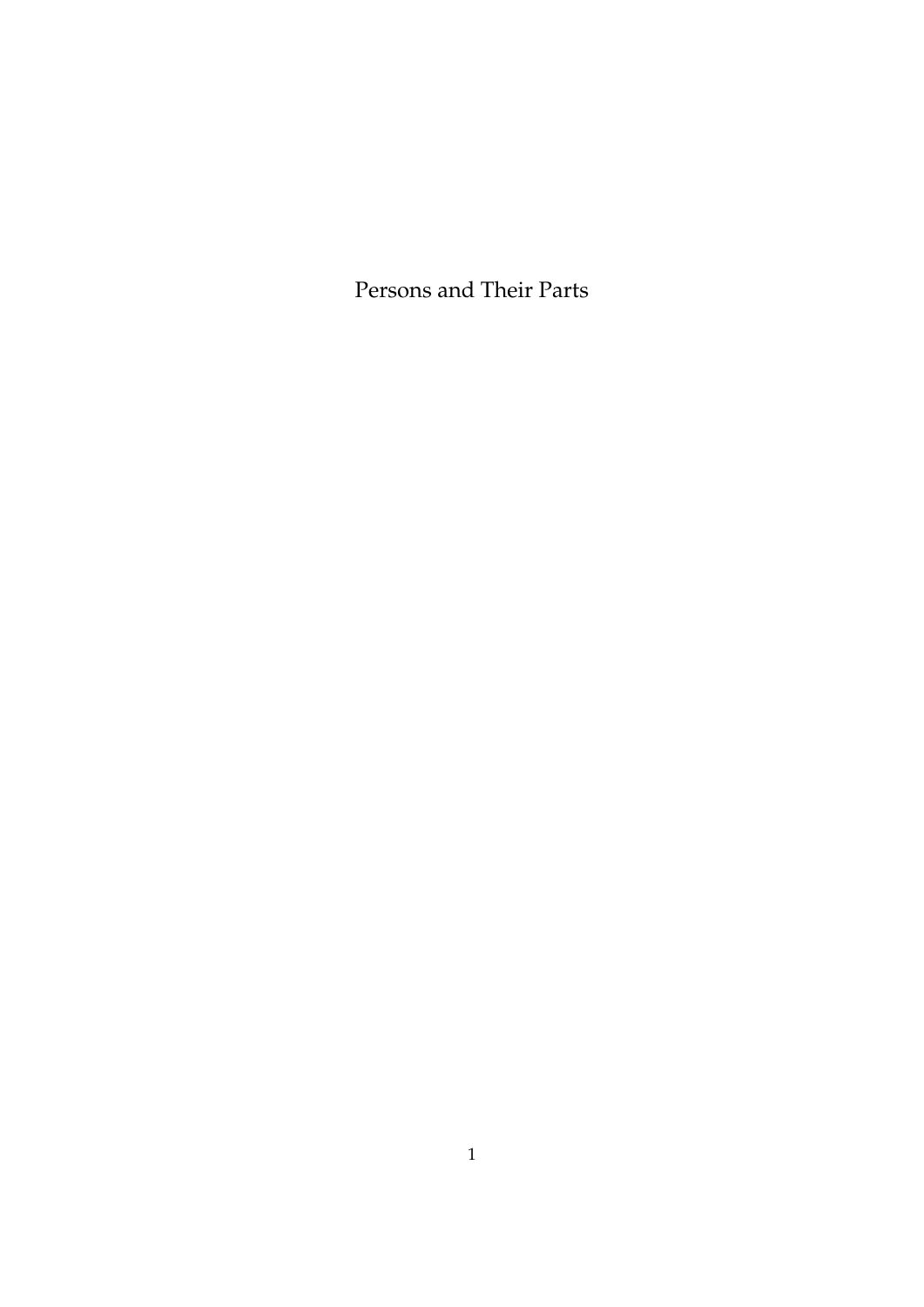Persons and Their Parts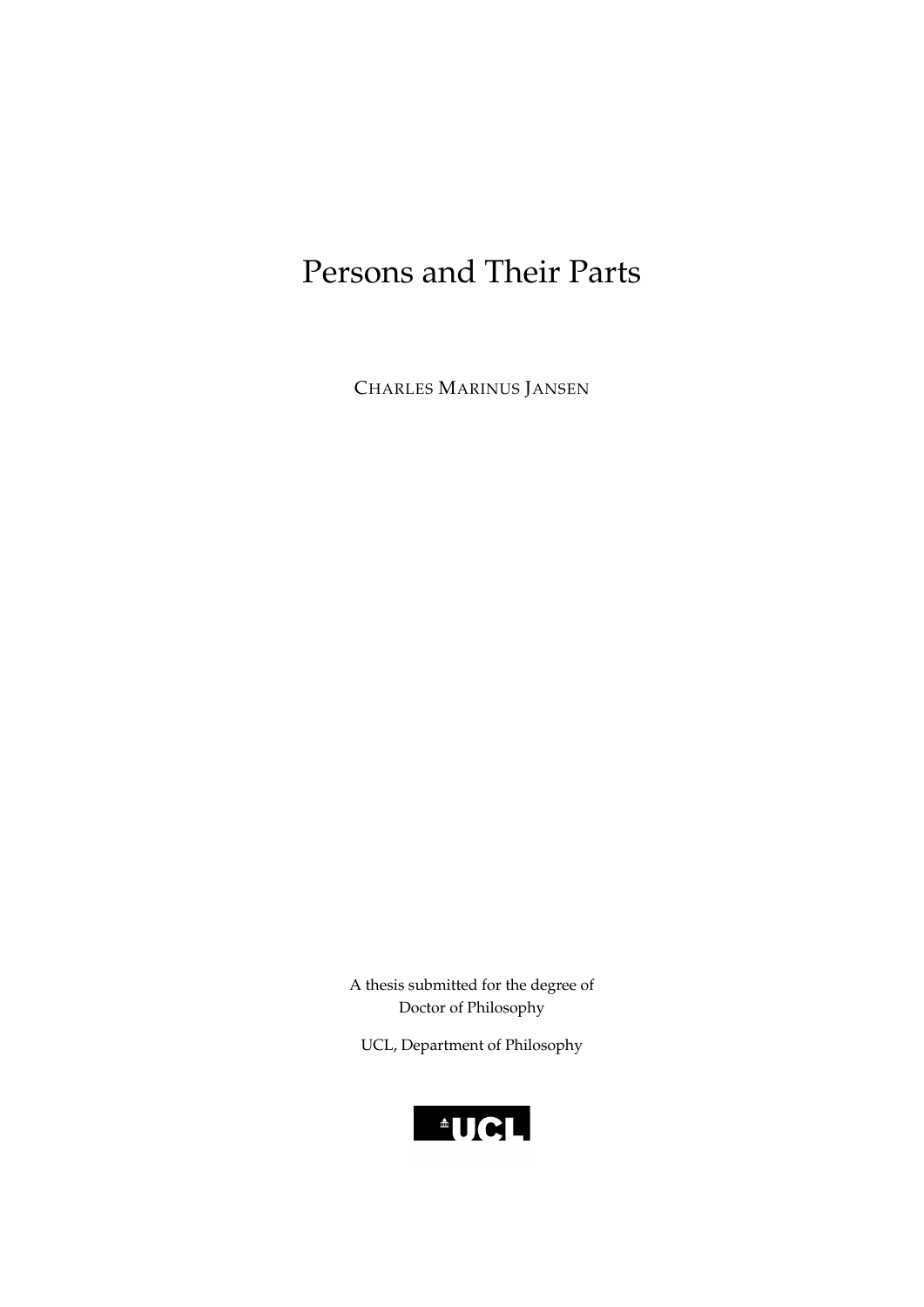# Persons and Their Parts

CHARLES MARINUS JANSEN

A thesis submitted for the degree of Doctor of Philosophy

UCL, Department of Philosophy

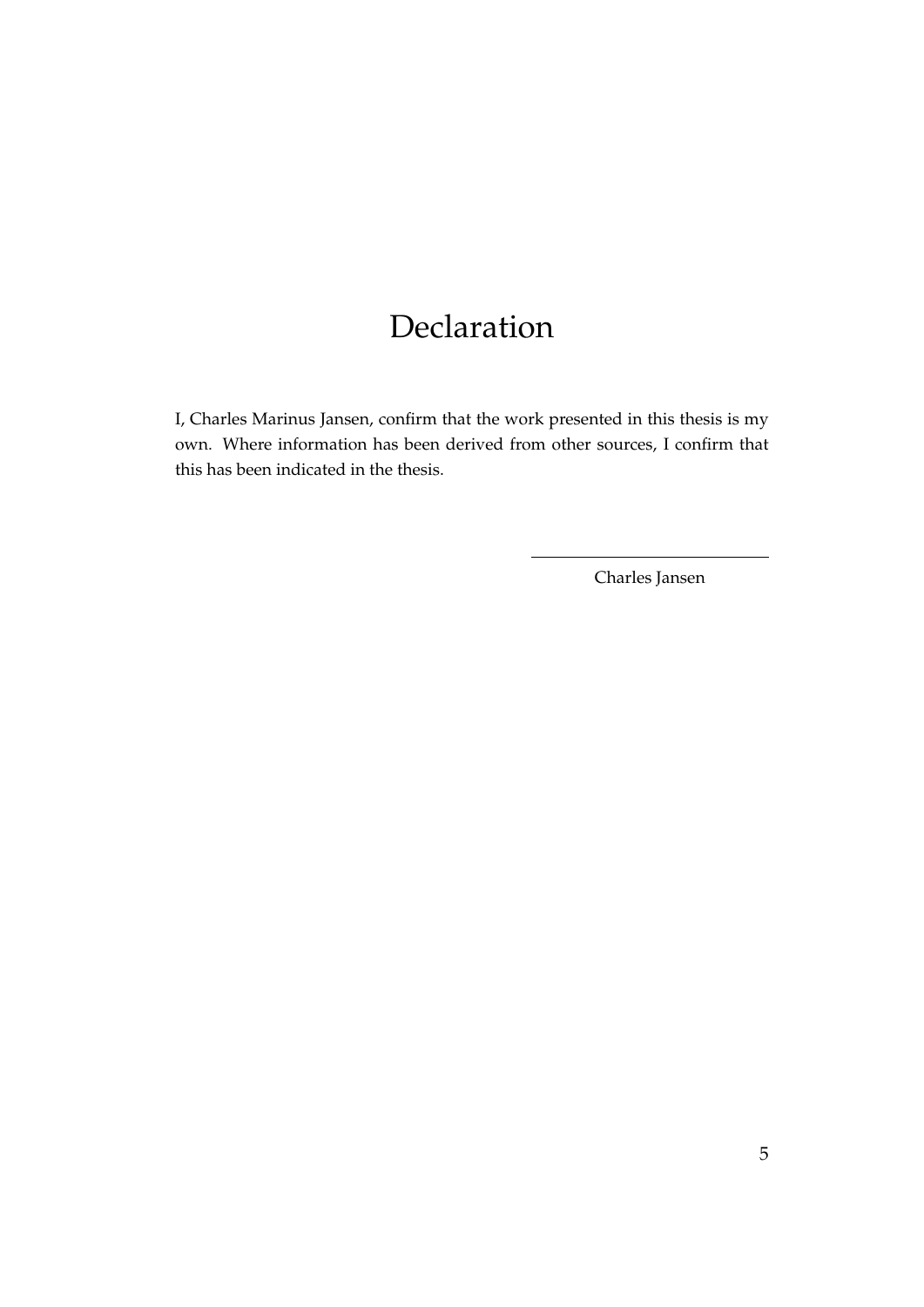# Declaration

I, Charles Marinus Jansen, confirm that the work presented in this thesis is my own. Where information has been derived from other sources, I confirm that this has been indicated in the thesis.

Charles Jansen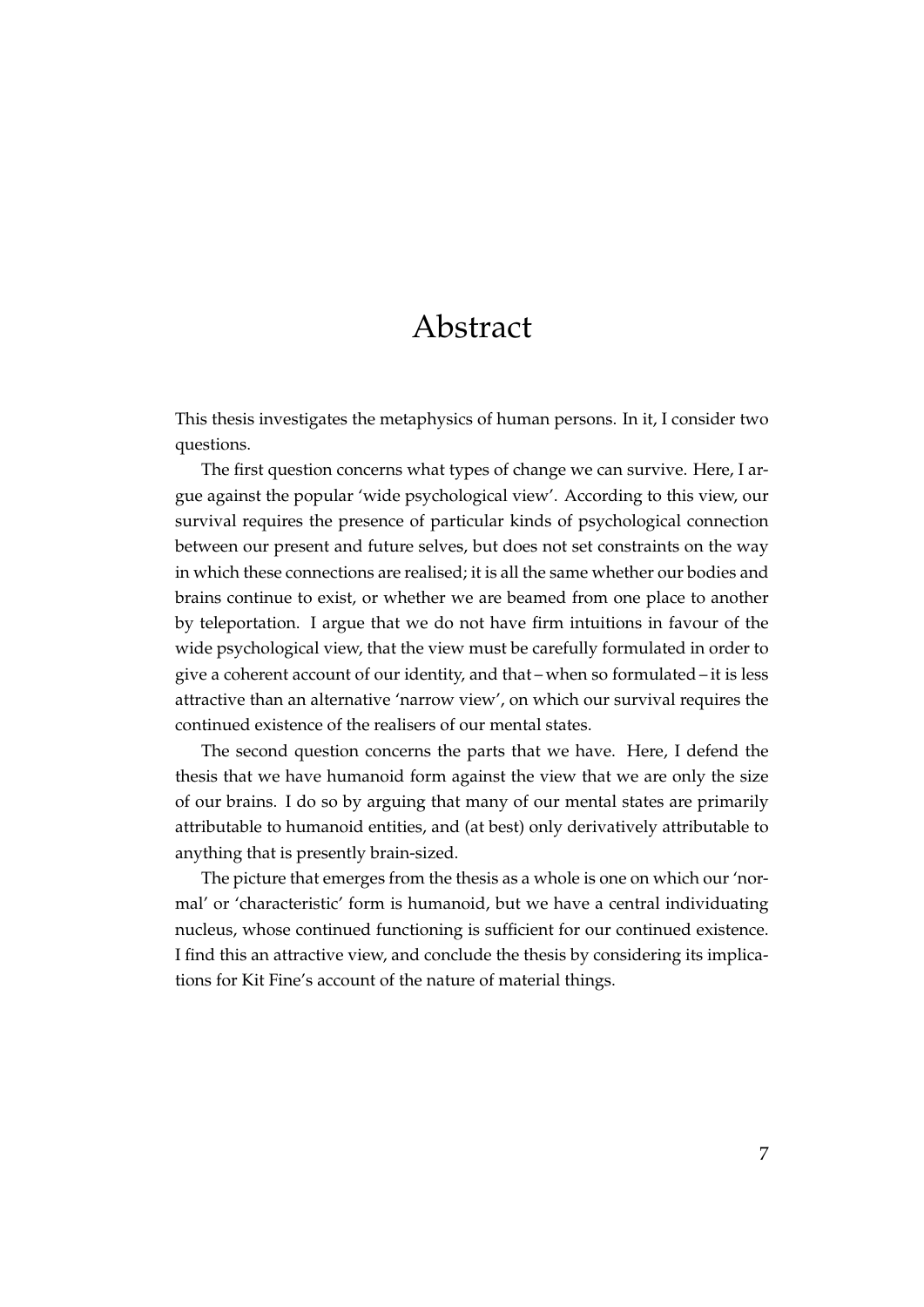# Abstract

This thesis investigates the metaphysics of human persons. In it, I consider two questions.

The first question concerns what types of change we can survive. Here, I argue against the popular 'wide psychological view'. According to this view, our survival requires the presence of particular kinds of psychological connection between our present and future selves, but does not set constraints on the way in which these connections are realised; it is all the same whether our bodies and brains continue to exist, or whether we are beamed from one place to another by teleportation. I argue that we do not have firm intuitions in favour of the wide psychological view, that the view must be carefully formulated in order to give a coherent account of our identity, and that – when so formulated – it is less attractive than an alternative 'narrow view', on which our survival requires the continued existence of the realisers of our mental states.

The second question concerns the parts that we have. Here, I defend the thesis that we have humanoid form against the view that we are only the size of our brains. I do so by arguing that many of our mental states are primarily attributable to humanoid entities, and (at best) only derivatively attributable to anything that is presently brain-sized.

The picture that emerges from the thesis as a whole is one on which our 'normal' or 'characteristic' form is humanoid, but we have a central individuating nucleus, whose continued functioning is sufficient for our continued existence. I find this an attractive view, and conclude the thesis by considering its implications for Kit Fine's account of the nature of material things.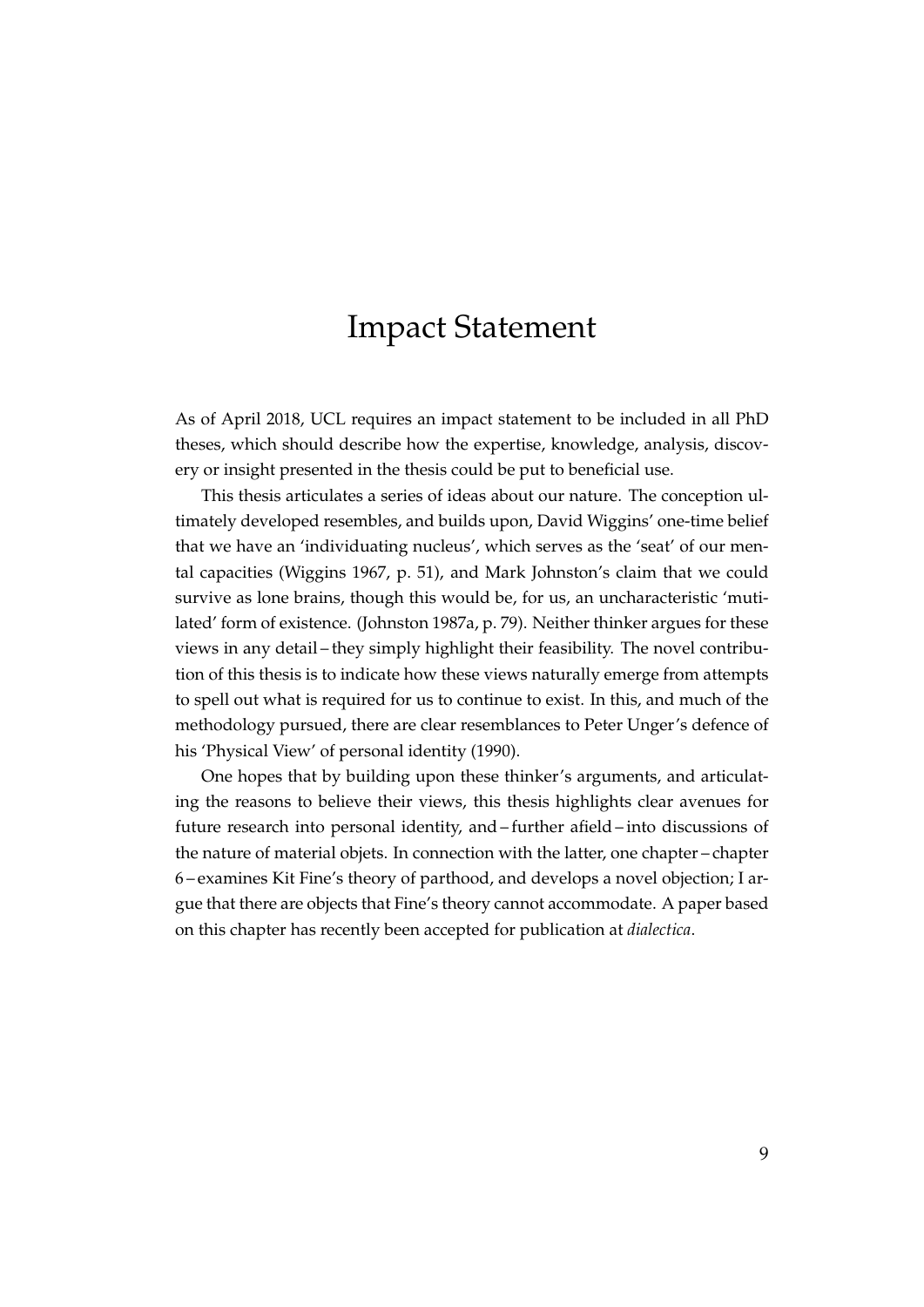# Impact Statement

As of April 2018, UCL requires an impact statement to be included in all PhD theses, which should describe how the expertise, knowledge, analysis, discovery or insight presented in the thesis could be put to beneficial use.

This thesis articulates a series of ideas about our nature. The conception ultimately developed resembles, and builds upon, David Wiggins' one-time belief that we have an 'individuating nucleus', which serves as the 'seat' of our mental capacities [\(Wiggins 1967,](#page-219-0) p. 51), and Mark Johnston's claim that we could survive as lone brains, though this would be, for us, an uncharacteristic 'mutilated' form of existence. [\(Johnston 1987a,](#page-212-0) p. 79). Neither thinker argues for these views in any detail – they simply highlight their feasibility. The novel contribution of this thesis is to indicate how these views naturally emerge from attempts to spell out what is required for us to continue to exist. In this, and much of the methodology pursued, there are clear resemblances to Peter Unger's defence of his 'Physical View' of personal identity (1990).

One hopes that by building upon these thinker's arguments, and articulating the reasons to believe their views, this thesis highlights clear avenues for future research into personal identity, and – further afield – into discussions of the nature of material objets. In connection with the latter, one chapter – chapter 6 – examines Kit Fine's theory of parthood, and develops a novel objection; I argue that there are objects that Fine's theory cannot accommodate. A paper based on this chapter has recently been accepted for publication at *dialectica*.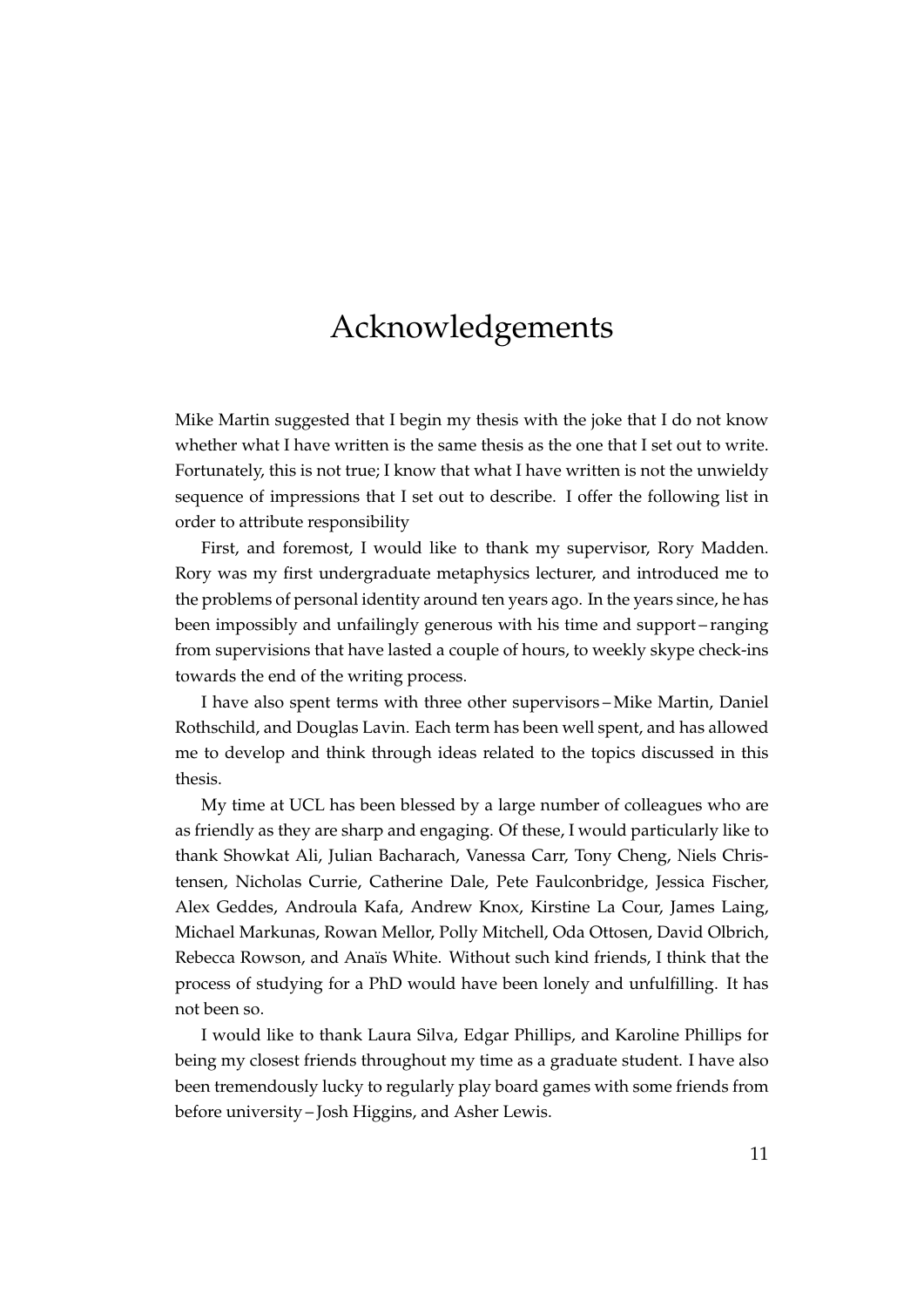# Acknowledgements

Mike Martin suggested that I begin my thesis with the joke that I do not know whether what I have written is the same thesis as the one that I set out to write. Fortunately, this is not true; I know that what I have written is not the unwieldy sequence of impressions that I set out to describe. I offer the following list in order to attribute responsibility

First, and foremost, I would like to thank my supervisor, Rory Madden. Rory was my first undergraduate metaphysics lecturer, and introduced me to the problems of personal identity around ten years ago. In the years since, he has been impossibly and unfailingly generous with his time and support – ranging from supervisions that have lasted a couple of hours, to weekly skype check-ins towards the end of the writing process.

I have also spent terms with three other supervisors – Mike Martin, Daniel Rothschild, and Douglas Lavin. Each term has been well spent, and has allowed me to develop and think through ideas related to the topics discussed in this thesis.

My time at UCL has been blessed by a large number of colleagues who are as friendly as they are sharp and engaging. Of these, I would particularly like to thank Showkat Ali, Julian Bacharach, Vanessa Carr, Tony Cheng, Niels Christensen, Nicholas Currie, Catherine Dale, Pete Faulconbridge, Jessica Fischer, Alex Geddes, Androula Kafa, Andrew Knox, Kirstine La Cour, James Laing, Michael Markunas, Rowan Mellor, Polly Mitchell, Oda Ottosen, David Olbrich, Rebecca Rowson, and Anaïs White. Without such kind friends, I think that the process of studying for a PhD would have been lonely and unfulfilling. It has not been so.

I would like to thank Laura Silva, Edgar Phillips, and Karoline Phillips for being my closest friends throughout my time as a graduate student. I have also been tremendously lucky to regularly play board games with some friends from before university – Josh Higgins, and Asher Lewis.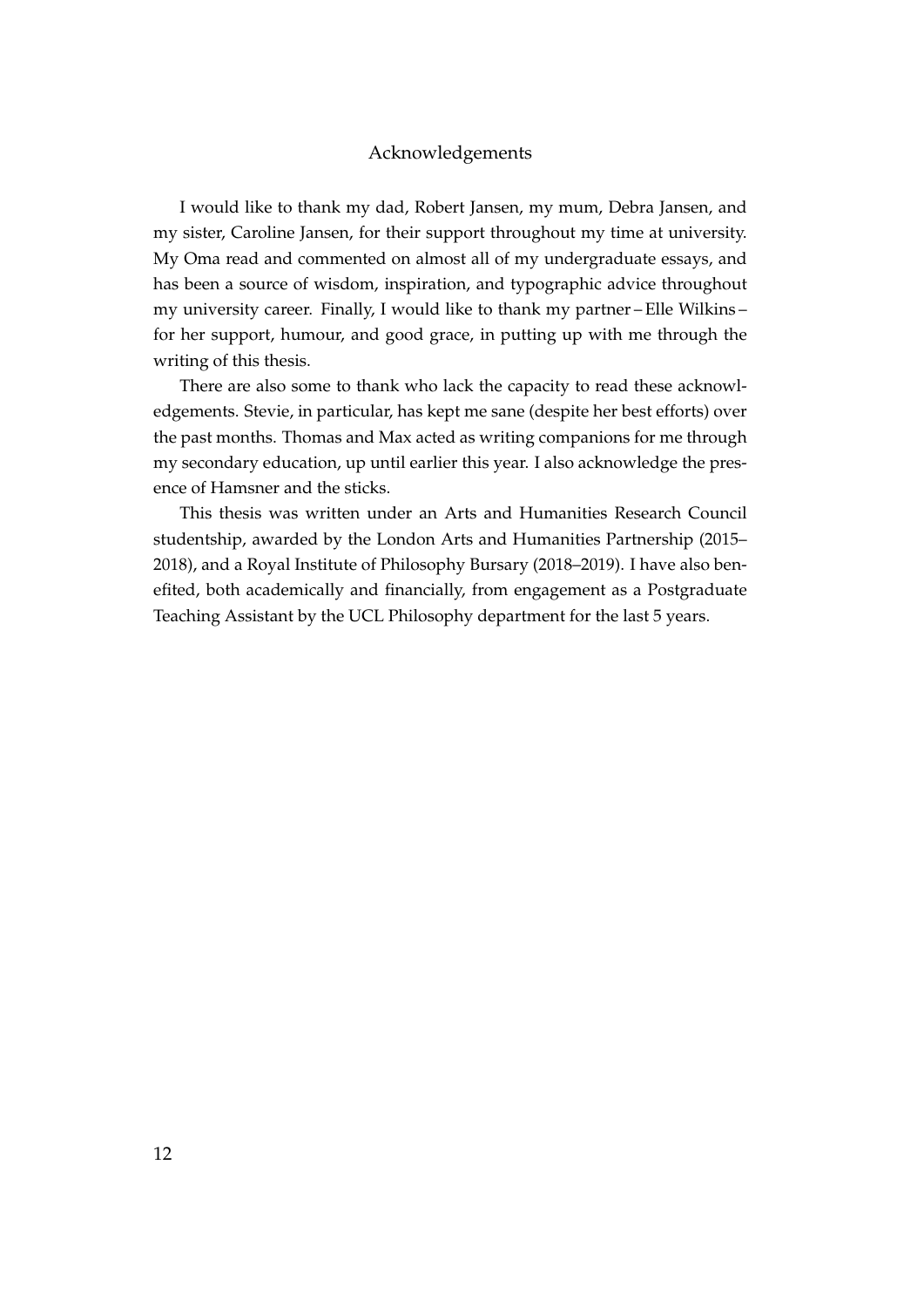## Acknowledgements

I would like to thank my dad, Robert Jansen, my mum, Debra Jansen, and my sister, Caroline Jansen, for their support throughout my time at university. My Oma read and commented on almost all of my undergraduate essays, and has been a source of wisdom, inspiration, and typographic advice throughout my university career. Finally, I would like to thank my partner – Elle Wilkins – for her support, humour, and good grace, in putting up with me through the writing of this thesis.

There are also some to thank who lack the capacity to read these acknowledgements. Stevie, in particular, has kept me sane (despite her best efforts) over the past months. Thomas and Max acted as writing companions for me through my secondary education, up until earlier this year. I also acknowledge the presence of Hamsner and the sticks.

This thesis was written under an Arts and Humanities Research Council studentship, awarded by the London Arts and Humanities Partnership (2015– 2018), and a Royal Institute of Philosophy Bursary (2018–2019). I have also benefited, both academically and financially, from engagement as a Postgraduate Teaching Assistant by the UCL Philosophy department for the last 5 years.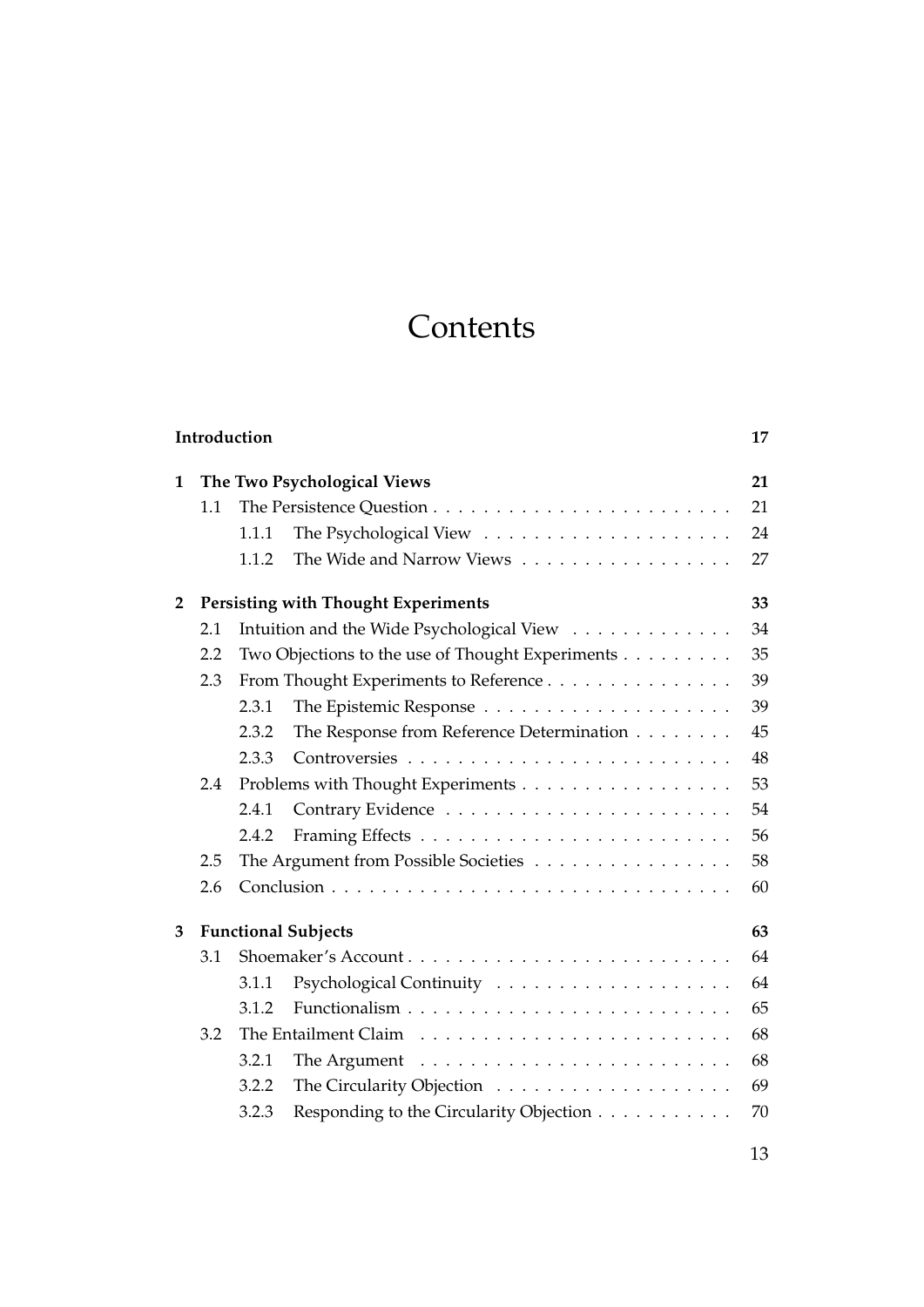# **Contents**

|                | Introduction                        |                                            |                                                  |    |  |  |
|----------------|-------------------------------------|--------------------------------------------|--------------------------------------------------|----|--|--|
| 1              | The Two Psychological Views         |                                            |                                                  |    |  |  |
|                | 1.1                                 |                                            |                                                  |    |  |  |
|                |                                     | 1.1.1                                      |                                                  | 24 |  |  |
|                |                                     | 1.1.2                                      | The Wide and Narrow Views                        | 27 |  |  |
| $\overline{2}$ | Persisting with Thought Experiments |                                            |                                                  |    |  |  |
|                | 2.1                                 |                                            | Intuition and the Wide Psychological View        | 34 |  |  |
|                | 2.2                                 |                                            | Two Objections to the use of Thought Experiments | 35 |  |  |
|                | 2.3                                 |                                            | From Thought Experiments to Reference            | 39 |  |  |
|                |                                     | 2.3.1                                      |                                                  | 39 |  |  |
|                |                                     | 2.3.2                                      | The Response from Reference Determination        | 45 |  |  |
|                |                                     | 2.3.3                                      |                                                  | 48 |  |  |
|                | 2.4                                 |                                            | Problems with Thought Experiments                | 53 |  |  |
|                |                                     | 2.4.1                                      |                                                  | 54 |  |  |
|                |                                     | 2.4.2                                      |                                                  | 56 |  |  |
|                | 2.5                                 | 58<br>The Argument from Possible Societies |                                                  |    |  |  |
|                | 2.6                                 |                                            |                                                  | 60 |  |  |
| 3              | <b>Functional Subjects</b>          |                                            |                                                  |    |  |  |
|                | 3.1                                 |                                            |                                                  | 64 |  |  |
|                |                                     | 3.1.1                                      |                                                  | 64 |  |  |
|                |                                     | 3.1.2                                      |                                                  | 65 |  |  |
|                | 3.2                                 |                                            |                                                  | 68 |  |  |
|                |                                     | 3.2.1                                      | The Argument                                     | 68 |  |  |
|                |                                     | 3.2.2                                      |                                                  | 69 |  |  |
|                |                                     | 3.2.3                                      | Responding to the Circularity Objection          | 70 |  |  |
|                |                                     |                                            |                                                  |    |  |  |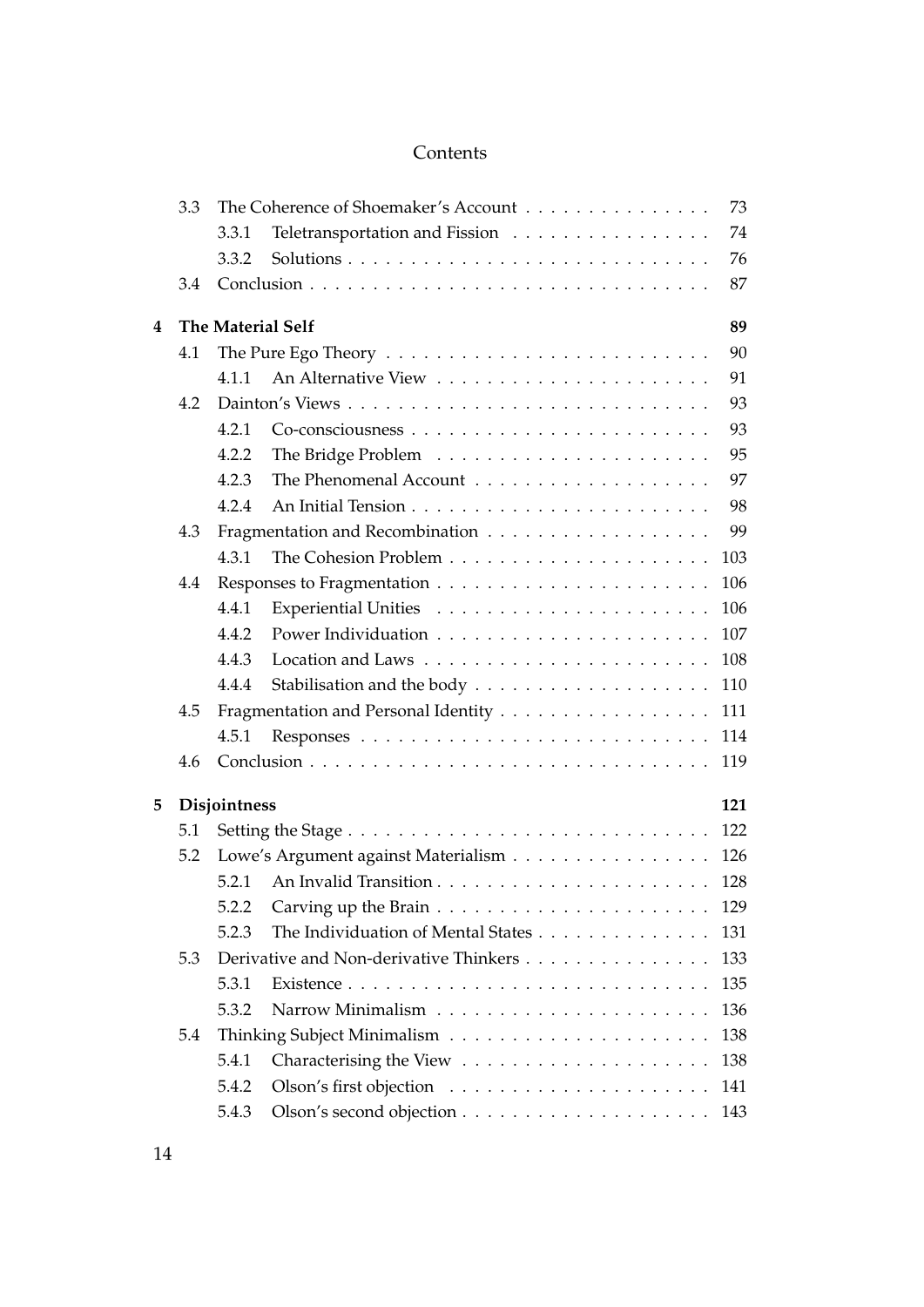# Contents

|   | 3.3 |                                | The Coherence of Shoemaker's Account                                                  | 73  |  |  |  |  |  |  |
|---|-----|--------------------------------|---------------------------------------------------------------------------------------|-----|--|--|--|--|--|--|
|   |     | 3.3.1                          | Teletransportation and Fission                                                        | 74  |  |  |  |  |  |  |
|   |     | 3.3.2                          |                                                                                       | 76  |  |  |  |  |  |  |
|   | 3.4 |                                |                                                                                       | 87  |  |  |  |  |  |  |
| 4 |     | 89<br><b>The Material Self</b> |                                                                                       |     |  |  |  |  |  |  |
|   | 4.1 |                                | The Pure Ego Theory $\dots \dots \dots \dots \dots \dots \dots \dots \dots \dots$     | 90  |  |  |  |  |  |  |
|   |     | 4.1.1                          |                                                                                       | 91  |  |  |  |  |  |  |
|   | 4.2 |                                |                                                                                       | 93  |  |  |  |  |  |  |
|   |     | 4.2.1                          | $Co\text{-consciousness} \dots \dots \dots \dots \dots \dots \dots \dots \dots \dots$ | 93  |  |  |  |  |  |  |
|   |     | 4.2.2                          |                                                                                       | 95  |  |  |  |  |  |  |
|   |     | 4.2.3                          |                                                                                       | 97  |  |  |  |  |  |  |
|   |     | 4.2.4                          |                                                                                       | 98  |  |  |  |  |  |  |
|   | 4.3 |                                |                                                                                       | 99  |  |  |  |  |  |  |
|   |     | 4.3.1                          |                                                                                       | 103 |  |  |  |  |  |  |
|   | 4.4 |                                |                                                                                       | 106 |  |  |  |  |  |  |
|   |     | 4.4.1                          |                                                                                       | 106 |  |  |  |  |  |  |
|   |     | 4.4.2                          |                                                                                       | 107 |  |  |  |  |  |  |
|   |     | 4.4.3                          |                                                                                       | 108 |  |  |  |  |  |  |
|   |     | 4.4.4                          |                                                                                       | 110 |  |  |  |  |  |  |
|   | 4.5 |                                | Fragmentation and Personal Identity                                                   | 111 |  |  |  |  |  |  |
|   |     | 4.5.1                          |                                                                                       | 114 |  |  |  |  |  |  |
|   | 4.6 |                                |                                                                                       |     |  |  |  |  |  |  |
| 5 |     | Disjointness<br>121            |                                                                                       |     |  |  |  |  |  |  |
|   | 5.1 | 122                            |                                                                                       |     |  |  |  |  |  |  |
|   | 5.2 |                                | Lowe's Argument against Materialism                                                   | 126 |  |  |  |  |  |  |
|   |     | 5.2.1                          |                                                                                       | 128 |  |  |  |  |  |  |
|   |     | 5.2.2                          | Carving up the Brain $\ldots \ldots \ldots \ldots \ldots \ldots \ldots$               | 129 |  |  |  |  |  |  |
|   |     | 5.2.3                          | The Individuation of Mental States                                                    | 131 |  |  |  |  |  |  |
|   | 5.3 |                                | Derivative and Non-derivative Thinkers                                                | 133 |  |  |  |  |  |  |
|   |     | 5.3.1                          |                                                                                       | 135 |  |  |  |  |  |  |
|   |     | 5.3.2                          |                                                                                       | 136 |  |  |  |  |  |  |
|   | 5.4 |                                |                                                                                       |     |  |  |  |  |  |  |
|   |     | 5.4.1                          |                                                                                       | 138 |  |  |  |  |  |  |
|   |     | 5.4.2                          |                                                                                       | 141 |  |  |  |  |  |  |
|   |     | 5.4.3                          |                                                                                       | 143 |  |  |  |  |  |  |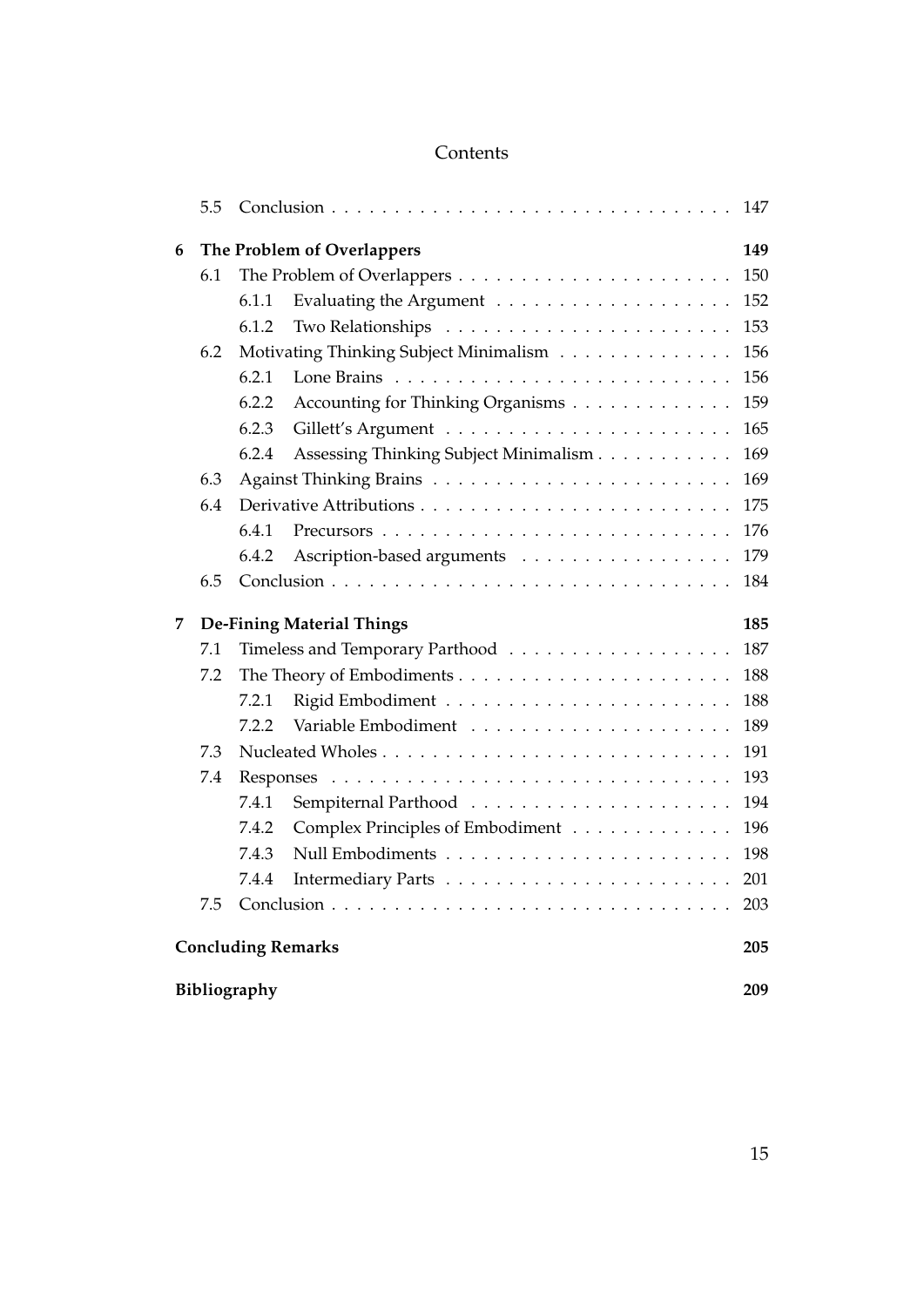# Contents

| 5.5                 |       |                                       | 147                                                                                                                                                                |  |  |  |  |  |
|---------------------|-------|---------------------------------------|--------------------------------------------------------------------------------------------------------------------------------------------------------------------|--|--|--|--|--|
|                     |       |                                       | 149                                                                                                                                                                |  |  |  |  |  |
| 6.1                 |       |                                       | 150                                                                                                                                                                |  |  |  |  |  |
|                     | 6.1.1 |                                       | 152                                                                                                                                                                |  |  |  |  |  |
|                     | 6.1.2 |                                       | 153                                                                                                                                                                |  |  |  |  |  |
| 6.2                 |       |                                       | 156                                                                                                                                                                |  |  |  |  |  |
|                     | 6.2.1 |                                       | 156                                                                                                                                                                |  |  |  |  |  |
|                     | 6.2.2 | Accounting for Thinking Organisms     | 159                                                                                                                                                                |  |  |  |  |  |
|                     | 6.2.3 |                                       | 165                                                                                                                                                                |  |  |  |  |  |
|                     | 6.2.4 | Assessing Thinking Subject Minimalism | 169                                                                                                                                                                |  |  |  |  |  |
| 6.3                 |       |                                       | 169                                                                                                                                                                |  |  |  |  |  |
| 6.4                 |       |                                       | 175                                                                                                                                                                |  |  |  |  |  |
|                     | 6.4.1 |                                       | 176                                                                                                                                                                |  |  |  |  |  |
|                     | 6.4.2 | Ascription-based arguments            | 179                                                                                                                                                                |  |  |  |  |  |
| 6.5                 |       |                                       | 184                                                                                                                                                                |  |  |  |  |  |
|                     |       |                                       | 185                                                                                                                                                                |  |  |  |  |  |
| 7.1                 |       |                                       | 187                                                                                                                                                                |  |  |  |  |  |
| 7.2                 |       |                                       | 188                                                                                                                                                                |  |  |  |  |  |
|                     | 7.2.1 |                                       | 188                                                                                                                                                                |  |  |  |  |  |
|                     | 7.2.2 |                                       | 189                                                                                                                                                                |  |  |  |  |  |
| 7.3                 |       |                                       | 191                                                                                                                                                                |  |  |  |  |  |
| 7.4                 |       |                                       | 193                                                                                                                                                                |  |  |  |  |  |
|                     | 7.4.1 |                                       | 194                                                                                                                                                                |  |  |  |  |  |
|                     | 7.4.2 |                                       | 196                                                                                                                                                                |  |  |  |  |  |
|                     | 7.4.3 |                                       | 198                                                                                                                                                                |  |  |  |  |  |
|                     | 7.4.4 |                                       | 201                                                                                                                                                                |  |  |  |  |  |
| 7.5                 |       |                                       | 203                                                                                                                                                                |  |  |  |  |  |
|                     |       |                                       | 205                                                                                                                                                                |  |  |  |  |  |
| Bibliography<br>209 |       |                                       |                                                                                                                                                                    |  |  |  |  |  |
|                     |       |                                       | The Problem of Overlappers<br>Motivating Thinking Subject Minimalism<br>De-Fining Material Things<br>Complex Principles of Embodiment<br><b>Concluding Remarks</b> |  |  |  |  |  |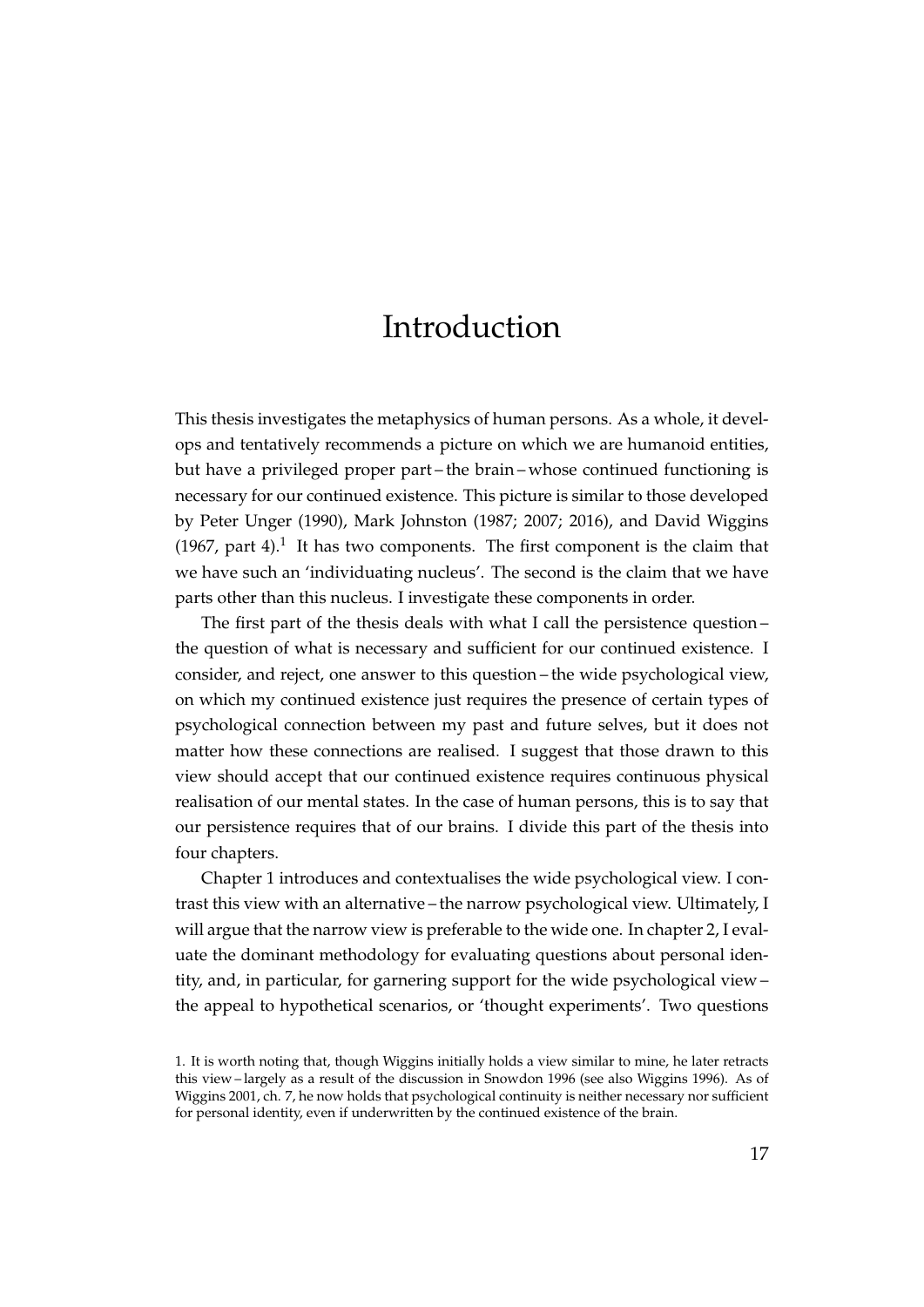<span id="page-16-0"></span>This thesis investigates the metaphysics of human persons. As a whole, it develops and tentatively recommends a picture on which we are humanoid entities, but have a privileged proper part – the brain – whose continued functioning is necessary for our continued existence. This picture is similar to those developed by Peter Unger (1990), Mark Johnston (1987; 2007; 2016), and David Wiggins  $(1967,$  $(1967,$  $(1967,$  part 4).<sup>1</sup> It has two components. The first component is the claim that we have such an 'individuating nucleus'. The second is the claim that we have parts other than this nucleus. I investigate these components in order.

The first part of the thesis deals with what I call the persistence question – the question of what is necessary and sufficient for our continued existence. I consider, and reject, one answer to this question – the wide psychological view, on which my continued existence just requires the presence of certain types of psychological connection between my past and future selves, but it does not matter how these connections are realised. I suggest that those drawn to this view should accept that our continued existence requires continuous physical realisation of our mental states. In the case of human persons, this is to say that our persistence requires that of our brains. I divide this part of the thesis into four chapters.

Chapter [1](#page-20-0) introduces and contextualises the wide psychological view. I contrast this view with an alternative – the narrow psychological view. Ultimately, I will argue that the narrow view is preferable to the wide one. In chapter [2,](#page-32-0) I evaluate the dominant methodology for evaluating questions about personal identity, and, in particular, for garnering support for the wide psychological view – the appeal to hypothetical scenarios, or 'thought experiments'. Two questions

<span id="page-16-1"></span><sup>1.</sup> It is worth noting that, though Wiggins initially holds a view similar to mine, he later retracts this view – largely as a result of the discussion in [Snowdon 1996](#page-218-0) (see also [Wiggins 1996\)](#page-219-1). As of [Wiggins 2001,](#page-219-2) ch. 7, he now holds that psychological continuity is neither necessary nor sufficient for personal identity, even if underwritten by the continued existence of the brain.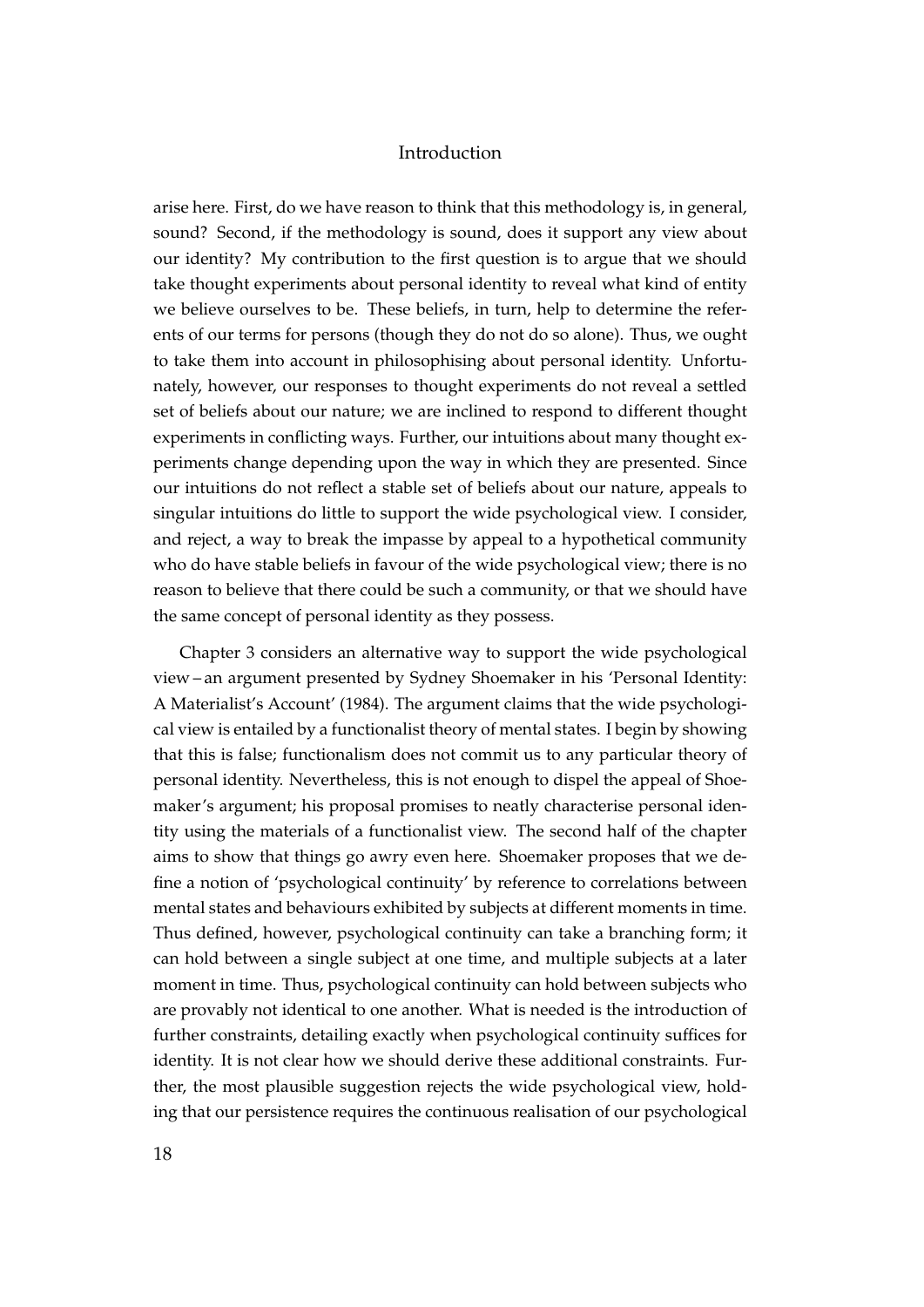arise here. First, do we have reason to think that this methodology is, in general, sound? Second, if the methodology is sound, does it support any view about our identity? My contribution to the first question is to argue that we should take thought experiments about personal identity to reveal what kind of entity we believe ourselves to be. These beliefs, in turn, help to determine the referents of our terms for persons (though they do not do so alone). Thus, we ought to take them into account in philosophising about personal identity. Unfortunately, however, our responses to thought experiments do not reveal a settled set of beliefs about our nature; we are inclined to respond to different thought experiments in conflicting ways. Further, our intuitions about many thought experiments change depending upon the way in which they are presented. Since our intuitions do not reflect a stable set of beliefs about our nature, appeals to singular intuitions do little to support the wide psychological view. I consider, and reject, a way to break the impasse by appeal to a hypothetical community who do have stable beliefs in favour of the wide psychological view; there is no reason to believe that there could be such a community, or that we should have the same concept of personal identity as they possess.

Chapter [3](#page-62-0) considers an alternative way to support the wide psychological view – an argument presented by Sydney Shoemaker in his 'Personal Identity: A Materialist's Account' (1984). The argument claims that the wide psychological view is entailed by a functionalist theory of mental states. I begin by showing that this is false; functionalism does not commit us to any particular theory of personal identity. Nevertheless, this is not enough to dispel the appeal of Shoemaker's argument; his proposal promises to neatly characterise personal identity using the materials of a functionalist view. The second half of the chapter aims to show that things go awry even here. Shoemaker proposes that we define a notion of 'psychological continuity' by reference to correlations between mental states and behaviours exhibited by subjects at different moments in time. Thus defined, however, psychological continuity can take a branching form; it can hold between a single subject at one time, and multiple subjects at a later moment in time. Thus, psychological continuity can hold between subjects who are provably not identical to one another. What is needed is the introduction of further constraints, detailing exactly when psychological continuity suffices for identity. It is not clear how we should derive these additional constraints. Further, the most plausible suggestion rejects the wide psychological view, holding that our persistence requires the continuous realisation of our psychological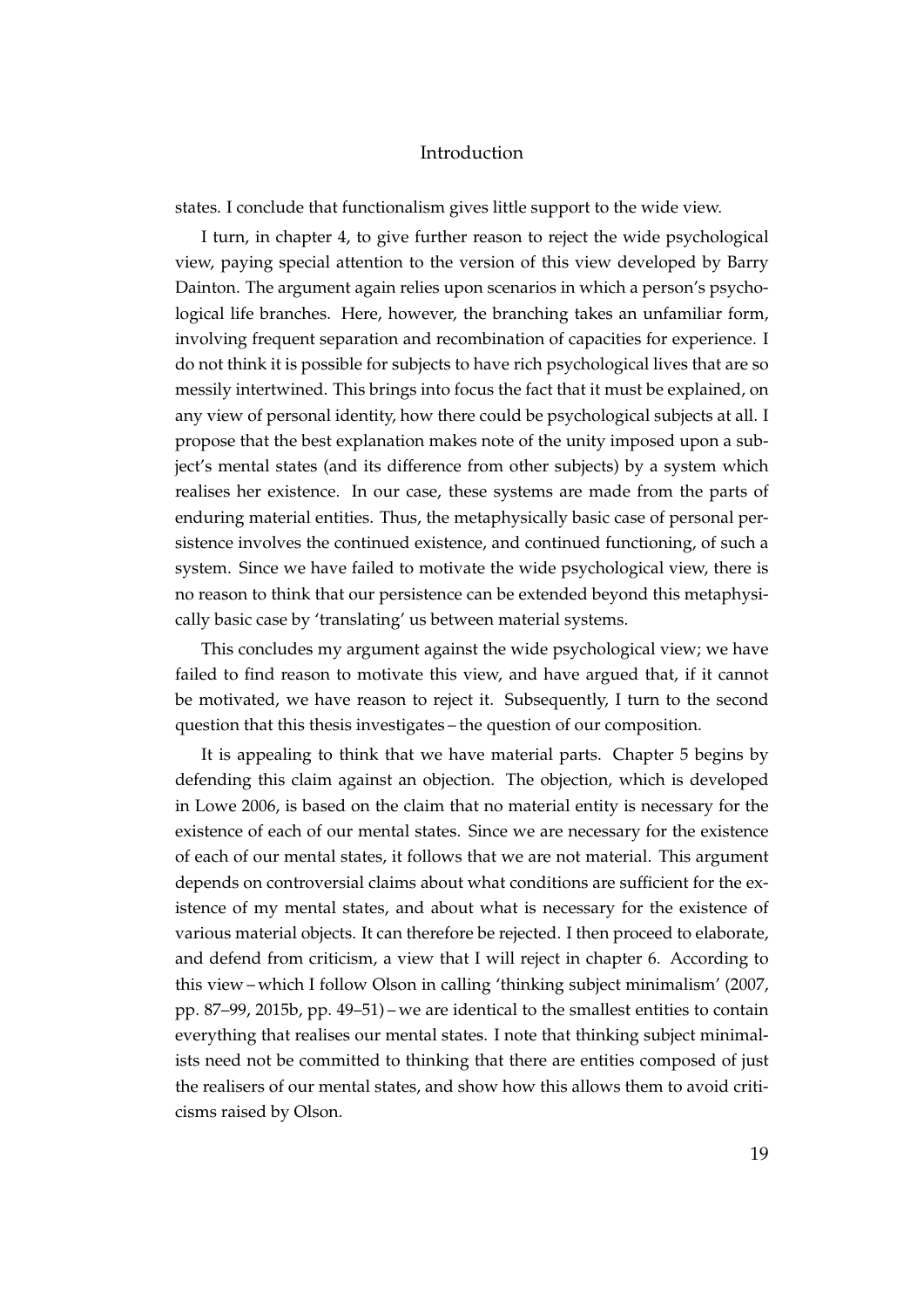states. I conclude that functionalism gives little support to the wide view.

I turn, in chapter [4,](#page-88-0) to give further reason to reject the wide psychological view, paying special attention to the version of this view developed by Barry Dainton. The argument again relies upon scenarios in which a person's psychological life branches. Here, however, the branching takes an unfamiliar form, involving frequent separation and recombination of capacities for experience. I do not think it is possible for subjects to have rich psychological lives that are so messily intertwined. This brings into focus the fact that it must be explained, on any view of personal identity, how there could be psychological subjects at all. I propose that the best explanation makes note of the unity imposed upon a subject's mental states (and its difference from other subjects) by a system which realises her existence. In our case, these systems are made from the parts of enduring material entities. Thus, the metaphysically basic case of personal persistence involves the continued existence, and continued functioning, of such a system. Since we have failed to motivate the wide psychological view, there is no reason to think that our persistence can be extended beyond this metaphysically basic case by 'translating' us between material systems.

This concludes my argument against the wide psychological view; we have failed to find reason to motivate this view, and have argued that, if it cannot be motivated, we have reason to reject it. Subsequently, I turn to the second question that this thesis investigates – the question of our composition.

It is appealing to think that we have material parts. Chapter [5](#page-120-0) begins by defending this claim against an objection. The objection, which is developed in [Lowe 2006,](#page-213-0) is based on the claim that no material entity is necessary for the existence of each of our mental states. Since we are necessary for the existence of each of our mental states, it follows that we are not material. This argument depends on controversial claims about what conditions are sufficient for the existence of my mental states, and about what is necessary for the existence of various material objects. It can therefore be rejected. I then proceed to elaborate, and defend from criticism, a view that I will reject in chapter [6.](#page-148-0) According to this view – which I follow Olson in calling 'thinking subject minimalism' [\(2007,](#page-215-0) pp. 87–99, [2015b,](#page-215-1) pp. 49–51) – we are identical to the smallest entities to contain everything that realises our mental states. I note that thinking subject minimalists need not be committed to thinking that there are entities composed of just the realisers of our mental states, and show how this allows them to avoid criticisms raised by Olson.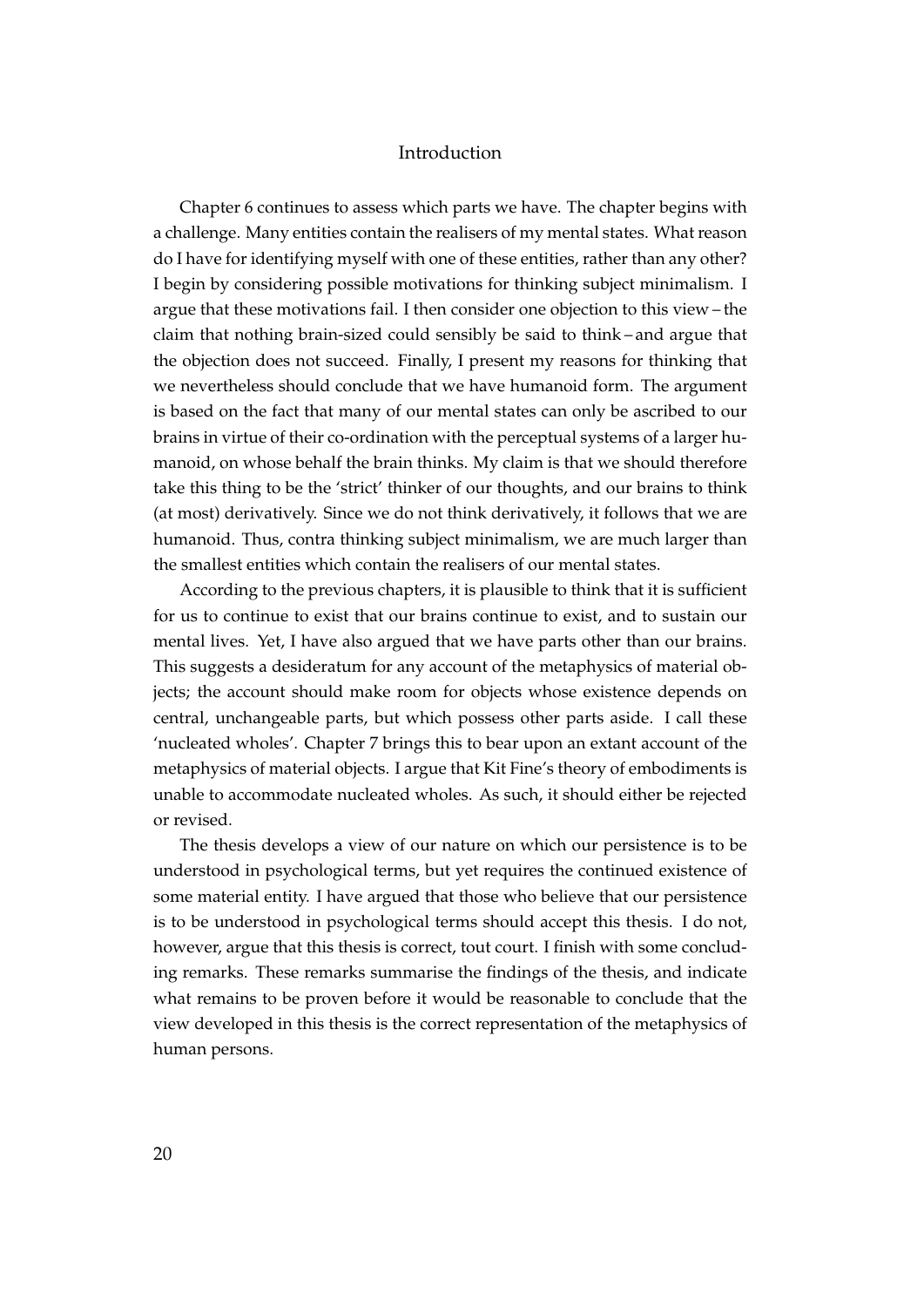Chapter [6](#page-148-0) continues to assess which parts we have. The chapter begins with a challenge. Many entities contain the realisers of my mental states. What reason do I have for identifying myself with one of these entities, rather than any other? I begin by considering possible motivations for thinking subject minimalism. I argue that these motivations fail. I then consider one objection to this view – the claim that nothing brain-sized could sensibly be said to think – and argue that the objection does not succeed. Finally, I present my reasons for thinking that we nevertheless should conclude that we have humanoid form. The argument is based on the fact that many of our mental states can only be ascribed to our brains in virtue of their co-ordination with the perceptual systems of a larger humanoid, on whose behalf the brain thinks. My claim is that we should therefore take this thing to be the 'strict' thinker of our thoughts, and our brains to think (at most) derivatively. Since we do not think derivatively, it follows that we are humanoid. Thus, contra thinking subject minimalism, we are much larger than the smallest entities which contain the realisers of our mental states.

According to the previous chapters, it is plausible to think that it is sufficient for us to continue to exist that our brains continue to exist, and to sustain our mental lives. Yet, I have also argued that we have parts other than our brains. This suggests a desideratum for any account of the metaphysics of material objects; the account should make room for objects whose existence depends on central, unchangeable parts, but which possess other parts aside. I call these 'nucleated wholes'. Chapter [7](#page-184-0) brings this to bear upon an extant account of the metaphysics of material objects. I argue that Kit Fine's theory of embodiments is unable to accommodate nucleated wholes. As such, it should either be rejected or revised.

The thesis develops a view of our nature on which our persistence is to be understood in psychological terms, but yet requires the continued existence of some material entity. I have argued that those who believe that our persistence is to be understood in psychological terms should accept this thesis. I do not, however, argue that this thesis is correct, tout court. I finish with some concluding remarks. These remarks summarise the findings of the thesis, and indicate what remains to be proven before it would be reasonable to conclude that the view developed in this thesis is the correct representation of the metaphysics of human persons.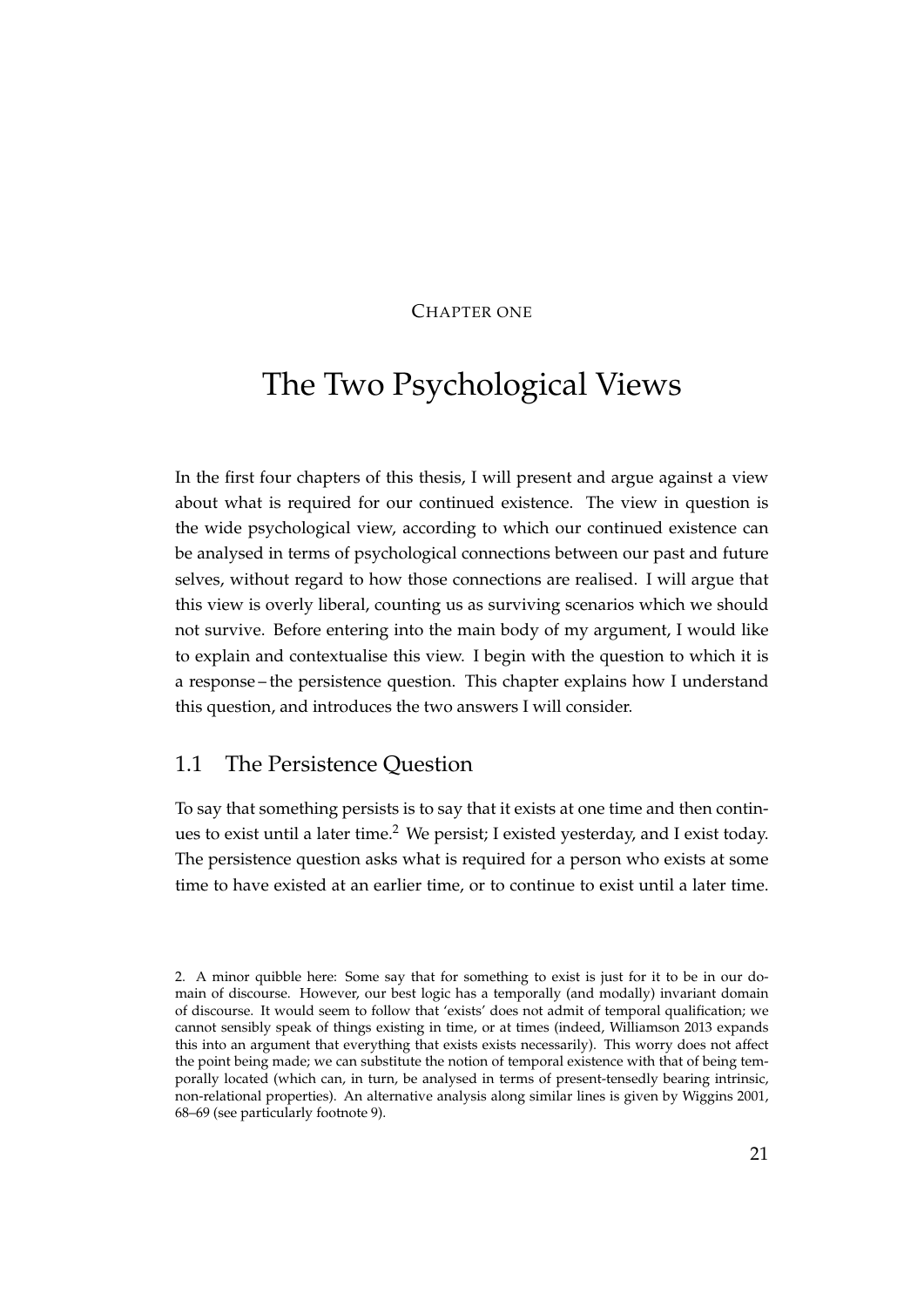#### CHAPTER ONE

# <span id="page-20-0"></span>The Two Psychological Views

In the first four chapters of this thesis, I will present and argue against a view about what is required for our continued existence. The view in question is the wide psychological view, according to which our continued existence can be analysed in terms of psychological connections between our past and future selves, without regard to how those connections are realised. I will argue that this view is overly liberal, counting us as surviving scenarios which we should not survive. Before entering into the main body of my argument, I would like to explain and contextualise this view. I begin with the question to which it is a response – the persistence question. This chapter explains how I understand this question, and introduces the two answers I will consider.

# <span id="page-20-1"></span>1.1 The Persistence Question

To say that something persists is to say that it exists at one time and then contin-ues to exist until a later time.<sup>[2](#page-20-2)</sup> We persist; I existed yesterday, and I exist today. The persistence question asks what is required for a person who exists at some time to have existed at an earlier time, or to continue to exist until a later time.

<span id="page-20-2"></span><sup>2.</sup> A minor quibble here: Some say that for something to exist is just for it to be in our domain of discourse. However, our best logic has a temporally (and modally) invariant domain of discourse. It would seem to follow that 'exists' does not admit of temporal qualification; we cannot sensibly speak of things existing in time, or at times (indeed, [Williamson 2013](#page-220-0) expands this into an argument that everything that exists exists necessarily). This worry does not affect the point being made; we can substitute the notion of temporal existence with that of being temporally located (which can, in turn, be analysed in terms of present-tensedly bearing intrinsic, non-relational properties). An alternative analysis along similar lines is given by [Wiggins 2001,](#page-219-2) 68–69 (see particularly footnote 9).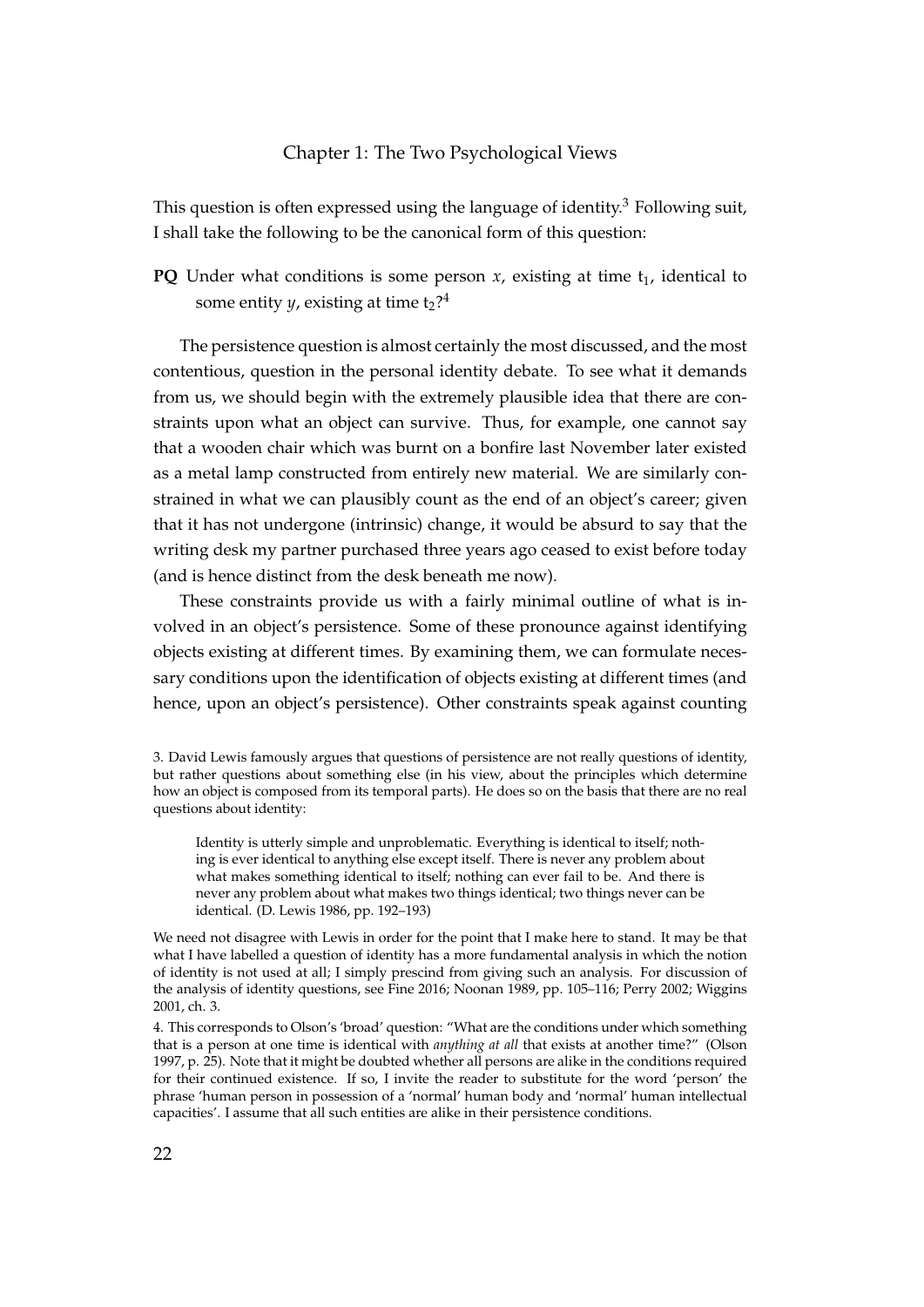This question is often expressed using the language of identity.<sup>[3](#page-21-0)</sup> Following suit, I shall take the following to be the canonical form of this question:

<span id="page-21-2"></span>**PQ** Under what conditions is some person  $x$ , existing at time  $t_1$ , identical to some entity  $y$ , existing at time t $_2$ ?<sup>[4](#page-21-1)</sup>

The persistence question is almost certainly the most discussed, and the most contentious, question in the personal identity debate. To see what it demands from us, we should begin with the extremely plausible idea that there are constraints upon what an object can survive. Thus, for example, one cannot say that a wooden chair which was burnt on a bonfire last November later existed as a metal lamp constructed from entirely new material. We are similarly constrained in what we can plausibly count as the end of an object's career; given that it has not undergone (intrinsic) change, it would be absurd to say that the writing desk my partner purchased three years ago ceased to exist before today (and is hence distinct from the desk beneath me now).

These constraints provide us with a fairly minimal outline of what is involved in an object's persistence. Some of these pronounce against identifying objects existing at different times. By examining them, we can formulate necessary conditions upon the identification of objects existing at different times (and hence, upon an object's persistence). Other constraints speak against counting

Identity is utterly simple and unproblematic. Everything is identical to itself; nothing is ever identical to anything else except itself. There is never any problem about what makes something identical to itself; nothing can ever fail to be. And there is never any problem about what makes two things identical; two things never can be identical. [\(D. Lewis 1986,](#page-213-1) pp. 192–193)

We need not disagree with Lewis in order for the point that I make here to stand. It may be that what I have labelled a question of identity has a more fundamental analysis in which the notion of identity is not used at all; I simply prescind from giving such an analysis. For discussion of the analysis of identity questions, see [Fine 2016;](#page-211-0) [Noonan 1989,](#page-214-0) pp. 105–116; [Perry 2002;](#page-215-2) [Wiggins](#page-219-2) [2001,](#page-219-2) ch. 3.

<span id="page-21-1"></span>4. This corresponds to Olson's 'broad' question: "What are the conditions under which something that is a person at one time is identical with *anything at all* that exists at another time?" [\(Olson](#page-215-3) [1997,](#page-215-3) p. 25). Note that it might be doubted whether all persons are alike in the conditions required for their continued existence. If so, I invite the reader to substitute for the word 'person' the phrase 'human person in possession of a 'normal' human body and 'normal' human intellectual capacities'. I assume that all such entities are alike in their persistence conditions.

<span id="page-21-0"></span><sup>3.</sup> David Lewis famously argues that questions of persistence are not really questions of identity, but rather questions about something else (in his view, about the principles which determine how an object is composed from its temporal parts). He does so on the basis that there are no real questions about identity: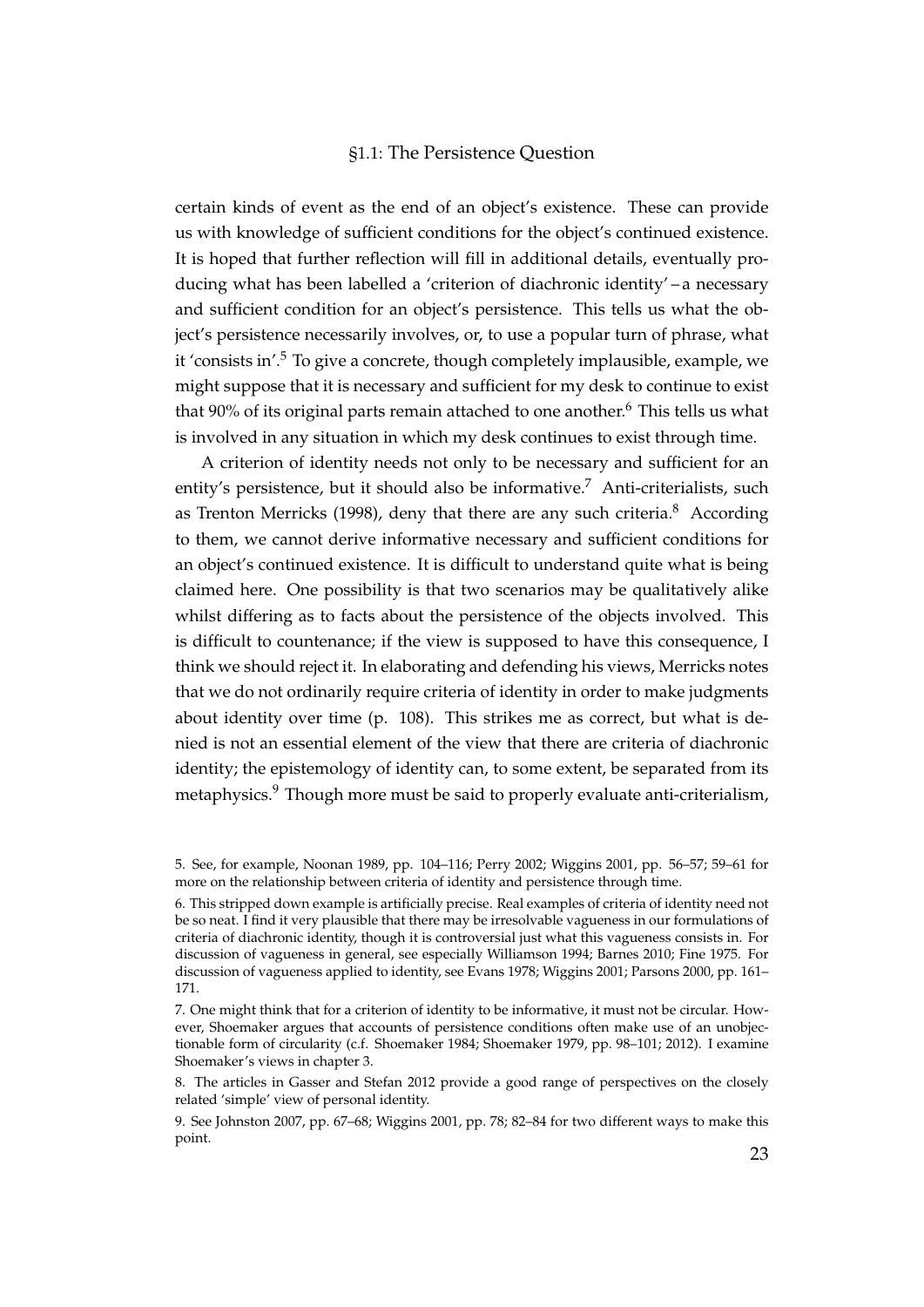#### §1.1: The Persistence Question

certain kinds of event as the end of an object's existence. These can provide us with knowledge of sufficient conditions for the object's continued existence. It is hoped that further reflection will fill in additional details, eventually producing what has been labelled a 'criterion of diachronic identity' – a necessary and sufficient condition for an object's persistence. This tells us what the object's persistence necessarily involves, or, to use a popular turn of phrase, what it 'consists in'.[5](#page-22-0) To give a concrete, though completely implausible, example, we might suppose that it is necessary and sufficient for my desk to continue to exist that 90% of its original parts remain attached to one another.<sup>[6](#page-22-1)</sup> This tells us what is involved in any situation in which my desk continues to exist through time.

A criterion of identity needs not only to be necessary and sufficient for an entity's persistence, but it should also be informative.<sup>[7](#page-22-2)</sup> Anti-criterialists, such as Trenton Merricks (199[8](#page-22-3)), deny that there are any such criteria. $8$  According to them, we cannot derive informative necessary and sufficient conditions for an object's continued existence. It is difficult to understand quite what is being claimed here. One possibility is that two scenarios may be qualitatively alike whilst differing as to facts about the persistence of the objects involved. This is difficult to countenance; if the view is supposed to have this consequence, I think we should reject it. In elaborating and defending his views, Merricks notes that we do not ordinarily require criteria of identity in order to make judgments about identity over time (p. 108). This strikes me as correct, but what is denied is not an essential element of the view that there are criteria of diachronic identity; the epistemology of identity can, to some extent, be separated from its metaphysics.<sup>[9](#page-22-4)</sup> Though more must be said to properly evaluate anti-criterialism,

<span id="page-22-0"></span><sup>5.</sup> See, for example, [Noonan 1989,](#page-214-0) pp. 104–116; [Perry 2002;](#page-215-2) [Wiggins 2001,](#page-219-2) pp. 56–57; 59–61 for more on the relationship between criteria of identity and persistence through time.

<span id="page-22-1"></span><sup>6.</sup> This stripped down example is artificially precise. Real examples of criteria of identity need not be so neat. I find it very plausible that there may be irresolvable vagueness in our formulations of criteria of diachronic identity, though it is controversial just what this vagueness consists in. For discussion of vagueness in general, see especially [Williamson 1994;](#page-220-1) [Barnes 2010;](#page-208-1) [Fine 1975.](#page-211-1) For discussion of vagueness applied to identity, see [Evans 1978;](#page-211-2) [Wiggins 2001;](#page-219-2) [Parsons 2000,](#page-215-4) pp. 161– 171.

<span id="page-22-2"></span><sup>7.</sup> One might think that for a criterion of identity to be informative, it must not be circular. However, Shoemaker argues that accounts of persistence conditions often make use of an unobjectionable form of circularity (c.f. [Shoemaker 1984;](#page-217-0) [Shoemaker 1979,](#page-217-1) pp. 98–101; [2012\)](#page-217-2). I examine Shoemaker's views in chapter 3.

<span id="page-22-3"></span><sup>8.</sup> The articles in [Gasser and Stefan 2012](#page-211-3) provide a good range of perspectives on the closely related 'simple' view of personal identity.

<span id="page-22-4"></span><sup>9.</sup> See [Johnston 2007,](#page-212-1) pp. 67–68; [Wiggins 2001,](#page-219-2) pp. 78; 82–84 for two different ways to make this point.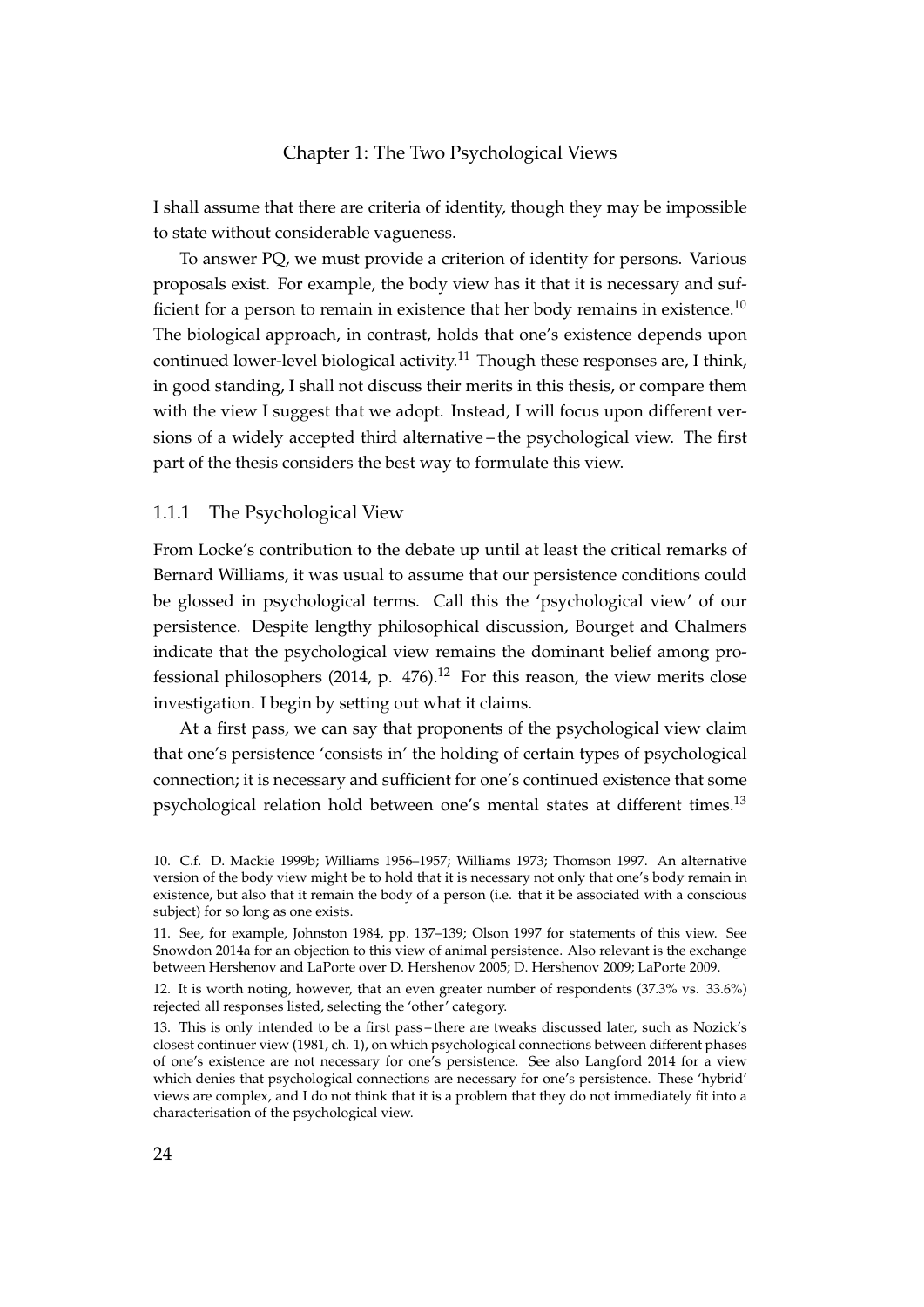I shall assume that there are criteria of identity, though they may be impossible to state without considerable vagueness.

To answer [PQ,](#page-21-2) we must provide a criterion of identity for persons. Various proposals exist. For example, the body view has it that it is necessary and suf-ficient for a person to remain in existence that her body remains in existence.<sup>[10](#page-23-1)</sup> The biological approach, in contrast, holds that one's existence depends upon continued lower-level biological activity.<sup>[11](#page-23-2)</sup> Though these responses are, I think, in good standing, I shall not discuss their merits in this thesis, or compare them with the view I suggest that we adopt. Instead, I will focus upon different versions of a widely accepted third alternative – the psychological view. The first part of the thesis considers the best way to formulate this view.

#### <span id="page-23-0"></span>1.1.1 The Psychological View

From Locke's contribution to the debate up until at least the critical remarks of Bernard Williams, it was usual to assume that our persistence conditions could be glossed in psychological terms. Call this the 'psychological view' of our persistence. Despite lengthy philosophical discussion, Bourget and Chalmers indicate that the psychological view remains the dominant belief among pro-fessional philosophers [\(2014,](#page-209-0) p.  $476$ ).<sup>[12](#page-23-3)</sup> For this reason, the view merits close investigation. I begin by setting out what it claims.

At a first pass, we can say that proponents of the psychological view claim that one's persistence 'consists in' the holding of certain types of psychological connection; it is necessary and sufficient for one's continued existence that some psychological relation hold between one's mental states at different times.<sup>[13](#page-23-4)</sup>

<span id="page-23-1"></span><sup>10.</sup> C.f. [D. Mackie 1999b;](#page-213-2) [Williams 1956–1957;](#page-219-3) [Williams 1973;](#page-220-2) [Thomson 1997.](#page-218-1) An alternative version of the body view might be to hold that it is necessary not only that one's body remain in existence, but also that it remain the body of a person (i.e. that it be associated with a conscious subject) for so long as one exists.

<span id="page-23-2"></span><sup>11.</sup> See, for example, [Johnston 1984,](#page-212-2) pp. 137–139; [Olson 1997](#page-215-3) for statements of this view. See [Snowdon 2014a](#page-218-2) for an objection to this view of animal persistence. Also relevant is the exchange between Hershenov and LaPorte over [D. Hershenov 2005;](#page-211-4) [D. Hershenov 2009;](#page-212-3) [LaPorte 2009.](#page-213-3)

<span id="page-23-3"></span><sup>12.</sup> It is worth noting, however, that an even greater number of respondents (37.3% vs. 33.6%) rejected all responses listed, selecting the 'other' category.

<span id="page-23-4"></span><sup>13.</sup> This is only intended to be a first pass – there are tweaks discussed later, such as Nozick's closest continuer view (1981, ch. 1), on which psychological connections between different phases of one's existence are not necessary for one's persistence. See also [Langford 2014](#page-213-4) for a view which denies that psychological connections are necessary for one's persistence. These 'hybrid' views are complex, and I do not think that it is a problem that they do not immediately fit into a characterisation of the psychological view.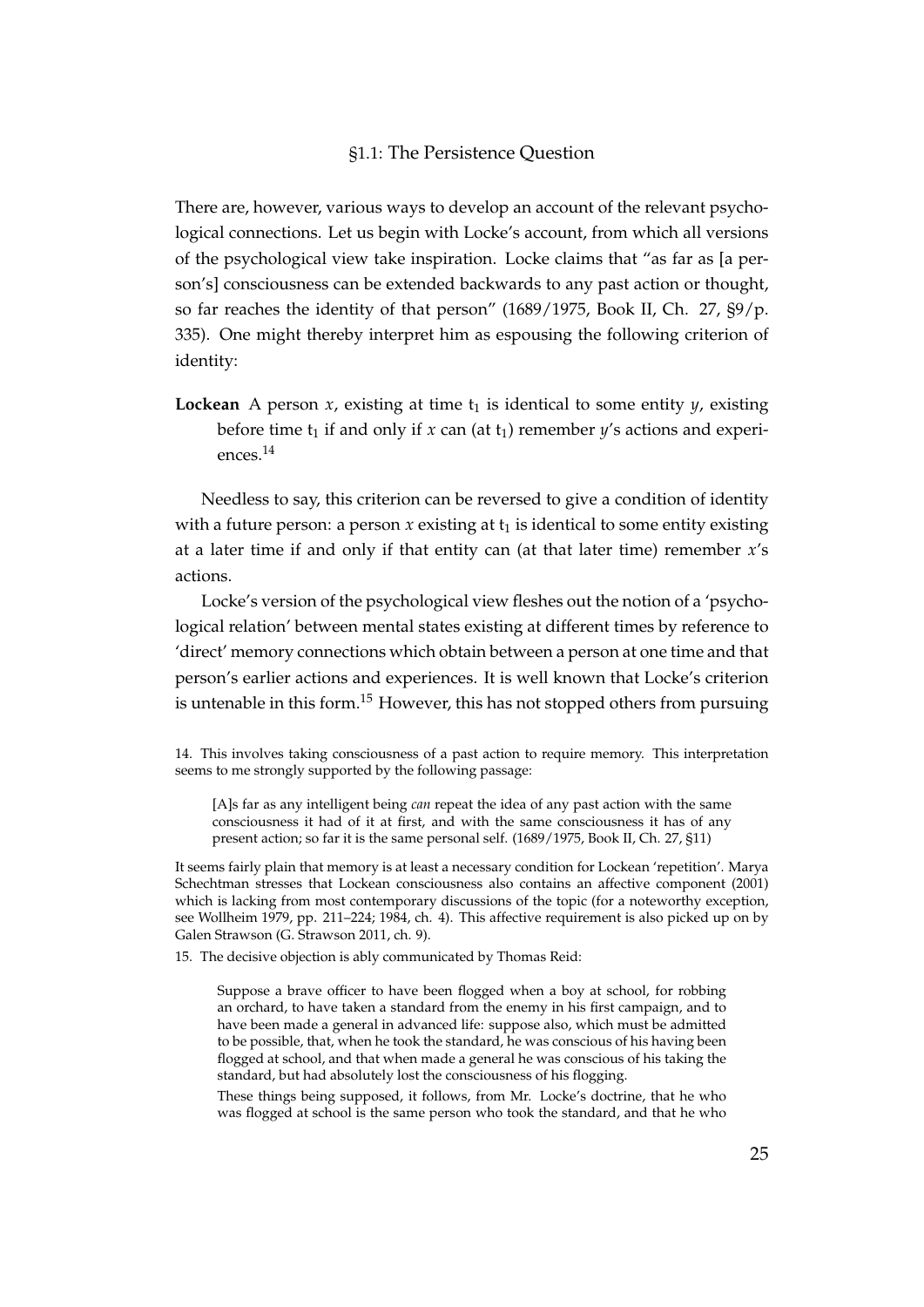#### §1.1: The Persistence Question

There are, however, various ways to develop an account of the relevant psychological connections. Let us begin with Locke's account, from which all versions of the psychological view take inspiration. Locke claims that "as far as [a person's] consciousness can be extended backwards to any past action or thought, so far reaches the identity of that person" (1689/1975, Book II, Ch. 27, §9/p. 335). One might thereby interpret him as espousing the following criterion of identity:

**Lockean** A person *x*, existing at time  $t_1$  is identical to some entity  $\gamma$ , existing before time  $t_1$  if and only if *x* can (at  $t_1$ ) remember *y*'s actions and experiences.[14](#page-24-0)

Needless to say, this criterion can be reversed to give a condition of identity with a future person: a person  $x$  existing at  $t_1$  is identical to some entity existing at a later time if and only if that entity can (at that later time) remember *x*'s actions.

Locke's version of the psychological view fleshes out the notion of a 'psychological relation' between mental states existing at different times by reference to 'direct' memory connections which obtain between a person at one time and that person's earlier actions and experiences. It is well known that Locke's criterion is untenable in this form.<sup>[15](#page-24-1)</sup> However, this has not stopped others from pursuing

<span id="page-24-0"></span>14. This involves taking consciousness of a past action to require memory. This interpretation seems to me strongly supported by the following passage:

[A]s far as any intelligent being *can* repeat the idea of any past action with the same consciousness it had of it at first, and with the same consciousness it has of any present action; so far it is the same personal self. (1689/1975, Book II, Ch. 27, §11)

It seems fairly plain that memory is at least a necessary condition for Lockean 'repetition'. Marya Schechtman stresses that Lockean consciousness also contains an affective component (2001) which is lacking from most contemporary discussions of the topic (for a noteworthy exception, see [Wollheim 1979,](#page-220-3) pp. 211–224; [1984,](#page-220-4) ch. 4). This affective requirement is also picked up on by Galen Strawson [\(G. Strawson 2011,](#page-218-3) ch. 9).

<span id="page-24-1"></span>15. The decisive objection is ably communicated by Thomas Reid:

Suppose a brave officer to have been flogged when a boy at school, for robbing an orchard, to have taken a standard from the enemy in his first campaign, and to have been made a general in advanced life: suppose also, which must be admitted to be possible, that, when he took the standard, he was conscious of his having been flogged at school, and that when made a general he was conscious of his taking the standard, but had absolutely lost the consciousness of his flogging.

These things being supposed, it follows, from Mr. Locke's doctrine, that he who was flogged at school is the same person who took the standard, and that he who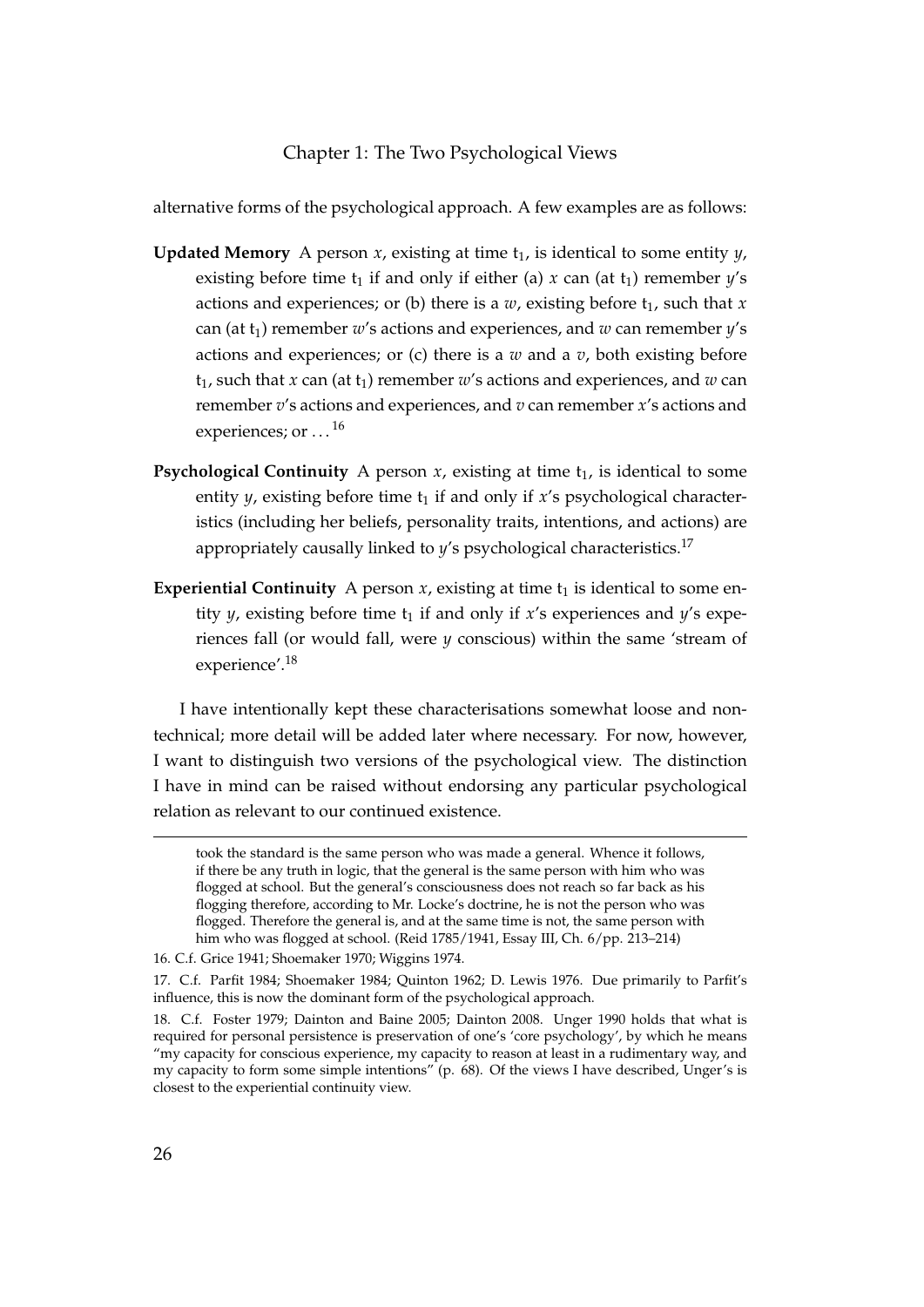alternative forms of the psychological approach. A few examples are as follows:

- **Updated Memory** A person  $x$ , existing at time  $t_1$ , is identical to some entity  $y$ , existing before time  $t_1$  if and only if either (a) *x* can (at  $t_1$ ) remember  $y$ 's actions and experiences; or (b) there is a  $w$ , existing before  $t_1$ , such that  $x$ can (at  $t_1$ ) remember *w*'s actions and experiences, and *w* can remember *y*'s actions and experiences; or (c) there is a *w* and a *v*, both existing before  $t_1$ , such that *x* can (at  $t_1$ ) remember *w*'s actions and experiences, and *w* can remember *v*'s actions and experiences, and *v* can remember *x*'s actions and experiences; or  $\dots$ <sup>[16](#page-25-1)</sup>
- **Psychological Continuity** A person  $x$ , existing at time  $t_1$ , is identical to some entity *y*, existing before time  $t_1$  if and only if *x*'s psychological characteristics (including her beliefs, personality traits, intentions, and actions) are appropriately causally linked to *y*'s psychological characteristics.[17](#page-25-2)
- **Experiential Continuity** A person  $x$ , existing at time  $t_1$  is identical to some entity  $\psi$ , existing before time  $t_1$  if and only if  $x$ 's experiences and  $\psi$ 's experiences fall (or would fall, were *y* conscious) within the same 'stream of experience'.[18](#page-25-3)

I have intentionally kept these characterisations somewhat loose and nontechnical; more detail will be added later where necessary. For now, however, I want to distinguish two versions of the psychological view. The distinction I have in mind can be raised without endorsing any particular psychological relation as relevant to our continued existence.

<span id="page-25-0"></span>took the standard is the same person who was made a general. Whence it follows, if there be any truth in logic, that the general is the same person with him who was flogged at school. But the general's consciousness does not reach so far back as his flogging therefore, according to Mr. Locke's doctrine, he is not the person who was flogged. Therefore the general is, and at the same time is not, the same person with him who was flogged at school. [\(Reid 1785/1941,](#page-216-0) Essay III, Ch. 6/pp. 213-214)

<span id="page-25-1"></span><sup>16.</sup> C.f. [Grice 1941;](#page-211-5) [Shoemaker 1970;](#page-217-3) [Wiggins 1974.](#page-219-4)

<span id="page-25-2"></span><sup>17.</sup> C.f. [Parfit 1984;](#page-215-5) [Shoemaker 1984;](#page-217-0) [Quinton 1962;](#page-216-1) [D. Lewis 1976.](#page-213-5) Due primarily to Parfit's influence, this is now the dominant form of the psychological approach.

<span id="page-25-3"></span><sup>18.</sup> C.f. [Foster 1979;](#page-211-6) [Dainton and Baine 2005;](#page-210-0) [Dainton 2008.](#page-210-1) [Unger 1990](#page-219-5) holds that what is required for personal persistence is preservation of one's 'core psychology', by which he means "my capacity for conscious experience, my capacity to reason at least in a rudimentary way, and my capacity to form some simple intentions" (p. 68). Of the views I have described, Unger's is closest to the experiential continuity view.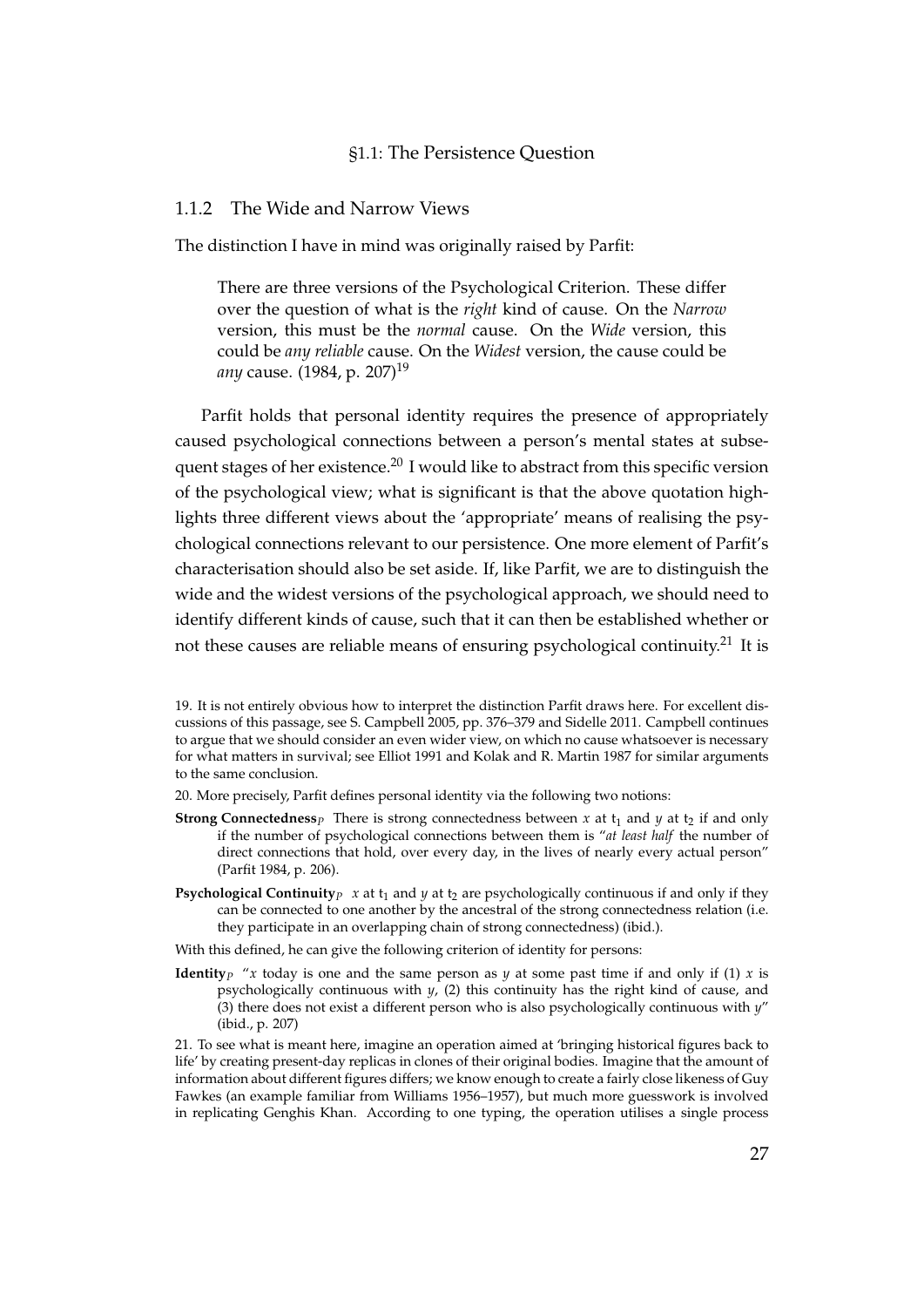### §1.1: The Persistence Question

#### 1.1.2 The Wide and Narrow Views

The distinction I have in mind was originally raised by Parfit:

There are three versions of the Psychological Criterion. These differ over the question of what is the *right* kind of cause. On the *Narrow* version, this must be the *normal* cause. On the *Wide* version, this could be *any reliable* cause. On the *Widest* version, the cause could be *any* cause. ([19](#page-26-0)84, p. 207)<sup>19</sup>

Parfit holds that personal identity requires the presence of appropriately caused psychological connections between a person's mental states at subse-quent stages of her existence.<sup>[20](#page-26-1)</sup> I would like to abstract from this specific version of the psychological view; what is significant is that the above quotation highlights three different views about the 'appropriate' means of realising the psychological connections relevant to our persistence. One more element of Parfit's characterisation should also be set aside. If, like Parfit, we are to distinguish the wide and the widest versions of the psychological approach, we should need to identify different kinds of cause, such that it can then be established whether or not these causes are reliable means of ensuring psychological continuity.<sup>[21](#page-26-2)</sup> It is

<span id="page-26-1"></span>20. More precisely, Parfit defines personal identity via the following two notions:

- **Strong Connectedness***p* There is strong connectedness between *x* at  $t_1$  and *y* at  $t_2$  if and only if the number of psychological connections between them is "*at least half* the number of direct connections that hold, over every day, in the lives of nearly every actual person" [\(Parfit 1984,](#page-215-5) p. 206).
- **Psychological Continuity**  $p \times x$  at  $t_1$  and  $y$  at  $t_2$  are psychologically continuous if and only if they can be connected to one another by the ancestral of the strong connectedness relation (i.e. they participate in an overlapping chain of strong connectedness) [\(ibid.\)](#page-215-5).

With this defined, he can give the following criterion of identity for persons:

**Identity***P* "*x* today is one and the same person as *y* at some past time if and only if (1) *x* is psychologically continuous with *y*, (2) this continuity has the right kind of cause, and (3) there does not exist a different person who is also psychologically continuous with *y*" [\(ibid.,](#page-215-5) p. 207)

<span id="page-26-2"></span>21. To see what is meant here, imagine an operation aimed at 'bringing historical figures back to life' by creating present-day replicas in clones of their original bodies. Imagine that the amount of information about different figures differs; we know enough to create a fairly close likeness of Guy Fawkes (an example familiar from [Williams 1956–1957\)](#page-219-3), but much more guesswork is involved in replicating Genghis Khan. According to one typing, the operation utilises a single process

<span id="page-26-0"></span><sup>19.</sup> It is not entirely obvious how to interpret the distinction Parfit draws here. For excellent discussions of this passage, see [S. Campbell 2005,](#page-209-1) pp. 376–379 and [Sidelle 2011.](#page-217-4) Campbell continues to argue that we should consider an even wider view, on which no cause whatsoever is necessary for what matters in survival; see [Elliot 1991](#page-210-2) and [Kolak and R. Martin 1987](#page-212-4) for similar arguments to the same conclusion.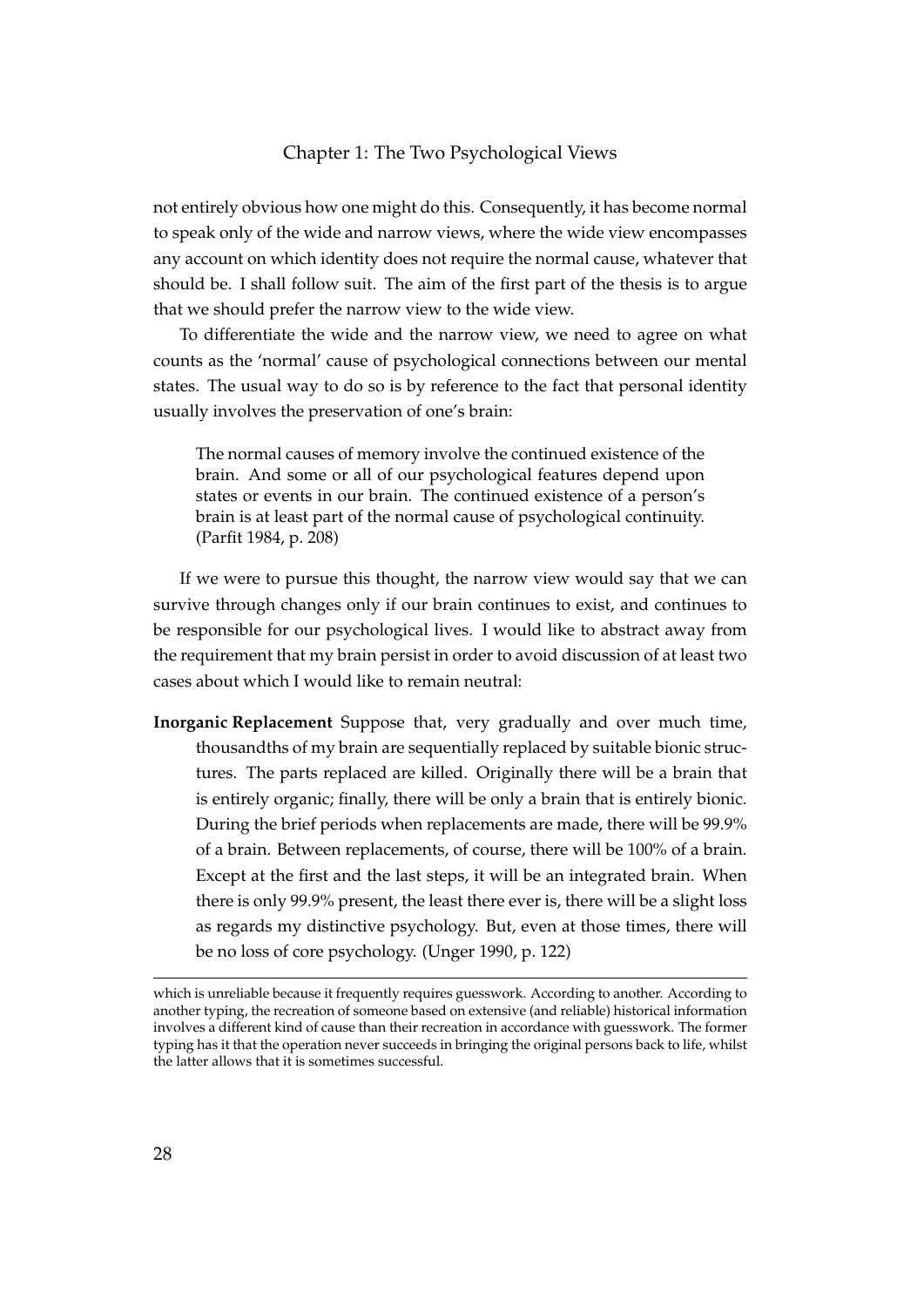not entirely obvious how one might do this. Consequently, it has become normal to speak only of the wide and narrow views, where the wide view encompasses any account on which identity does not require the normal cause, whatever that should be. I shall follow suit. The aim of the first part of the thesis is to argue that we should prefer the narrow view to the wide view.

To differentiate the wide and the narrow view, we need to agree on what counts as the 'normal' cause of psychological connections between our mental states. The usual way to do so is by reference to the fact that personal identity usually involves the preservation of one's brain:

The normal causes of memory involve the continued existence of the brain. And some or all of our psychological features depend upon states or events in our brain. The continued existence of a person's brain is at least part of the normal cause of psychological continuity. [\(Parfit 1984,](#page-215-5) p. 208)

If we were to pursue this thought, the narrow view would say that we can survive through changes only if our brain continues to exist, and continues to be responsible for our psychological lives. I would like to abstract away from the requirement that my brain persist in order to avoid discussion of at least two cases about which I would like to remain neutral:

<span id="page-27-0"></span>**Inorganic Replacement** Suppose that, very gradually and over much time, thousandths of my brain are sequentially replaced by suitable bionic structures. The parts replaced are killed. Originally there will be a brain that is entirely organic; finally, there will be only a brain that is entirely bionic. During the brief periods when replacements are made, there will be 99.9% of a brain. Between replacements, of course, there will be 100% of a brain. Except at the first and the last steps, it will be an integrated brain. When there is only 99.9% present, the least there ever is, there will be a slight loss as regards my distinctive psychology. But, even at those times, there will be no loss of core psychology. [\(Unger 1990,](#page-219-5) p. 122)

which is unreliable because it frequently requires guesswork. According to another. According to another typing, the recreation of someone based on extensive (and reliable) historical information involves a different kind of cause than their recreation in accordance with guesswork. The former typing has it that the operation never succeeds in bringing the original persons back to life, whilst the latter allows that it is sometimes successful.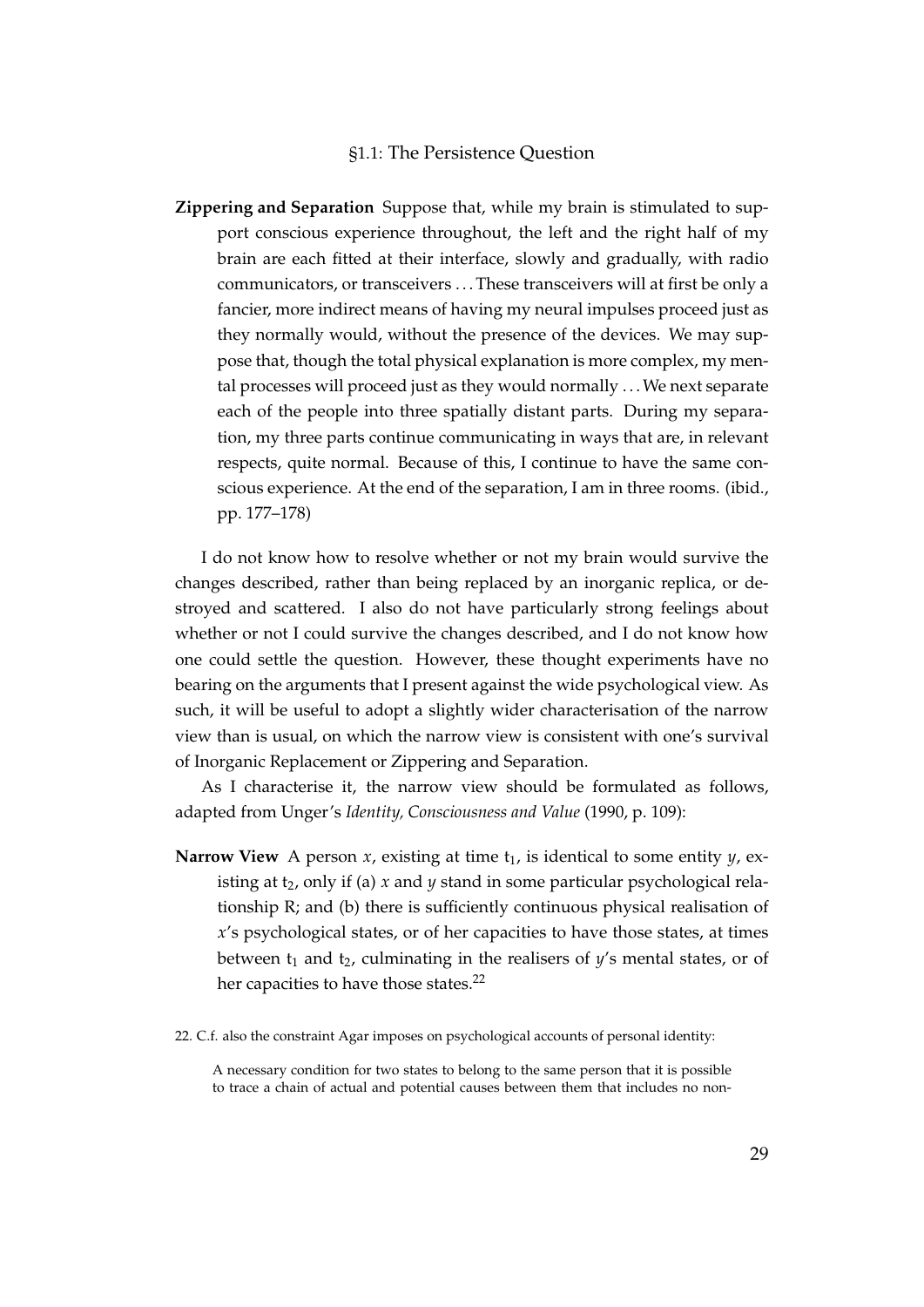#### §1.1: The Persistence Question

<span id="page-28-0"></span>**Zippering and Separation** Suppose that, while my brain is stimulated to support conscious experience throughout, the left and the right half of my brain are each fitted at their interface, slowly and gradually, with radio communicators, or transceivers . . . These transceivers will at first be only a fancier, more indirect means of having my neural impulses proceed just as they normally would, without the presence of the devices. We may suppose that, though the total physical explanation is more complex, my mental processes will proceed just as they would normally . . .We next separate each of the people into three spatially distant parts. During my separation, my three parts continue communicating in ways that are, in relevant respects, quite normal. Because of this, I continue to have the same conscious experience. At the end of the separation, I am in three rooms. [\(ibid.,](#page-219-5) pp. 177–178)

I do not know how to resolve whether or not my brain would survive the changes described, rather than being replaced by an inorganic replica, or destroyed and scattered. I also do not have particularly strong feelings about whether or not I could survive the changes described, and I do not know how one could settle the question. However, these thought experiments have no bearing on the arguments that I present against the wide psychological view. As such, it will be useful to adopt a slightly wider characterisation of the narrow view than is usual, on which the narrow view is consistent with one's survival of [Inorganic Replacement](#page-27-0) or [Zippering and Separation.](#page-28-0)

As I characterise it, the narrow view should be formulated as follows, adapted from Unger's *Identity, Consciousness and Value* (1990, p. 109):

**Narrow View** A person  $x$ , existing at time  $t_1$ , is identical to some entity  $y$ , existing at  $t_2$ , only if (a)  $x$  and  $y$  stand in some particular psychological relationship R; and (b) there is sufficiently continuous physical realisation of *x*'s psychological states, or of her capacities to have those states, at times between  $t_1$  and  $t_2$ , culminating in the realisers of  $y'$ s mental states, or of her capacities to have those states.<sup>[22](#page-28-1)</sup>

A necessary condition for two states to belong to the same person that it is possible to trace a chain of actual and potential causes between them that includes no non-

<span id="page-28-1"></span><sup>22.</sup> C.f. also the constraint Agar imposes on psychological accounts of personal identity: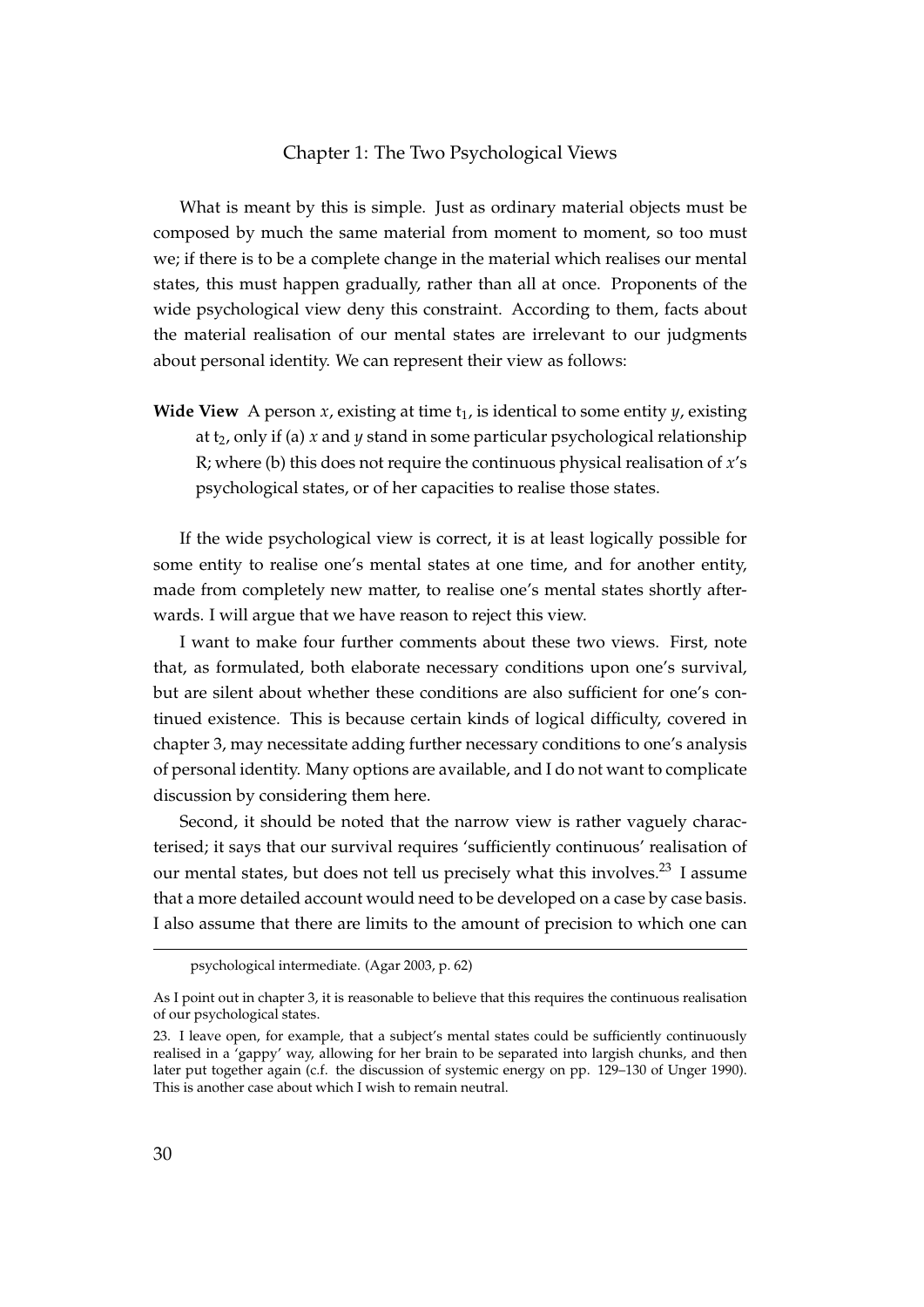What is meant by this is simple. Just as ordinary material objects must be composed by much the same material from moment to moment, so too must we; if there is to be a complete change in the material which realises our mental states, this must happen gradually, rather than all at once. Proponents of the wide psychological view deny this constraint. According to them, facts about the material realisation of our mental states are irrelevant to our judgments about personal identity. We can represent their view as follows:

**Wide View** A person *x*, existing at time  $t_1$ , is identical to some entity *y*, existing at  $t_2$ , only if (a)  $x$  and  $y$  stand in some particular psychological relationship R; where (b) this does not require the continuous physical realisation of *x*'s psychological states, or of her capacities to realise those states.

If the wide psychological view is correct, it is at least logically possible for some entity to realise one's mental states at one time, and for another entity, made from completely new matter, to realise one's mental states shortly afterwards. I will argue that we have reason to reject this view.

I want to make four further comments about these two views. First, note that, as formulated, both elaborate necessary conditions upon one's survival, but are silent about whether these conditions are also sufficient for one's continued existence. This is because certain kinds of logical difficulty, covered in chapter 3, may necessitate adding further necessary conditions to one's analysis of personal identity. Many options are available, and I do not want to complicate discussion by considering them here.

Second, it should be noted that the narrow view is rather vaguely characterised; it says that our survival requires 'sufficiently continuous' realisation of our mental states, but does not tell us precisely what this involves.<sup>[23](#page-29-0)</sup> I assume that a more detailed account would need to be developed on a case by case basis. I also assume that there are limits to the amount of precision to which one can

psychological intermediate. [\(Agar 2003,](#page-208-0) p. 62)

As I point out in chapter 3, it is reasonable to believe that this requires the continuous realisation of our psychological states.

<span id="page-29-0"></span><sup>23.</sup> I leave open, for example, that a subject's mental states could be sufficiently continuously realised in a 'gappy' way, allowing for her brain to be separated into largish chunks, and then later put together again (c.f. the discussion of systemic energy on pp. 129–130 of [Unger 1990\)](#page-219-5). This is another case about which I wish to remain neutral.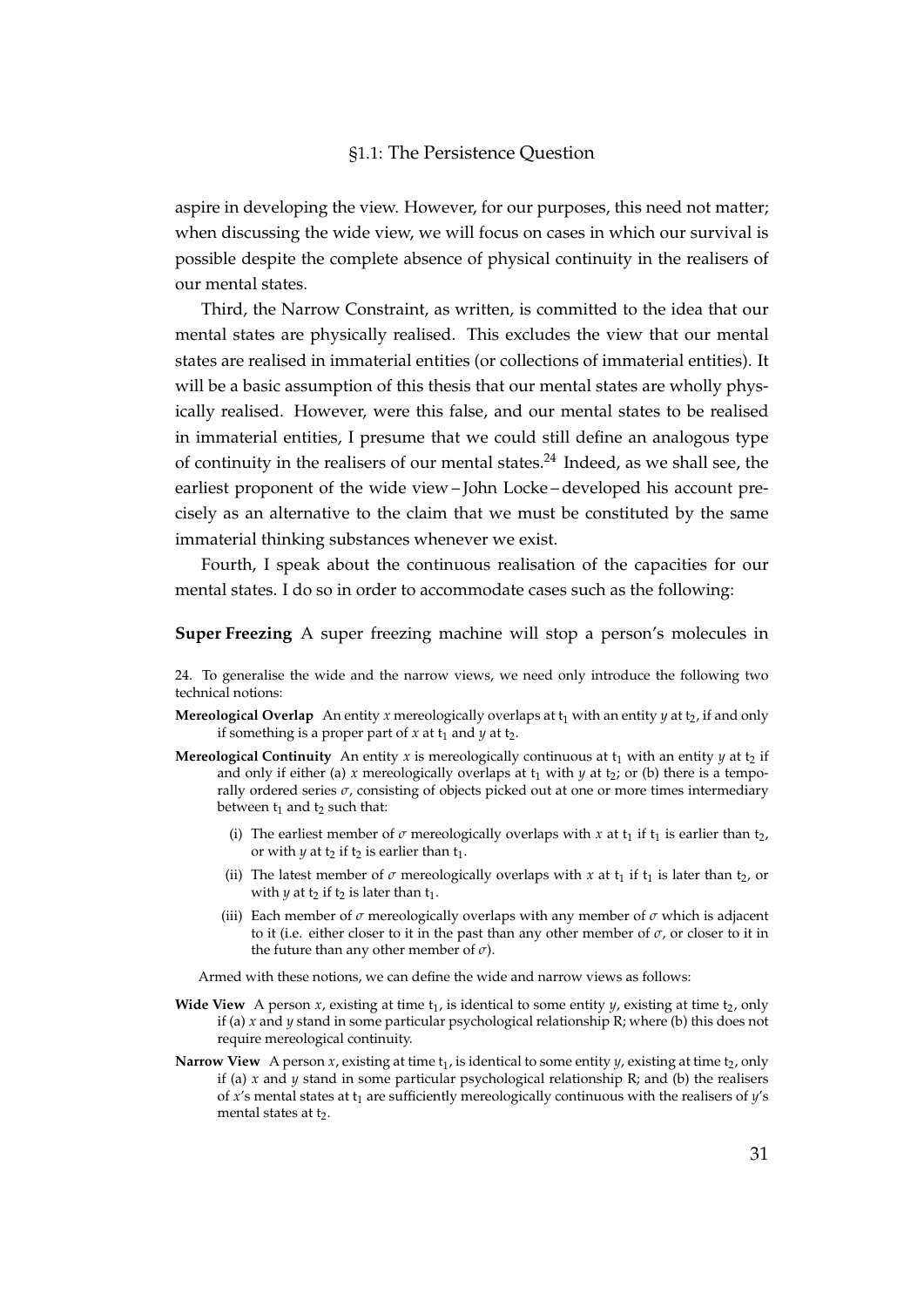#### §1.1: The Persistence Question

aspire in developing the view. However, for our purposes, this need not matter; when discussing the wide view, we will focus on cases in which our survival is possible despite the complete absence of physical continuity in the realisers of our mental states.

Third, the Narrow Constraint, as written, is committed to the idea that our mental states are physically realised. This excludes the view that our mental states are realised in immaterial entities (or collections of immaterial entities). It will be a basic assumption of this thesis that our mental states are wholly physically realised. However, were this false, and our mental states to be realised in immaterial entities, I presume that we could still define an analogous type of continuity in the realisers of our mental states.<sup>[24](#page-30-0)</sup> Indeed, as we shall see, the earliest proponent of the wide view – John Locke – developed his account precisely as an alternative to the claim that we must be constituted by the same immaterial thinking substances whenever we exist.

Fourth, I speak about the continuous realisation of the capacities for our mental states. I do so in order to accommodate cases such as the following:

<span id="page-30-1"></span>**Super Freezing** A super freezing machine will stop a person's molecules in

<span id="page-30-0"></span>24. To generalise the wide and the narrow views, we need only introduce the following two technical notions:

- **Mereological Overlap** An entity  $x$  mereologically overlaps at  $t_1$  with an entity  $y$  at  $t_2$ , if and only if something is a proper part of  $x$  at  $t_1$  and  $y$  at  $t_2$ .
- **Mereological Continuity** An entity *x* is mereologically continuous at  $t_1$  with an entity *y* at  $t_2$  if and only if either (a)  $x$  mereologically overlaps at  $t_1$  with  $y$  at  $t_2$ ; or (b) there is a temporally ordered series  $\sigma$ , consisting of objects picked out at one or more times intermediary between  $t_1$  and  $t_2$  such that:
	- (i) The earliest member of  $\sigma$  mereologically overlaps with  $x$  at  $t_1$  if  $t_1$  is earlier than  $t_2$ , or with  $y$  at  $t_2$  if  $t_2$  is earlier than  $t_1$ .
	- (ii) The latest member of  $\sigma$  mereologically overlaps with  $x$  at  $t_1$  if  $t_1$  is later than  $t_2$ , or with  $y$  at  $t_2$  if  $t_2$  is later than  $t_1$ .
	- (iii) Each member of  $\sigma$  mereologically overlaps with any member of  $\sigma$  which is adjacent to it (i.e. either closer to it in the past than any other member of  $\sigma$ , or closer to it in the future than any other member of *σ*).

Armed with these notions, we can define the wide and narrow views as follows:

- **Wide View** A person *x*, existing at time  $t_1$ , is identical to some entity *y*, existing at time  $t_2$ , only if (a) *x* and *y* stand in some particular psychological relationship R; where (b) this does not require mereological continuity.
- **Narrow View** A person *x*, existing at time  $t_1$ , is identical to some entity *y*, existing at time  $t_2$ , only if (a) *x* and *y* stand in some particular psychological relationship R; and (b) the realisers of  $x$ 's mental states at  $t_1$  are sufficiently mereologically continuous with the realisers of  $y$ 's mental states at t<sub>2</sub>.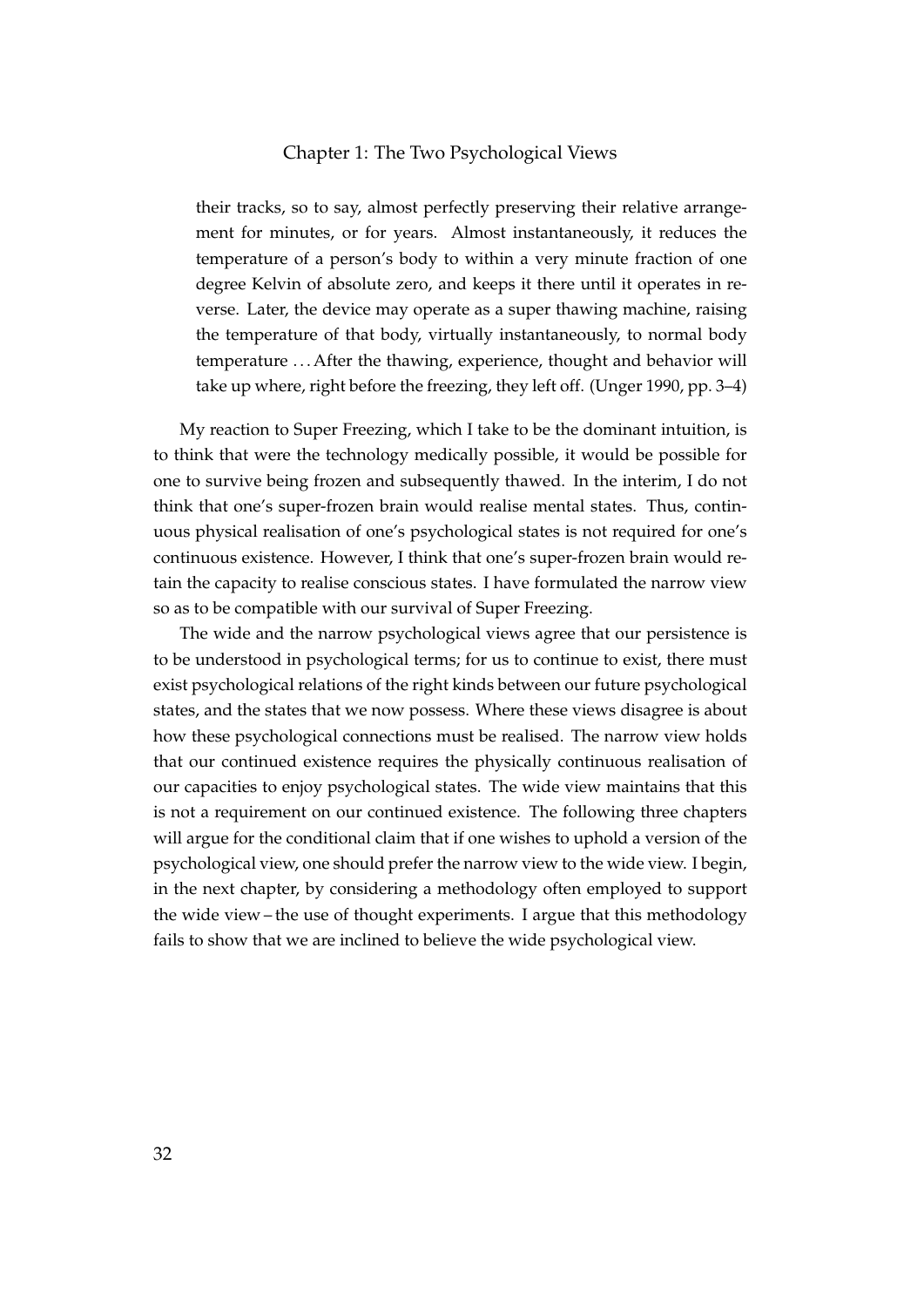their tracks, so to say, almost perfectly preserving their relative arrangement for minutes, or for years. Almost instantaneously, it reduces the temperature of a person's body to within a very minute fraction of one degree Kelvin of absolute zero, and keeps it there until it operates in reverse. Later, the device may operate as a super thawing machine, raising the temperature of that body, virtually instantaneously, to normal body temperature . . . After the thawing, experience, thought and behavior will take up where, right before the freezing, they left off. [\(Unger 1990,](#page-219-5) pp. 3–4)

My reaction to [Super Freezing,](#page-30-1) which I take to be the dominant intuition, is to think that were the technology medically possible, it would be possible for one to survive being frozen and subsequently thawed. In the interim, I do not think that one's super-frozen brain would realise mental states. Thus, continuous physical realisation of one's psychological states is not required for one's continuous existence. However, I think that one's super-frozen brain would retain the capacity to realise conscious states. I have formulated the narrow view so as to be compatible with our survival of [Super Freezing.](#page-30-1)

The wide and the narrow psychological views agree that our persistence is to be understood in psychological terms; for us to continue to exist, there must exist psychological relations of the right kinds between our future psychological states, and the states that we now possess. Where these views disagree is about how these psychological connections must be realised. The narrow view holds that our continued existence requires the physically continuous realisation of our capacities to enjoy psychological states. The wide view maintains that this is not a requirement on our continued existence. The following three chapters will argue for the conditional claim that if one wishes to uphold a version of the psychological view, one should prefer the narrow view to the wide view. I begin, in the next chapter, by considering a methodology often employed to support the wide view – the use of thought experiments. I argue that this methodology fails to show that we are inclined to believe the wide psychological view.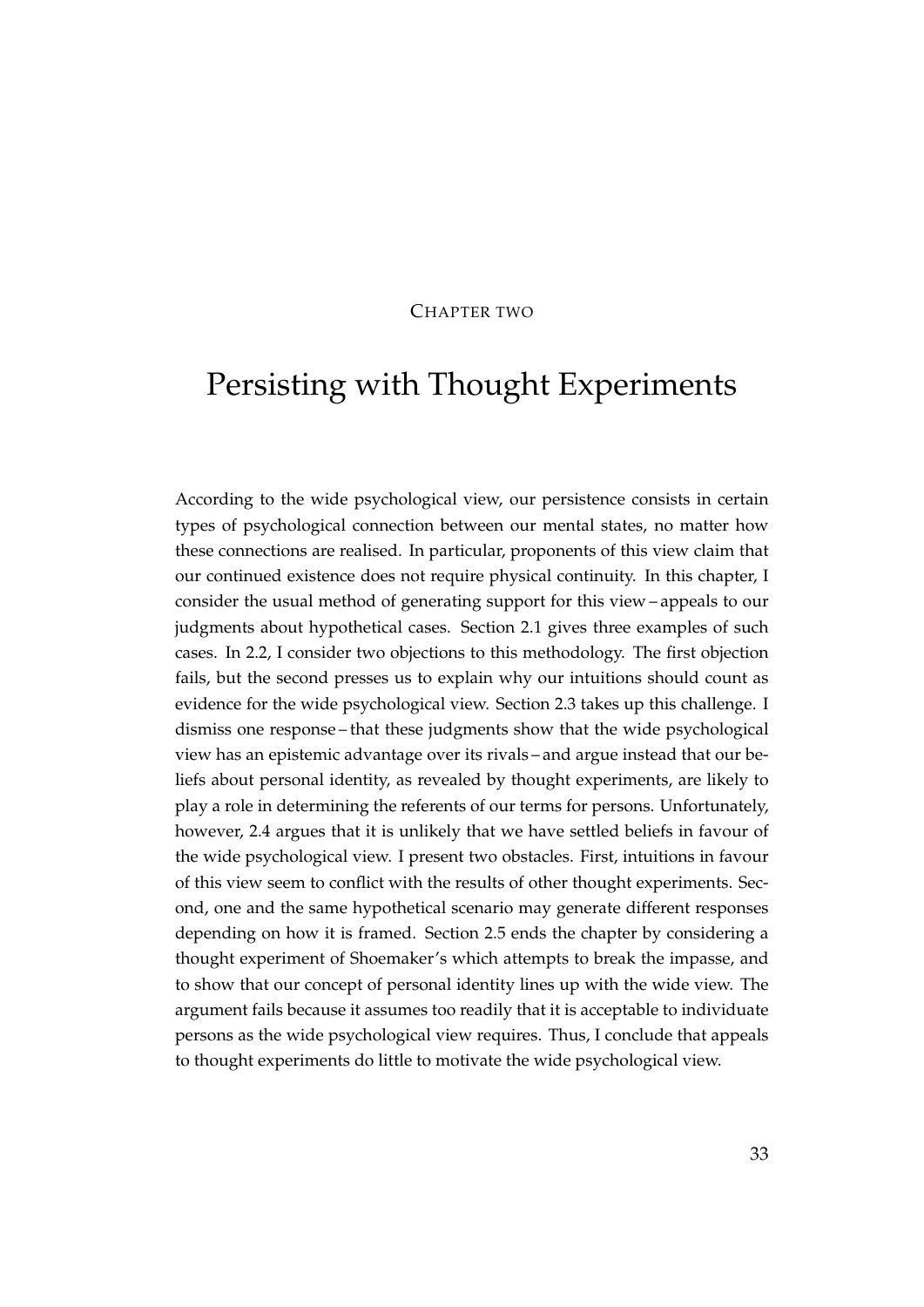#### CHAPTER TWO

# <span id="page-32-0"></span>Persisting with Thought Experiments

<span id="page-32-1"></span>According to the wide psychological view, our persistence consists in certain types of psychological connection between our mental states, no matter how these connections are realised. In particular, proponents of this view claim that our continued existence does not require physical continuity. In this chapter, I consider the usual method of generating support for this view – appeals to our judgments about hypothetical cases. Section [2.1](#page-32-1) gives three examples of such cases. In [2.2,](#page-34-0) I consider two objections to this methodology. The first objection fails, but the second presses us to explain why our intuitions should count as evidence for the wide psychological view. Section [2.3](#page-37-0) takes up this challenge. I dismiss one response – that these judgments show that the wide psychological view has an epistemic advantage over its rivals – and argue instead that our beliefs about personal identity, as revealed by thought experiments, are likely to play a role in determining the referents of our terms for persons. Unfortunately, however, [2.4](#page-52-0) argues that it is unlikely that we have settled beliefs in favour of the wide psychological view. I present two obstacles. First, intuitions in favour of this view seem to conflict with the results of other thought experiments. Second, one and the same hypothetical scenario may generate different responses depending on how it is framed. Section [2.5](#page-57-0) ends the chapter by considering a thought experiment of Shoemaker's which attempts to break the impasse, and to show that our concept of personal identity lines up with the wide view. The argument fails because it assumes too readily that it is acceptable to individuate persons as the wide psychological view requires. Thus, I conclude that appeals to thought experiments do little to motivate the wide psychological view.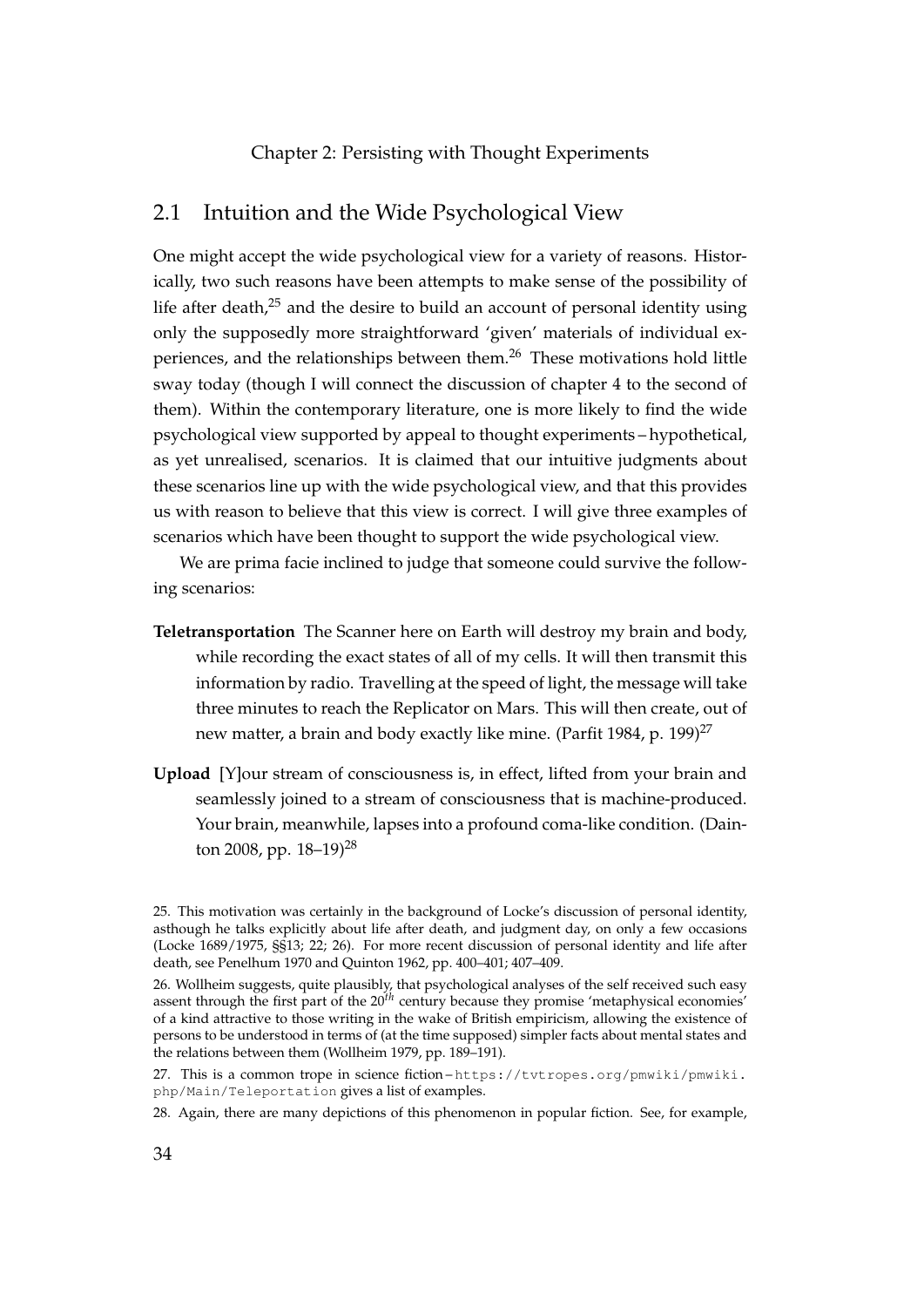#### Chapter 2: Persisting with Thought Experiments

## 2.1 Intuition and the Wide Psychological View

One might accept the wide psychological view for a variety of reasons. Historically, two such reasons have been attempts to make sense of the possibility of life after death, $2<sup>5</sup>$  and the desire to build an account of personal identity using only the supposedly more straightforward 'given' materials of individual ex-periences, and the relationships between them.<sup>[26](#page-33-1)</sup> These motivations hold little sway today (though I will connect the discussion of chapter 4 to the second of them). Within the contemporary literature, one is more likely to find the wide psychological view supported by appeal to thought experiments – hypothetical, as yet unrealised, scenarios. It is claimed that our intuitive judgments about these scenarios line up with the wide psychological view, and that this provides us with reason to believe that this view is correct. I will give three examples of scenarios which have been thought to support the wide psychological view.

We are prima facie inclined to judge that someone could survive the following scenarios:

- <span id="page-33-4"></span>**Teletransportation** The Scanner here on Earth will destroy my brain and body, while recording the exact states of all of my cells. It will then transmit this information by radio. Travelling at the speed of light, the message will take three minutes to reach the Replicator on Mars. This will then create, out of new matter, a brain and body exactly like mine. [\(Parfit 1984,](#page-215-5) p. 199)<sup>[27](#page-33-2)</sup>
- <span id="page-33-5"></span>**Upload** [Y]our stream of consciousness is, in effect, lifted from your brain and seamlessly joined to a stream of consciousness that is machine-produced. Your brain, meanwhile, lapses into a profound coma-like condition. [\(Dain](#page-210-1)[ton 2008,](#page-210-1) pp. 18–19)<sup>[28](#page-33-3)</sup>

<span id="page-33-0"></span><sup>25.</sup> This motivation was certainly in the background of Locke's discussion of personal identity, asthough he talks explicitly about life after death, and judgment day, on only a few occasions [\(Locke 1689/1975,](#page-213-6) §§13; 22; 26). For more recent discussion of personal identity and life after death, see [Penelhum 1970](#page-215-6) and [Quinton 1962,](#page-216-1) pp. 400–401; 407–409.

<span id="page-33-1"></span><sup>26.</sup> Wollheim suggests, quite plausibly, that psychological analyses of the self received such easy assent through the first part of the 20*th* century because they promise 'metaphysical economies' of a kind attractive to those writing in the wake of British empiricism, allowing the existence of persons to be understood in terms of (at the time supposed) simpler facts about mental states and the relations between them [\(Wollheim 1979,](#page-220-3) pp. 189–191).

<span id="page-33-2"></span><sup>27.</sup> This is a common trope in science fiction – [https://tvtropes.org/pmwiki/pmwiki.](https://tvtropes.org/pmwiki/pmwiki.php/Main/Teleportation) [php/Main/Teleportation](https://tvtropes.org/pmwiki/pmwiki.php/Main/Teleportation) gives a list of examples.

<span id="page-33-3"></span><sup>28.</sup> Again, there are many depictions of this phenomenon in popular fiction. See, for example,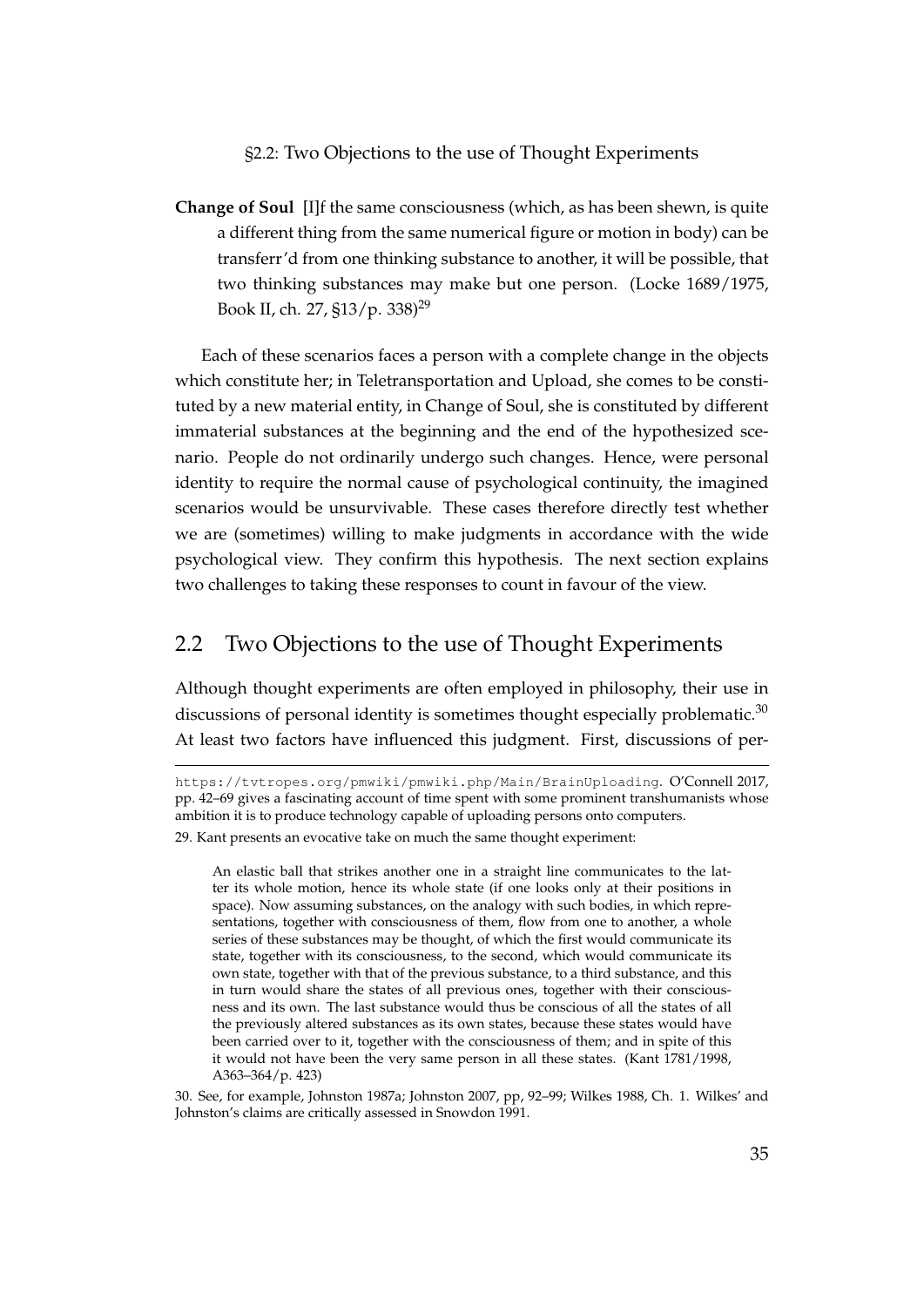## §2.2: Two Objections to the use of Thought Experiments

<span id="page-34-2"></span>**Change of Soul** [I]f the same consciousness (which, as has been shewn, is quite a different thing from the same numerical figure or motion in body) can be transferr'd from one thinking substance to another, it will be possible, that two thinking substances may make but one person. [\(Locke 1689/1975,](#page-213-6) Book II, ch. 27, §13/p. 338)[29](#page-34-1)

Each of these scenarios faces a person with a complete change in the objects which constitute her; in [Teletransportation](#page-33-4) and [Upload,](#page-33-5) she comes to be constituted by a new material entity, in [Change of Soul,](#page-34-2) she is constituted by different immaterial substances at the beginning and the end of the hypothesized scenario. People do not ordinarily undergo such changes. Hence, were personal identity to require the normal cause of psychological continuity, the imagined scenarios would be unsurvivable. These cases therefore directly test whether we are (sometimes) willing to make judgments in accordance with the wide psychological view. They confirm this hypothesis. The next section explains two challenges to taking these responses to count in favour of the view.

# <span id="page-34-0"></span>2.2 Two Objections to the use of Thought Experiments

Although thought experiments are often employed in philosophy, their use in discussions of personal identity is sometimes thought especially problematic.<sup>[30](#page-34-3)</sup> At least two factors have influenced this judgment. First, discussions of per-

<https://tvtropes.org/pmwiki/pmwiki.php/Main/BrainUploading>. [O'Connell 2017,](#page-215-7) pp. 42–69 gives a fascinating account of time spent with some prominent transhumanists whose ambition it is to produce technology capable of uploading persons onto computers. 29. Kant presents an evocative take on much the same thought experiment:

<span id="page-34-1"></span>An elastic ball that strikes another one in a straight line communicates to the latter its whole motion, hence its whole state (if one looks only at their positions in space). Now assuming substances, on the analogy with such bodies, in which representations, together with consciousness of them, flow from one to another, a whole series of these substances may be thought, of which the first would communicate its state, together with its consciousness, to the second, which would communicate its own state, together with that of the previous substance, to a third substance, and this in turn would share the states of all previous ones, together with their consciousness and its own. The last substance would thus be conscious of all the states of all the previously altered substances as its own states, because these states would have been carried over to it, together with the consciousness of them; and in spite of this it would not have been the very same person in all these states. [\(Kant 1781/1998,](#page-212-5) A363–364/p. 423)

<span id="page-34-3"></span><sup>30.</sup> See, for example, [Johnston 1987a;](#page-212-0) [Johnston 2007,](#page-212-1) pp, 92–99; [Wilkes 1988,](#page-219-6) Ch. 1. Wilkes' and Johnston's claims are critically assessed in [Snowdon 1991.](#page-218-4)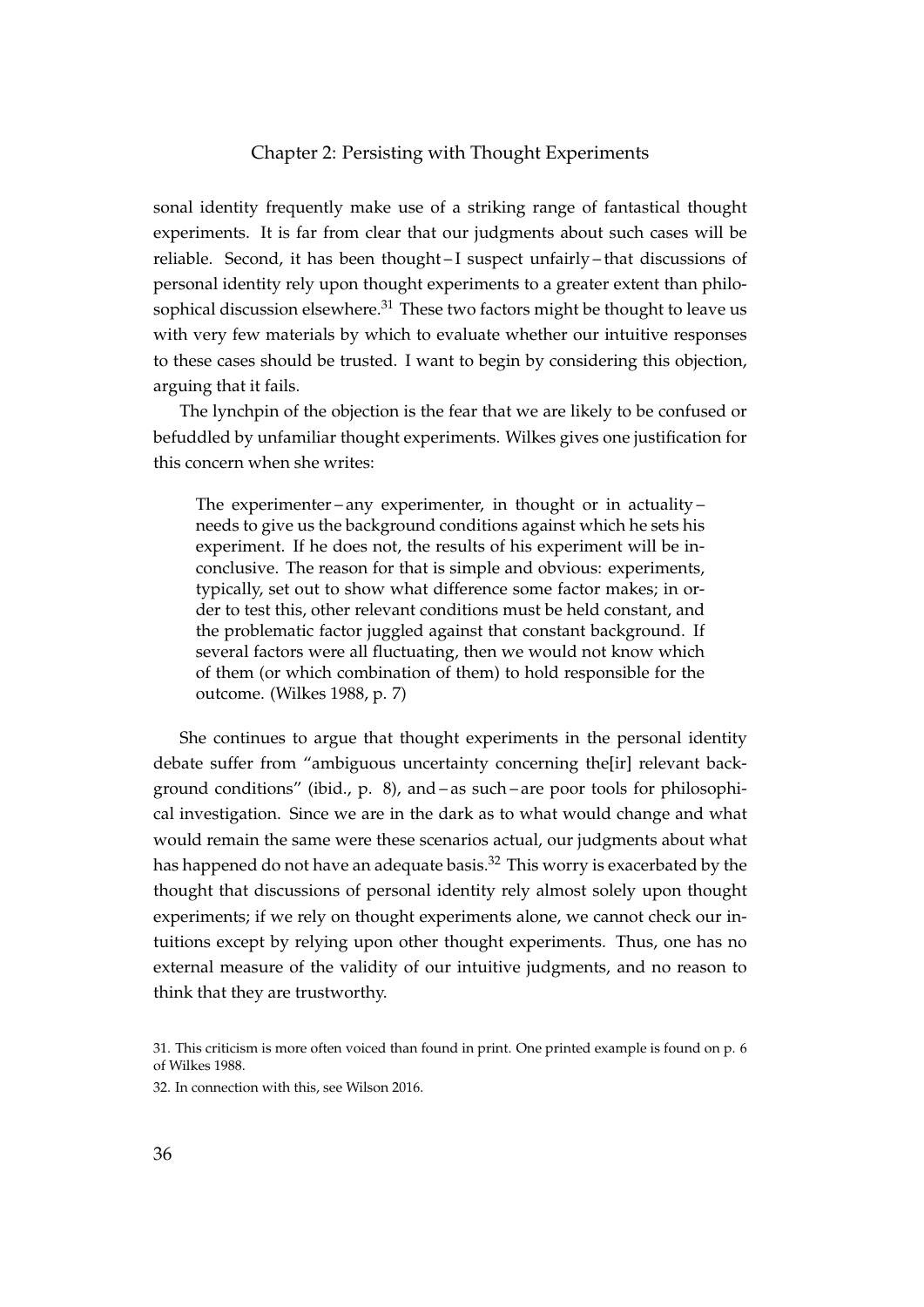#### Chapter 2: Persisting with Thought Experiments

sonal identity frequently make use of a striking range of fantastical thought experiments. It is far from clear that our judgments about such cases will be reliable. Second, it has been thought – I suspect unfairly – that discussions of personal identity rely upon thought experiments to a greater extent than philosophical discussion elsewhere. $31$  These two factors might be thought to leave us with very few materials by which to evaluate whether our intuitive responses to these cases should be trusted. I want to begin by considering this objection, arguing that it fails.

The lynchpin of the objection is the fear that we are likely to be confused or befuddled by unfamiliar thought experiments. Wilkes gives one justification for this concern when she writes:

The experimenter – any experimenter, in thought or in actuality – needs to give us the background conditions against which he sets his experiment. If he does not, the results of his experiment will be inconclusive. The reason for that is simple and obvious: experiments, typically, set out to show what difference some factor makes; in order to test this, other relevant conditions must be held constant, and the problematic factor juggled against that constant background. If several factors were all fluctuating, then we would not know which of them (or which combination of them) to hold responsible for the outcome. [\(Wilkes 1988,](#page-219-6) p. 7)

She continues to argue that thought experiments in the personal identity debate suffer from "ambiguous uncertainty concerning the[ir] relevant background conditions" [\(ibid.,](#page-219-6) p. 8), and – as such – are poor tools for philosophical investigation. Since we are in the dark as to what would change and what would remain the same were these scenarios actual, our judgments about what has happened do not have an adequate basis.<sup>[32](#page-35-1)</sup> This worry is exacerbated by the thought that discussions of personal identity rely almost solely upon thought experiments; if we rely on thought experiments alone, we cannot check our intuitions except by relying upon other thought experiments. Thus, one has no external measure of the validity of our intuitive judgments, and no reason to think that they are trustworthy.

<span id="page-35-0"></span><sup>31.</sup> This criticism is more often voiced than found in print. One printed example is found on p. 6 of [Wilkes 1988.](#page-219-6)

<span id="page-35-1"></span><sup>32.</sup> In connection with this, see [Wilson 2016.](#page-220-5)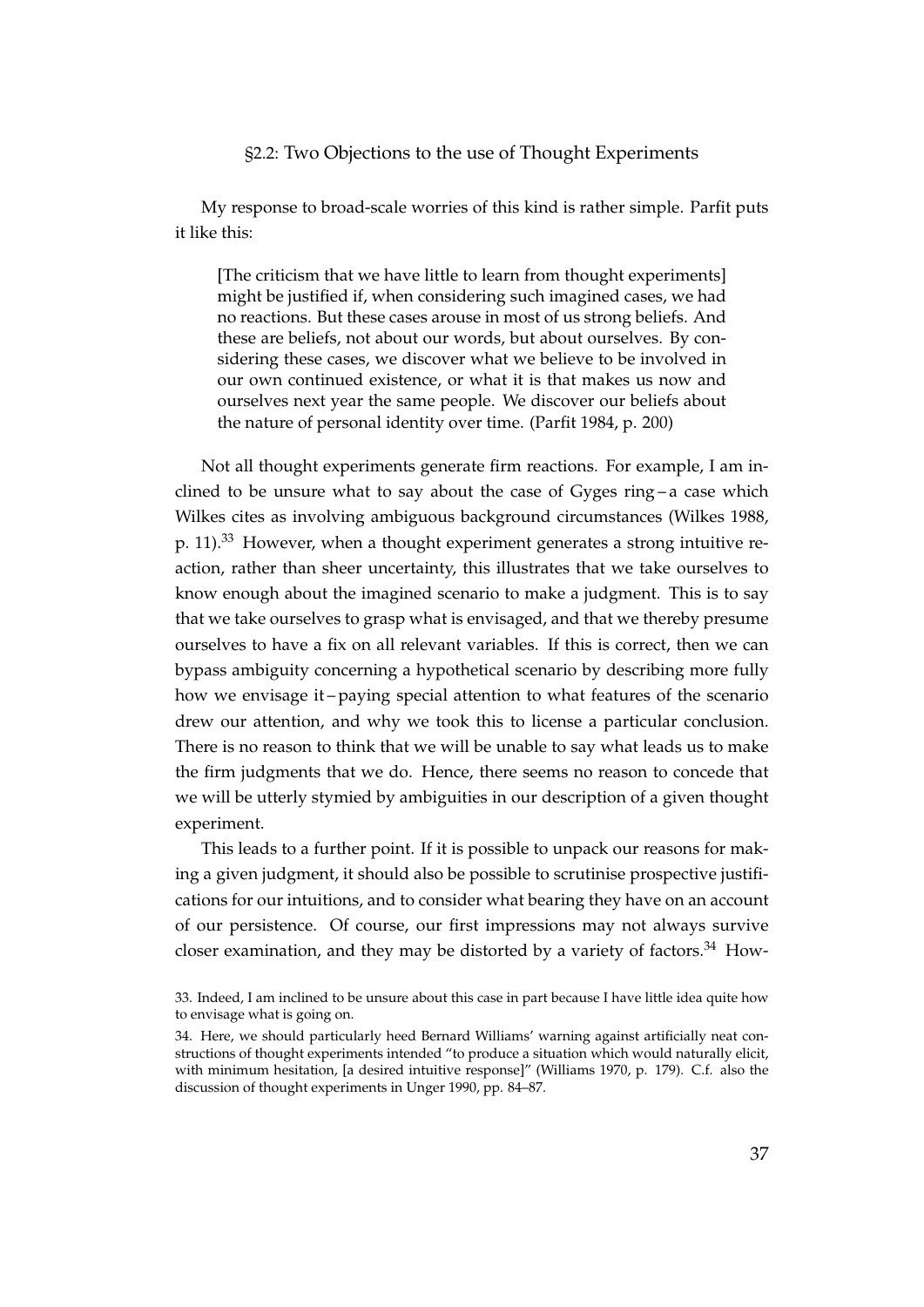## §2.2: Two Objections to the use of Thought Experiments

My response to broad-scale worries of this kind is rather simple. Parfit puts it like this:

[The criticism that we have little to learn from thought experiments] might be justified if, when considering such imagined cases, we had no reactions. But these cases arouse in most of us strong beliefs. And these are beliefs, not about our words, but about ourselves. By considering these cases, we discover what we believe to be involved in our own continued existence, or what it is that makes us now and ourselves next year the same people. We discover our beliefs about the nature of personal identity over time. [\(Parfit 1984,](#page-215-0) p. 200)

Not all thought experiments generate firm reactions. For example, I am inclined to be unsure what to say about the case of Gyges ring – a case which Wilkes cites as involving ambiguous background circumstances [\(Wilkes 1988,](#page-219-0) p. 11).<sup>[33](#page-36-0)</sup> However, when a thought experiment generates a strong intuitive reaction, rather than sheer uncertainty, this illustrates that we take ourselves to know enough about the imagined scenario to make a judgment. This is to say that we take ourselves to grasp what is envisaged, and that we thereby presume ourselves to have a fix on all relevant variables. If this is correct, then we can bypass ambiguity concerning a hypothetical scenario by describing more fully how we envisage it – paying special attention to what features of the scenario drew our attention, and why we took this to license a particular conclusion. There is no reason to think that we will be unable to say what leads us to make the firm judgments that we do. Hence, there seems no reason to concede that we will be utterly stymied by ambiguities in our description of a given thought experiment.

This leads to a further point. If it is possible to unpack our reasons for making a given judgment, it should also be possible to scrutinise prospective justifications for our intuitions, and to consider what bearing they have on an account of our persistence. Of course, our first impressions may not always survive closer examination, and they may be distorted by a variety of factors.<sup>[34](#page-36-1)</sup> How-

<span id="page-36-0"></span><sup>33.</sup> Indeed, I am inclined to be unsure about this case in part because I have little idea quite how to envisage what is going on.

<span id="page-36-1"></span><sup>34.</sup> Here, we should particularly heed Bernard Williams' warning against artificially neat constructions of thought experiments intended "to produce a situation which would naturally elicit, with minimum hesitation, [a desired intuitive response]" [\(Williams 1970,](#page-220-0) p. 179). C.f. also the discussion of thought experiments in [Unger 1990,](#page-219-1) pp. 84–87.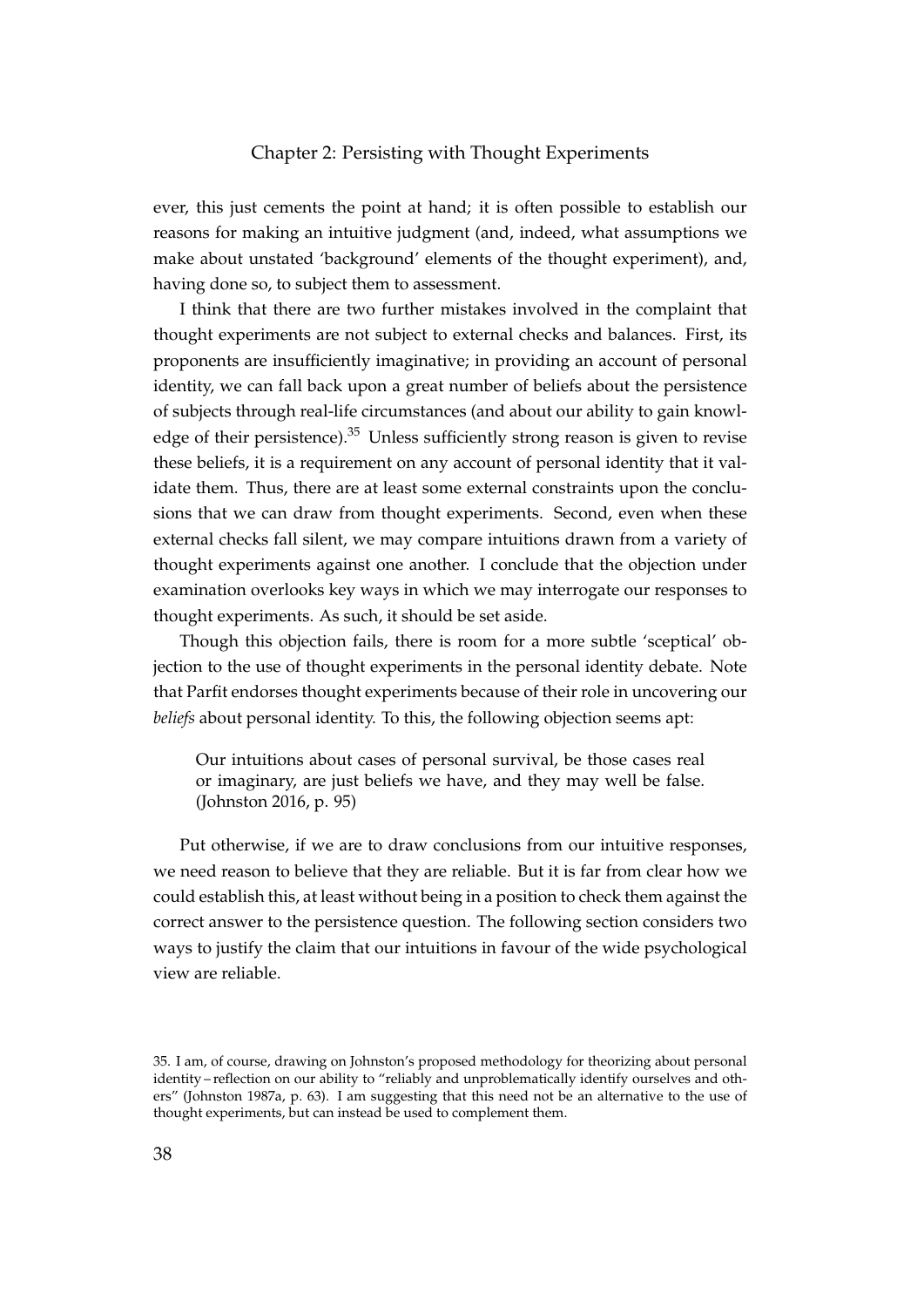ever, this just cements the point at hand; it is often possible to establish our reasons for making an intuitive judgment (and, indeed, what assumptions we make about unstated 'background' elements of the thought experiment), and, having done so, to subject them to assessment.

I think that there are two further mistakes involved in the complaint that thought experiments are not subject to external checks and balances. First, its proponents are insufficiently imaginative; in providing an account of personal identity, we can fall back upon a great number of beliefs about the persistence of subjects through real-life circumstances (and about our ability to gain knowl-edge of their persistence).<sup>[35](#page-37-0)</sup> Unless sufficiently strong reason is given to revise these beliefs, it is a requirement on any account of personal identity that it validate them. Thus, there are at least some external constraints upon the conclusions that we can draw from thought experiments. Second, even when these external checks fall silent, we may compare intuitions drawn from a variety of thought experiments against one another. I conclude that the objection under examination overlooks key ways in which we may interrogate our responses to thought experiments. As such, it should be set aside.

Though this objection fails, there is room for a more subtle 'sceptical' objection to the use of thought experiments in the personal identity debate. Note that Parfit endorses thought experiments because of their role in uncovering our *beliefs* about personal identity. To this, the following objection seems apt:

Our intuitions about cases of personal survival, be those cases real or imaginary, are just beliefs we have, and they may well be false. [\(Johnston 2016,](#page-212-0) p. 95)

Put otherwise, if we are to draw conclusions from our intuitive responses, we need reason to believe that they are reliable. But it is far from clear how we could establish this, at least without being in a position to check them against the correct answer to the persistence question. The following section considers two ways to justify the claim that our intuitions in favour of the wide psychological view are reliable.

<span id="page-37-0"></span><sup>35.</sup> I am, of course, drawing on Johnston's proposed methodology for theorizing about personal identity – reflection on our ability to "reliably and unproblematically identify ourselves and others" [\(Johnston 1987a,](#page-212-1) p. 63). I am suggesting that this need not be an alternative to the use of thought experiments, but can instead be used to complement them.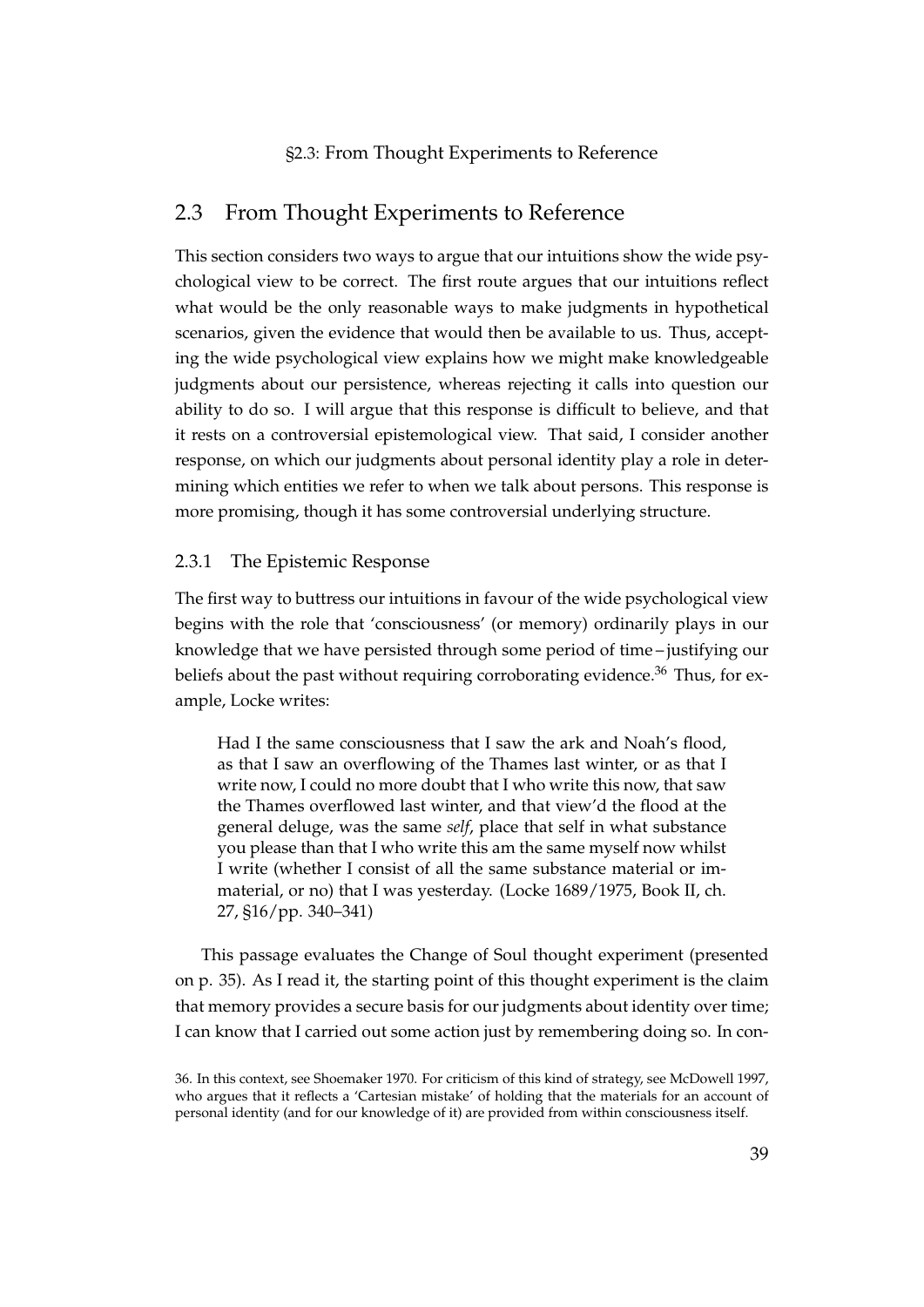# 2.3 From Thought Experiments to Reference

This section considers two ways to argue that our intuitions show the wide psychological view to be correct. The first route argues that our intuitions reflect what would be the only reasonable ways to make judgments in hypothetical scenarios, given the evidence that would then be available to us. Thus, accepting the wide psychological view explains how we might make knowledgeable judgments about our persistence, whereas rejecting it calls into question our ability to do so. I will argue that this response is difficult to believe, and that it rests on a controversial epistemological view. That said, I consider another response, on which our judgments about personal identity play a role in determining which entities we refer to when we talk about persons. This response is more promising, though it has some controversial underlying structure.

#### 2.3.1 The Epistemic Response

The first way to buttress our intuitions in favour of the wide psychological view begins with the role that 'consciousness' (or memory) ordinarily plays in our knowledge that we have persisted through some period of time – justifying our beliefs about the past without requiring corroborating evidence.<sup>[36](#page-38-0)</sup> Thus, for example, Locke writes:

Had I the same consciousness that I saw the ark and Noah's flood, as that I saw an overflowing of the Thames last winter, or as that I write now, I could no more doubt that I who write this now, that saw the Thames overflowed last winter, and that view'd the flood at the general deluge, was the same *self*, place that self in what substance you please than that I who write this am the same myself now whilst I write (whether I consist of all the same substance material or immaterial, or no) that I was yesterday. [\(Locke 1689/1975,](#page-213-0) Book II, ch. 27, §16/pp. 340–341)

This passage evaluates the [Change of Soul](#page-34-0) thought experiment (presented on p. [35\)](#page-34-0). As I read it, the starting point of this thought experiment is the claim that memory provides a secure basis for our judgments about identity over time; I can know that I carried out some action just by remembering doing so. In con-

<span id="page-38-0"></span><sup>36.</sup> In this context, see [Shoemaker 1970.](#page-217-0) For criticism of this kind of strategy, see [McDowell 1997,](#page-214-0) who argues that it reflects a 'Cartesian mistake' of holding that the materials for an account of personal identity (and for our knowledge of it) are provided from within consciousness itself.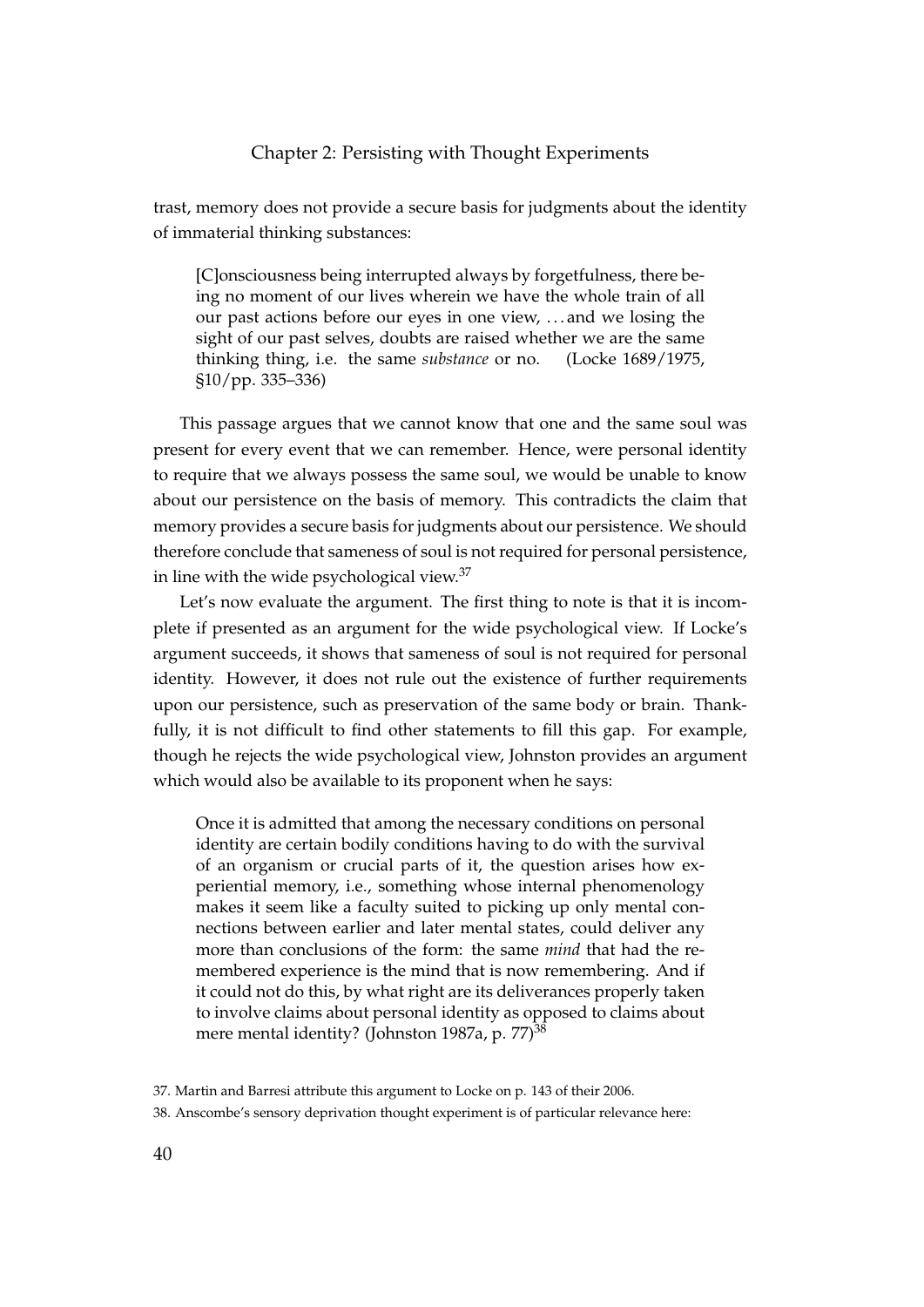trast, memory does not provide a secure basis for judgments about the identity of immaterial thinking substances:

[C]onsciousness being interrupted always by forgetfulness, there being no moment of our lives wherein we have the whole train of all our past actions before our eyes in one view, . . . and we losing the sight of our past selves, doubts are raised whether we are the same thinking thing, i.e. the same *substance* or no. [\(Locke 1689/1975,](#page-213-0) §10/pp. 335–336)

This passage argues that we cannot know that one and the same soul was present for every event that we can remember. Hence, were personal identity to require that we always possess the same soul, we would be unable to know about our persistence on the basis of memory. This contradicts the claim that memory provides a secure basis for judgments about our persistence. We should therefore conclude that sameness of soul is not required for personal persistence, in line with the wide psychological view.<sup>[37](#page-39-0)</sup>

Let's now evaluate the argument. The first thing to note is that it is incomplete if presented as an argument for the wide psychological view. If Locke's argument succeeds, it shows that sameness of soul is not required for personal identity. However, it does not rule out the existence of further requirements upon our persistence, such as preservation of the same body or brain. Thankfully, it is not difficult to find other statements to fill this gap. For example, though he rejects the wide psychological view, Johnston provides an argument which would also be available to its proponent when he says:

Once it is admitted that among the necessary conditions on personal identity are certain bodily conditions having to do with the survival of an organism or crucial parts of it, the question arises how experiential memory, i.e., something whose internal phenomenology makes it seem like a faculty suited to picking up only mental connections between earlier and later mental states, could deliver any more than conclusions of the form: the same *mind* that had the remembered experience is the mind that is now remembering. And if it could not do this, by what right are its deliverances properly taken to involve claims about personal identity as opposed to claims about mere mental identity? [\(Johnston 1987a,](#page-212-1) p.  $77^{38}$  $77^{38}$  $77^{38}$ 

<span id="page-39-0"></span><sup>37.</sup> Martin and Barresi attribute this argument to Locke on p. 143 of their [2006.](#page-214-1)

<span id="page-39-1"></span><sup>38.</sup> Anscombe's sensory deprivation thought experiment is of particular relevance here: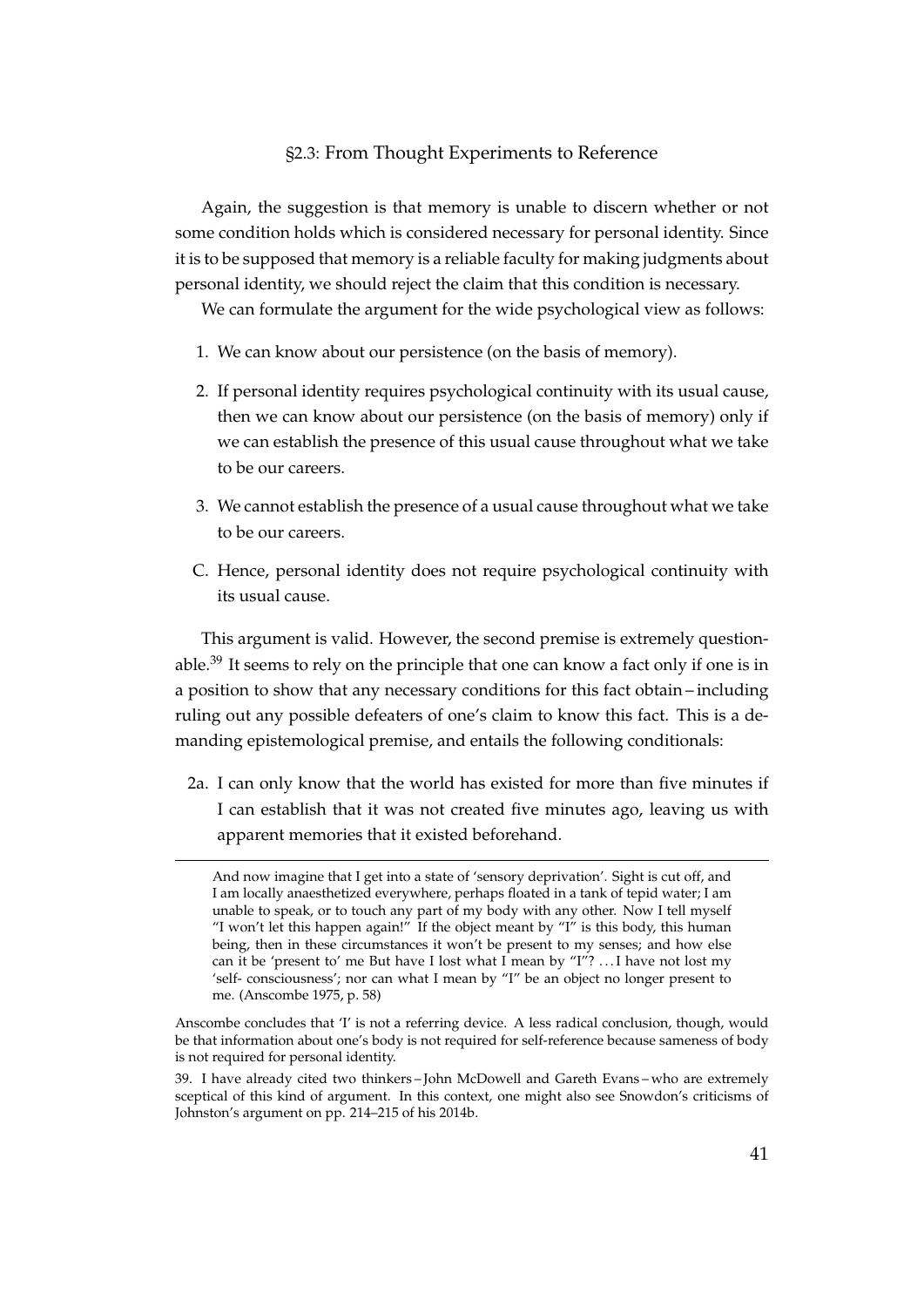Again, the suggestion is that memory is unable to discern whether or not some condition holds which is considered necessary for personal identity. Since it is to be supposed that memory is a reliable faculty for making judgments about personal identity, we should reject the claim that this condition is necessary.

We can formulate the argument for the wide psychological view as follows:

- 1. We can know about our persistence (on the basis of memory).
- 2. If personal identity requires psychological continuity with its usual cause, then we can know about our persistence (on the basis of memory) only if we can establish the presence of this usual cause throughout what we take to be our careers.
- 3. We cannot establish the presence of a usual cause throughout what we take to be our careers.
- C. Hence, personal identity does not require psychological continuity with its usual cause.

This argument is valid. However, the second premise is extremely questionable.[39](#page-40-0) It seems to rely on the principle that one can know a fact only if one is in a position to show that any necessary conditions for this fact obtain – including ruling out any possible defeaters of one's claim to know this fact. This is a demanding epistemological premise, and entails the following conditionals:

2a. I can only know that the world has existed for more than five minutes if I can establish that it was not created five minutes ago, leaving us with apparent memories that it existed beforehand.

And now imagine that I get into a state of 'sensory deprivation'. Sight is cut off, and I am locally anaesthetized everywhere, perhaps floated in a tank of tepid water; I am unable to speak, or to touch any part of my body with any other. Now I tell myself "I won't let this happen again!" If the object meant by "I" is this body, this human being, then in these circumstances it won't be present to my senses; and how else can it be 'present to' me But have I lost what I mean by "I"? . . . I have not lost my 'self- consciousness'; nor can what I mean by "I" be an object no longer present to me. [\(Anscombe 1975,](#page-208-0) p. 58)

Anscombe concludes that 'I' is not a referring device. A less radical conclusion, though, would be that information about one's body is not required for self-reference because sameness of body is not required for personal identity.

<span id="page-40-0"></span><sup>39.</sup> I have already cited two thinkers – John McDowell and Gareth Evans – who are extremely sceptical of this kind of argument. In this context, one might also see Snowdon's criticisms of Johnston's argument on pp. 214–215 of his [2014b.](#page-218-0)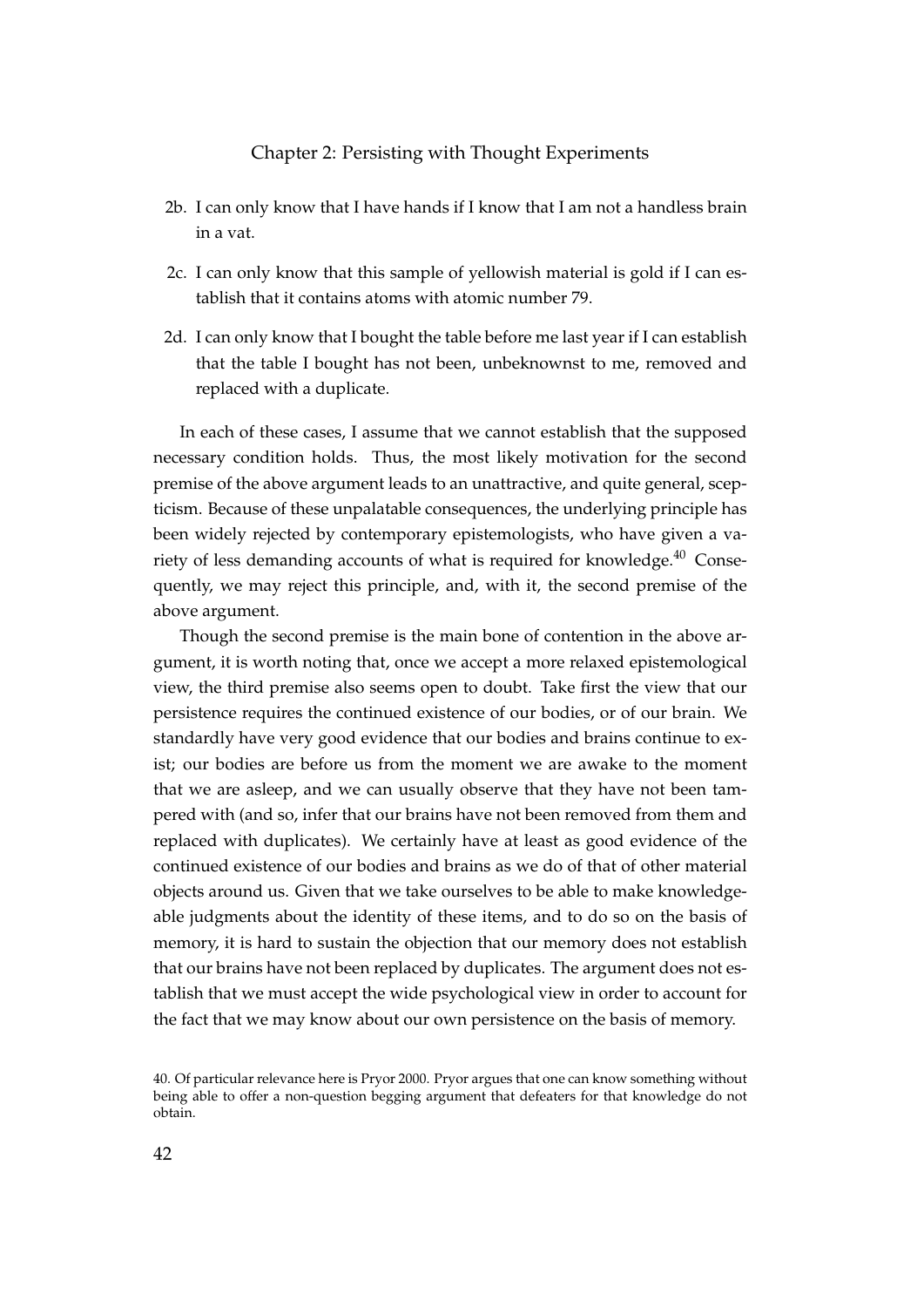- 2b. I can only know that I have hands if I know that I am not a handless brain in a vat.
- 2c. I can only know that this sample of yellowish material is gold if I can establish that it contains atoms with atomic number 79.
- 2d. I can only know that I bought the table before me last year if I can establish that the table I bought has not been, unbeknownst to me, removed and replaced with a duplicate.

In each of these cases, I assume that we cannot establish that the supposed necessary condition holds. Thus, the most likely motivation for the second premise of the above argument leads to an unattractive, and quite general, scepticism. Because of these unpalatable consequences, the underlying principle has been widely rejected by contemporary epistemologists, who have given a variety of less demanding accounts of what is required for knowledge. $40$  Consequently, we may reject this principle, and, with it, the second premise of the above argument.

Though the second premise is the main bone of contention in the above argument, it is worth noting that, once we accept a more relaxed epistemological view, the third premise also seems open to doubt. Take first the view that our persistence requires the continued existence of our bodies, or of our brain. We standardly have very good evidence that our bodies and brains continue to exist; our bodies are before us from the moment we are awake to the moment that we are asleep, and we can usually observe that they have not been tampered with (and so, infer that our brains have not been removed from them and replaced with duplicates). We certainly have at least as good evidence of the continued existence of our bodies and brains as we do of that of other material objects around us. Given that we take ourselves to be able to make knowledgeable judgments about the identity of these items, and to do so on the basis of memory, it is hard to sustain the objection that our memory does not establish that our brains have not been replaced by duplicates. The argument does not establish that we must accept the wide psychological view in order to account for the fact that we may know about our own persistence on the basis of memory.

<span id="page-41-0"></span><sup>40.</sup> Of particular relevance here is [Pryor 2000.](#page-216-0) Pryor argues that one can know something without being able to offer a non-question begging argument that defeaters for that knowledge do not obtain.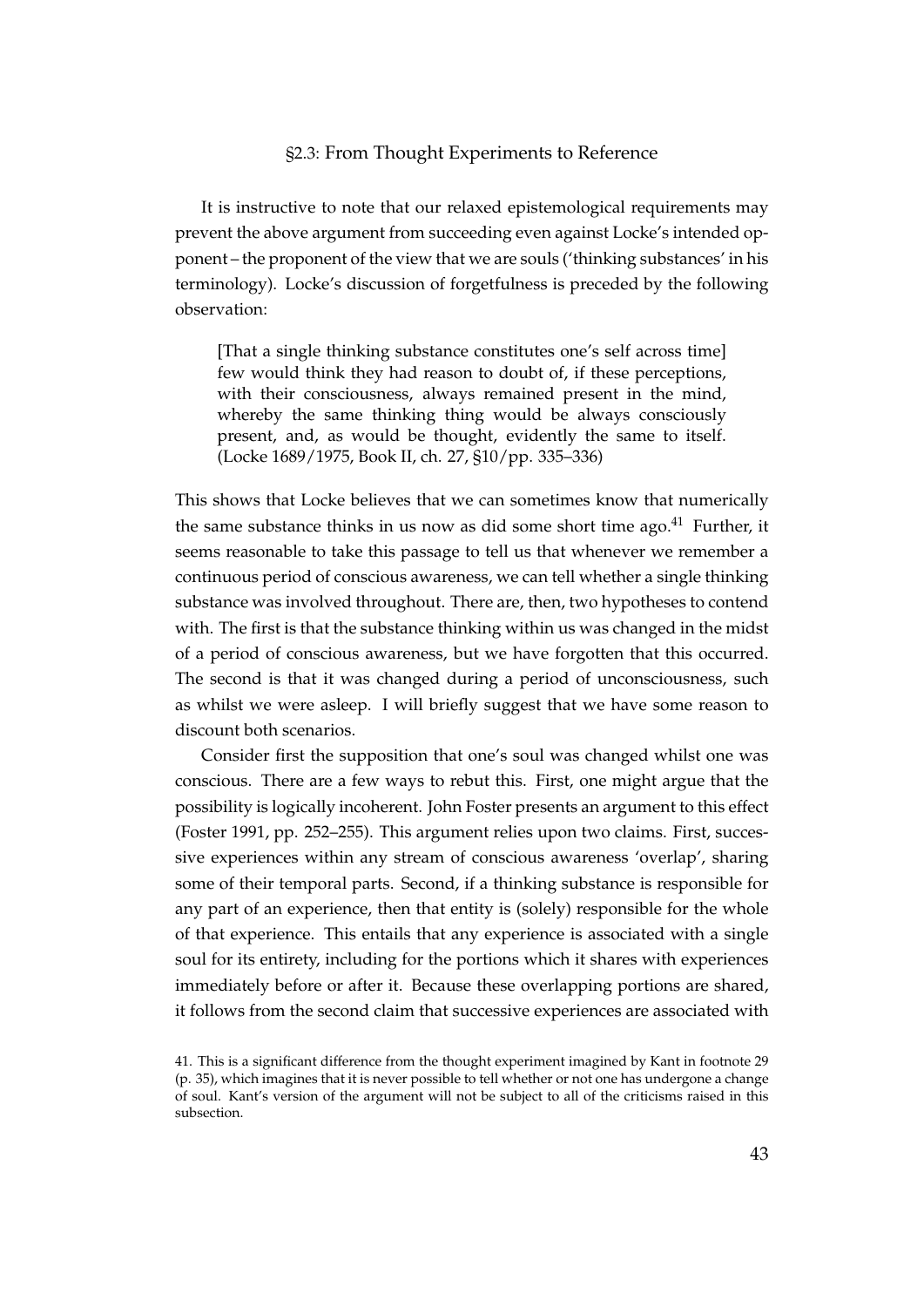It is instructive to note that our relaxed epistemological requirements may prevent the above argument from succeeding even against Locke's intended opponent – the proponent of the view that we are souls ('thinking substances' in his terminology). Locke's discussion of forgetfulness is preceded by the following observation:

[That a single thinking substance constitutes one's self across time] few would think they had reason to doubt of, if these perceptions, with their consciousness, always remained present in the mind, whereby the same thinking thing would be always consciously present, and, as would be thought, evidently the same to itself. [\(Locke 1689/1975,](#page-213-0) Book II, ch. 27, §10/pp. 335–336)

This shows that Locke believes that we can sometimes know that numerically the same substance thinks in us now as did some short time  $ago^{41}$  $ago^{41}$  $ago^{41}$  Further, it seems reasonable to take this passage to tell us that whenever we remember a continuous period of conscious awareness, we can tell whether a single thinking substance was involved throughout. There are, then, two hypotheses to contend with. The first is that the substance thinking within us was changed in the midst of a period of conscious awareness, but we have forgotten that this occurred. The second is that it was changed during a period of unconsciousness, such as whilst we were asleep. I will briefly suggest that we have some reason to discount both scenarios.

Consider first the supposition that one's soul was changed whilst one was conscious. There are a few ways to rebut this. First, one might argue that the possibility is logically incoherent. John Foster presents an argument to this effect [\(Foster 1991,](#page-211-0) pp. 252–255). This argument relies upon two claims. First, successive experiences within any stream of conscious awareness 'overlap', sharing some of their temporal parts. Second, if a thinking substance is responsible for any part of an experience, then that entity is (solely) responsible for the whole of that experience. This entails that any experience is associated with a single soul for its entirety, including for the portions which it shares with experiences immediately before or after it. Because these overlapping portions are shared, it follows from the second claim that successive experiences are associated with

<span id="page-42-0"></span><sup>41.</sup> This is a significant difference from the thought experiment imagined by Kant in footnote [29](#page-34-1) (p. [35\)](#page-34-1), which imagines that it is never possible to tell whether or not one has undergone a change of soul. Kant's version of the argument will not be subject to all of the criticisms raised in this subsection.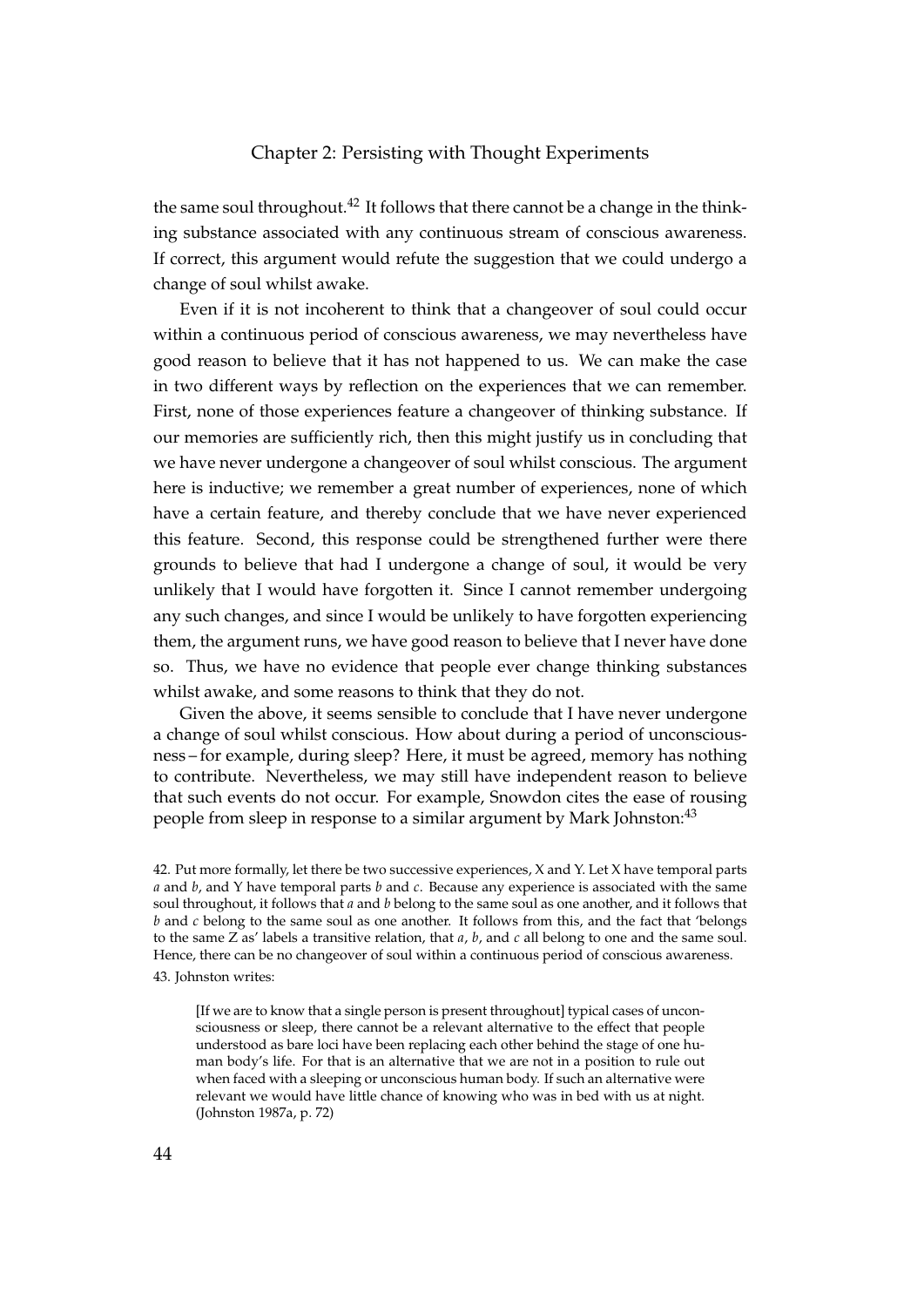the same soul throughout.<sup>[42](#page-43-0)</sup> It follows that there cannot be a change in the thinking substance associated with any continuous stream of conscious awareness. If correct, this argument would refute the suggestion that we could undergo a change of soul whilst awake.

Even if it is not incoherent to think that a changeover of soul could occur within a continuous period of conscious awareness, we may nevertheless have good reason to believe that it has not happened to us. We can make the case in two different ways by reflection on the experiences that we can remember. First, none of those experiences feature a changeover of thinking substance. If our memories are sufficiently rich, then this might justify us in concluding that we have never undergone a changeover of soul whilst conscious. The argument here is inductive; we remember a great number of experiences, none of which have a certain feature, and thereby conclude that we have never experienced this feature. Second, this response could be strengthened further were there grounds to believe that had I undergone a change of soul, it would be very unlikely that I would have forgotten it. Since I cannot remember undergoing any such changes, and since I would be unlikely to have forgotten experiencing them, the argument runs, we have good reason to believe that I never have done so. Thus, we have no evidence that people ever change thinking substances whilst awake, and some reasons to think that they do not.

Given the above, it seems sensible to conclude that I have never undergone a change of soul whilst conscious. How about during a period of unconsciousness – for example, during sleep? Here, it must be agreed, memory has nothing to contribute. Nevertheless, we may still have independent reason to believe that such events do not occur. For example, Snowdon cites the ease of rousing people from sleep in response to a similar argument by Mark Johnston:<sup>[43](#page-43-1)</sup>

<span id="page-43-0"></span>42. Put more formally, let there be two successive experiences, X and Y. Let X have temporal parts *a* and *b*, and Y have temporal parts *b* and *c*. Because any experience is associated with the same soul throughout, it follows that *a* and *b* belong to the same soul as one another, and it follows that *b* and *c* belong to the same soul as one another. It follows from this, and the fact that 'belongs to the same Z as' labels a transitive relation, that *a*, *b*, and *c* all belong to one and the same soul. Hence, there can be no changeover of soul within a continuous period of conscious awareness. 43. Johnston writes:

<span id="page-43-1"></span>[If we are to know that a single person is present throughout] typical cases of unconsciousness or sleep, there cannot be a relevant alternative to the effect that people understood as bare loci have been replacing each other behind the stage of one human body's life. For that is an alternative that we are not in a position to rule out when faced with a sleeping or unconscious human body. If such an alternative were relevant we would have little chance of knowing who was in bed with us at night. [\(Johnston 1987a,](#page-212-1) p. 72)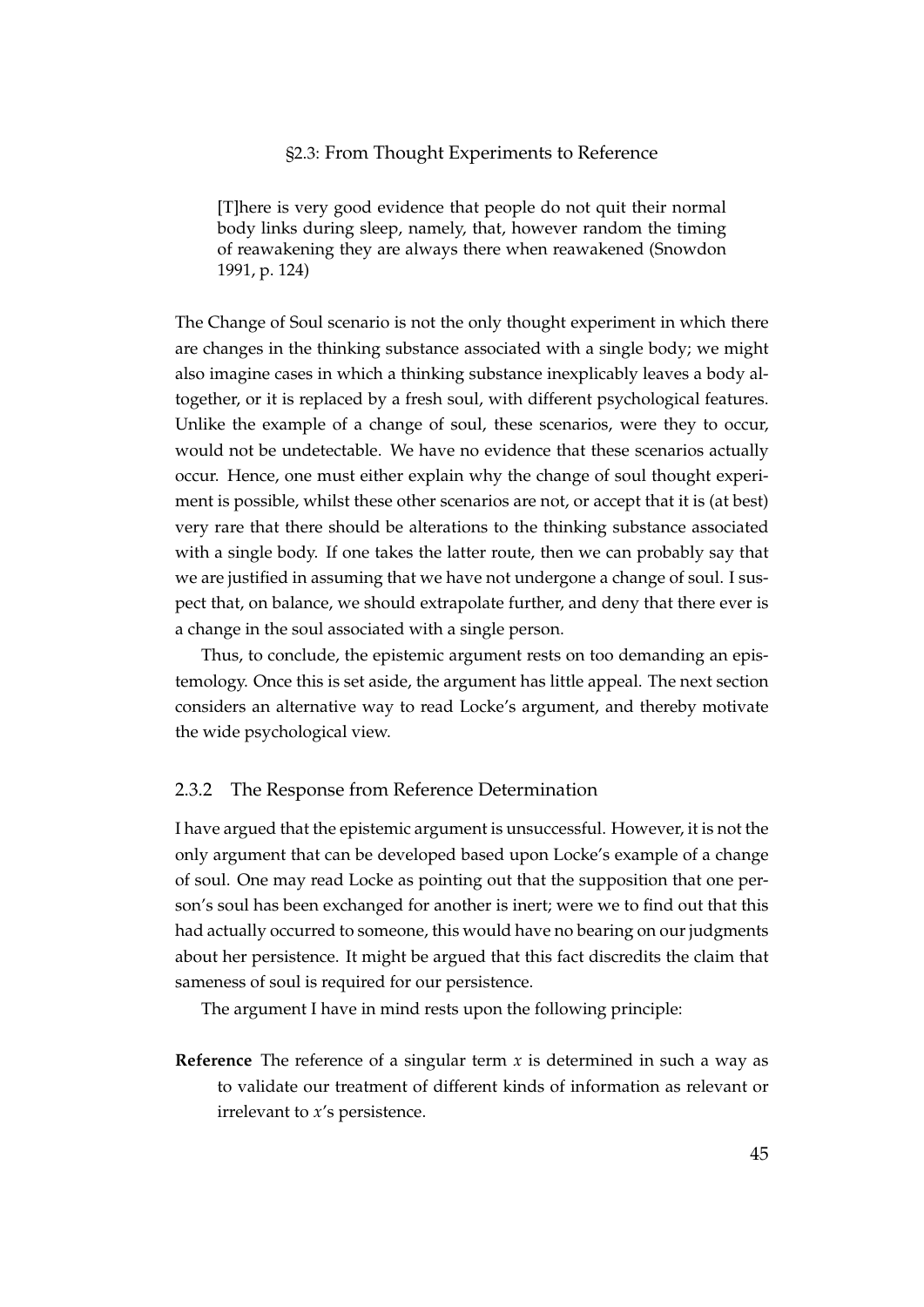[T]here is very good evidence that people do not quit their normal body links during sleep, namely, that, however random the timing of reawakening they are always there when reawakened [\(Snowdon](#page-218-1) [1991,](#page-218-1) p. 124)

The [Change of Soul](#page-34-0) scenario is not the only thought experiment in which there are changes in the thinking substance associated with a single body; we might also imagine cases in which a thinking substance inexplicably leaves a body altogether, or it is replaced by a fresh soul, with different psychological features. Unlike the example of a change of soul, these scenarios, were they to occur, would not be undetectable. We have no evidence that these scenarios actually occur. Hence, one must either explain why the change of soul thought experiment is possible, whilst these other scenarios are not, or accept that it is (at best) very rare that there should be alterations to the thinking substance associated with a single body. If one takes the latter route, then we can probably say that we are justified in assuming that we have not undergone a change of soul. I suspect that, on balance, we should extrapolate further, and deny that there ever is a change in the soul associated with a single person.

Thus, to conclude, the epistemic argument rests on too demanding an epistemology. Once this is set aside, the argument has little appeal. The next section considers an alternative way to read Locke's argument, and thereby motivate the wide psychological view.

# 2.3.2 The Response from Reference Determination

I have argued that the epistemic argument is unsuccessful. However, it is not the only argument that can be developed based upon Locke's example of a change of soul. One may read Locke as pointing out that the supposition that one person's soul has been exchanged for another is inert; were we to find out that this had actually occurred to someone, this would have no bearing on our judgments about her persistence. It might be argued that this fact discredits the claim that sameness of soul is required for our persistence.

The argument I have in mind rests upon the following principle:

<span id="page-44-0"></span>**Reference** The reference of a singular term  $x$  is determined in such a way as to validate our treatment of different kinds of information as relevant or irrelevant to *x*'s persistence.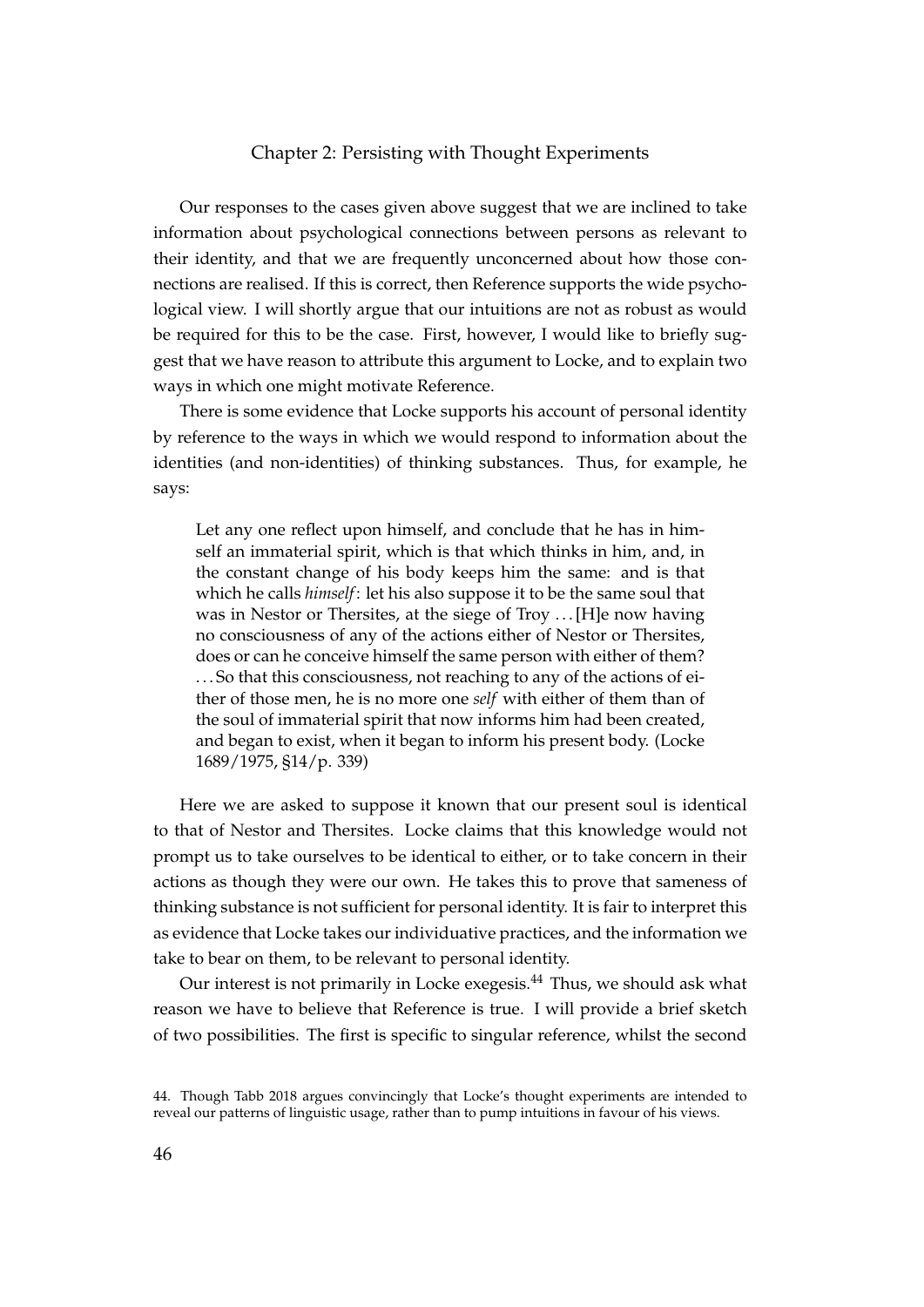Our responses to the cases given above suggest that we are inclined to take information about psychological connections between persons as relevant to their identity, and that we are frequently unconcerned about how those connections are realised. If this is correct, then [Reference](#page-44-0) supports the wide psychological view. I will shortly argue that our intuitions are not as robust as would be required for this to be the case. First, however, I would like to briefly suggest that we have reason to attribute this argument to Locke, and to explain two ways in which one might motivate [Reference.](#page-44-0)

There is some evidence that Locke supports his account of personal identity by reference to the ways in which we would respond to information about the identities (and non-identities) of thinking substances. Thus, for example, he says:

Let any one reflect upon himself, and conclude that he has in himself an immaterial spirit, which is that which thinks in him, and, in the constant change of his body keeps him the same: and is that which he calls *himself*: let his also suppose it to be the same soul that was in Nestor or Thersites, at the siege of Troy ... [H]e now having no consciousness of any of the actions either of Nestor or Thersites, does or can he conceive himself the same person with either of them? . . . So that this consciousness, not reaching to any of the actions of either of those men, he is no more one *self* with either of them than of the soul of immaterial spirit that now informs him had been created, and began to exist, when it began to inform his present body. [\(Locke](#page-213-0) [1689/1975,](#page-213-0) §14/p. 339)

Here we are asked to suppose it known that our present soul is identical to that of Nestor and Thersites. Locke claims that this knowledge would not prompt us to take ourselves to be identical to either, or to take concern in their actions as though they were our own. He takes this to prove that sameness of thinking substance is not sufficient for personal identity. It is fair to interpret this as evidence that Locke takes our individuative practices, and the information we take to bear on them, to be relevant to personal identity.

Our interest is not primarily in Locke exegesis.<sup>[44](#page-45-0)</sup> Thus, we should ask what reason we have to believe that [Reference](#page-44-0) is true. I will provide a brief sketch of two possibilities. The first is specific to singular reference, whilst the second

<span id="page-45-0"></span><sup>44.</sup> Though [Tabb 2018](#page-218-2) argues convincingly that Locke's thought experiments are intended to reveal our patterns of linguistic usage, rather than to pump intuitions in favour of his views.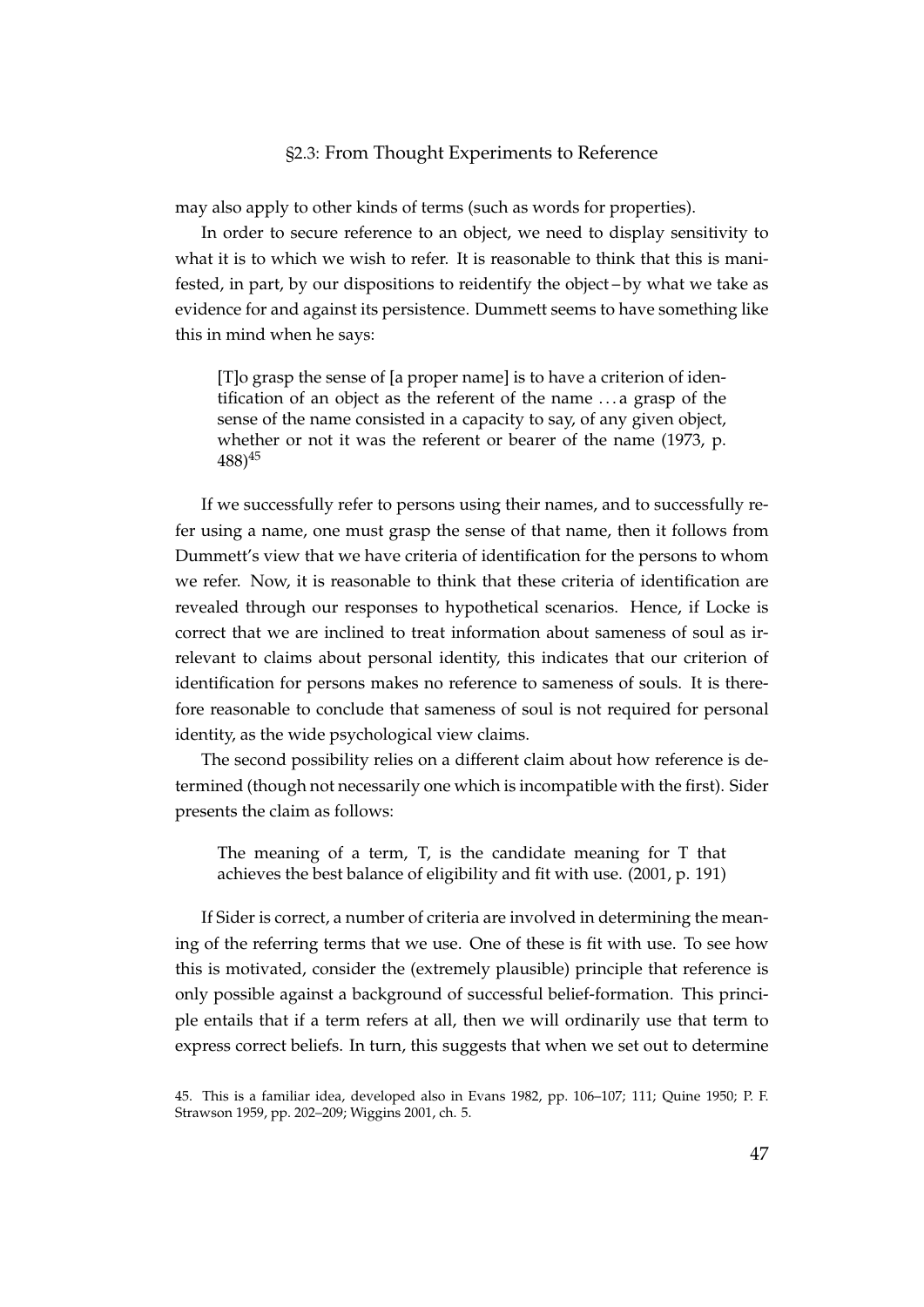may also apply to other kinds of terms (such as words for properties).

In order to secure reference to an object, we need to display sensitivity to what it is to which we wish to refer. It is reasonable to think that this is manifested, in part, by our dispositions to reidentify the object – by what we take as evidence for and against its persistence. Dummett seems to have something like this in mind when he says:

[T]o grasp the sense of [a proper name] is to have a criterion of identification of an object as the referent of the name . . . a grasp of the sense of the name consisted in a capacity to say, of any given object, whether or not it was the referent or bearer of the name (1973, p. 488)[45](#page-46-0)

If we successfully refer to persons using their names, and to successfully refer using a name, one must grasp the sense of that name, then it follows from Dummett's view that we have criteria of identification for the persons to whom we refer. Now, it is reasonable to think that these criteria of identification are revealed through our responses to hypothetical scenarios. Hence, if Locke is correct that we are inclined to treat information about sameness of soul as irrelevant to claims about personal identity, this indicates that our criterion of identification for persons makes no reference to sameness of souls. It is therefore reasonable to conclude that sameness of soul is not required for personal identity, as the wide psychological view claims.

The second possibility relies on a different claim about how reference is determined (though not necessarily one which is incompatible with the first). Sider presents the claim as follows:

The meaning of a term, T, is the candidate meaning for T that achieves the best balance of eligibility and fit with use. (2001, p. 191)

If Sider is correct, a number of criteria are involved in determining the meaning of the referring terms that we use. One of these is fit with use. To see how this is motivated, consider the (extremely plausible) principle that reference is only possible against a background of successful belief-formation. This principle entails that if a term refers at all, then we will ordinarily use that term to express correct beliefs. In turn, this suggests that when we set out to determine

<span id="page-46-0"></span><sup>45.</sup> This is a familiar idea, developed also in [Evans 1982,](#page-211-1) pp. 106–107; 111; [Quine 1950;](#page-216-1) [P. F.](#page-218-3) [Strawson 1959,](#page-218-3) pp. 202–209; [Wiggins 2001,](#page-219-2) ch. 5.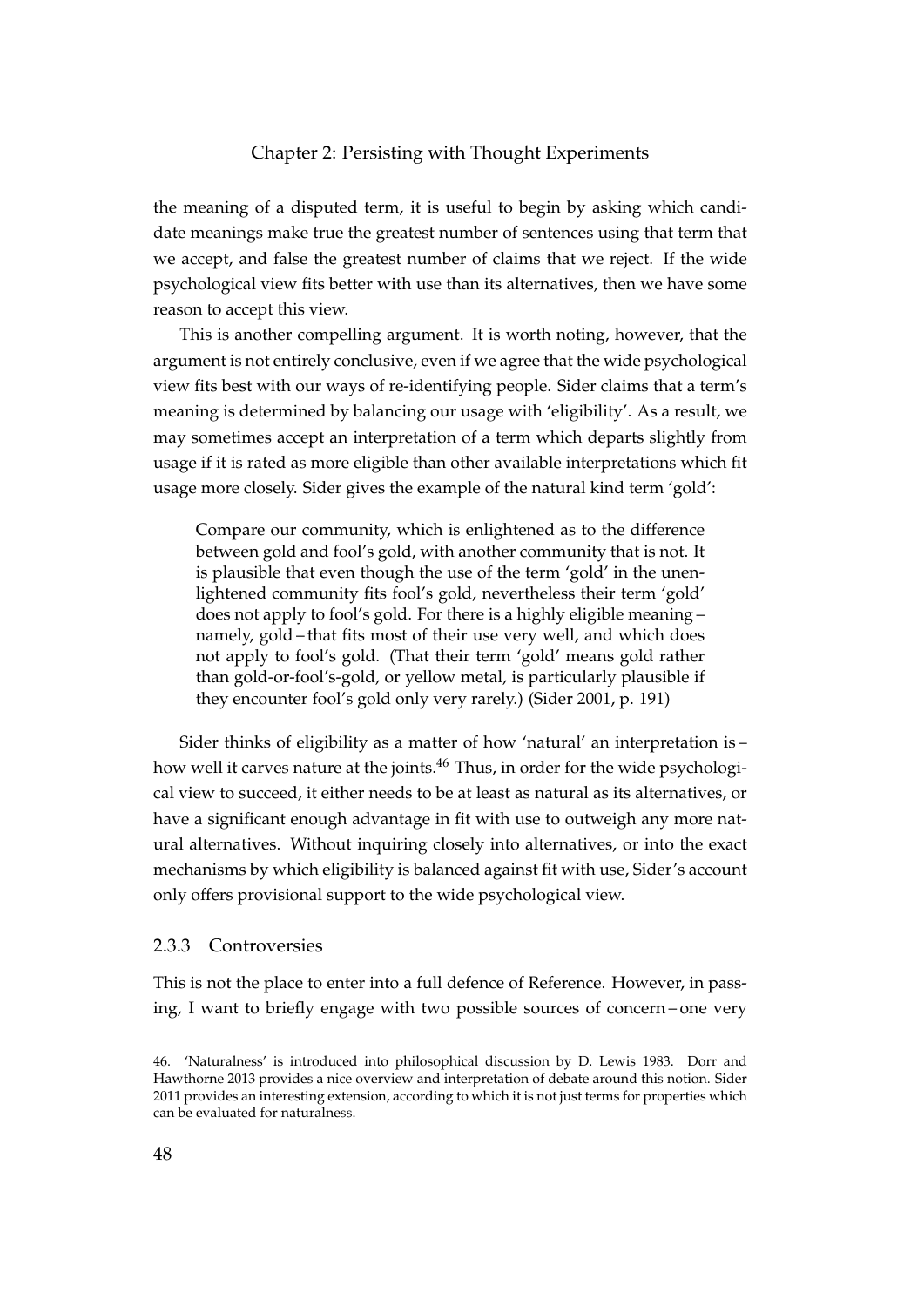the meaning of a disputed term, it is useful to begin by asking which candidate meanings make true the greatest number of sentences using that term that we accept, and false the greatest number of claims that we reject. If the wide psychological view fits better with use than its alternatives, then we have some reason to accept this view.

This is another compelling argument. It is worth noting, however, that the argument is not entirely conclusive, even if we agree that the wide psychological view fits best with our ways of re-identifying people. Sider claims that a term's meaning is determined by balancing our usage with 'eligibility'. As a result, we may sometimes accept an interpretation of a term which departs slightly from usage if it is rated as more eligible than other available interpretations which fit usage more closely. Sider gives the example of the natural kind term 'gold':

Compare our community, which is enlightened as to the difference between gold and fool's gold, with another community that is not. It is plausible that even though the use of the term 'gold' in the unenlightened community fits fool's gold, nevertheless their term 'gold' does not apply to fool's gold. For there is a highly eligible meaning – namely, gold – that fits most of their use very well, and which does not apply to fool's gold. (That their term 'gold' means gold rather than gold-or-fool's-gold, or yellow metal, is particularly plausible if they encounter fool's gold only very rarely.) [\(Sider 2001,](#page-217-1) p. 191)

Sider thinks of eligibility as a matter of how 'natural' an interpretation is – how well it carves nature at the joints.<sup>[46](#page-47-0)</sup> Thus, in order for the wide psychological view to succeed, it either needs to be at least as natural as its alternatives, or have a significant enough advantage in fit with use to outweigh any more natural alternatives. Without inquiring closely into alternatives, or into the exact mechanisms by which eligibility is balanced against fit with use, Sider's account only offers provisional support to the wide psychological view.

## 2.3.3 Controversies

This is not the place to enter into a full defence of [Reference.](#page-44-0) However, in passing, I want to briefly engage with two possible sources of concern – one very

<span id="page-47-0"></span><sup>46. &#</sup>x27;Naturalness' is introduced into philosophical discussion by [D. Lewis 1983.](#page-213-1) [Dorr and](#page-210-0) [Hawthorne 2013](#page-210-0) provides a nice overview and interpretation of debate around this notion. [Sider](#page-217-2) [2011](#page-217-2) provides an interesting extension, according to which it is not just terms for properties which can be evaluated for naturalness.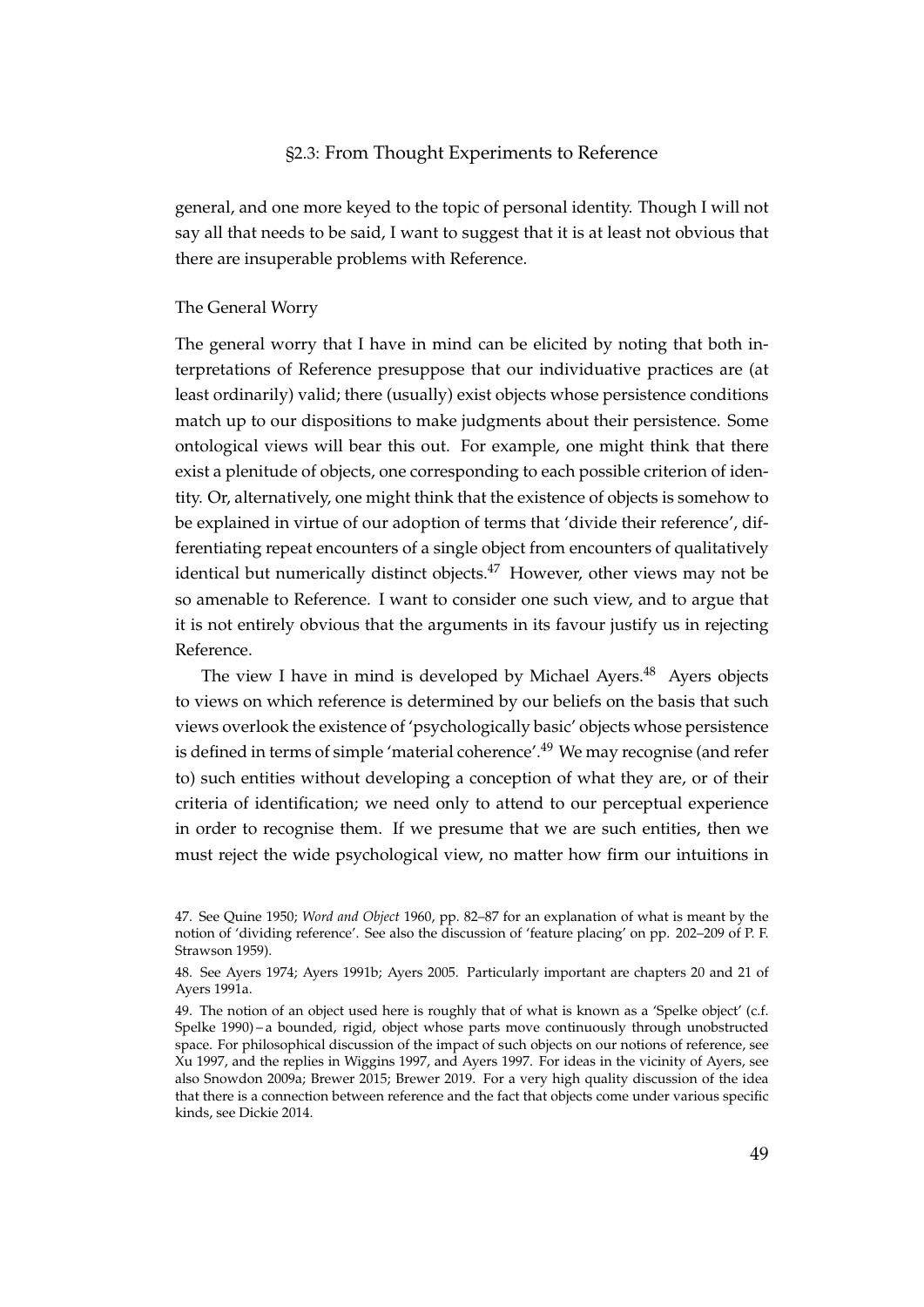general, and one more keyed to the topic of personal identity. Though I will not say all that needs to be said, I want to suggest that it is at least not obvious that there are insuperable problems with [Reference.](#page-44-0)

#### The General Worry

The general worry that I have in mind can be elicited by noting that both interpretations of [Reference](#page-44-0) presuppose that our individuative practices are (at least ordinarily) valid; there (usually) exist objects whose persistence conditions match up to our dispositions to make judgments about their persistence. Some ontological views will bear this out. For example, one might think that there exist a plenitude of objects, one corresponding to each possible criterion of identity. Or, alternatively, one might think that the existence of objects is somehow to be explained in virtue of our adoption of terms that 'divide their reference', differentiating repeat encounters of a single object from encounters of qualitatively identical but numerically distinct objects. $47$  However, other views may not be so amenable to [Reference.](#page-44-0) I want to consider one such view, and to argue that it is not entirely obvious that the arguments in its favour justify us in rejecting [Reference.](#page-44-0)

The view I have in mind is developed by Michael Ayers.<sup>[48](#page-48-1)</sup> Ayers objects to views on which reference is determined by our beliefs on the basis that such views overlook the existence of 'psychologically basic' objects whose persistence is defined in terms of simple 'material coherence'.<sup>[49](#page-48-2)</sup> We may recognise (and refer to) such entities without developing a conception of what they are, or of their criteria of identification; we need only to attend to our perceptual experience in order to recognise them. If we presume that we are such entities, then we must reject the wide psychological view, no matter how firm our intuitions in

<span id="page-48-0"></span><sup>47.</sup> See [Quine 1950;](#page-216-1) *[Word and Object](#page-220-1)* [1960,](#page-220-1) pp. 82–87 for an explanation of what is meant by the notion of 'dividing reference'. See also the discussion of 'feature placing' on pp. 202–209 of [P. F.](#page-218-3) [Strawson 1959\)](#page-218-3).

<span id="page-48-1"></span><sup>48.</sup> See [Ayers 1974;](#page-208-1) [Ayers 1991b;](#page-208-2) [Ayers 2005.](#page-208-3) Particularly important are chapters 20 and 21 of [Ayers 1991a.](#page-208-4)

<span id="page-48-2"></span><sup>49.</sup> The notion of an object used here is roughly that of what is known as a 'Spelke object' (c.f. [Spelke 1990\)](#page-218-4) – a bounded, rigid, object whose parts move continuously through unobstructed space. For philosophical discussion of the impact of such objects on our notions of reference, see [Xu 1997,](#page-220-2) and the replies in [Wiggins 1997,](#page-219-3) and [Ayers 1997.](#page-208-5) For ideas in the vicinity of Ayers, see also [Snowdon 2009a;](#page-218-5) [Brewer 2015;](#page-209-0) [Brewer 2019.](#page-209-1) For a very high quality discussion of the idea that there is a connection between reference and the fact that objects come under various specific kinds, see [Dickie 2014.](#page-210-1)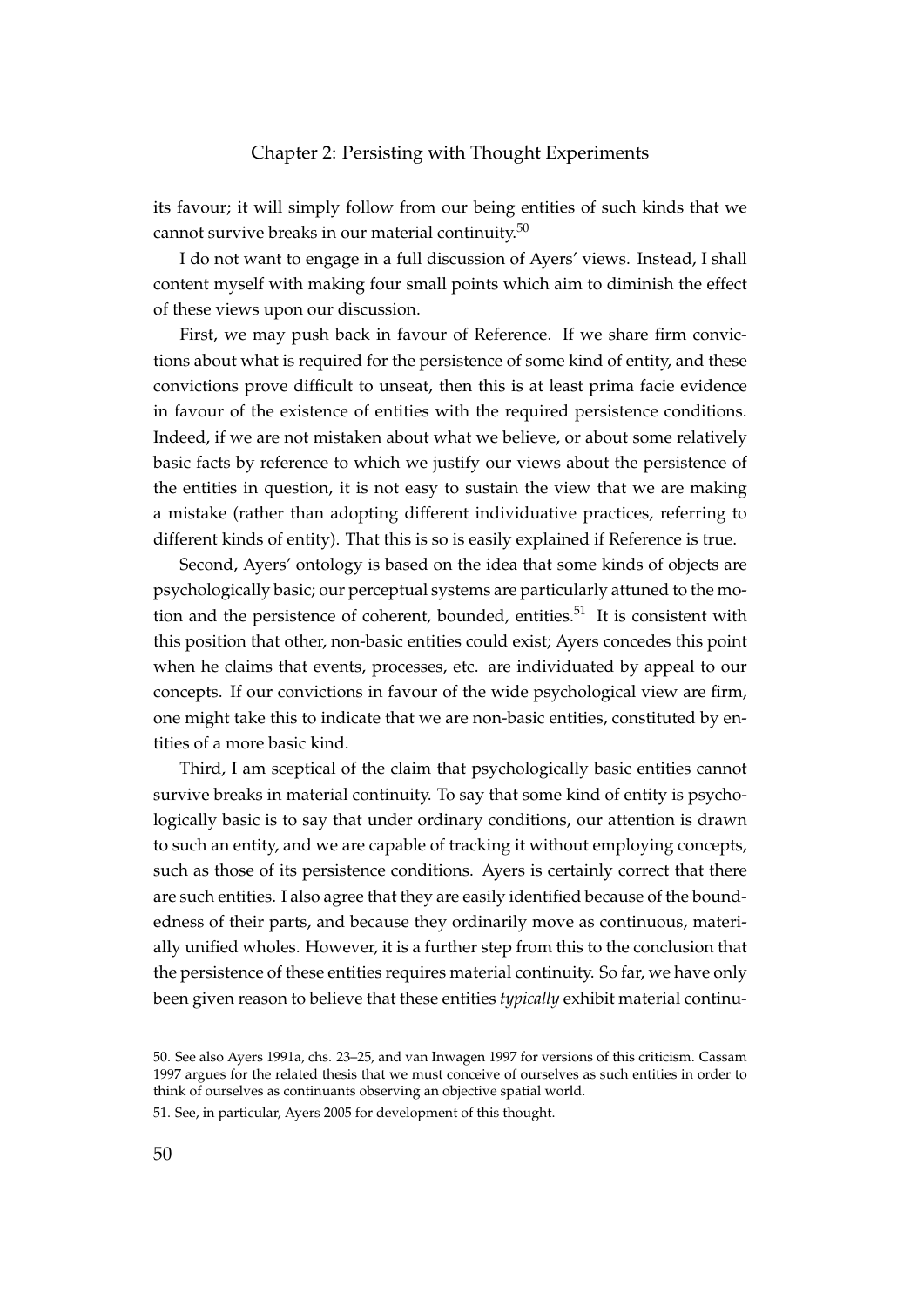its favour; it will simply follow from our being entities of such kinds that we cannot survive breaks in our material continuity. $50$ 

I do not want to engage in a full discussion of Ayers' views. Instead, I shall content myself with making four small points which aim to diminish the effect of these views upon our discussion.

First, we may push back in favour of [Reference.](#page-44-0) If we share firm convictions about what is required for the persistence of some kind of entity, and these convictions prove difficult to unseat, then this is at least prima facie evidence in favour of the existence of entities with the required persistence conditions. Indeed, if we are not mistaken about what we believe, or about some relatively basic facts by reference to which we justify our views about the persistence of the entities in question, it is not easy to sustain the view that we are making a mistake (rather than adopting different individuative practices, referring to different kinds of entity). That this is so is easily explained if [Reference](#page-44-0) is true.

Second, Ayers' ontology is based on the idea that some kinds of objects are psychologically basic; our perceptual systems are particularly attuned to the mo-tion and the persistence of coherent, bounded, entities.<sup>[51](#page-49-1)</sup> It is consistent with this position that other, non-basic entities could exist; Ayers concedes this point when he claims that events, processes, etc. are individuated by appeal to our concepts. If our convictions in favour of the wide psychological view are firm, one might take this to indicate that we are non-basic entities, constituted by entities of a more basic kind.

Third, I am sceptical of the claim that psychologically basic entities cannot survive breaks in material continuity. To say that some kind of entity is psychologically basic is to say that under ordinary conditions, our attention is drawn to such an entity, and we are capable of tracking it without employing concepts, such as those of its persistence conditions. Ayers is certainly correct that there are such entities. I also agree that they are easily identified because of the boundedness of their parts, and because they ordinarily move as continuous, materially unified wholes. However, it is a further step from this to the conclusion that the persistence of these entities requires material continuity. So far, we have only been given reason to believe that these entities *typically* exhibit material continu-

<span id="page-49-0"></span><sup>50.</sup> See also [Ayers 1991a,](#page-208-4) chs. 23–25, and [van Inwagen 1997](#page-219-4) for versions of this criticism. [Cassam](#page-209-2) [1997](#page-209-2) argues for the related thesis that we must conceive of ourselves as such entities in order to think of ourselves as continuants observing an objective spatial world.

<span id="page-49-1"></span><sup>51.</sup> See, in particular, [Ayers 2005](#page-208-3) for development of this thought.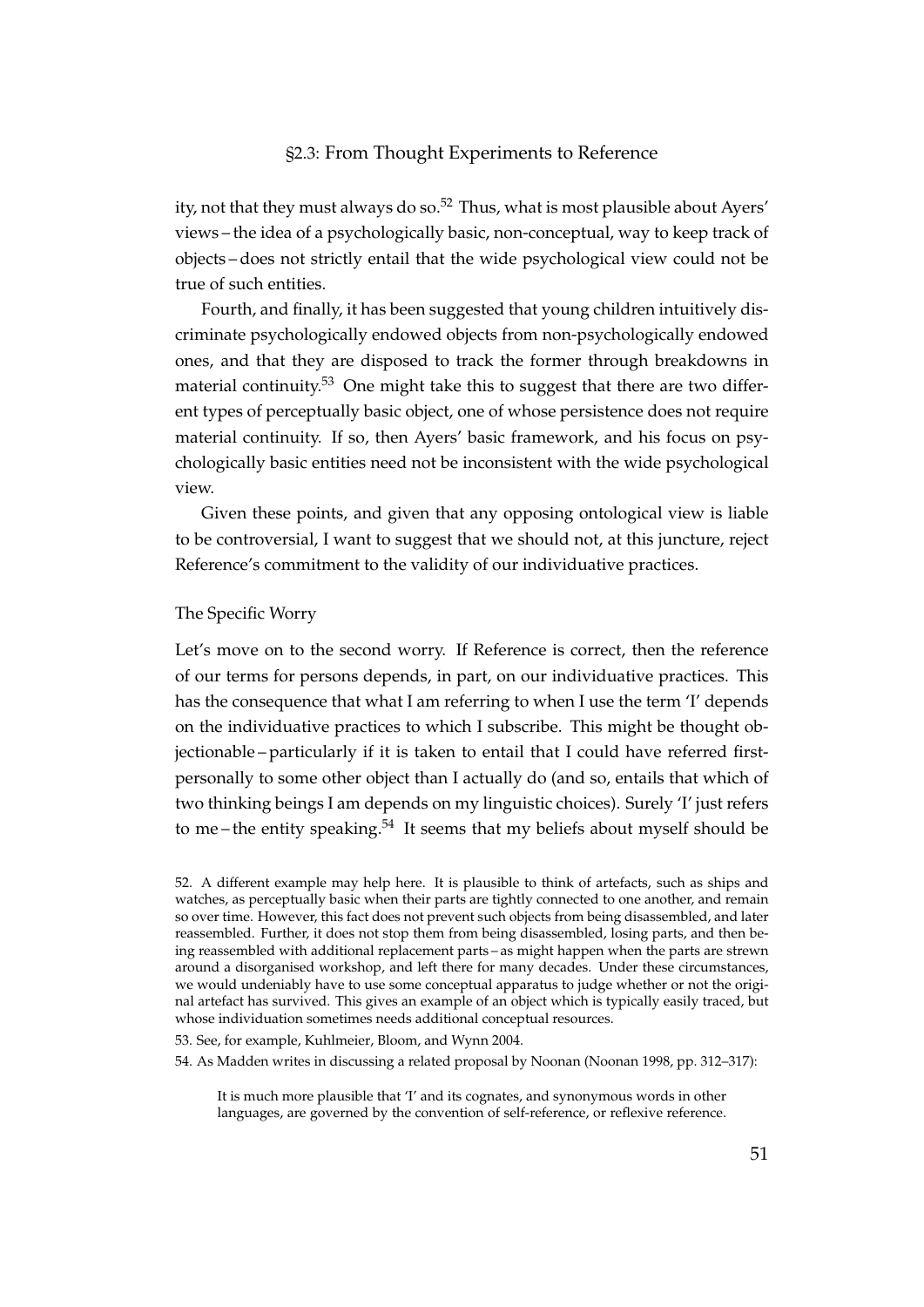ity, not that they must always do so.<sup>[52](#page-50-0)</sup> Thus, what is most plausible about Ayers' views – the idea of a psychologically basic, non-conceptual, way to keep track of objects – does not strictly entail that the wide psychological view could not be true of such entities.

Fourth, and finally, it has been suggested that young children intuitively discriminate psychologically endowed objects from non-psychologically endowed ones, and that they are disposed to track the former through breakdowns in material continuity.<sup>[53](#page-50-1)</sup> One might take this to suggest that there are two different types of perceptually basic object, one of whose persistence does not require material continuity. If so, then Ayers' basic framework, and his focus on psychologically basic entities need not be inconsistent with the wide psychological view.

Given these points, and given that any opposing ontological view is liable to be controversial, I want to suggest that we should not, at this juncture, reject [Reference'](#page-44-0)s commitment to the validity of our individuative practices.

#### The Specific Worry

Let's move on to the second worry. If [Reference](#page-44-0) is correct, then the reference of our terms for persons depends, in part, on our individuative practices. This has the consequence that what I am referring to when I use the term 'I' depends on the individuative practices to which I subscribe. This might be thought objectionable – particularly if it is taken to entail that I could have referred firstpersonally to some other object than I actually do (and so, entails that which of two thinking beings I am depends on my linguistic choices). Surely 'I' just refers to me – the entity speaking.<sup>[54](#page-50-2)</sup> It seems that my beliefs about myself should be

<span id="page-50-1"></span>53. See, for example, [Kuhlmeier, Bloom, and Wynn 2004.](#page-213-2)

<span id="page-50-2"></span>54. As Madden writes in discussing a related proposal by Noonan [\(Noonan 1998,](#page-214-2) pp. 312–317):

It is much more plausible that 'I' and its cognates, and synonymous words in other languages, are governed by the convention of self-reference, or reflexive reference.

<span id="page-50-0"></span><sup>52.</sup> A different example may help here. It is plausible to think of artefacts, such as ships and watches, as perceptually basic when their parts are tightly connected to one another, and remain so over time. However, this fact does not prevent such objects from being disassembled, and later reassembled. Further, it does not stop them from being disassembled, losing parts, and then being reassembled with additional replacement parts – as might happen when the parts are strewn around a disorganised workshop, and left there for many decades. Under these circumstances, we would undeniably have to use some conceptual apparatus to judge whether or not the original artefact has survived. This gives an example of an object which is typically easily traced, but whose individuation sometimes needs additional conceptual resources.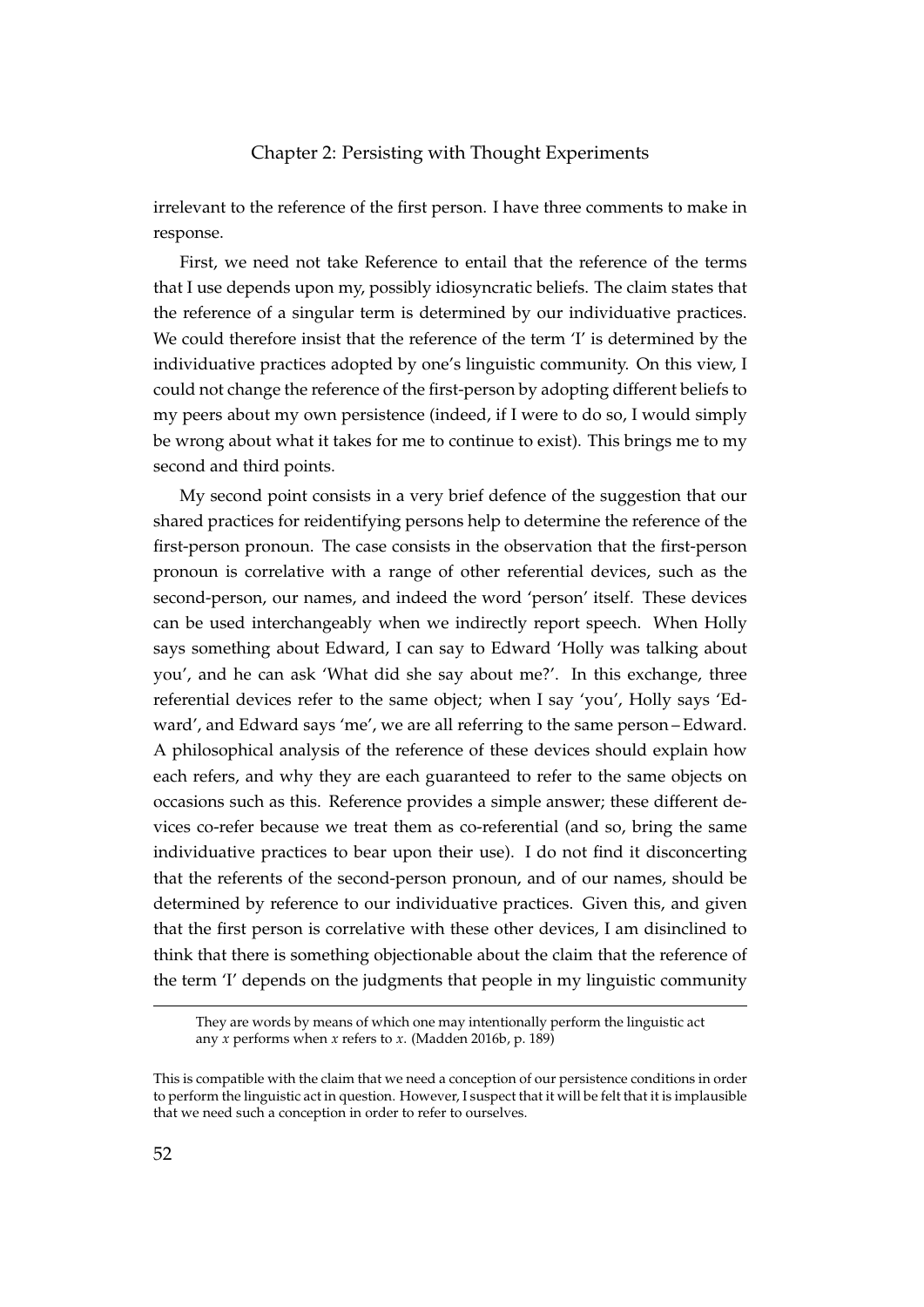irrelevant to the reference of the first person. I have three comments to make in response.

First, we need not take [Reference](#page-44-0) to entail that the reference of the terms that I use depends upon my, possibly idiosyncratic beliefs. The claim states that the reference of a singular term is determined by our individuative practices. We could therefore insist that the reference of the term 'I' is determined by the individuative practices adopted by one's linguistic community. On this view, I could not change the reference of the first-person by adopting different beliefs to my peers about my own persistence (indeed, if I were to do so, I would simply be wrong about what it takes for me to continue to exist). This brings me to my second and third points.

My second point consists in a very brief defence of the suggestion that our shared practices for reidentifying persons help to determine the reference of the first-person pronoun. The case consists in the observation that the first-person pronoun is correlative with a range of other referential devices, such as the second-person, our names, and indeed the word 'person' itself. These devices can be used interchangeably when we indirectly report speech. When Holly says something about Edward, I can say to Edward 'Holly was talking about you', and he can ask 'What did she say about me?'. In this exchange, three referential devices refer to the same object; when I say 'you', Holly says 'Edward', and Edward says 'me', we are all referring to the same person – Edward. A philosophical analysis of the reference of these devices should explain how each refers, and why they are each guaranteed to refer to the same objects on occasions such as this. [Reference](#page-44-0) provides a simple answer; these different devices co-refer because we treat them as co-referential (and so, bring the same individuative practices to bear upon their use). I do not find it disconcerting that the referents of the second-person pronoun, and of our names, should be determined by reference to our individuative practices. Given this, and given that the first person is correlative with these other devices, I am disinclined to think that there is something objectionable about the claim that the reference of the term 'I' depends on the judgments that people in my linguistic community

They are words by means of which one may intentionally perform the linguistic act any *x* performs when *x* refers to *x*. [\(Madden 2016b,](#page-214-3) p. 189)

This is compatible with the claim that we need a conception of our persistence conditions in order to perform the linguistic act in question. However, I suspect that it will be felt that it is implausible that we need such a conception in order to refer to ourselves.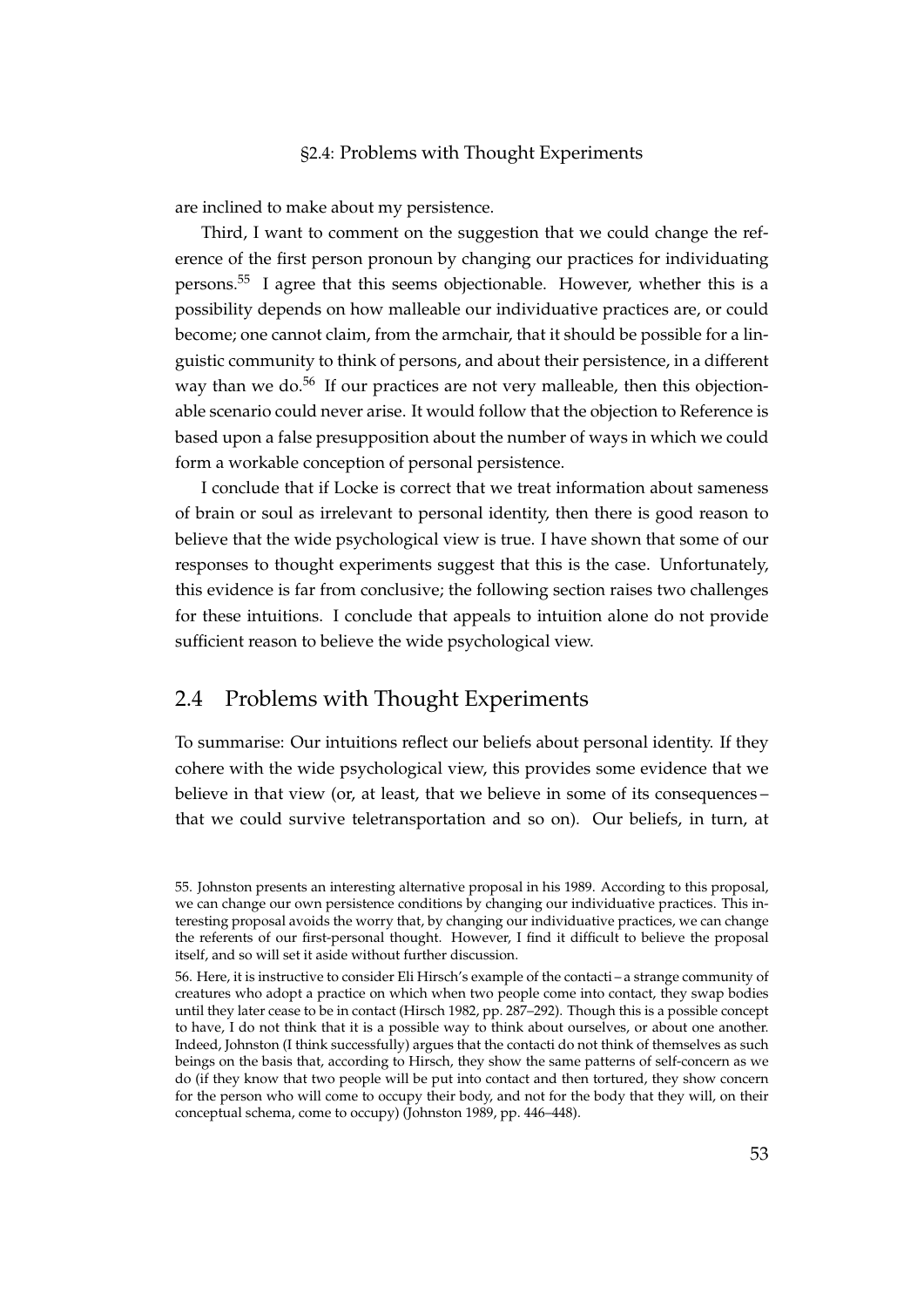# §2.4: Problems with Thought Experiments

are inclined to make about my persistence.

Third, I want to comment on the suggestion that we could change the reference of the first person pronoun by changing our practices for individuating persons.[55](#page-52-0) I agree that this seems objectionable. However, whether this is a possibility depends on how malleable our individuative practices are, or could become; one cannot claim, from the armchair, that it should be possible for a linguistic community to think of persons, and about their persistence, in a different way than we do. $56$  If our practices are not very malleable, then this objectionable scenario could never arise. It would follow that the objection to [Reference](#page-44-0) is based upon a false presupposition about the number of ways in which we could form a workable conception of personal persistence.

I conclude that if Locke is correct that we treat information about sameness of brain or soul as irrelevant to personal identity, then there is good reason to believe that the wide psychological view is true. I have shown that some of our responses to thought experiments suggest that this is the case. Unfortunately, this evidence is far from conclusive; the following section raises two challenges for these intuitions. I conclude that appeals to intuition alone do not provide sufficient reason to believe the wide psychological view.

# 2.4 Problems with Thought Experiments

To summarise: Our intuitions reflect our beliefs about personal identity. If they cohere with the wide psychological view, this provides some evidence that we believe in that view (or, at least, that we believe in some of its consequences – that we could survive teletransportation and so on). Our beliefs, in turn, at

<span id="page-52-0"></span><sup>55.</sup> Johnston presents an interesting alternative proposal in his [1989.](#page-212-2) According to this proposal, we can change our own persistence conditions by changing our individuative practices. This interesting proposal avoids the worry that, by changing our individuative practices, we can change the referents of our first-personal thought. However, I find it difficult to believe the proposal itself, and so will set it aside without further discussion.

<span id="page-52-1"></span><sup>56.</sup> Here, it is instructive to consider Eli Hirsch's example of the contacti – a strange community of creatures who adopt a practice on which when two people come into contact, they swap bodies until they later cease to be in contact [\(Hirsch 1982,](#page-212-3) pp. 287–292). Though this is a possible concept to have, I do not think that it is a possible way to think about ourselves, or about one another. Indeed, Johnston (I think successfully) argues that the contacti do not think of themselves as such beings on the basis that, according to Hirsch, they show the same patterns of self-concern as we do (if they know that two people will be put into contact and then tortured, they show concern for the person who will come to occupy their body, and not for the body that they will, on their conceptual schema, come to occupy) [\(Johnston 1989,](#page-212-2) pp. 446–448).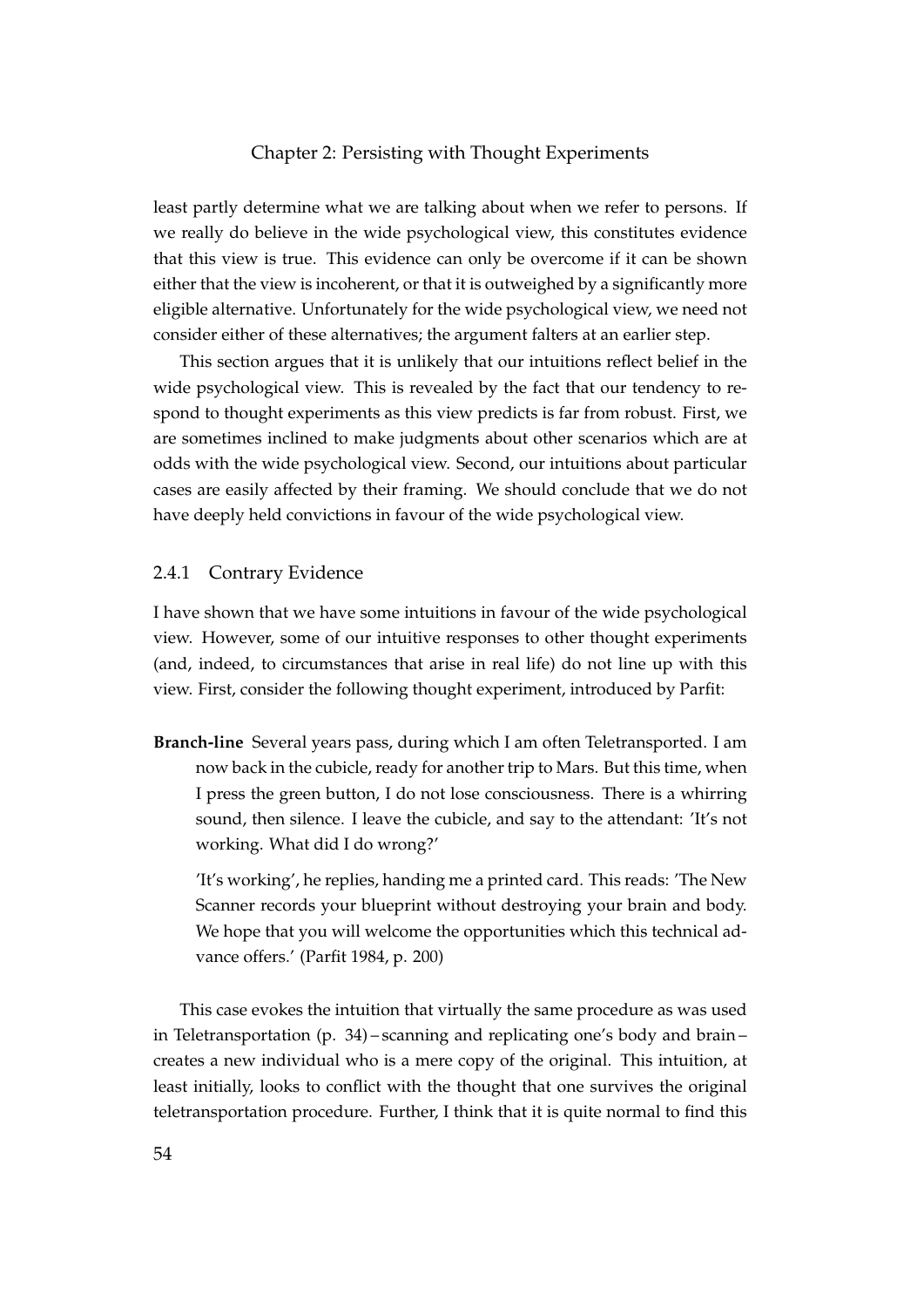least partly determine what we are talking about when we refer to persons. If we really do believe in the wide psychological view, this constitutes evidence that this view is true. This evidence can only be overcome if it can be shown either that the view is incoherent, or that it is outweighed by a significantly more eligible alternative. Unfortunately for the wide psychological view, we need not consider either of these alternatives; the argument falters at an earlier step.

This section argues that it is unlikely that our intuitions reflect belief in the wide psychological view. This is revealed by the fact that our tendency to respond to thought experiments as this view predicts is far from robust. First, we are sometimes inclined to make judgments about other scenarios which are at odds with the wide psychological view. Second, our intuitions about particular cases are easily affected by their framing. We should conclude that we do not have deeply held convictions in favour of the wide psychological view.

#### 2.4.1 Contrary Evidence

I have shown that we have some intuitions in favour of the wide psychological view. However, some of our intuitive responses to other thought experiments (and, indeed, to circumstances that arise in real life) do not line up with this view. First, consider the following thought experiment, introduced by Parfit:

<span id="page-53-0"></span>**Branch-line** Several years pass, during which I am often Teletransported. I am now back in the cubicle, ready for another trip to Mars. But this time, when I press the green button, I do not lose consciousness. There is a whirring sound, then silence. I leave the cubicle, and say to the attendant: 'It's not working. What did I do wrong?'

'It's working', he replies, handing me a printed card. This reads: 'The New Scanner records your blueprint without destroying your brain and body. We hope that you will welcome the opportunities which this technical advance offers.' [\(Parfit 1984,](#page-215-0) p. 200)

This case evokes the intuition that virtually the same procedure as was used in [Teletransportation](#page-33-0) (p. [34\)](#page-33-0) – scanning and replicating one's body and brain – creates a new individual who is a mere copy of the original. This intuition, at least initially, looks to conflict with the thought that one survives the original teletransportation procedure. Further, I think that it is quite normal to find this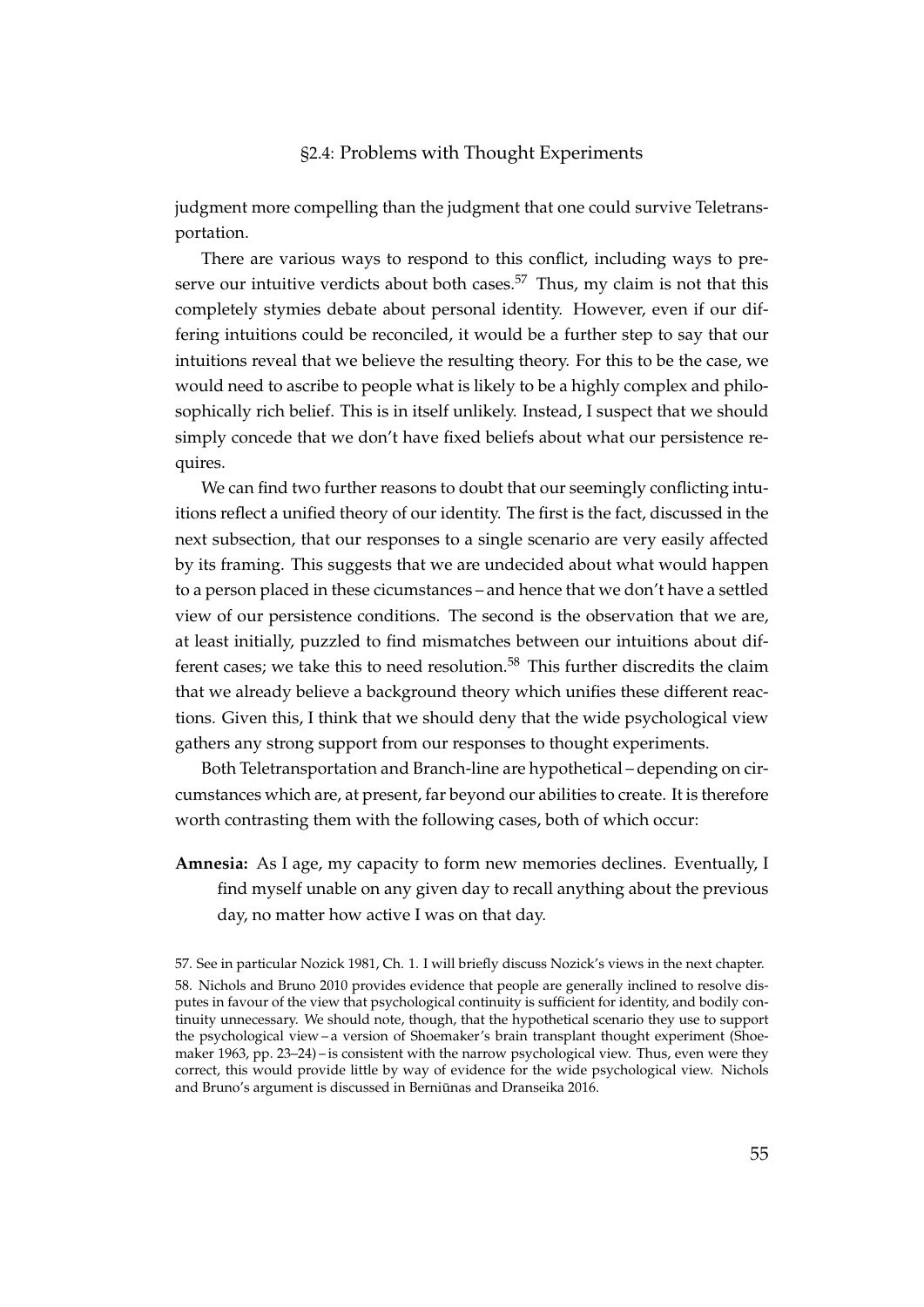#### §2.4: Problems with Thought Experiments

judgment more compelling than the judgment that one could survive [Teletrans](#page-33-0)[portation.](#page-33-0)

There are various ways to respond to this conflict, including ways to pre-serve our intuitive verdicts about both cases.<sup>[57](#page-54-0)</sup> Thus, my claim is not that this completely stymies debate about personal identity. However, even if our differing intuitions could be reconciled, it would be a further step to say that our intuitions reveal that we believe the resulting theory. For this to be the case, we would need to ascribe to people what is likely to be a highly complex and philosophically rich belief. This is in itself unlikely. Instead, I suspect that we should simply concede that we don't have fixed beliefs about what our persistence requires.

We can find two further reasons to doubt that our seemingly conflicting intuitions reflect a unified theory of our identity. The first is the fact, discussed in the next subsection, that our responses to a single scenario are very easily affected by its framing. This suggests that we are undecided about what would happen to a person placed in these cicumstances – and hence that we don't have a settled view of our persistence conditions. The second is the observation that we are, at least initially, puzzled to find mismatches between our intuitions about dif-ferent cases; we take this to need resolution.<sup>[58](#page-54-1)</sup> This further discredits the claim that we already believe a background theory which unifies these different reactions. Given this, I think that we should deny that the wide psychological view gathers any strong support from our responses to thought experiments.

Both [Teletransportation](#page-33-0) and [Branch-line](#page-53-0) are hypothetical – depending on circumstances which are, at present, far beyond our abilities to create. It is therefore worth contrasting them with the following cases, both of which occur:

**Amnesia:** As I age, my capacity to form new memories declines. Eventually, I find myself unable on any given day to recall anything about the previous day, no matter how active I was on that day.

<span id="page-54-1"></span><span id="page-54-0"></span><sup>57.</sup> See in particular [Nozick 1981,](#page-215-1) Ch. 1. I will briefly discuss Nozick's views in the next chapter. 58. [Nichols and Bruno 2010](#page-214-4) provides evidence that people are generally inclined to resolve disputes in favour of the view that psychological continuity is sufficient for identity, and bodily continuity unnecessary. We should note, though, that the hypothetical scenario they use to support the psychological view – a version of Shoemaker's brain transplant thought experiment [\(Shoe](#page-217-3)[maker 1963,](#page-217-3) pp. 23–24) – is consistent with the narrow psychological view. Thus, even were they correct, this would provide little by way of evidence for the wide psychological view. Nichols and Bruno's argument is discussed in Berniūnas and Dranseika 2016.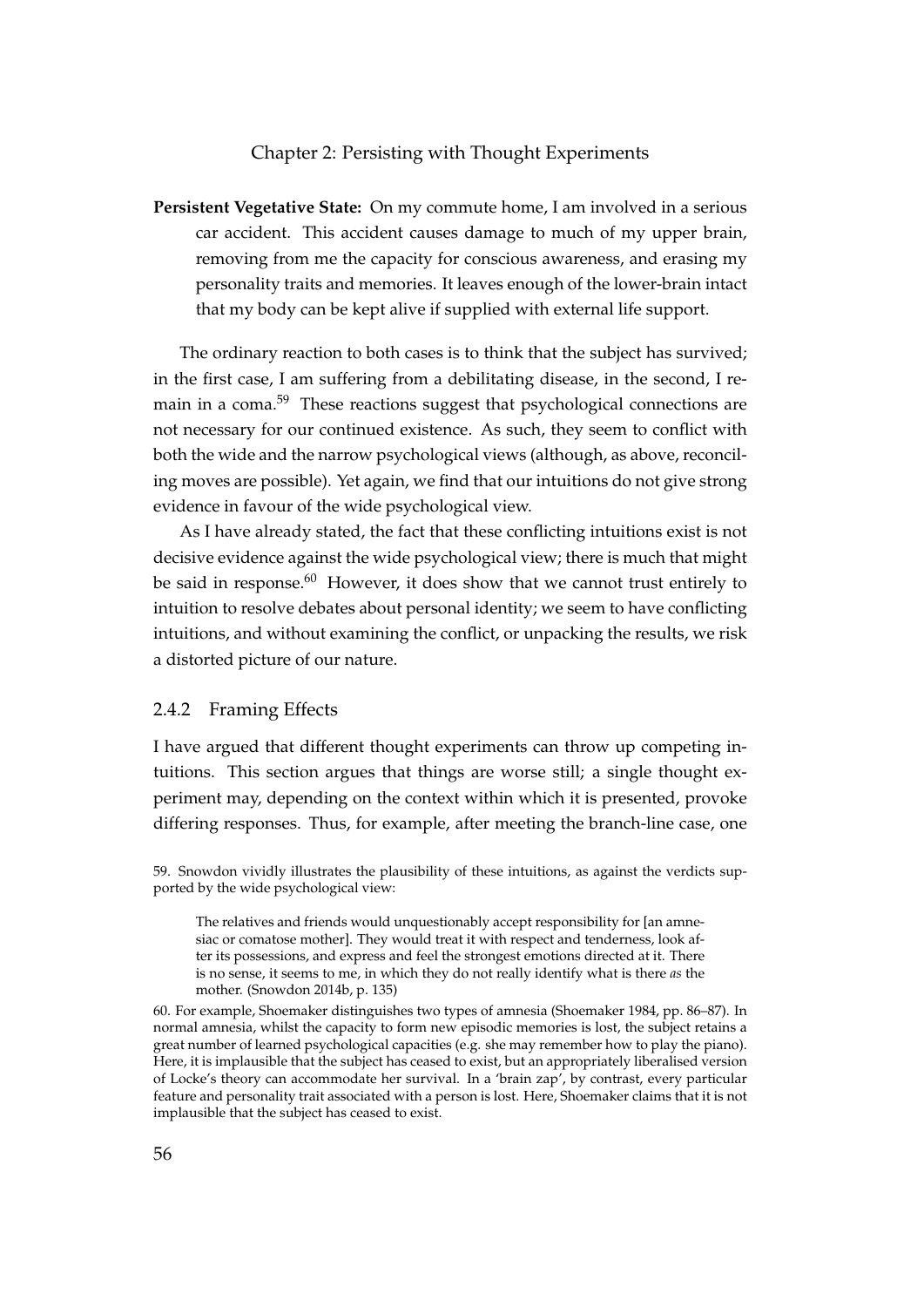**Persistent Vegetative State:** On my commute home, I am involved in a serious car accident. This accident causes damage to much of my upper brain, removing from me the capacity for conscious awareness, and erasing my personality traits and memories. It leaves enough of the lower-brain intact that my body can be kept alive if supplied with external life support.

The ordinary reaction to both cases is to think that the subject has survived; in the first case, I am suffering from a debilitating disease, in the second, I re-main in a coma.<sup>[59](#page-55-0)</sup> These reactions suggest that psychological connections are not necessary for our continued existence. As such, they seem to conflict with both the wide and the narrow psychological views (although, as above, reconciling moves are possible). Yet again, we find that our intuitions do not give strong evidence in favour of the wide psychological view.

As I have already stated, the fact that these conflicting intuitions exist is not decisive evidence against the wide psychological view; there is much that might be said in response.<sup>[60](#page-55-1)</sup> However, it does show that we cannot trust entirely to intuition to resolve debates about personal identity; we seem to have conflicting intuitions, and without examining the conflict, or unpacking the results, we risk a distorted picture of our nature.

#### 2.4.2 Framing Effects

I have argued that different thought experiments can throw up competing intuitions. This section argues that things are worse still; a single thought experiment may, depending on the context within which it is presented, provoke differing responses. Thus, for example, after meeting the branch-line case, one

The relatives and friends would unquestionably accept responsibility for [an amnesiac or comatose mother]. They would treat it with respect and tenderness, look after its possessions, and express and feel the strongest emotions directed at it. There is no sense, it seems to me, in which they do not really identify what is there *as* the mother. [\(Snowdon 2014b,](#page-218-0) p. 135)

<span id="page-55-0"></span><sup>59.</sup> Snowdon vividly illustrates the plausibility of these intuitions, as against the verdicts supported by the wide psychological view:

<span id="page-55-1"></span><sup>60.</sup> For example, Shoemaker distinguishes two types of amnesia [\(Shoemaker 1984,](#page-217-4) pp. 86–87). In normal amnesia, whilst the capacity to form new episodic memories is lost, the subject retains a great number of learned psychological capacities (e.g. she may remember how to play the piano). Here, it is implausible that the subject has ceased to exist, but an appropriately liberalised version of Locke's theory can accommodate her survival. In a 'brain zap', by contrast, every particular feature and personality trait associated with a person is lost. Here, Shoemaker claims that it is not implausible that the subject has ceased to exist.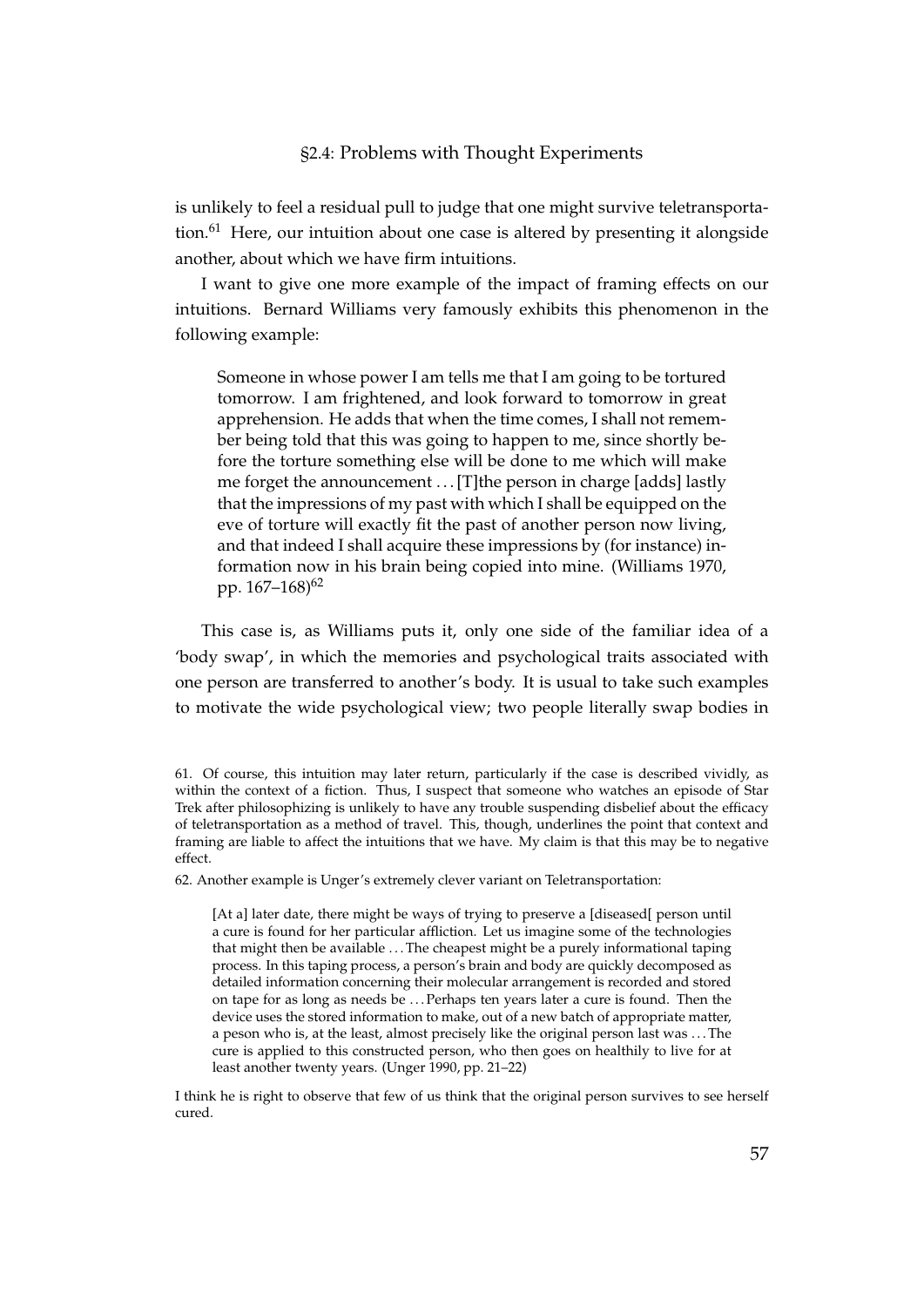#### §2.4: Problems with Thought Experiments

is unlikely to feel a residual pull to judge that one might survive teletransporta-tion.<sup>[61](#page-56-0)</sup> Here, our intuition about one case is altered by presenting it alongside another, about which we have firm intuitions.

I want to give one more example of the impact of framing effects on our intuitions. Bernard Williams very famously exhibits this phenomenon in the following example:

Someone in whose power I am tells me that I am going to be tortured tomorrow. I am frightened, and look forward to tomorrow in great apprehension. He adds that when the time comes, I shall not remember being told that this was going to happen to me, since shortly before the torture something else will be done to me which will make me forget the announcement ... [T] the person in charge [adds] lastly that the impressions of my past with which I shall be equipped on the eve of torture will exactly fit the past of another person now living, and that indeed I shall acquire these impressions by (for instance) information now in his brain being copied into mine. [\(Williams 1970,](#page-220-0) pp.  $167-168$ <sup>[62](#page-56-1)</sup>

This case is, as Williams puts it, only one side of the familiar idea of a 'body swap', in which the memories and psychological traits associated with one person are transferred to another's body. It is usual to take such examples to motivate the wide psychological view; two people literally swap bodies in

<span id="page-56-1"></span>62. Another example is Unger's extremely clever variant on [Teletransportation:](#page-33-0)

[At a] later date, there might be ways of trying to preserve a [diseased] person until a cure is found for her particular affliction. Let us imagine some of the technologies that might then be available . . . The cheapest might be a purely informational taping process. In this taping process, a person's brain and body are quickly decomposed as detailed information concerning their molecular arrangement is recorded and stored on tape for as long as needs be . . . Perhaps ten years later a cure is found. Then the device uses the stored information to make, out of a new batch of appropriate matter, a peson who is, at the least, almost precisely like the original person last was . . . The cure is applied to this constructed person, who then goes on healthily to live for at least another twenty years. [\(Unger 1990,](#page-219-1) pp. 21–22)

I think he is right to observe that few of us think that the original person survives to see herself cured.

<span id="page-56-0"></span><sup>61.</sup> Of course, this intuition may later return, particularly if the case is described vividly, as within the context of a fiction. Thus, I suspect that someone who watches an episode of Star Trek after philosophizing is unlikely to have any trouble suspending disbelief about the efficacy of teletransportation as a method of travel. This, though, underlines the point that context and framing are liable to affect the intuitions that we have. My claim is that this may be to negative effect.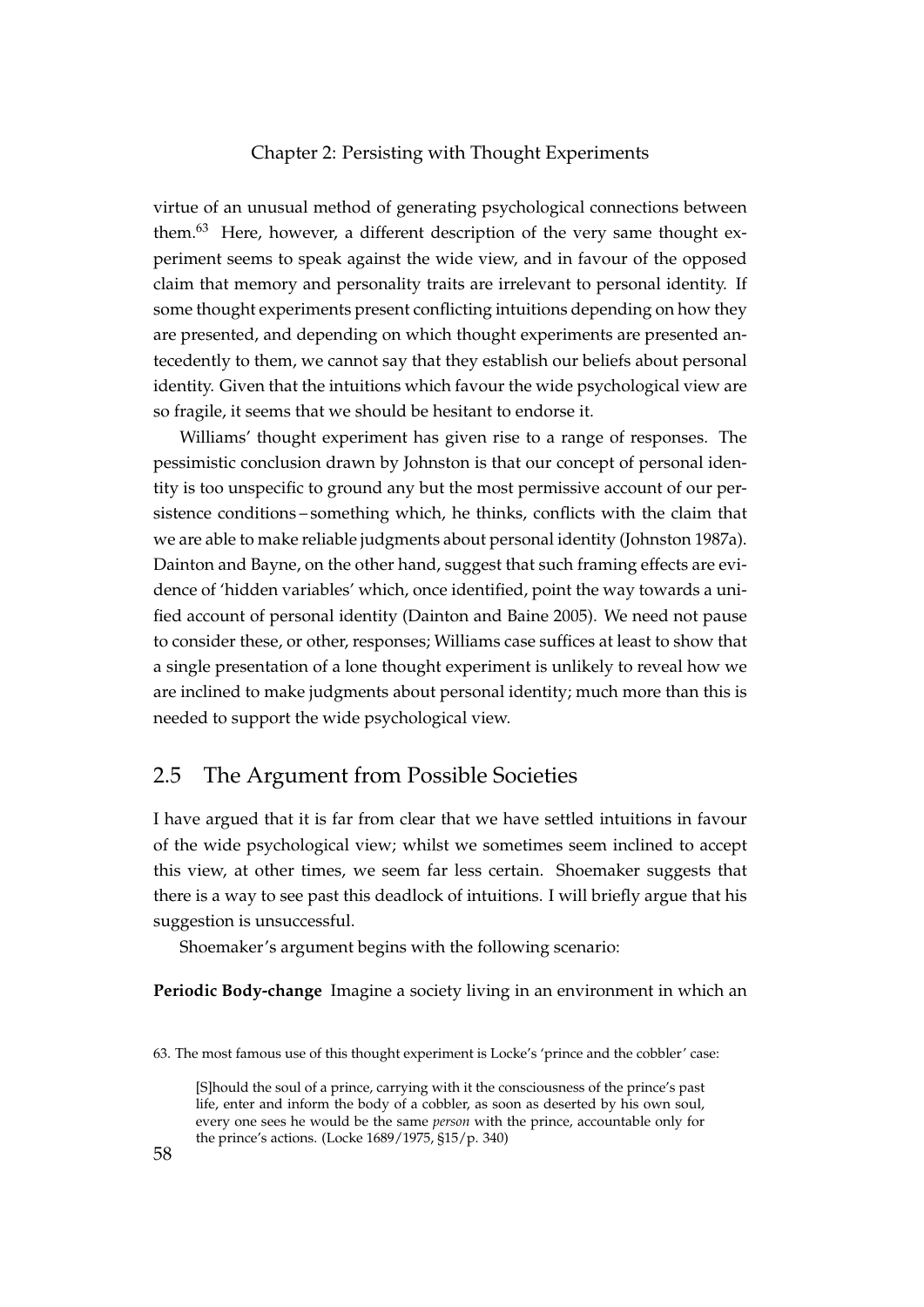virtue of an unusual method of generating psychological connections between them. $^{63}$  $^{63}$  $^{63}$  Here, however, a different description of the very same thought experiment seems to speak against the wide view, and in favour of the opposed claim that memory and personality traits are irrelevant to personal identity. If some thought experiments present conflicting intuitions depending on how they are presented, and depending on which thought experiments are presented antecedently to them, we cannot say that they establish our beliefs about personal identity. Given that the intuitions which favour the wide psychological view are so fragile, it seems that we should be hesitant to endorse it.

Williams' thought experiment has given rise to a range of responses. The pessimistic conclusion drawn by Johnston is that our concept of personal identity is too unspecific to ground any but the most permissive account of our persistence conditions – something which, he thinks, conflicts with the claim that we are able to make reliable judgments about personal identity [\(Johnston 1987a\)](#page-212-1). Dainton and Bayne, on the other hand, suggest that such framing effects are evidence of 'hidden variables' which, once identified, point the way towards a unified account of personal identity [\(Dainton and Baine 2005\)](#page-210-2). We need not pause to consider these, or other, responses; Williams case suffices at least to show that a single presentation of a lone thought experiment is unlikely to reveal how we are inclined to make judgments about personal identity; much more than this is needed to support the wide psychological view.

# 2.5 The Argument from Possible Societies

I have argued that it is far from clear that we have settled intuitions in favour of the wide psychological view; whilst we sometimes seem inclined to accept this view, at other times, we seem far less certain. Shoemaker suggests that there is a way to see past this deadlock of intuitions. I will briefly argue that his suggestion is unsuccessful.

Shoemaker's argument begins with the following scenario:

**Periodic Body-change** Imagine a society living in an environment in which an

<span id="page-57-0"></span>63. The most famous use of this thought experiment is Locke's 'prince and the cobbler' case:

[S]hould the soul of a prince, carrying with it the consciousness of the prince's past life, enter and inform the body of a cobbler, as soon as deserted by his own soul, every one sees he would be the same *person* with the prince, accountable only for the prince's actions. [\(Locke 1689/1975,](#page-213-0) §15/p. 340)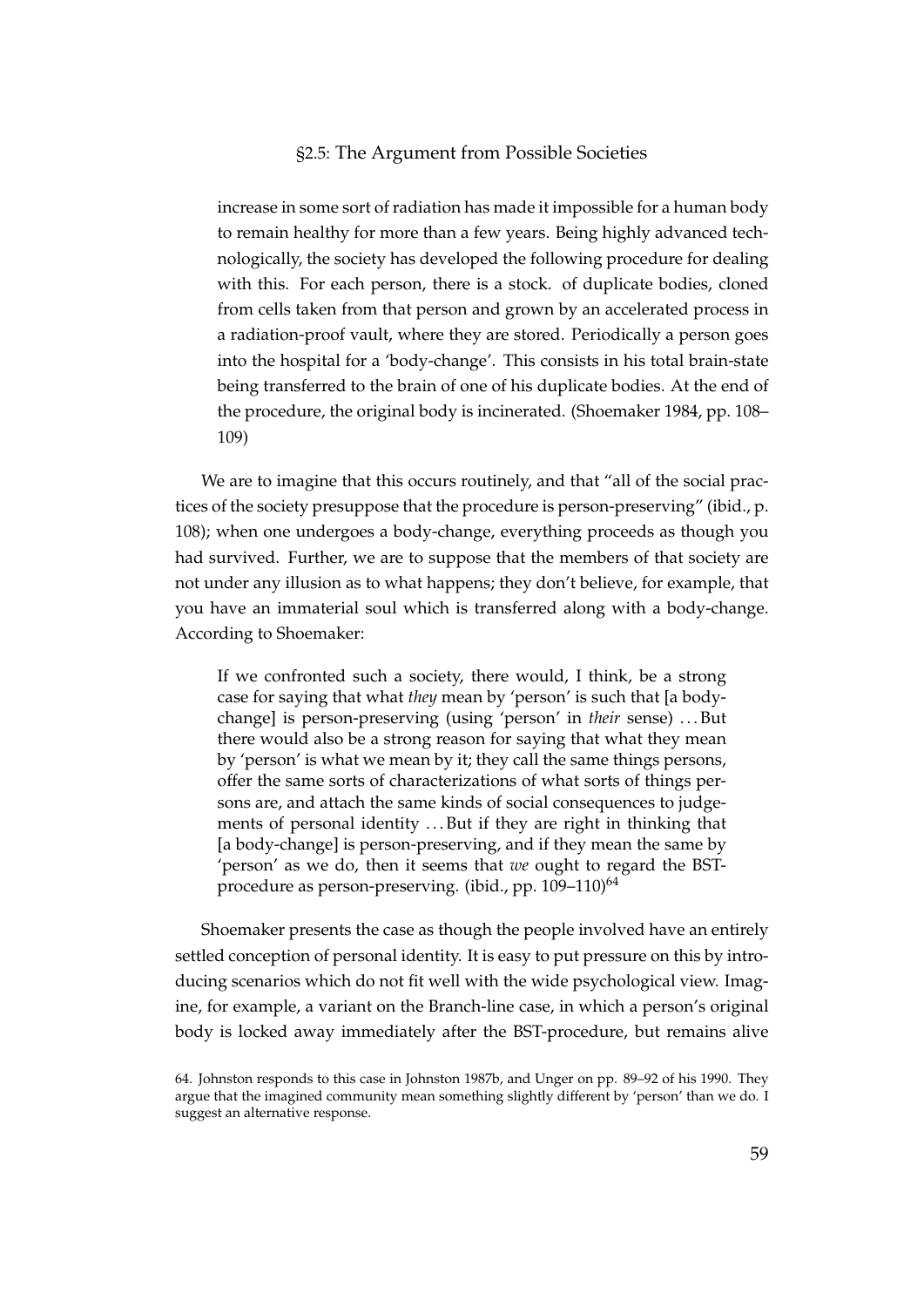## §2.5: The Argument from Possible Societies

increase in some sort of radiation has made it impossible for a human body to remain healthy for more than a few years. Being highly advanced technologically, the society has developed the following procedure for dealing with this. For each person, there is a stock. of duplicate bodies, cloned from cells taken from that person and grown by an accelerated process in a radiation-proof vault, where they are stored. Periodically a person goes into the hospital for a 'body-change'. This consists in his total brain-state being transferred to the brain of one of his duplicate bodies. At the end of the procedure, the original body is incinerated. [\(Shoemaker 1984,](#page-217-4) pp. 108– 109)

We are to imagine that this occurs routinely, and that "all of the social practices of the society presuppose that the procedure is person-preserving" [\(ibid.,](#page-217-4) p. 108); when one undergoes a body-change, everything proceeds as though you had survived. Further, we are to suppose that the members of that society are not under any illusion as to what happens; they don't believe, for example, that you have an immaterial soul which is transferred along with a body-change. According to Shoemaker:

If we confronted such a society, there would, I think, be a strong case for saying that what *they* mean by 'person' is such that [a bodychange] is person-preserving (using 'person' in *their* sense) . . . But there would also be a strong reason for saying that what they mean by 'person' is what we mean by it; they call the same things persons, offer the same sorts of characterizations of what sorts of things persons are, and attach the same kinds of social consequences to judgements of personal identity ... But if they are right in thinking that [a body-change] is person-preserving, and if they mean the same by 'person' as we do, then it seems that *we* ought to regard the BST-procedure as person-preserving. [\(ibid.,](#page-217-4) pp.  $109-110$ )<sup>[64](#page-58-0)</sup>

Shoemaker presents the case as though the people involved have an entirely settled conception of personal identity. It is easy to put pressure on this by introducing scenarios which do not fit well with the wide psychological view. Imagine, for example, a variant on the [Branch-line](#page-53-0) case, in which a person's original body is locked away immediately after the BST-procedure, but remains alive

<span id="page-58-0"></span><sup>64.</sup> Johnston responds to this case in [Johnston 1987b,](#page-212-4) and Unger on pp. 89–92 of his [1990.](#page-219-1) They argue that the imagined community mean something slightly different by 'person' than we do. I suggest an alternative response.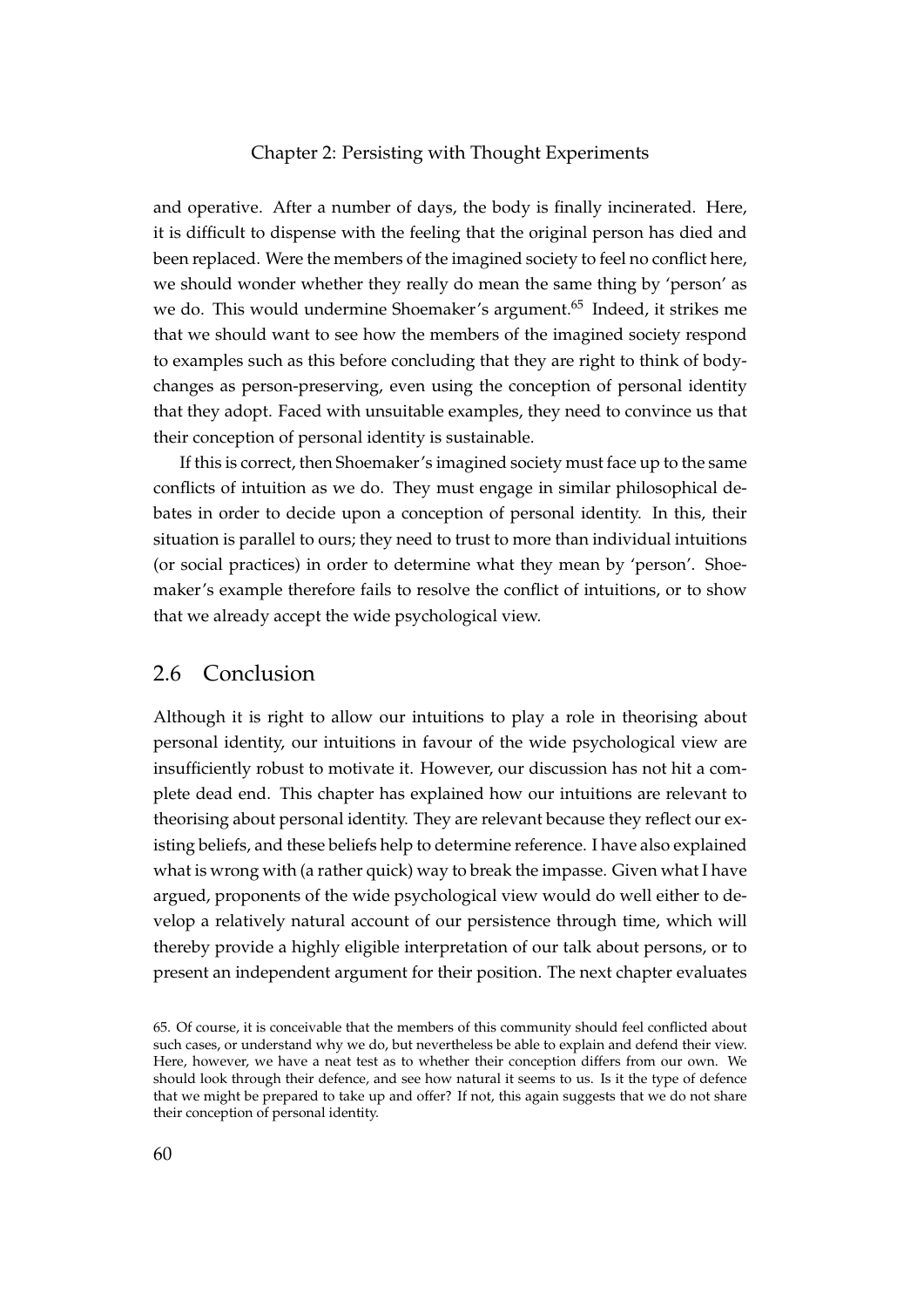and operative. After a number of days, the body is finally incinerated. Here, it is difficult to dispense with the feeling that the original person has died and been replaced. Were the members of the imagined society to feel no conflict here, we should wonder whether they really do mean the same thing by 'person' as we do. This would undermine Shoemaker's argument.<sup>[65](#page-59-0)</sup> Indeed, it strikes me that we should want to see how the members of the imagined society respond to examples such as this before concluding that they are right to think of bodychanges as person-preserving, even using the conception of personal identity that they adopt. Faced with unsuitable examples, they need to convince us that their conception of personal identity is sustainable.

If this is correct, then Shoemaker's imagined society must face up to the same conflicts of intuition as we do. They must engage in similar philosophical debates in order to decide upon a conception of personal identity. In this, their situation is parallel to ours; they need to trust to more than individual intuitions (or social practices) in order to determine what they mean by 'person'. Shoemaker's example therefore fails to resolve the conflict of intuitions, or to show that we already accept the wide psychological view.

# 2.6 Conclusion

Although it is right to allow our intuitions to play a role in theorising about personal identity, our intuitions in favour of the wide psychological view are insufficiently robust to motivate it. However, our discussion has not hit a complete dead end. This chapter has explained how our intuitions are relevant to theorising about personal identity. They are relevant because they reflect our existing beliefs, and these beliefs help to determine reference. I have also explained what is wrong with (a rather quick) way to break the impasse. Given what I have argued, proponents of the wide psychological view would do well either to develop a relatively natural account of our persistence through time, which will thereby provide a highly eligible interpretation of our talk about persons, or to present an independent argument for their position. The next chapter evaluates

<span id="page-59-0"></span><sup>65.</sup> Of course, it is conceivable that the members of this community should feel conflicted about such cases, or understand why we do, but nevertheless be able to explain and defend their view. Here, however, we have a neat test as to whether their conception differs from our own. We should look through their defence, and see how natural it seems to us. Is it the type of defence that we might be prepared to take up and offer? If not, this again suggests that we do not share their conception of personal identity.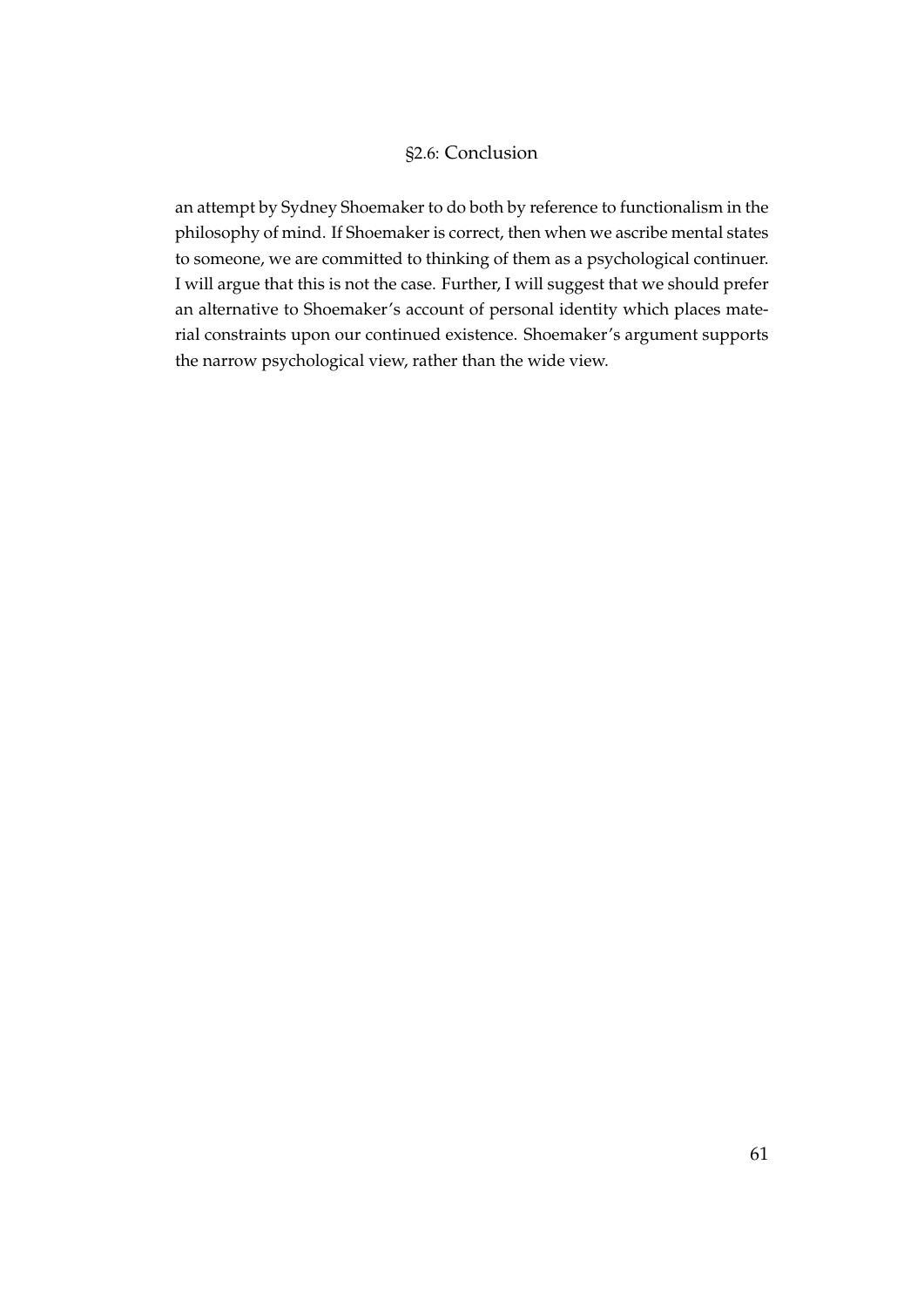# §2.6: Conclusion

an attempt by Sydney Shoemaker to do both by reference to functionalism in the philosophy of mind. If Shoemaker is correct, then when we ascribe mental states to someone, we are committed to thinking of them as a psychological continuer. I will argue that this is not the case. Further, I will suggest that we should prefer an alternative to Shoemaker's account of personal identity which places material constraints upon our continued existence. Shoemaker's argument supports the narrow psychological view, rather than the wide view.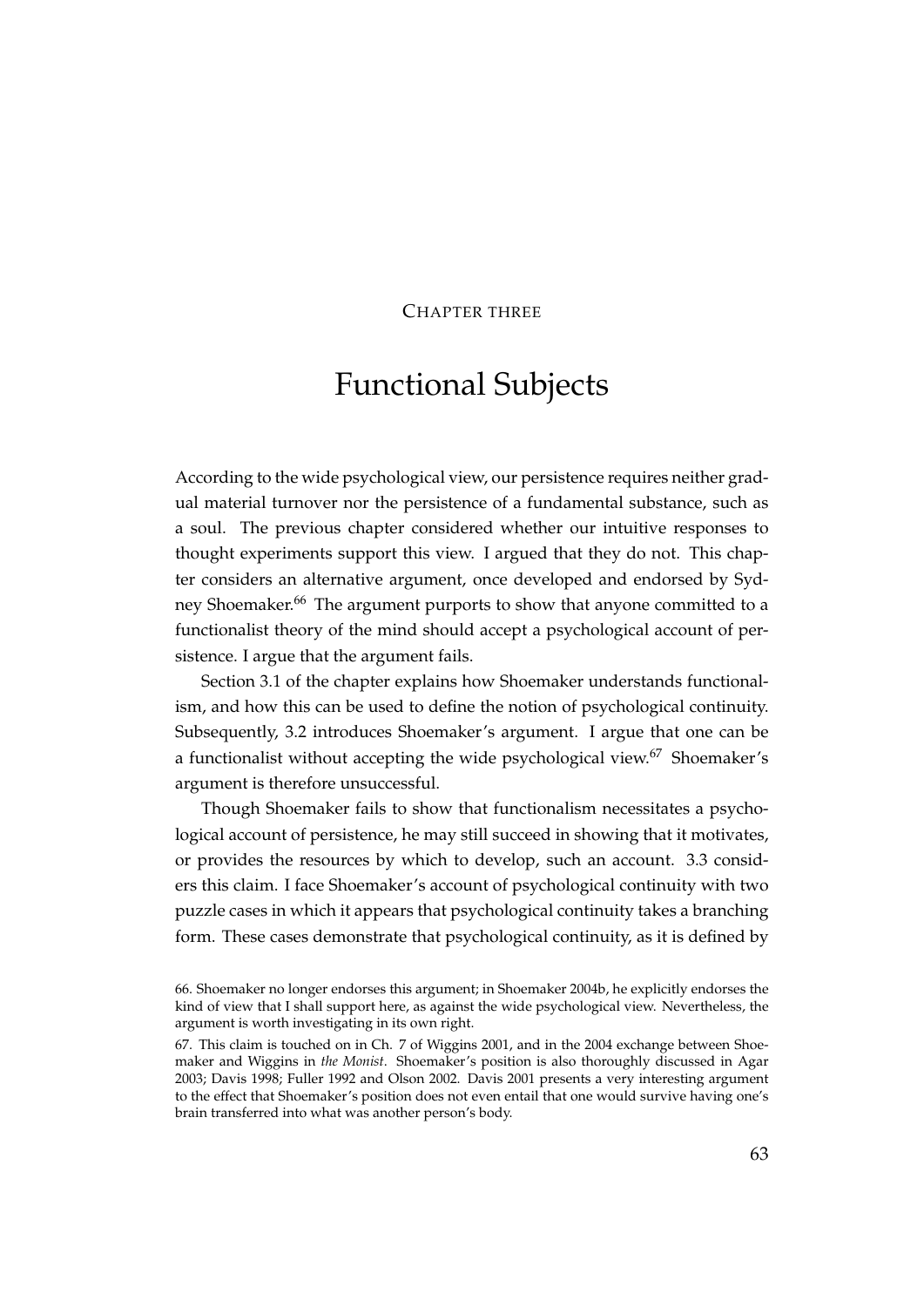#### CHAPTER THREE

# Functional Subjects

According to the wide psychological view, our persistence requires neither gradual material turnover nor the persistence of a fundamental substance, such as a soul. The previous chapter considered whether our intuitive responses to thought experiments support this view. I argued that they do not. This chapter considers an alternative argument, once developed and endorsed by Syd-ney Shoemaker.<sup>[66](#page-62-0)</sup> The argument purports to show that anyone committed to a functionalist theory of the mind should accept a psychological account of persistence. I argue that the argument fails.

Section [3.1](#page-63-0) of the chapter explains how Shoemaker understands functionalism, and how this can be used to define the notion of psychological continuity. Subsequently, [3.2](#page-66-0) introduces Shoemaker's argument. I argue that one can be a functionalist without accepting the wide psychological view.<sup>[67](#page-62-1)</sup> Shoemaker's argument is therefore unsuccessful.

Though Shoemaker fails to show that functionalism necessitates a psychological account of persistence, he may still succeed in showing that it motivates, or provides the resources by which to develop, such an account. [3.3](#page-72-0) considers this claim. I face Shoemaker's account of psychological continuity with two puzzle cases in which it appears that psychological continuity takes a branching form. These cases demonstrate that psychological continuity, as it is defined by

<span id="page-62-0"></span><sup>66.</sup> Shoemaker no longer endorses this argument; in [Shoemaker 2004b,](#page-217-5) he explicitly endorses the kind of view that I shall support here, as against the wide psychological view. Nevertheless, the argument is worth investigating in its own right.

<span id="page-62-1"></span><sup>67.</sup> This claim is touched on in Ch. 7 of [Wiggins 2001,](#page-219-2) and in the 2004 exchange between Shoemaker and Wiggins in *the Monist*. Shoemaker's position is also thoroughly discussed in [Agar](#page-208-6) [2003;](#page-208-6) [Davis 1998;](#page-210-3) [Fuller 1992](#page-211-2) and [Olson 2002.](#page-215-2) [Davis 2001](#page-210-4) presents a very interesting argument to the effect that Shoemaker's position does not even entail that one would survive having one's brain transferred into what was another person's body.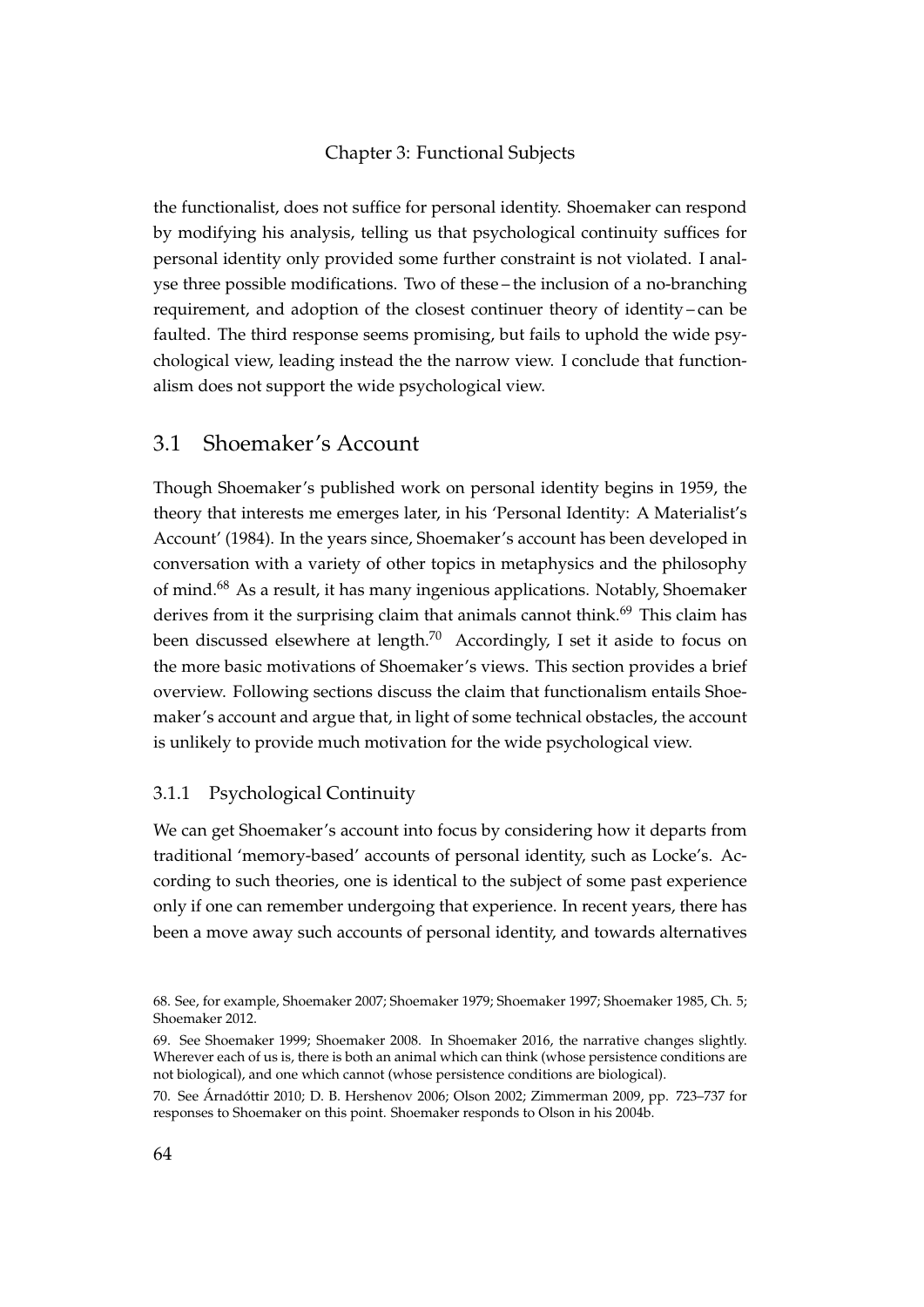# Chapter 3: Functional Subjects

the functionalist, does not suffice for personal identity. Shoemaker can respond by modifying his analysis, telling us that psychological continuity suffices for personal identity only provided some further constraint is not violated. I analyse three possible modifications. Two of these – the inclusion of a no-branching requirement, and adoption of the closest continuer theory of identity – can be faulted. The third response seems promising, but fails to uphold the wide psychological view, leading instead the the narrow view. I conclude that functionalism does not support the wide psychological view.

# <span id="page-63-0"></span>3.1 Shoemaker's Account

Though Shoemaker's published work on personal identity begins in [1959,](#page-217-6) the theory that interests me emerges later, in his 'Personal Identity: A Materialist's Account' (1984). In the years since, Shoemaker's account has been developed in conversation with a variety of other topics in metaphysics and the philosophy of mind.[68](#page-63-1) As a result, it has many ingenious applications. Notably, Shoemaker derives from it the surprising claim that animals cannot think.<sup>[69](#page-63-2)</sup> This claim has been discussed elsewhere at length.<sup>[70](#page-63-3)</sup> Accordingly, I set it aside to focus on the more basic motivations of Shoemaker's views. This section provides a brief overview. Following sections discuss the claim that functionalism entails Shoemaker's account and argue that, in light of some technical obstacles, the account is unlikely to provide much motivation for the wide psychological view.

# 3.1.1 Psychological Continuity

We can get Shoemaker's account into focus by considering how it departs from traditional 'memory-based' accounts of personal identity, such as Locke's. According to such theories, one is identical to the subject of some past experience only if one can remember undergoing that experience. In recent years, there has been a move away such accounts of personal identity, and towards alternatives

<span id="page-63-1"></span><sup>68.</sup> See, for example, [Shoemaker 2007;](#page-217-7) [Shoemaker 1979;](#page-217-8) [Shoemaker 1997;](#page-217-9) [Shoemaker 1985,](#page-217-10) Ch. 5; [Shoemaker 2012.](#page-217-11)

<span id="page-63-2"></span><sup>69.</sup> See [Shoemaker 1999;](#page-217-12) [Shoemaker 2008.](#page-217-13) In [Shoemaker 2016,](#page-217-14) the narrative changes slightly. Wherever each of us is, there is both an animal which can think (whose persistence conditions are not biological), and one which cannot (whose persistence conditions are biological).

<span id="page-63-3"></span><sup>70.</sup> See [Árnadóttir 2010;](#page-208-7) [D. B. Hershenov 2006;](#page-212-5) [Olson 2002;](#page-215-2) [Zimmerman 2009,](#page-220-3) pp. 723–737 for responses to Shoemaker on this point. Shoemaker responds to Olson in his [2004b.](#page-217-5)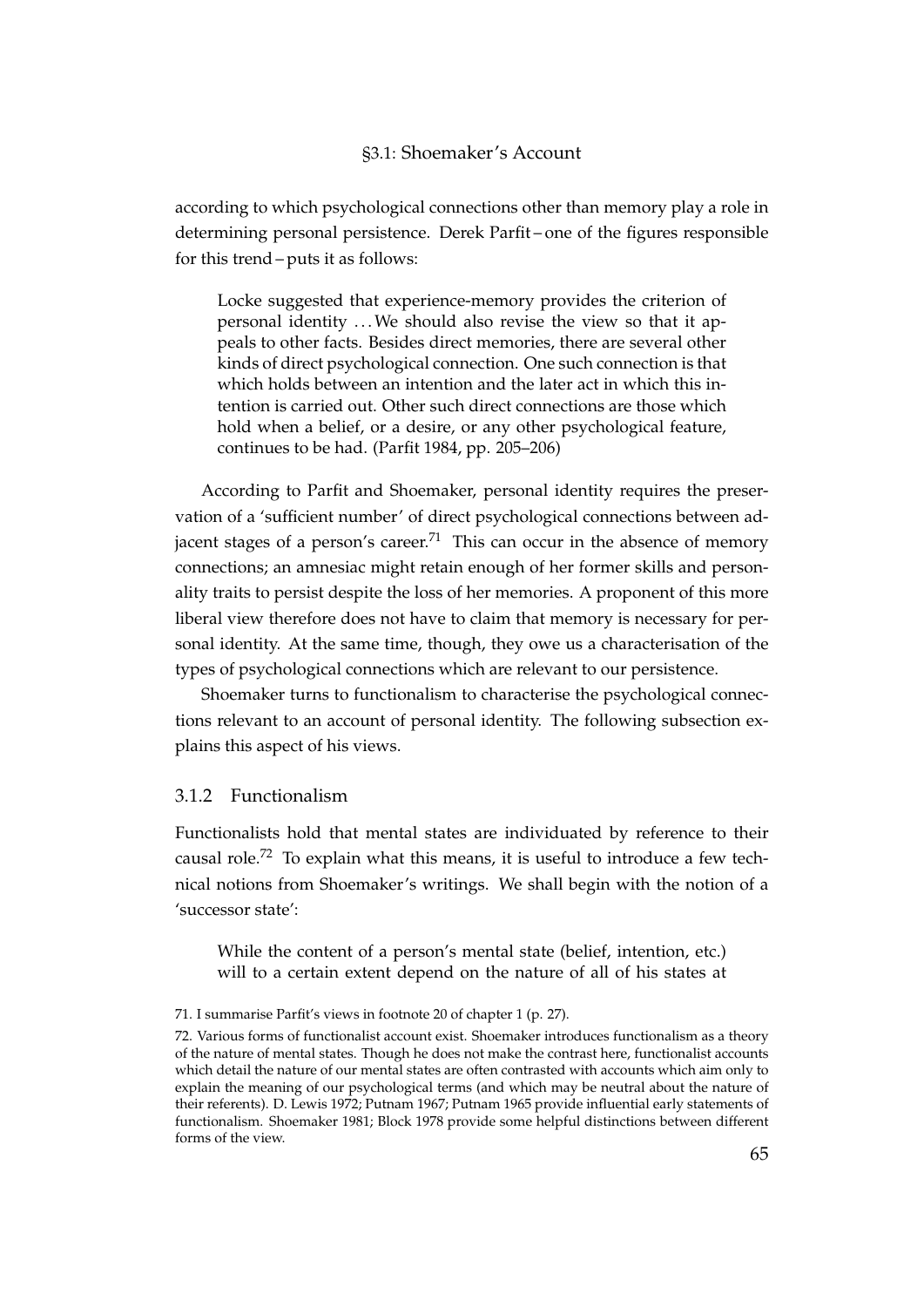# §3.1: Shoemaker's Account

according to which psychological connections other than memory play a role in determining personal persistence. Derek Parfit – one of the figures responsible for this trend – puts it as follows:

Locke suggested that experience-memory provides the criterion of personal identity ...We should also revise the view so that it appeals to other facts. Besides direct memories, there are several other kinds of direct psychological connection. One such connection is that which holds between an intention and the later act in which this intention is carried out. Other such direct connections are those which hold when a belief, or a desire, or any other psychological feature, continues to be had. [\(Parfit 1984,](#page-215-0) pp. 205–206)

According to Parfit and Shoemaker, personal identity requires the preservation of a 'sufficient number' of direct psychological connections between ad-jacent stages of a person's career.<sup>[71](#page-64-0)</sup> This can occur in the absence of memory connections; an amnesiac might retain enough of her former skills and personality traits to persist despite the loss of her memories. A proponent of this more liberal view therefore does not have to claim that memory is necessary for personal identity. At the same time, though, they owe us a characterisation of the types of psychological connections which are relevant to our persistence.

Shoemaker turns to functionalism to characterise the psychological connections relevant to an account of personal identity. The following subsection explains this aspect of his views.

#### 3.1.2 Functionalism

Functionalists hold that mental states are individuated by reference to their causal role.[72](#page-64-1) To explain what this means, it is useful to introduce a few technical notions from Shoemaker's writings. We shall begin with the notion of a 'successor state':

While the content of a person's mental state (belief, intention, etc.) will to a certain extent depend on the nature of all of his states at

<span id="page-64-0"></span><sup>71.</sup> I summarise Parfit's views in footnote [20](#page-26-0) of chapter 1 (p. [27\)](#page-26-0).

<span id="page-64-1"></span><sup>72.</sup> Various forms of functionalist account exist. Shoemaker introduces functionalism as a theory of the nature of mental states. Though he does not make the contrast here, functionalist accounts which detail the nature of our mental states are often contrasted with accounts which aim only to explain the meaning of our psychological terms (and which may be neutral about the nature of their referents). [D. Lewis 1972;](#page-213-3) [Putnam 1967;](#page-216-2) [Putnam 1965](#page-216-3) provide influential early statements of functionalism. [Shoemaker 1981;](#page-217-15) [Block 1978](#page-209-4) provide some helpful distinctions between different forms of the view.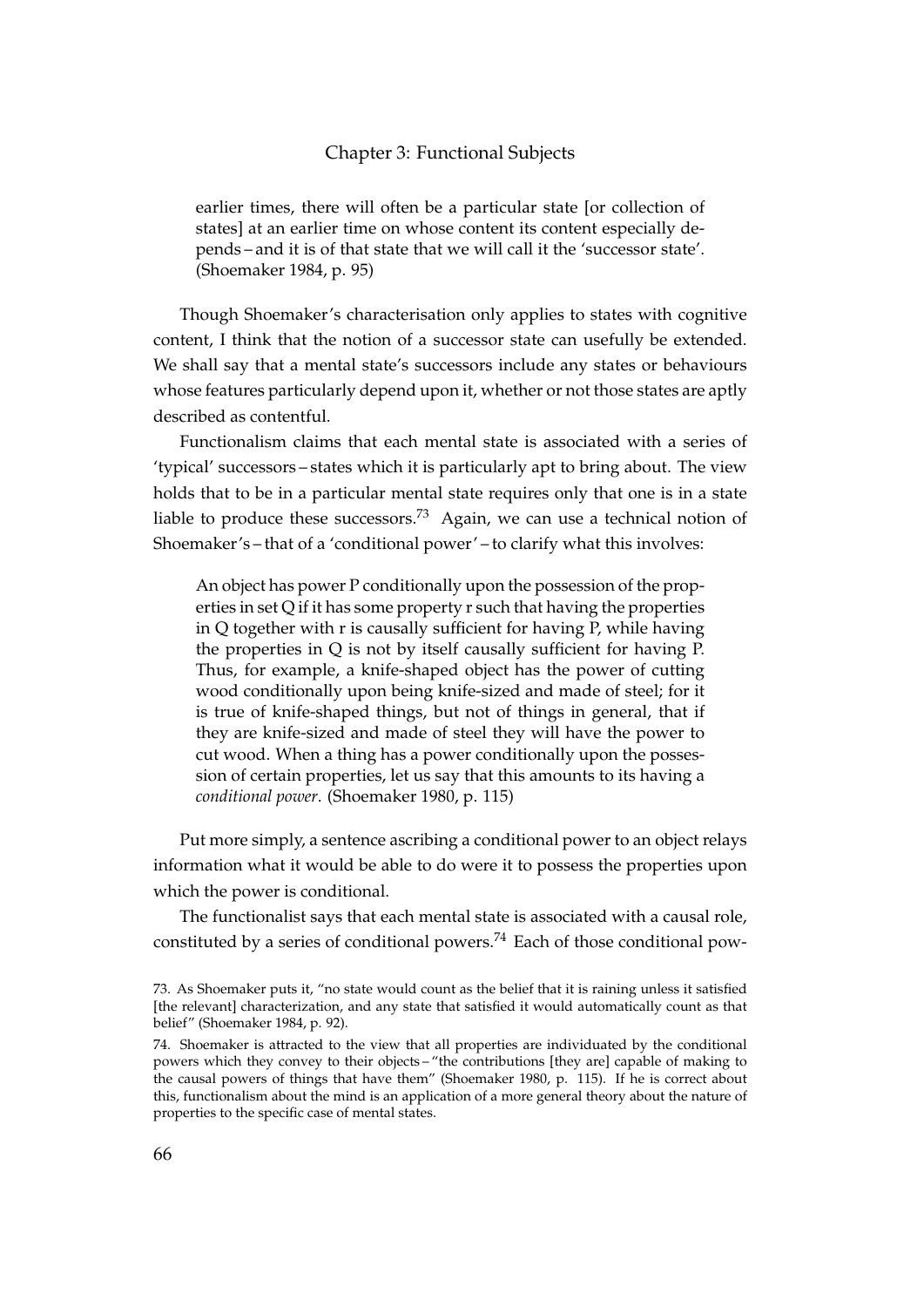## Chapter 3: Functional Subjects

earlier times, there will often be a particular state [or collection of states] at an earlier time on whose content its content especially depends – and it is of that state that we will call it the 'successor state'. [\(Shoemaker 1984,](#page-217-4) p. 95)

Though Shoemaker's characterisation only applies to states with cognitive content, I think that the notion of a successor state can usefully be extended. We shall say that a mental state's successors include any states or behaviours whose features particularly depend upon it, whether or not those states are aptly described as contentful.

Functionalism claims that each mental state is associated with a series of 'typical' successors – states which it is particularly apt to bring about. The view holds that to be in a particular mental state requires only that one is in a state liable to produce these successors.<sup>[73](#page-65-0)</sup> Again, we can use a technical notion of Shoemaker's – that of a 'conditional power' – to clarify what this involves:

An object has power P conditionally upon the possession of the properties in set Q if it has some property r such that having the properties in Q together with r is causally sufficient for having P, while having the properties in Q is not by itself causally sufficient for having P. Thus, for example, a knife-shaped object has the power of cutting wood conditionally upon being knife-sized and made of steel; for it is true of knife-shaped things, but not of things in general, that if they are knife-sized and made of steel they will have the power to cut wood. When a thing has a power conditionally upon the possession of certain properties, let us say that this amounts to its having a *conditional power*. [\(Shoemaker 1980,](#page-217-16) p. 115)

Put more simply, a sentence ascribing a conditional power to an object relays information what it would be able to do were it to possess the properties upon which the power is conditional.

The functionalist says that each mental state is associated with a causal role, constituted by a series of conditional powers.<sup>[74](#page-65-1)</sup> Each of those conditional pow-

<span id="page-65-0"></span><sup>73.</sup> As Shoemaker puts it, "no state would count as the belief that it is raining unless it satisfied [the relevant] characterization, and any state that satisfied it would automatically count as that belief" [\(Shoemaker 1984,](#page-217-4) p. 92).

<span id="page-65-1"></span><sup>74.</sup> Shoemaker is attracted to the view that all properties are individuated by the conditional powers which they convey to their objects – "the contributions [they are] capable of making to the causal powers of things that have them" [\(Shoemaker 1980,](#page-217-16) p. 115). If he is correct about this, functionalism about the mind is an application of a more general theory about the nature of properties to the specific case of mental states.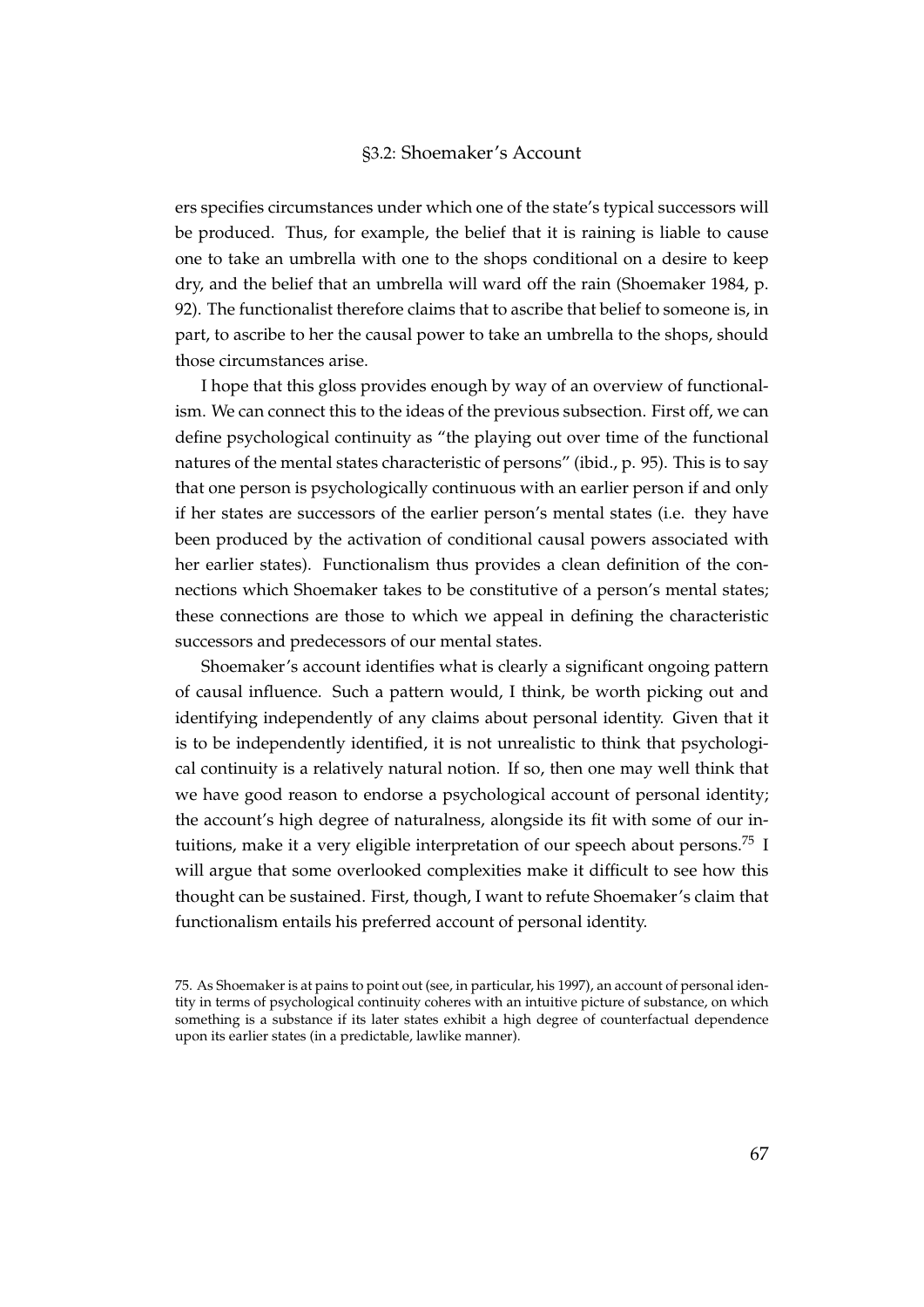#### §3.2: Shoemaker's Account

ers specifies circumstances under which one of the state's typical successors will be produced. Thus, for example, the belief that it is raining is liable to cause one to take an umbrella with one to the shops conditional on a desire to keep dry, and the belief that an umbrella will ward off the rain [\(Shoemaker 1984,](#page-217-4) p. 92). The functionalist therefore claims that to ascribe that belief to someone is, in part, to ascribe to her the causal power to take an umbrella to the shops, should those circumstances arise.

I hope that this gloss provides enough by way of an overview of functionalism. We can connect this to the ideas of the previous subsection. First off, we can define psychological continuity as "the playing out over time of the functional natures of the mental states characteristic of persons" [\(ibid.,](#page-217-4) p. 95). This is to say that one person is psychologically continuous with an earlier person if and only if her states are successors of the earlier person's mental states (i.e. they have been produced by the activation of conditional causal powers associated with her earlier states). Functionalism thus provides a clean definition of the connections which Shoemaker takes to be constitutive of a person's mental states; these connections are those to which we appeal in defining the characteristic successors and predecessors of our mental states.

Shoemaker's account identifies what is clearly a significant ongoing pattern of causal influence. Such a pattern would, I think, be worth picking out and identifying independently of any claims about personal identity. Given that it is to be independently identified, it is not unrealistic to think that psychological continuity is a relatively natural notion. If so, then one may well think that we have good reason to endorse a psychological account of personal identity; the account's high degree of naturalness, alongside its fit with some of our in-tuitions, make it a very eligible interpretation of our speech about persons.<sup>[75](#page-66-1)</sup> I will argue that some overlooked complexities make it difficult to see how this thought can be sustained. First, though, I want to refute Shoemaker's claim that functionalism entails his preferred account of personal identity.

<span id="page-66-1"></span><span id="page-66-0"></span><sup>75.</sup> As Shoemaker is at pains to point out (see, in particular, his [1997\)](#page-217-9), an account of personal identity in terms of psychological continuity coheres with an intuitive picture of substance, on which something is a substance if its later states exhibit a high degree of counterfactual dependence upon its earlier states (in a predictable, lawlike manner).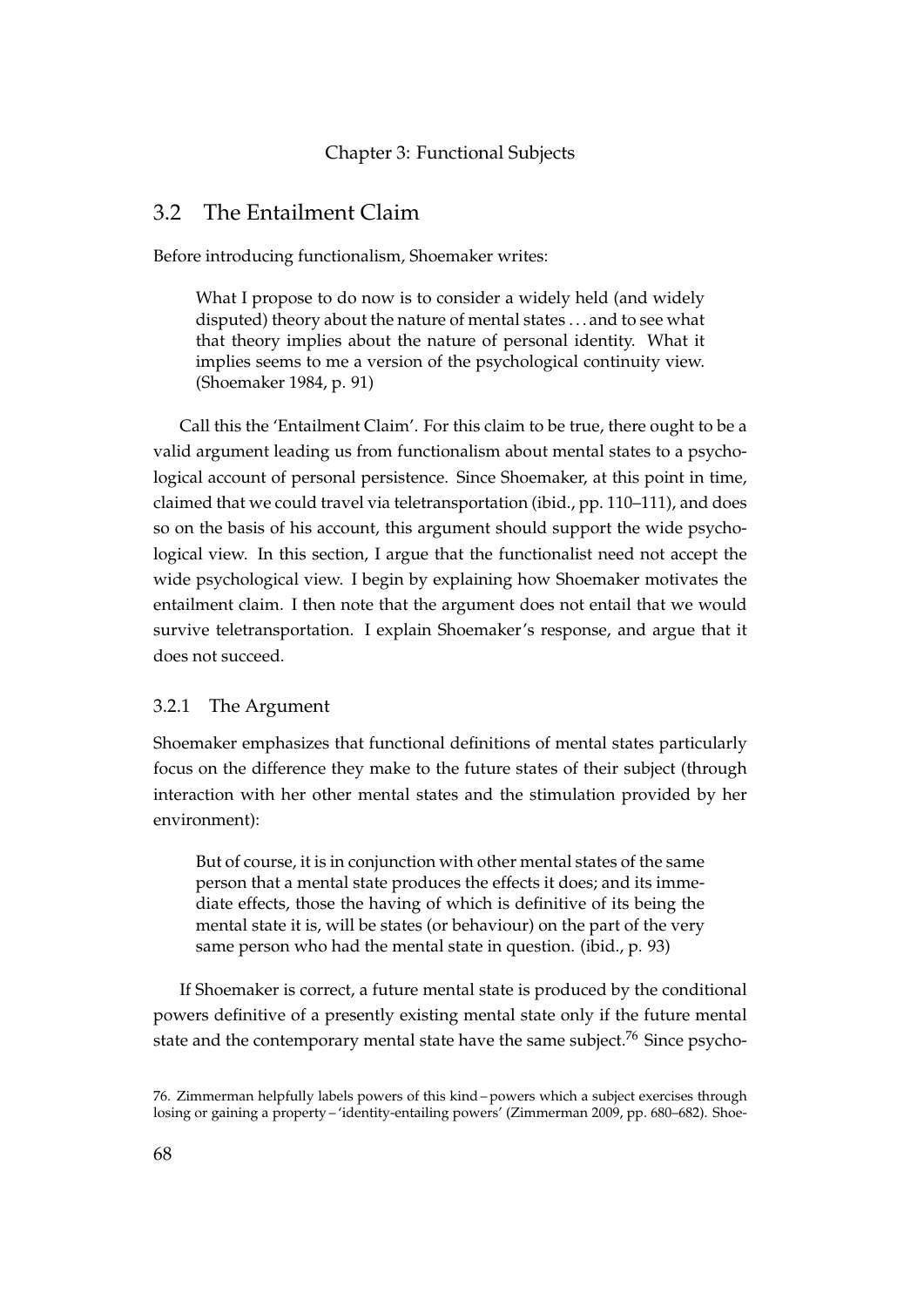# Chapter 3: Functional Subjects

# 3.2 The Entailment Claim

Before introducing functionalism, Shoemaker writes:

What I propose to do now is to consider a widely held (and widely disputed) theory about the nature of mental states . . . and to see what that theory implies about the nature of personal identity. What it implies seems to me a version of the psychological continuity view. [\(Shoemaker 1984,](#page-217-4) p. 91)

Call this the 'Entailment Claim'. For this claim to be true, there ought to be a valid argument leading us from functionalism about mental states to a psychological account of personal persistence. Since Shoemaker, at this point in time, claimed that we could travel via teletransportation [\(ibid.,](#page-217-4) pp. 110–111), and does so on the basis of his account, this argument should support the wide psychological view. In this section, I argue that the functionalist need not accept the wide psychological view. I begin by explaining how Shoemaker motivates the entailment claim. I then note that the argument does not entail that we would survive teletransportation. I explain Shoemaker's response, and argue that it does not succeed.

## 3.2.1 The Argument

Shoemaker emphasizes that functional definitions of mental states particularly focus on the difference they make to the future states of their subject (through interaction with her other mental states and the stimulation provided by her environment):

But of course, it is in conjunction with other mental states of the same person that a mental state produces the effects it does; and its immediate effects, those the having of which is definitive of its being the mental state it is, will be states (or behaviour) on the part of the very same person who had the mental state in question. [\(ibid.,](#page-217-4) p. 93)

If Shoemaker is correct, a future mental state is produced by the conditional powers definitive of a presently existing mental state only if the future mental state and the contemporary mental state have the same subject.<sup>[76](#page-67-0)</sup> Since psycho-

<span id="page-67-0"></span><sup>76.</sup> Zimmerman helpfully labels powers of this kind – powers which a subject exercises through losing or gaining a property – 'identity-entailing powers' [\(Zimmerman 2009,](#page-220-3) pp. 680–682). Shoe-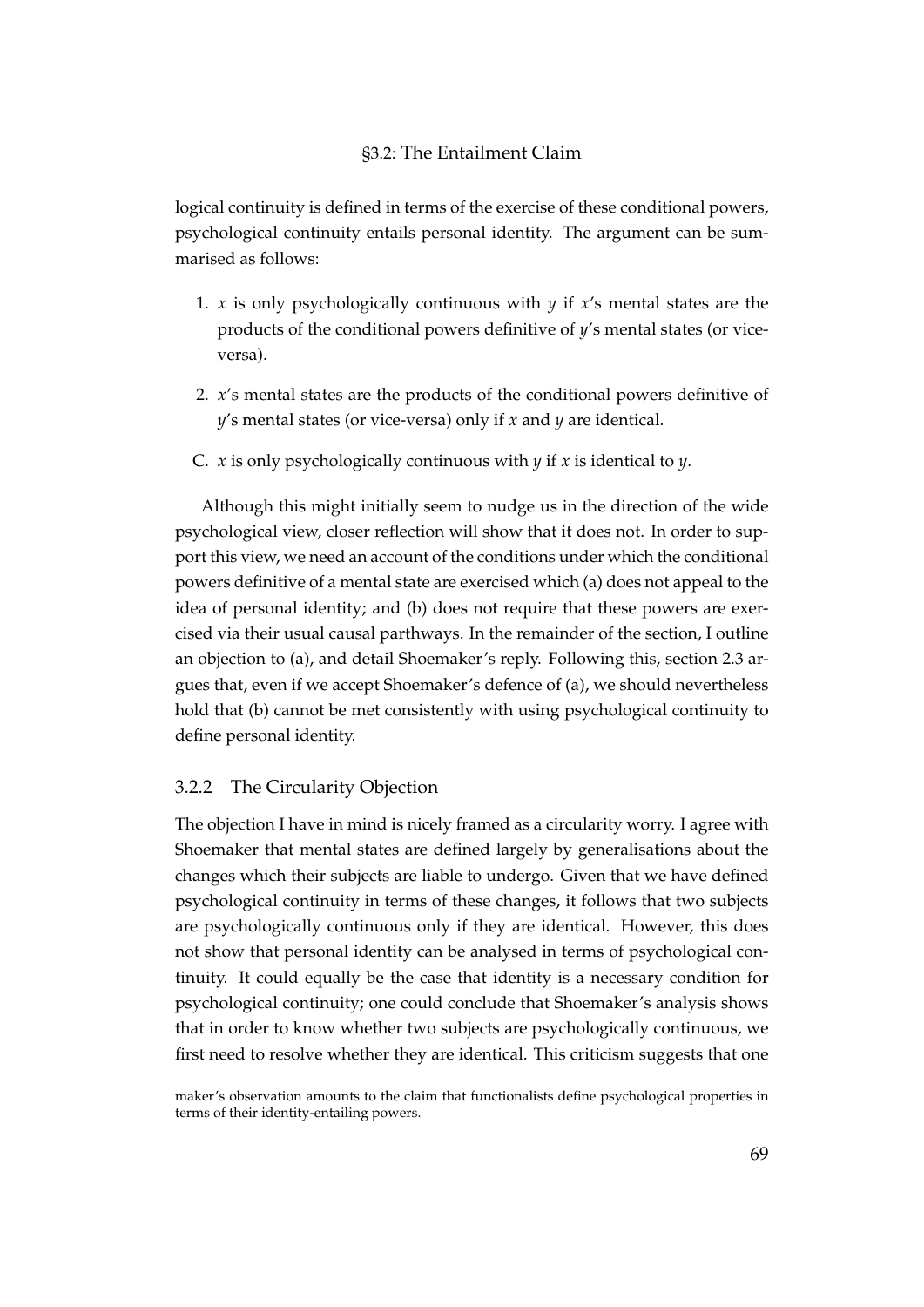# §3.2: The Entailment Claim

logical continuity is defined in terms of the exercise of these conditional powers, psychological continuity entails personal identity. The argument can be summarised as follows:

- 1. *x* is only psychologically continuous with *y* if *x*'s mental states are the products of the conditional powers definitive of *y*'s mental states (or viceversa).
- 2. *x*'s mental states are the products of the conditional powers definitive of *y*'s mental states (or vice-versa) only if *x* and *y* are identical.
- C. *x* is only psychologically continuous with *y* if *x* is identical to *y*.

Although this might initially seem to nudge us in the direction of the wide psychological view, closer reflection will show that it does not. In order to support this view, we need an account of the conditions under which the conditional powers definitive of a mental state are exercised which (a) does not appeal to the idea of personal identity; and (b) does not require that these powers are exercised via their usual causal parthways. In the remainder of the section, I outline an objection to (a), and detail Shoemaker's reply. Following this, section 2.3 argues that, even if we accept Shoemaker's defence of (a), we should nevertheless hold that (b) cannot be met consistently with using psychological continuity to define personal identity.

# 3.2.2 The Circularity Objection

The objection I have in mind is nicely framed as a circularity worry. I agree with Shoemaker that mental states are defined largely by generalisations about the changes which their subjects are liable to undergo. Given that we have defined psychological continuity in terms of these changes, it follows that two subjects are psychologically continuous only if they are identical. However, this does not show that personal identity can be analysed in terms of psychological continuity. It could equally be the case that identity is a necessary condition for psychological continuity; one could conclude that Shoemaker's analysis shows that in order to know whether two subjects are psychologically continuous, we first need to resolve whether they are identical. This criticism suggests that one

maker's observation amounts to the claim that functionalists define psychological properties in terms of their identity-entailing powers.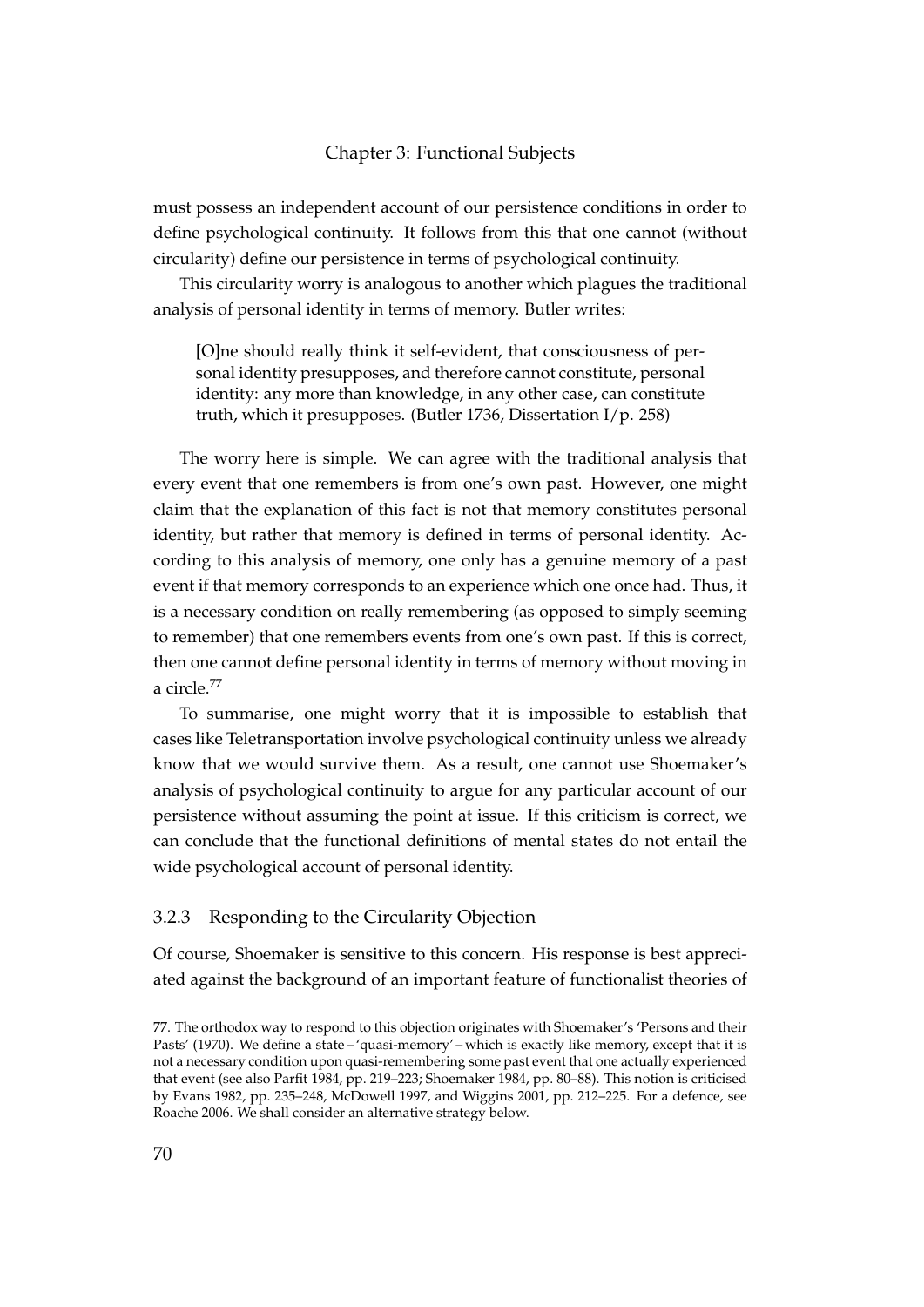# Chapter 3: Functional Subjects

must possess an independent account of our persistence conditions in order to define psychological continuity. It follows from this that one cannot (without circularity) define our persistence in terms of psychological continuity.

This circularity worry is analogous to another which plagues the traditional analysis of personal identity in terms of memory. Butler writes:

[O]ne should really think it self-evident, that consciousness of personal identity presupposes, and therefore cannot constitute, personal identity: any more than knowledge, in any other case, can constitute truth, which it presupposes. [\(Butler 1736,](#page-209-5) Dissertation I/p. 258)

The worry here is simple. We can agree with the traditional analysis that every event that one remembers is from one's own past. However, one might claim that the explanation of this fact is not that memory constitutes personal identity, but rather that memory is defined in terms of personal identity. According to this analysis of memory, one only has a genuine memory of a past event if that memory corresponds to an experience which one once had. Thus, it is a necessary condition on really remembering (as opposed to simply seeming to remember) that one remembers events from one's own past. If this is correct, then one cannot define personal identity in terms of memory without moving in a circle.[77](#page-69-0)

To summarise, one might worry that it is impossible to establish that cases like [Teletransportation](#page-33-0) involve psychological continuity unless we already know that we would survive them. As a result, one cannot use Shoemaker's analysis of psychological continuity to argue for any particular account of our persistence without assuming the point at issue. If this criticism is correct, we can conclude that the functional definitions of mental states do not entail the wide psychological account of personal identity.

#### 3.2.3 Responding to the Circularity Objection

Of course, Shoemaker is sensitive to this concern. His response is best appreciated against the background of an important feature of functionalist theories of

<span id="page-69-0"></span><sup>77.</sup> The orthodox way to respond to this objection originates with Shoemaker's 'Persons and their Pasts' (1970). We define a state-'quasi-memory'-which is exactly like memory, except that it is not a necessary condition upon quasi-remembering some past event that one actually experienced that event (see also [Parfit 1984,](#page-215-0) pp. 219–223; [Shoemaker 1984,](#page-217-4) pp. 80–88). This notion is criticised by [Evans 1982,](#page-211-1) pp. 235–248, [McDowell 1997,](#page-214-0) and [Wiggins 2001,](#page-219-2) pp. 212–225. For a defence, see [Roache 2006.](#page-216-4) We shall consider an alternative strategy below.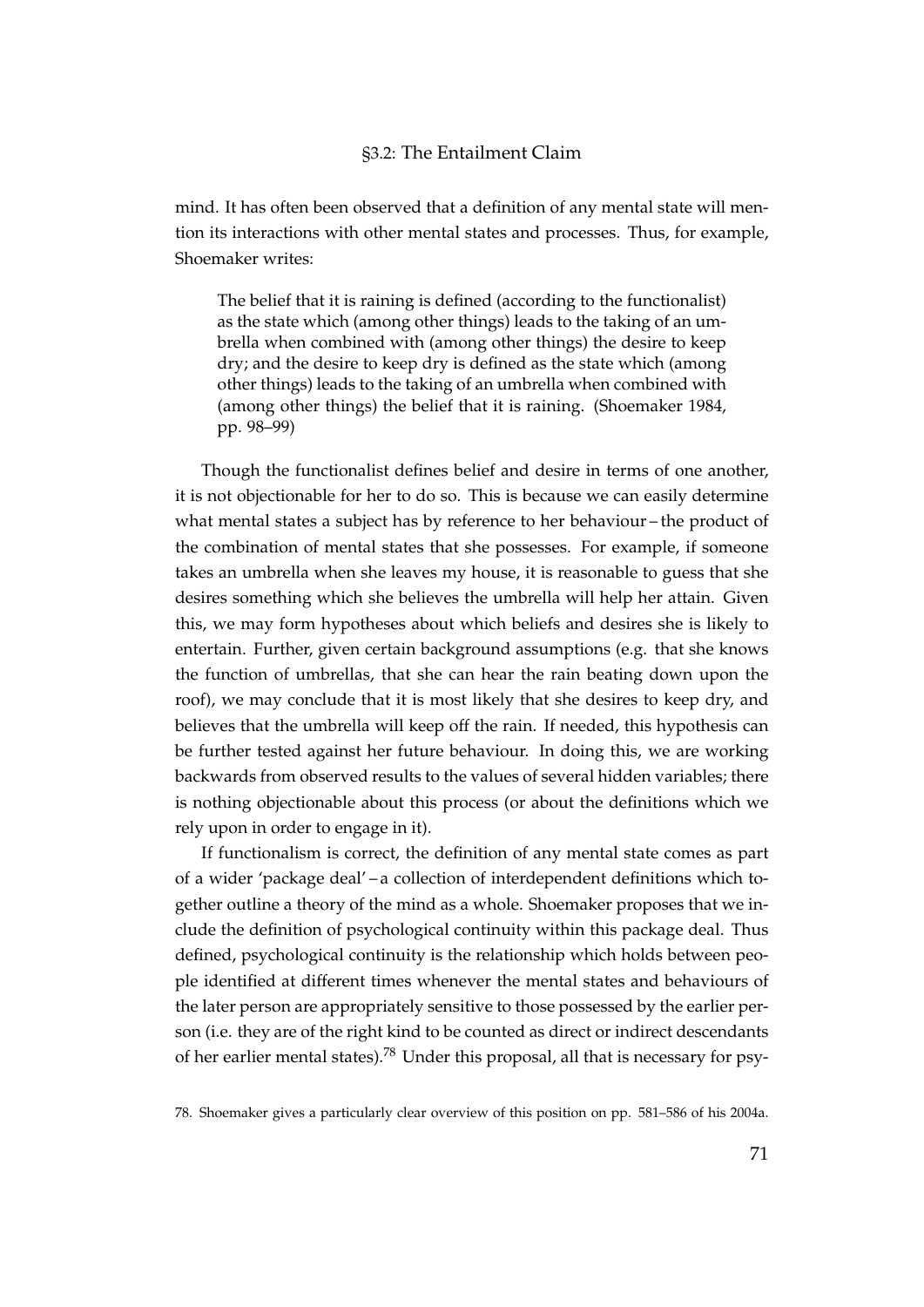# §3.2: The Entailment Claim

mind. It has often been observed that a definition of any mental state will mention its interactions with other mental states and processes. Thus, for example, Shoemaker writes:

The belief that it is raining is defined (according to the functionalist) as the state which (among other things) leads to the taking of an umbrella when combined with (among other things) the desire to keep dry; and the desire to keep dry is defined as the state which (among other things) leads to the taking of an umbrella when combined with (among other things) the belief that it is raining. [\(Shoemaker 1984,](#page-217-4) pp. 98–99)

Though the functionalist defines belief and desire in terms of one another, it is not objectionable for her to do so. This is because we can easily determine what mental states a subject has by reference to her behaviour – the product of the combination of mental states that she possesses. For example, if someone takes an umbrella when she leaves my house, it is reasonable to guess that she desires something which she believes the umbrella will help her attain. Given this, we may form hypotheses about which beliefs and desires she is likely to entertain. Further, given certain background assumptions (e.g. that she knows the function of umbrellas, that she can hear the rain beating down upon the roof), we may conclude that it is most likely that she desires to keep dry, and believes that the umbrella will keep off the rain. If needed, this hypothesis can be further tested against her future behaviour. In doing this, we are working backwards from observed results to the values of several hidden variables; there is nothing objectionable about this process (or about the definitions which we rely upon in order to engage in it).

If functionalism is correct, the definition of any mental state comes as part of a wider 'package deal' – a collection of interdependent definitions which together outline a theory of the mind as a whole. Shoemaker proposes that we include the definition of psychological continuity within this package deal. Thus defined, psychological continuity is the relationship which holds between people identified at different times whenever the mental states and behaviours of the later person are appropriately sensitive to those possessed by the earlier person (i.e. they are of the right kind to be counted as direct or indirect descendants of her earlier mental states).<sup>[78](#page-70-0)</sup> Under this proposal, all that is necessary for psy-

<span id="page-70-0"></span><sup>78.</sup> Shoemaker gives a particularly clear overview of this position on pp. 581–586 of his [2004a.](#page-217-17)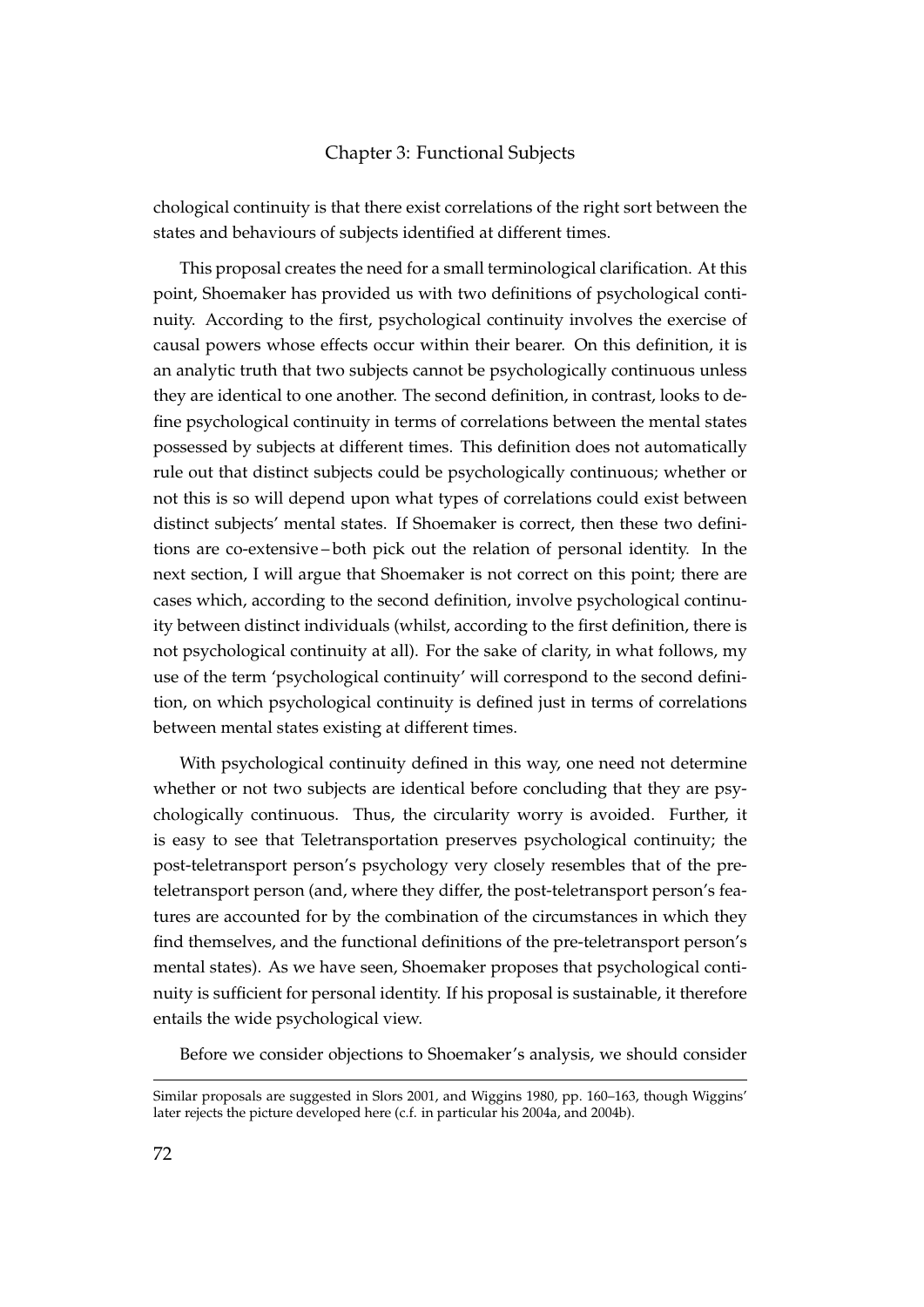# Chapter 3: Functional Subjects

chological continuity is that there exist correlations of the right sort between the states and behaviours of subjects identified at different times.

This proposal creates the need for a small terminological clarification. At this point, Shoemaker has provided us with two definitions of psychological continuity. According to the first, psychological continuity involves the exercise of causal powers whose effects occur within their bearer. On this definition, it is an analytic truth that two subjects cannot be psychologically continuous unless they are identical to one another. The second definition, in contrast, looks to define psychological continuity in terms of correlations between the mental states possessed by subjects at different times. This definition does not automatically rule out that distinct subjects could be psychologically continuous; whether or not this is so will depend upon what types of correlations could exist between distinct subjects' mental states. If Shoemaker is correct, then these two definitions are co-extensive – both pick out the relation of personal identity. In the next section, I will argue that Shoemaker is not correct on this point; there are cases which, according to the second definition, involve psychological continuity between distinct individuals (whilst, according to the first definition, there is not psychological continuity at all). For the sake of clarity, in what follows, my use of the term 'psychological continuity' will correspond to the second definition, on which psychological continuity is defined just in terms of correlations between mental states existing at different times.

With psychological continuity defined in this way, one need not determine whether or not two subjects are identical before concluding that they are psychologically continuous. Thus, the circularity worry is avoided. Further, it is easy to see that [Teletransportation](#page-33-0) preserves psychological continuity; the post-teletransport person's psychology very closely resembles that of the preteletransport person (and, where they differ, the post-teletransport person's features are accounted for by the combination of the circumstances in which they find themselves, and the functional definitions of the pre-teletransport person's mental states). As we have seen, Shoemaker proposes that psychological continuity is sufficient for personal identity. If his proposal is sustainable, it therefore entails the wide psychological view.

Before we consider objections to Shoemaker's analysis, we should consider

Similar proposals are suggested in [Slors 2001,](#page-218-6) and [Wiggins 1980,](#page-219-5) pp. 160–163, though Wiggins' later rejects the picture developed here (c.f. in particular his [2004a,](#page-219-6) and [2004b\)](#page-219-7).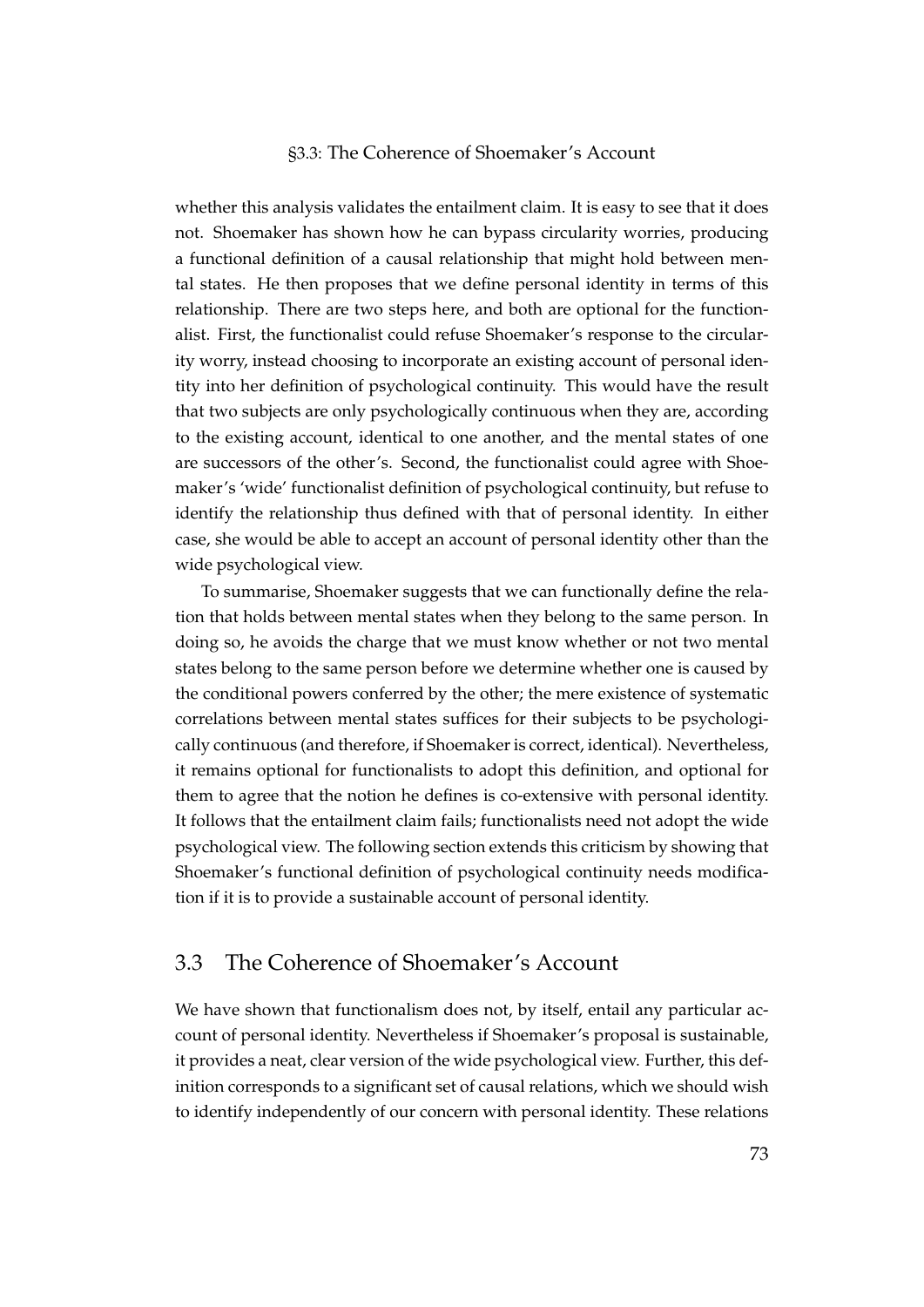# §3.3: The Coherence of Shoemaker's Account

whether this analysis validates the entailment claim. It is easy to see that it does not. Shoemaker has shown how he can bypass circularity worries, producing a functional definition of a causal relationship that might hold between mental states. He then proposes that we define personal identity in terms of this relationship. There are two steps here, and both are optional for the functionalist. First, the functionalist could refuse Shoemaker's response to the circularity worry, instead choosing to incorporate an existing account of personal identity into her definition of psychological continuity. This would have the result that two subjects are only psychologically continuous when they are, according to the existing account, identical to one another, and the mental states of one are successors of the other's. Second, the functionalist could agree with Shoemaker's 'wide' functionalist definition of psychological continuity, but refuse to identify the relationship thus defined with that of personal identity. In either case, she would be able to accept an account of personal identity other than the wide psychological view.

To summarise, Shoemaker suggests that we can functionally define the relation that holds between mental states when they belong to the same person. In doing so, he avoids the charge that we must know whether or not two mental states belong to the same person before we determine whether one is caused by the conditional powers conferred by the other; the mere existence of systematic correlations between mental states suffices for their subjects to be psychologically continuous (and therefore, if Shoemaker is correct, identical). Nevertheless, it remains optional for functionalists to adopt this definition, and optional for them to agree that the notion he defines is co-extensive with personal identity. It follows that the entailment claim fails; functionalists need not adopt the wide psychological view. The following section extends this criticism by showing that Shoemaker's functional definition of psychological continuity needs modification if it is to provide a sustainable account of personal identity.

# 3.3 The Coherence of Shoemaker's Account

We have shown that functionalism does not, by itself, entail any particular account of personal identity. Nevertheless if Shoemaker's proposal is sustainable, it provides a neat, clear version of the wide psychological view. Further, this definition corresponds to a significant set of causal relations, which we should wish to identify independently of our concern with personal identity. These relations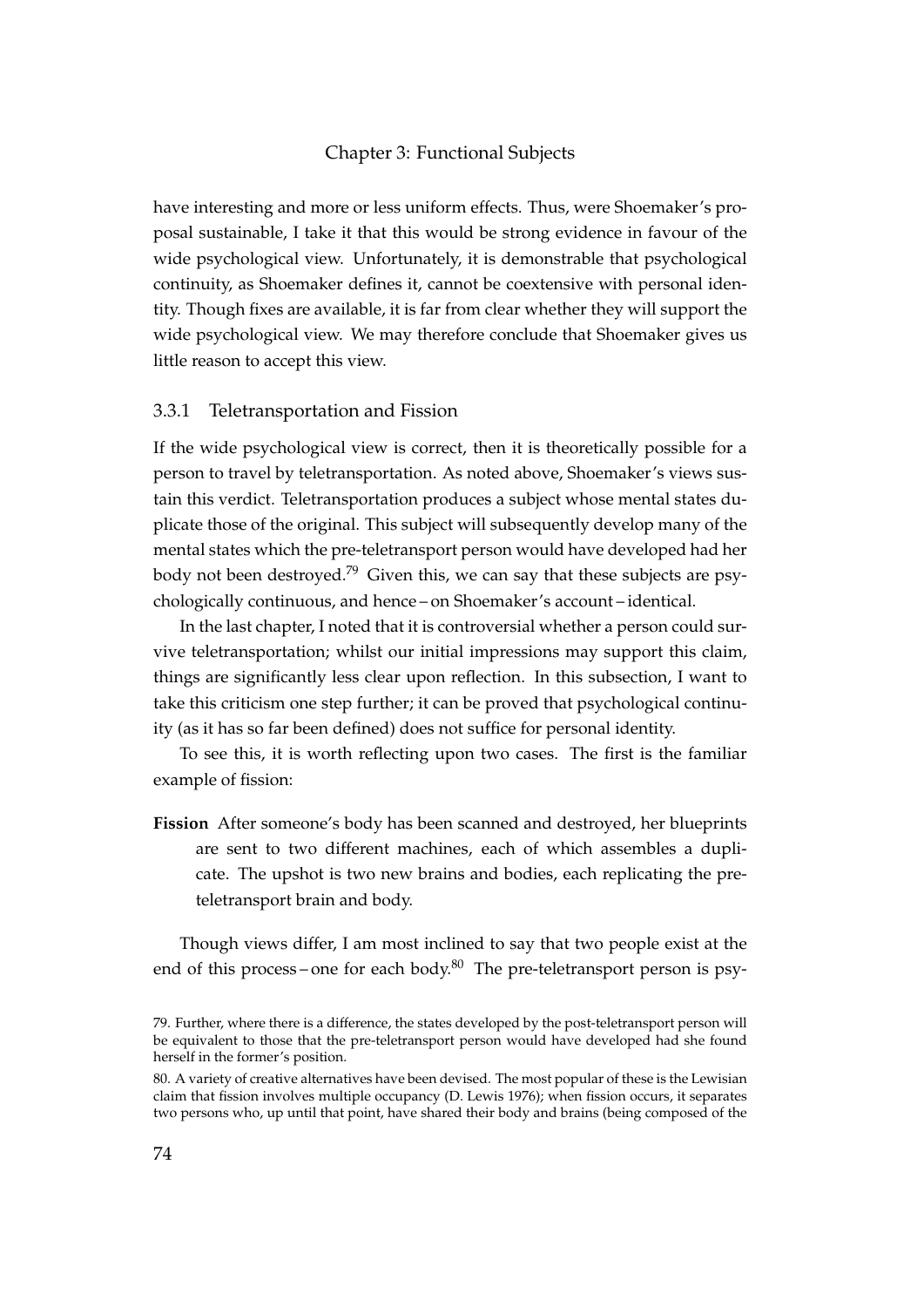have interesting and more or less uniform effects. Thus, were Shoemaker's proposal sustainable, I take it that this would be strong evidence in favour of the wide psychological view. Unfortunately, it is demonstrable that psychological continuity, as Shoemaker defines it, cannot be coextensive with personal identity. Though fixes are available, it is far from clear whether they will support the wide psychological view. We may therefore conclude that Shoemaker gives us little reason to accept this view.

### 3.3.1 Teletransportation and Fission

If the wide psychological view is correct, then it is theoretically possible for a person to travel by teletransportation. As noted above, Shoemaker's views sustain this verdict. [Teletransportation](#page-33-0) produces a subject whose mental states duplicate those of the original. This subject will subsequently develop many of the mental states which the pre-teletransport person would have developed had her body not been destroyed.<sup>[79](#page-73-0)</sup> Given this, we can say that these subjects are psychologically continuous, and hence – on Shoemaker's account – identical.

In the last chapter, I noted that it is controversial whether a person could survive teletransportation; whilst our initial impressions may support this claim, things are significantly less clear upon reflection. In this subsection, I want to take this criticism one step further; it can be proved that psychological continuity (as it has so far been defined) does not suffice for personal identity.

To see this, it is worth reflecting upon two cases. The first is the familiar example of fission:

<span id="page-73-2"></span>**Fission** After someone's body has been scanned and destroyed, her blueprints are sent to two different machines, each of which assembles a duplicate. The upshot is two new brains and bodies, each replicating the preteletransport brain and body.

Though views differ, I am most inclined to say that two people exist at the end of this process-one for each body.<sup>[80](#page-73-1)</sup> The pre-teletransport person is psy-

<span id="page-73-0"></span><sup>79.</sup> Further, where there is a difference, the states developed by the post-teletransport person will be equivalent to those that the pre-teletransport person would have developed had she found herself in the former's position.

<span id="page-73-1"></span><sup>80.</sup> A variety of creative alternatives have been devised. The most popular of these is the Lewisian claim that fission involves multiple occupancy [\(D. Lewis 1976\)](#page-213-0); when fission occurs, it separates two persons who, up until that point, have shared their body and brains (being composed of the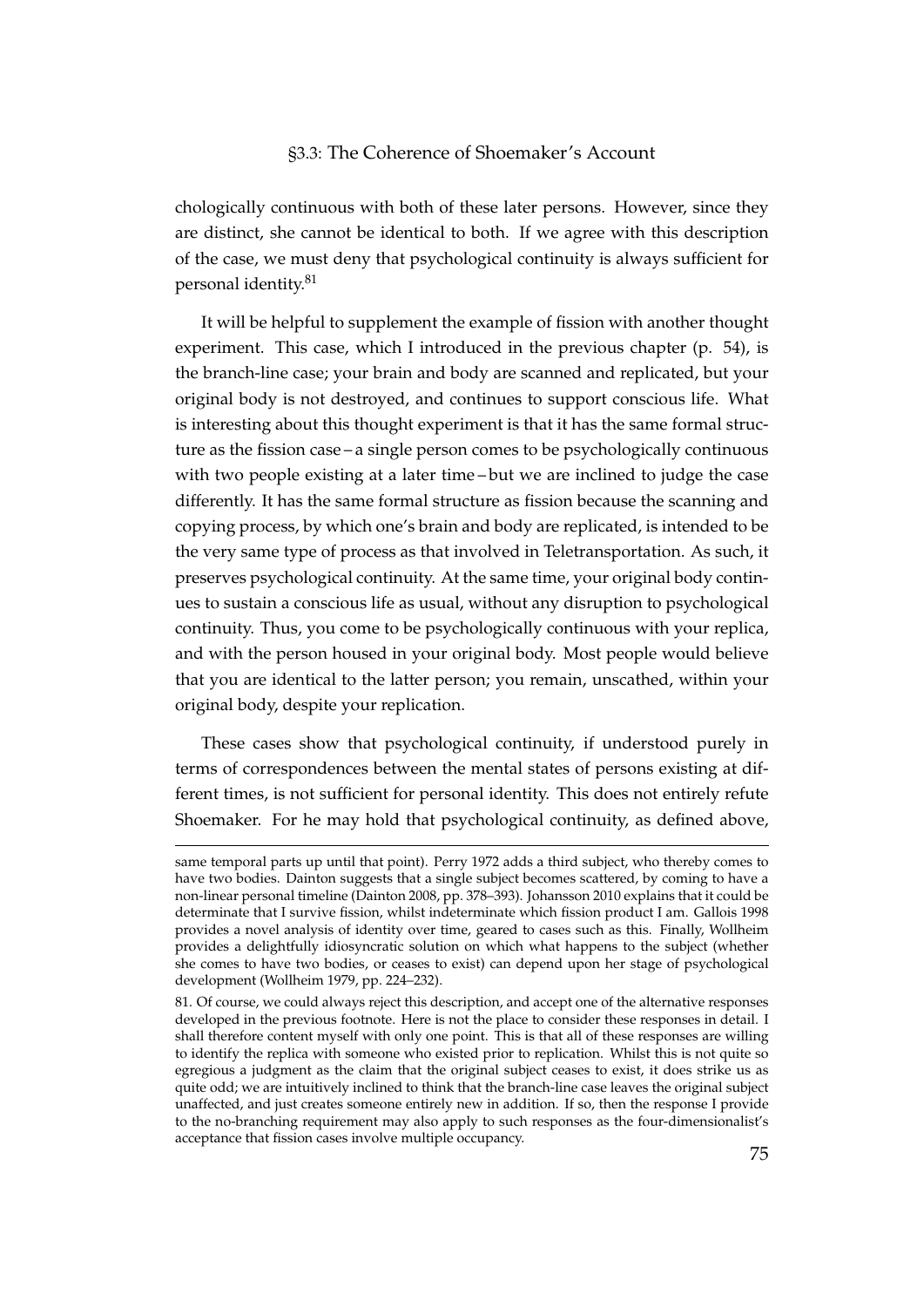# §3.3: The Coherence of Shoemaker's Account

chologically continuous with both of these later persons. However, since they are distinct, she cannot be identical to both. If we agree with this description of the case, we must deny that psychological continuity is always sufficient for personal identity.[81](#page-74-0)

It will be helpful to supplement the example of fission with another thought experiment. This case, which I introduced in the previous chapter (p. [54\)](#page-53-0), is the branch-line case; your brain and body are scanned and replicated, but your original body is not destroyed, and continues to support conscious life. What is interesting about this thought experiment is that it has the same formal structure as the fission case – a single person comes to be psychologically continuous with two people existing at a later time – but we are inclined to judge the case differently. It has the same formal structure as fission because the scanning and copying process, by which one's brain and body are replicated, is intended to be the very same type of process as that involved in [Teletransportation.](#page-33-0) As such, it preserves psychological continuity. At the same time, your original body continues to sustain a conscious life as usual, without any disruption to psychological continuity. Thus, you come to be psychologically continuous with your replica, and with the person housed in your original body. Most people would believe that you are identical to the latter person; you remain, unscathed, within your original body, despite your replication.

These cases show that psychological continuity, if understood purely in terms of correspondences between the mental states of persons existing at different times, is not sufficient for personal identity. This does not entirely refute Shoemaker. For he may hold that psychological continuity, as defined above,

same temporal parts up until that point). [Perry 1972](#page-215-0) adds a third subject, who thereby comes to have two bodies. Dainton suggests that a single subject becomes scattered, by coming to have a non-linear personal timeline [\(Dainton 2008,](#page-210-0) pp. 378–393). [Johansson 2010](#page-212-0) explains that it could be determinate that I survive fission, whilst indeterminate which fission product I am. [Gallois 1998](#page-211-0) provides a novel analysis of identity over time, geared to cases such as this. Finally, Wollheim provides a delightfully idiosyncratic solution on which what happens to the subject (whether she comes to have two bodies, or ceases to exist) can depend upon her stage of psychological development [\(Wollheim 1979,](#page-220-0) pp. 224–232).

<span id="page-74-0"></span><sup>81.</sup> Of course, we could always reject this description, and accept one of the alternative responses developed in the previous footnote. Here is not the place to consider these responses in detail. I shall therefore content myself with only one point. This is that all of these responses are willing to identify the replica with someone who existed prior to replication. Whilst this is not quite so egregious a judgment as the claim that the original subject ceases to exist, it does strike us as quite odd; we are intuitively inclined to think that the branch-line case leaves the original subject unaffected, and just creates someone entirely new in addition. If so, then the response I provide to the no-branching requirement may also apply to such responses as the four-dimensionalist's acceptance that fission cases involve multiple occupancy.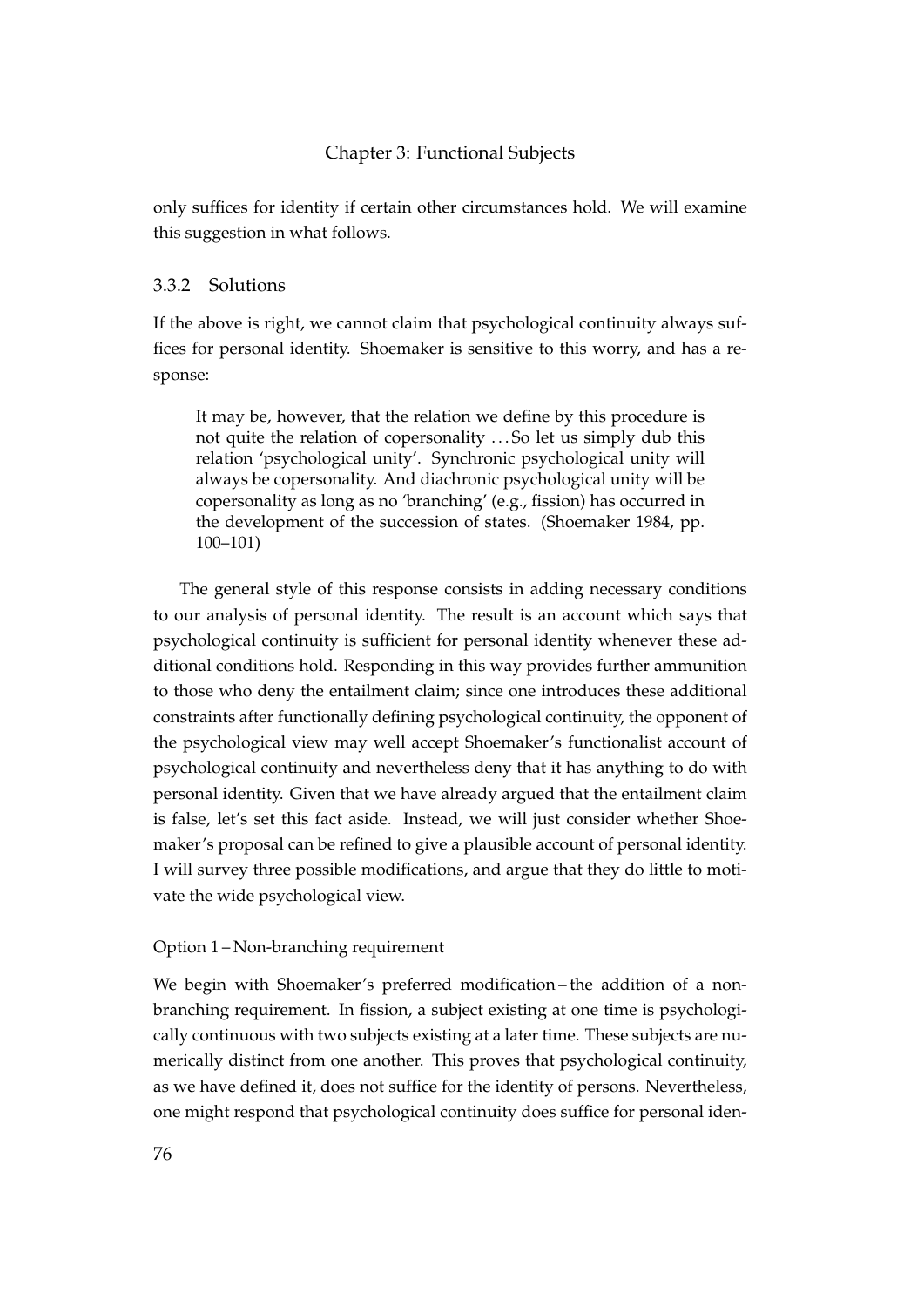only suffices for identity if certain other circumstances hold. We will examine this suggestion in what follows.

# 3.3.2 Solutions

If the above is right, we cannot claim that psychological continuity always suffices for personal identity. Shoemaker is sensitive to this worry, and has a response:

It may be, however, that the relation we define by this procedure is not quite the relation of copersonality . . . So let us simply dub this relation 'psychological unity'. Synchronic psychological unity will always be copersonality. And diachronic psychological unity will be copersonality as long as no 'branching' (e.g., fission) has occurred in the development of the succession of states. [\(Shoemaker 1984,](#page-217-0) pp. 100–101)

The general style of this response consists in adding necessary conditions to our analysis of personal identity. The result is an account which says that psychological continuity is sufficient for personal identity whenever these additional conditions hold. Responding in this way provides further ammunition to those who deny the entailment claim; since one introduces these additional constraints after functionally defining psychological continuity, the opponent of the psychological view may well accept Shoemaker's functionalist account of psychological continuity and nevertheless deny that it has anything to do with personal identity. Given that we have already argued that the entailment claim is false, let's set this fact aside. Instead, we will just consider whether Shoemaker's proposal can be refined to give a plausible account of personal identity. I will survey three possible modifications, and argue that they do little to motivate the wide psychological view.

### Option 1 – Non-branching requirement

We begin with Shoemaker's preferred modification – the addition of a nonbranching requirement. In fission, a subject existing at one time is psychologically continuous with two subjects existing at a later time. These subjects are numerically distinct from one another. This proves that psychological continuity, as we have defined it, does not suffice for the identity of persons. Nevertheless, one might respond that psychological continuity does suffice for personal iden-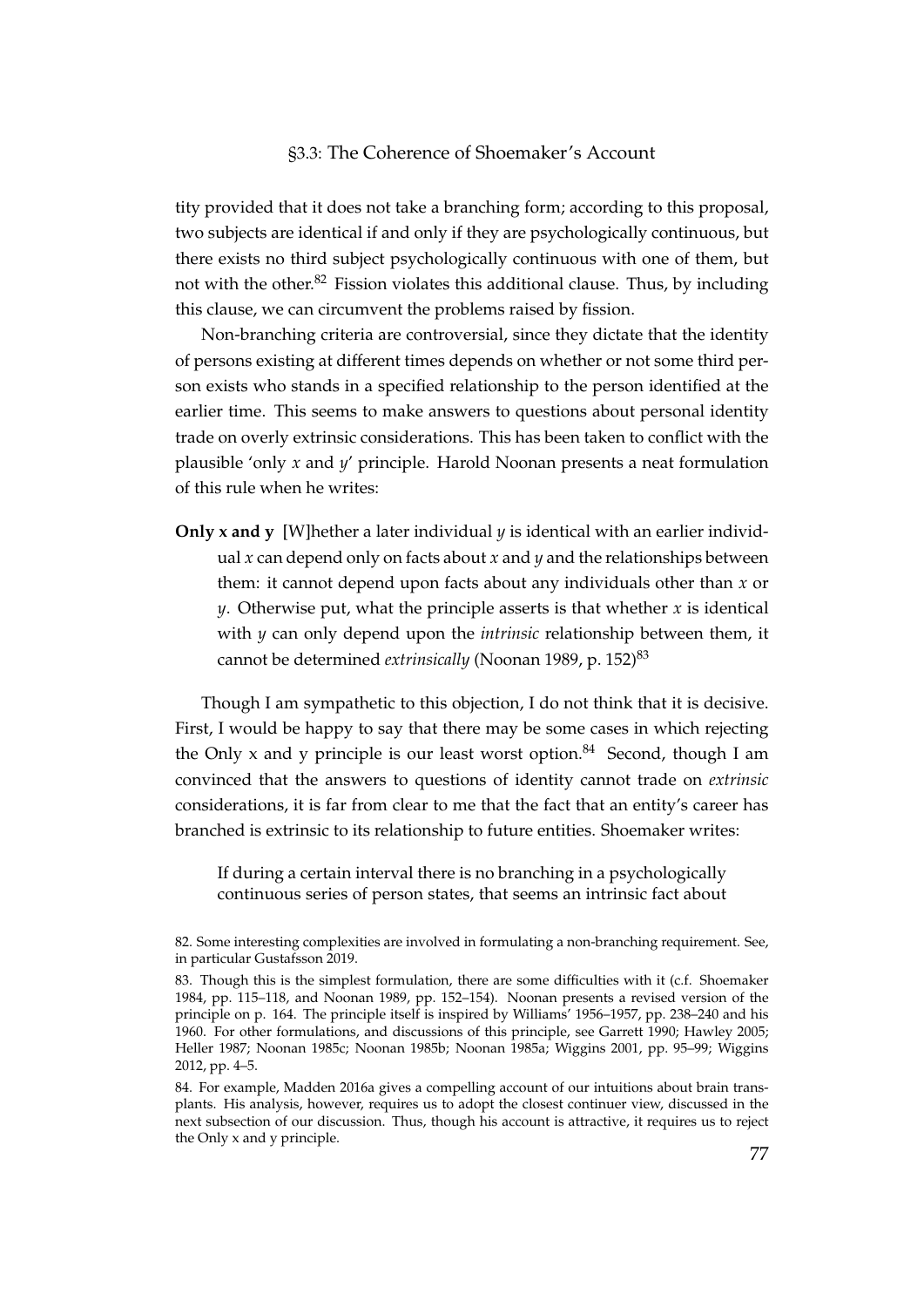# §3.3: The Coherence of Shoemaker's Account

tity provided that it does not take a branching form; according to this proposal, two subjects are identical if and only if they are psychologically continuous, but there exists no third subject psychologically continuous with one of them, but not with the other.<sup>[82](#page-76-0)</sup> Fission violates this additional clause. Thus, by including this clause, we can circumvent the problems raised by fission.

Non-branching criteria are controversial, since they dictate that the identity of persons existing at different times depends on whether or not some third person exists who stands in a specified relationship to the person identified at the earlier time. This seems to make answers to questions about personal identity trade on overly extrinsic considerations. This has been taken to conflict with the plausible 'only *x* and *y*' principle. Harold Noonan presents a neat formulation of this rule when he writes:

<span id="page-76-2"></span>**Only x and y** [W]hether a later individual *y* is identical with an earlier individual *x* can depend only on facts about *x* and *y* and the relationships between them: it cannot depend upon facts about any individuals other than *x* or *y*. Otherwise put, what the principle asserts is that whether *x* is identical with *y* can only depend upon the *intrinsic* relationship between them, it cannot be determined *extrinsically* [\(Noonan 1989,](#page-214-0) p. 152)<sup>[83](#page-76-1)</sup>

Though I am sympathetic to this objection, I do not think that it is decisive. First, I would be happy to say that there may be some cases in which rejecting the [Only x and y](#page-76-2) principle is our least worst option. $84$  Second, though I am convinced that the answers to questions of identity cannot trade on *extrinsic* considerations, it is far from clear to me that the fact that an entity's career has branched is extrinsic to its relationship to future entities. Shoemaker writes:

If during a certain interval there is no branching in a psychologically continuous series of person states, that seems an intrinsic fact about

<span id="page-76-0"></span><sup>82.</sup> Some interesting complexities are involved in formulating a non-branching requirement. See, in particular [Gustafsson 2019.](#page-211-1)

<span id="page-76-1"></span><sup>83.</sup> Though this is the simplest formulation, there are some difficulties with it (c.f. [Shoemaker](#page-217-0) [1984,](#page-217-0) pp. 115–118, and [Noonan 1989,](#page-214-0) pp. 152–154). Noonan presents a revised version of the principle on p. 164. The principle itself is inspired by Williams' [1956–1957,](#page-219-0) pp. 238–240 and his [1960.](#page-219-1) For other formulations, and discussions of this principle, see [Garrett 1990;](#page-211-2) [Hawley 2005;](#page-211-3) [Heller 1987;](#page-211-4) [Noonan 1985c;](#page-214-1) [Noonan 1985b;](#page-214-2) [Noonan 1985a;](#page-214-3) [Wiggins 2001,](#page-219-2) pp. 95–99; [Wiggins](#page-219-3) [2012,](#page-219-3) pp. 4–5.

<span id="page-76-3"></span><sup>84.</sup> For example, [Madden 2016a](#page-214-4) gives a compelling account of our intuitions about brain transplants. His analysis, however, requires us to adopt the closest continuer view, discussed in the next subsection of our discussion. Thus, though his account is attractive, it requires us to reject the [Only x and y](#page-76-2) principle.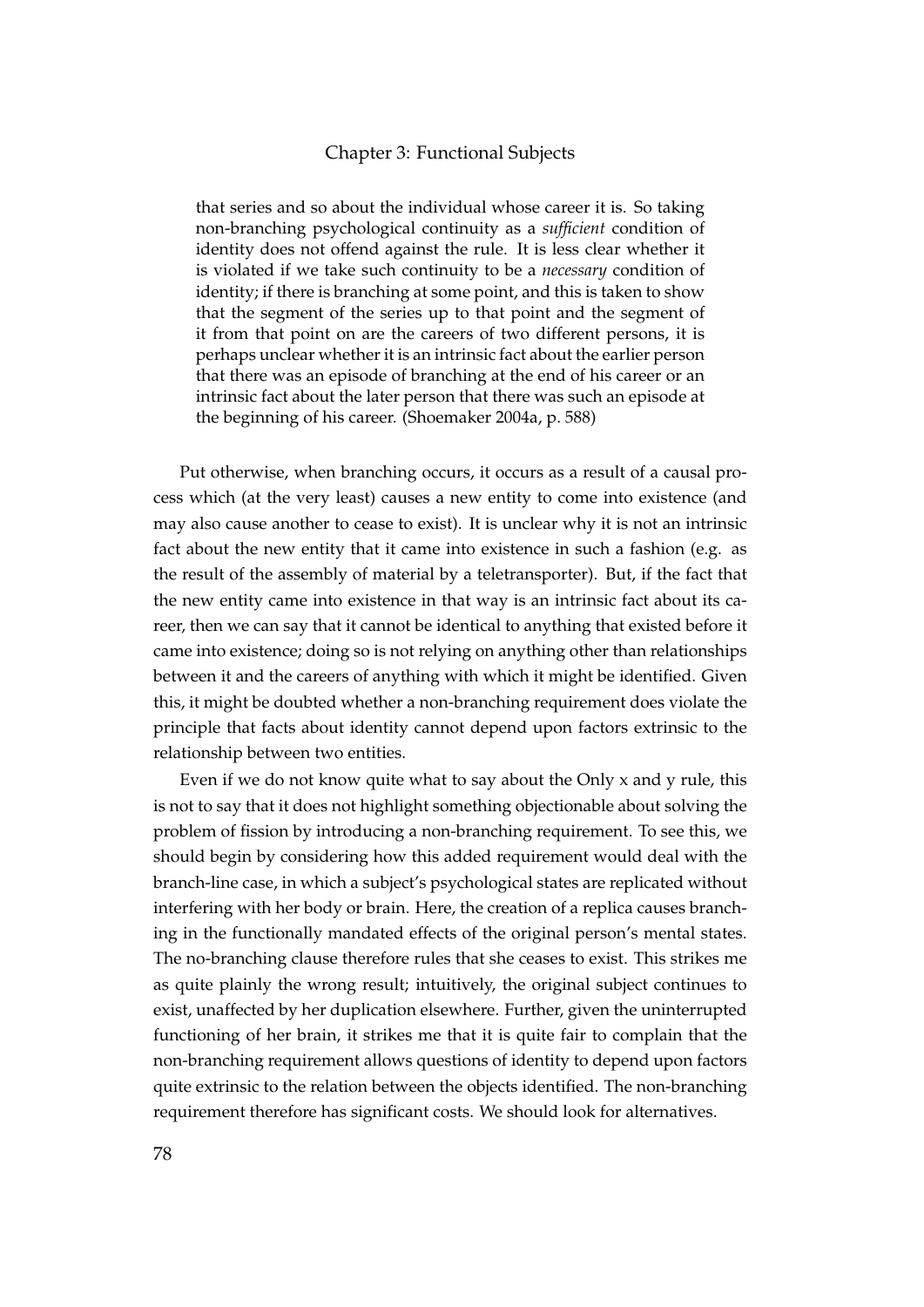that series and so about the individual whose career it is. So taking non-branching psychological continuity as a *sufficient* condition of identity does not offend against the rule. It is less clear whether it is violated if we take such continuity to be a *necessary* condition of identity; if there is branching at some point, and this is taken to show that the segment of the series up to that point and the segment of it from that point on are the careers of two different persons, it is perhaps unclear whether it is an intrinsic fact about the earlier person that there was an episode of branching at the end of his career or an intrinsic fact about the later person that there was such an episode at the beginning of his career. [\(Shoemaker 2004a,](#page-217-1) p. 588)

Put otherwise, when branching occurs, it occurs as a result of a causal process which (at the very least) causes a new entity to come into existence (and may also cause another to cease to exist). It is unclear why it is not an intrinsic fact about the new entity that it came into existence in such a fashion (e.g. as the result of the assembly of material by a teletransporter). But, if the fact that the new entity came into existence in that way is an intrinsic fact about its career, then we can say that it cannot be identical to anything that existed before it came into existence; doing so is not relying on anything other than relationships between it and the careers of anything with which it might be identified. Given this, it might be doubted whether a non-branching requirement does violate the principle that facts about identity cannot depend upon factors extrinsic to the relationship between two entities.

Even if we do not know quite what to say about the [Only x and y](#page-76-2) rule, this is not to say that it does not highlight something objectionable about solving the problem of fission by introducing a non-branching requirement. To see this, we should begin by considering how this added requirement would deal with the branch-line case, in which a subject's psychological states are replicated without interfering with her body or brain. Here, the creation of a replica causes branching in the functionally mandated effects of the original person's mental states. The no-branching clause therefore rules that she ceases to exist. This strikes me as quite plainly the wrong result; intuitively, the original subject continues to exist, unaffected by her duplication elsewhere. Further, given the uninterrupted functioning of her brain, it strikes me that it is quite fair to complain that the non-branching requirement allows questions of identity to depend upon factors quite extrinsic to the relation between the objects identified. The non-branching requirement therefore has significant costs. We should look for alternatives.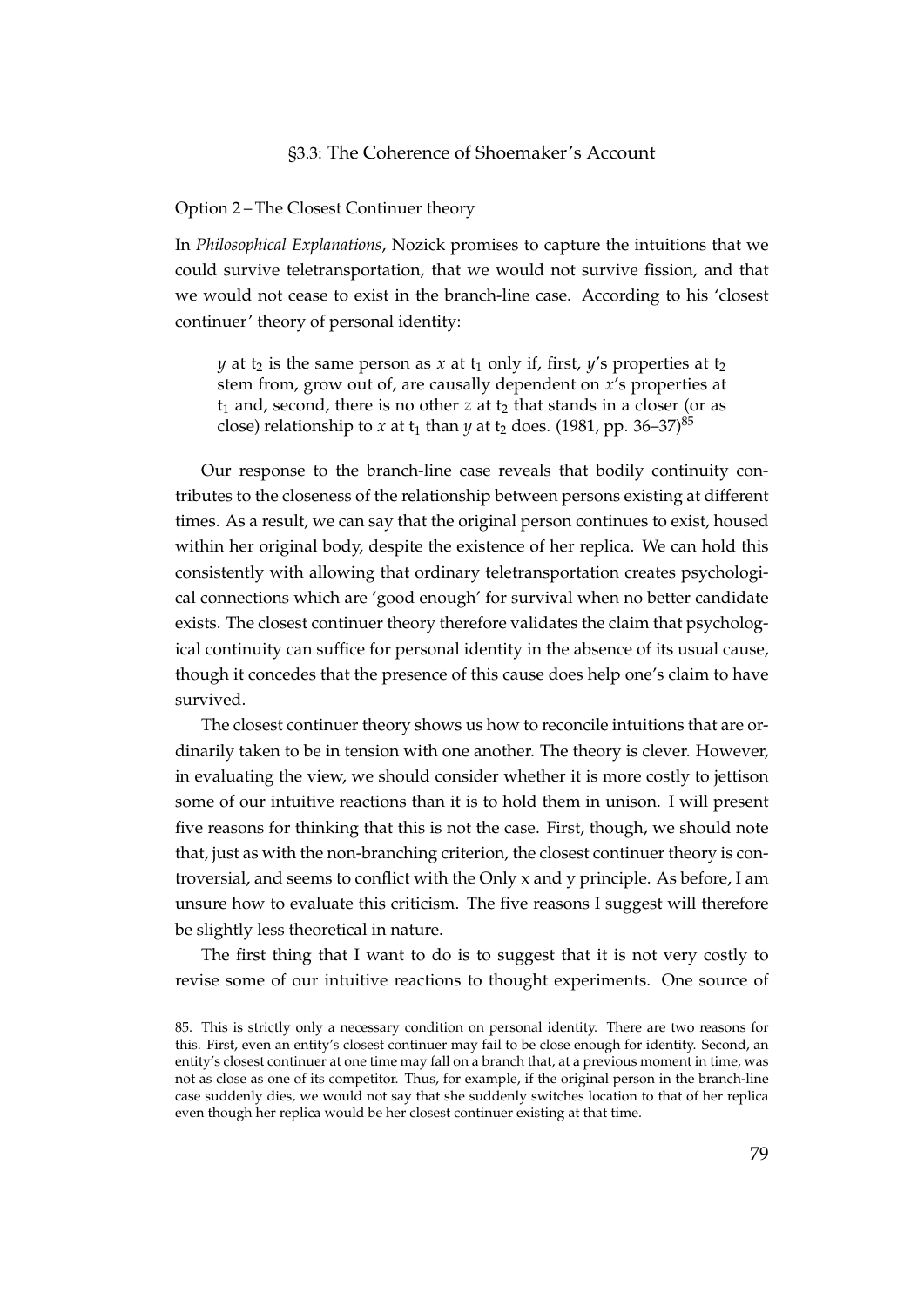# §3.3: The Coherence of Shoemaker's Account

#### Option 2 – The Closest Continuer theory

In *Philosophical Explanations*, Nozick promises to capture the intuitions that we could survive teletransportation, that we would not survive fission, and that we would not cease to exist in the branch-line case. According to his 'closest continuer' theory of personal identity:

*y* at  $t_2$  is the same person as *x* at  $t_1$  only if, first, *y*'s properties at  $t_2$ stem from, grow out of, are causally dependent on *x*'s properties at  $t_1$  and, second, there is no other  $z$  at  $t_2$  that stands in a closer (or as close) relationship to *x* at  $t_1$  than *y* at  $t_2$  does. (1981, pp. 36–37)<sup>[85](#page-78-0)</sup>

Our response to the branch-line case reveals that bodily continuity contributes to the closeness of the relationship between persons existing at different times. As a result, we can say that the original person continues to exist, housed within her original body, despite the existence of her replica. We can hold this consistently with allowing that ordinary teletransportation creates psychological connections which are 'good enough' for survival when no better candidate exists. The closest continuer theory therefore validates the claim that psychological continuity can suffice for personal identity in the absence of its usual cause, though it concedes that the presence of this cause does help one's claim to have survived.

The closest continuer theory shows us how to reconcile intuitions that are ordinarily taken to be in tension with one another. The theory is clever. However, in evaluating the view, we should consider whether it is more costly to jettison some of our intuitive reactions than it is to hold them in unison. I will present five reasons for thinking that this is not the case. First, though, we should note that, just as with the non-branching criterion, the closest continuer theory is controversial, and seems to conflict with the [Only x and y](#page-76-2) principle. As before, I am unsure how to evaluate this criticism. The five reasons I suggest will therefore be slightly less theoretical in nature.

The first thing that I want to do is to suggest that it is not very costly to revise some of our intuitive reactions to thought experiments. One source of

<span id="page-78-0"></span><sup>85.</sup> This is strictly only a necessary condition on personal identity. There are two reasons for this. First, even an entity's closest continuer may fail to be close enough for identity. Second, an entity's closest continuer at one time may fall on a branch that, at a previous moment in time, was not as close as one of its competitor. Thus, for example, if the original person in the branch-line case suddenly dies, we would not say that she suddenly switches location to that of her replica even though her replica would be her closest continuer existing at that time.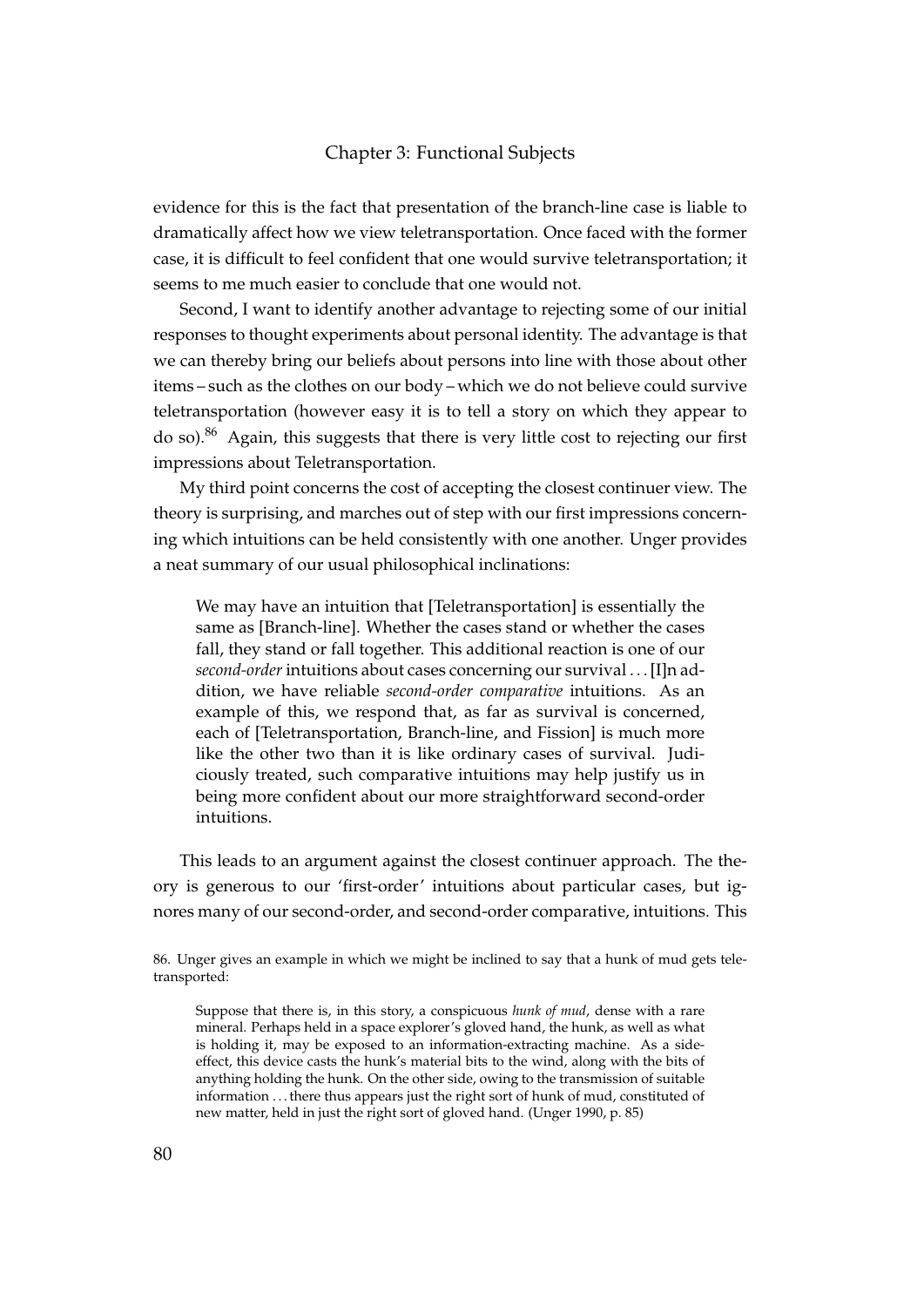evidence for this is the fact that presentation of the branch-line case is liable to dramatically affect how we view teletransportation. Once faced with the former case, it is difficult to feel confident that one would survive teletransportation; it seems to me much easier to conclude that one would not.

Second, I want to identify another advantage to rejecting some of our initial responses to thought experiments about personal identity. The advantage is that we can thereby bring our beliefs about persons into line with those about other items – such as the clothes on our body – which we do not believe could survive teletransportation (however easy it is to tell a story on which they appear to  $\alpha$  so).<sup>[86](#page-79-0)</sup> Again, this suggests that there is very little cost to rejecting our first impressions about [Teletransportation.](#page-33-0)

My third point concerns the cost of accepting the closest continuer view. The theory is surprising, and marches out of step with our first impressions concerning which intuitions can be held consistently with one another. Unger provides a neat summary of our usual philosophical inclinations:

We may have an intuition that [\[Teletransportation\]](#page-33-0) is essentially the same as [\[Branch-line\]](#page-53-0). Whether the cases stand or whether the cases fall, they stand or fall together. This additional reaction is one of our *second-order* intuitions about cases concerning our survival . . . [I]n addition, we have reliable *second-order comparative* intuitions. As an example of this, we respond that, as far as survival is concerned, each of [\[Teletransportation,](#page-33-0) [Branch-line,](#page-53-0) and [Fission\]](#page-73-2) is much more like the other two than it is like ordinary cases of survival. Judiciously treated, such comparative intuitions may help justify us in being more confident about our more straightforward second-order intuitions.

This leads to an argument against the closest continuer approach. The theory is generous to our 'first-order' intuitions about particular cases, but ignores many of our second-order, and second-order comparative, intuitions. This

<span id="page-79-0"></span><sup>86.</sup> Unger gives an example in which we might be inclined to say that a hunk of mud gets teletransported:

Suppose that there is, in this story, a conspicuous *hunk of mud*, dense with a rare mineral. Perhaps held in a space explorer's gloved hand, the hunk, as well as what is holding it, may be exposed to an information-extracting machine. As a sideeffect, this device casts the hunk's material bits to the wind, along with the bits of anything holding the hunk. On the other side, owing to the transmission of suitable information . . . there thus appears just the right sort of hunk of mud, constituted of new matter, held in just the right sort of gloved hand. [\(Unger 1990,](#page-219-4) p. 85)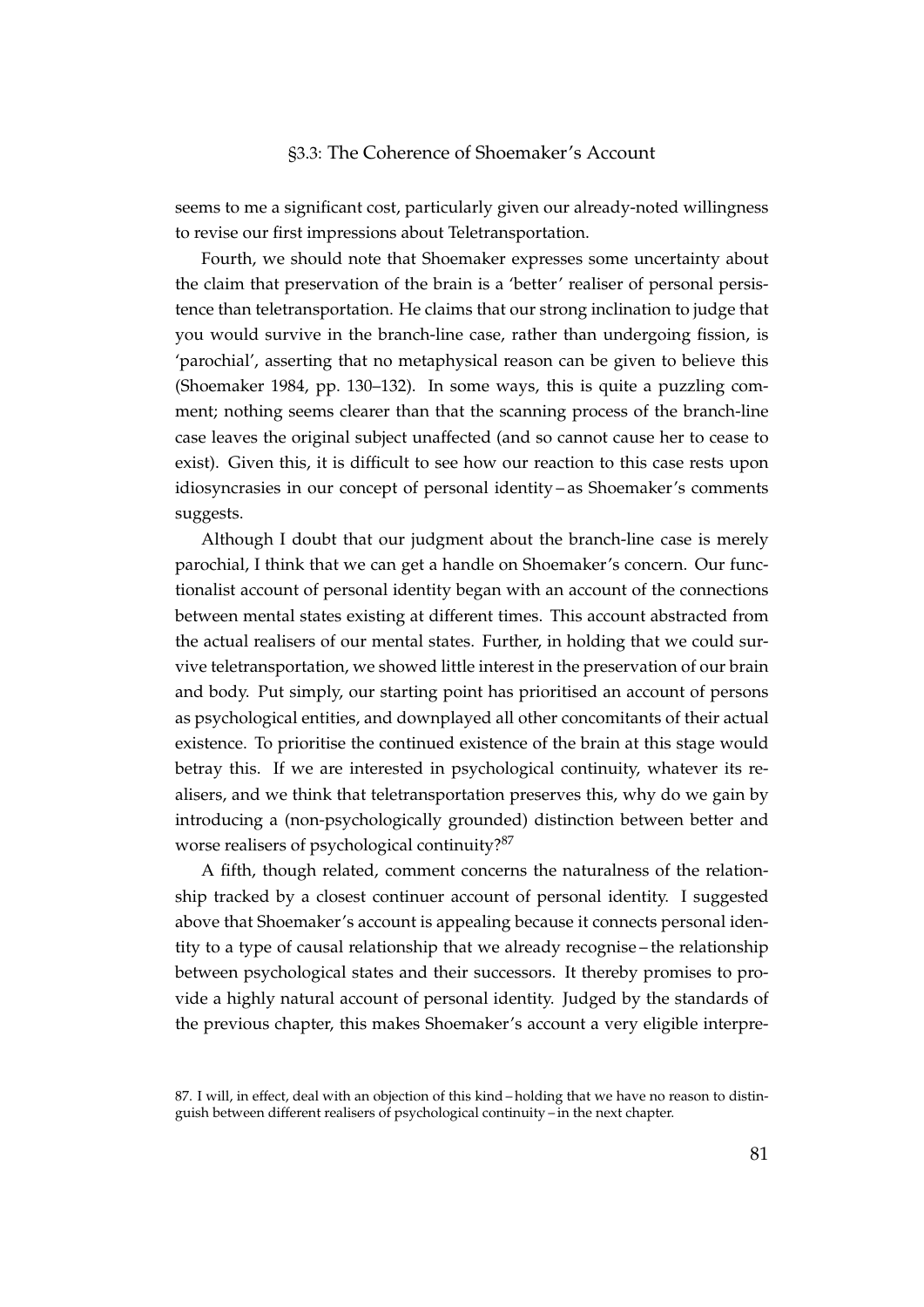# §3.3: The Coherence of Shoemaker's Account

seems to me a significant cost, particularly given our already-noted willingness to revise our first impressions about [Teletransportation.](#page-33-0)

Fourth, we should note that Shoemaker expresses some uncertainty about the claim that preservation of the brain is a 'better' realiser of personal persistence than teletransportation. He claims that our strong inclination to judge that you would survive in the branch-line case, rather than undergoing fission, is 'parochial', asserting that no metaphysical reason can be given to believe this [\(Shoemaker 1984,](#page-217-0) pp. 130–132). In some ways, this is quite a puzzling comment; nothing seems clearer than that the scanning process of the branch-line case leaves the original subject unaffected (and so cannot cause her to cease to exist). Given this, it is difficult to see how our reaction to this case rests upon idiosyncrasies in our concept of personal identity – as Shoemaker's comments suggests.

Although I doubt that our judgment about the branch-line case is merely parochial, I think that we can get a handle on Shoemaker's concern. Our functionalist account of personal identity began with an account of the connections between mental states existing at different times. This account abstracted from the actual realisers of our mental states. Further, in holding that we could survive teletransportation, we showed little interest in the preservation of our brain and body. Put simply, our starting point has prioritised an account of persons as psychological entities, and downplayed all other concomitants of their actual existence. To prioritise the continued existence of the brain at this stage would betray this. If we are interested in psychological continuity, whatever its realisers, and we think that teletransportation preserves this, why do we gain by introducing a (non-psychologically grounded) distinction between better and worse realisers of psychological continuity?<sup>[87](#page-80-0)</sup>

A fifth, though related, comment concerns the naturalness of the relationship tracked by a closest continuer account of personal identity. I suggested above that Shoemaker's account is appealing because it connects personal identity to a type of causal relationship that we already recognise – the relationship between psychological states and their successors. It thereby promises to provide a highly natural account of personal identity. Judged by the standards of the previous chapter, this makes Shoemaker's account a very eligible interpre-

<span id="page-80-0"></span><sup>87.</sup> I will, in effect, deal with an objection of this kind – holding that we have no reason to distinguish between different realisers of psychological continuity – in the next chapter.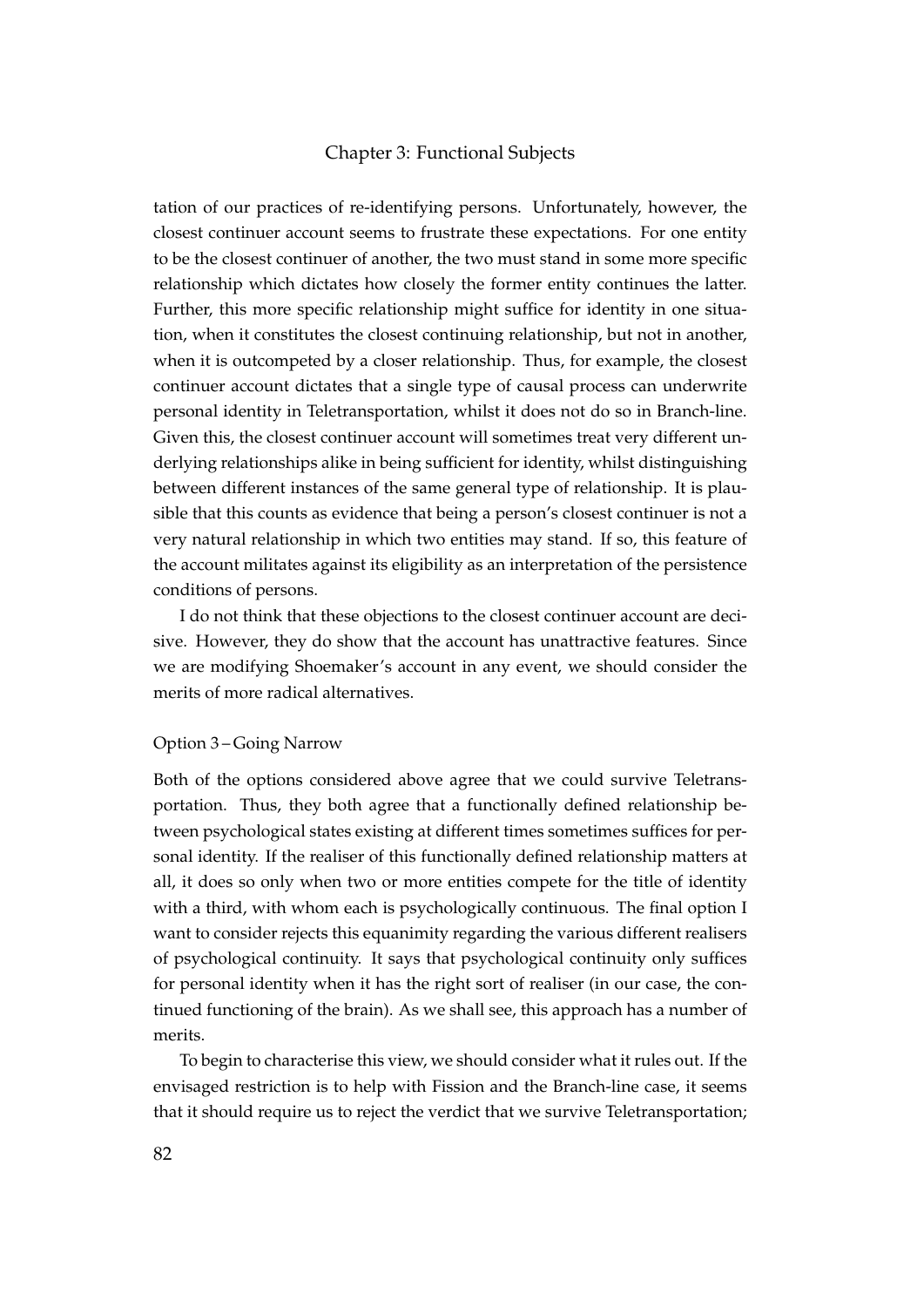tation of our practices of re-identifying persons. Unfortunately, however, the closest continuer account seems to frustrate these expectations. For one entity to be the closest continuer of another, the two must stand in some more specific relationship which dictates how closely the former entity continues the latter. Further, this more specific relationship might suffice for identity in one situation, when it constitutes the closest continuing relationship, but not in another, when it is outcompeted by a closer relationship. Thus, for example, the closest continuer account dictates that a single type of causal process can underwrite personal identity in [Teletransportation,](#page-33-0) whilst it does not do so in [Branch-line.](#page-53-0) Given this, the closest continuer account will sometimes treat very different underlying relationships alike in being sufficient for identity, whilst distinguishing between different instances of the same general type of relationship. It is plausible that this counts as evidence that being a person's closest continuer is not a very natural relationship in which two entities may stand. If so, this feature of the account militates against its eligibility as an interpretation of the persistence conditions of persons.

I do not think that these objections to the closest continuer account are decisive. However, they do show that the account has unattractive features. Since we are modifying Shoemaker's account in any event, we should consider the merits of more radical alternatives.

#### Option 3 – Going Narrow

Both of the options considered above agree that we could survive [Teletrans](#page-33-0)[portation.](#page-33-0) Thus, they both agree that a functionally defined relationship between psychological states existing at different times sometimes suffices for personal identity. If the realiser of this functionally defined relationship matters at all, it does so only when two or more entities compete for the title of identity with a third, with whom each is psychologically continuous. The final option I want to consider rejects this equanimity regarding the various different realisers of psychological continuity. It says that psychological continuity only suffices for personal identity when it has the right sort of realiser (in our case, the continued functioning of the brain). As we shall see, this approach has a number of merits.

To begin to characterise this view, we should consider what it rules out. If the envisaged restriction is to help with [Fission](#page-73-2) and the [Branch-line](#page-53-0) case, it seems that it should require us to reject the verdict that we survive [Teletransportation;](#page-33-0)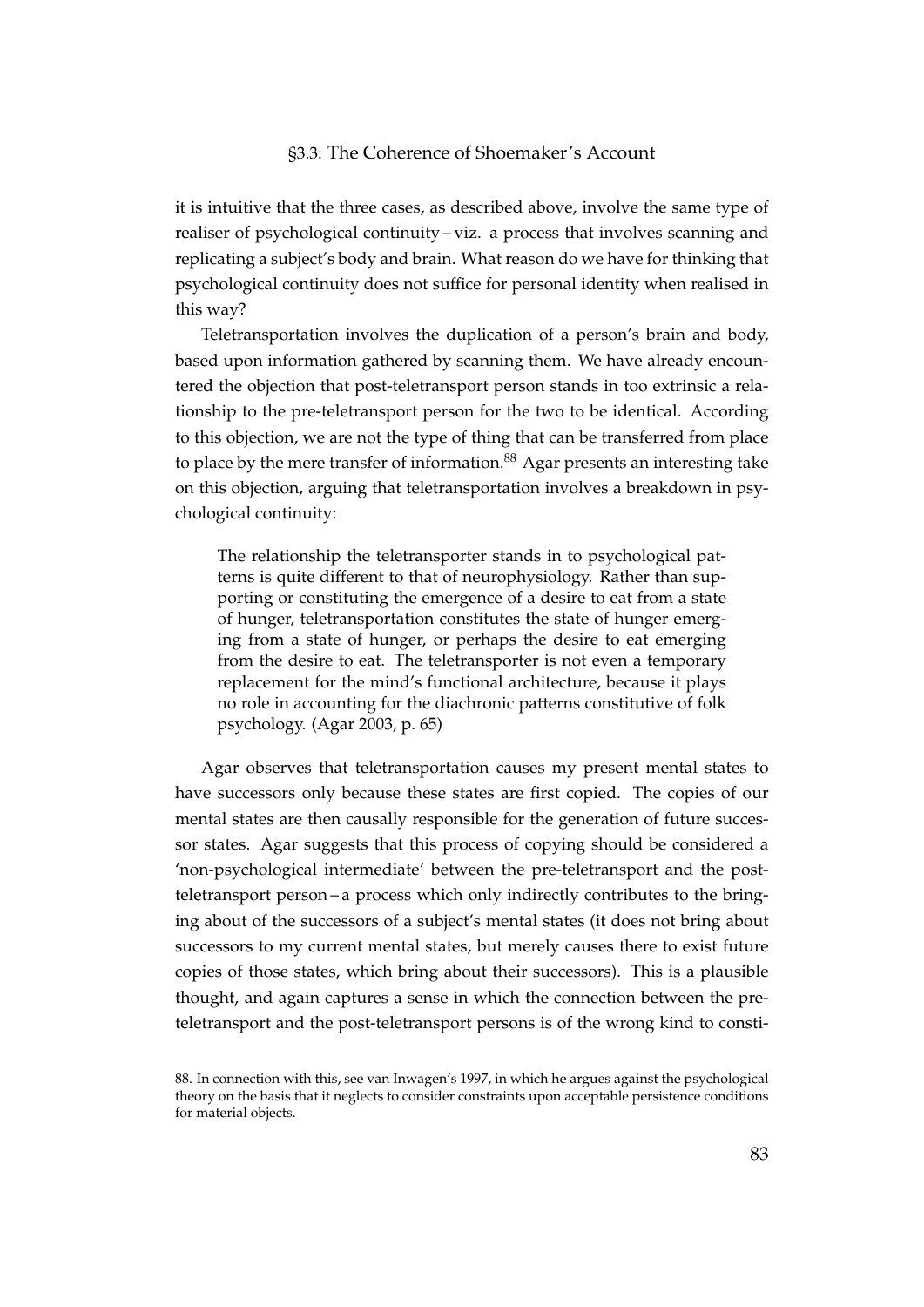# §3.3: The Coherence of Shoemaker's Account

it is intuitive that the three cases, as described above, involve the same type of realiser of psychological continuity – viz. a process that involves scanning and replicating a subject's body and brain. What reason do we have for thinking that psychological continuity does not suffice for personal identity when realised in this way?

Teletransportation involves the duplication of a person's brain and body, based upon information gathered by scanning them. We have already encountered the objection that post-teletransport person stands in too extrinsic a relationship to the pre-teletransport person for the two to be identical. According to this objection, we are not the type of thing that can be transferred from place to place by the mere transfer of information. $88$  Agar presents an interesting take on this objection, arguing that teletransportation involves a breakdown in psychological continuity:

The relationship the teletransporter stands in to psychological patterns is quite different to that of neurophysiology. Rather than supporting or constituting the emergence of a desire to eat from a state of hunger, teletransportation constitutes the state of hunger emerging from a state of hunger, or perhaps the desire to eat emerging from the desire to eat. The teletransporter is not even a temporary replacement for the mind's functional architecture, because it plays no role in accounting for the diachronic patterns constitutive of folk psychology. [\(Agar 2003,](#page-208-0) p. 65)

Agar observes that teletransportation causes my present mental states to have successors only because these states are first copied. The copies of our mental states are then causally responsible for the generation of future successor states. Agar suggests that this process of copying should be considered a 'non-psychological intermediate' between the pre-teletransport and the postteletransport person – a process which only indirectly contributes to the bringing about of the successors of a subject's mental states (it does not bring about successors to my current mental states, but merely causes there to exist future copies of those states, which bring about their successors). This is a plausible thought, and again captures a sense in which the connection between the preteletransport and the post-teletransport persons is of the wrong kind to consti-

<span id="page-82-0"></span><sup>88.</sup> In connection with this, see van Inwagen's [1997,](#page-219-5) in which he argues against the psychological theory on the basis that it neglects to consider constraints upon acceptable persistence conditions for material objects.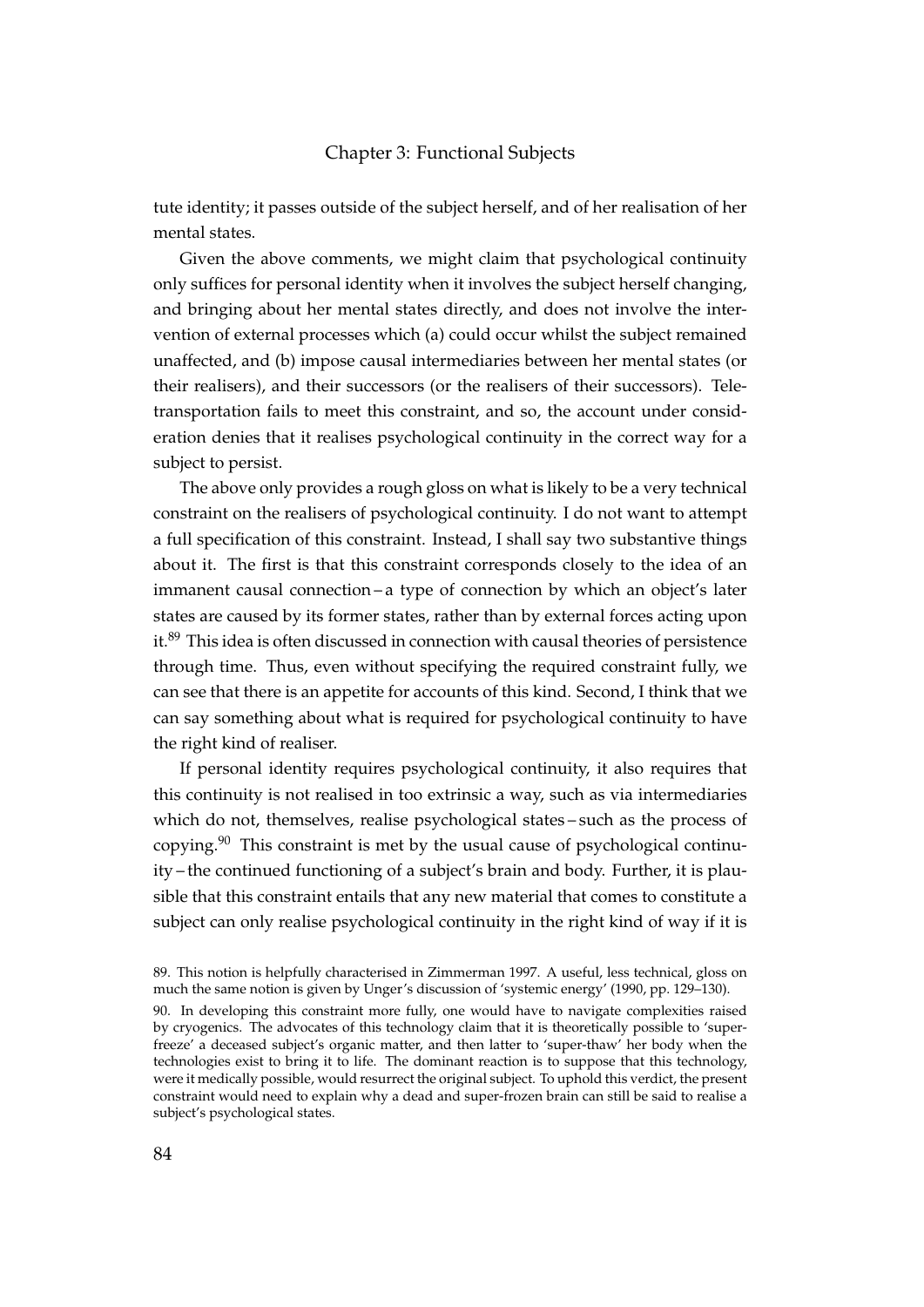tute identity; it passes outside of the subject herself, and of her realisation of her mental states.

Given the above comments, we might claim that psychological continuity only suffices for personal identity when it involves the subject herself changing, and bringing about her mental states directly, and does not involve the intervention of external processes which (a) could occur whilst the subject remained unaffected, and (b) impose causal intermediaries between her mental states (or their realisers), and their successors (or the realisers of their successors). [Tele](#page-33-0)[transportation](#page-33-0) fails to meet this constraint, and so, the account under consideration denies that it realises psychological continuity in the correct way for a subject to persist.

The above only provides a rough gloss on what is likely to be a very technical constraint on the realisers of psychological continuity. I do not want to attempt a full specification of this constraint. Instead, I shall say two substantive things about it. The first is that this constraint corresponds closely to the idea of an immanent causal connection – a type of connection by which an object's later states are caused by its former states, rather than by external forces acting upon it.<sup>[89](#page-83-0)</sup> This idea is often discussed in connection with causal theories of persistence through time. Thus, even without specifying the required constraint fully, we can see that there is an appetite for accounts of this kind. Second, I think that we can say something about what is required for psychological continuity to have the right kind of realiser.

If personal identity requires psychological continuity, it also requires that this continuity is not realised in too extrinsic a way, such as via intermediaries which do not, themselves, realise psychological states – such as the process of copying. $90$  This constraint is met by the usual cause of psychological continuity – the continued functioning of a subject's brain and body. Further, it is plausible that this constraint entails that any new material that comes to constitute a subject can only realise psychological continuity in the right kind of way if it is

<span id="page-83-0"></span><sup>89.</sup> This notion is helpfully characterised in [Zimmerman 1997.](#page-220-1) A useful, less technical, gloss on much the same notion is given by Unger's discussion of 'systemic energy' (1990, pp. 129–130).

<span id="page-83-1"></span><sup>90.</sup> In developing this constraint more fully, one would have to navigate complexities raised by cryogenics. The advocates of this technology claim that it is theoretically possible to 'superfreeze' a deceased subject's organic matter, and then latter to 'super-thaw' her body when the technologies exist to bring it to life. The dominant reaction is to suppose that this technology, were it medically possible, would resurrect the original subject. To uphold this verdict, the present constraint would need to explain why a dead and super-frozen brain can still be said to realise a subject's psychological states.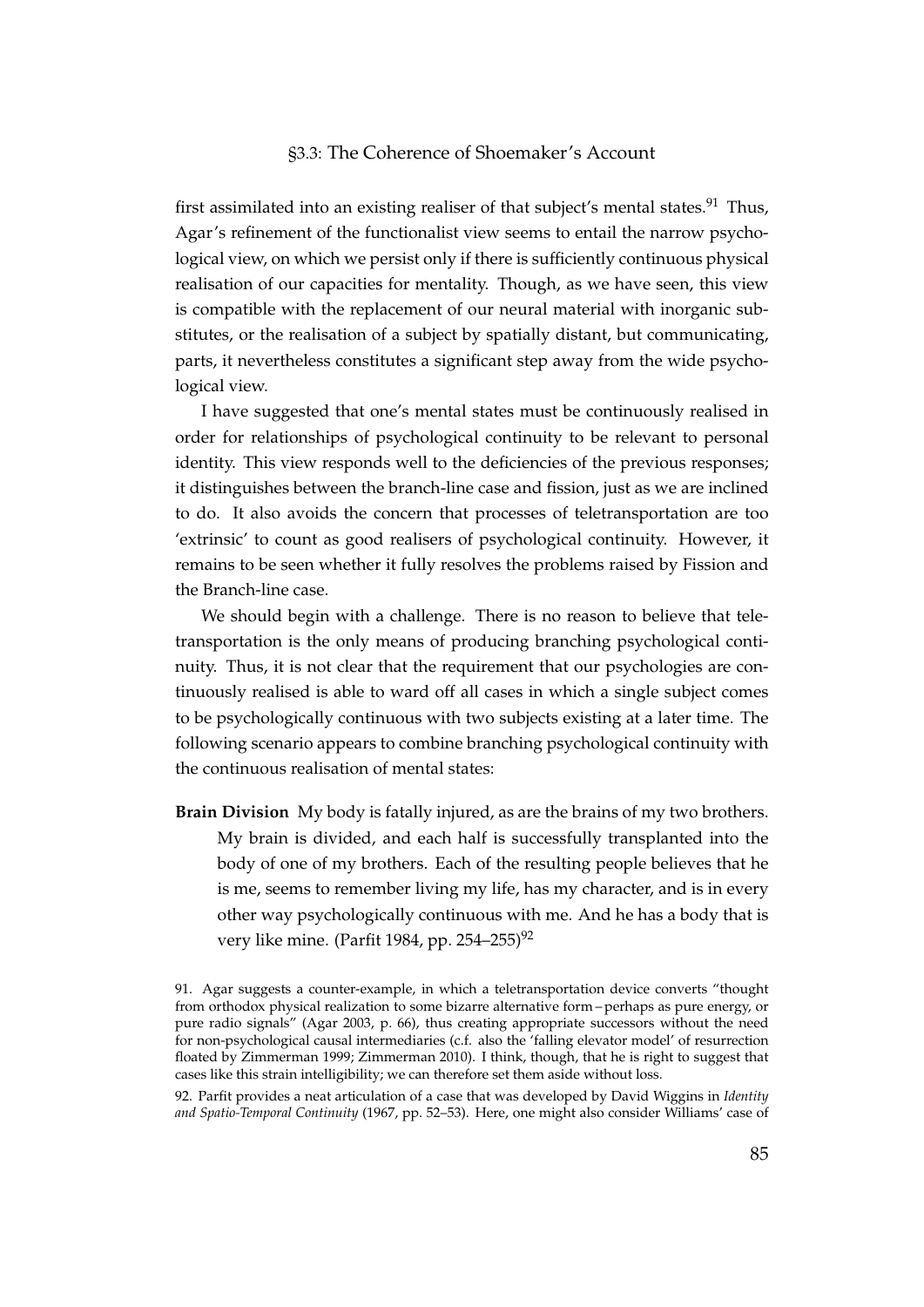# §3.3: The Coherence of Shoemaker's Account

first assimilated into an existing realiser of that subject's mental states.<sup>[91](#page-84-0)</sup> Thus, Agar's refinement of the functionalist view seems to entail the narrow psychological view, on which we persist only if there is sufficiently continuous physical realisation of our capacities for mentality. Though, as we have seen, this view is compatible with the replacement of our neural material with inorganic substitutes, or the realisation of a subject by spatially distant, but communicating, parts, it nevertheless constitutes a significant step away from the wide psychological view.

I have suggested that one's mental states must be continuously realised in order for relationships of psychological continuity to be relevant to personal identity. This view responds well to the deficiencies of the previous responses; it distinguishes between the branch-line case and fission, just as we are inclined to do. It also avoids the concern that processes of teletransportation are too 'extrinsic' to count as good realisers of psychological continuity. However, it remains to be seen whether it fully resolves the problems raised by [Fission](#page-73-2) and the [Branch-line](#page-53-0) case.

We should begin with a challenge. There is no reason to believe that teletransportation is the only means of producing branching psychological continuity. Thus, it is not clear that the requirement that our psychologies are continuously realised is able to ward off all cases in which a single subject comes to be psychologically continuous with two subjects existing at a later time. The following scenario appears to combine branching psychological continuity with the continuous realisation of mental states:

<span id="page-84-2"></span>**Brain Division** My body is fatally injured, as are the brains of my two brothers. My brain is divided, and each half is successfully transplanted into the body of one of my brothers. Each of the resulting people believes that he is me, seems to remember living my life, has my character, and is in every other way psychologically continuous with me. And he has a body that is very like mine. [\(Parfit 1984,](#page-215-1) pp.  $254-255$ )<sup>[92](#page-84-1)</sup>

<span id="page-84-1"></span>92. Parfit provides a neat articulation of a case that was developed by David Wiggins in *Identity and Spatio-Temporal Continuity* (1967, pp. 52–53). Here, one might also consider Williams' case of

<span id="page-84-0"></span><sup>91.</sup> Agar suggests a counter-example, in which a teletransportation device converts "thought from orthodox physical realization to some bizarre alternative form – perhaps as pure energy, or pure radio signals" [\(Agar 2003,](#page-208-0) p. 66), thus creating appropriate successors without the need for non-psychological causal intermediaries (c.f. also the 'falling elevator model' of resurrection floated by [Zimmerman 1999;](#page-220-2) [Zimmerman 2010\)](#page-220-3). I think, though, that he is right to suggest that cases like this strain intelligibility; we can therefore set them aside without loss.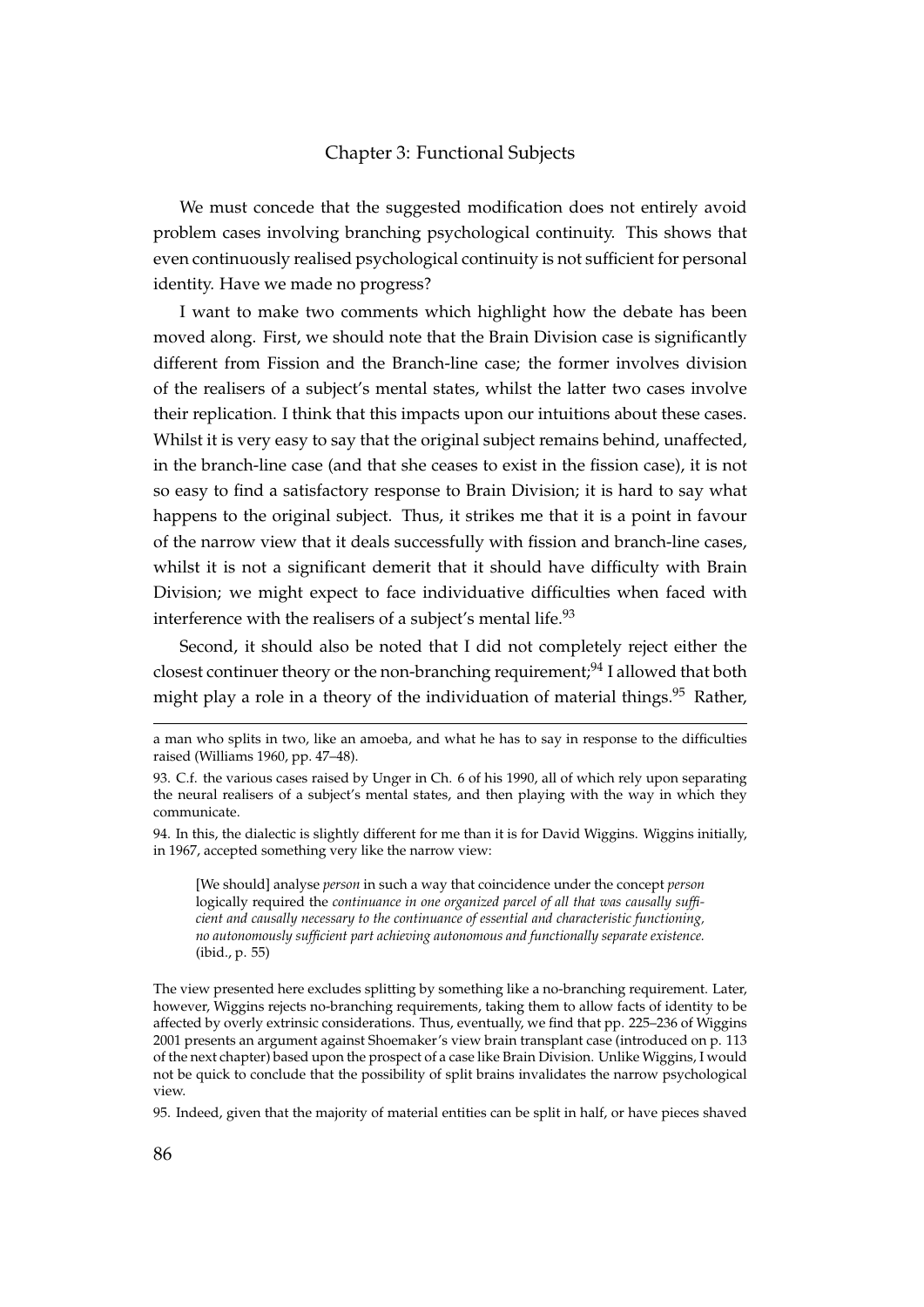We must concede that the suggested modification does not entirely avoid problem cases involving branching psychological continuity. This shows that even continuously realised psychological continuity is not sufficient for personal identity. Have we made no progress?

I want to make two comments which highlight how the debate has been moved along. First, we should note that the [Brain Division](#page-84-2) case is significantly different from [Fission](#page-73-2) and the [Branch-line](#page-53-0) case; the former involves division of the realisers of a subject's mental states, whilst the latter two cases involve their replication. I think that this impacts upon our intuitions about these cases. Whilst it is very easy to say that the original subject remains behind, unaffected, in the branch-line case (and that she ceases to exist in the fission case), it is not so easy to find a satisfactory response to [Brain Division;](#page-84-2) it is hard to say what happens to the original subject. Thus, it strikes me that it is a point in favour of the narrow view that it deals successfully with fission and branch-line cases, whilst it is not a significant demerit that it should have difficulty with [Brain](#page-84-2) [Division;](#page-84-2) we might expect to face individuative difficulties when faced with interference with the realisers of a subject's mental life.<sup>[93](#page-85-0)</sup>

Second, it should also be noted that I did not completely reject either the closest continuer theory or the non-branching requirement;<sup>[94](#page-85-1)</sup> I allowed that both might play a role in a theory of the individuation of material things.<sup>[95](#page-85-2)</sup> Rather,

[We should] analyse *person* in such a way that coincidence under the concept *person* logically required the *continuance in one organized parcel of all that was causally sufficient and causally necessary to the continuance of essential and characteristic functioning, no autonomously sufficient part achieving autonomous and functionally separate existence.* [\(ibid.,](#page-219-6) p. 55)

The view presented here excludes splitting by something like a no-branching requirement. Later, however, Wiggins rejects no-branching requirements, taking them to allow facts of identity to be affected by overly extrinsic considerations. Thus, eventually, we find that pp. 225–236 of [Wiggins](#page-219-2) [2001](#page-219-2) presents an argument against Shoemaker's view brain transplant case (introduced on p. [113](#page-110-0) of the next chapter) based upon the prospect of a case like [Brain Division.](#page-84-2) Unlike Wiggins, I would not be quick to conclude that the possibility of split brains invalidates the narrow psychological view.

<span id="page-85-2"></span>95. Indeed, given that the majority of material entities can be split in half, or have pieces shaved

a man who splits in two, like an amoeba, and what he has to say in response to the difficulties raised [\(Williams 1960,](#page-219-1) pp. 47–48).

<span id="page-85-0"></span><sup>93.</sup> C.f. the various cases raised by Unger in Ch. 6 of his [1990,](#page-219-4) all of which rely upon separating the neural realisers of a subject's mental states, and then playing with the way in which they communicate.

<span id="page-85-1"></span><sup>94.</sup> In this, the dialectic is slightly different for me than it is for David Wiggins. Wiggins initially, in [1967,](#page-219-6) accepted something very like the narrow view: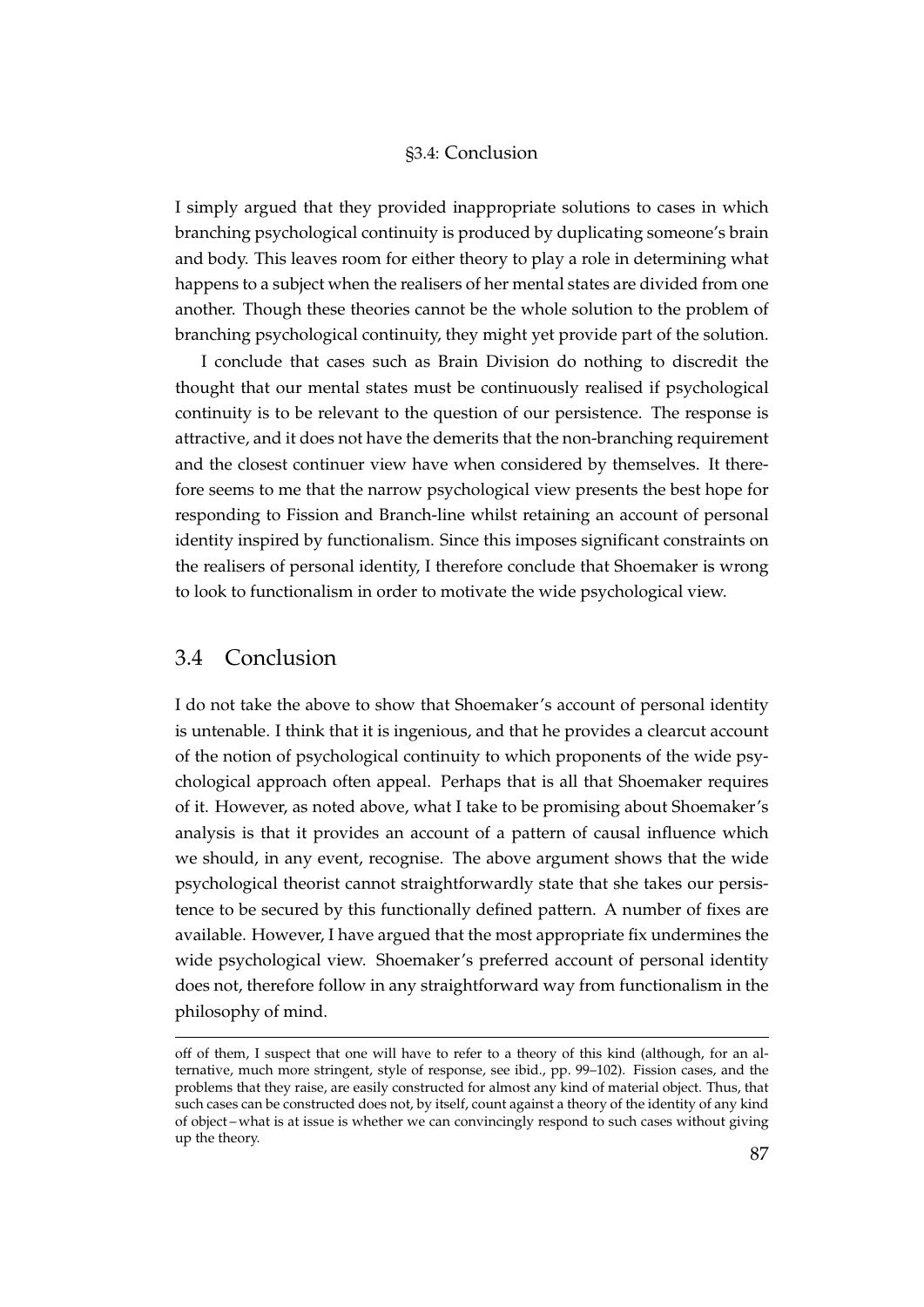# §3.4: Conclusion

I simply argued that they provided inappropriate solutions to cases in which branching psychological continuity is produced by duplicating someone's brain and body. This leaves room for either theory to play a role in determining what happens to a subject when the realisers of her mental states are divided from one another. Though these theories cannot be the whole solution to the problem of branching psychological continuity, they might yet provide part of the solution.

I conclude that cases such as [Brain Division](#page-84-2) do nothing to discredit the thought that our mental states must be continuously realised if psychological continuity is to be relevant to the question of our persistence. The response is attractive, and it does not have the demerits that the non-branching requirement and the closest continuer view have when considered by themselves. It therefore seems to me that the narrow psychological view presents the best hope for responding to [Fission](#page-73-2) and [Branch-line](#page-53-0) whilst retaining an account of personal identity inspired by functionalism. Since this imposes significant constraints on the realisers of personal identity, I therefore conclude that Shoemaker is wrong to look to functionalism in order to motivate the wide psychological view.

# 3.4 Conclusion

I do not take the above to show that Shoemaker's account of personal identity is untenable. I think that it is ingenious, and that he provides a clearcut account of the notion of psychological continuity to which proponents of the wide psychological approach often appeal. Perhaps that is all that Shoemaker requires of it. However, as noted above, what I take to be promising about Shoemaker's analysis is that it provides an account of a pattern of causal influence which we should, in any event, recognise. The above argument shows that the wide psychological theorist cannot straightforwardly state that she takes our persistence to be secured by this functionally defined pattern. A number of fixes are available. However, I have argued that the most appropriate fix undermines the wide psychological view. Shoemaker's preferred account of personal identity does not, therefore follow in any straightforward way from functionalism in the philosophy of mind.

off of them, I suspect that one will have to refer to a theory of this kind (although, for an alternative, much more stringent, style of response, see [ibid.,](#page-219-2) pp. 99–102). Fission cases, and the problems that they raise, are easily constructed for almost any kind of material object. Thus, that such cases can be constructed does not, by itself, count against a theory of the identity of any kind of object – what is at issue is whether we can convincingly respond to such cases without giving up the theory.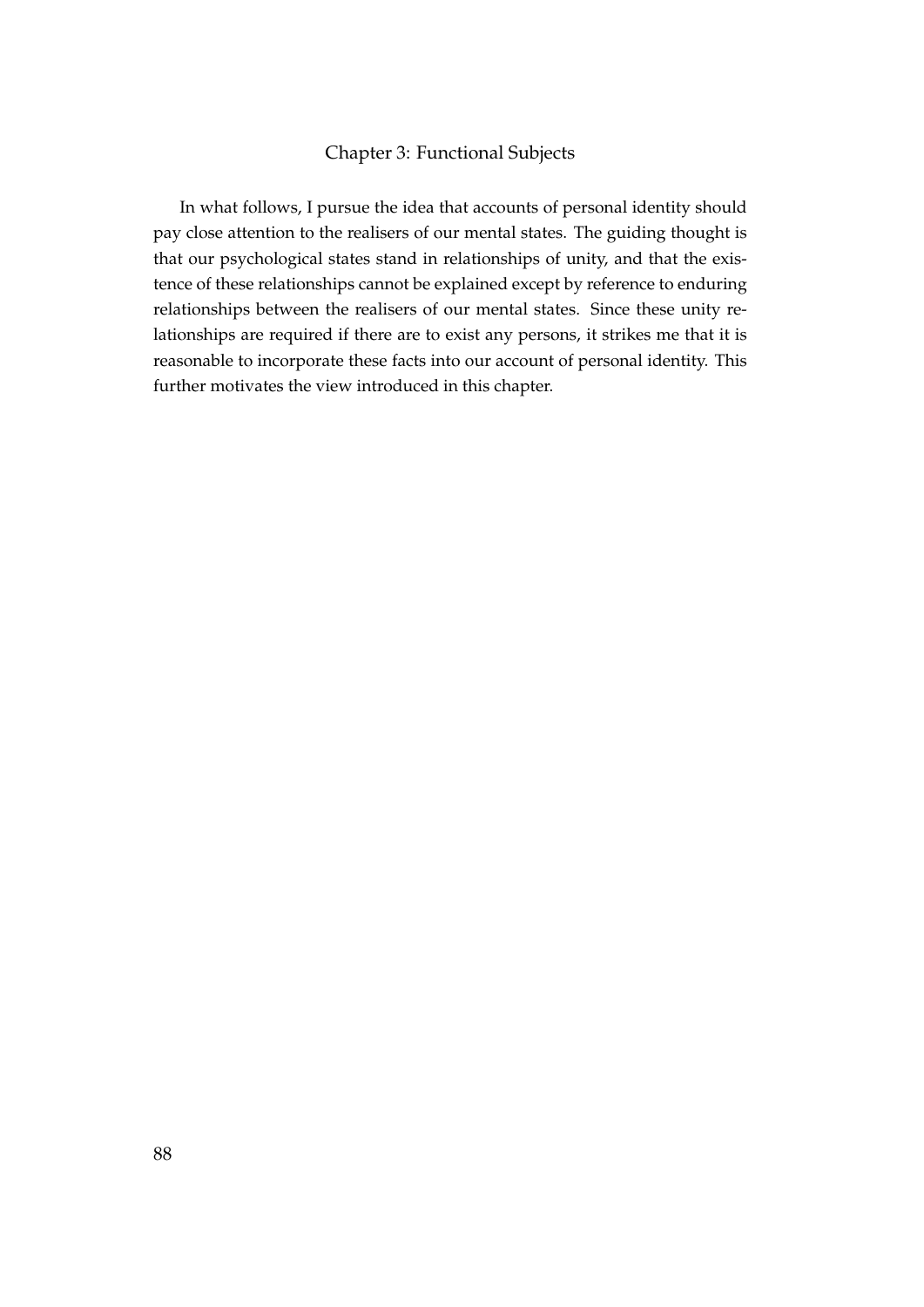In what follows, I pursue the idea that accounts of personal identity should pay close attention to the realisers of our mental states. The guiding thought is that our psychological states stand in relationships of unity, and that the existence of these relationships cannot be explained except by reference to enduring relationships between the realisers of our mental states. Since these unity relationships are required if there are to exist any persons, it strikes me that it is reasonable to incorporate these facts into our account of personal identity. This further motivates the view introduced in this chapter.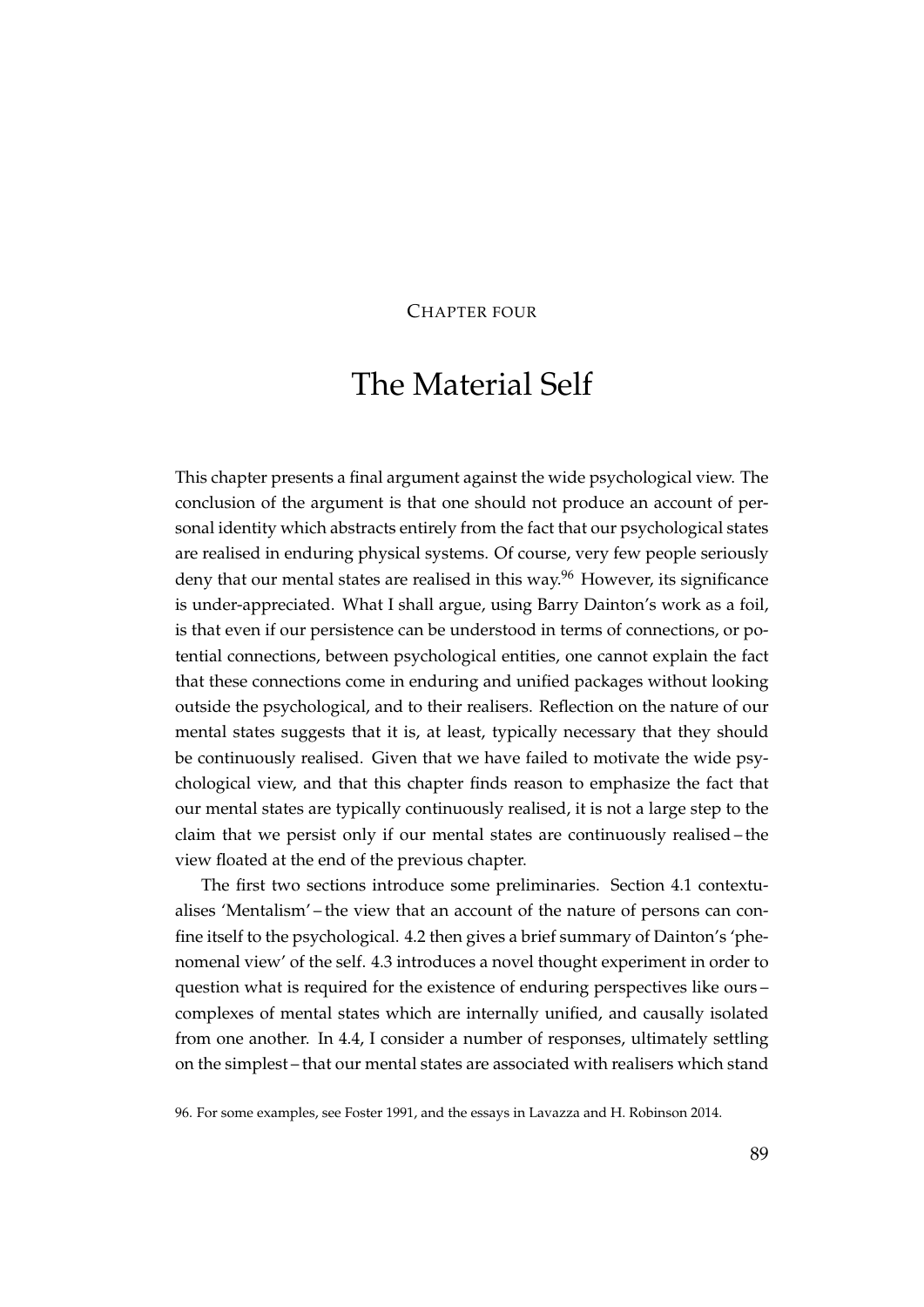### CHAPTER FOUR

# The Material Self

This chapter presents a final argument against the wide psychological view. The conclusion of the argument is that one should not produce an account of personal identity which abstracts entirely from the fact that our psychological states are realised in enduring physical systems. Of course, very few people seriously deny that our mental states are realised in this way.<sup>[96](#page-88-0)</sup> However, its significance is under-appreciated. What I shall argue, using Barry Dainton's work as a foil, is that even if our persistence can be understood in terms of connections, or potential connections, between psychological entities, one cannot explain the fact that these connections come in enduring and unified packages without looking outside the psychological, and to their realisers. Reflection on the nature of our mental states suggests that it is, at least, typically necessary that they should be continuously realised. Given that we have failed to motivate the wide psychological view, and that this chapter finds reason to emphasize the fact that our mental states are typically continuously realised, it is not a large step to the claim that we persist only if our mental states are continuously realised – the view floated at the end of the previous chapter.

The first two sections introduce some preliminaries. Section [4.1](#page-89-0) contextualises 'Mentalism' – the view that an account of the nature of persons can confine itself to the psychological. [4.2](#page-91-0) then gives a brief summary of Dainton's 'phenomenal view' of the self. [4.3](#page-98-0) introduces a novel thought experiment in order to question what is required for the existence of enduring perspectives like ours – complexes of mental states which are internally unified, and causally isolated from one another. In [4.4,](#page-105-0) I consider a number of responses, ultimately settling on the simplest – that our mental states are associated with realisers which stand

<span id="page-88-0"></span><sup>96.</sup> For some examples, see [Foster 1991,](#page-211-5) and the essays in [Lavazza and H. Robinson 2014.](#page-213-1)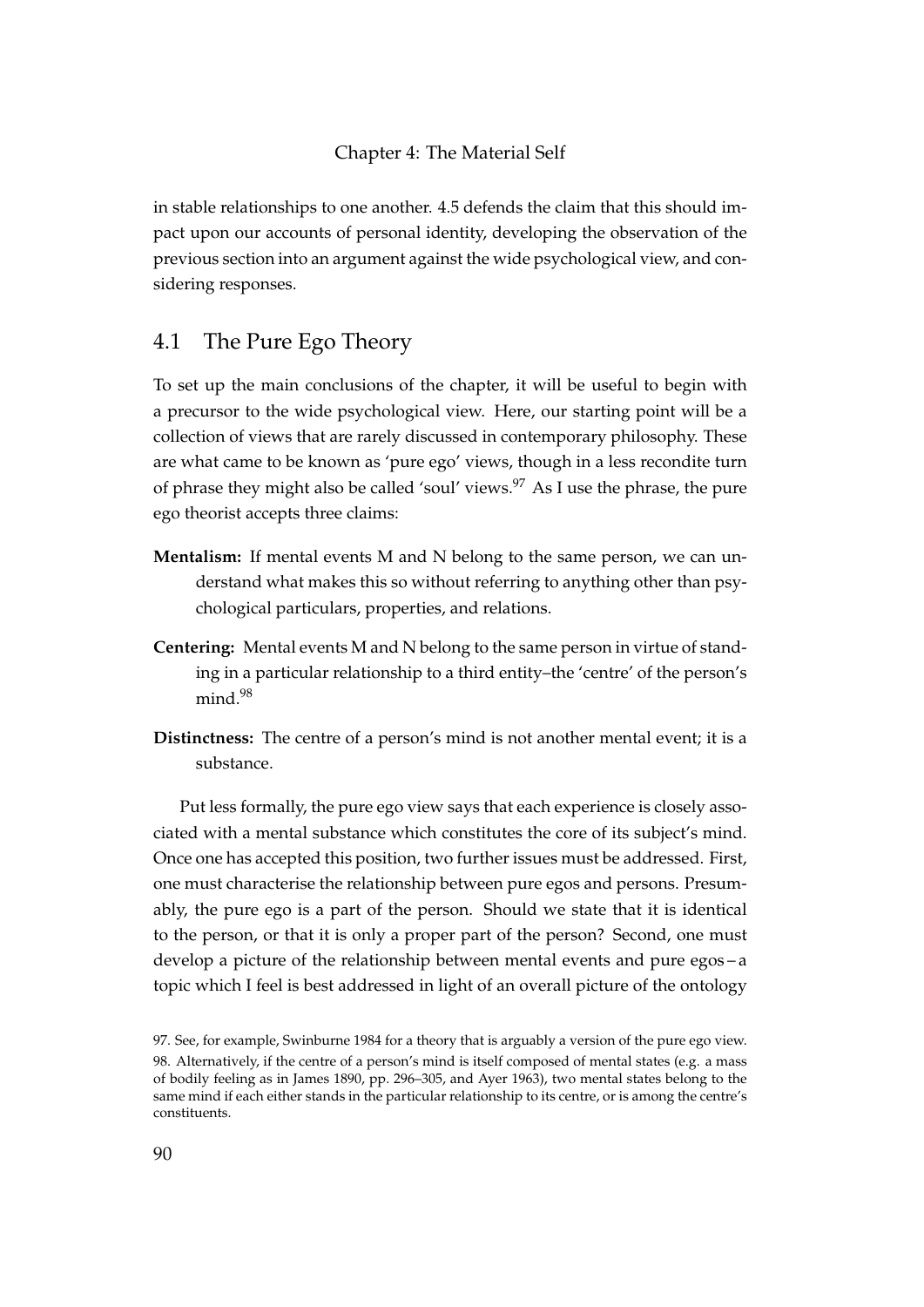in stable relationships to one another. [4.5](#page-110-0) defends the claim that this should impact upon our accounts of personal identity, developing the observation of the previous section into an argument against the wide psychological view, and considering responses.

# <span id="page-89-0"></span>4.1 The Pure Ego Theory

To set up the main conclusions of the chapter, it will be useful to begin with a precursor to the wide psychological view. Here, our starting point will be a collection of views that are rarely discussed in contemporary philosophy. These are what came to be known as 'pure ego' views, though in a less recondite turn of phrase they might also be called 'soul' views. $97$  As I use the phrase, the pure ego theorist accepts three claims:

- **Mentalism:** If mental events M and N belong to the same person, we can understand what makes this so without referring to anything other than psychological particulars, properties, and relations.
- **Centering:** Mental events M and N belong to the same person in virtue of standing in a particular relationship to a third entity–the 'centre' of the person's mind.[98](#page-89-2)
- **Distinctness:** The centre of a person's mind is not another mental event; it is a substance.

Put less formally, the pure ego view says that each experience is closely associated with a mental substance which constitutes the core of its subject's mind. Once one has accepted this position, two further issues must be addressed. First, one must characterise the relationship between pure egos and persons. Presumably, the pure ego is a part of the person. Should we state that it is identical to the person, or that it is only a proper part of the person? Second, one must develop a picture of the relationship between mental events and pure egos – a topic which I feel is best addressed in light of an overall picture of the ontology

<span id="page-89-2"></span><span id="page-89-1"></span><sup>97.</sup> See, for example, [Swinburne 1984](#page-218-0) for a theory that is arguably a version of the pure ego view. 98. Alternatively, if the centre of a person's mind is itself composed of mental states (e.g. a mass of bodily feeling as in [James 1890,](#page-212-1) pp. 296–305, and [Ayer 1963\)](#page-208-1), two mental states belong to the same mind if each either stands in the particular relationship to its centre, or is among the centre's constituents.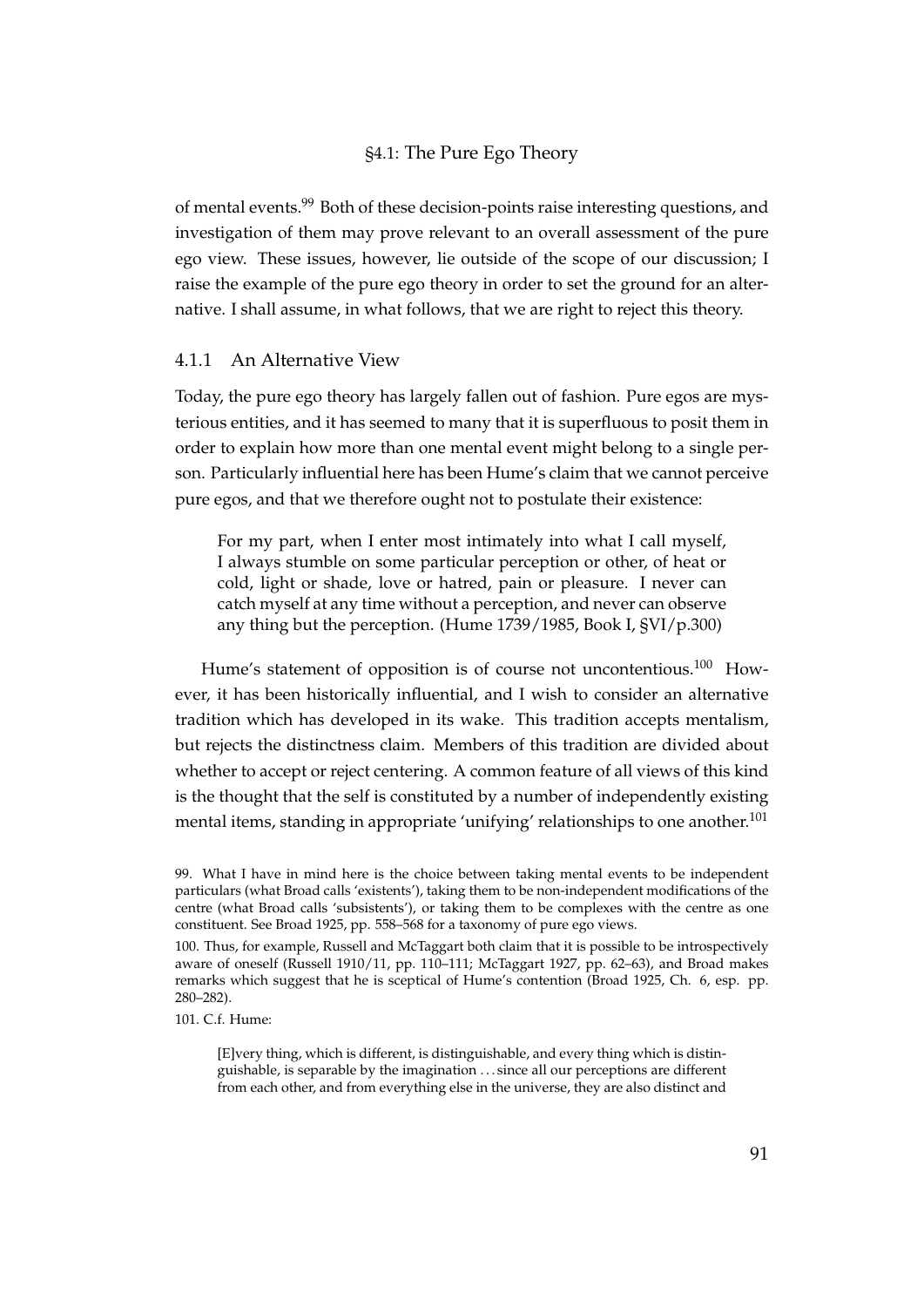# §4.1: The Pure Ego Theory

of mental events.[99](#page-90-0) Both of these decision-points raise interesting questions, and investigation of them may prove relevant to an overall assessment of the pure ego view. These issues, however, lie outside of the scope of our discussion; I raise the example of the pure ego theory in order to set the ground for an alternative. I shall assume, in what follows, that we are right to reject this theory.

### 4.1.1 An Alternative View

Today, the pure ego theory has largely fallen out of fashion. Pure egos are mysterious entities, and it has seemed to many that it is superfluous to posit them in order to explain how more than one mental event might belong to a single person. Particularly influential here has been Hume's claim that we cannot perceive pure egos, and that we therefore ought not to postulate their existence:

For my part, when I enter most intimately into what I call myself, I always stumble on some particular perception or other, of heat or cold, light or shade, love or hatred, pain or pleasure. I never can catch myself at any time without a perception, and never can observe any thing but the perception. [\(Hume 1739/1985,](#page-212-2) Book I, §VI/p.300)

Hume's statement of opposition is of course not uncontentious.<sup>[100](#page-90-1)</sup> However, it has been historically influential, and I wish to consider an alternative tradition which has developed in its wake. This tradition accepts mentalism, but rejects the distinctness claim. Members of this tradition are divided about whether to accept or reject centering. A common feature of all views of this kind is the thought that the self is constituted by a number of independently existing mental items, standing in appropriate 'unifying' relationships to one another.<sup>[101](#page-90-2)</sup>

<span id="page-90-2"></span>101. C.f. Hume:

[E]very thing, which is different, is distinguishable, and every thing which is distinguishable, is separable by the imagination . . . since all our perceptions are different from each other, and from everything else in the universe, they are also distinct and

<span id="page-90-0"></span><sup>99.</sup> What I have in mind here is the choice between taking mental events to be independent particulars (what Broad calls 'existents'), taking them to be non-independent modifications of the centre (what Broad calls 'subsistents'), or taking them to be complexes with the centre as one constituent. See [Broad 1925,](#page-209-0) pp. 558–568 for a taxonomy of pure ego views.

<span id="page-90-1"></span><sup>100.</sup> Thus, for example, Russell and McTaggart both claim that it is possible to be introspectively aware of oneself [\(Russell 1910/11,](#page-216-0) pp. 110–111; [McTaggart 1927,](#page-214-5) pp. 62–63), and Broad makes remarks which suggest that he is sceptical of Hume's contention [\(Broad 1925,](#page-209-0) Ch. 6, esp. pp. 280–282).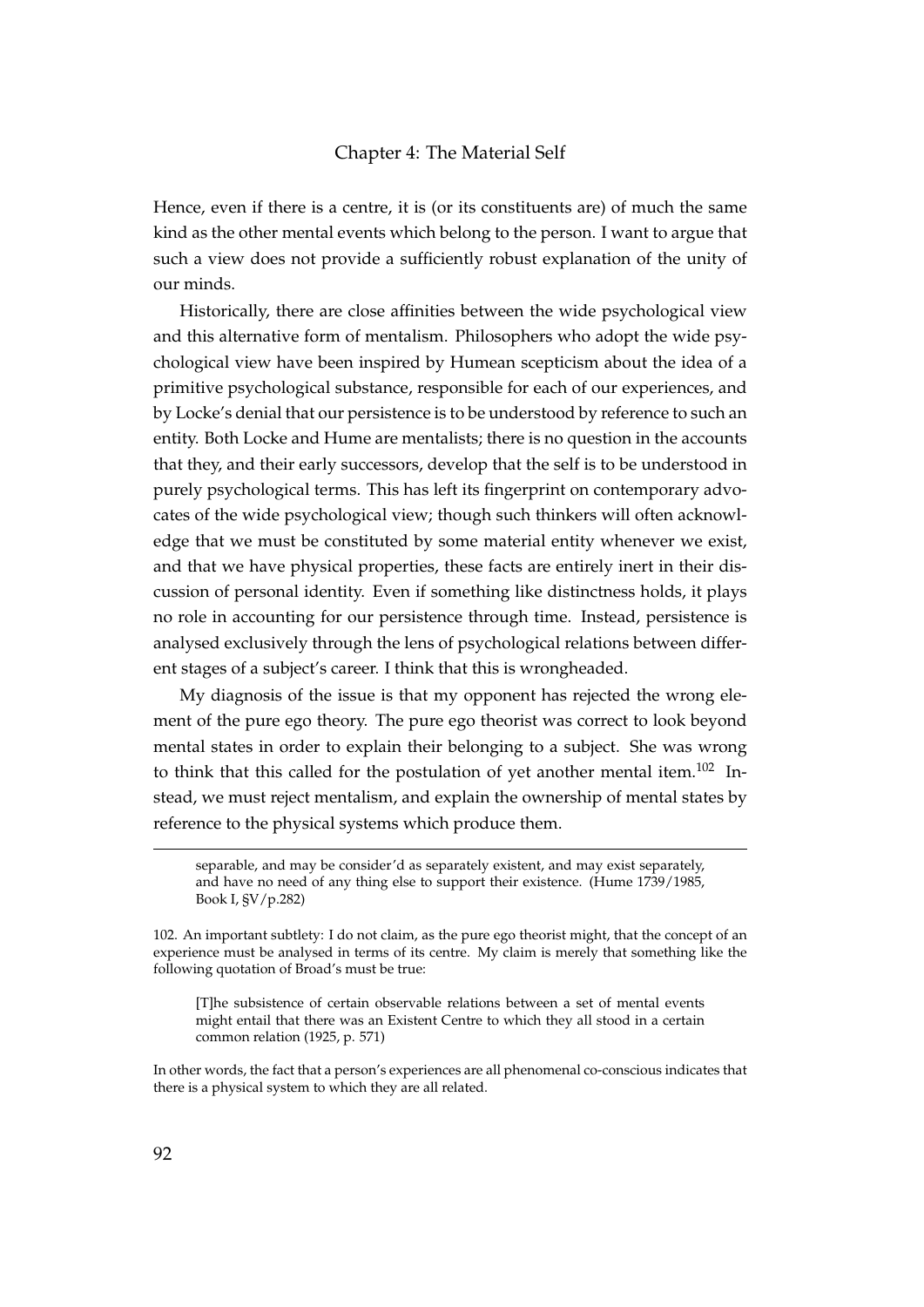Hence, even if there is a centre, it is (or its constituents are) of much the same kind as the other mental events which belong to the person. I want to argue that such a view does not provide a sufficiently robust explanation of the unity of our minds.

Historically, there are close affinities between the wide psychological view and this alternative form of mentalism. Philosophers who adopt the wide psychological view have been inspired by Humean scepticism about the idea of a primitive psychological substance, responsible for each of our experiences, and by Locke's denial that our persistence is to be understood by reference to such an entity. Both Locke and Hume are mentalists; there is no question in the accounts that they, and their early successors, develop that the self is to be understood in purely psychological terms. This has left its fingerprint on contemporary advocates of the wide psychological view; though such thinkers will often acknowledge that we must be constituted by some material entity whenever we exist, and that we have physical properties, these facts are entirely inert in their discussion of personal identity. Even if something like distinctness holds, it plays no role in accounting for our persistence through time. Instead, persistence is analysed exclusively through the lens of psychological relations between different stages of a subject's career. I think that this is wrongheaded.

My diagnosis of the issue is that my opponent has rejected the wrong element of the pure ego theory. The pure ego theorist was correct to look beyond mental states in order to explain their belonging to a subject. She was wrong to think that this called for the postulation of yet another mental item.<sup>[102](#page-91-1)</sup> Instead, we must reject mentalism, and explain the ownership of mental states by reference to the physical systems which produce them.

[T]he subsistence of certain observable relations between a set of mental events might entail that there was an Existent Centre to which they all stood in a certain common relation (1925, p. 571)

In other words, the fact that a person's experiences are all phenomenal co-conscious indicates that there is a physical system to which they are all related.

<span id="page-91-0"></span>separable, and may be consider'd as separately existent, and may exist separately, and have no need of any thing else to support their existence. [\(Hume 1739/1985,](#page-212-2) Book I, §V/p.282)

<span id="page-91-1"></span><sup>102.</sup> An important subtlety: I do not claim, as the pure ego theorist might, that the concept of an experience must be analysed in terms of its centre. My claim is merely that something like the following quotation of Broad's must be true: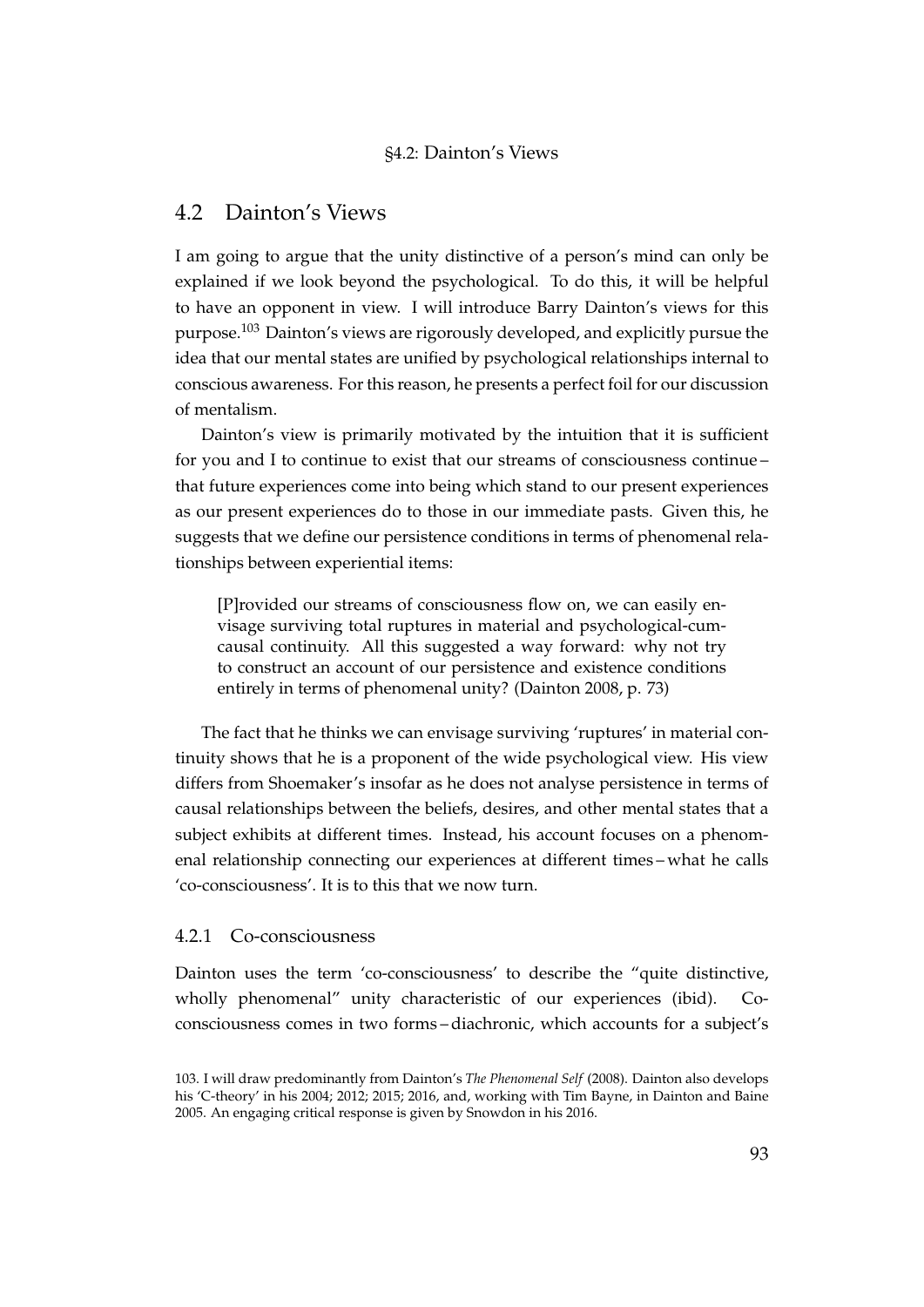### §4.2: Dainton's Views

# 4.2 Dainton's Views

I am going to argue that the unity distinctive of a person's mind can only be explained if we look beyond the psychological. To do this, it will be helpful to have an opponent in view. I will introduce Barry Dainton's views for this purpose.<sup>[103](#page-92-0)</sup> Dainton's views are rigorously developed, and explicitly pursue the idea that our mental states are unified by psychological relationships internal to conscious awareness. For this reason, he presents a perfect foil for our discussion of mentalism.

Dainton's view is primarily motivated by the intuition that it is sufficient for you and I to continue to exist that our streams of consciousness continue – that future experiences come into being which stand to our present experiences as our present experiences do to those in our immediate pasts. Given this, he suggests that we define our persistence conditions in terms of phenomenal relationships between experiential items:

[P]rovided our streams of consciousness flow on, we can easily envisage surviving total ruptures in material and psychological-cumcausal continuity. All this suggested a way forward: why not try to construct an account of our persistence and existence conditions entirely in terms of phenomenal unity? [\(Dainton 2008,](#page-210-0) p. 73)

The fact that he thinks we can envisage surviving 'ruptures' in material continuity shows that he is a proponent of the wide psychological view. His view differs from Shoemaker's insofar as he does not analyse persistence in terms of causal relationships between the beliefs, desires, and other mental states that a subject exhibits at different times. Instead, his account focuses on a phenomenal relationship connecting our experiences at different times – what he calls 'co-consciousness'. It is to this that we now turn.

#### 4.2.1 Co-consciousness

Dainton uses the term 'co-consciousness' to describe the "quite distinctive, wholly phenomenal" unity characteristic of our experiences (ibid). Coconsciousness comes in two forms – diachronic, which accounts for a subject's

<span id="page-92-0"></span><sup>103.</sup> I will draw predominantly from Dainton's *The Phenomenal Self* (2008). Dainton also develops his 'C-theory' in his [2004;](#page-210-1) [2012;](#page-210-2) [2015;](#page-210-3) [2016,](#page-210-4) and, working with Tim Bayne, in [Dainton and Baine](#page-210-5) [2005.](#page-210-5) An engaging critical response is given by Snowdon in his [2016.](#page-218-1)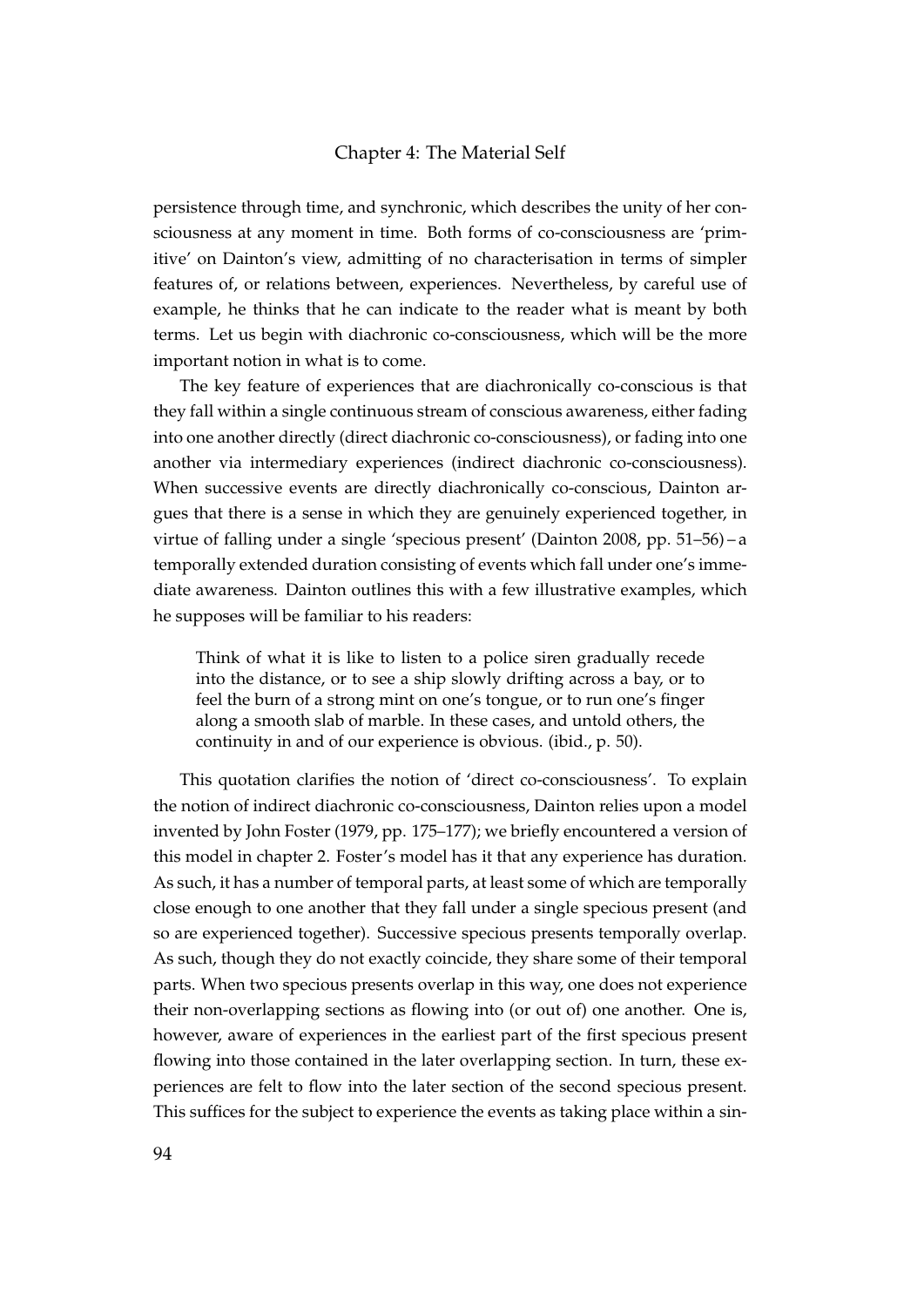persistence through time, and synchronic, which describes the unity of her consciousness at any moment in time. Both forms of co-consciousness are 'primitive' on Dainton's view, admitting of no characterisation in terms of simpler features of, or relations between, experiences. Nevertheless, by careful use of example, he thinks that he can indicate to the reader what is meant by both terms. Let us begin with diachronic co-consciousness, which will be the more important notion in what is to come.

The key feature of experiences that are diachronically co-conscious is that they fall within a single continuous stream of conscious awareness, either fading into one another directly (direct diachronic co-consciousness), or fading into one another via intermediary experiences (indirect diachronic co-consciousness). When successive events are directly diachronically co-conscious, Dainton argues that there is a sense in which they are genuinely experienced together, in virtue of falling under a single 'specious present' [\(Dainton 2008,](#page-210-0) pp. 51–56) – a temporally extended duration consisting of events which fall under one's immediate awareness. Dainton outlines this with a few illustrative examples, which he supposes will be familiar to his readers:

Think of what it is like to listen to a police siren gradually recede into the distance, or to see a ship slowly drifting across a bay, or to feel the burn of a strong mint on one's tongue, or to run one's finger along a smooth slab of marble. In these cases, and untold others, the continuity in and of our experience is obvious. [\(ibid.,](#page-210-0) p. 50).

This quotation clarifies the notion of 'direct co-consciousness'. To explain the notion of indirect diachronic co-consciousness, Dainton relies upon a model invented by John Foster (1979, pp. 175–177); we briefly encountered a version of this model in chapter 2. Foster's model has it that any experience has duration. As such, it has a number of temporal parts, at least some of which are temporally close enough to one another that they fall under a single specious present (and so are experienced together). Successive specious presents temporally overlap. As such, though they do not exactly coincide, they share some of their temporal parts. When two specious presents overlap in this way, one does not experience their non-overlapping sections as flowing into (or out of) one another. One is, however, aware of experiences in the earliest part of the first specious present flowing into those contained in the later overlapping section. In turn, these experiences are felt to flow into the later section of the second specious present. This suffices for the subject to experience the events as taking place within a sin-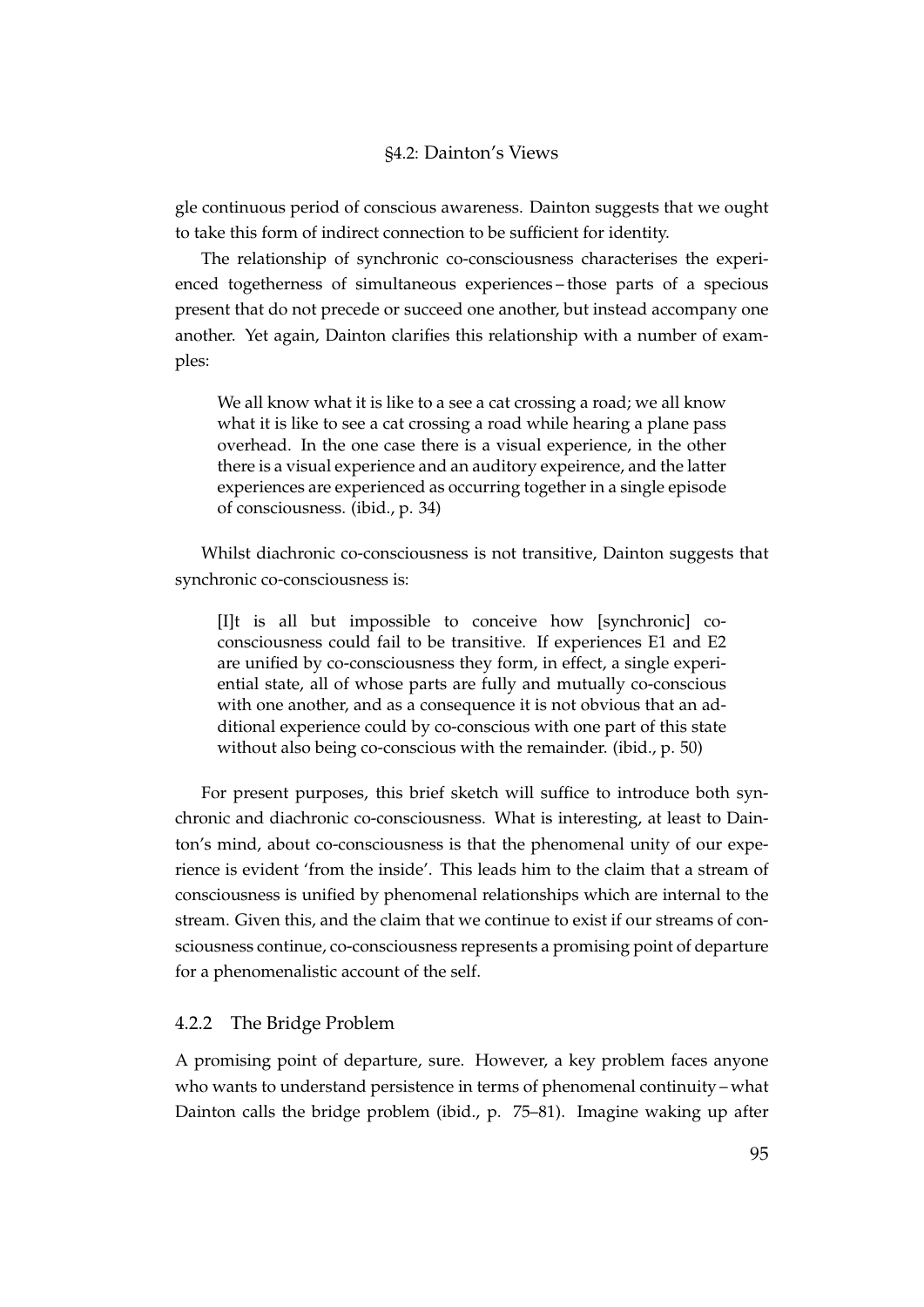### §4.2: Dainton's Views

gle continuous period of conscious awareness. Dainton suggests that we ought to take this form of indirect connection to be sufficient for identity.

The relationship of synchronic co-consciousness characterises the experienced togetherness of simultaneous experiences – those parts of a specious present that do not precede or succeed one another, but instead accompany one another. Yet again, Dainton clarifies this relationship with a number of examples:

We all know what it is like to a see a cat crossing a road; we all know what it is like to see a cat crossing a road while hearing a plane pass overhead. In the one case there is a visual experience, in the other there is a visual experience and an auditory expeirence, and the latter experiences are experienced as occurring together in a single episode of consciousness. [\(ibid.,](#page-210-0) p. 34)

Whilst diachronic co-consciousness is not transitive, Dainton suggests that synchronic co-consciousness is:

[I]t is all but impossible to conceive how [synchronic] coconsciousness could fail to be transitive. If experiences E1 and E2 are unified by co-consciousness they form, in effect, a single experiential state, all of whose parts are fully and mutually co-conscious with one another, and as a consequence it is not obvious that an additional experience could by co-conscious with one part of this state without also being co-conscious with the remainder. [\(ibid.,](#page-210-0) p. 50)

For present purposes, this brief sketch will suffice to introduce both synchronic and diachronic co-consciousness. What is interesting, at least to Dainton's mind, about co-consciousness is that the phenomenal unity of our experience is evident 'from the inside'. This leads him to the claim that a stream of consciousness is unified by phenomenal relationships which are internal to the stream. Given this, and the claim that we continue to exist if our streams of consciousness continue, co-consciousness represents a promising point of departure for a phenomenalistic account of the self.

#### 4.2.2 The Bridge Problem

A promising point of departure, sure. However, a key problem faces anyone who wants to understand persistence in terms of phenomenal continuity – what Dainton calls the bridge problem [\(ibid.,](#page-210-0) p. 75–81). Imagine waking up after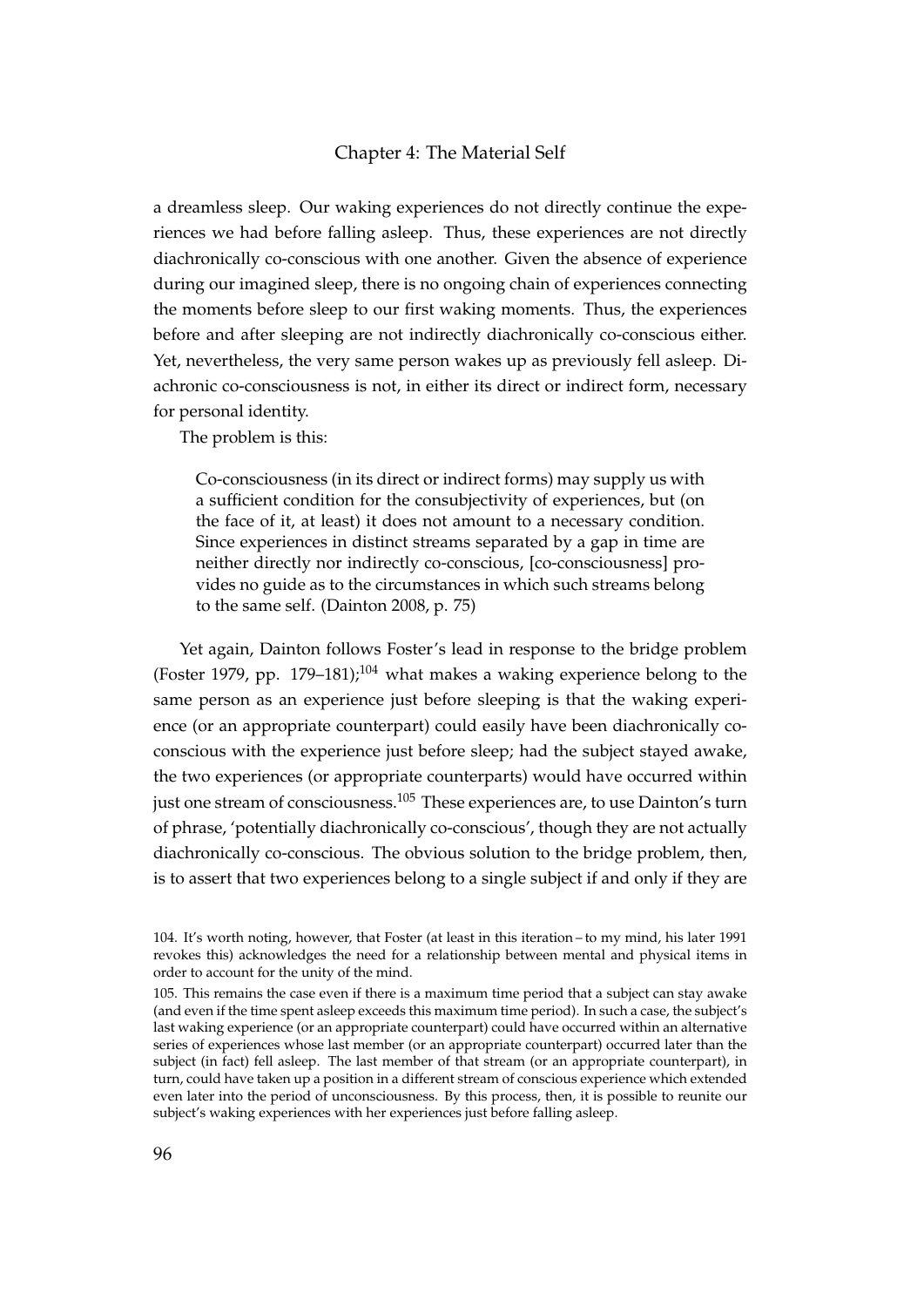a dreamless sleep. Our waking experiences do not directly continue the experiences we had before falling asleep. Thus, these experiences are not directly diachronically co-conscious with one another. Given the absence of experience during our imagined sleep, there is no ongoing chain of experiences connecting the moments before sleep to our first waking moments. Thus, the experiences before and after sleeping are not indirectly diachronically co-conscious either. Yet, nevertheless, the very same person wakes up as previously fell asleep. Diachronic co-consciousness is not, in either its direct or indirect form, necessary for personal identity.

The problem is this:

Co-consciousness (in its direct or indirect forms) may supply us with a sufficient condition for the consubjectivity of experiences, but (on the face of it, at least) it does not amount to a necessary condition. Since experiences in distinct streams separated by a gap in time are neither directly nor indirectly co-conscious, [co-consciousness] provides no guide as to the circumstances in which such streams belong to the same self. [\(Dainton 2008,](#page-210-0) p. 75)

Yet again, Dainton follows Foster's lead in response to the bridge problem [\(Foster 1979,](#page-211-6) pp. 179–181); $^{104}$  $^{104}$  $^{104}$  what makes a waking experience belong to the same person as an experience just before sleeping is that the waking experience (or an appropriate counterpart) could easily have been diachronically coconscious with the experience just before sleep; had the subject stayed awake, the two experiences (or appropriate counterparts) would have occurred within just one stream of consciousness.<sup>[105](#page-95-1)</sup> These experiences are, to use Dainton's turn of phrase, 'potentially diachronically co-conscious', though they are not actually diachronically co-conscious. The obvious solution to the bridge problem, then, is to assert that two experiences belong to a single subject if and only if they are

<span id="page-95-0"></span><sup>104.</sup> It's worth noting, however, that Foster (at least in this iteration – to my mind, his later [1991](#page-211-5) revokes this) acknowledges the need for a relationship between mental and physical items in order to account for the unity of the mind.

<span id="page-95-1"></span><sup>105.</sup> This remains the case even if there is a maximum time period that a subject can stay awake (and even if the time spent asleep exceeds this maximum time period). In such a case, the subject's last waking experience (or an appropriate counterpart) could have occurred within an alternative series of experiences whose last member (or an appropriate counterpart) occurred later than the subject (in fact) fell asleep. The last member of that stream (or an appropriate counterpart), in turn, could have taken up a position in a different stream of conscious experience which extended even later into the period of unconsciousness. By this process, then, it is possible to reunite our subject's waking experiences with her experiences just before falling asleep.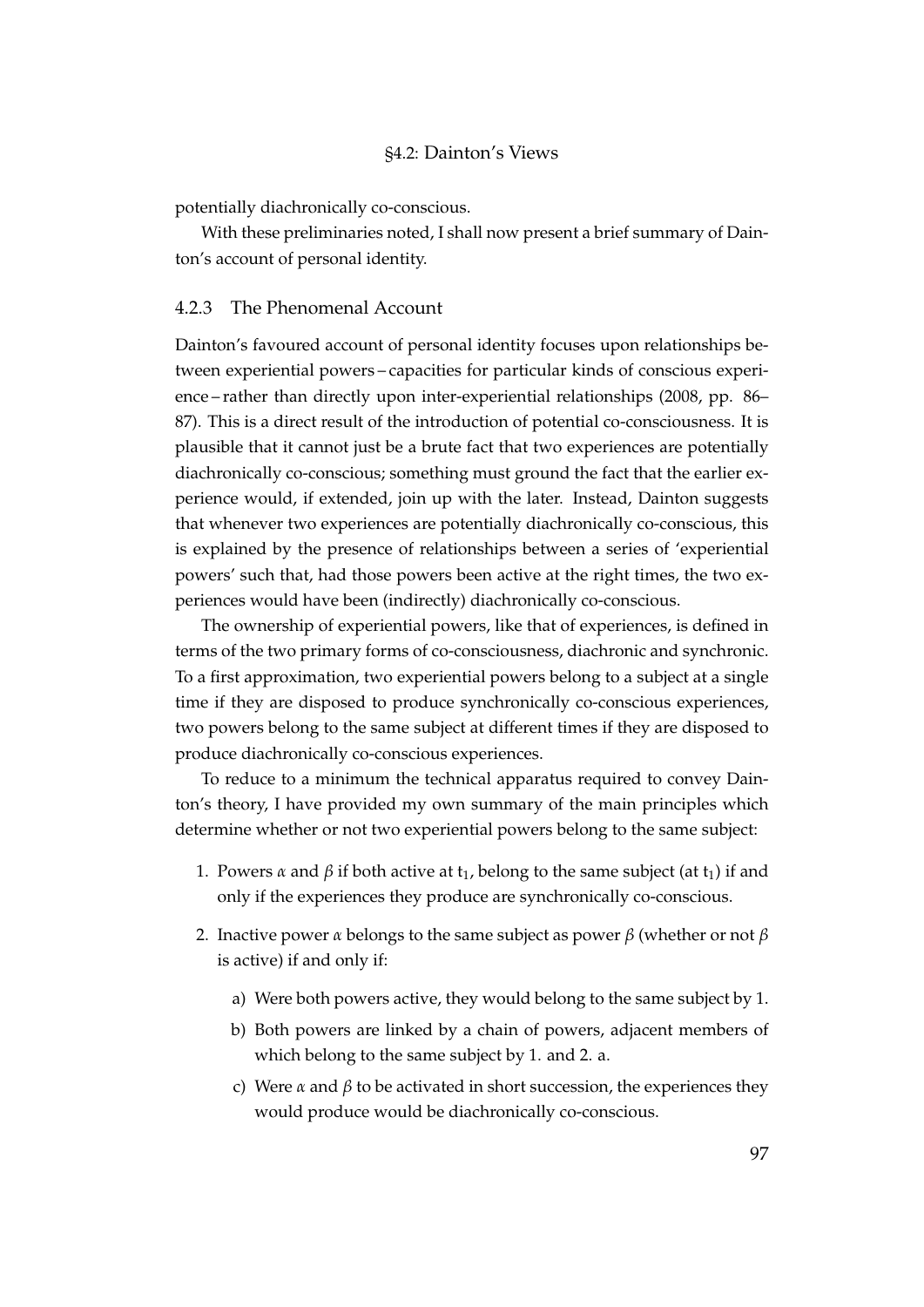### §4.2: Dainton's Views

potentially diachronically co-conscious.

With these preliminaries noted, I shall now present a brief summary of Dainton's account of personal identity.

### 4.2.3 The Phenomenal Account

Dainton's favoured account of personal identity focuses upon relationships between experiential powers – capacities for particular kinds of conscious experience – rather than directly upon inter-experiential relationships (2008, pp. 86– 87). This is a direct result of the introduction of potential co-consciousness. It is plausible that it cannot just be a brute fact that two experiences are potentially diachronically co-conscious; something must ground the fact that the earlier experience would, if extended, join up with the later. Instead, Dainton suggests that whenever two experiences are potentially diachronically co-conscious, this is explained by the presence of relationships between a series of 'experiential powers' such that, had those powers been active at the right times, the two experiences would have been (indirectly) diachronically co-conscious.

The ownership of experiential powers, like that of experiences, is defined in terms of the two primary forms of co-consciousness, diachronic and synchronic. To a first approximation, two experiential powers belong to a subject at a single time if they are disposed to produce synchronically co-conscious experiences, two powers belong to the same subject at different times if they are disposed to produce diachronically co-conscious experiences.

To reduce to a minimum the technical apparatus required to convey Dainton's theory, I have provided my own summary of the main principles which determine whether or not two experiential powers belong to the same subject:

- 1. Powers  $\alpha$  and  $\beta$  if both active at t<sub>1</sub>, belong to the same subject (at t<sub>1</sub>) if and only if the experiences they produce are synchronically co-conscious.
- 2. Inactive power *α* belongs to the same subject as power *β* (whether or not *β* is active) if and only if:
	- a) Were both powers active, they would belong to the same subject by 1.
	- b) Both powers are linked by a chain of powers, adjacent members of which belong to the same subject by 1. and 2. a.
	- c) Were *α* and *β* to be activated in short succession, the experiences they would produce would be diachronically co-conscious.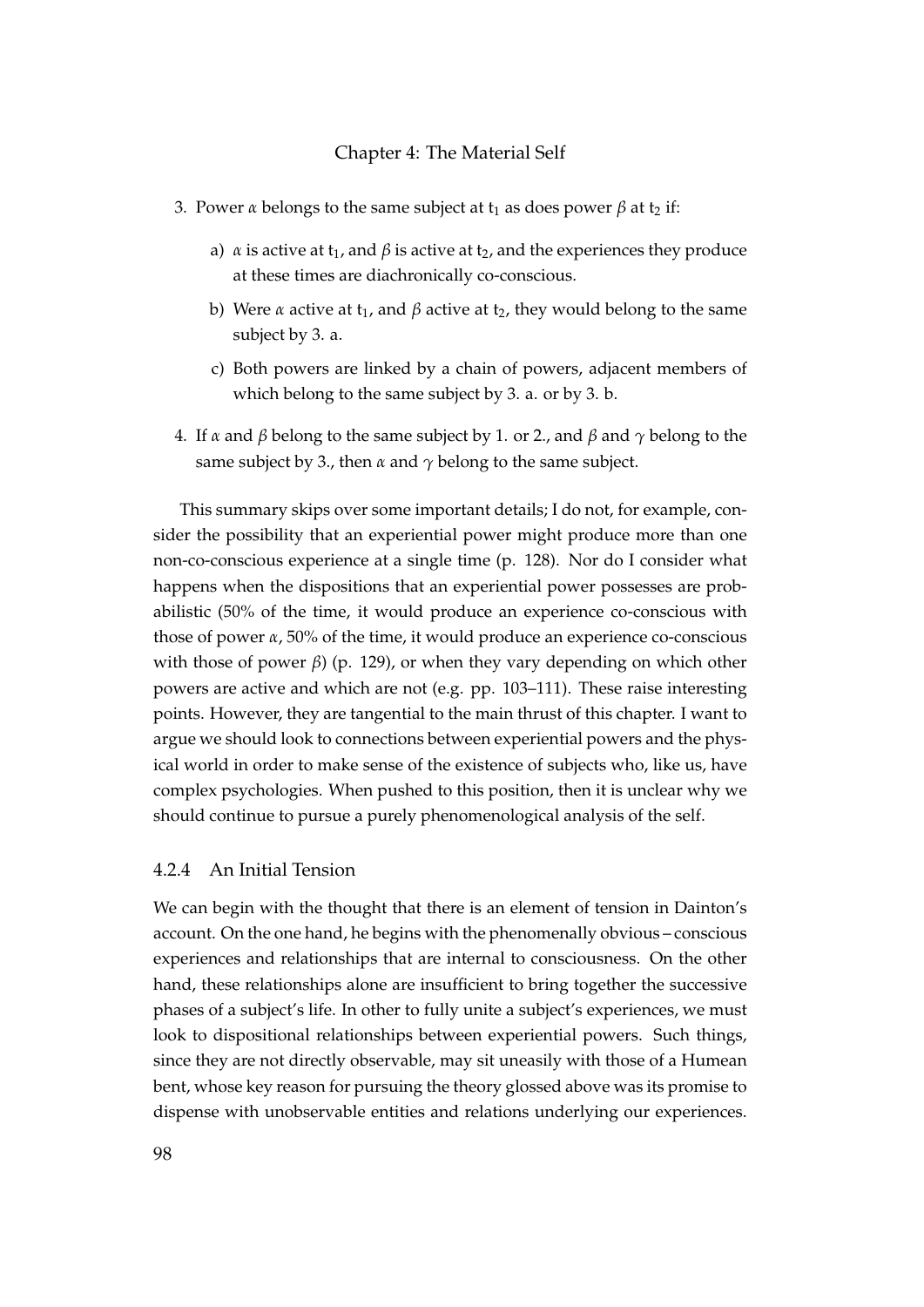- 3. Power *α* belongs to the same subject at  $t_1$  as does power  $β$  at  $t_2$  if:
	- a)  $\alpha$  is active at t<sub>1</sub>, and  $\beta$  is active at t<sub>2</sub>, and the experiences they produce at these times are diachronically co-conscious.
	- b) Were  $\alpha$  active at t<sub>1</sub>, and  $\beta$  active at t<sub>2</sub>, they would belong to the same subject by 3. a.
	- c) Both powers are linked by a chain of powers, adjacent members of which belong to the same subject by 3. a. or by 3. b.
- 4. If *α* and *β* belong to the same subject by 1. or 2., and *β* and *γ* belong to the same subject by 3., then  $\alpha$  and  $\gamma$  belong to the same subject.

This summary skips over some important details; I do not, for example, consider the possibility that an experiential power might produce more than one non-co-conscious experience at a single time (p. 128). Nor do I consider what happens when the dispositions that an experiential power possesses are probabilistic (50% of the time, it would produce an experience co-conscious with those of power *α*, 50% of the time, it would produce an experience co-conscious with those of power *β*) (p. 129), or when they vary depending on which other powers are active and which are not (e.g. pp. 103–111). These raise interesting points. However, they are tangential to the main thrust of this chapter. I want to argue we should look to connections between experiential powers and the physical world in order to make sense of the existence of subjects who, like us, have complex psychologies. When pushed to this position, then it is unclear why we should continue to pursue a purely phenomenological analysis of the self.

### 4.2.4 An Initial Tension

We can begin with the thought that there is an element of tension in Dainton's account. On the one hand, he begins with the phenomenally obvious – conscious experiences and relationships that are internal to consciousness. On the other hand, these relationships alone are insufficient to bring together the successive phases of a subject's life. In other to fully unite a subject's experiences, we must look to dispositional relationships between experiential powers. Such things, since they are not directly observable, may sit uneasily with those of a Humean bent, whose key reason for pursuing the theory glossed above was its promise to dispense with unobservable entities and relations underlying our experiences.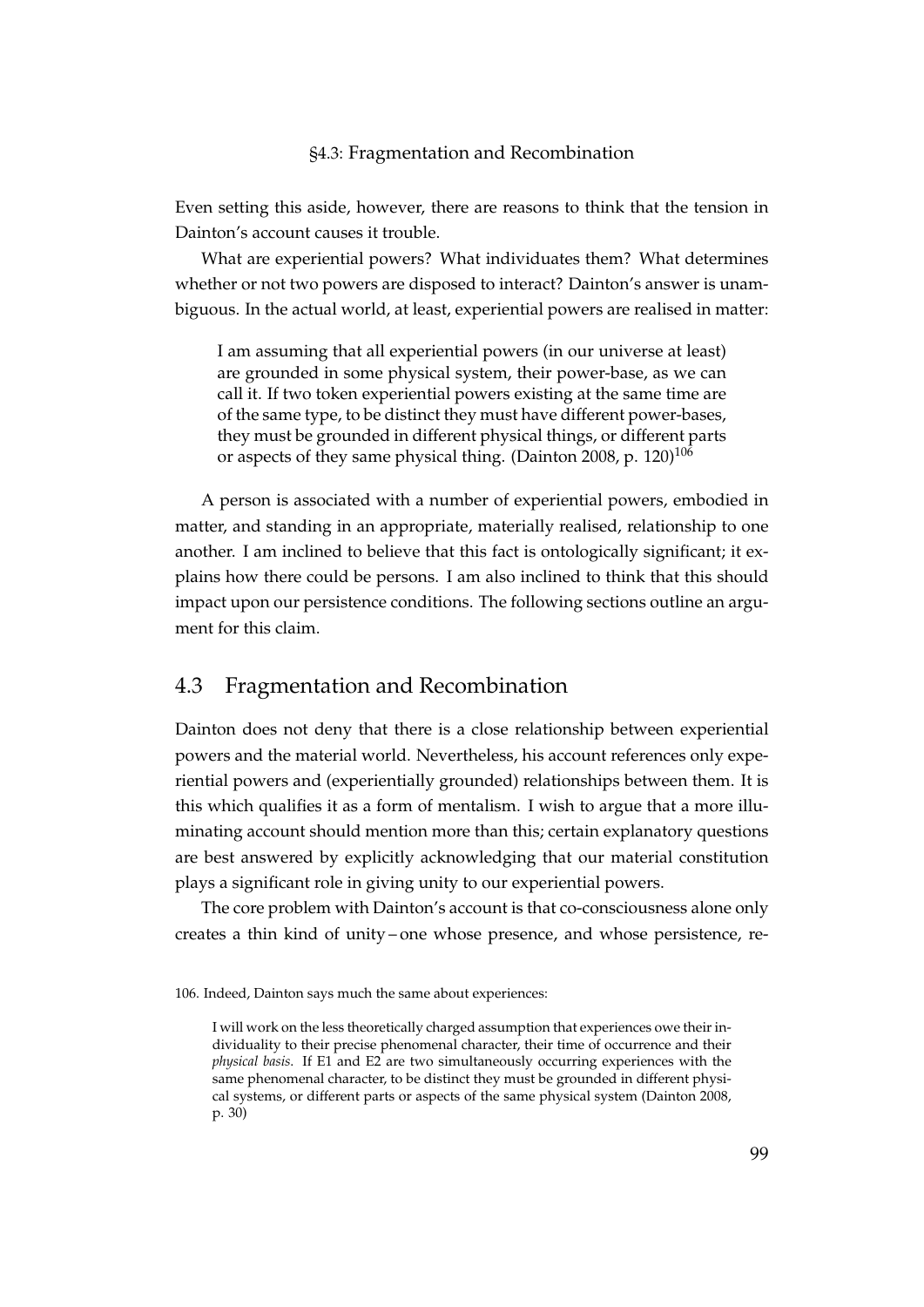### §4.3: Fragmentation and Recombination

Even setting this aside, however, there are reasons to think that the tension in Dainton's account causes it trouble.

What are experiential powers? What individuates them? What determines whether or not two powers are disposed to interact? Dainton's answer is unambiguous. In the actual world, at least, experiential powers are realised in matter:

I am assuming that all experiential powers (in our universe at least) are grounded in some physical system, their power-base, as we can call it. If two token experiential powers existing at the same time are of the same type, to be distinct they must have different power-bases, they must be grounded in different physical things, or different parts or aspects of they same physical thing. [\(Dainton 2008,](#page-210-0) p.  $120$ )<sup>[106](#page-98-1)</sup>

A person is associated with a number of experiential powers, embodied in matter, and standing in an appropriate, materially realised, relationship to one another. I am inclined to believe that this fact is ontologically significant; it explains how there could be persons. I am also inclined to think that this should impact upon our persistence conditions. The following sections outline an argument for this claim.

# <span id="page-98-0"></span>4.3 Fragmentation and Recombination

Dainton does not deny that there is a close relationship between experiential powers and the material world. Nevertheless, his account references only experiential powers and (experientially grounded) relationships between them. It is this which qualifies it as a form of mentalism. I wish to argue that a more illuminating account should mention more than this; certain explanatory questions are best answered by explicitly acknowledging that our material constitution plays a significant role in giving unity to our experiential powers.

The core problem with Dainton's account is that co-consciousness alone only creates a thin kind of unity – one whose presence, and whose persistence, re-

<span id="page-98-1"></span><sup>106.</sup> Indeed, Dainton says much the same about experiences:

I will work on the less theoretically charged assumption that experiences owe their individuality to their precise phenomenal character, their time of occurrence and their *physical basis*. If E1 and E2 are two simultaneously occurring experiences with the same phenomenal character, to be distinct they must be grounded in different physical systems, or different parts or aspects of the same physical system [\(Dainton 2008,](#page-210-0) p. 30)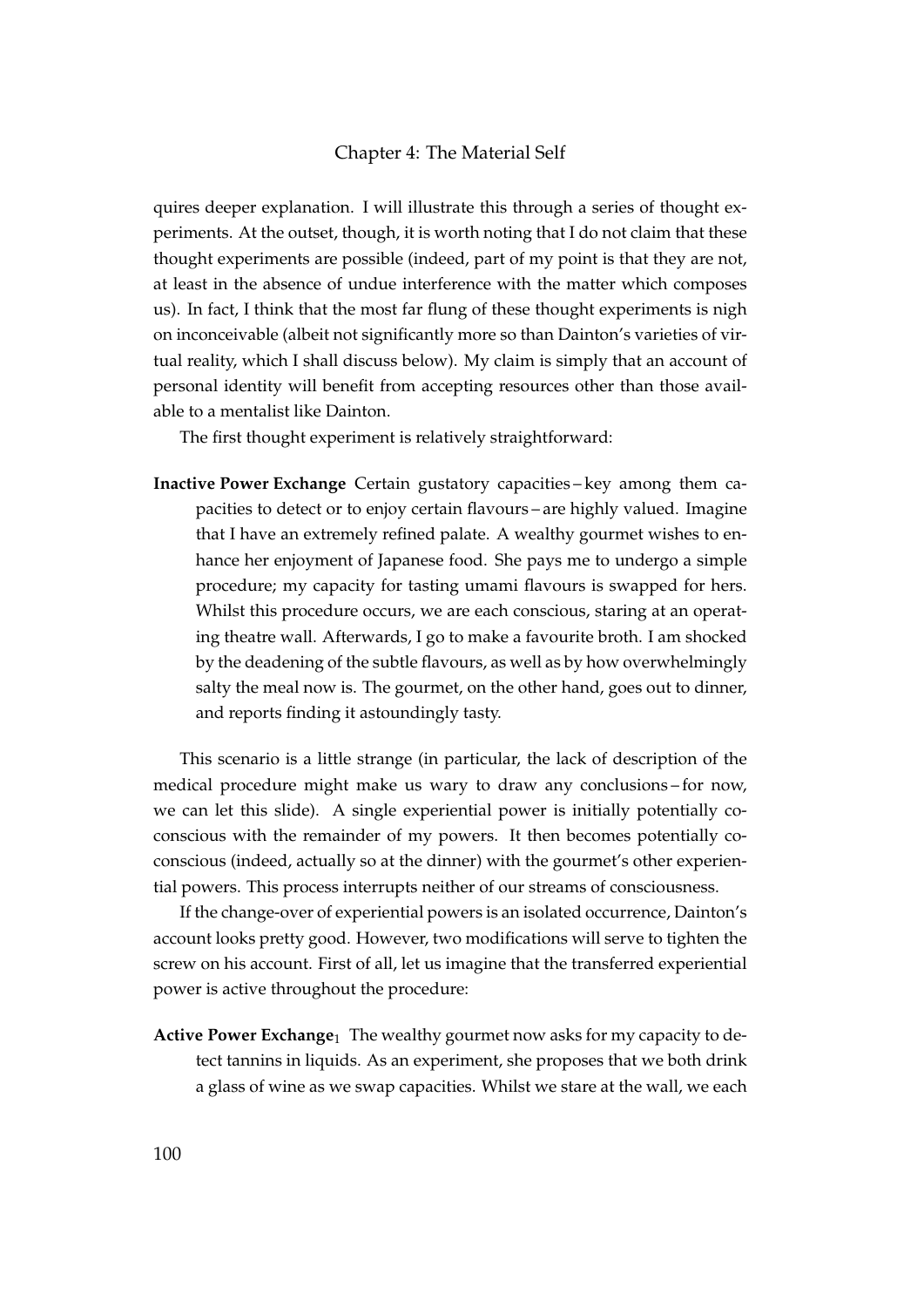quires deeper explanation. I will illustrate this through a series of thought experiments. At the outset, though, it is worth noting that I do not claim that these thought experiments are possible (indeed, part of my point is that they are not, at least in the absence of undue interference with the matter which composes us). In fact, I think that the most far flung of these thought experiments is nigh on inconceivable (albeit not significantly more so than Dainton's varieties of virtual reality, which I shall discuss below). My claim is simply that an account of personal identity will benefit from accepting resources other than those available to a mentalist like Dainton.

The first thought experiment is relatively straightforward:

**Inactive Power Exchange** Certain gustatory capacities – key among them capacities to detect or to enjoy certain flavours – are highly valued. Imagine that I have an extremely refined palate. A wealthy gourmet wishes to enhance her enjoyment of Japanese food. She pays me to undergo a simple procedure; my capacity for tasting umami flavours is swapped for hers. Whilst this procedure occurs, we are each conscious, staring at an operating theatre wall. Afterwards, I go to make a favourite broth. I am shocked by the deadening of the subtle flavours, as well as by how overwhelmingly salty the meal now is. The gourmet, on the other hand, goes out to dinner, and reports finding it astoundingly tasty.

This scenario is a little strange (in particular, the lack of description of the medical procedure might make us wary to draw any conclusions – for now, we can let this slide). A single experiential power is initially potentially coconscious with the remainder of my powers. It then becomes potentially coconscious (indeed, actually so at the dinner) with the gourmet's other experiential powers. This process interrupts neither of our streams of consciousness.

If the change-over of experiential powers is an isolated occurrence, Dainton's account looks pretty good. However, two modifications will serve to tighten the screw on his account. First of all, let us imagine that the transferred experiential power is active throughout the procedure:

**Active Power Exchange**<sup>1</sup> The wealthy gourmet now asks for my capacity to detect tannins in liquids. As an experiment, she proposes that we both drink a glass of wine as we swap capacities. Whilst we stare at the wall, we each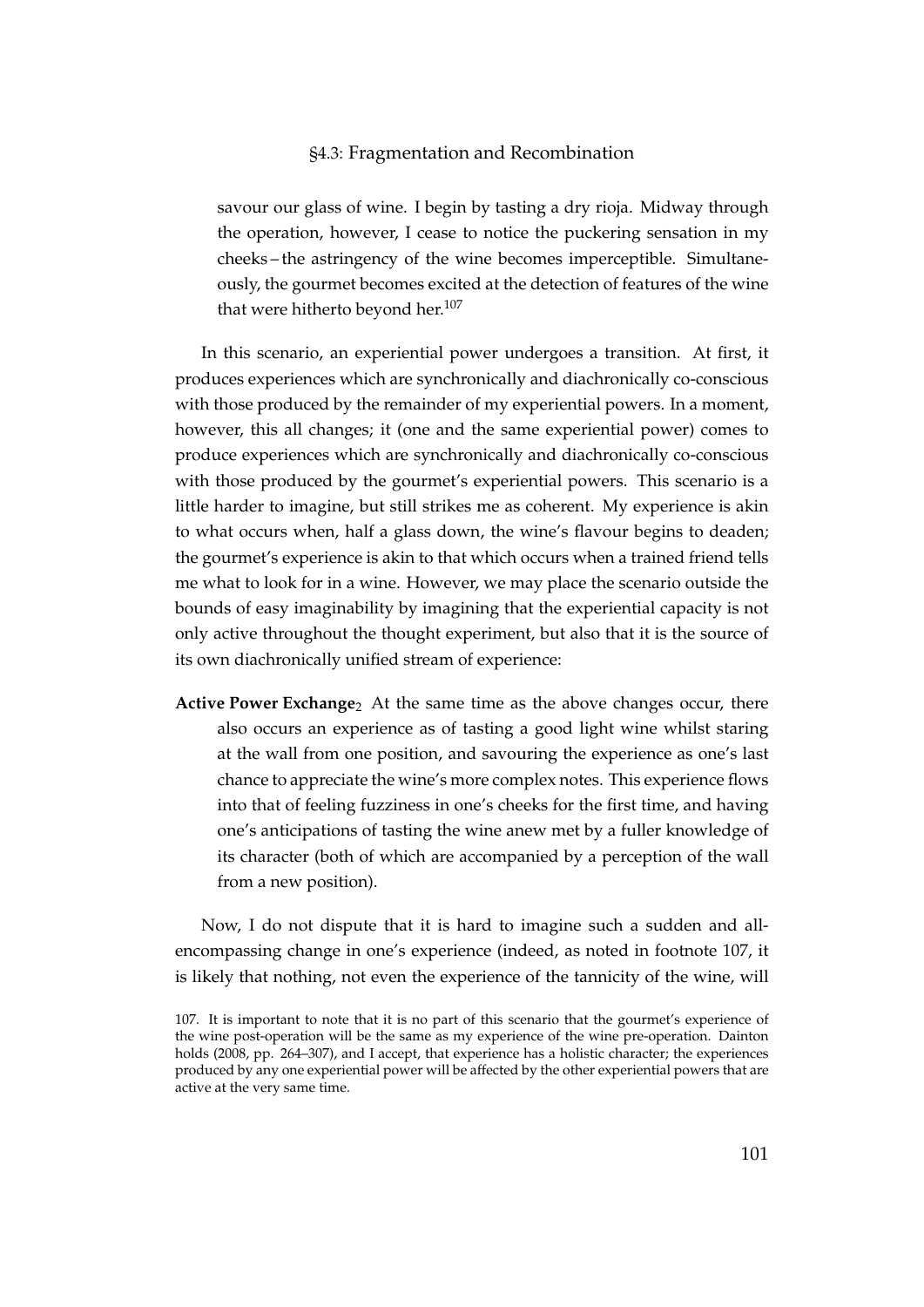### §4.3: Fragmentation and Recombination

savour our glass of wine. I begin by tasting a dry rioja. Midway through the operation, however, I cease to notice the puckering sensation in my cheeks – the astringency of the wine becomes imperceptible. Simultaneously, the gourmet becomes excited at the detection of features of the wine that were hitherto beyond her.<sup>[107](#page-100-0)</sup>

In this scenario, an experiential power undergoes a transition. At first, it produces experiences which are synchronically and diachronically co-conscious with those produced by the remainder of my experiential powers. In a moment, however, this all changes; it (one and the same experiential power) comes to produce experiences which are synchronically and diachronically co-conscious with those produced by the gourmet's experiential powers. This scenario is a little harder to imagine, but still strikes me as coherent. My experience is akin to what occurs when, half a glass down, the wine's flavour begins to deaden; the gourmet's experience is akin to that which occurs when a trained friend tells me what to look for in a wine. However, we may place the scenario outside the bounds of easy imaginability by imagining that the experiential capacity is not only active throughout the thought experiment, but also that it is the source of its own diachronically unified stream of experience:

<span id="page-100-1"></span>**Active Power Exchange**<sup>2</sup> At the same time as the above changes occur, there also occurs an experience as of tasting a good light wine whilst staring at the wall from one position, and savouring the experience as one's last chance to appreciate the wine's more complex notes. This experience flows into that of feeling fuzziness in one's cheeks for the first time, and having one's anticipations of tasting the wine anew met by a fuller knowledge of its character (both of which are accompanied by a perception of the wall from a new position).

Now, I do not dispute that it is hard to imagine such a sudden and allencompassing change in one's experience (indeed, as noted in footnote [107,](#page-100-0) it is likely that nothing, not even the experience of the tannicity of the wine, will

<span id="page-100-0"></span><sup>107.</sup> It is important to note that it is no part of this scenario that the gourmet's experience of the wine post-operation will be the same as my experience of the wine pre-operation. Dainton holds (2008, pp. 264–307), and I accept, that experience has a holistic character; the experiences produced by any one experiential power will be affected by the other experiential powers that are active at the very same time.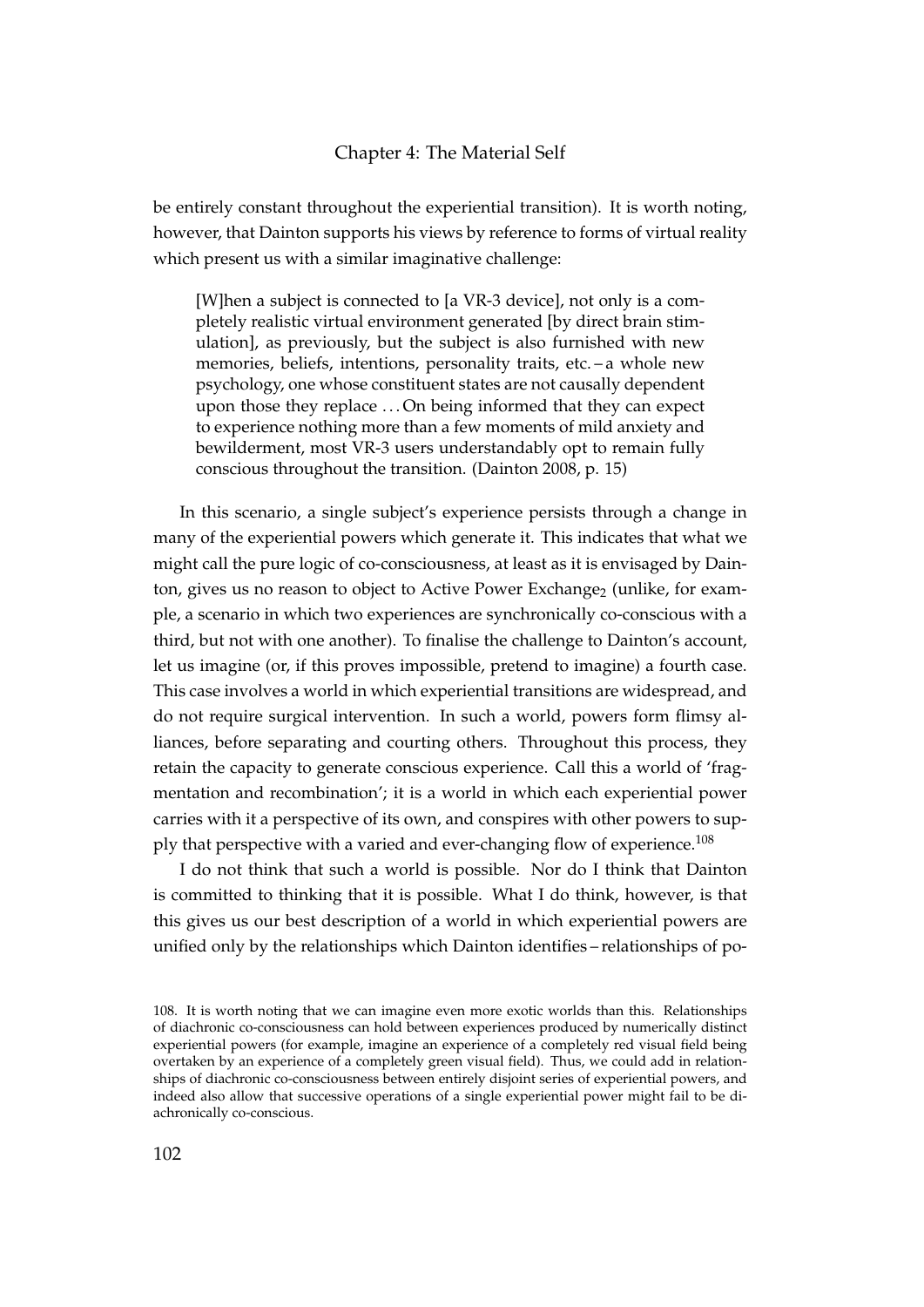be entirely constant throughout the experiential transition). It is worth noting, however, that Dainton supports his views by reference to forms of virtual reality which present us with a similar imaginative challenge:

[W]hen a subject is connected to [a VR-3 device], not only is a completely realistic virtual environment generated [by direct brain stimulation], as previously, but the subject is also furnished with new memories, beliefs, intentions, personality traits, etc. – a whole new psychology, one whose constituent states are not causally dependent upon those they replace . . . On being informed that they can expect to experience nothing more than a few moments of mild anxiety and bewilderment, most VR-3 users understandably opt to remain fully conscious throughout the transition. [\(Dainton 2008,](#page-210-0) p. 15)

In this scenario, a single subject's experience persists through a change in many of the experiential powers which generate it. This indicates that what we might call the pure logic of co-consciousness, at least as it is envisaged by Dain-ton, gives us no reason to object to [Active Power Exchange](#page-100-1)<sub>2</sub> (unlike, for example, a scenario in which two experiences are synchronically co-conscious with a third, but not with one another). To finalise the challenge to Dainton's account, let us imagine (or, if this proves impossible, pretend to imagine) a fourth case. This case involves a world in which experiential transitions are widespread, and do not require surgical intervention. In such a world, powers form flimsy alliances, before separating and courting others. Throughout this process, they retain the capacity to generate conscious experience. Call this a world of 'fragmentation and recombination'; it is a world in which each experiential power carries with it a perspective of its own, and conspires with other powers to sup-ply that perspective with a varied and ever-changing flow of experience.<sup>[108](#page-101-0)</sup>

I do not think that such a world is possible. Nor do I think that Dainton is committed to thinking that it is possible. What I do think, however, is that this gives us our best description of a world in which experiential powers are unified only by the relationships which Dainton identifies – relationships of po-

<span id="page-101-0"></span><sup>108.</sup> It is worth noting that we can imagine even more exotic worlds than this. Relationships of diachronic co-consciousness can hold between experiences produced by numerically distinct experiential powers (for example, imagine an experience of a completely red visual field being overtaken by an experience of a completely green visual field). Thus, we could add in relationships of diachronic co-consciousness between entirely disjoint series of experiential powers, and indeed also allow that successive operations of a single experiential power might fail to be diachronically co-conscious.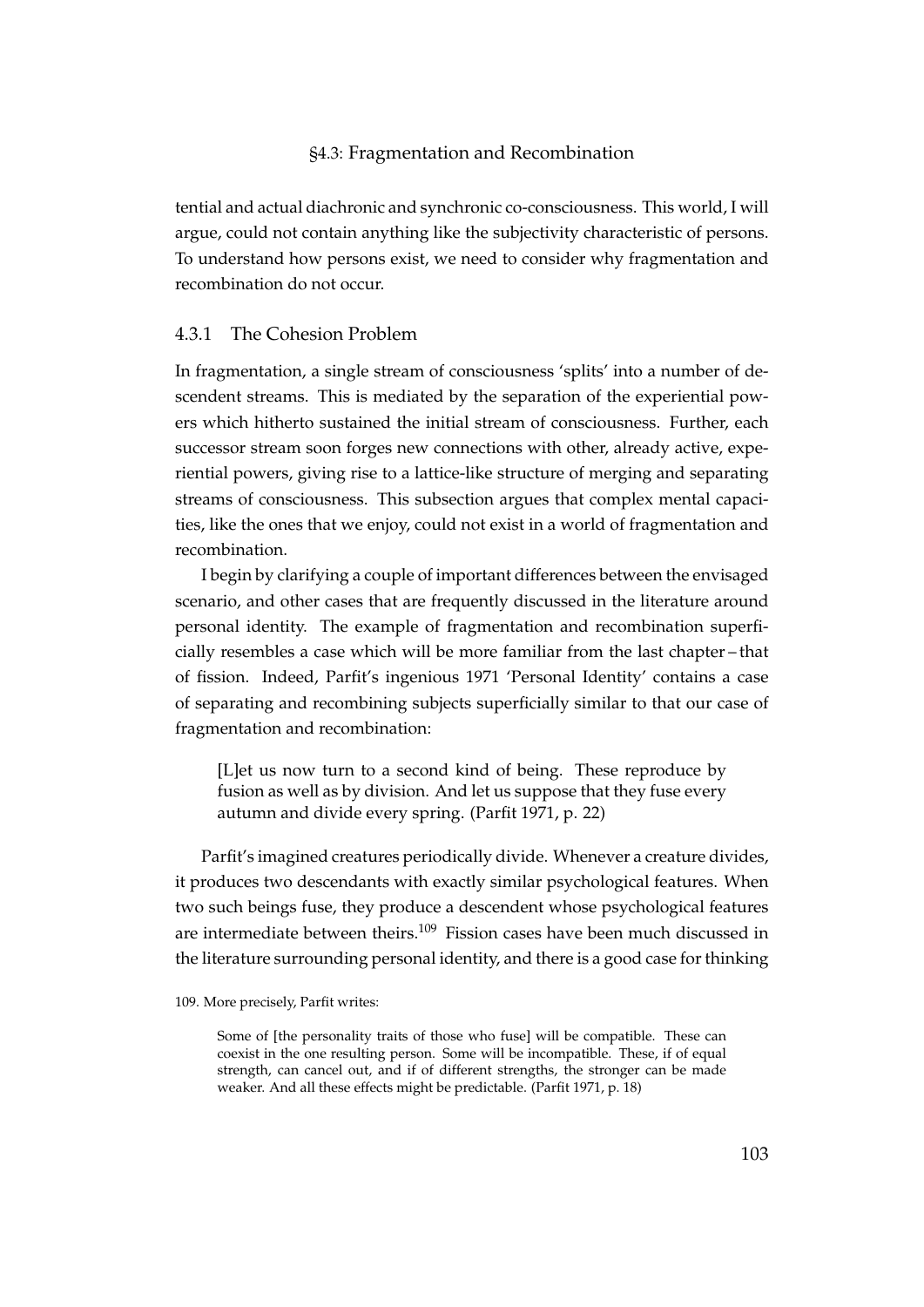### §4.3: Fragmentation and Recombination

tential and actual diachronic and synchronic co-consciousness. This world, I will argue, could not contain anything like the subjectivity characteristic of persons. To understand how persons exist, we need to consider why fragmentation and recombination do not occur.

### 4.3.1 The Cohesion Problem

In fragmentation, a single stream of consciousness 'splits' into a number of descendent streams. This is mediated by the separation of the experiential powers which hitherto sustained the initial stream of consciousness. Further, each successor stream soon forges new connections with other, already active, experiential powers, giving rise to a lattice-like structure of merging and separating streams of consciousness. This subsection argues that complex mental capacities, like the ones that we enjoy, could not exist in a world of fragmentation and recombination.

I begin by clarifying a couple of important differences between the envisaged scenario, and other cases that are frequently discussed in the literature around personal identity. The example of fragmentation and recombination superficially resembles a case which will be more familiar from the last chapter – that of fission. Indeed, Parfit's ingenious 1971 'Personal Identity' contains a case of separating and recombining subjects superficially similar to that our case of fragmentation and recombination:

[L]et us now turn to a second kind of being. These reproduce by fusion as well as by division. And let us suppose that they fuse every autumn and divide every spring. [\(Parfit 1971,](#page-215-2) p. 22)

Parfit's imagined creatures periodically divide. Whenever a creature divides, it produces two descendants with exactly similar psychological features. When two such beings fuse, they produce a descendent whose psychological features are intermediate between theirs. $109$  Fission cases have been much discussed in the literature surrounding personal identity, and there is a good case for thinking

<span id="page-102-0"></span><sup>109.</sup> More precisely, Parfit writes:

Some of [the personality traits of those who fuse] will be compatible. These can coexist in the one resulting person. Some will be incompatible. These, if of equal strength, can cancel out, and if of different strengths, the stronger can be made weaker. And all these effects might be predictable. [\(Parfit 1971,](#page-215-2) p. 18)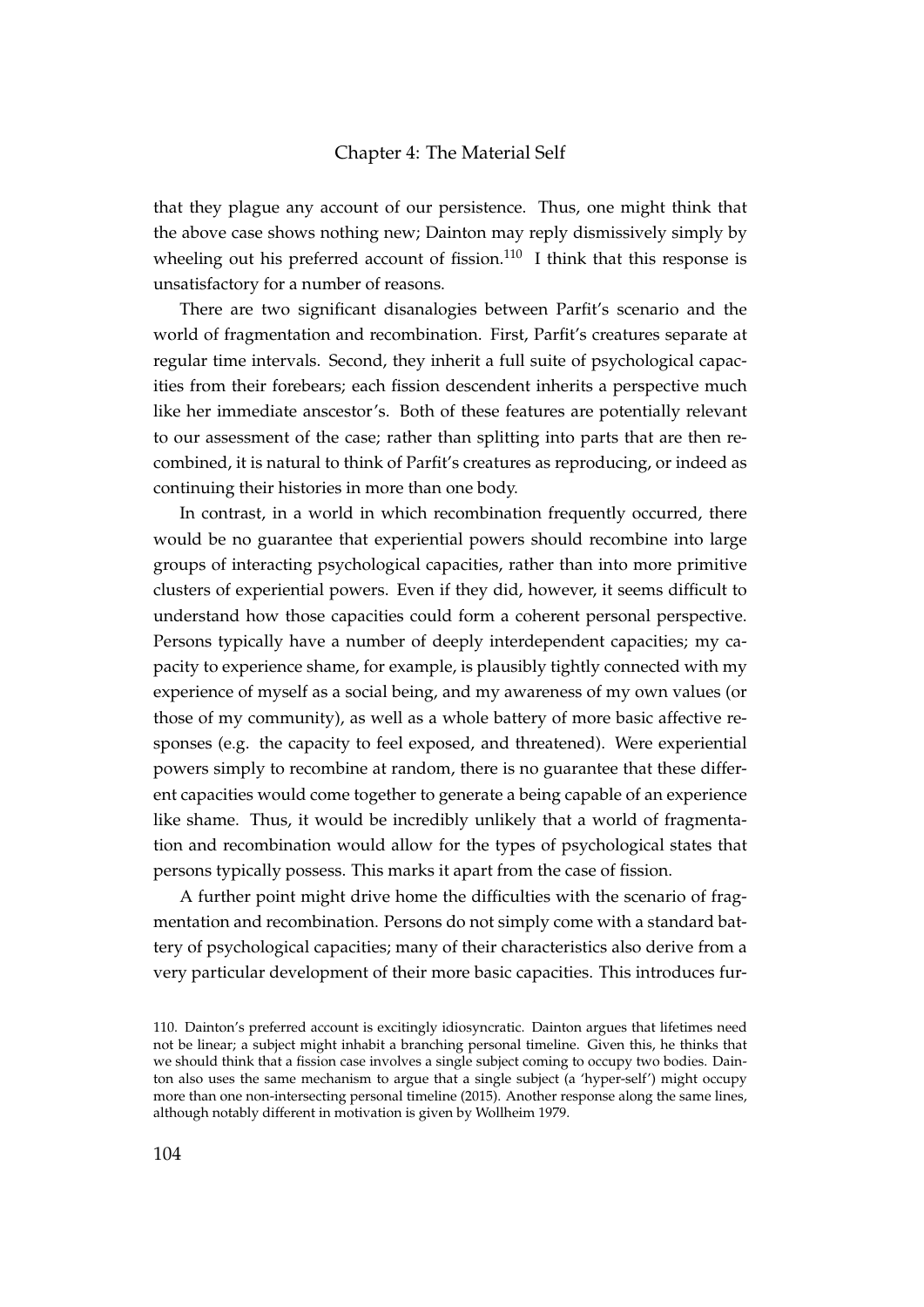that they plague any account of our persistence. Thus, one might think that the above case shows nothing new; Dainton may reply dismissively simply by wheeling out his preferred account of fission.<sup>[110](#page-103-0)</sup> I think that this response is unsatisfactory for a number of reasons.

There are two significant disanalogies between Parfit's scenario and the world of fragmentation and recombination. First, Parfit's creatures separate at regular time intervals. Second, they inherit a full suite of psychological capacities from their forebears; each fission descendent inherits a perspective much like her immediate anscestor's. Both of these features are potentially relevant to our assessment of the case; rather than splitting into parts that are then recombined, it is natural to think of Parfit's creatures as reproducing, or indeed as continuing their histories in more than one body.

In contrast, in a world in which recombination frequently occurred, there would be no guarantee that experiential powers should recombine into large groups of interacting psychological capacities, rather than into more primitive clusters of experiential powers. Even if they did, however, it seems difficult to understand how those capacities could form a coherent personal perspective. Persons typically have a number of deeply interdependent capacities; my capacity to experience shame, for example, is plausibly tightly connected with my experience of myself as a social being, and my awareness of my own values (or those of my community), as well as a whole battery of more basic affective responses (e.g. the capacity to feel exposed, and threatened). Were experiential powers simply to recombine at random, there is no guarantee that these different capacities would come together to generate a being capable of an experience like shame. Thus, it would be incredibly unlikely that a world of fragmentation and recombination would allow for the types of psychological states that persons typically possess. This marks it apart from the case of fission.

A further point might drive home the difficulties with the scenario of fragmentation and recombination. Persons do not simply come with a standard battery of psychological capacities; many of their characteristics also derive from a very particular development of their more basic capacities. This introduces fur-

<span id="page-103-0"></span><sup>110.</sup> Dainton's preferred account is excitingly idiosyncratic. Dainton argues that lifetimes need not be linear; a subject might inhabit a branching personal timeline. Given this, he thinks that we should think that a fission case involves a single subject coming to occupy two bodies. Dainton also uses the same mechanism to argue that a single subject (a 'hyper-self') might occupy more than one non-intersecting personal timeline (2015). Another response along the same lines, although notably different in motivation is given by [Wollheim 1979.](#page-220-0)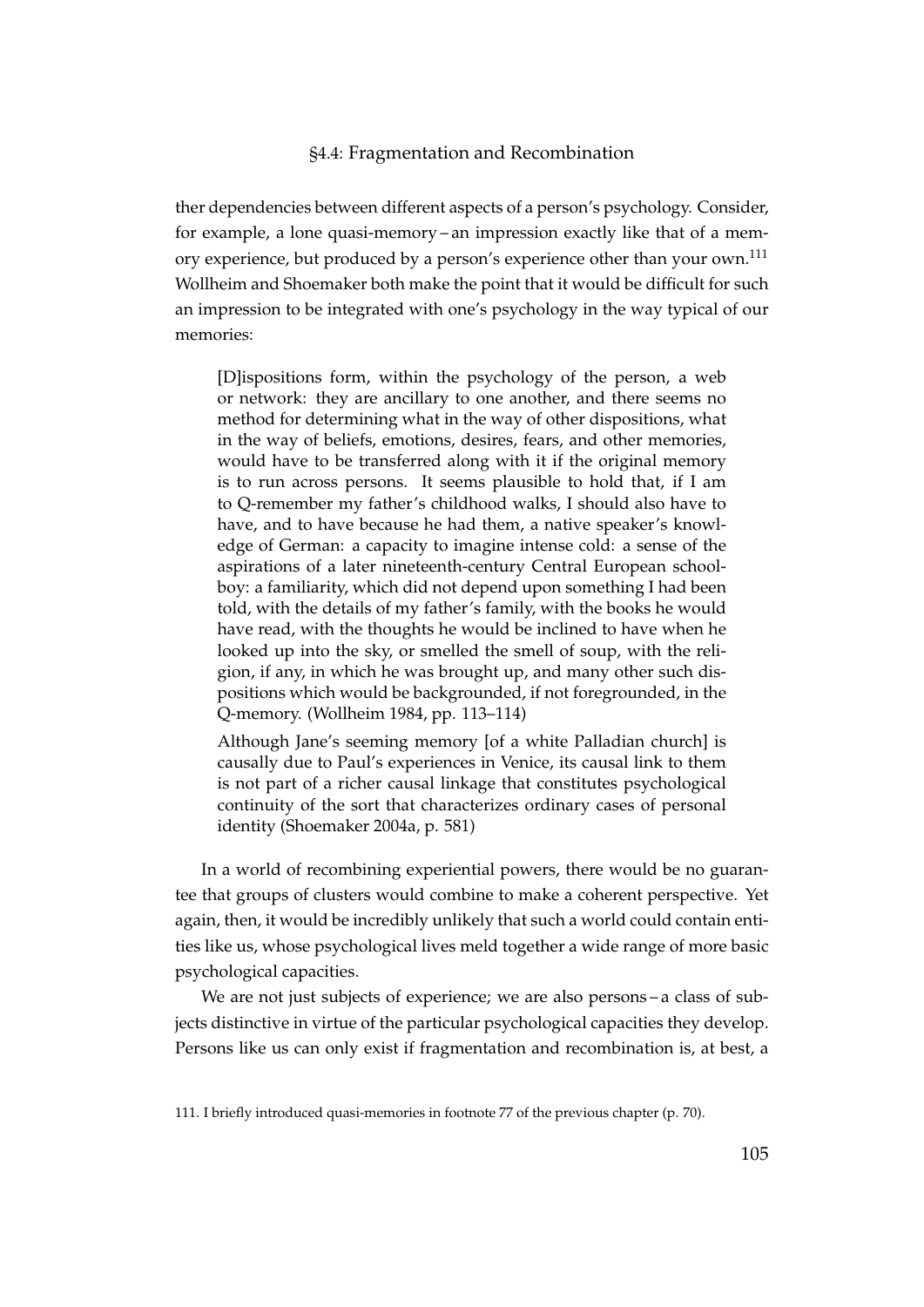### §4.4: Fragmentation and Recombination

ther dependencies between different aspects of a person's psychology. Consider, for example, a lone quasi-memory – an impression exactly like that of a mem-ory experience, but produced by a person's experience other than your own.<sup>[111](#page-104-0)</sup> Wollheim and Shoemaker both make the point that it would be difficult for such an impression to be integrated with one's psychology in the way typical of our memories:

[D]ispositions form, within the psychology of the person, a web or network: they are ancillary to one another, and there seems no method for determining what in the way of other dispositions, what in the way of beliefs, emotions, desires, fears, and other memories, would have to be transferred along with it if the original memory is to run across persons. It seems plausible to hold that, if I am to Q-remember my father's childhood walks, I should also have to have, and to have because he had them, a native speaker's knowledge of German: a capacity to imagine intense cold: a sense of the aspirations of a later nineteenth-century Central European schoolboy: a familiarity, which did not depend upon something I had been told, with the details of my father's family, with the books he would have read, with the thoughts he would be inclined to have when he looked up into the sky, or smelled the smell of soup, with the religion, if any, in which he was brought up, and many other such dispositions which would be backgrounded, if not foregrounded, in the Q-memory. [\(Wollheim 1984,](#page-220-4) pp. 113–114)

Although Jane's seeming memory [of a white Palladian church] is causally due to Paul's experiences in Venice, its causal link to them is not part of a richer causal linkage that constitutes psychological continuity of the sort that characterizes ordinary cases of personal identity [\(Shoemaker 2004a,](#page-217-1) p. 581)

In a world of recombining experiential powers, there would be no guarantee that groups of clusters would combine to make a coherent perspective. Yet again, then, it would be incredibly unlikely that such a world could contain entities like us, whose psychological lives meld together a wide range of more basic psychological capacities.

We are not just subjects of experience; we are also persons – a class of subjects distinctive in virtue of the particular psychological capacities they develop. Persons like us can only exist if fragmentation and recombination is, at best, a

<span id="page-104-0"></span><sup>111.</sup> I briefly introduced quasi-memories in footnote [77](#page-69-0) of the previous chapter (p. [70\)](#page-69-0).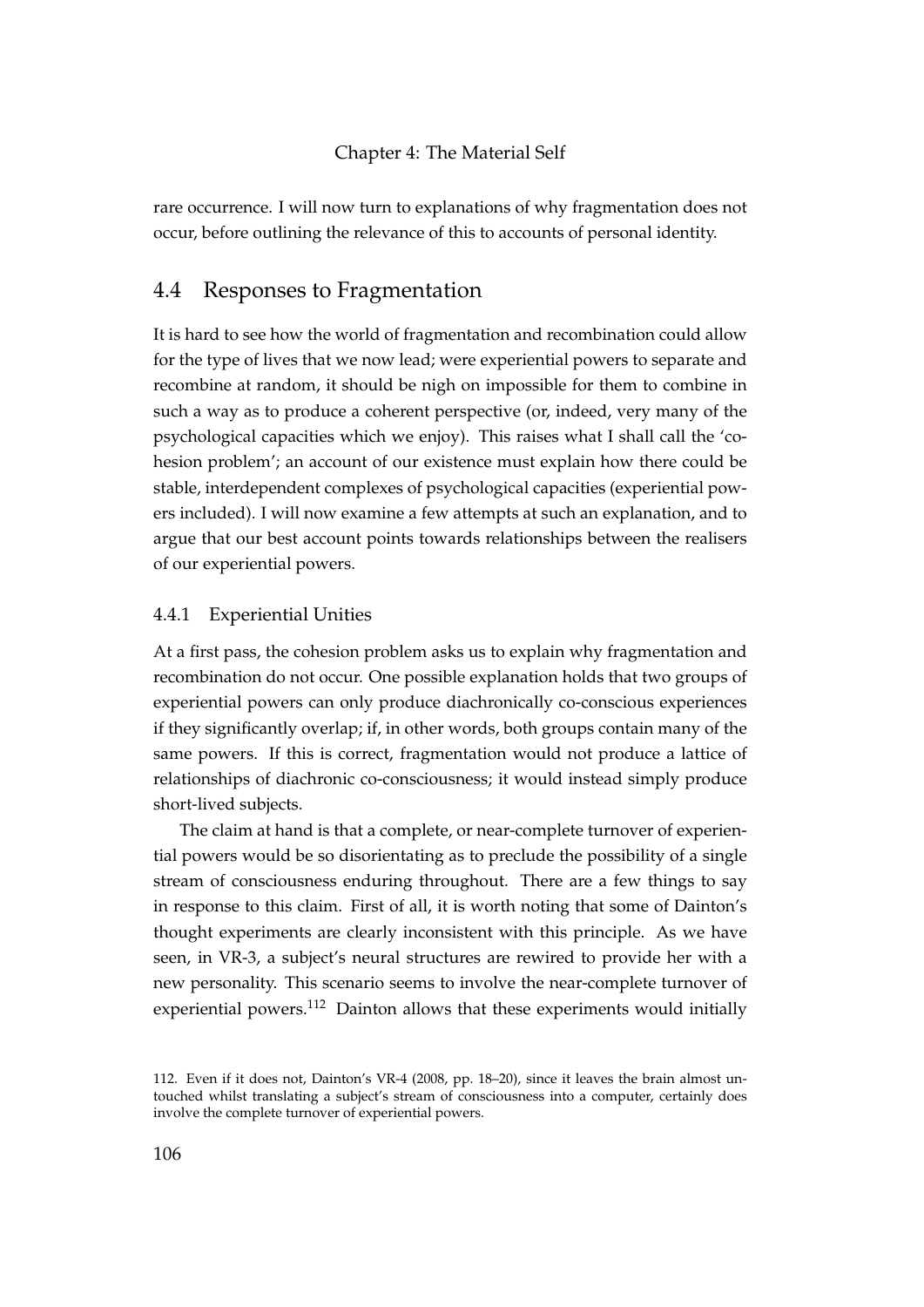rare occurrence. I will now turn to explanations of why fragmentation does not occur, before outlining the relevance of this to accounts of personal identity.

# <span id="page-105-0"></span>4.4 Responses to Fragmentation

It is hard to see how the world of fragmentation and recombination could allow for the type of lives that we now lead; were experiential powers to separate and recombine at random, it should be nigh on impossible for them to combine in such a way as to produce a coherent perspective (or, indeed, very many of the psychological capacities which we enjoy). This raises what I shall call the 'cohesion problem'; an account of our existence must explain how there could be stable, interdependent complexes of psychological capacities (experiential powers included). I will now examine a few attempts at such an explanation, and to argue that our best account points towards relationships between the realisers of our experiential powers.

### 4.4.1 Experiential Unities

At a first pass, the cohesion problem asks us to explain why fragmentation and recombination do not occur. One possible explanation holds that two groups of experiential powers can only produce diachronically co-conscious experiences if they significantly overlap; if, in other words, both groups contain many of the same powers. If this is correct, fragmentation would not produce a lattice of relationships of diachronic co-consciousness; it would instead simply produce short-lived subjects.

The claim at hand is that a complete, or near-complete turnover of experiential powers would be so disorientating as to preclude the possibility of a single stream of consciousness enduring throughout. There are a few things to say in response to this claim. First of all, it is worth noting that some of Dainton's thought experiments are clearly inconsistent with this principle. As we have seen, in VR-3, a subject's neural structures are rewired to provide her with a new personality. This scenario seems to involve the near-complete turnover of experiential powers.<sup>[112](#page-105-1)</sup> Dainton allows that these experiments would initially

<span id="page-105-1"></span><sup>112.</sup> Even if it does not, Dainton's VR-4 (2008, pp. 18–20), since it leaves the brain almost untouched whilst translating a subject's stream of consciousness into a computer, certainly does involve the complete turnover of experiential powers.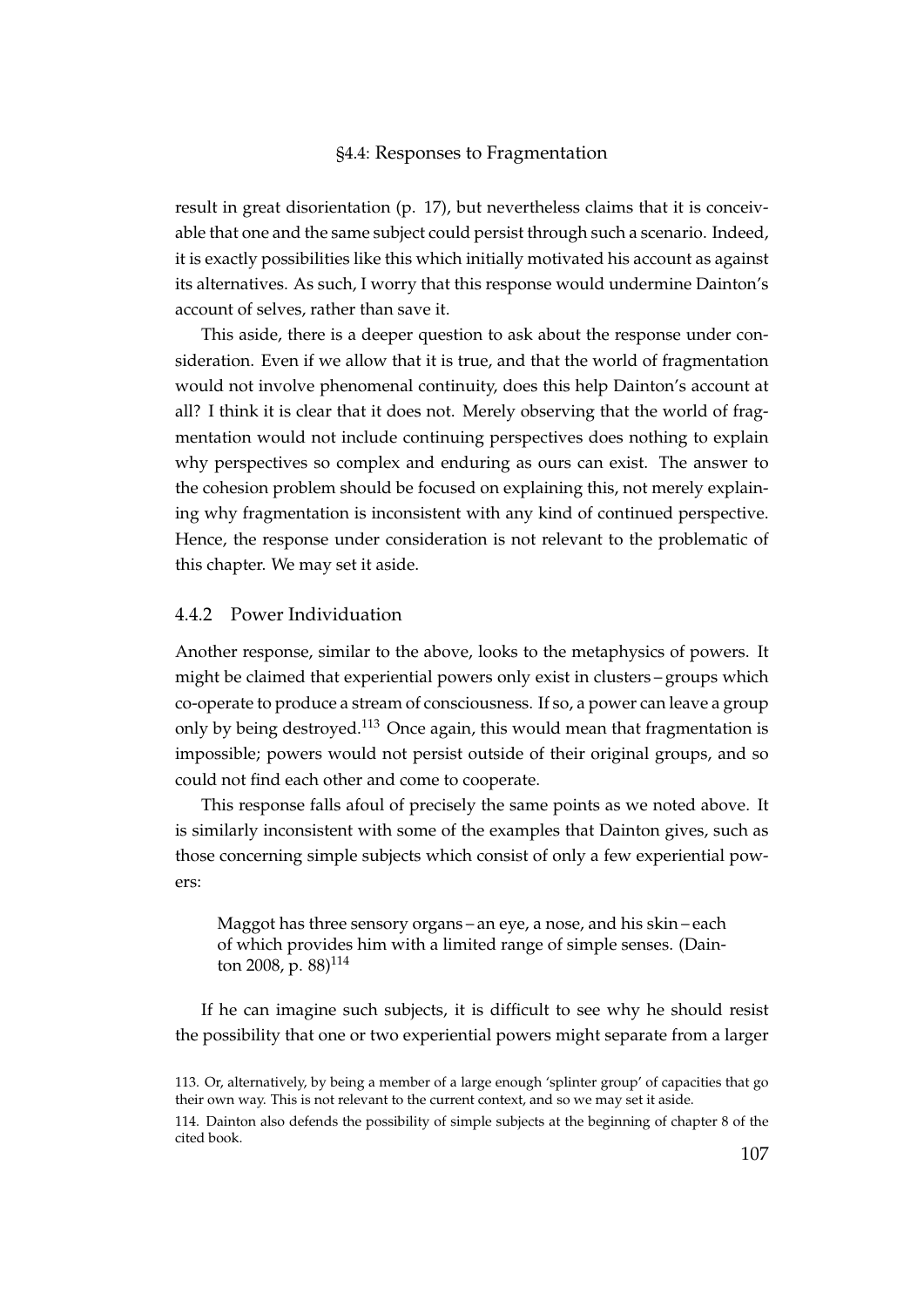# §4.4: Responses to Fragmentation

result in great disorientation (p. 17), but nevertheless claims that it is conceivable that one and the same subject could persist through such a scenario. Indeed, it is exactly possibilities like this which initially motivated his account as against its alternatives. As such, I worry that this response would undermine Dainton's account of selves, rather than save it.

This aside, there is a deeper question to ask about the response under consideration. Even if we allow that it is true, and that the world of fragmentation would not involve phenomenal continuity, does this help Dainton's account at all? I think it is clear that it does not. Merely observing that the world of fragmentation would not include continuing perspectives does nothing to explain why perspectives so complex and enduring as ours can exist. The answer to the cohesion problem should be focused on explaining this, not merely explaining why fragmentation is inconsistent with any kind of continued perspective. Hence, the response under consideration is not relevant to the problematic of this chapter. We may set it aside.

### 4.4.2 Power Individuation

Another response, similar to the above, looks to the metaphysics of powers. It might be claimed that experiential powers only exist in clusters – groups which co-operate to produce a stream of consciousness. If so, a power can leave a group only by being destroyed.<sup>[113](#page-106-0)</sup> Once again, this would mean that fragmentation is impossible; powers would not persist outside of their original groups, and so could not find each other and come to cooperate.

This response falls afoul of precisely the same points as we noted above. It is similarly inconsistent with some of the examples that Dainton gives, such as those concerning simple subjects which consist of only a few experiential powers:

Maggot has three sensory organs – an eye, a nose, and his skin – each of which provides him with a limited range of simple senses. [\(Dain](#page-210-0)[ton 2008,](#page-210-0) p.  $88$ <sup>[114](#page-106-1)</sup>

If he can imagine such subjects, it is difficult to see why he should resist the possibility that one or two experiential powers might separate from a larger

<span id="page-106-0"></span><sup>113.</sup> Or, alternatively, by being a member of a large enough 'splinter group' of capacities that go their own way. This is not relevant to the current context, and so we may set it aside.

<span id="page-106-1"></span><sup>114.</sup> Dainton also defends the possibility of simple subjects at the beginning of chapter 8 of the cited book.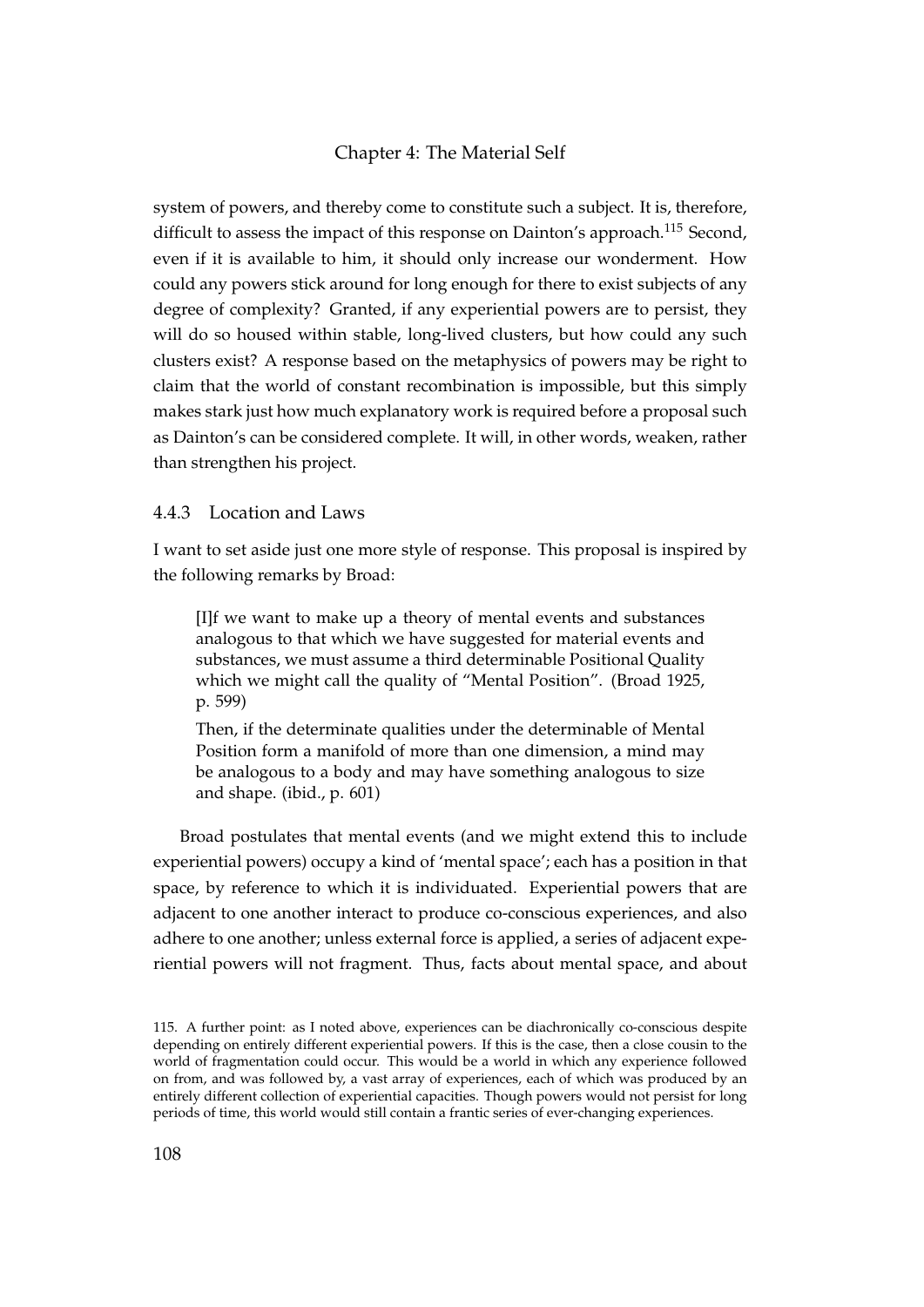system of powers, and thereby come to constitute such a subject. It is, therefore, difficult to assess the impact of this response on Dainton's approach.<sup>[115](#page-107-0)</sup> Second, even if it is available to him, it should only increase our wonderment. How could any powers stick around for long enough for there to exist subjects of any degree of complexity? Granted, if any experiential powers are to persist, they will do so housed within stable, long-lived clusters, but how could any such clusters exist? A response based on the metaphysics of powers may be right to claim that the world of constant recombination is impossible, but this simply makes stark just how much explanatory work is required before a proposal such as Dainton's can be considered complete. It will, in other words, weaken, rather than strengthen his project.

# 4.4.3 Location and Laws

I want to set aside just one more style of response. This proposal is inspired by the following remarks by Broad:

[I]f we want to make up a theory of mental events and substances analogous to that which we have suggested for material events and substances, we must assume a third determinable Positional Quality which we might call the quality of "Mental Position". [\(Broad 1925,](#page-209-0) p. 599)

Then, if the determinate qualities under the determinable of Mental Position form a manifold of more than one dimension, a mind may be analogous to a body and may have something analogous to size and shape. [\(ibid.,](#page-209-0) p. 601)

Broad postulates that mental events (and we might extend this to include experiential powers) occupy a kind of 'mental space'; each has a position in that space, by reference to which it is individuated. Experiential powers that are adjacent to one another interact to produce co-conscious experiences, and also adhere to one another; unless external force is applied, a series of adjacent experiential powers will not fragment. Thus, facts about mental space, and about

<span id="page-107-0"></span><sup>115.</sup> A further point: as I noted above, experiences can be diachronically co-conscious despite depending on entirely different experiential powers. If this is the case, then a close cousin to the world of fragmentation could occur. This would be a world in which any experience followed on from, and was followed by, a vast array of experiences, each of which was produced by an entirely different collection of experiential capacities. Though powers would not persist for long periods of time, this world would still contain a frantic series of ever-changing experiences.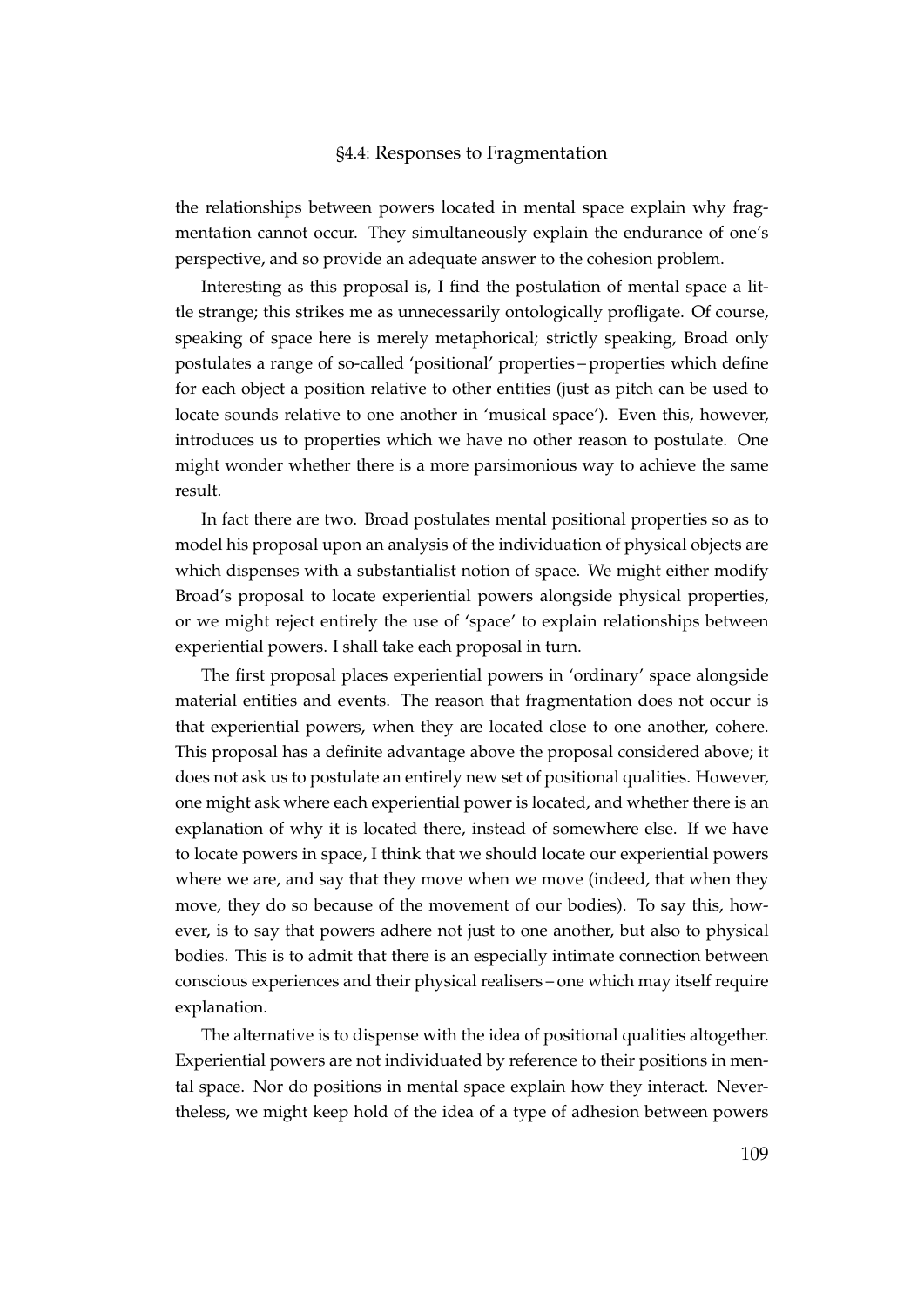#### §4.4: Responses to Fragmentation

the relationships between powers located in mental space explain why fragmentation cannot occur. They simultaneously explain the endurance of one's perspective, and so provide an adequate answer to the cohesion problem.

Interesting as this proposal is, I find the postulation of mental space a little strange; this strikes me as unnecessarily ontologically profligate. Of course, speaking of space here is merely metaphorical; strictly speaking, Broad only postulates a range of so-called 'positional' properties – properties which define for each object a position relative to other entities (just as pitch can be used to locate sounds relative to one another in 'musical space'). Even this, however, introduces us to properties which we have no other reason to postulate. One might wonder whether there is a more parsimonious way to achieve the same result.

In fact there are two. Broad postulates mental positional properties so as to model his proposal upon an analysis of the individuation of physical objects are which dispenses with a substantialist notion of space. We might either modify Broad's proposal to locate experiential powers alongside physical properties, or we might reject entirely the use of 'space' to explain relationships between experiential powers. I shall take each proposal in turn.

The first proposal places experiential powers in 'ordinary' space alongside material entities and events. The reason that fragmentation does not occur is that experiential powers, when they are located close to one another, cohere. This proposal has a definite advantage above the proposal considered above; it does not ask us to postulate an entirely new set of positional qualities. However, one might ask where each experiential power is located, and whether there is an explanation of why it is located there, instead of somewhere else. If we have to locate powers in space, I think that we should locate our experiential powers where we are, and say that they move when we move (indeed, that when they move, they do so because of the movement of our bodies). To say this, however, is to say that powers adhere not just to one another, but also to physical bodies. This is to admit that there is an especially intimate connection between conscious experiences and their physical realisers – one which may itself require explanation.

The alternative is to dispense with the idea of positional qualities altogether. Experiential powers are not individuated by reference to their positions in mental space. Nor do positions in mental space explain how they interact. Nevertheless, we might keep hold of the idea of a type of adhesion between powers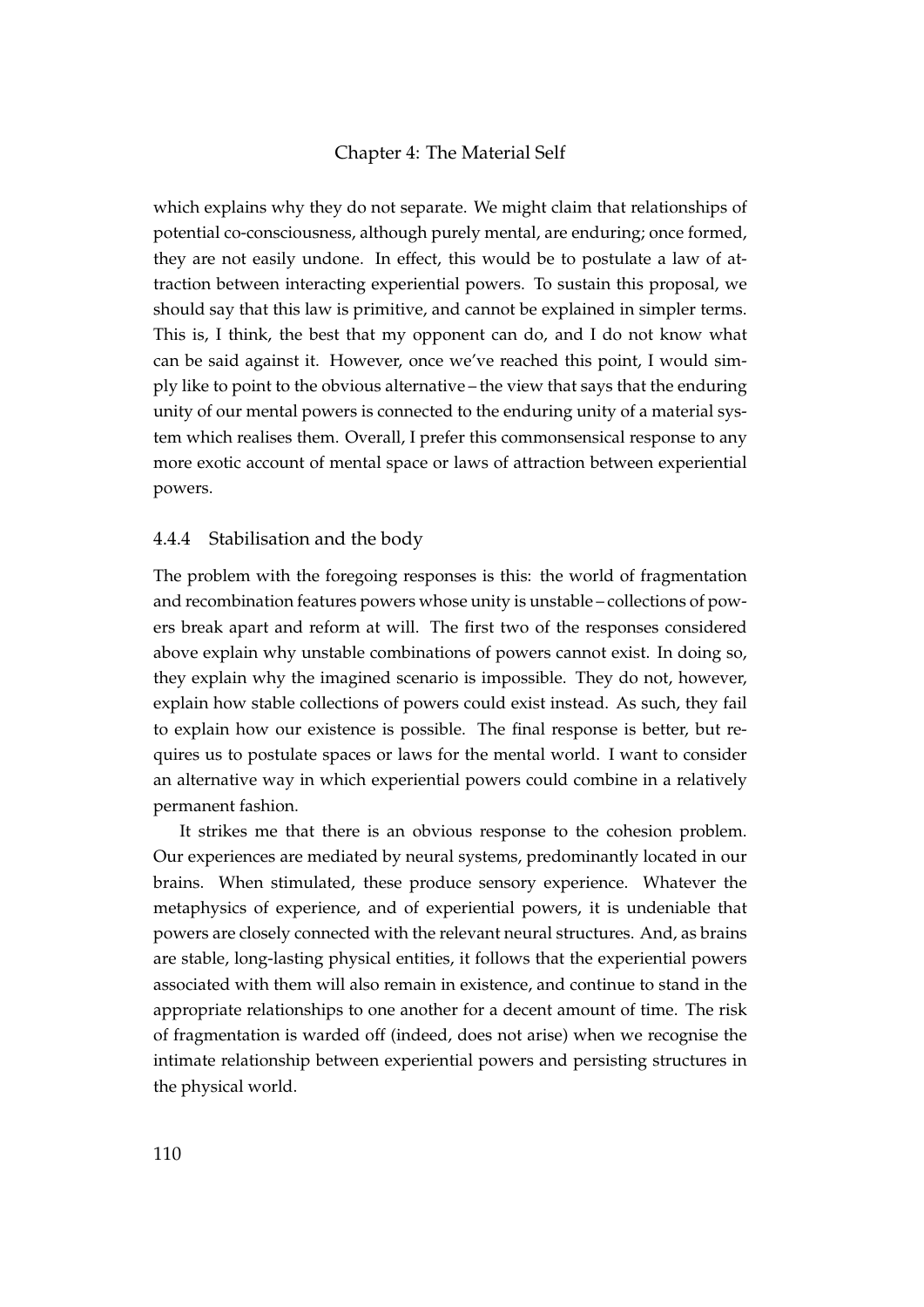#### Chapter 4: The Material Self

which explains why they do not separate. We might claim that relationships of potential co-consciousness, although purely mental, are enduring; once formed, they are not easily undone. In effect, this would be to postulate a law of attraction between interacting experiential powers. To sustain this proposal, we should say that this law is primitive, and cannot be explained in simpler terms. This is, I think, the best that my opponent can do, and I do not know what can be said against it. However, once we've reached this point, I would simply like to point to the obvious alternative – the view that says that the enduring unity of our mental powers is connected to the enduring unity of a material system which realises them. Overall, I prefer this commonsensical response to any more exotic account of mental space or laws of attraction between experiential powers.

#### 4.4.4 Stabilisation and the body

The problem with the foregoing responses is this: the world of fragmentation and recombination features powers whose unity is unstable – collections of powers break apart and reform at will. The first two of the responses considered above explain why unstable combinations of powers cannot exist. In doing so, they explain why the imagined scenario is impossible. They do not, however, explain how stable collections of powers could exist instead. As such, they fail to explain how our existence is possible. The final response is better, but requires us to postulate spaces or laws for the mental world. I want to consider an alternative way in which experiential powers could combine in a relatively permanent fashion.

It strikes me that there is an obvious response to the cohesion problem. Our experiences are mediated by neural systems, predominantly located in our brains. When stimulated, these produce sensory experience. Whatever the metaphysics of experience, and of experiential powers, it is undeniable that powers are closely connected with the relevant neural structures. And, as brains are stable, long-lasting physical entities, it follows that the experiential powers associated with them will also remain in existence, and continue to stand in the appropriate relationships to one another for a decent amount of time. The risk of fragmentation is warded off (indeed, does not arise) when we recognise the intimate relationship between experiential powers and persisting structures in the physical world.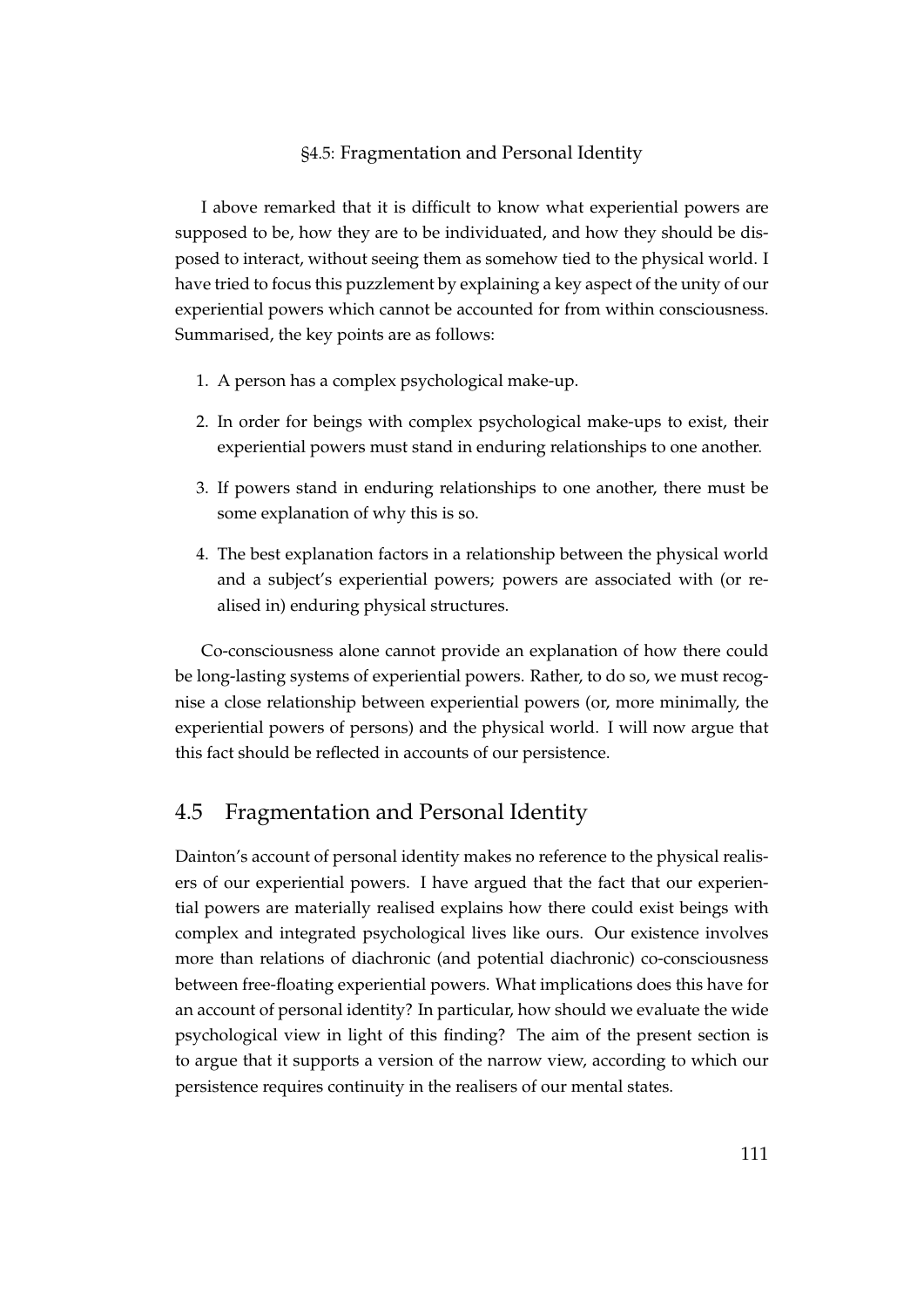#### §4.5: Fragmentation and Personal Identity

I above remarked that it is difficult to know what experiential powers are supposed to be, how they are to be individuated, and how they should be disposed to interact, without seeing them as somehow tied to the physical world. I have tried to focus this puzzlement by explaining a key aspect of the unity of our experiential powers which cannot be accounted for from within consciousness. Summarised, the key points are as follows:

- 1. A person has a complex psychological make-up.
- 2. In order for beings with complex psychological make-ups to exist, their experiential powers must stand in enduring relationships to one another.
- 3. If powers stand in enduring relationships to one another, there must be some explanation of why this is so.
- 4. The best explanation factors in a relationship between the physical world and a subject's experiential powers; powers are associated with (or realised in) enduring physical structures.

Co-consciousness alone cannot provide an explanation of how there could be long-lasting systems of experiential powers. Rather, to do so, we must recognise a close relationship between experiential powers (or, more minimally, the experiential powers of persons) and the physical world. I will now argue that this fact should be reflected in accounts of our persistence.

# 4.5 Fragmentation and Personal Identity

Dainton's account of personal identity makes no reference to the physical realisers of our experiential powers. I have argued that the fact that our experiential powers are materially realised explains how there could exist beings with complex and integrated psychological lives like ours. Our existence involves more than relations of diachronic (and potential diachronic) co-consciousness between free-floating experiential powers. What implications does this have for an account of personal identity? In particular, how should we evaluate the wide psychological view in light of this finding? The aim of the present section is to argue that it supports a version of the narrow view, according to which our persistence requires continuity in the realisers of our mental states.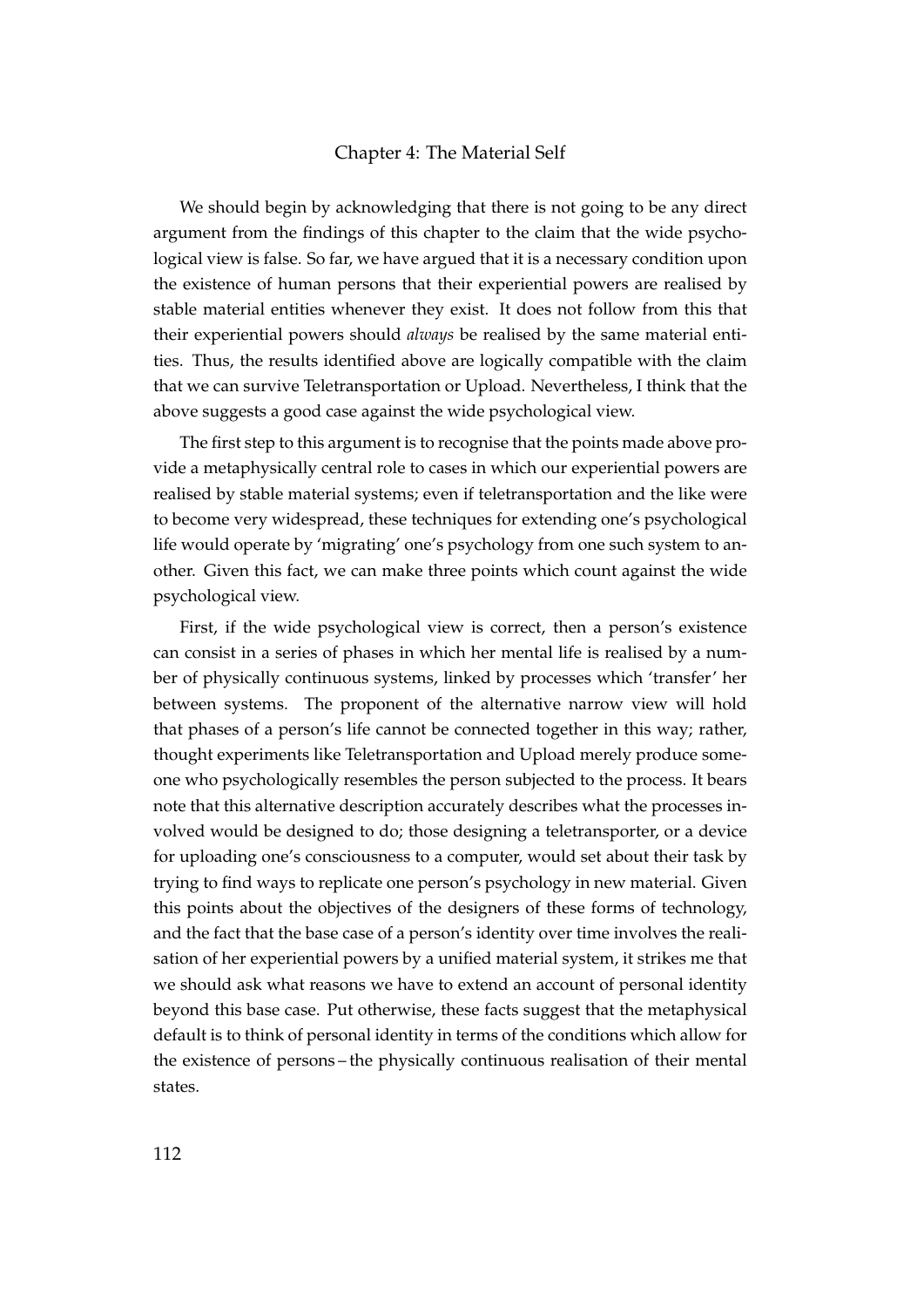#### Chapter 4: The Material Self

We should begin by acknowledging that there is not going to be any direct argument from the findings of this chapter to the claim that the wide psychological view is false. So far, we have argued that it is a necessary condition upon the existence of human persons that their experiential powers are realised by stable material entities whenever they exist. It does not follow from this that their experiential powers should *always* be realised by the same material entities. Thus, the results identified above are logically compatible with the claim that we can survive [Teletransportation](#page-33-0) or [Upload.](#page-33-1) Nevertheless, I think that the above suggests a good case against the wide psychological view.

The first step to this argument is to recognise that the points made above provide a metaphysically central role to cases in which our experiential powers are realised by stable material systems; even if teletransportation and the like were to become very widespread, these techniques for extending one's psychological life would operate by 'migrating' one's psychology from one such system to another. Given this fact, we can make three points which count against the wide psychological view.

First, if the wide psychological view is correct, then a person's existence can consist in a series of phases in which her mental life is realised by a number of physically continuous systems, linked by processes which 'transfer' her between systems. The proponent of the alternative narrow view will hold that phases of a person's life cannot be connected together in this way; rather, thought experiments like [Teletransportation](#page-33-0) and [Upload](#page-33-1) merely produce someone who psychologically resembles the person subjected to the process. It bears note that this alternative description accurately describes what the processes involved would be designed to do; those designing a teletransporter, or a device for uploading one's consciousness to a computer, would set about their task by trying to find ways to replicate one person's psychology in new material. Given this points about the objectives of the designers of these forms of technology, and the fact that the base case of a person's identity over time involves the realisation of her experiential powers by a unified material system, it strikes me that we should ask what reasons we have to extend an account of personal identity beyond this base case. Put otherwise, these facts suggest that the metaphysical default is to think of personal identity in terms of the conditions which allow for the existence of persons – the physically continuous realisation of their mental states.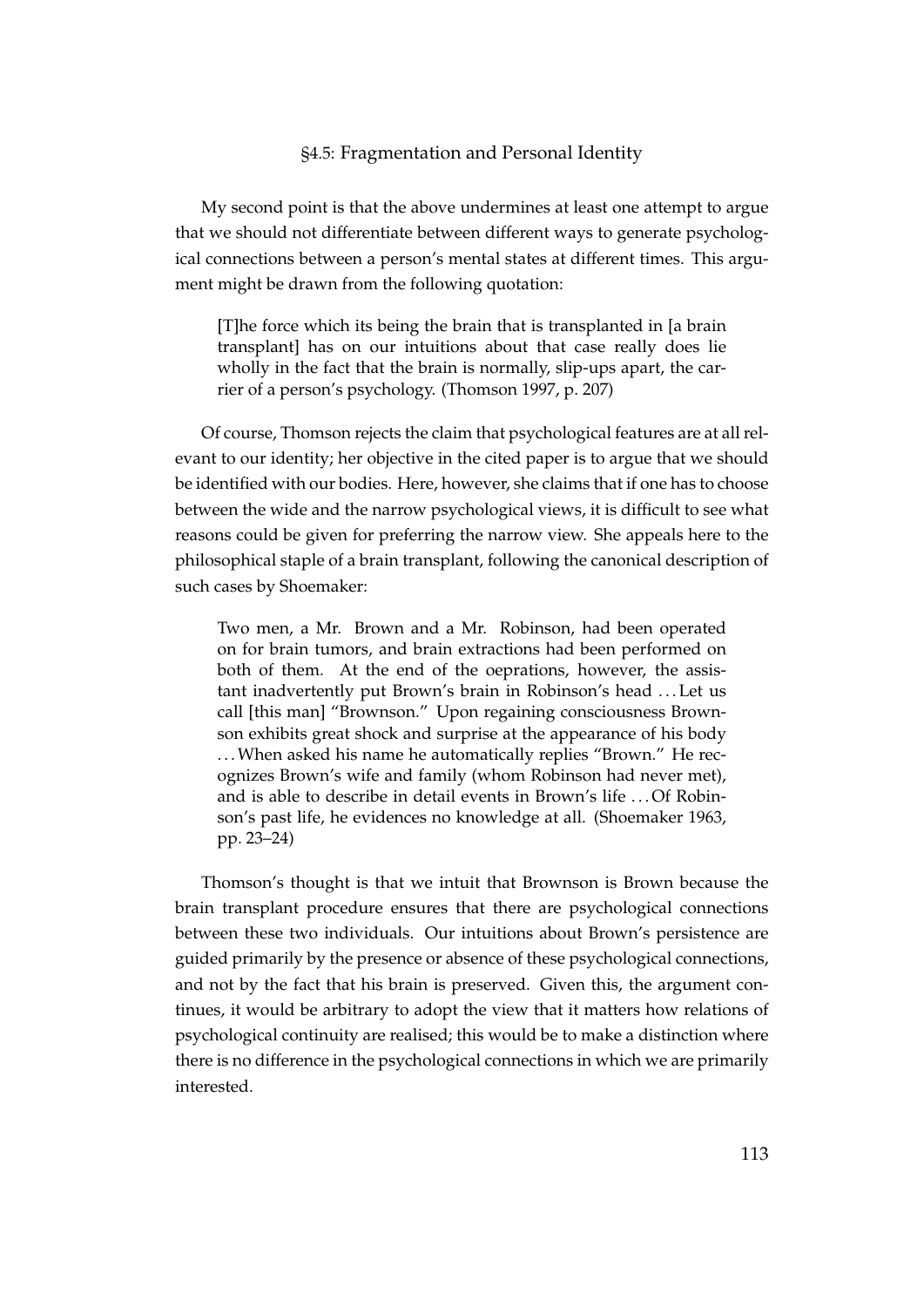#### §4.5: Fragmentation and Personal Identity

My second point is that the above undermines at least one attempt to argue that we should not differentiate between different ways to generate psychological connections between a person's mental states at different times. This argument might be drawn from the following quotation:

[T]he force which its being the brain that is transplanted in [a brain transplant] has on our intuitions about that case really does lie wholly in the fact that the brain is normally, slip-ups apart, the carrier of a person's psychology. [\(Thomson 1997,](#page-218-0) p. 207)

Of course, Thomson rejects the claim that psychological features are at all relevant to our identity; her objective in the cited paper is to argue that we should be identified with our bodies. Here, however, she claims that if one has to choose between the wide and the narrow psychological views, it is difficult to see what reasons could be given for preferring the narrow view. She appeals here to the philosophical staple of a brain transplant, following the canonical description of such cases by Shoemaker:

Two men, a Mr. Brown and a Mr. Robinson, had been operated on for brain tumors, and brain extractions had been performed on both of them. At the end of the oeprations, however, the assistant inadvertently put Brown's brain in Robinson's head . . . Let us call [this man] "Brownson." Upon regaining consciousness Brownson exhibits great shock and surprise at the appearance of his body ... When asked his name he automatically replies "Brown." He recognizes Brown's wife and family (whom Robinson had never met), and is able to describe in detail events in Brown's life . . . Of Robinson's past life, he evidences no knowledge at all. [\(Shoemaker 1963,](#page-217-0) pp. 23–24)

Thomson's thought is that we intuit that Brownson is Brown because the brain transplant procedure ensures that there are psychological connections between these two individuals. Our intuitions about Brown's persistence are guided primarily by the presence or absence of these psychological connections, and not by the fact that his brain is preserved. Given this, the argument continues, it would be arbitrary to adopt the view that it matters how relations of psychological continuity are realised; this would be to make a distinction where there is no difference in the psychological connections in which we are primarily interested.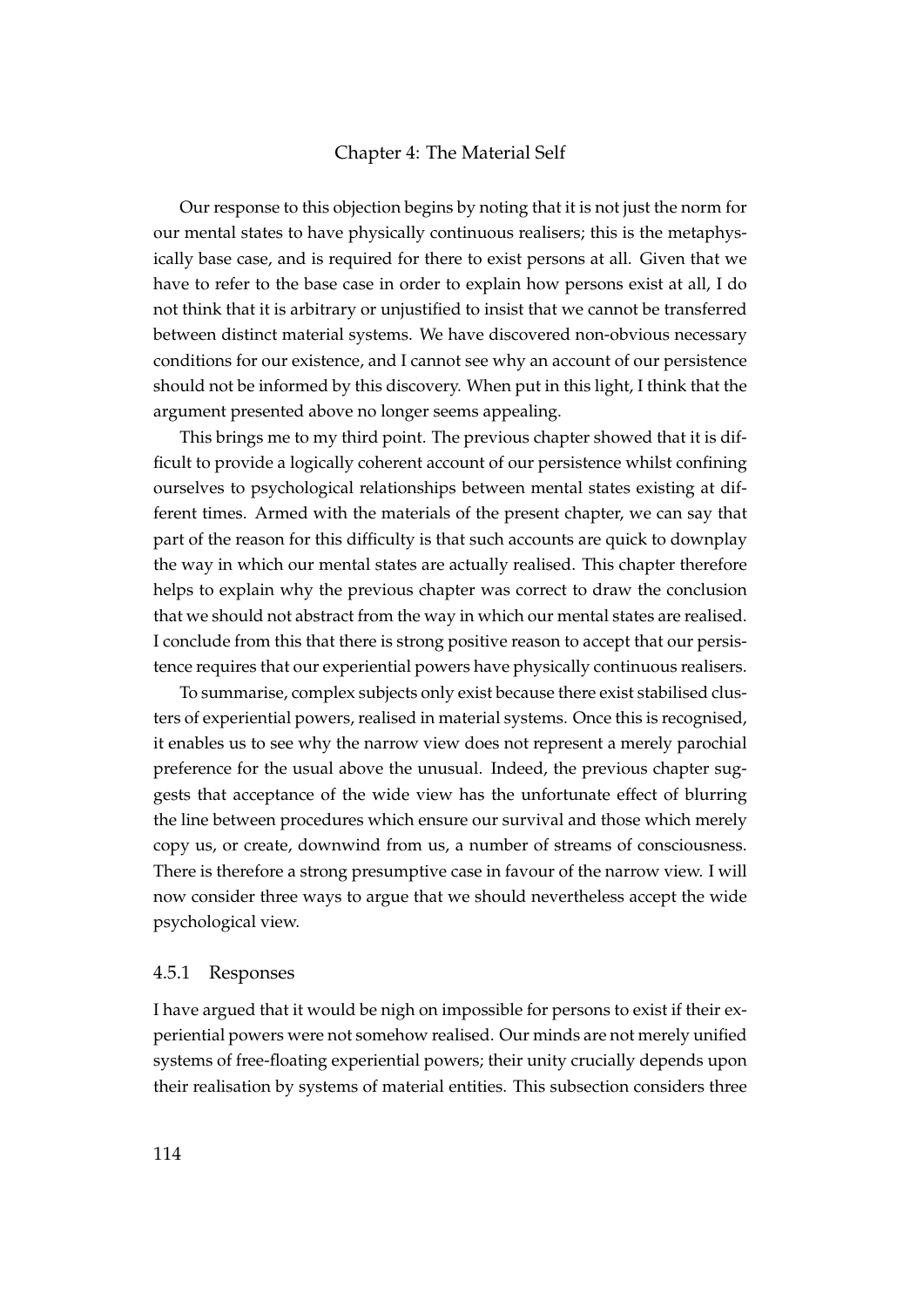#### Chapter 4: The Material Self

Our response to this objection begins by noting that it is not just the norm for our mental states to have physically continuous realisers; this is the metaphysically base case, and is required for there to exist persons at all. Given that we have to refer to the base case in order to explain how persons exist at all, I do not think that it is arbitrary or unjustified to insist that we cannot be transferred between distinct material systems. We have discovered non-obvious necessary conditions for our existence, and I cannot see why an account of our persistence should not be informed by this discovery. When put in this light, I think that the argument presented above no longer seems appealing.

This brings me to my third point. The previous chapter showed that it is difficult to provide a logically coherent account of our persistence whilst confining ourselves to psychological relationships between mental states existing at different times. Armed with the materials of the present chapter, we can say that part of the reason for this difficulty is that such accounts are quick to downplay the way in which our mental states are actually realised. This chapter therefore helps to explain why the previous chapter was correct to draw the conclusion that we should not abstract from the way in which our mental states are realised. I conclude from this that there is strong positive reason to accept that our persistence requires that our experiential powers have physically continuous realisers.

To summarise, complex subjects only exist because there exist stabilised clusters of experiential powers, realised in material systems. Once this is recognised, it enables us to see why the narrow view does not represent a merely parochial preference for the usual above the unusual. Indeed, the previous chapter suggests that acceptance of the wide view has the unfortunate effect of blurring the line between procedures which ensure our survival and those which merely copy us, or create, downwind from us, a number of streams of consciousness. There is therefore a strong presumptive case in favour of the narrow view. I will now consider three ways to argue that we should nevertheless accept the wide psychological view.

#### 4.5.1 Responses

I have argued that it would be nigh on impossible for persons to exist if their experiential powers were not somehow realised. Our minds are not merely unified systems of free-floating experiential powers; their unity crucially depends upon their realisation by systems of material entities. This subsection considers three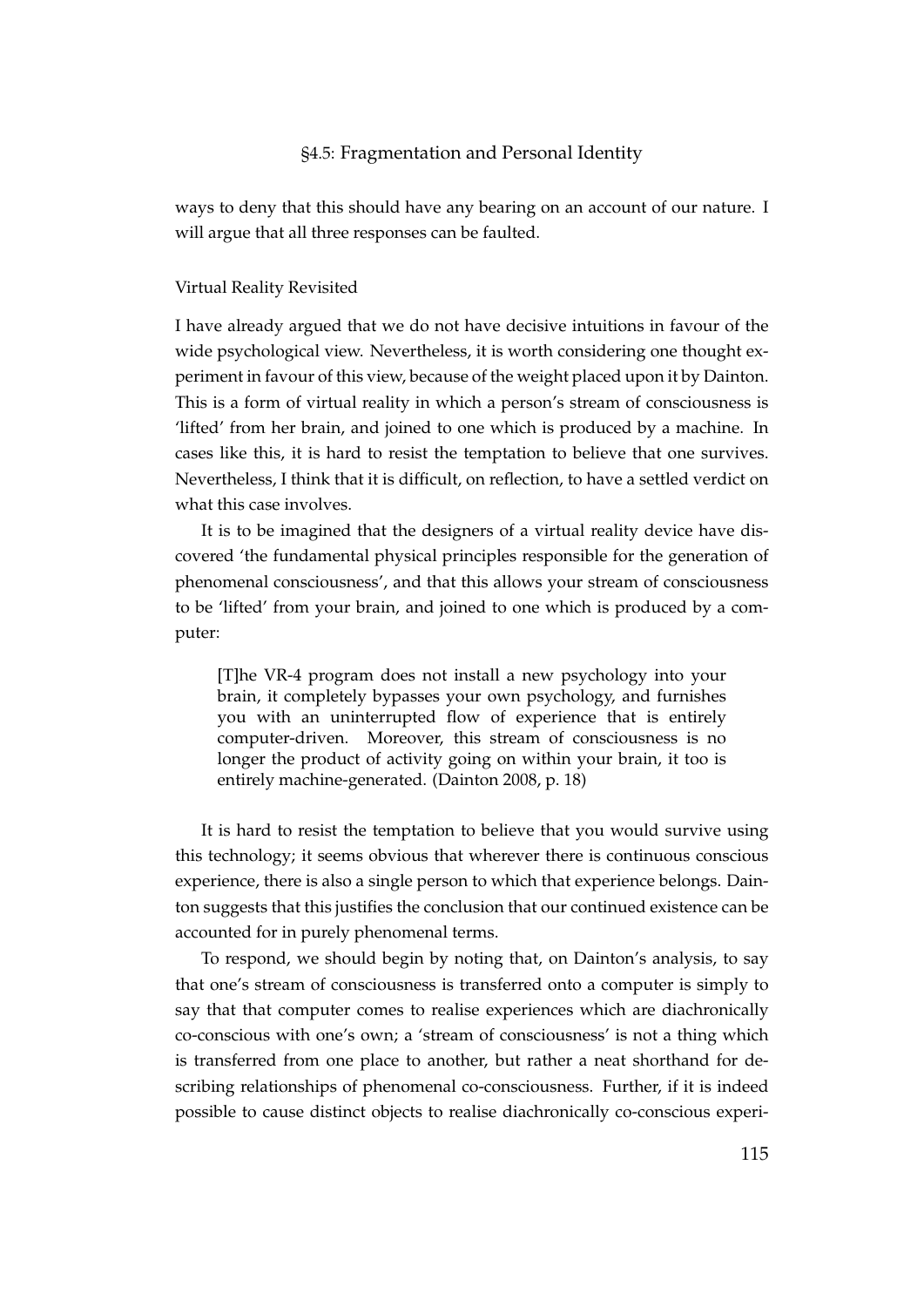#### §4.5: Fragmentation and Personal Identity

ways to deny that this should have any bearing on an account of our nature. I will argue that all three responses can be faulted.

#### Virtual Reality Revisited

I have already argued that we do not have decisive intuitions in favour of the wide psychological view. Nevertheless, it is worth considering one thought experiment in favour of this view, because of the weight placed upon it by Dainton. This is a form of virtual reality in which a person's stream of consciousness is 'lifted' from her brain, and joined to one which is produced by a machine. In cases like this, it is hard to resist the temptation to believe that one survives. Nevertheless, I think that it is difficult, on reflection, to have a settled verdict on what this case involves.

It is to be imagined that the designers of a virtual reality device have discovered 'the fundamental physical principles responsible for the generation of phenomenal consciousness', and that this allows your stream of consciousness to be 'lifted' from your brain, and joined to one which is produced by a computer:

[T]he VR-4 program does not install a new psychology into your brain, it completely bypasses your own psychology, and furnishes you with an uninterrupted flow of experience that is entirely computer-driven. Moreover, this stream of consciousness is no longer the product of activity going on within your brain, it too is entirely machine-generated. [\(Dainton 2008,](#page-210-0) p. 18)

It is hard to resist the temptation to believe that you would survive using this technology; it seems obvious that wherever there is continuous conscious experience, there is also a single person to which that experience belongs. Dainton suggests that this justifies the conclusion that our continued existence can be accounted for in purely phenomenal terms.

To respond, we should begin by noting that, on Dainton's analysis, to say that one's stream of consciousness is transferred onto a computer is simply to say that that computer comes to realise experiences which are diachronically co-conscious with one's own; a 'stream of consciousness' is not a thing which is transferred from one place to another, but rather a neat shorthand for describing relationships of phenomenal co-consciousness. Further, if it is indeed possible to cause distinct objects to realise diachronically co-conscious experi-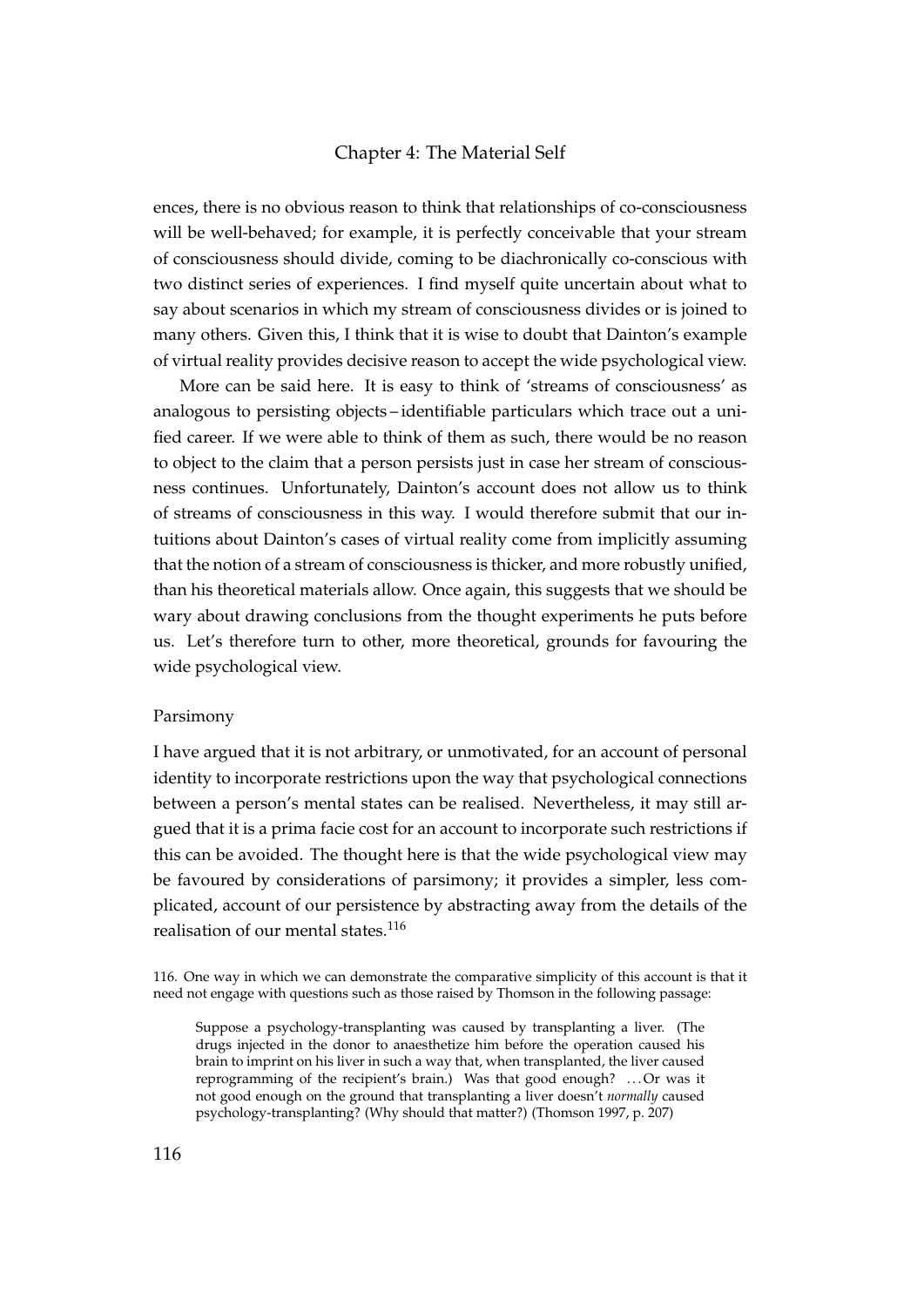#### Chapter 4: The Material Self

ences, there is no obvious reason to think that relationships of co-consciousness will be well-behaved; for example, it is perfectly conceivable that your stream of consciousness should divide, coming to be diachronically co-conscious with two distinct series of experiences. I find myself quite uncertain about what to say about scenarios in which my stream of consciousness divides or is joined to many others. Given this, I think that it is wise to doubt that Dainton's example of virtual reality provides decisive reason to accept the wide psychological view.

More can be said here. It is easy to think of 'streams of consciousness' as analogous to persisting objects – identifiable particulars which trace out a unified career. If we were able to think of them as such, there would be no reason to object to the claim that a person persists just in case her stream of consciousness continues. Unfortunately, Dainton's account does not allow us to think of streams of consciousness in this way. I would therefore submit that our intuitions about Dainton's cases of virtual reality come from implicitly assuming that the notion of a stream of consciousness is thicker, and more robustly unified, than his theoretical materials allow. Once again, this suggests that we should be wary about drawing conclusions from the thought experiments he puts before us. Let's therefore turn to other, more theoretical, grounds for favouring the wide psychological view.

#### Parsimony

I have argued that it is not arbitrary, or unmotivated, for an account of personal identity to incorporate restrictions upon the way that psychological connections between a person's mental states can be realised. Nevertheless, it may still argued that it is a prima facie cost for an account to incorporate such restrictions if this can be avoided. The thought here is that the wide psychological view may be favoured by considerations of parsimony; it provides a simpler, less complicated, account of our persistence by abstracting away from the details of the realisation of our mental states.<sup>[116](#page-115-0)</sup>

<span id="page-115-0"></span>116. One way in which we can demonstrate the comparative simplicity of this account is that it need not engage with questions such as those raised by Thomson in the following passage:

Suppose a psychology-transplanting was caused by transplanting a liver. (The drugs injected in the donor to anaesthetize him before the operation caused his brain to imprint on his liver in such a way that, when transplanted, the liver caused reprogramming of the recipient's brain.) Was that good enough? . . . Or was it not good enough on the ground that transplanting a liver doesn't *normally* caused psychology-transplanting? (Why should that matter?) [\(Thomson 1997,](#page-218-0) p. 207)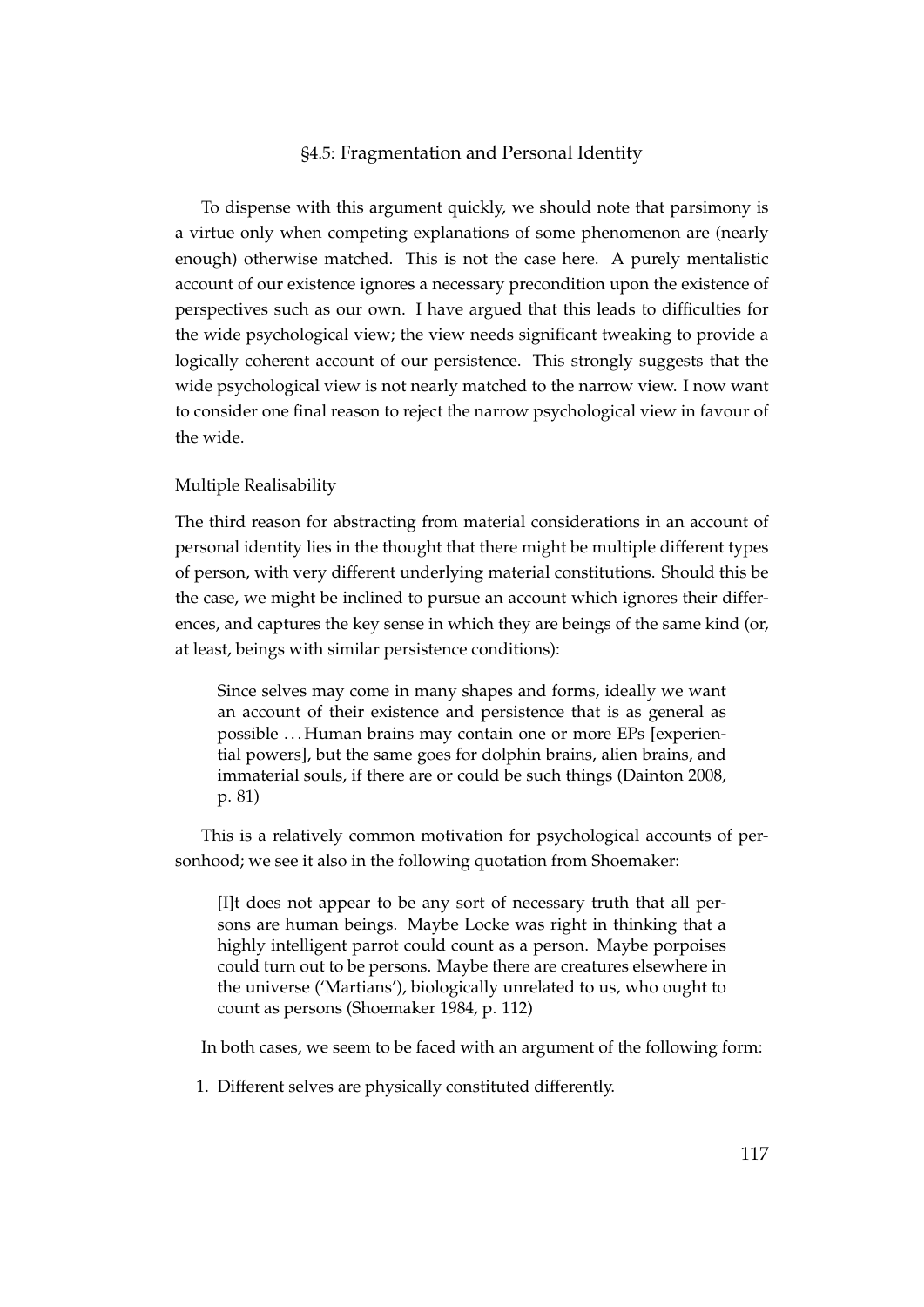#### §4.5: Fragmentation and Personal Identity

To dispense with this argument quickly, we should note that parsimony is a virtue only when competing explanations of some phenomenon are (nearly enough) otherwise matched. This is not the case here. A purely mentalistic account of our existence ignores a necessary precondition upon the existence of perspectives such as our own. I have argued that this leads to difficulties for the wide psychological view; the view needs significant tweaking to provide a logically coherent account of our persistence. This strongly suggests that the wide psychological view is not nearly matched to the narrow view. I now want to consider one final reason to reject the narrow psychological view in favour of the wide.

#### Multiple Realisability

The third reason for abstracting from material considerations in an account of personal identity lies in the thought that there might be multiple different types of person, with very different underlying material constitutions. Should this be the case, we might be inclined to pursue an account which ignores their differences, and captures the key sense in which they are beings of the same kind (or, at least, beings with similar persistence conditions):

Since selves may come in many shapes and forms, ideally we want an account of their existence and persistence that is as general as possible . . . Human brains may contain one or more EPs [experiential powers], but the same goes for dolphin brains, alien brains, and immaterial souls, if there are or could be such things [\(Dainton 2008,](#page-210-0) p. 81)

This is a relatively common motivation for psychological accounts of personhood; we see it also in the following quotation from Shoemaker:

[I]t does not appear to be any sort of necessary truth that all persons are human beings. Maybe Locke was right in thinking that a highly intelligent parrot could count as a person. Maybe porpoises could turn out to be persons. Maybe there are creatures elsewhere in the universe ('Martians'), biologically unrelated to us, who ought to count as persons [\(Shoemaker 1984,](#page-217-1) p. 112)

In both cases, we seem to be faced with an argument of the following form:

1. Different selves are physically constituted differently.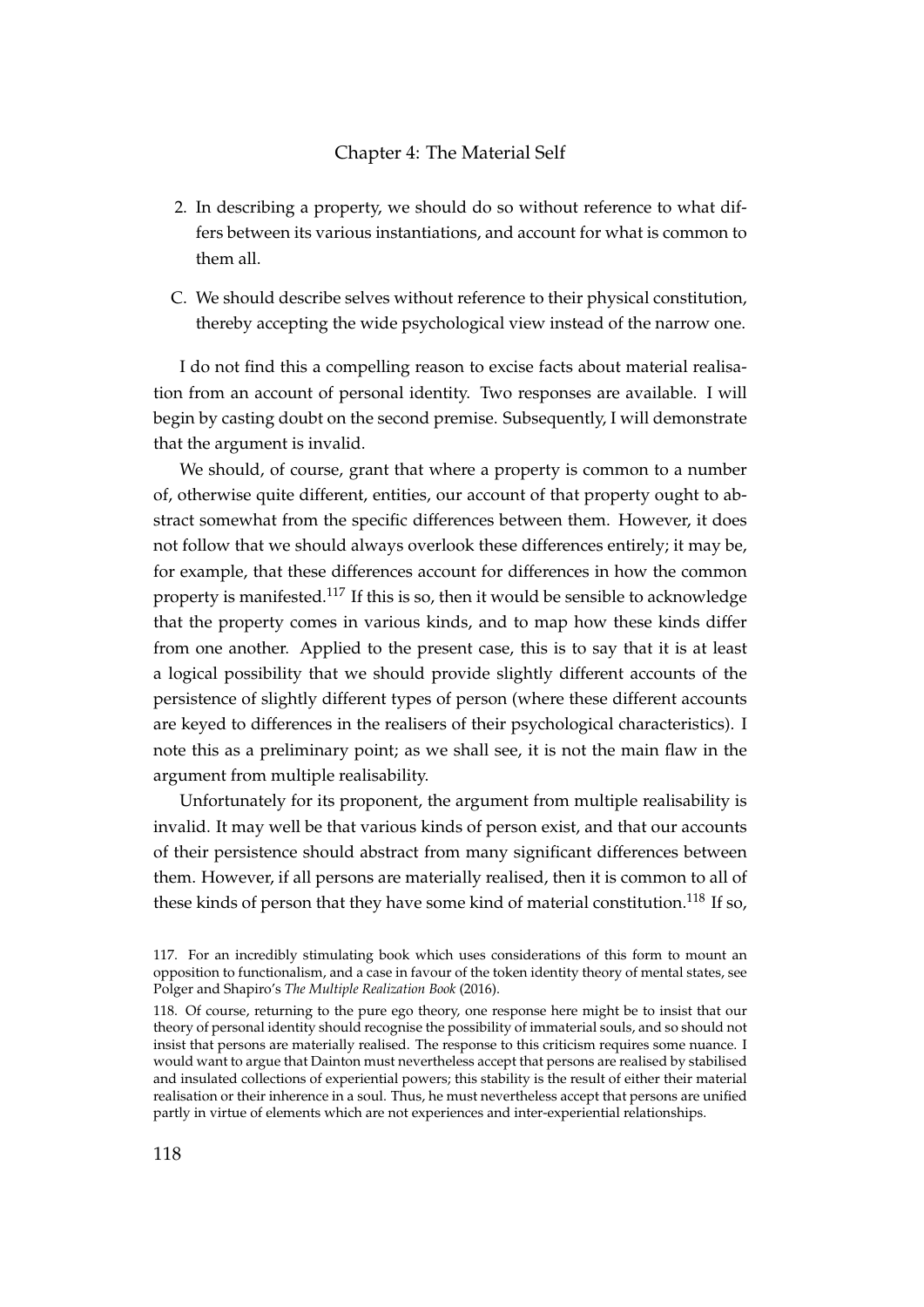#### Chapter 4: The Material Self

- 2. In describing a property, we should do so without reference to what differs between its various instantiations, and account for what is common to them all.
- C. We should describe selves without reference to their physical constitution, thereby accepting the wide psychological view instead of the narrow one.

I do not find this a compelling reason to excise facts about material realisation from an account of personal identity. Two responses are available. I will begin by casting doubt on the second premise. Subsequently, I will demonstrate that the argument is invalid.

We should, of course, grant that where a property is common to a number of, otherwise quite different, entities, our account of that property ought to abstract somewhat from the specific differences between them. However, it does not follow that we should always overlook these differences entirely; it may be, for example, that these differences account for differences in how the common property is manifested.[117](#page-117-0) If this is so, then it would be sensible to acknowledge that the property comes in various kinds, and to map how these kinds differ from one another. Applied to the present case, this is to say that it is at least a logical possibility that we should provide slightly different accounts of the persistence of slightly different types of person (where these different accounts are keyed to differences in the realisers of their psychological characteristics). I note this as a preliminary point; as we shall see, it is not the main flaw in the argument from multiple realisability.

Unfortunately for its proponent, the argument from multiple realisability is invalid. It may well be that various kinds of person exist, and that our accounts of their persistence should abstract from many significant differences between them. However, if all persons are materially realised, then it is common to all of these kinds of person that they have some kind of material constitution.<sup>[118](#page-117-1)</sup> If so,

<span id="page-117-0"></span><sup>117.</sup> For an incredibly stimulating book which uses considerations of this form to mount an opposition to functionalism, and a case in favour of the token identity theory of mental states, see Polger and Shapiro's *The Multiple Realization Book* (2016).

<span id="page-117-1"></span><sup>118.</sup> Of course, returning to the pure ego theory, one response here might be to insist that our theory of personal identity should recognise the possibility of immaterial souls, and so should not insist that persons are materially realised. The response to this criticism requires some nuance. I would want to argue that Dainton must nevertheless accept that persons are realised by stabilised and insulated collections of experiential powers; this stability is the result of either their material realisation or their inherence in a soul. Thus, he must nevertheless accept that persons are unified partly in virtue of elements which are not experiences and inter-experiential relationships.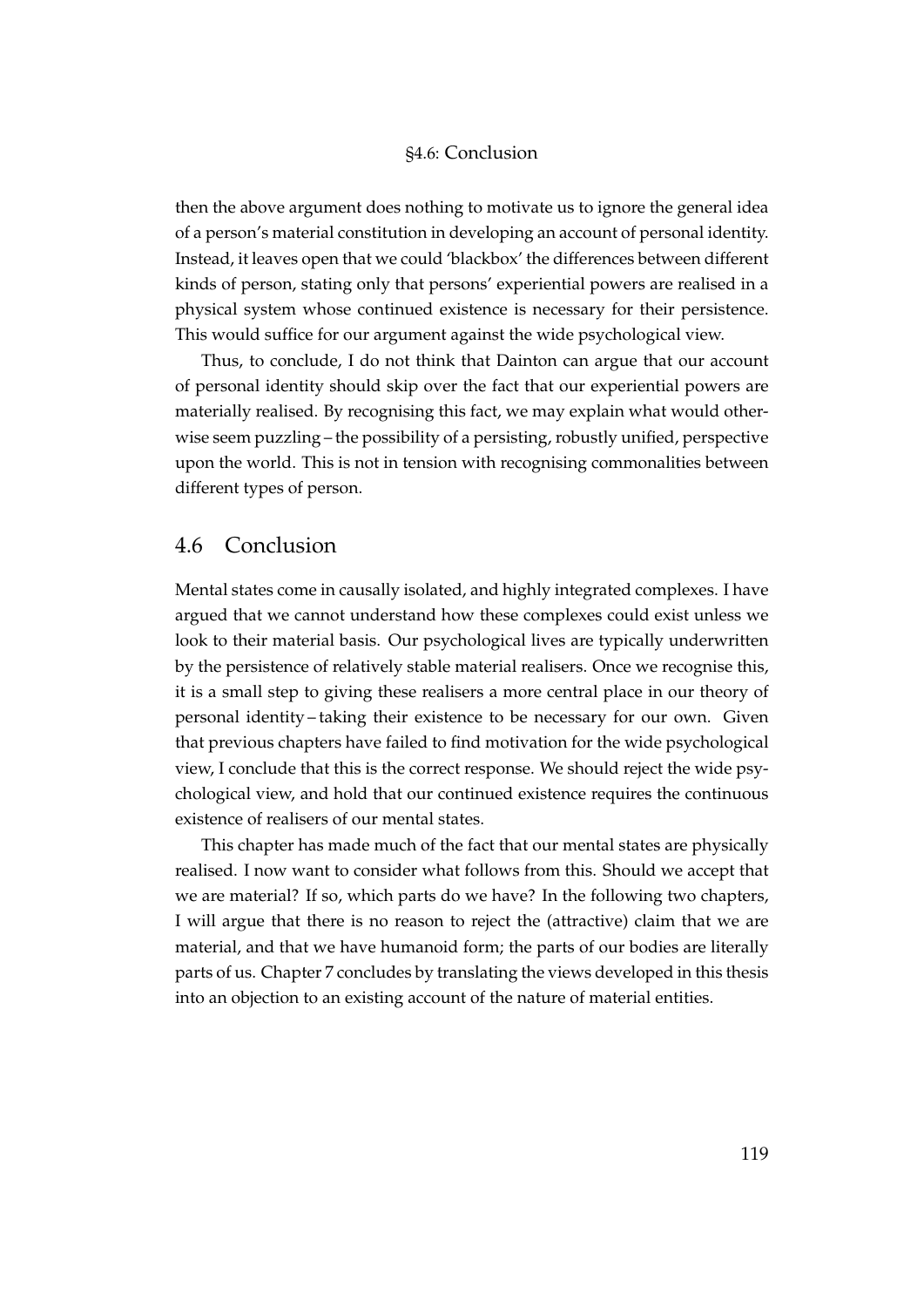### §4.6: Conclusion

then the above argument does nothing to motivate us to ignore the general idea of a person's material constitution in developing an account of personal identity. Instead, it leaves open that we could 'blackbox' the differences between different kinds of person, stating only that persons' experiential powers are realised in a physical system whose continued existence is necessary for their persistence. This would suffice for our argument against the wide psychological view.

Thus, to conclude, I do not think that Dainton can argue that our account of personal identity should skip over the fact that our experiential powers are materially realised. By recognising this fact, we may explain what would otherwise seem puzzling – the possibility of a persisting, robustly unified, perspective upon the world. This is not in tension with recognising commonalities between different types of person.

# 4.6 Conclusion

Mental states come in causally isolated, and highly integrated complexes. I have argued that we cannot understand how these complexes could exist unless we look to their material basis. Our psychological lives are typically underwritten by the persistence of relatively stable material realisers. Once we recognise this, it is a small step to giving these realisers a more central place in our theory of personal identity – taking their existence to be necessary for our own. Given that previous chapters have failed to find motivation for the wide psychological view, I conclude that this is the correct response. We should reject the wide psychological view, and hold that our continued existence requires the continuous existence of realisers of our mental states.

This chapter has made much of the fact that our mental states are physically realised. I now want to consider what follows from this. Should we accept that we are material? If so, which parts do we have? In the following two chapters, I will argue that there is no reason to reject the (attractive) claim that we are material, and that we have humanoid form; the parts of our bodies are literally parts of us. Chapter 7 concludes by translating the views developed in this thesis into an objection to an existing account of the nature of material entities.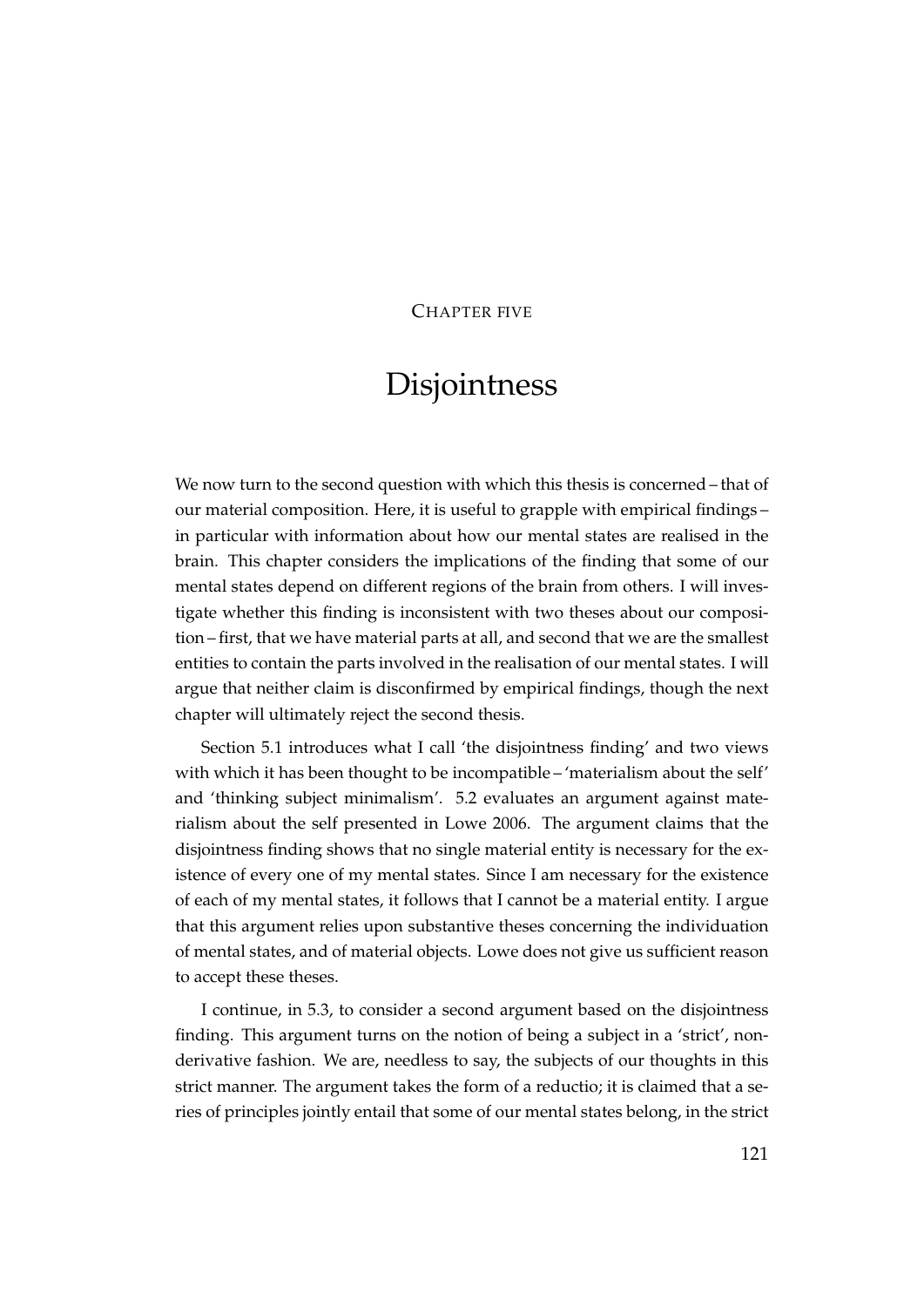#### CHAPTER FIVE

# Disjointness

We now turn to the second question with which this thesis is concerned – that of our material composition. Here, it is useful to grapple with empirical findings – in particular with information about how our mental states are realised in the brain. This chapter considers the implications of the finding that some of our mental states depend on different regions of the brain from others. I will investigate whether this finding is inconsistent with two theses about our composition – first, that we have material parts at all, and second that we are the smallest entities to contain the parts involved in the realisation of our mental states. I will argue that neither claim is disconfirmed by empirical findings, though the next chapter will ultimately reject the second thesis.

Section [5.1](#page-121-0) introduces what I call 'the disjointness finding' and two views with which it has been thought to be incompatible – 'materialism about the self' and 'thinking subject minimalism'. [5.2](#page-125-0) evaluates an argument against materialism about the self presented in [Lowe 2006.](#page-213-0) The argument claims that the disjointness finding shows that no single material entity is necessary for the existence of every one of my mental states. Since I am necessary for the existence of each of my mental states, it follows that I cannot be a material entity. I argue that this argument relies upon substantive theses concerning the individuation of mental states, and of material objects. Lowe does not give us sufficient reason to accept these theses.

I continue, in [5.3,](#page-132-0) to consider a second argument based on the disjointness finding. This argument turns on the notion of being a subject in a 'strict', nonderivative fashion. We are, needless to say, the subjects of our thoughts in this strict manner. The argument takes the form of a reductio; it is claimed that a series of principles jointly entail that some of our mental states belong, in the strict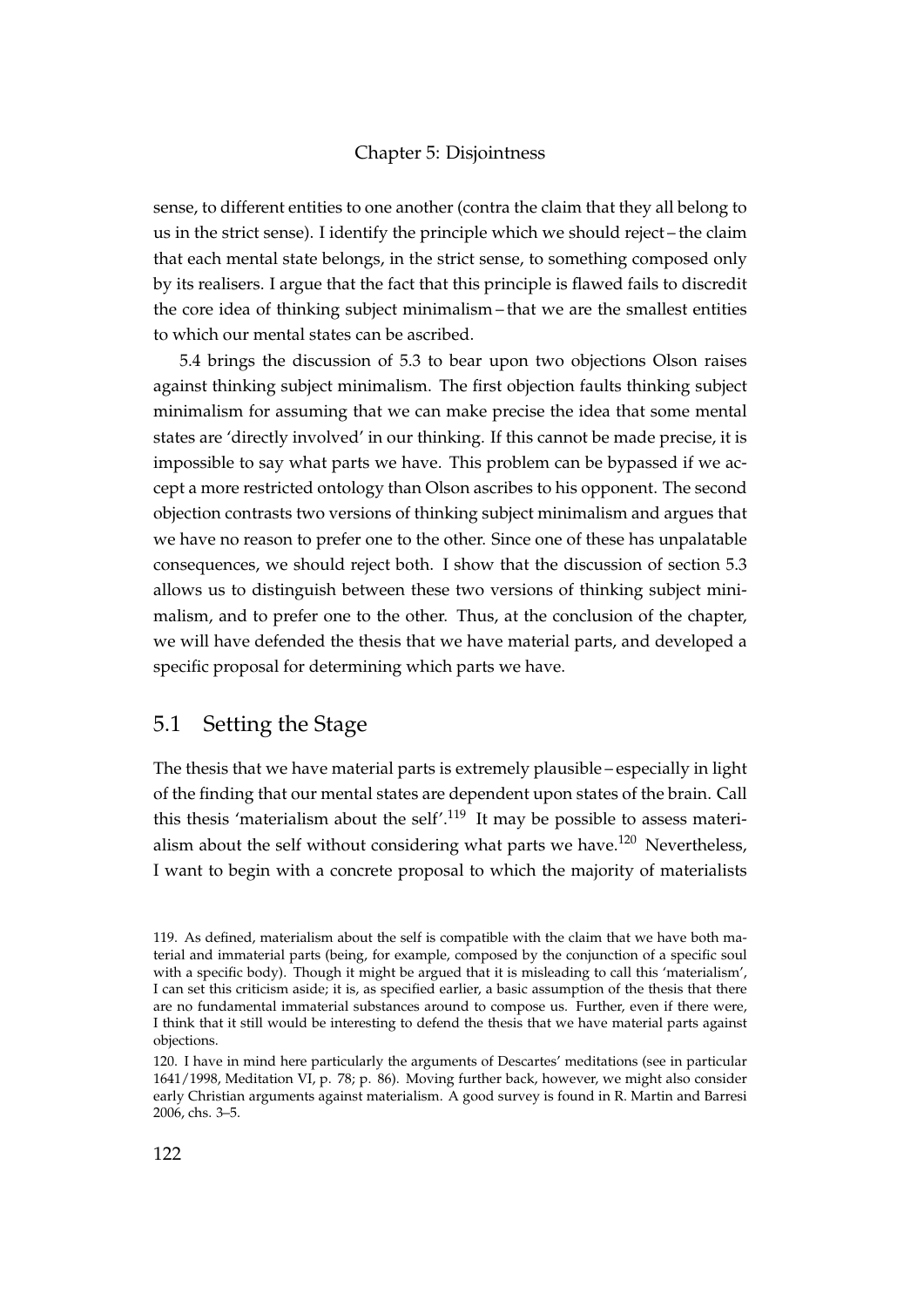sense, to different entities to one another (contra the claim that they all belong to us in the strict sense). I identify the principle which we should reject – the claim that each mental state belongs, in the strict sense, to something composed only by its realisers. I argue that the fact that this principle is flawed fails to discredit the core idea of thinking subject minimalism – that we are the smallest entities to which our mental states can be ascribed.

[5.4](#page-136-0) brings the discussion of [5.3](#page-132-0) to bear upon two objections Olson raises against thinking subject minimalism. The first objection faults thinking subject minimalism for assuming that we can make precise the idea that some mental states are 'directly involved' in our thinking. If this cannot be made precise, it is impossible to say what parts we have. This problem can be bypassed if we accept a more restricted ontology than Olson ascribes to his opponent. The second objection contrasts two versions of thinking subject minimalism and argues that we have no reason to prefer one to the other. Since one of these has unpalatable consequences, we should reject both. I show that the discussion of section [5.3](#page-132-0) allows us to distinguish between these two versions of thinking subject minimalism, and to prefer one to the other. Thus, at the conclusion of the chapter, we will have defended the thesis that we have material parts, and developed a specific proposal for determining which parts we have.

# <span id="page-121-0"></span>5.1 Setting the Stage

The thesis that we have material parts is extremely plausible – especially in light of the finding that our mental states are dependent upon states of the brain. Call this thesis 'materialism about the self'.<sup>[119](#page-121-1)</sup> It may be possible to assess materi-alism about the self without considering what parts we have.<sup>[120](#page-121-2)</sup> Nevertheless, I want to begin with a concrete proposal to which the majority of materialists

<span id="page-121-1"></span><sup>119.</sup> As defined, materialism about the self is compatible with the claim that we have both material and immaterial parts (being, for example, composed by the conjunction of a specific soul with a specific body). Though it might be argued that it is misleading to call this 'materialism', I can set this criticism aside; it is, as specified earlier, a basic assumption of the thesis that there are no fundamental immaterial substances around to compose us. Further, even if there were, I think that it still would be interesting to defend the thesis that we have material parts against objections.

<span id="page-121-2"></span><sup>120.</sup> I have in mind here particularly the arguments of Descartes' meditations (see in particular [1641/1998,](#page-210-1) Meditation VI, p. 78; p. 86). Moving further back, however, we might also consider early Christian arguments against materialism. A good survey is found in [R. Martin and Barresi](#page-214-0) [2006,](#page-214-0) chs. 3–5.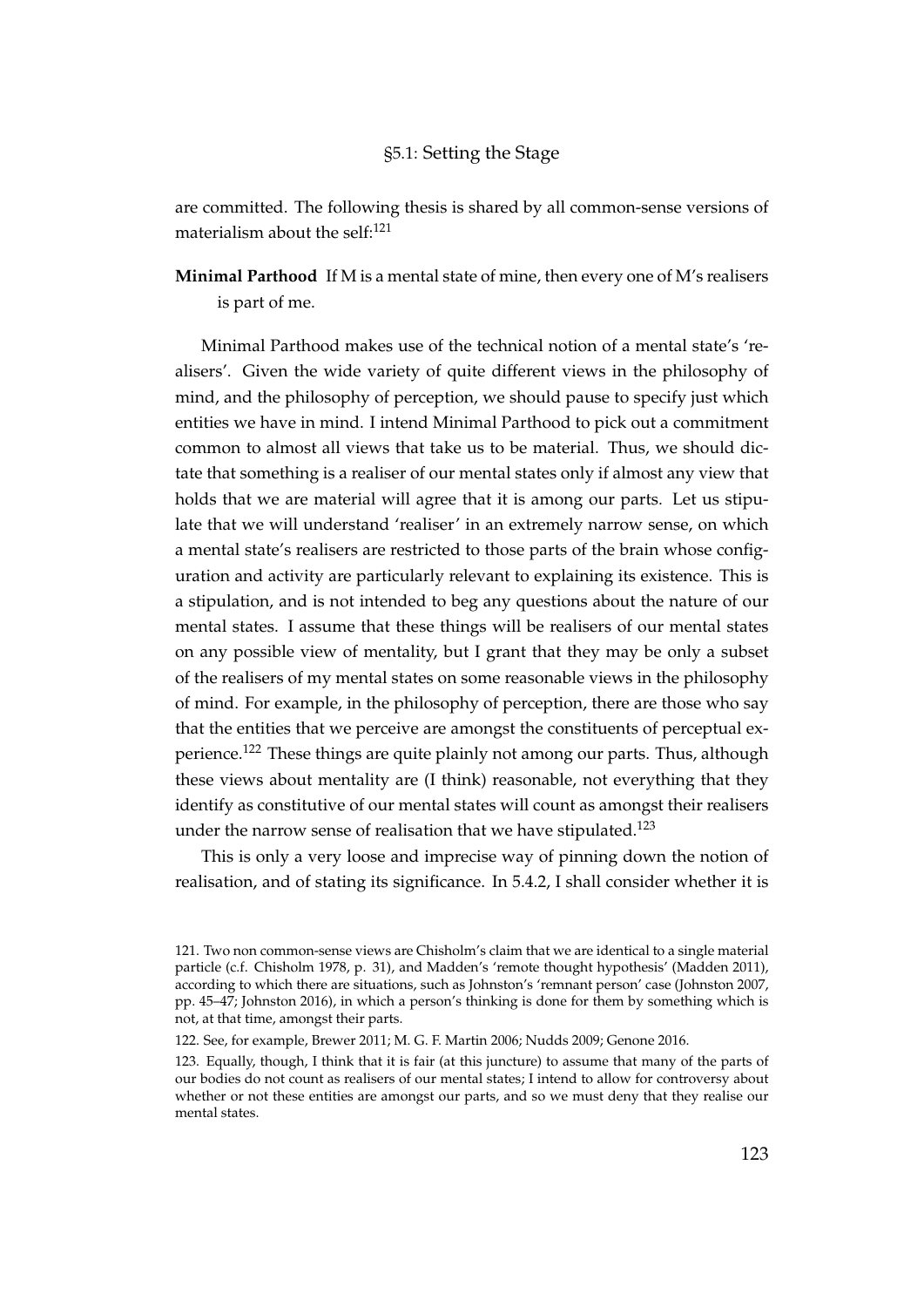#### §5.1: Setting the Stage

are committed. The following thesis is shared by all common-sense versions of materialism about the self: $^{121}$  $^{121}$  $^{121}$ 

<span id="page-122-1"></span>**Minimal Parthood** If M is a mental state of mine, then every one of M's realisers is part of me.

[Minimal Parthood](#page-122-1) makes use of the technical notion of a mental state's 'realisers'. Given the wide variety of quite different views in the philosophy of mind, and the philosophy of perception, we should pause to specify just which entities we have in mind. I intend [Minimal Parthood](#page-122-1) to pick out a commitment common to almost all views that take us to be material. Thus, we should dictate that something is a realiser of our mental states only if almost any view that holds that we are material will agree that it is among our parts. Let us stipulate that we will understand 'realiser' in an extremely narrow sense, on which a mental state's realisers are restricted to those parts of the brain whose configuration and activity are particularly relevant to explaining its existence. This is a stipulation, and is not intended to beg any questions about the nature of our mental states. I assume that these things will be realisers of our mental states on any possible view of mentality, but I grant that they may be only a subset of the realisers of my mental states on some reasonable views in the philosophy of mind. For example, in the philosophy of perception, there are those who say that the entities that we perceive are amongst the constituents of perceptual ex-perience.<sup>[122](#page-122-2)</sup> These things are quite plainly not among our parts. Thus, although these views about mentality are (I think) reasonable, not everything that they identify as constitutive of our mental states will count as amongst their realisers under the narrow sense of realisation that we have stipulated.<sup>[123](#page-122-3)</sup>

This is only a very loose and imprecise way of pinning down the notion of realisation, and of stating its significance. In [5.4.2,](#page-140-0) I shall consider whether it is

<span id="page-122-0"></span><sup>121.</sup> Two non common-sense views are Chisholm's claim that we are identical to a single material particle (c.f. [Chisholm 1978,](#page-210-2) p. 31), and Madden's 'remote thought hypothesis' [\(Madden 2011\)](#page-213-1), according to which there are situations, such as Johnston's 'remnant person' case [\(Johnston 2007,](#page-212-0) pp. 45–47; [Johnston 2016\)](#page-212-1), in which a person's thinking is done for them by something which is not, at that time, amongst their parts.

<span id="page-122-2"></span><sup>122.</sup> See, for example, [Brewer 2011;](#page-209-0) [M. G. F. Martin 2006;](#page-214-1) [Nudds 2009;](#page-215-0) [Genone 2016.](#page-211-0)

<span id="page-122-3"></span><sup>123.</sup> Equally, though, I think that it is fair (at this juncture) to assume that many of the parts of our bodies do not count as realisers of our mental states; I intend to allow for controversy about whether or not these entities are amongst our parts, and so we must deny that they realise our mental states.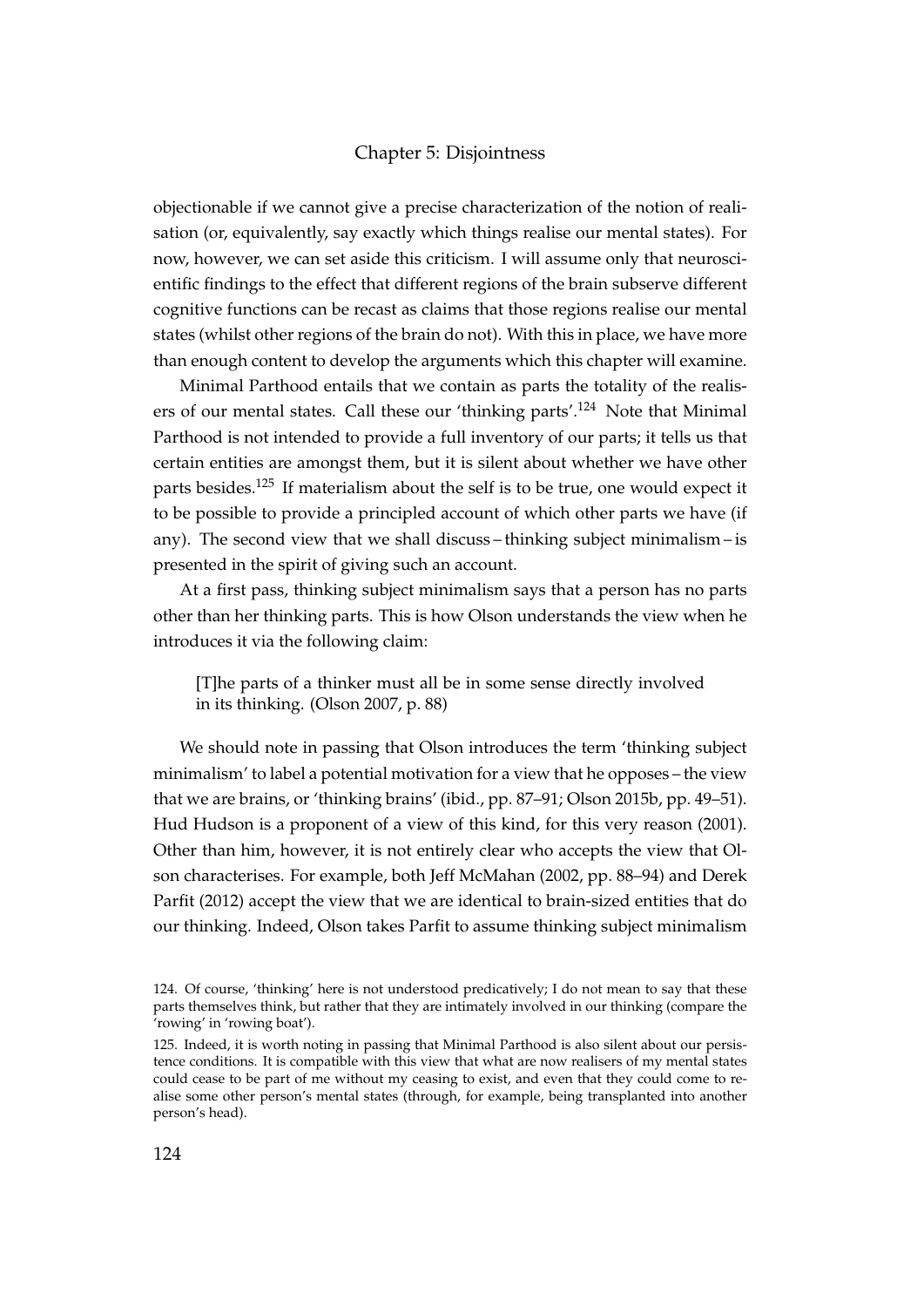objectionable if we cannot give a precise characterization of the notion of realisation (or, equivalently, say exactly which things realise our mental states). For now, however, we can set aside this criticism. I will assume only that neuroscientific findings to the effect that different regions of the brain subserve different cognitive functions can be recast as claims that those regions realise our mental states (whilst other regions of the brain do not). With this in place, we have more than enough content to develop the arguments which this chapter will examine.

[Minimal Parthood](#page-122-1) entails that we contain as parts the totality of the realis-ers of our mental states. Call these our 'thinking parts'.<sup>[124](#page-123-0)</sup> Note that [Minimal](#page-122-1) [Parthood](#page-122-1) is not intended to provide a full inventory of our parts; it tells us that certain entities are amongst them, but it is silent about whether we have other parts besides.[125](#page-123-1) If materialism about the self is to be true, one would expect it to be possible to provide a principled account of which other parts we have (if any). The second view that we shall discuss – thinking subject minimalism – is presented in the spirit of giving such an account.

At a first pass, thinking subject minimalism says that a person has no parts other than her thinking parts. This is how Olson understands the view when he introduces it via the following claim:

[T]he parts of a thinker must all be in some sense directly involved in its thinking. [\(Olson 2007,](#page-215-1) p. 88)

We should note in passing that Olson introduces the term 'thinking subject minimalism' to label a potential motivation for a view that he opposes – the view that we are brains, or 'thinking brains' [\(ibid.,](#page-215-1) pp. 87–91; [Olson 2015b,](#page-215-2) pp. 49–51). Hud Hudson is a proponent of a view of this kind, for this very reason (2001). Other than him, however, it is not entirely clear who accepts the view that Olson characterises. For example, both Jeff McMahan (2002, pp. 88–94) and Derek Parfit (2012) accept the view that we are identical to brain-sized entities that do our thinking. Indeed, Olson takes Parfit to assume thinking subject minimalism

<span id="page-123-0"></span><sup>124.</sup> Of course, 'thinking' here is not understood predicatively; I do not mean to say that these parts themselves think, but rather that they are intimately involved in our thinking (compare the 'rowing' in 'rowing boat').

<span id="page-123-1"></span><sup>125.</sup> Indeed, it is worth noting in passing that [Minimal Parthood](#page-122-1) is also silent about our persistence conditions. It is compatible with this view that what are now realisers of my mental states could cease to be part of me without my ceasing to exist, and even that they could come to realise some other person's mental states (through, for example, being transplanted into another person's head).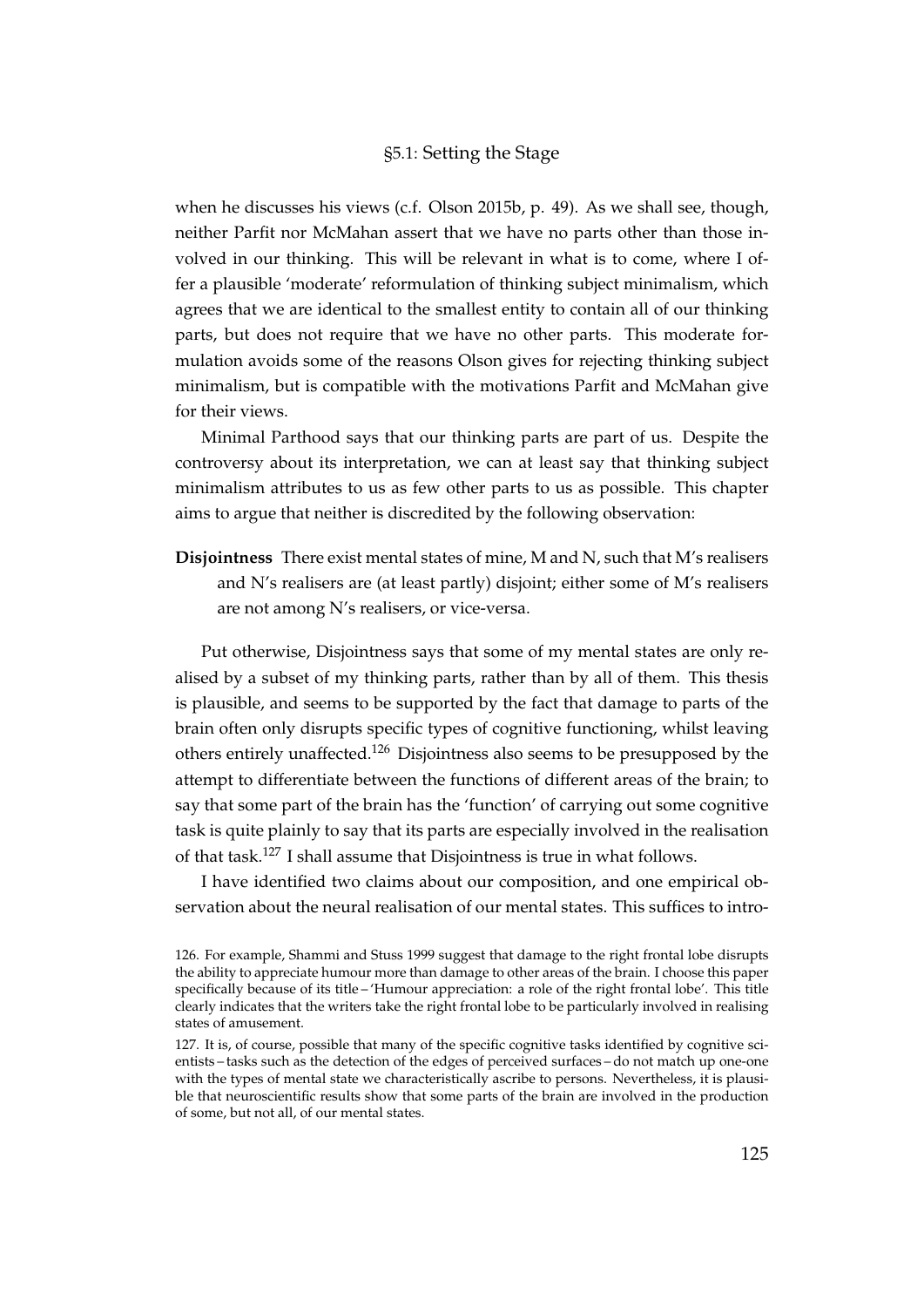### §5.1: Setting the Stage

when he discusses his views (c.f. Olson 2015b, p. 49). As we shall see, though, neither Parfit nor McMahan assert that we have no parts other than those involved in our thinking. This will be relevant in what is to come, where I offer a plausible 'moderate' reformulation of thinking subject minimalism, which agrees that we are identical to the smallest entity to contain all of our thinking parts, but does not require that we have no other parts. This moderate formulation avoids some of the reasons Olson gives for rejecting thinking subject minimalism, but is compatible with the motivations Parfit and McMahan give for their views.

[Minimal Parthood](#page-122-1) says that our thinking parts are part of us. Despite the controversy about its interpretation, we can at least say that thinking subject minimalism attributes to us as few other parts to us as possible. This chapter aims to argue that neither is discredited by the following observation:

<span id="page-124-0"></span>**Disjointness** There exist mental states of mine, M and N, such that M's realisers and N's realisers are (at least partly) disjoint; either some of M's realisers are not among N's realisers, or vice-versa.

Put otherwise, [Disjointness](#page-124-0) says that some of my mental states are only realised by a subset of my thinking parts, rather than by all of them. This thesis is plausible, and seems to be supported by the fact that damage to parts of the brain often only disrupts specific types of cognitive functioning, whilst leaving others entirely unaffected.<sup>[126](#page-124-1)</sup> Disjointness also seems to be presupposed by the attempt to differentiate between the functions of different areas of the brain; to say that some part of the brain has the 'function' of carrying out some cognitive task is quite plainly to say that its parts are especially involved in the realisation of that task.[127](#page-124-2) I shall assume that [Disjointness](#page-124-0) is true in what follows.

I have identified two claims about our composition, and one empirical observation about the neural realisation of our mental states. This suffices to intro-

<span id="page-124-1"></span><sup>126.</sup> For example, [Shammi and Stuss 1999](#page-217-2) suggest that damage to the right frontal lobe disrupts the ability to appreciate humour more than damage to other areas of the brain. I choose this paper specifically because of its title – 'Humour appreciation: a role of the right frontal lobe'. This title clearly indicates that the writers take the right frontal lobe to be particularly involved in realising states of amusement.

<span id="page-124-2"></span><sup>127.</sup> It is, of course, possible that many of the specific cognitive tasks identified by cognitive scientists – tasks such as the detection of the edges of perceived surfaces – do not match up one-one with the types of mental state we characteristically ascribe to persons. Nevertheless, it is plausible that neuroscientific results show that some parts of the brain are involved in the production of some, but not all, of our mental states.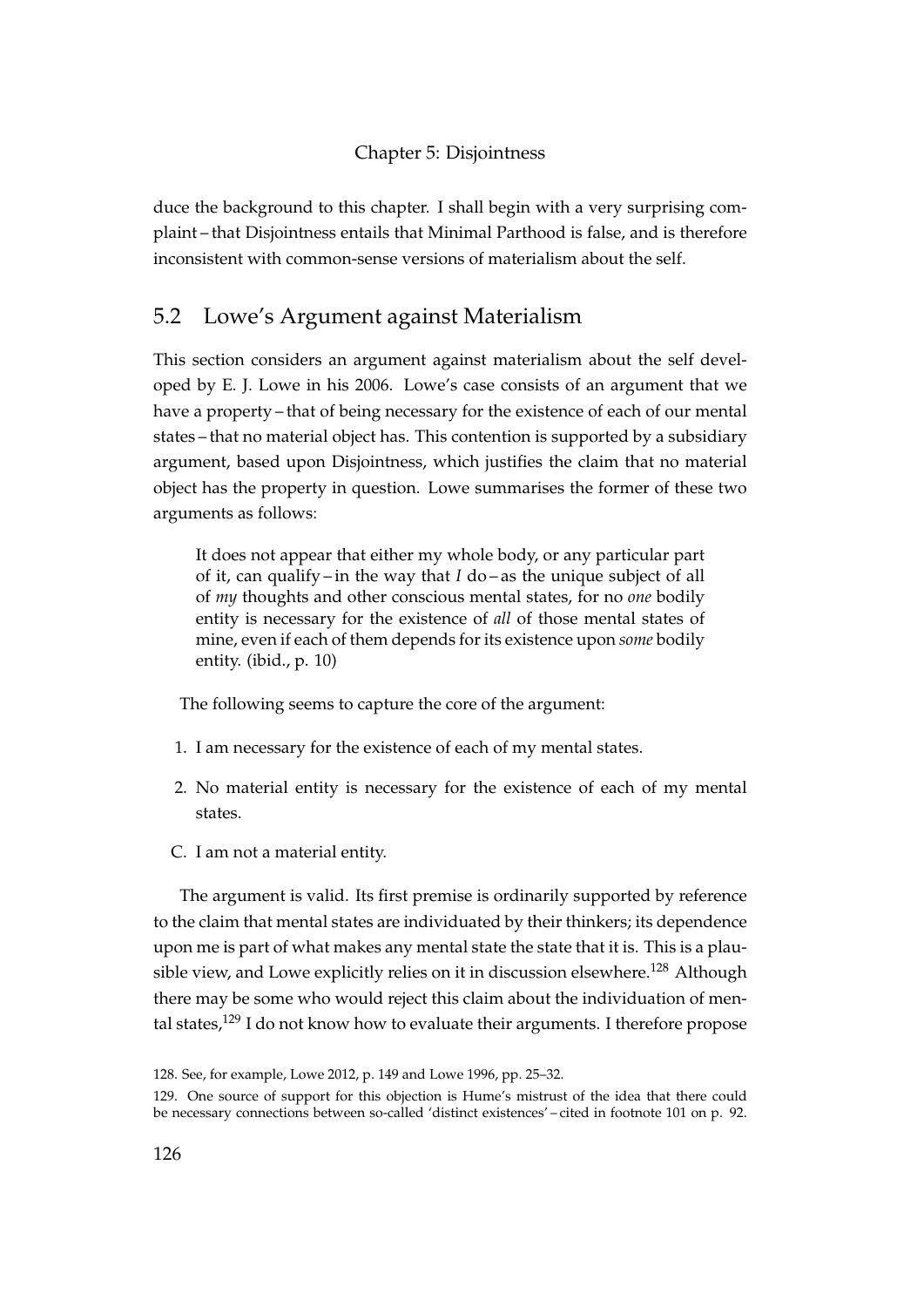duce the background to this chapter. I shall begin with a very surprising complaint – that [Disjointness](#page-124-0) entails that [Minimal Parthood](#page-122-1) is false, and is therefore inconsistent with common-sense versions of materialism about the self.

# <span id="page-125-0"></span>5.2 Lowe's Argument against Materialism

This section considers an argument against materialism about the self developed by E. J. Lowe in his [2006.](#page-213-0) Lowe's case consists of an argument that we have a property – that of being necessary for the existence of each of our mental states – that no material object has. This contention is supported by a subsidiary argument, based upon [Disjointness,](#page-124-0) which justifies the claim that no material object has the property in question. Lowe summarises the former of these two arguments as follows:

It does not appear that either my whole body, or any particular part of it, can qualify – in the way that *I* do – as the unique subject of all of *my* thoughts and other conscious mental states, for no *one* bodily entity is necessary for the existence of *all* of those mental states of mine, even if each of them depends for its existence upon *some* bodily entity. [\(ibid.,](#page-213-0) p. 10)

The following seems to capture the core of the argument:

- 1. I am necessary for the existence of each of my mental states.
- 2. No material entity is necessary for the existence of each of my mental states.
- C. I am not a material entity.

The argument is valid. Its first premise is ordinarily supported by reference to the claim that mental states are individuated by their thinkers; its dependence upon me is part of what makes any mental state the state that it is. This is a plau-sible view, and Lowe explicitly relies on it in discussion elsewhere.<sup>[128](#page-125-1)</sup> Although there may be some who would reject this claim about the individuation of mental states, $129$  I do not know how to evaluate their arguments. I therefore propose

<span id="page-125-1"></span><sup>128.</sup> See, for example, [Lowe 2012,](#page-213-2) p. 149 and [Lowe 1996,](#page-213-3) pp. 25–32.

<span id="page-125-2"></span><sup>129.</sup> One source of support for this objection is Hume's mistrust of the idea that there could be necessary connections between so-called 'distinct existences' – cited in footnote [101](#page-90-0) on p. [92.](#page-90-0)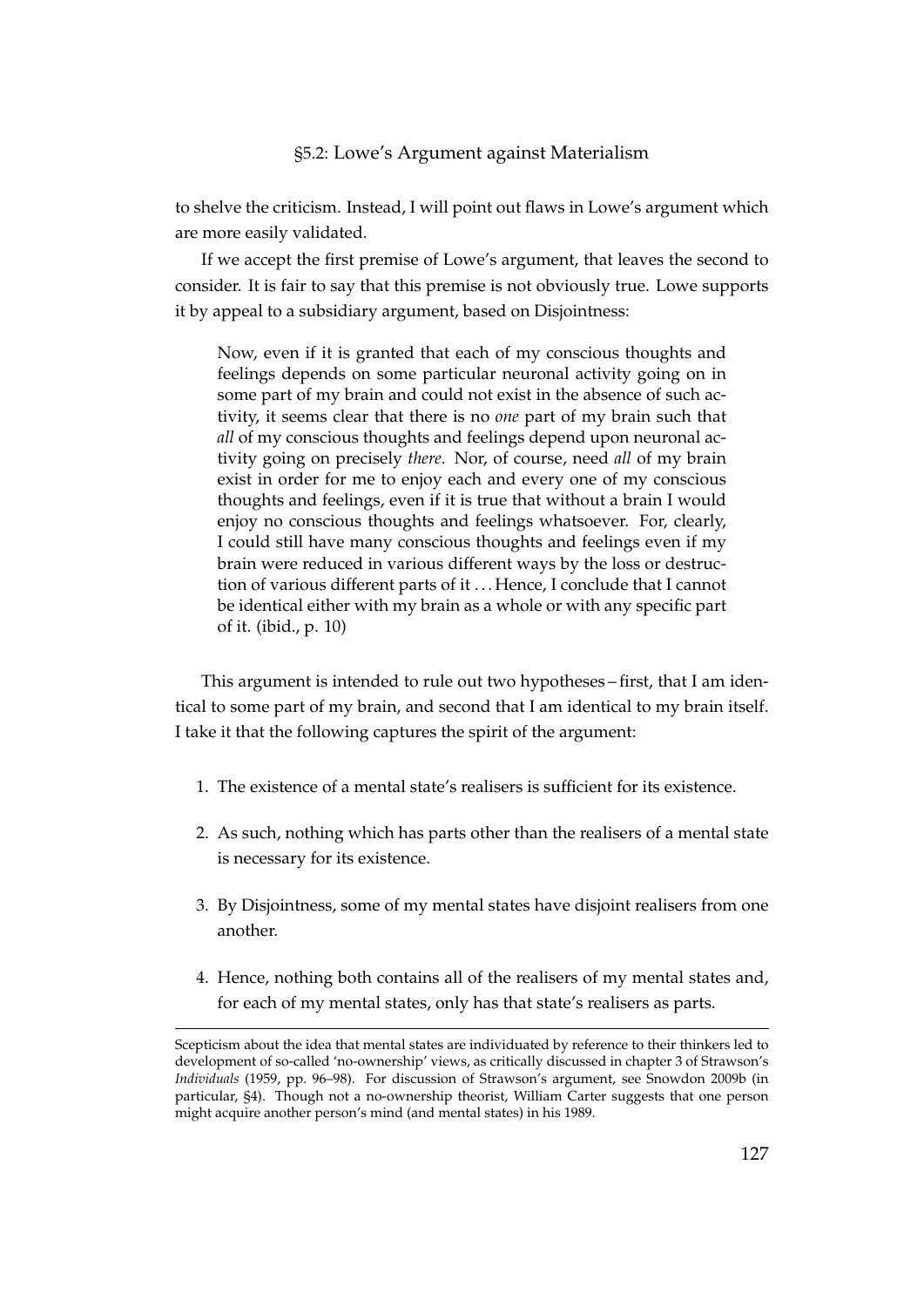#### §5.2: Lowe's Argument against Materialism

to shelve the criticism. Instead, I will point out flaws in Lowe's argument which are more easily validated.

If we accept the first premise of Lowe's argument, that leaves the second to consider. It is fair to say that this premise is not obviously true. Lowe supports it by appeal to a subsidiary argument, based on [Disjointness:](#page-124-0)

Now, even if it is granted that each of my conscious thoughts and feelings depends on some particular neuronal activity going on in some part of my brain and could not exist in the absence of such activity, it seems clear that there is no *one* part of my brain such that *all* of my conscious thoughts and feelings depend upon neuronal activity going on precisely *there*. Nor, of course, need *all* of my brain exist in order for me to enjoy each and every one of my conscious thoughts and feelings, even if it is true that without a brain I would enjoy no conscious thoughts and feelings whatsoever. For, clearly, I could still have many conscious thoughts and feelings even if my brain were reduced in various different ways by the loss or destruction of various different parts of it ... Hence, I conclude that I cannot be identical either with my brain as a whole or with any specific part of it. [\(ibid.,](#page-213-0) p. 10)

This argument is intended to rule out two hypotheses – first, that I am identical to some part of my brain, and second that I am identical to my brain itself. I take it that the following captures the spirit of the argument:

- 1. The existence of a mental state's realisers is sufficient for its existence.
- 2. As such, nothing which has parts other than the realisers of a mental state is necessary for its existence.
- 3. By [Disjointness,](#page-124-0) some of my mental states have disjoint realisers from one another.
- 4. Hence, nothing both contains all of the realisers of my mental states and, for each of my mental states, only has that state's realisers as parts.

Scepticism about the idea that mental states are individuated by reference to their thinkers led to development of so-called 'no-ownership' views, as critically discussed in chapter 3 of Strawson's *Individuals* (1959, pp. 96–98). For discussion of Strawson's argument, see [Snowdon 2009b](#page-218-1) (in particular, §4). Though not a no-ownership theorist, William Carter suggests that one person might acquire another person's mind (and mental states) in his [1989.](#page-209-1)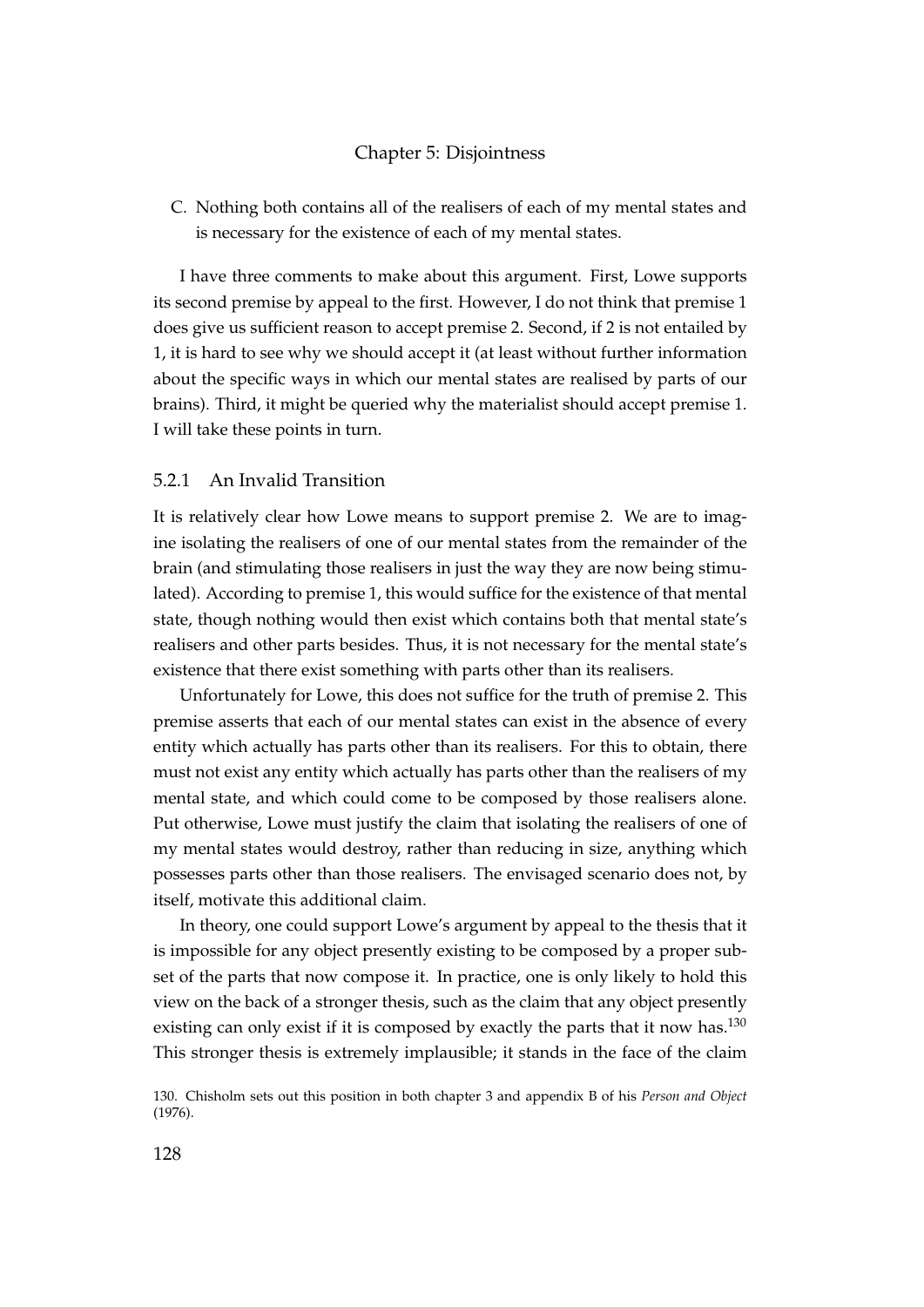C. Nothing both contains all of the realisers of each of my mental states and is necessary for the existence of each of my mental states.

I have three comments to make about this argument. First, Lowe supports its second premise by appeal to the first. However, I do not think that premise 1 does give us sufficient reason to accept premise 2. Second, if 2 is not entailed by 1, it is hard to see why we should accept it (at least without further information about the specific ways in which our mental states are realised by parts of our brains). Third, it might be queried why the materialist should accept premise 1. I will take these points in turn.

#### 5.2.1 An Invalid Transition

It is relatively clear how Lowe means to support premise 2. We are to imagine isolating the realisers of one of our mental states from the remainder of the brain (and stimulating those realisers in just the way they are now being stimulated). According to premise 1, this would suffice for the existence of that mental state, though nothing would then exist which contains both that mental state's realisers and other parts besides. Thus, it is not necessary for the mental state's existence that there exist something with parts other than its realisers.

Unfortunately for Lowe, this does not suffice for the truth of premise 2. This premise asserts that each of our mental states can exist in the absence of every entity which actually has parts other than its realisers. For this to obtain, there must not exist any entity which actually has parts other than the realisers of my mental state, and which could come to be composed by those realisers alone. Put otherwise, Lowe must justify the claim that isolating the realisers of one of my mental states would destroy, rather than reducing in size, anything which possesses parts other than those realisers. The envisaged scenario does not, by itself, motivate this additional claim.

In theory, one could support Lowe's argument by appeal to the thesis that it is impossible for any object presently existing to be composed by a proper subset of the parts that now compose it. In practice, one is only likely to hold this view on the back of a stronger thesis, such as the claim that any object presently existing can only exist if it is composed by exactly the parts that it now has.<sup>[130](#page-127-0)</sup> This stronger thesis is extremely implausible; it stands in the face of the claim

<span id="page-127-0"></span><sup>130.</sup> Chisholm sets out this position in both chapter 3 and appendix B of his *Person and Object* (1976).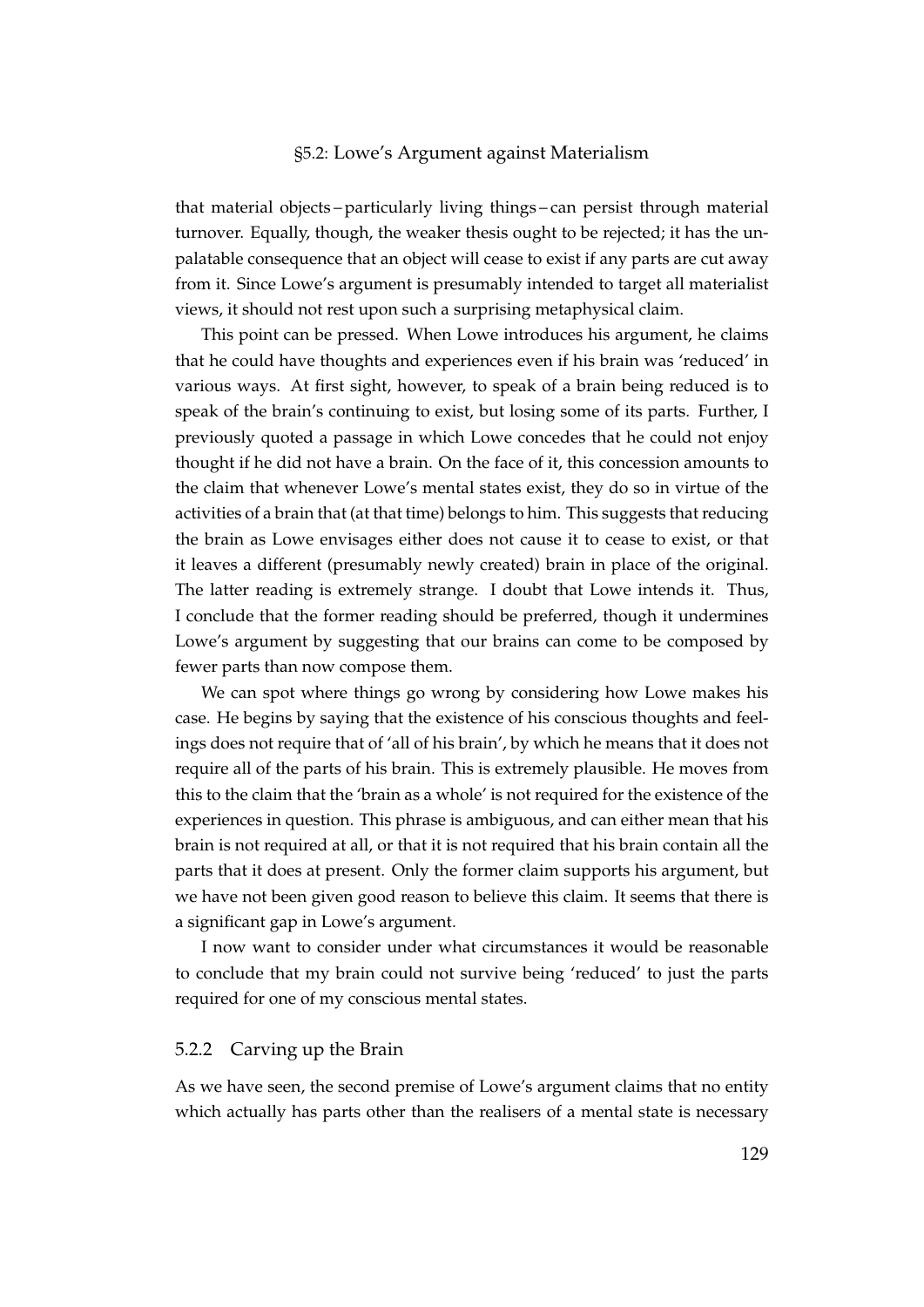#### §5.2: Lowe's Argument against Materialism

that material objects – particularly living things – can persist through material turnover. Equally, though, the weaker thesis ought to be rejected; it has the unpalatable consequence that an object will cease to exist if any parts are cut away from it. Since Lowe's argument is presumably intended to target all materialist views, it should not rest upon such a surprising metaphysical claim.

This point can be pressed. When Lowe introduces his argument, he claims that he could have thoughts and experiences even if his brain was 'reduced' in various ways. At first sight, however, to speak of a brain being reduced is to speak of the brain's continuing to exist, but losing some of its parts. Further, I previously quoted a passage in which Lowe concedes that he could not enjoy thought if he did not have a brain. On the face of it, this concession amounts to the claim that whenever Lowe's mental states exist, they do so in virtue of the activities of a brain that (at that time) belongs to him. This suggests that reducing the brain as Lowe envisages either does not cause it to cease to exist, or that it leaves a different (presumably newly created) brain in place of the original. The latter reading is extremely strange. I doubt that Lowe intends it. Thus, I conclude that the former reading should be preferred, though it undermines Lowe's argument by suggesting that our brains can come to be composed by fewer parts than now compose them.

We can spot where things go wrong by considering how Lowe makes his case. He begins by saying that the existence of his conscious thoughts and feelings does not require that of 'all of his brain', by which he means that it does not require all of the parts of his brain. This is extremely plausible. He moves from this to the claim that the 'brain as a whole' is not required for the existence of the experiences in question. This phrase is ambiguous, and can either mean that his brain is not required at all, or that it is not required that his brain contain all the parts that it does at present. Only the former claim supports his argument, but we have not been given good reason to believe this claim. It seems that there is a significant gap in Lowe's argument.

I now want to consider under what circumstances it would be reasonable to conclude that my brain could not survive being 'reduced' to just the parts required for one of my conscious mental states.

#### 5.2.2 Carving up the Brain

As we have seen, the second premise of Lowe's argument claims that no entity which actually has parts other than the realisers of a mental state is necessary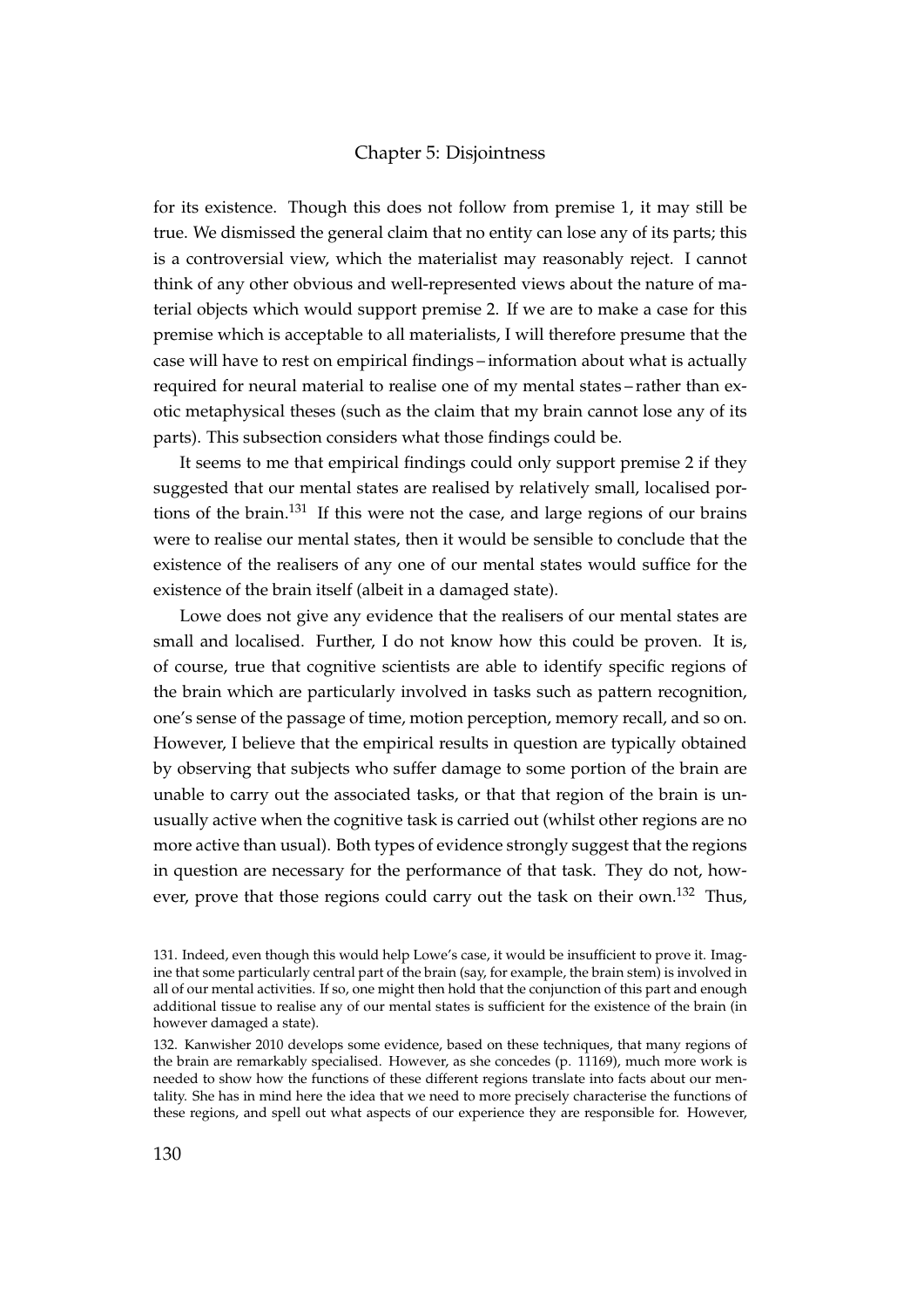for its existence. Though this does not follow from premise 1, it may still be true. We dismissed the general claim that no entity can lose any of its parts; this is a controversial view, which the materialist may reasonably reject. I cannot think of any other obvious and well-represented views about the nature of material objects which would support premise 2. If we are to make a case for this premise which is acceptable to all materialists, I will therefore presume that the case will have to rest on empirical findings – information about what is actually required for neural material to realise one of my mental states – rather than exotic metaphysical theses (such as the claim that my brain cannot lose any of its parts). This subsection considers what those findings could be.

It seems to me that empirical findings could only support premise 2 if they suggested that our mental states are realised by relatively small, localised por-tions of the brain.<sup>[131](#page-129-0)</sup> If this were not the case, and large regions of our brains were to realise our mental states, then it would be sensible to conclude that the existence of the realisers of any one of our mental states would suffice for the existence of the brain itself (albeit in a damaged state).

Lowe does not give any evidence that the realisers of our mental states are small and localised. Further, I do not know how this could be proven. It is, of course, true that cognitive scientists are able to identify specific regions of the brain which are particularly involved in tasks such as pattern recognition, one's sense of the passage of time, motion perception, memory recall, and so on. However, I believe that the empirical results in question are typically obtained by observing that subjects who suffer damage to some portion of the brain are unable to carry out the associated tasks, or that that region of the brain is unusually active when the cognitive task is carried out (whilst other regions are no more active than usual). Both types of evidence strongly suggest that the regions in question are necessary for the performance of that task. They do not, how-ever, prove that those regions could carry out the task on their own.<sup>[132](#page-129-1)</sup> Thus,

<span id="page-129-0"></span><sup>131.</sup> Indeed, even though this would help Lowe's case, it would be insufficient to prove it. Imagine that some particularly central part of the brain (say, for example, the brain stem) is involved in all of our mental activities. If so, one might then hold that the conjunction of this part and enough additional tissue to realise any of our mental states is sufficient for the existence of the brain (in however damaged a state).

<span id="page-129-1"></span><sup>132.</sup> [Kanwisher 2010](#page-212-2) develops some evidence, based on these techniques, that many regions of the brain are remarkably specialised. However, as she concedes (p. 11169), much more work is needed to show how the functions of these different regions translate into facts about our mentality. She has in mind here the idea that we need to more precisely characterise the functions of these regions, and spell out what aspects of our experience they are responsible for. However,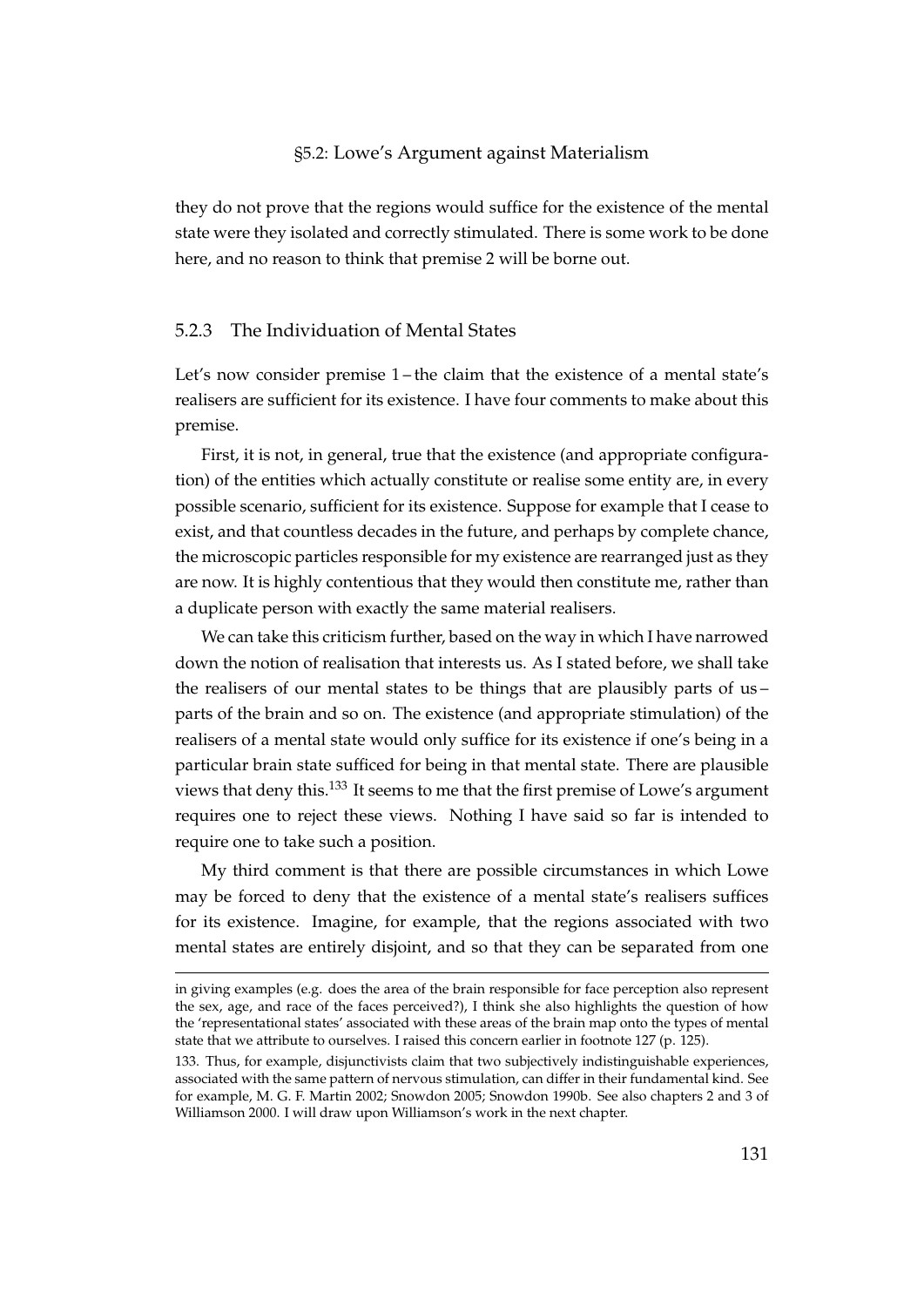#### §5.2: Lowe's Argument against Materialism

they do not prove that the regions would suffice for the existence of the mental state were they isolated and correctly stimulated. There is some work to be done here, and no reason to think that premise 2 will be borne out.

#### 5.2.3 The Individuation of Mental States

Let's now consider premise 1 – the claim that the existence of a mental state's realisers are sufficient for its existence. I have four comments to make about this premise.

First, it is not, in general, true that the existence (and appropriate configuration) of the entities which actually constitute or realise some entity are, in every possible scenario, sufficient for its existence. Suppose for example that I cease to exist, and that countless decades in the future, and perhaps by complete chance, the microscopic particles responsible for my existence are rearranged just as they are now. It is highly contentious that they would then constitute me, rather than a duplicate person with exactly the same material realisers.

We can take this criticism further, based on the way in which I have narrowed down the notion of realisation that interests us. As I stated before, we shall take the realisers of our mental states to be things that are plausibly parts of us – parts of the brain and so on. The existence (and appropriate stimulation) of the realisers of a mental state would only suffice for its existence if one's being in a particular brain state sufficed for being in that mental state. There are plausible views that deny this.<sup>[133](#page-130-0)</sup> It seems to me that the first premise of Lowe's argument requires one to reject these views. Nothing I have said so far is intended to require one to take such a position.

My third comment is that there are possible circumstances in which Lowe may be forced to deny that the existence of a mental state's realisers suffices for its existence. Imagine, for example, that the regions associated with two mental states are entirely disjoint, and so that they can be separated from one

in giving examples (e.g. does the area of the brain responsible for face perception also represent the sex, age, and race of the faces perceived?), I think she also highlights the question of how the 'representational states' associated with these areas of the brain map onto the types of mental state that we attribute to ourselves. I raised this concern earlier in footnote [127](#page-124-2) (p. [125\)](#page-124-2).

<span id="page-130-0"></span><sup>133.</sup> Thus, for example, disjunctivists claim that two subjectively indistinguishable experiences, associated with the same pattern of nervous stimulation, can differ in their fundamental kind. See for example, [M. G. F. Martin 2002;](#page-214-2) [Snowdon 2005;](#page-218-2) [Snowdon 1990b.](#page-218-3) See also chapters 2 and 3 of [Williamson 2000.](#page-220-0) I will draw upon Williamson's work in the next chapter.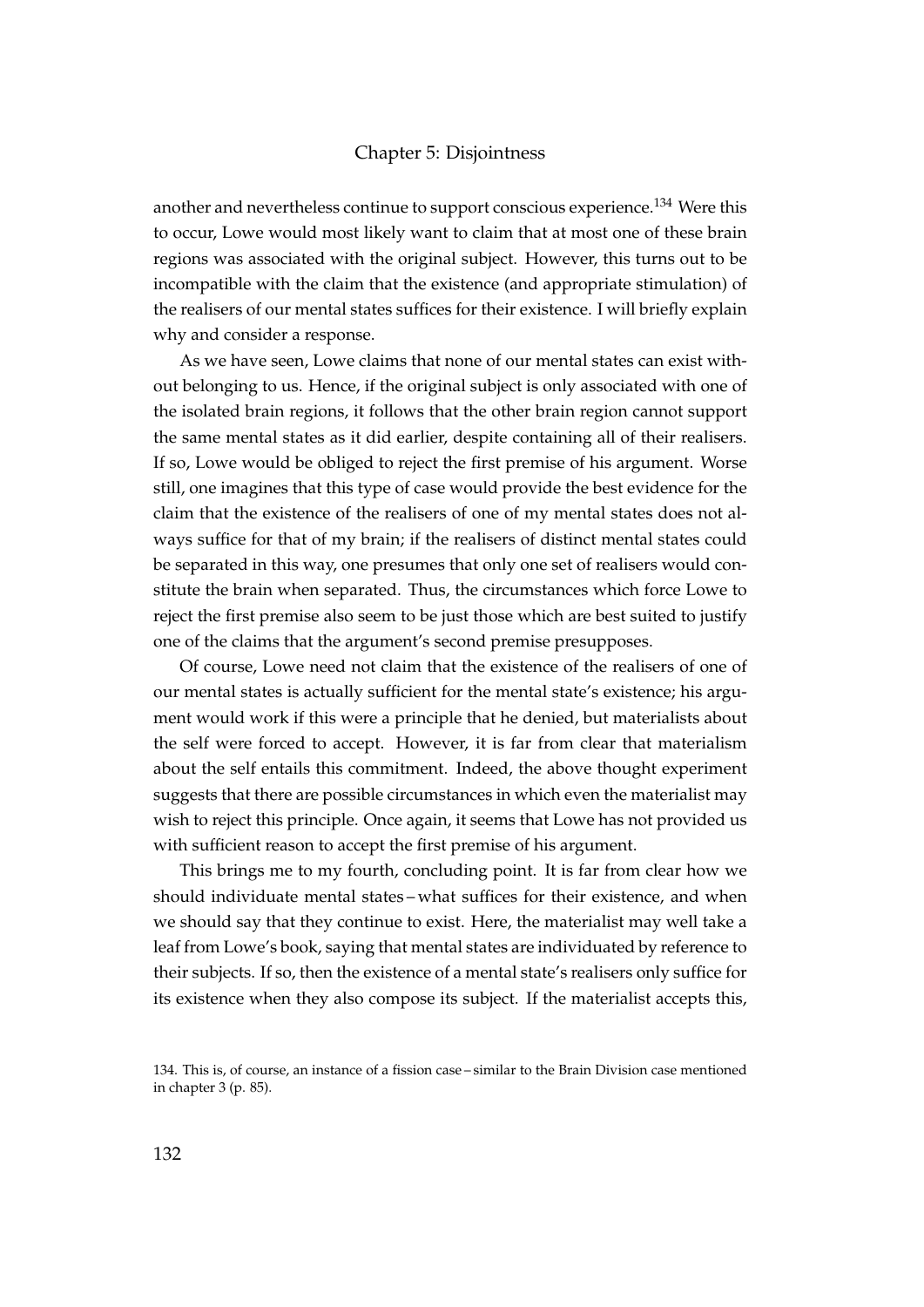another and nevertheless continue to support conscious experience.<sup>[134](#page-131-0)</sup> Were this to occur, Lowe would most likely want to claim that at most one of these brain regions was associated with the original subject. However, this turns out to be incompatible with the claim that the existence (and appropriate stimulation) of the realisers of our mental states suffices for their existence. I will briefly explain why and consider a response.

As we have seen, Lowe claims that none of our mental states can exist without belonging to us. Hence, if the original subject is only associated with one of the isolated brain regions, it follows that the other brain region cannot support the same mental states as it did earlier, despite containing all of their realisers. If so, Lowe would be obliged to reject the first premise of his argument. Worse still, one imagines that this type of case would provide the best evidence for the claim that the existence of the realisers of one of my mental states does not always suffice for that of my brain; if the realisers of distinct mental states could be separated in this way, one presumes that only one set of realisers would constitute the brain when separated. Thus, the circumstances which force Lowe to reject the first premise also seem to be just those which are best suited to justify one of the claims that the argument's second premise presupposes.

Of course, Lowe need not claim that the existence of the realisers of one of our mental states is actually sufficient for the mental state's existence; his argument would work if this were a principle that he denied, but materialists about the self were forced to accept. However, it is far from clear that materialism about the self entails this commitment. Indeed, the above thought experiment suggests that there are possible circumstances in which even the materialist may wish to reject this principle. Once again, it seems that Lowe has not provided us with sufficient reason to accept the first premise of his argument.

This brings me to my fourth, concluding point. It is far from clear how we should individuate mental states – what suffices for their existence, and when we should say that they continue to exist. Here, the materialist may well take a leaf from Lowe's book, saying that mental states are individuated by reference to their subjects. If so, then the existence of a mental state's realisers only suffice for its existence when they also compose its subject. If the materialist accepts this,

<span id="page-131-0"></span><sup>134.</sup> This is, of course, an instance of a fission case – similar to the [Brain Division](#page-84-0) case mentioned in chapter 3 (p. [85\)](#page-84-0).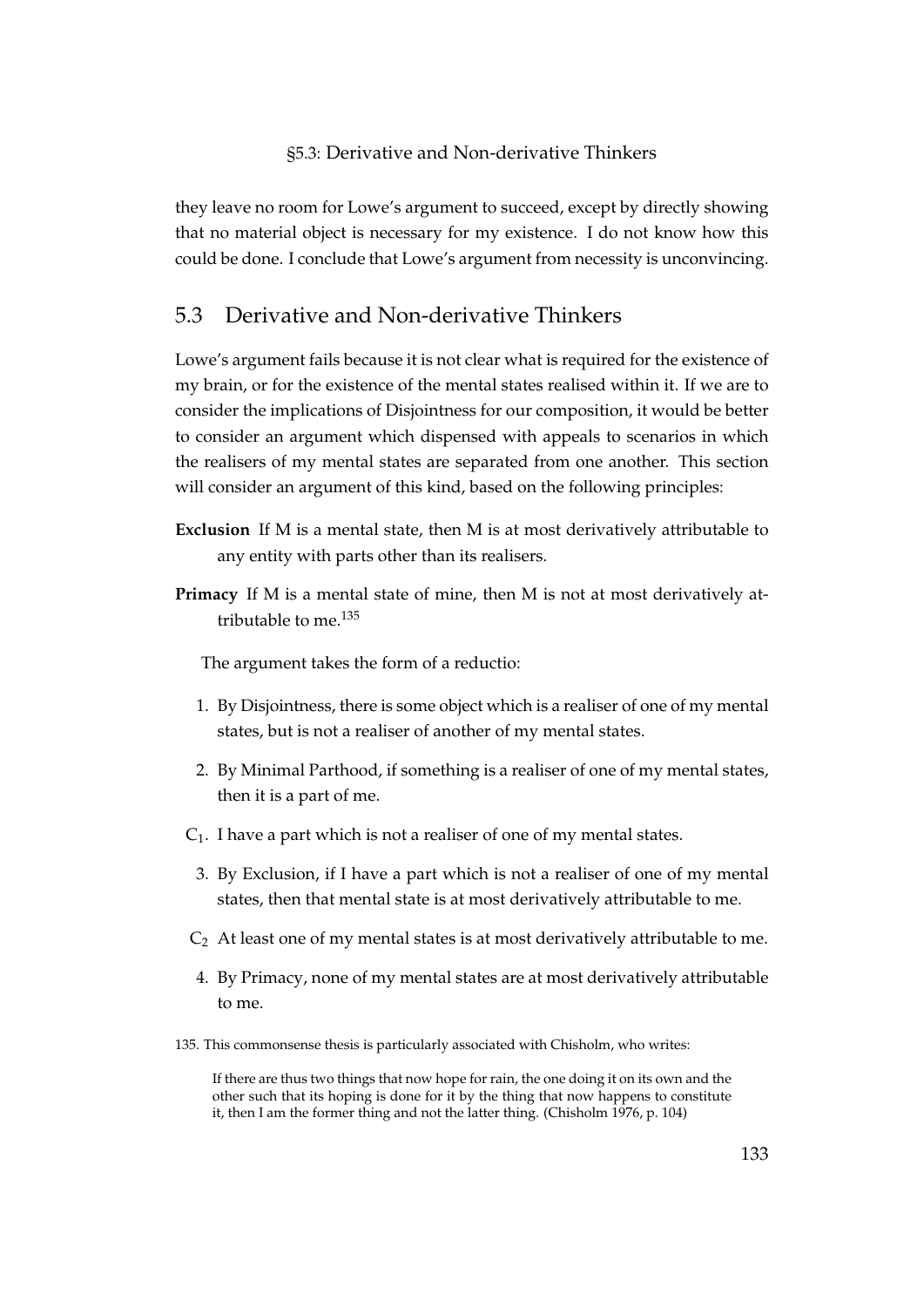### §5.3: Derivative and Non-derivative Thinkers

they leave no room for Lowe's argument to succeed, except by directly showing that no material object is necessary for my existence. I do not know how this could be done. I conclude that Lowe's argument from necessity is unconvincing.

# <span id="page-132-0"></span>5.3 Derivative and Non-derivative Thinkers

Lowe's argument fails because it is not clear what is required for the existence of my brain, or for the existence of the mental states realised within it. If we are to consider the implications of [Disjointness](#page-124-0) for our composition, it would be better to consider an argument which dispensed with appeals to scenarios in which the realisers of my mental states are separated from one another. This section will consider an argument of this kind, based on the following principles:

- <span id="page-132-2"></span>**Exclusion** If M is a mental state, then M is at most derivatively attributable to any entity with parts other than its realisers.
- <span id="page-132-3"></span>**Primacy** If M is a mental state of mine, then M is not at most derivatively attributable to me.[135](#page-132-1)

The argument takes the form of a reductio:

- 1. By [Disjointness,](#page-124-0) there is some object which is a realiser of one of my mental states, but is not a realiser of another of my mental states.
- 2. By [Minimal Parthood,](#page-122-1) if something is a realiser of one of my mental states, then it is a part of me.
- $C_1$ . I have a part which is not a realiser of one of my mental states.
	- 3. By [Exclusion,](#page-132-2) if I have a part which is not a realiser of one of my mental states, then that mental state is at most derivatively attributable to me.
- $C_2$  At least one of my mental states is at most derivatively attributable to me.
- 4. By [Primacy,](#page-132-3) none of my mental states are at most derivatively attributable to me.
- <span id="page-132-1"></span>135. This commonsense thesis is particularly associated with Chisholm, who writes:

If there are thus two things that now hope for rain, the one doing it on its own and the other such that its hoping is done for it by the thing that now happens to constitute it, then I am the former thing and not the latter thing. [\(Chisholm 1976,](#page-210-3) p. 104)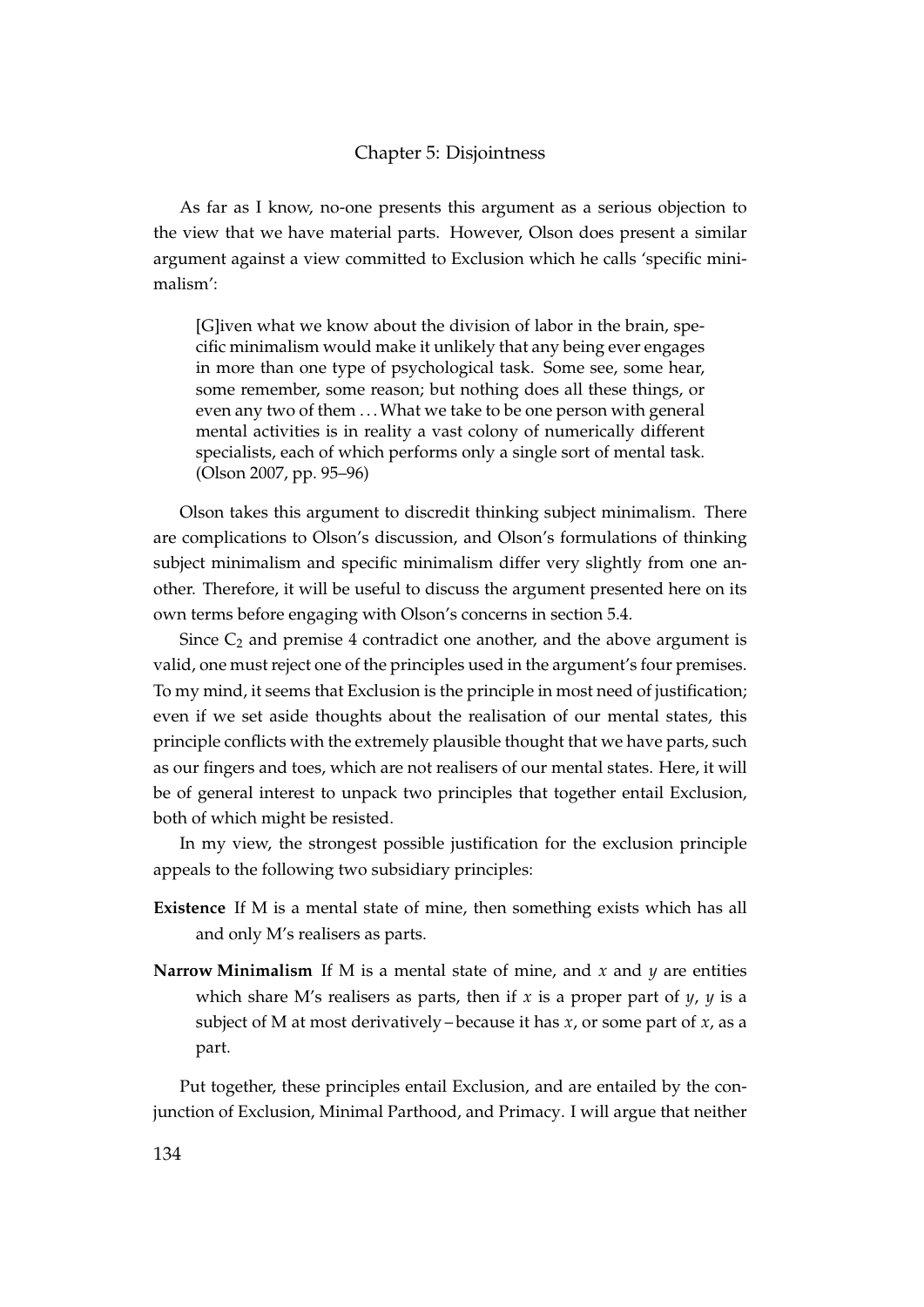As far as I know, no-one presents this argument as a serious objection to the view that we have material parts. However, Olson does present a similar argument against a view committed to [Exclusion](#page-132-2) which he calls 'specific minimalism':

[G]iven what we know about the division of labor in the brain, specific minimalism would make it unlikely that any being ever engages in more than one type of psychological task. Some see, some hear, some remember, some reason; but nothing does all these things, or even any two of them ... What we take to be one person with general mental activities is in reality a vast colony of numerically different specialists, each of which performs only a single sort of mental task. [\(Olson 2007,](#page-215-1) pp. 95–96)

Olson takes this argument to discredit thinking subject minimalism. There are complications to Olson's discussion, and Olson's formulations of thinking subject minimalism and specific minimalism differ very slightly from one another. Therefore, it will be useful to discuss the argument presented here on its own terms before engaging with Olson's concerns in section [5.4.](#page-136-0)

Since  $C_2$  and premise 4 contradict one another, and the above argument is valid, one must reject one of the principles used in the argument's four premises. To my mind, it seems that [Exclusion](#page-132-2) is the principle in most need of justification; even if we set aside thoughts about the realisation of our mental states, this principle conflicts with the extremely plausible thought that we have parts, such as our fingers and toes, which are not realisers of our mental states. Here, it will be of general interest to unpack two principles that together entail [Exclusion,](#page-132-2) both of which might be resisted.

In my view, the strongest possible justification for the exclusion principle appeals to the following two subsidiary principles:

- <span id="page-133-1"></span>**Existence** If M is a mental state of mine, then something exists which has all and only M's realisers as parts.
- <span id="page-133-0"></span>**Narrow Minimalism** If M is a mental state of mine, and *x* and *y* are entities which share M's realisers as parts, then if  $x$  is a proper part of  $y$ ,  $y$  is a subject of M at most derivatively – because it has *x*, or some part of *x*, as a part.

Put together, these principles entail [Exclusion,](#page-132-2) and are entailed by the conjunction of [Exclusion,](#page-132-2) [Minimal Parthood,](#page-122-1) and [Primacy.](#page-132-3) I will argue that neither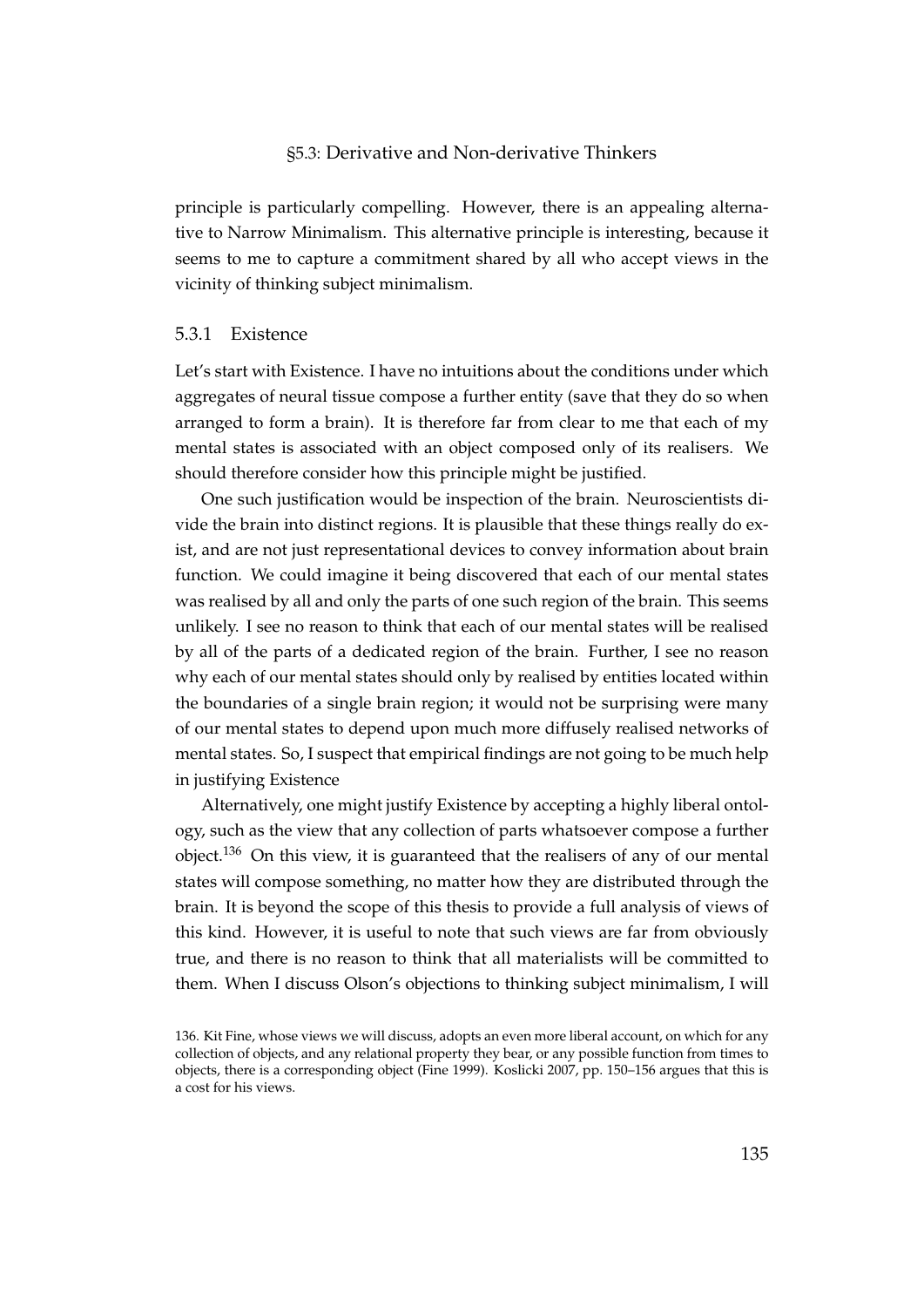#### §5.3: Derivative and Non-derivative Thinkers

principle is particularly compelling. However, there is an appealing alternative to [Narrow Minimalism.](#page-133-0) This alternative principle is interesting, because it seems to me to capture a commitment shared by all who accept views in the vicinity of thinking subject minimalism.

#### 5.3.1 Existence

Let's start with [Existence.](#page-133-1) I have no intuitions about the conditions under which aggregates of neural tissue compose a further entity (save that they do so when arranged to form a brain). It is therefore far from clear to me that each of my mental states is associated with an object composed only of its realisers. We should therefore consider how this principle might be justified.

One such justification would be inspection of the brain. Neuroscientists divide the brain into distinct regions. It is plausible that these things really do exist, and are not just representational devices to convey information about brain function. We could imagine it being discovered that each of our mental states was realised by all and only the parts of one such region of the brain. This seems unlikely. I see no reason to think that each of our mental states will be realised by all of the parts of a dedicated region of the brain. Further, I see no reason why each of our mental states should only by realised by entities located within the boundaries of a single brain region; it would not be surprising were many of our mental states to depend upon much more diffusely realised networks of mental states. So, I suspect that empirical findings are not going to be much help in justifying [Existence](#page-133-1)

Alternatively, one might justify [Existence](#page-133-1) by accepting a highly liberal ontology, such as the view that any collection of parts whatsoever compose a further object.<sup>[136](#page-134-0)</sup> On this view, it is guaranteed that the realisers of any of our mental states will compose something, no matter how they are distributed through the brain. It is beyond the scope of this thesis to provide a full analysis of views of this kind. However, it is useful to note that such views are far from obviously true, and there is no reason to think that all materialists will be committed to them. When I discuss Olson's objections to thinking subject minimalism, I will

<span id="page-134-0"></span><sup>136.</sup> Kit Fine, whose views we will discuss, adopts an even more liberal account, on which for any collection of objects, and any relational property they bear, or any possible function from times to objects, there is a corresponding object [\(Fine 1999\)](#page-211-1). [Koslicki 2007,](#page-212-3) pp. 150–156 argues that this is a cost for his views.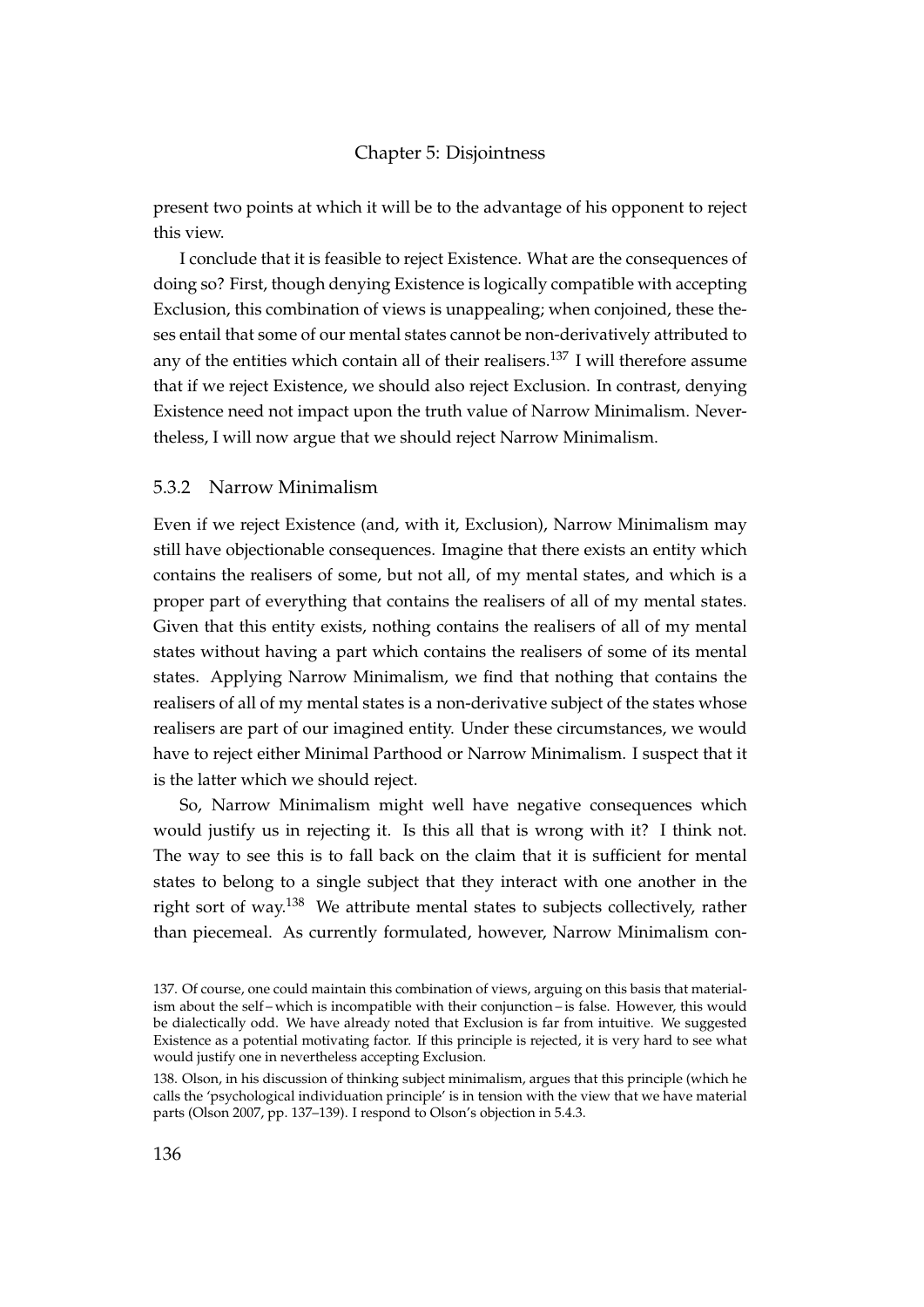present two points at which it will be to the advantage of his opponent to reject this view.

I conclude that it is feasible to reject [Existence.](#page-133-1) What are the consequences of doing so? First, though denying [Existence](#page-133-1) is logically compatible with accepting [Exclusion,](#page-132-2) this combination of views is unappealing; when conjoined, these theses entail that some of our mental states cannot be non-derivatively attributed to any of the entities which contain all of their realisers.[137](#page-135-0) I will therefore assume that if we reject [Existence,](#page-133-1) we should also reject [Exclusion.](#page-132-2) In contrast, denying [Existence](#page-133-1) need not impact upon the truth value of [Narrow Minimalism.](#page-133-0) Nevertheless, I will now argue that we should reject [Narrow Minimalism.](#page-133-0)

#### 5.3.2 [Narrow Minimalism](#page-133-0)

Even if we reject [Existence](#page-133-1) (and, with it, [Exclusion\)](#page-132-2), [Narrow Minimalism](#page-133-0) may still have objectionable consequences. Imagine that there exists an entity which contains the realisers of some, but not all, of my mental states, and which is a proper part of everything that contains the realisers of all of my mental states. Given that this entity exists, nothing contains the realisers of all of my mental states without having a part which contains the realisers of some of its mental states. Applying [Narrow Minimalism,](#page-133-0) we find that nothing that contains the realisers of all of my mental states is a non-derivative subject of the states whose realisers are part of our imagined entity. Under these circumstances, we would have to reject either [Minimal Parthood](#page-122-1) or [Narrow Minimalism.](#page-133-0) I suspect that it is the latter which we should reject.

So, [Narrow Minimalism](#page-133-0) might well have negative consequences which would justify us in rejecting it. Is this all that is wrong with it? I think not. The way to see this is to fall back on the claim that it is sufficient for mental states to belong to a single subject that they interact with one another in the right sort of way.<sup>[138](#page-135-1)</sup> We attribute mental states to subjects collectively, rather than piecemeal. As currently formulated, however, [Narrow Minimalism](#page-133-0) con-

<span id="page-135-0"></span><sup>137.</sup> Of course, one could maintain this combination of views, arguing on this basis that materialism about the self – which is incompatible with their conjunction – is false. However, this would be dialectically odd. We have already noted that [Exclusion](#page-132-2) is far from intuitive. We suggested [Existence](#page-133-1) as a potential motivating factor. If this principle is rejected, it is very hard to see what would justify one in nevertheless accepting [Exclusion.](#page-132-2)

<span id="page-135-1"></span><sup>138.</sup> Olson, in his discussion of thinking subject minimalism, argues that this principle (which he calls the 'psychological individuation principle' is in tension with the view that we have material parts [\(Olson 2007,](#page-215-1) pp. 137–139). I respond to Olson's objection in [5.4.3.](#page-142-0)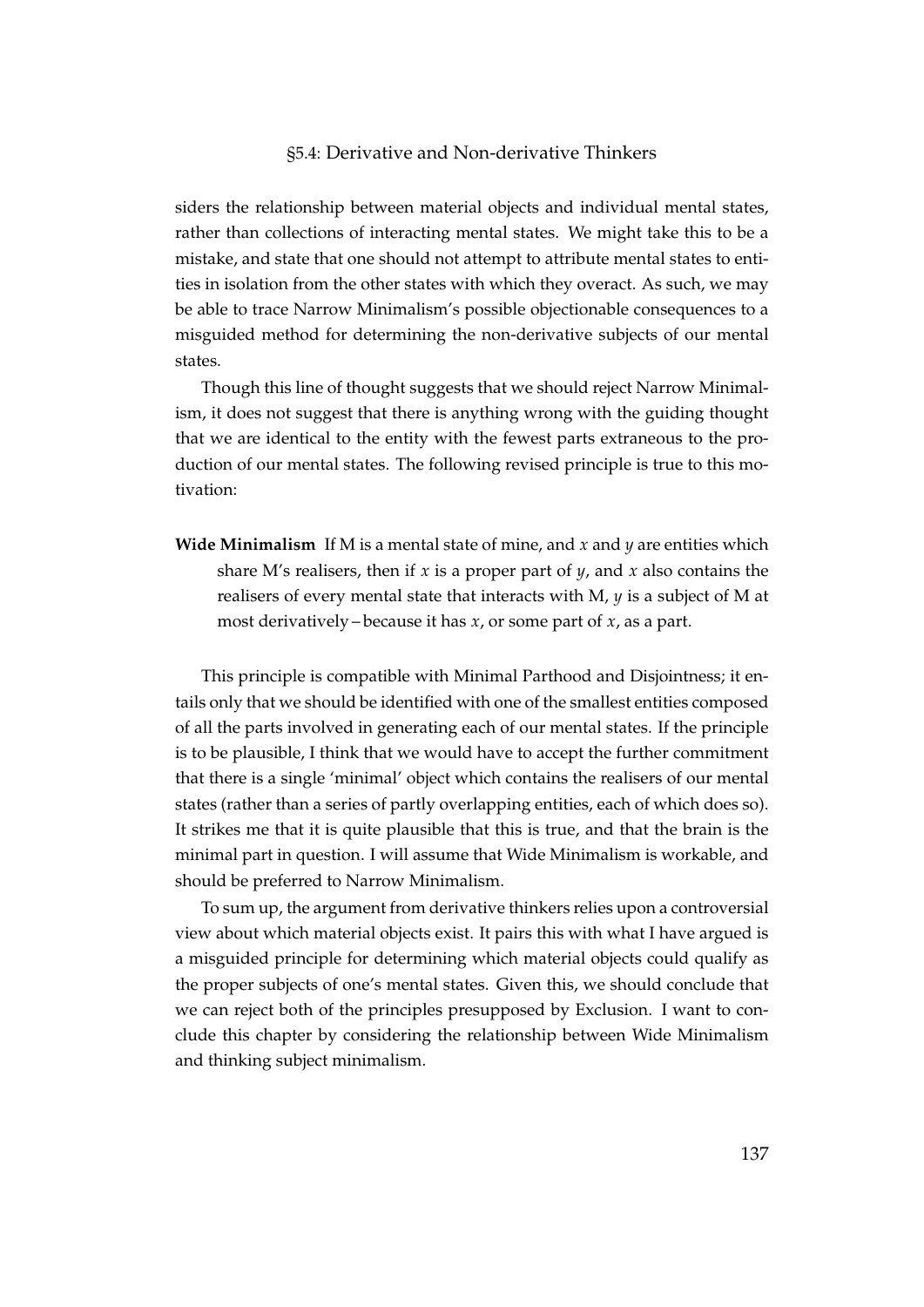#### §5.4: Derivative and Non-derivative Thinkers

siders the relationship between material objects and individual mental states, rather than collections of interacting mental states. We might take this to be a mistake, and state that one should not attempt to attribute mental states to entities in isolation from the other states with which they overact. As such, we may be able to trace [Narrow Minimalism'](#page-133-0)s possible objectionable consequences to a misguided method for determining the non-derivative subjects of our mental states.

Though this line of thought suggests that we should reject [Narrow Minimal](#page-133-0)[ism,](#page-133-0) it does not suggest that there is anything wrong with the guiding thought that we are identical to the entity with the fewest parts extraneous to the production of our mental states. The following revised principle is true to this motivation:

<span id="page-136-1"></span>**Wide Minimalism** If M is a mental state of mine, and *x* and *y* are entities which share M's realisers, then if  $x$  is a proper part of  $y$ , and  $x$  also contains the realisers of every mental state that interacts with M, *y* is a subject of M at most derivatively – because it has *x*, or some part of *x*, as a part.

This principle is compatible with [Minimal Parthood](#page-122-1) and [Disjointness;](#page-124-0) it entails only that we should be identified with one of the smallest entities composed of all the parts involved in generating each of our mental states. If the principle is to be plausible, I think that we would have to accept the further commitment that there is a single 'minimal' object which contains the realisers of our mental states (rather than a series of partly overlapping entities, each of which does so). It strikes me that it is quite plausible that this is true, and that the brain is the minimal part in question. I will assume that [Wide Minimalism](#page-136-1) is workable, and should be preferred to [Narrow Minimalism.](#page-133-0)

<span id="page-136-0"></span>To sum up, the argument from derivative thinkers relies upon a controversial view about which material objects exist. It pairs this with what I have argued is a misguided principle for determining which material objects could qualify as the proper subjects of one's mental states. Given this, we should conclude that we can reject both of the principles presupposed by [Exclusion.](#page-132-2) I want to conclude this chapter by considering the relationship between [Wide Minimalism](#page-136-1) and thinking subject minimalism.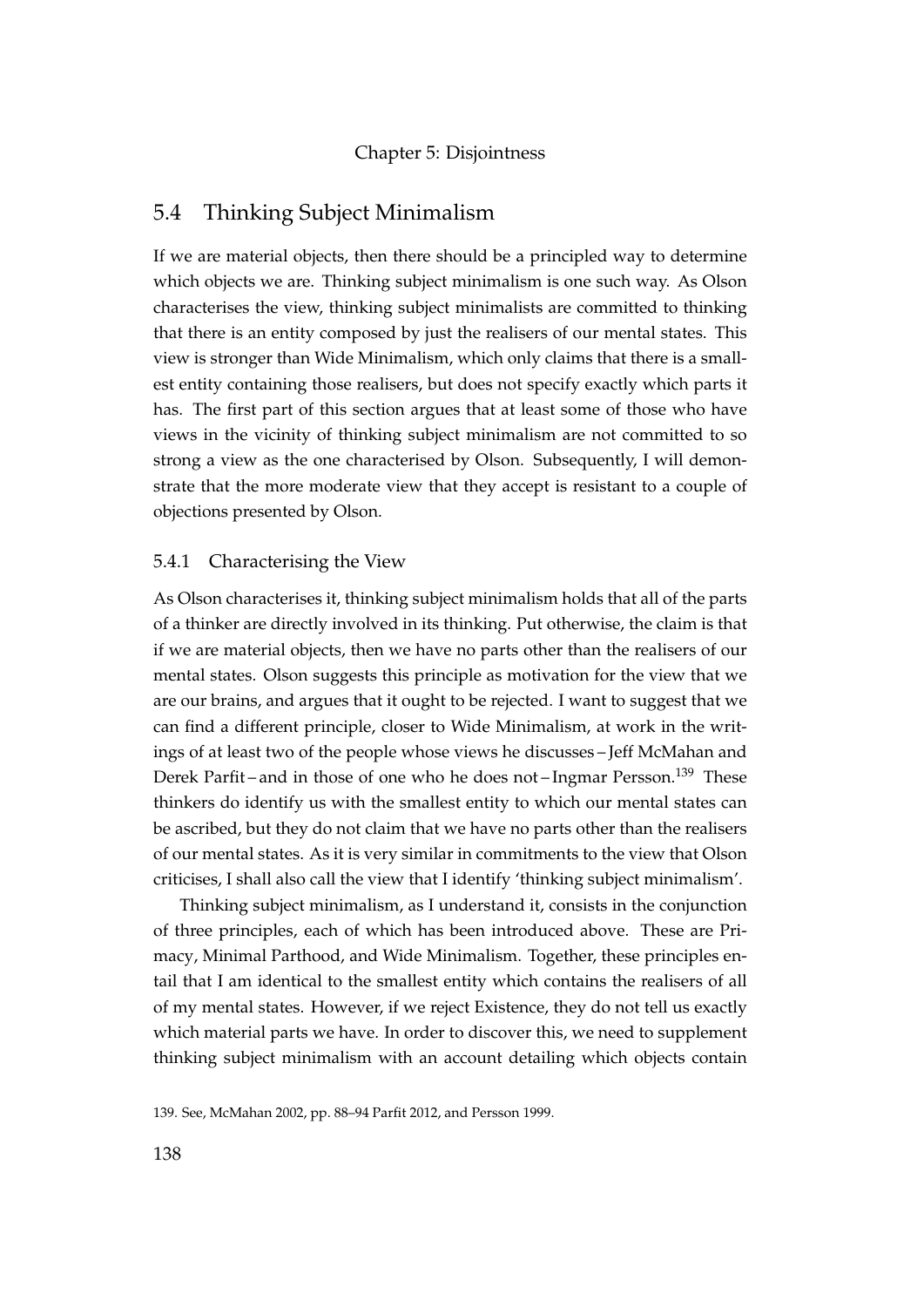# 5.4 Thinking Subject Minimalism

If we are material objects, then there should be a principled way to determine which objects we are. Thinking subject minimalism is one such way. As Olson characterises the view, thinking subject minimalists are committed to thinking that there is an entity composed by just the realisers of our mental states. This view is stronger than [Wide Minimalism,](#page-136-1) which only claims that there is a smallest entity containing those realisers, but does not specify exactly which parts it has. The first part of this section argues that at least some of those who have views in the vicinity of thinking subject minimalism are not committed to so strong a view as the one characterised by Olson. Subsequently, I will demonstrate that the more moderate view that they accept is resistant to a couple of objections presented by Olson.

#### 5.4.1 Characterising the View

As Olson characterises it, thinking subject minimalism holds that all of the parts of a thinker are directly involved in its thinking. Put otherwise, the claim is that if we are material objects, then we have no parts other than the realisers of our mental states. Olson suggests this principle as motivation for the view that we are our brains, and argues that it ought to be rejected. I want to suggest that we can find a different principle, closer to [Wide Minimalism,](#page-136-1) at work in the writings of at least two of the people whose views he discusses – Jeff McMahan and Derek Parfit-and in those of one who he does not-Ingmar Persson.<sup>[139](#page-137-0)</sup> These thinkers do identify us with the smallest entity to which our mental states can be ascribed, but they do not claim that we have no parts other than the realisers of our mental states. As it is very similar in commitments to the view that Olson criticises, I shall also call the view that I identify 'thinking subject minimalism'.

Thinking subject minimalism, as I understand it, consists in the conjunction of three principles, each of which has been introduced above. These are [Pri](#page-132-3)[macy,](#page-132-3) [Minimal Parthood,](#page-122-1) and [Wide Minimalism.](#page-136-1) Together, these principles entail that I am identical to the smallest entity which contains the realisers of all of my mental states. However, if we reject [Existence,](#page-133-1) they do not tell us exactly which material parts we have. In order to discover this, we need to supplement thinking subject minimalism with an account detailing which objects contain

<span id="page-137-0"></span><sup>139.</sup> See, [McMahan 2002,](#page-214-3) pp. 88–94 [Parfit 2012,](#page-215-3) and [Persson 1999.](#page-216-0)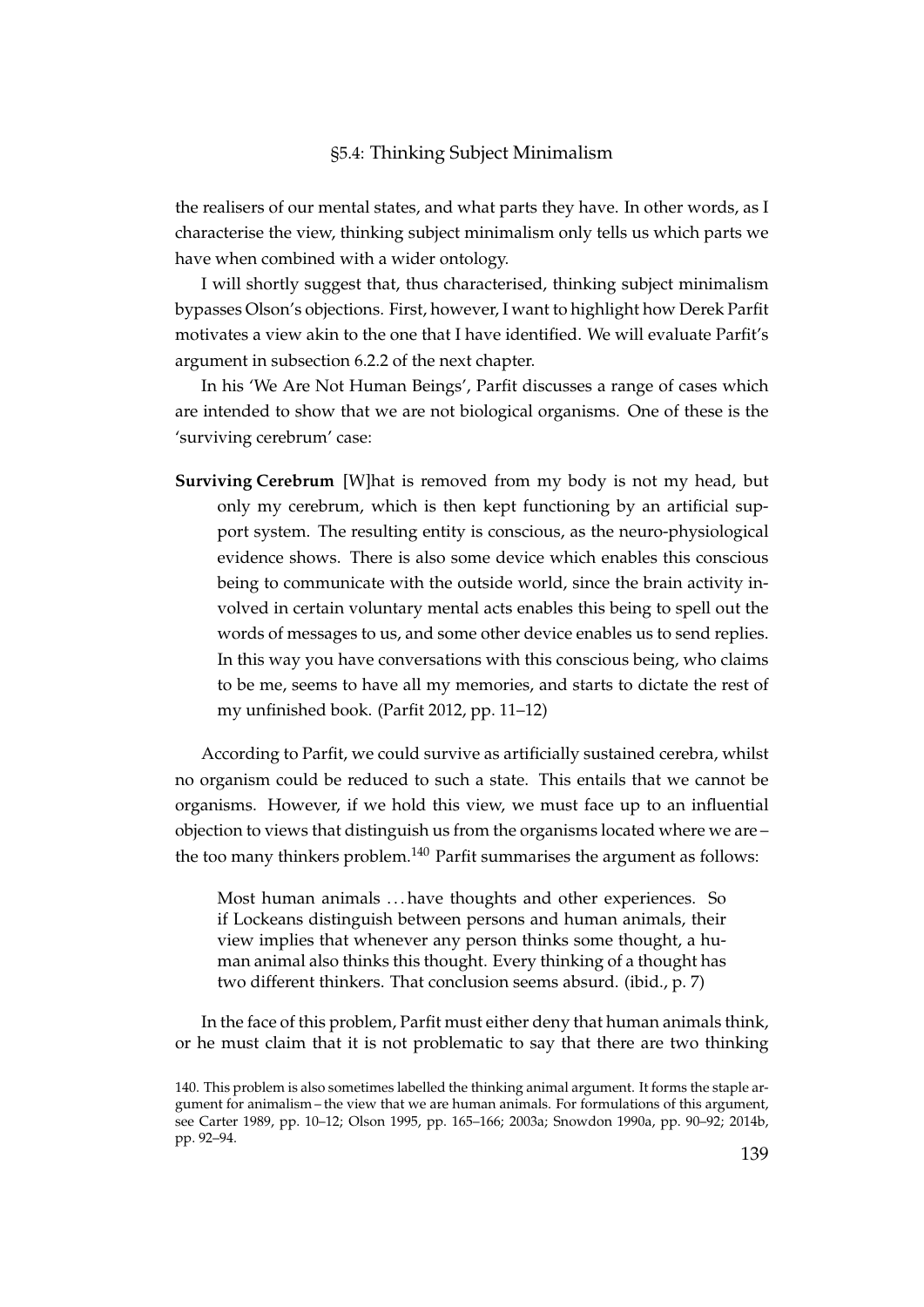### §5.4: Thinking Subject Minimalism

the realisers of our mental states, and what parts they have. In other words, as I characterise the view, thinking subject minimalism only tells us which parts we have when combined with a wider ontology.

I will shortly suggest that, thus characterised, thinking subject minimalism bypasses Olson's objections. First, however, I want to highlight how Derek Parfit motivates a view akin to the one that I have identified. We will evaluate Parfit's argument in subsection [6.2.2](#page-158-0) of the next chapter.

In his 'We Are Not Human Beings', Parfit discusses a range of cases which are intended to show that we are not biological organisms. One of these is the 'surviving cerebrum' case:

<span id="page-138-1"></span>**Surviving Cerebrum** [W]hat is removed from my body is not my head, but only my cerebrum, which is then kept functioning by an artificial support system. The resulting entity is conscious, as the neuro-physiological evidence shows. There is also some device which enables this conscious being to communicate with the outside world, since the brain activity involved in certain voluntary mental acts enables this being to spell out the words of messages to us, and some other device enables us to send replies. In this way you have conversations with this conscious being, who claims to be me, seems to have all my memories, and starts to dictate the rest of my unfinished book. [\(Parfit 2012,](#page-215-3) pp. 11–12)

According to Parfit, we could survive as artificially sustained cerebra, whilst no organism could be reduced to such a state. This entails that we cannot be organisms. However, if we hold this view, we must face up to an influential objection to views that distinguish us from the organisms located where we are – the too many thinkers problem.<sup>[140](#page-138-0)</sup> Parfit summarises the argument as follows:

Most human animals ... have thoughts and other experiences. So if Lockeans distinguish between persons and human animals, their view implies that whenever any person thinks some thought, a human animal also thinks this thought. Every thinking of a thought has two different thinkers. That conclusion seems absurd. [\(ibid.,](#page-215-3) p. 7)

In the face of this problem, Parfit must either deny that human animals think, or he must claim that it is not problematic to say that there are two thinking

<span id="page-138-0"></span><sup>140.</sup> This problem is also sometimes labelled the thinking animal argument. It forms the staple argument for animalism – the view that we are human animals. For formulations of this argument, see [Carter 1989,](#page-209-1) pp. 10–12; [Olson 1995,](#page-215-4) pp. 165–166; [2003a;](#page-215-5) [Snowdon 1990a,](#page-218-4) pp. 90–92; [2014b,](#page-218-5) pp. 92–94.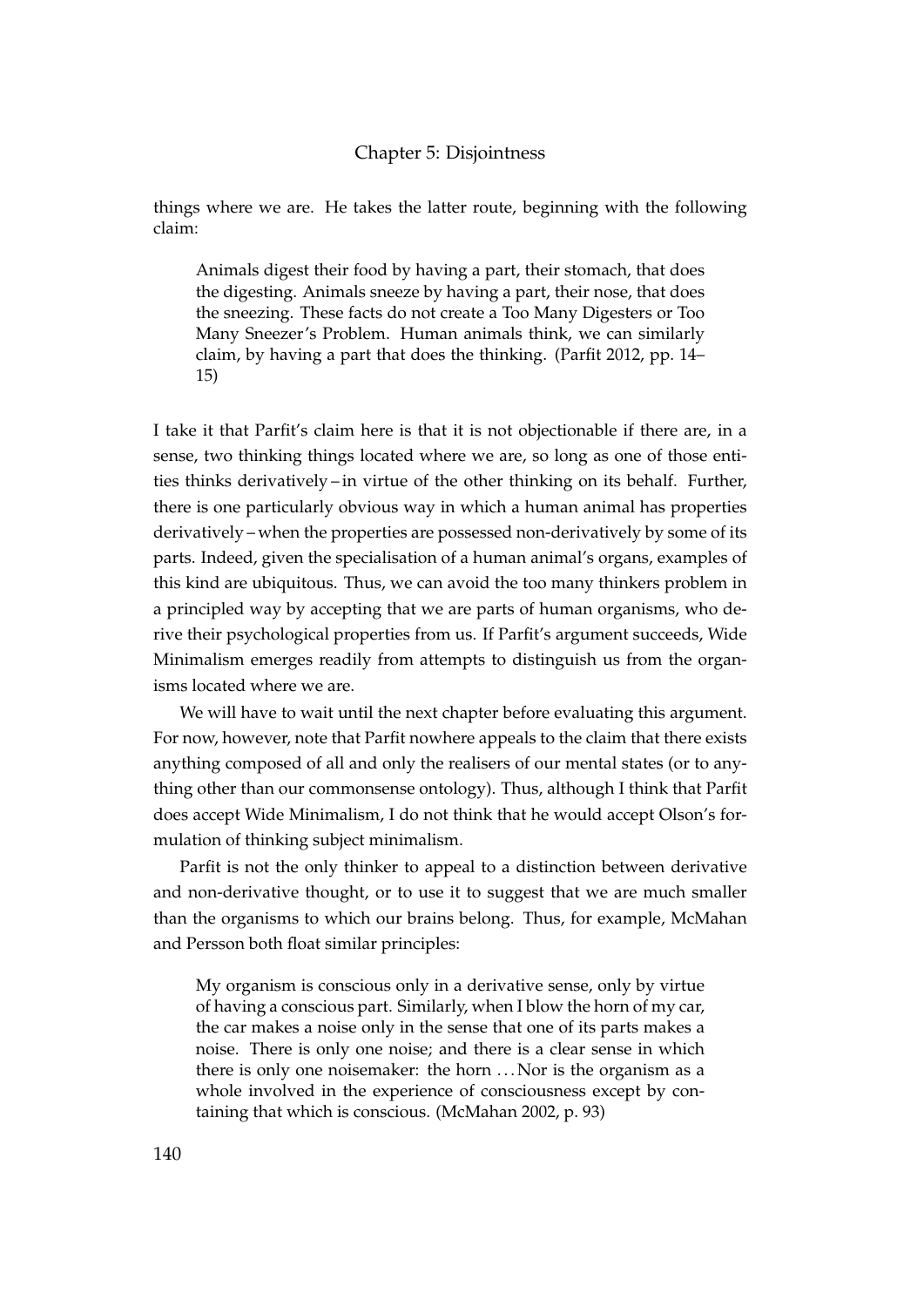things where we are. He takes the latter route, beginning with the following claim:

Animals digest their food by having a part, their stomach, that does the digesting. Animals sneeze by having a part, their nose, that does the sneezing. These facts do not create a Too Many Digesters or Too Many Sneezer's Problem. Human animals think, we can similarly claim, by having a part that does the thinking. [\(Parfit 2012,](#page-215-3) pp. 14– 15)

I take it that Parfit's claim here is that it is not objectionable if there are, in a sense, two thinking things located where we are, so long as one of those entities thinks derivatively – in virtue of the other thinking on its behalf. Further, there is one particularly obvious way in which a human animal has properties derivatively – when the properties are possessed non-derivatively by some of its parts. Indeed, given the specialisation of a human animal's organs, examples of this kind are ubiquitous. Thus, we can avoid the too many thinkers problem in a principled way by accepting that we are parts of human organisms, who derive their psychological properties from us. If Parfit's argument succeeds, [Wide](#page-136-1) [Minimalism](#page-136-1) emerges readily from attempts to distinguish us from the organisms located where we are.

We will have to wait until the next chapter before evaluating this argument. For now, however, note that Parfit nowhere appeals to the claim that there exists anything composed of all and only the realisers of our mental states (or to anything other than our commonsense ontology). Thus, although I think that Parfit does accept [Wide Minimalism,](#page-136-1) I do not think that he would accept Olson's formulation of thinking subject minimalism.

Parfit is not the only thinker to appeal to a distinction between derivative and non-derivative thought, or to use it to suggest that we are much smaller than the organisms to which our brains belong. Thus, for example, McMahan and Persson both float similar principles:

My organism is conscious only in a derivative sense, only by virtue of having a conscious part. Similarly, when I blow the horn of my car, the car makes a noise only in the sense that one of its parts makes a noise. There is only one noise; and there is a clear sense in which there is only one noisemaker: the horn . . . Nor is the organism as a whole involved in the experience of consciousness except by containing that which is conscious. [\(McMahan 2002,](#page-214-3) p. 93)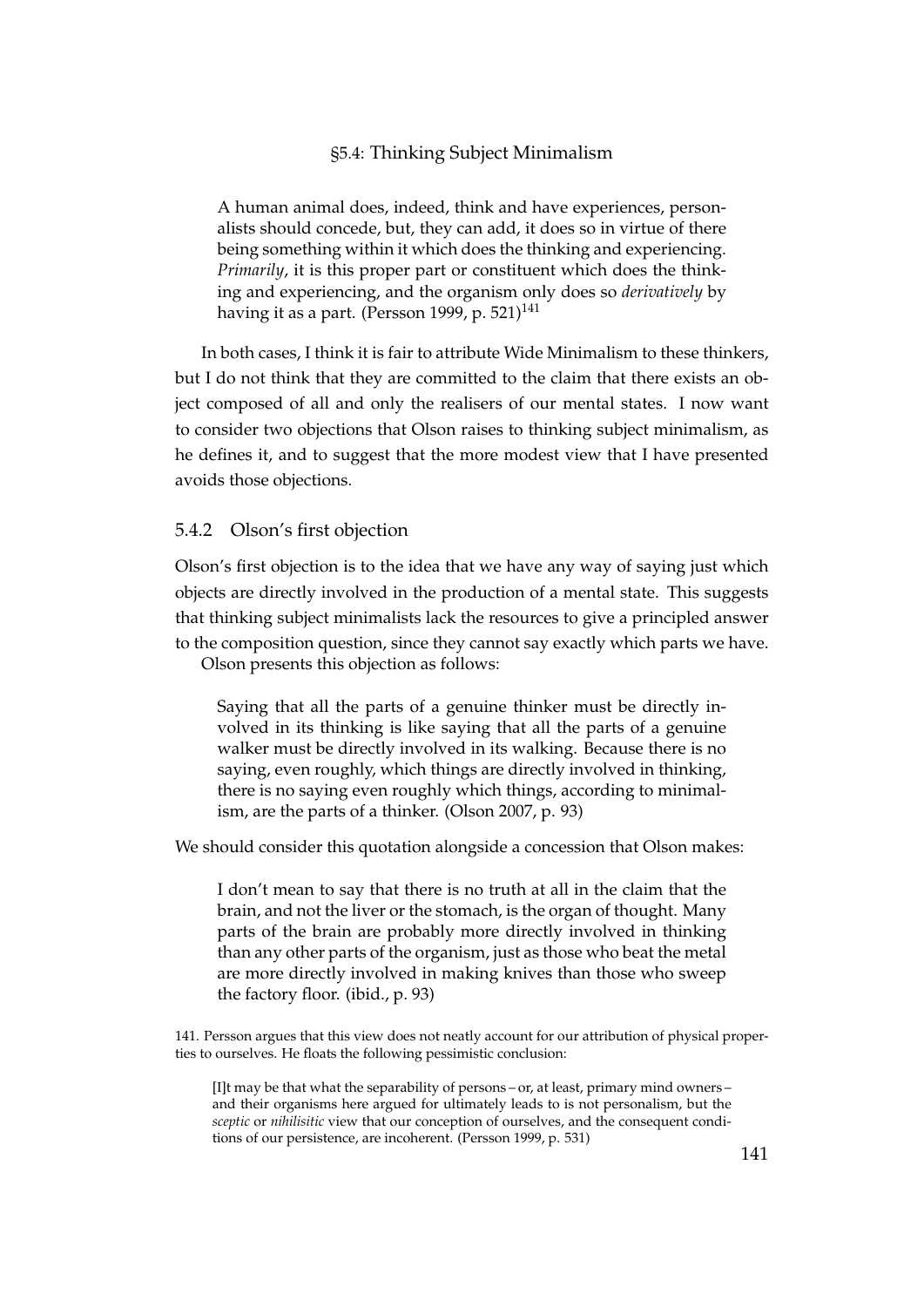#### §5.4: Thinking Subject Minimalism

A human animal does, indeed, think and have experiences, personalists should concede, but, they can add, it does so in virtue of there being something within it which does the thinking and experiencing. *Primarily*, it is this proper part or constituent which does the thinking and experiencing, and the organism only does so *derivatively* by having it as a part. [\(Persson 1999,](#page-216-0) p.  $521$ )<sup>[141](#page-140-1)</sup>

In both cases, I think it is fair to attribute [Wide Minimalism](#page-136-1) to these thinkers, but I do not think that they are committed to the claim that there exists an object composed of all and only the realisers of our mental states. I now want to consider two objections that Olson raises to thinking subject minimalism, as he defines it, and to suggest that the more modest view that I have presented avoids those objections.

#### <span id="page-140-0"></span>5.4.2 Olson's first objection

Olson's first objection is to the idea that we have any way of saying just which objects are directly involved in the production of a mental state. This suggests that thinking subject minimalists lack the resources to give a principled answer to the composition question, since they cannot say exactly which parts we have.

Olson presents this objection as follows:

Saying that all the parts of a genuine thinker must be directly involved in its thinking is like saying that all the parts of a genuine walker must be directly involved in its walking. Because there is no saying, even roughly, which things are directly involved in thinking, there is no saying even roughly which things, according to minimalism, are the parts of a thinker. [\(Olson 2007,](#page-215-1) p. 93)

We should consider this quotation alongside a concession that Olson makes:

I don't mean to say that there is no truth at all in the claim that the brain, and not the liver or the stomach, is the organ of thought. Many parts of the brain are probably more directly involved in thinking than any other parts of the organism, just as those who beat the metal are more directly involved in making knives than those who sweep the factory floor. [\(ibid.,](#page-215-1) p. 93)

<span id="page-140-1"></span>141. Persson argues that this view does not neatly account for our attribution of physical properties to ourselves. He floats the following pessimistic conclusion:

[I]t may be that what the separability of persons – or, at least, primary mind owners – and their organisms here argued for ultimately leads to is not personalism, but the *sceptic* or *nihilisitic* view that our conception of ourselves, and the consequent conditions of our persistence, are incoherent. [\(Persson 1999,](#page-216-0) p. 531)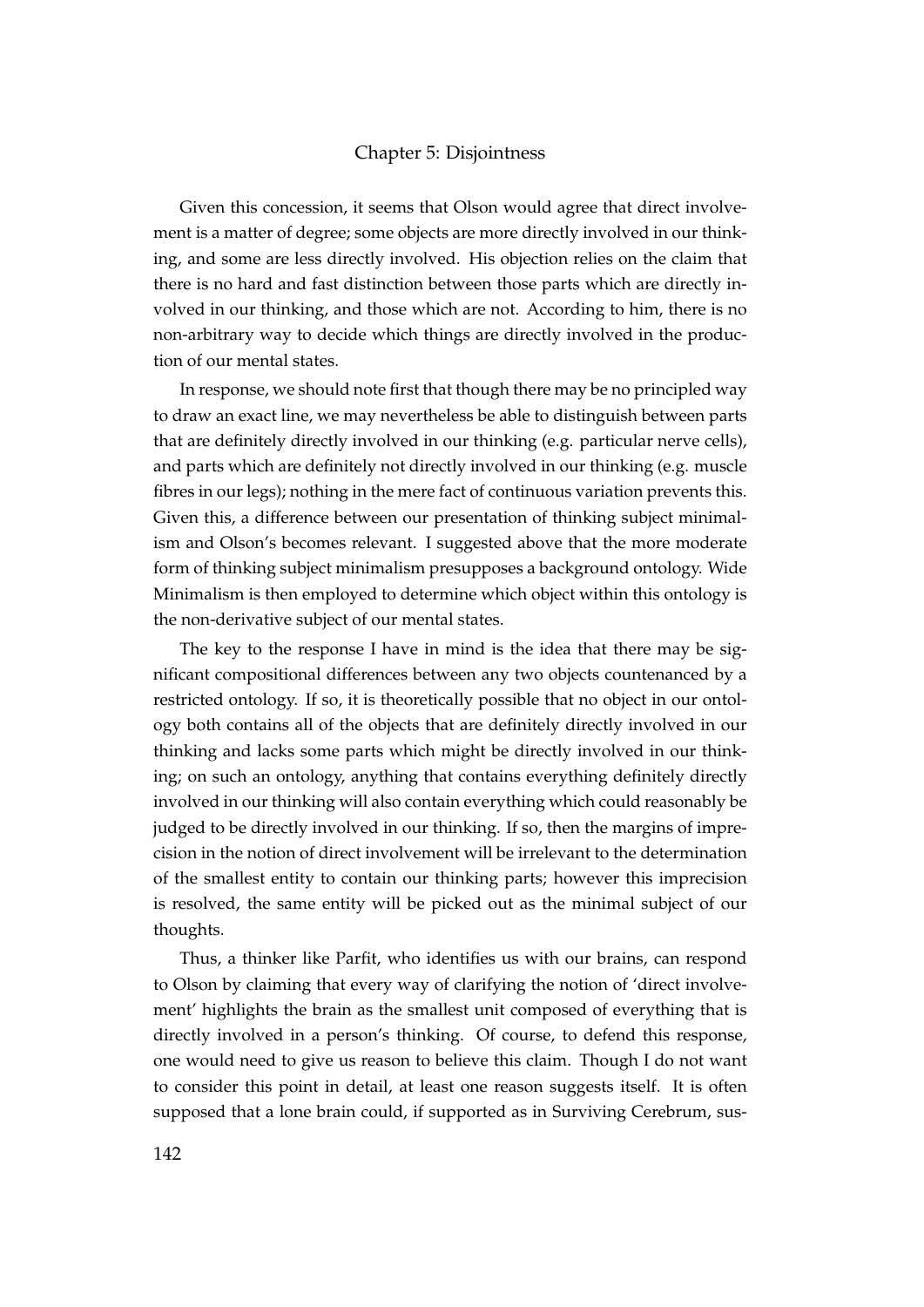Given this concession, it seems that Olson would agree that direct involvement is a matter of degree; some objects are more directly involved in our thinking, and some are less directly involved. His objection relies on the claim that there is no hard and fast distinction between those parts which are directly involved in our thinking, and those which are not. According to him, there is no non-arbitrary way to decide which things are directly involved in the production of our mental states.

In response, we should note first that though there may be no principled way to draw an exact line, we may nevertheless be able to distinguish between parts that are definitely directly involved in our thinking (e.g. particular nerve cells), and parts which are definitely not directly involved in our thinking (e.g. muscle fibres in our legs); nothing in the mere fact of continuous variation prevents this. Given this, a difference between our presentation of thinking subject minimalism and Olson's becomes relevant. I suggested above that the more moderate form of thinking subject minimalism presupposes a background ontology. [Wide](#page-136-1) [Minimalism](#page-136-1) is then employed to determine which object within this ontology is the non-derivative subject of our mental states.

The key to the response I have in mind is the idea that there may be significant compositional differences between any two objects countenanced by a restricted ontology. If so, it is theoretically possible that no object in our ontology both contains all of the objects that are definitely directly involved in our thinking and lacks some parts which might be directly involved in our thinking; on such an ontology, anything that contains everything definitely directly involved in our thinking will also contain everything which could reasonably be judged to be directly involved in our thinking. If so, then the margins of imprecision in the notion of direct involvement will be irrelevant to the determination of the smallest entity to contain our thinking parts; however this imprecision is resolved, the same entity will be picked out as the minimal subject of our thoughts.

Thus, a thinker like Parfit, who identifies us with our brains, can respond to Olson by claiming that every way of clarifying the notion of 'direct involvement' highlights the brain as the smallest unit composed of everything that is directly involved in a person's thinking. Of course, to defend this response, one would need to give us reason to believe this claim. Though I do not want to consider this point in detail, at least one reason suggests itself. It is often supposed that a lone brain could, if supported as in [Surviving Cerebrum,](#page-138-1) sus-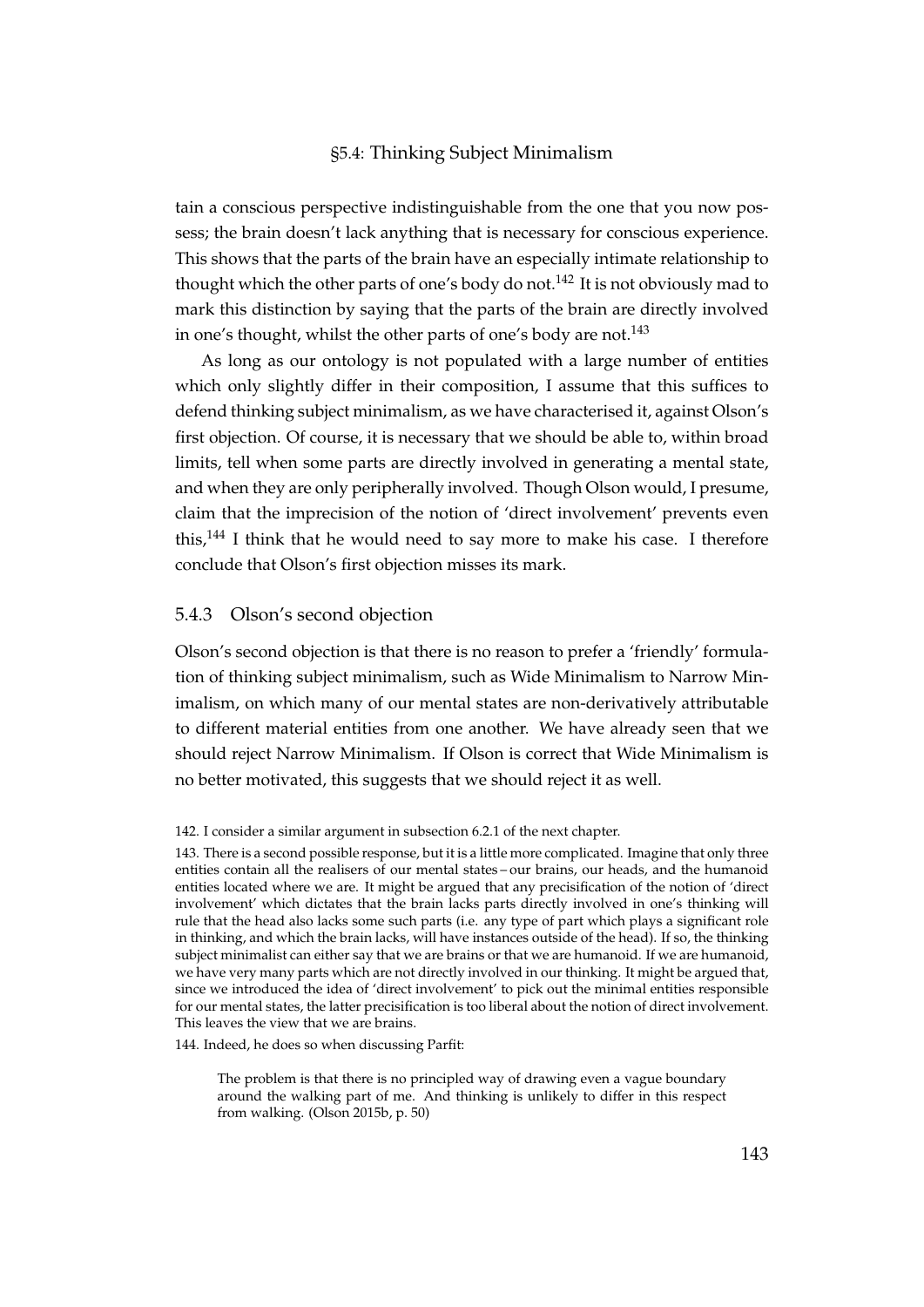#### §5.4: Thinking Subject Minimalism

tain a conscious perspective indistinguishable from the one that you now possess; the brain doesn't lack anything that is necessary for conscious experience. This shows that the parts of the brain have an especially intimate relationship to thought which the other parts of one's body do not.<sup>[142](#page-142-1)</sup> It is not obviously mad to mark this distinction by saying that the parts of the brain are directly involved in one's thought, whilst the other parts of one's body are not.<sup>[143](#page-142-2)</sup>

As long as our ontology is not populated with a large number of entities which only slightly differ in their composition, I assume that this suffices to defend thinking subject minimalism, as we have characterised it, against Olson's first objection. Of course, it is necessary that we should be able to, within broad limits, tell when some parts are directly involved in generating a mental state, and when they are only peripherally involved. Though Olson would, I presume, claim that the imprecision of the notion of 'direct involvement' prevents even this, $144$  I think that he would need to say more to make his case. I therefore conclude that Olson's first objection misses its mark.

#### <span id="page-142-0"></span>5.4.3 Olson's second objection

Olson's second objection is that there is no reason to prefer a 'friendly' formulation of thinking subject minimalism, such as [Wide Minimalism](#page-136-1) to [Narrow Min](#page-133-0)[imalism,](#page-133-0) on which many of our mental states are non-derivatively attributable to different material entities from one another. We have already seen that we should reject [Narrow Minimalism.](#page-133-0) If Olson is correct that [Wide Minimalism](#page-136-1) is no better motivated, this suggests that we should reject it as well.

#### <span id="page-142-1"></span>142. I consider a similar argument in subsection [6.2.1](#page-155-0) of the next chapter.

<span id="page-142-2"></span>143. There is a second possible response, but it is a little more complicated. Imagine that only three entities contain all the realisers of our mental states – our brains, our heads, and the humanoid entities located where we are. It might be argued that any precisification of the notion of 'direct involvement' which dictates that the brain lacks parts directly involved in one's thinking will rule that the head also lacks some such parts (i.e. any type of part which plays a significant role in thinking, and which the brain lacks, will have instances outside of the head). If so, the thinking subject minimalist can either say that we are brains or that we are humanoid. If we are humanoid, we have very many parts which are not directly involved in our thinking. It might be argued that, since we introduced the idea of 'direct involvement' to pick out the minimal entities responsible for our mental states, the latter precisification is too liberal about the notion of direct involvement. This leaves the view that we are brains.

<span id="page-142-3"></span>144. Indeed, he does so when discussing Parfit:

The problem is that there is no principled way of drawing even a vague boundary around the walking part of me. And thinking is unlikely to differ in this respect from walking. [\(Olson 2015b,](#page-215-2) p. 50)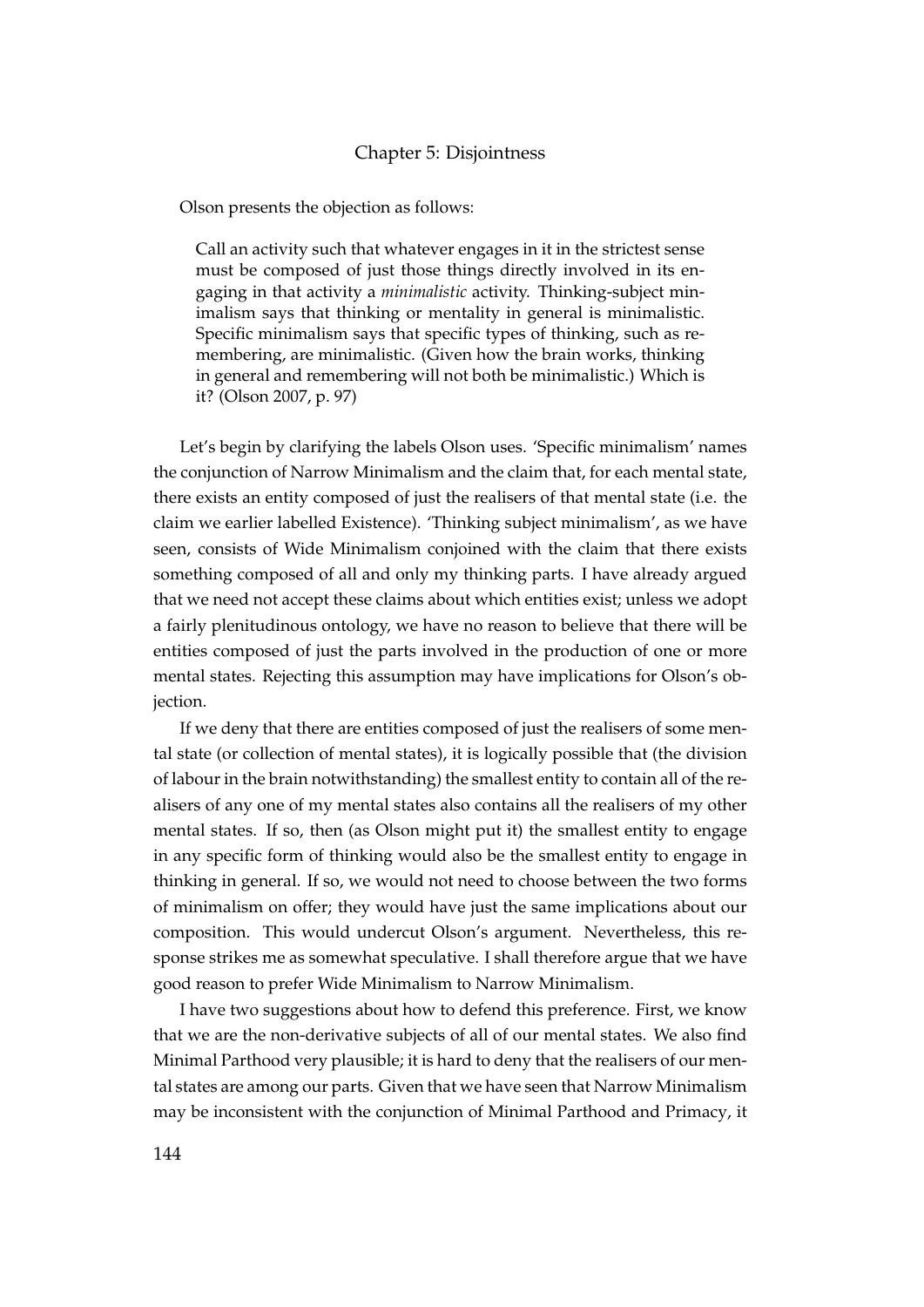Olson presents the objection as follows:

Call an activity such that whatever engages in it in the strictest sense must be composed of just those things directly involved in its engaging in that activity a *minimalistic* activity. Thinking-subject minimalism says that thinking or mentality in general is minimalistic. Specific minimalism says that specific types of thinking, such as remembering, are minimalistic. (Given how the brain works, thinking in general and remembering will not both be minimalistic.) Which is it? [\(Olson 2007,](#page-215-1) p. 97)

Let's begin by clarifying the labels Olson uses. 'Specific minimalism' names the conjunction of [Narrow Minimalism](#page-133-0) and the claim that, for each mental state, there exists an entity composed of just the realisers of that mental state (i.e. the claim we earlier labelled [Existence\)](#page-133-1). 'Thinking subject minimalism', as we have seen, consists of [Wide Minimalism](#page-136-1) conjoined with the claim that there exists something composed of all and only my thinking parts. I have already argued that we need not accept these claims about which entities exist; unless we adopt a fairly plenitudinous ontology, we have no reason to believe that there will be entities composed of just the parts involved in the production of one or more mental states. Rejecting this assumption may have implications for Olson's objection.

If we deny that there are entities composed of just the realisers of some mental state (or collection of mental states), it is logically possible that (the division of labour in the brain notwithstanding) the smallest entity to contain all of the realisers of any one of my mental states also contains all the realisers of my other mental states. If so, then (as Olson might put it) the smallest entity to engage in any specific form of thinking would also be the smallest entity to engage in thinking in general. If so, we would not need to choose between the two forms of minimalism on offer; they would have just the same implications about our composition. This would undercut Olson's argument. Nevertheless, this response strikes me as somewhat speculative. I shall therefore argue that we have good reason to prefer [Wide Minimalism](#page-136-1) to [Narrow Minimalism.](#page-133-0)

I have two suggestions about how to defend this preference. First, we know that we are the non-derivative subjects of all of our mental states. We also find [Minimal Parthood](#page-122-1) very plausible; it is hard to deny that the realisers of our mental states are among our parts. Given that we have seen that [Narrow Minimalism](#page-133-0) may be inconsistent with the conjunction of [Minimal Parthood](#page-122-1) and [Primacy,](#page-132-3) it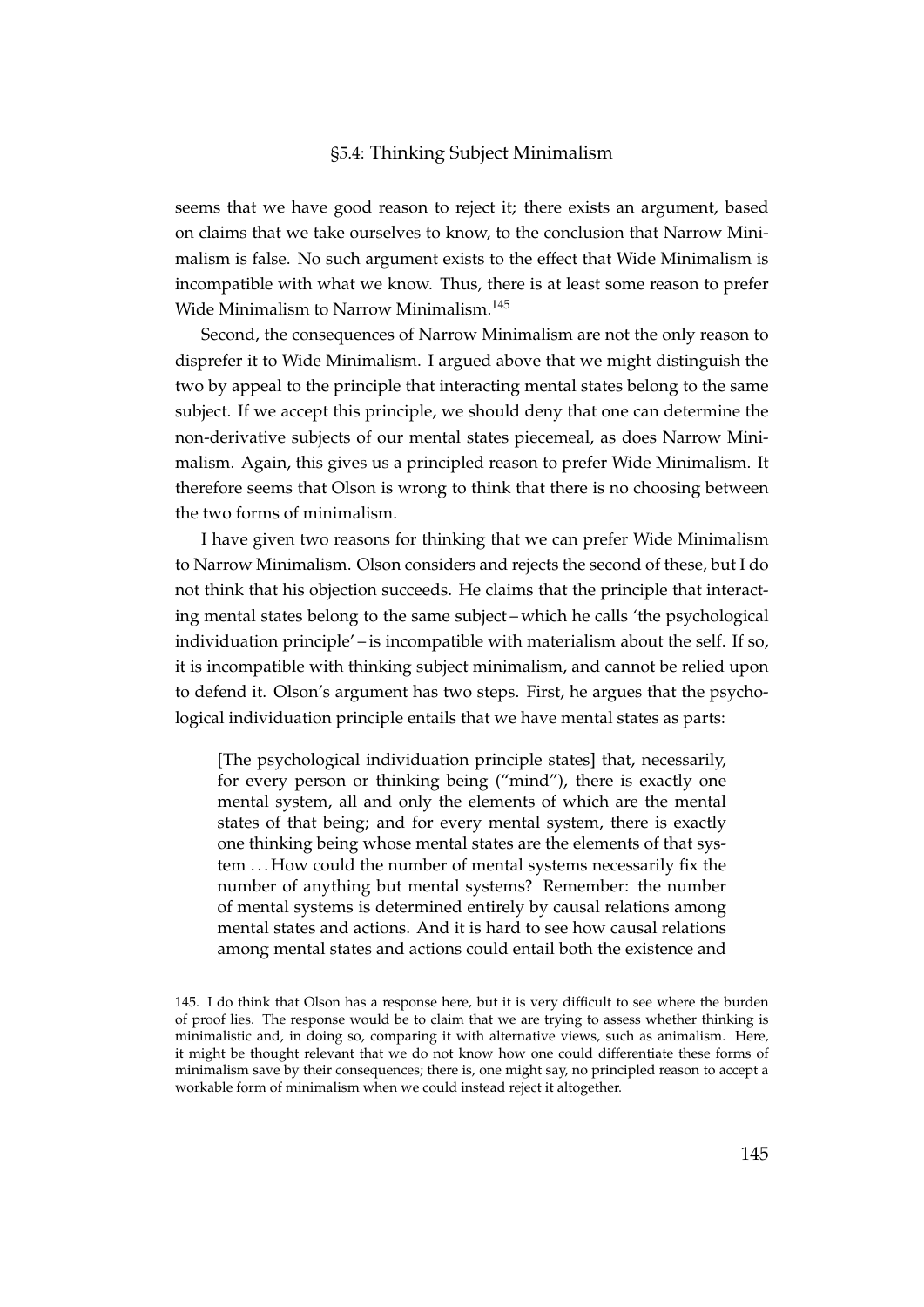#### §5.4: Thinking Subject Minimalism

seems that we have good reason to reject it; there exists an argument, based on claims that we take ourselves to know, to the conclusion that [Narrow Mini](#page-133-0)[malism](#page-133-0) is false. No such argument exists to the effect that [Wide Minimalism](#page-136-0) is incompatible with what we know. Thus, there is at least some reason to prefer [Wide Minimalism](#page-136-0) to [Narrow Minimalism.](#page-133-0)[145](#page-144-0)

Second, the consequences of [Narrow Minimalism](#page-133-0) are not the only reason to disprefer it to [Wide Minimalism.](#page-136-0) I argued above that we might distinguish the two by appeal to the principle that interacting mental states belong to the same subject. If we accept this principle, we should deny that one can determine the non-derivative subjects of our mental states piecemeal, as does [Narrow Mini](#page-133-0)[malism.](#page-133-0) Again, this gives us a principled reason to prefer [Wide Minimalism.](#page-136-0) It therefore seems that Olson is wrong to think that there is no choosing between the two forms of minimalism.

I have given two reasons for thinking that we can prefer [Wide Minimalism](#page-136-0) to [Narrow Minimalism.](#page-133-0) Olson considers and rejects the second of these, but I do not think that his objection succeeds. He claims that the principle that interacting mental states belong to the same subject – which he calls 'the psychological individuation principle' – is incompatible with materialism about the self. If so, it is incompatible with thinking subject minimalism, and cannot be relied upon to defend it. Olson's argument has two steps. First, he argues that the psychological individuation principle entails that we have mental states as parts:

[The psychological individuation principle states] that, necessarily, for every person or thinking being ("mind"), there is exactly one mental system, all and only the elements of which are the mental states of that being; and for every mental system, there is exactly one thinking being whose mental states are the elements of that system . . . How could the number of mental systems necessarily fix the number of anything but mental systems? Remember: the number of mental systems is determined entirely by causal relations among mental states and actions. And it is hard to see how causal relations among mental states and actions could entail both the existence and

<span id="page-144-0"></span><sup>145.</sup> I do think that Olson has a response here, but it is very difficult to see where the burden of proof lies. The response would be to claim that we are trying to assess whether thinking is minimalistic and, in doing so, comparing it with alternative views, such as animalism. Here, it might be thought relevant that we do not know how one could differentiate these forms of minimalism save by their consequences; there is, one might say, no principled reason to accept a workable form of minimalism when we could instead reject it altogether.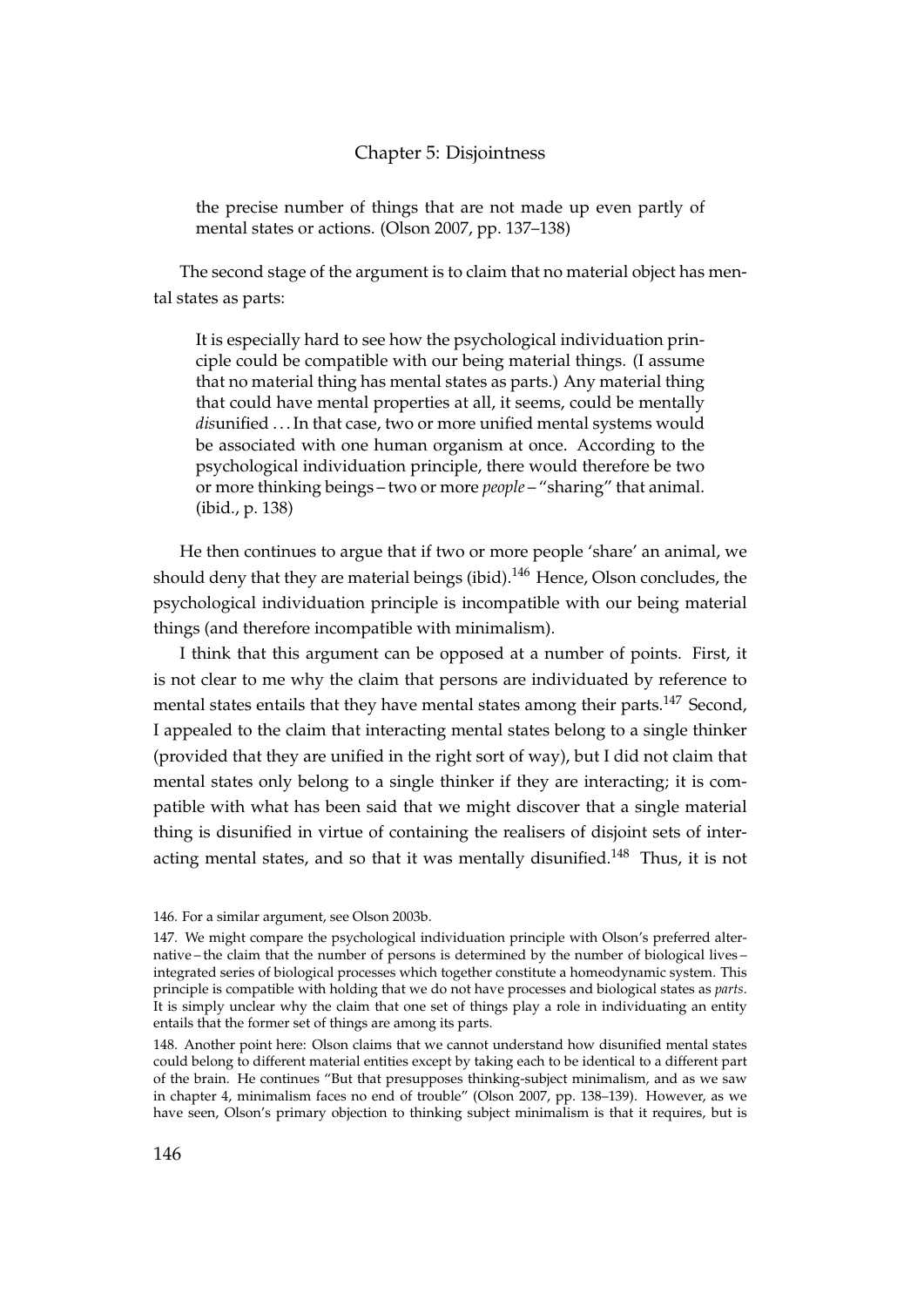#### Chapter 5: Disjointness

the precise number of things that are not made up even partly of mental states or actions. [\(Olson 2007,](#page-215-0) pp. 137–138)

The second stage of the argument is to claim that no material object has mental states as parts:

It is especially hard to see how the psychological individuation principle could be compatible with our being material things. (I assume that no material thing has mental states as parts.) Any material thing that could have mental properties at all, it seems, could be mentally *dis*unified . . . In that case, two or more unified mental systems would be associated with one human organism at once. According to the psychological individuation principle, there would therefore be two or more thinking beings – two or more *people* – "sharing" that animal. [\(ibid.,](#page-215-0) p. 138)

He then continues to argue that if two or more people 'share' an animal, we should deny that they are material beings (ibid).<sup>[146](#page-145-0)</sup> Hence, Olson concludes, the psychological individuation principle is incompatible with our being material things (and therefore incompatible with minimalism).

I think that this argument can be opposed at a number of points. First, it is not clear to me why the claim that persons are individuated by reference to mental states entails that they have mental states among their parts.<sup>[147](#page-145-1)</sup> Second, I appealed to the claim that interacting mental states belong to a single thinker (provided that they are unified in the right sort of way), but I did not claim that mental states only belong to a single thinker if they are interacting; it is compatible with what has been said that we might discover that a single material thing is disunified in virtue of containing the realisers of disjoint sets of inter-acting mental states, and so that it was mentally disunified.<sup>[148](#page-145-2)</sup> Thus, it is not

<span id="page-145-2"></span>148. Another point here: Olson claims that we cannot understand how disunified mental states could belong to different material entities except by taking each to be identical to a different part of the brain. He continues "But that presupposes thinking-subject minimalism, and as we saw in chapter 4, minimalism faces no end of trouble" [\(Olson 2007,](#page-215-0) pp. 138–139). However, as we have seen, Olson's primary objection to thinking subject minimalism is that it requires, but is

<span id="page-145-0"></span><sup>146.</sup> For a similar argument, see [Olson 2003b.](#page-215-1)

<span id="page-145-1"></span><sup>147.</sup> We might compare the psychological individuation principle with Olson's preferred alternative – the claim that the number of persons is determined by the number of biological lives – integrated series of biological processes which together constitute a homeodynamic system. This principle is compatible with holding that we do not have processes and biological states as *parts*. It is simply unclear why the claim that one set of things play a role in individuating an entity entails that the former set of things are among its parts.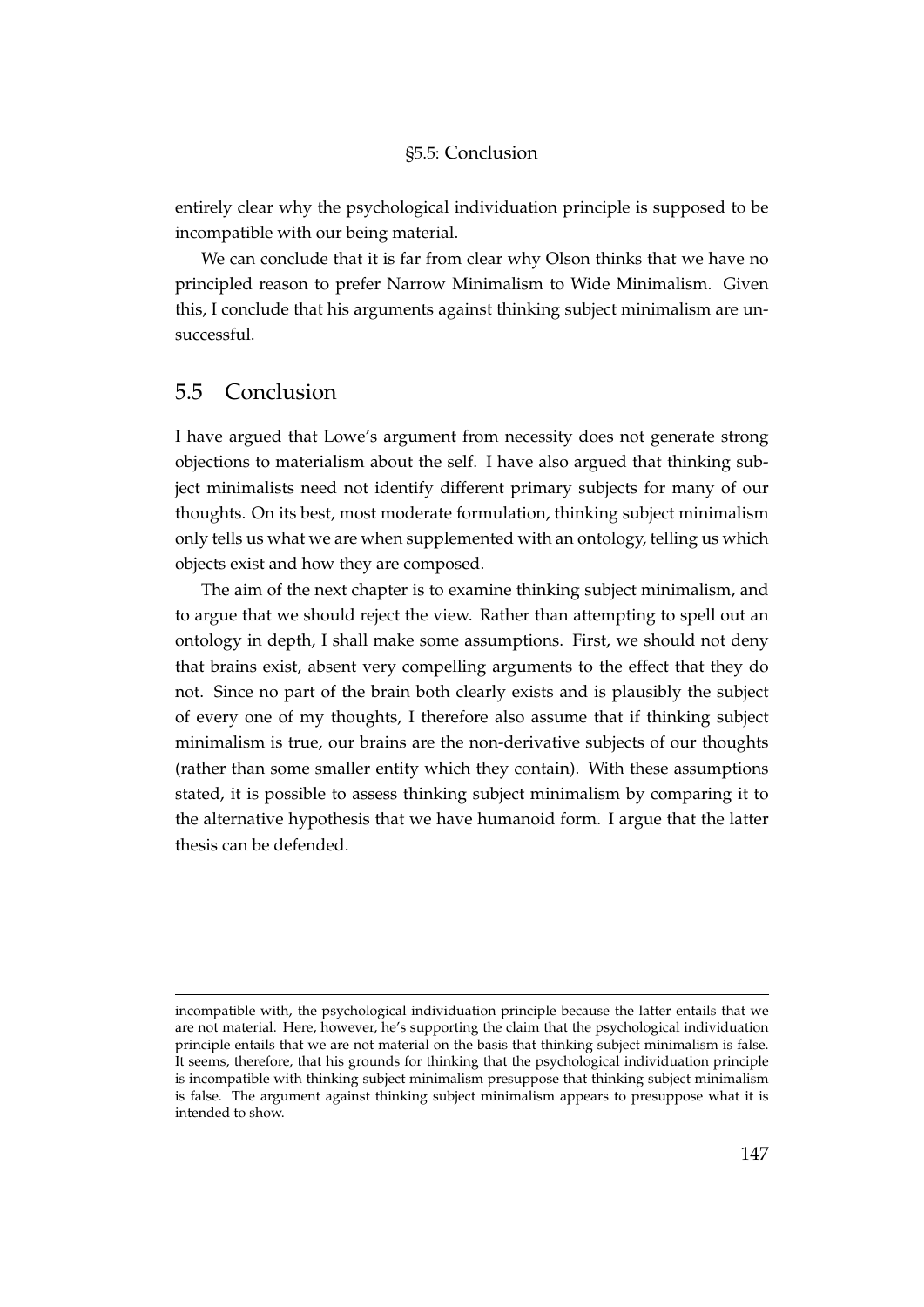#### §5.5: Conclusion

entirely clear why the psychological individuation principle is supposed to be incompatible with our being material.

We can conclude that it is far from clear why Olson thinks that we have no principled reason to prefer [Narrow Minimalism](#page-133-0) to [Wide Minimalism.](#page-136-0) Given this, I conclude that his arguments against thinking subject minimalism are unsuccessful.

# 5.5 Conclusion

I have argued that Lowe's argument from necessity does not generate strong objections to materialism about the self. I have also argued that thinking subject minimalists need not identify different primary subjects for many of our thoughts. On its best, most moderate formulation, thinking subject minimalism only tells us what we are when supplemented with an ontology, telling us which objects exist and how they are composed.

The aim of the next chapter is to examine thinking subject minimalism, and to argue that we should reject the view. Rather than attempting to spell out an ontology in depth, I shall make some assumptions. First, we should not deny that brains exist, absent very compelling arguments to the effect that they do not. Since no part of the brain both clearly exists and is plausibly the subject of every one of my thoughts, I therefore also assume that if thinking subject minimalism is true, our brains are the non-derivative subjects of our thoughts (rather than some smaller entity which they contain). With these assumptions stated, it is possible to assess thinking subject minimalism by comparing it to the alternative hypothesis that we have humanoid form. I argue that the latter thesis can be defended.

incompatible with, the psychological individuation principle because the latter entails that we are not material. Here, however, he's supporting the claim that the psychological individuation principle entails that we are not material on the basis that thinking subject minimalism is false. It seems, therefore, that his grounds for thinking that the psychological individuation principle is incompatible with thinking subject minimalism presuppose that thinking subject minimalism is false. The argument against thinking subject minimalism appears to presuppose what it is intended to show.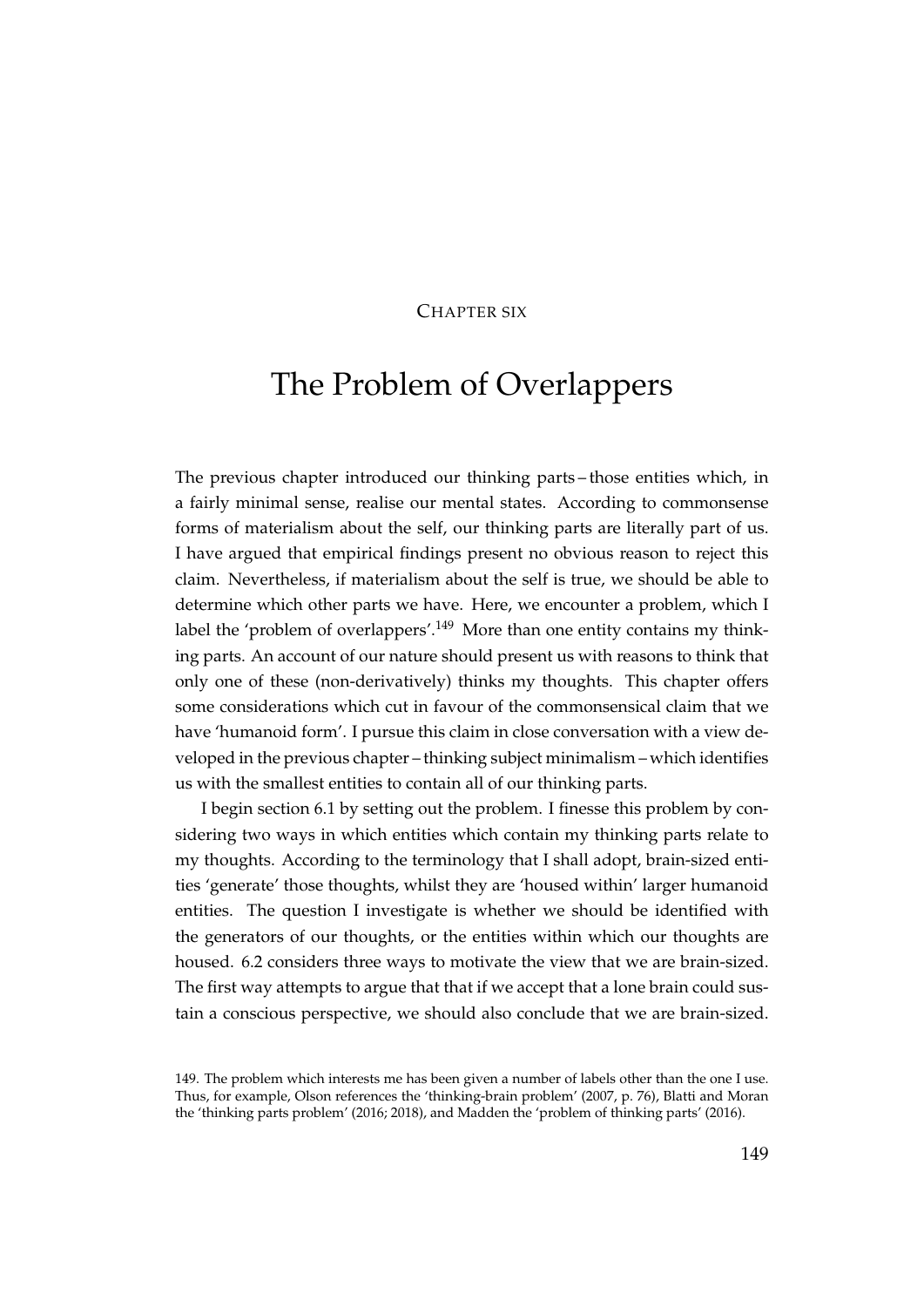#### CHAPTER SIX

# The Problem of Overlappers

The previous chapter introduced our thinking parts – those entities which, in a fairly minimal sense, realise our mental states. According to commonsense forms of materialism about the self, our thinking parts are literally part of us. I have argued that empirical findings present no obvious reason to reject this claim. Nevertheless, if materialism about the self is true, we should be able to determine which other parts we have. Here, we encounter a problem, which I label the 'problem of overlappers'.<sup>[149](#page-148-0)</sup> More than one entity contains my thinking parts. An account of our nature should present us with reasons to think that only one of these (non-derivatively) thinks my thoughts. This chapter offers some considerations which cut in favour of the commonsensical claim that we have 'humanoid form'. I pursue this claim in close conversation with a view developed in the previous chapter – thinking subject minimalism – which identifies us with the smallest entities to contain all of our thinking parts.

I begin section [6.1](#page-149-0) by setting out the problem. I finesse this problem by considering two ways in which entities which contain my thinking parts relate to my thoughts. According to the terminology that I shall adopt, brain-sized entities 'generate' those thoughts, whilst they are 'housed within' larger humanoid entities. The question I investigate is whether we should be identified with the generators of our thoughts, or the entities within which our thoughts are housed. [6.2](#page-155-0) considers three ways to motivate the view that we are brain-sized. The first way attempts to argue that that if we accept that a lone brain could sustain a conscious perspective, we should also conclude that we are brain-sized.

<span id="page-148-0"></span><sup>149.</sup> The problem which interests me has been given a number of labels other than the one I use. Thus, for example, Olson references the 'thinking-brain problem' (2007, p. 76), Blatti and Moran the 'thinking parts problem' (2016; 2018), and Madden the 'problem of thinking parts' (2016).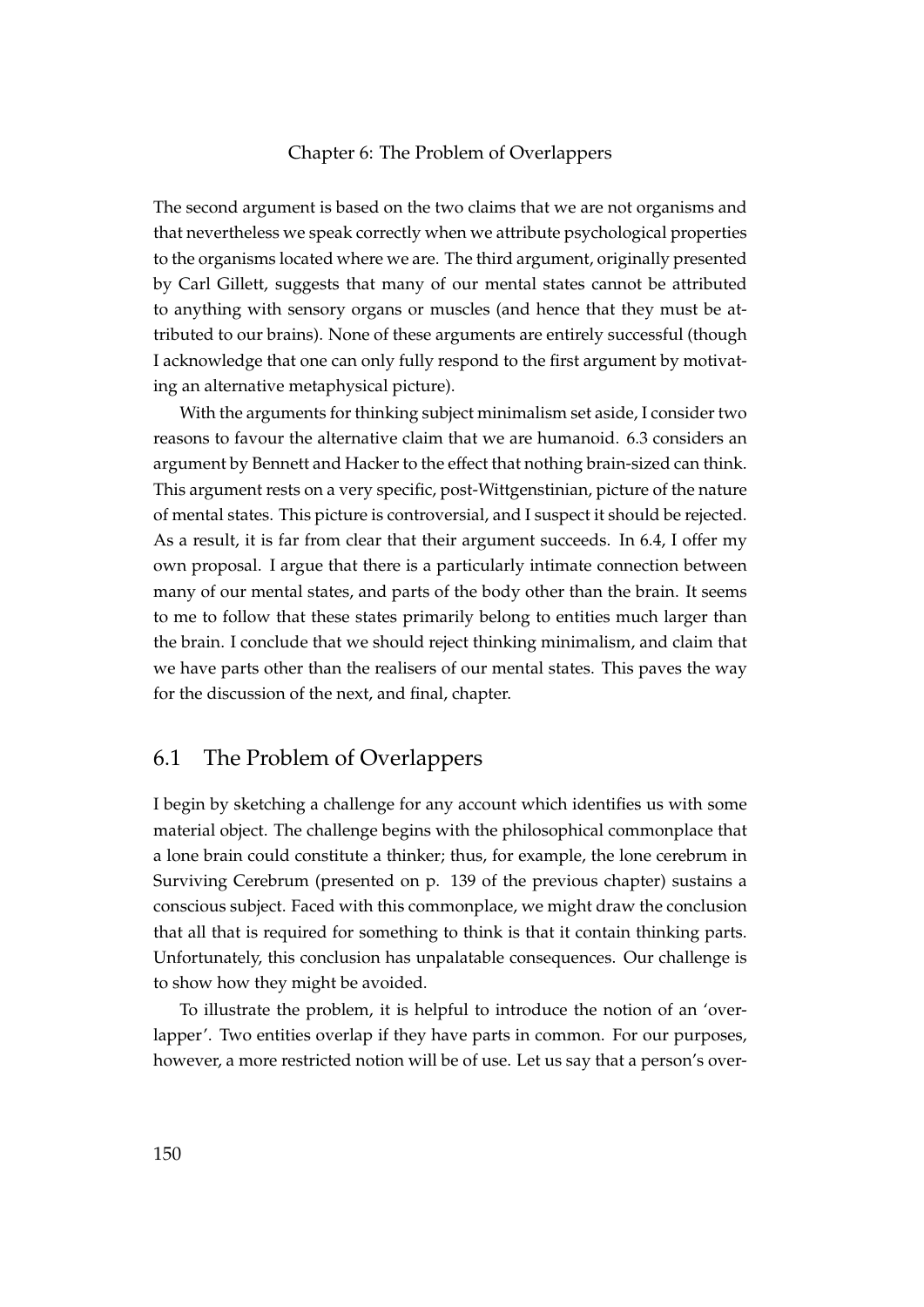The second argument is based on the two claims that we are not organisms and that nevertheless we speak correctly when we attribute psychological properties to the organisms located where we are. The third argument, originally presented by Carl Gillett, suggests that many of our mental states cannot be attributed to anything with sensory organs or muscles (and hence that they must be attributed to our brains). None of these arguments are entirely successful (though I acknowledge that one can only fully respond to the first argument by motivating an alternative metaphysical picture).

With the arguments for thinking subject minimalism set aside, I consider two reasons to favour the alternative claim that we are humanoid. [6.3](#page-168-0) considers an argument by Bennett and Hacker to the effect that nothing brain-sized can think. This argument rests on a very specific, post-Wittgenstinian, picture of the nature of mental states. This picture is controversial, and I suspect it should be rejected. As a result, it is far from clear that their argument succeeds. In [6.4,](#page-174-0) I offer my own proposal. I argue that there is a particularly intimate connection between many of our mental states, and parts of the body other than the brain. It seems to me to follow that these states primarily belong to entities much larger than the brain. I conclude that we should reject thinking minimalism, and claim that we have parts other than the realisers of our mental states. This paves the way for the discussion of the next, and final, chapter.

# <span id="page-149-0"></span>6.1 The Problem of Overlappers

I begin by sketching a challenge for any account which identifies us with some material object. The challenge begins with the philosophical commonplace that a lone brain could constitute a thinker; thus, for example, the lone cerebrum in [Surviving Cerebrum](#page-138-0) (presented on p. [139](#page-138-0) of the previous chapter) sustains a conscious subject. Faced with this commonplace, we might draw the conclusion that all that is required for something to think is that it contain thinking parts. Unfortunately, this conclusion has unpalatable consequences. Our challenge is to show how they might be avoided.

To illustrate the problem, it is helpful to introduce the notion of an 'overlapper'. Two entities overlap if they have parts in common. For our purposes, however, a more restricted notion will be of use. Let us say that a person's over-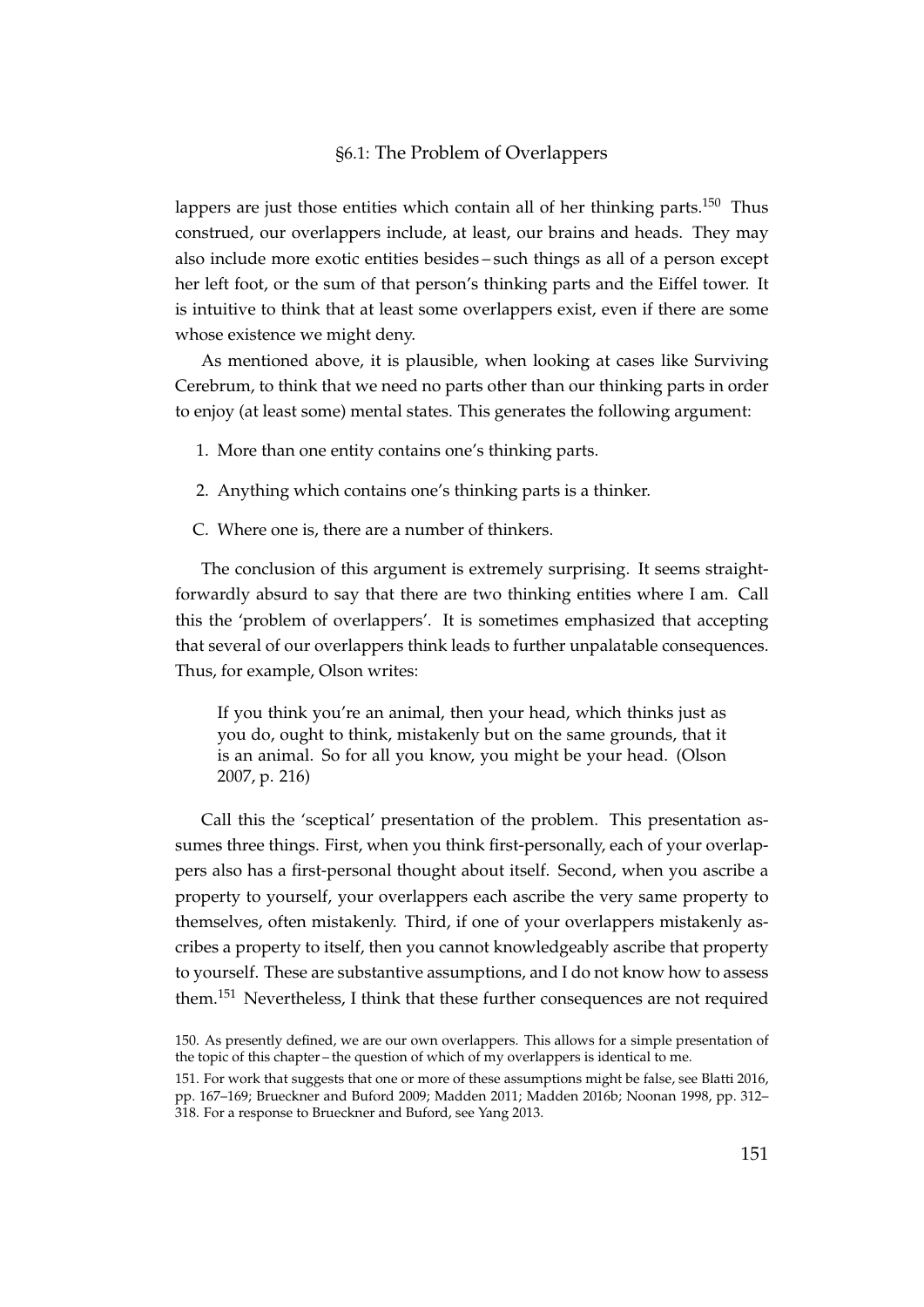#### §6.1: The Problem of Overlappers

lappers are just those entities which contain all of her thinking parts.<sup>[150](#page-150-0)</sup> Thus construed, our overlappers include, at least, our brains and heads. They may also include more exotic entities besides – such things as all of a person except her left foot, or the sum of that person's thinking parts and the Eiffel tower. It is intuitive to think that at least some overlappers exist, even if there are some whose existence we might deny.

As mentioned above, it is plausible, when looking at cases like [Surviving](#page-138-0) [Cerebrum,](#page-138-0) to think that we need no parts other than our thinking parts in order to enjoy (at least some) mental states. This generates the following argument:

- 1. More than one entity contains one's thinking parts.
- 2. Anything which contains one's thinking parts is a thinker.
- C. Where one is, there are a number of thinkers.

The conclusion of this argument is extremely surprising. It seems straightforwardly absurd to say that there are two thinking entities where I am. Call this the 'problem of overlappers'. It is sometimes emphasized that accepting that several of our overlappers think leads to further unpalatable consequences. Thus, for example, Olson writes:

If you think you're an animal, then your head, which thinks just as you do, ought to think, mistakenly but on the same grounds, that it is an animal. So for all you know, you might be your head. [\(Olson](#page-215-0) [2007,](#page-215-0) p. 216)

Call this the 'sceptical' presentation of the problem. This presentation assumes three things. First, when you think first-personally, each of your overlappers also has a first-personal thought about itself. Second, when you ascribe a property to yourself, your overlappers each ascribe the very same property to themselves, often mistakenly. Third, if one of your overlappers mistakenly ascribes a property to itself, then you cannot knowledgeably ascribe that property to yourself. These are substantive assumptions, and I do not know how to assess them.<sup>[151](#page-150-1)</sup> Nevertheless, I think that these further consequences are not required

<span id="page-150-0"></span><sup>150.</sup> As presently defined, we are our own overlappers. This allows for a simple presentation of the topic of this chapter – the question of which of my overlappers is identical to me.

<span id="page-150-1"></span><sup>151.</sup> For work that suggests that one or more of these assumptions might be false, see [Blatti 2016,](#page-209-0) pp. 167–169; [Brueckner and Buford 2009;](#page-209-1) [Madden 2011;](#page-213-0) [Madden 2016b;](#page-214-0) [Noonan 1998,](#page-214-1) pp. 312– 318. For a response to Brueckner and Buford, see [Yang 2013.](#page-220-0)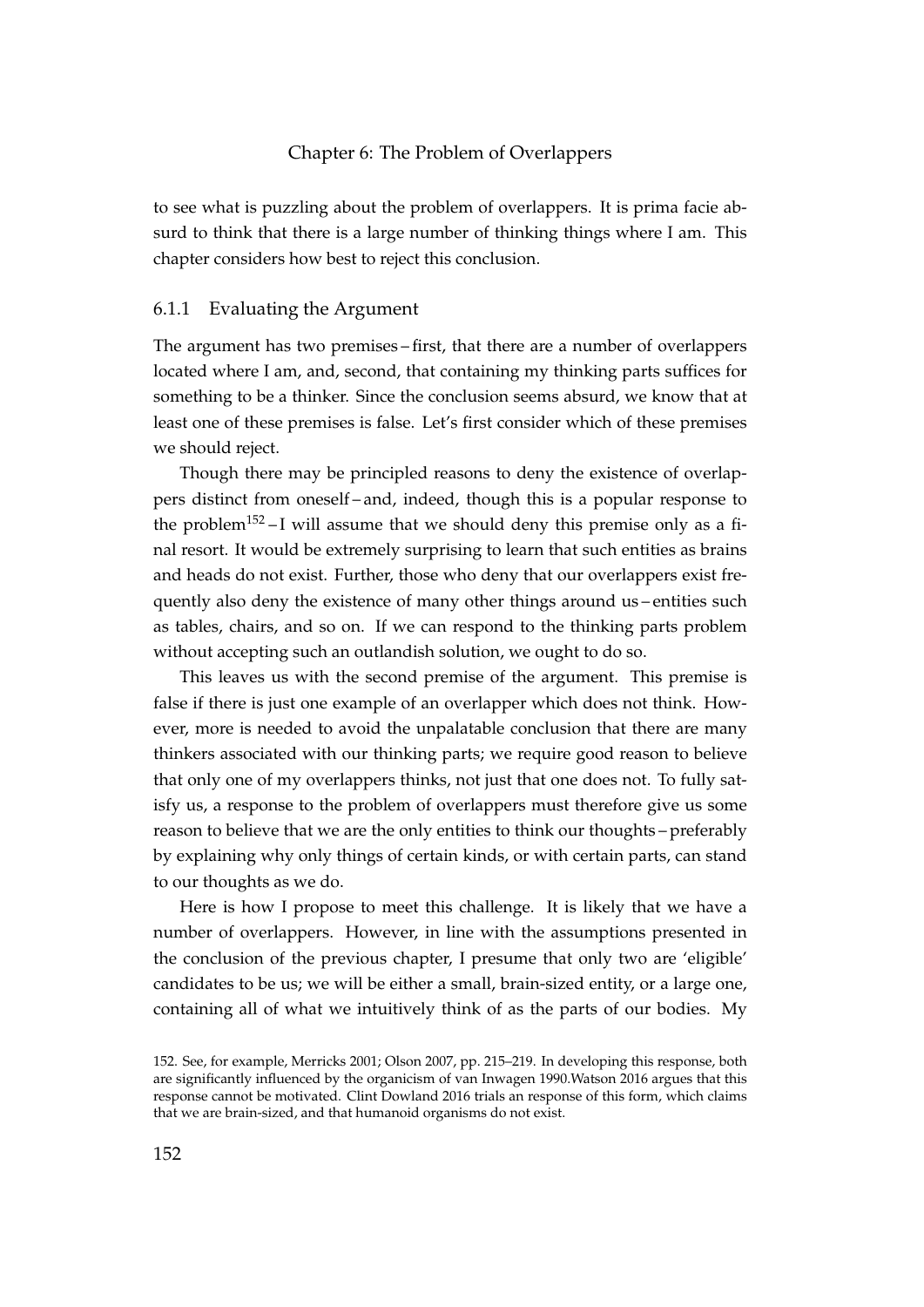to see what is puzzling about the problem of overlappers. It is prima facie absurd to think that there is a large number of thinking things where I am. This chapter considers how best to reject this conclusion.

#### 6.1.1 Evaluating the Argument

The argument has two premises – first, that there are a number of overlappers located where I am, and, second, that containing my thinking parts suffices for something to be a thinker. Since the conclusion seems absurd, we know that at least one of these premises is false. Let's first consider which of these premises we should reject.

Though there may be principled reasons to deny the existence of overlappers distinct from oneself – and, indeed, though this is a popular response to the problem<sup>[152](#page-151-0)</sup> – I will assume that we should deny this premise only as a final resort. It would be extremely surprising to learn that such entities as brains and heads do not exist. Further, those who deny that our overlappers exist frequently also deny the existence of many other things around us – entities such as tables, chairs, and so on. If we can respond to the thinking parts problem without accepting such an outlandish solution, we ought to do so.

This leaves us with the second premise of the argument. This premise is false if there is just one example of an overlapper which does not think. However, more is needed to avoid the unpalatable conclusion that there are many thinkers associated with our thinking parts; we require good reason to believe that only one of my overlappers thinks, not just that one does not. To fully satisfy us, a response to the problem of overlappers must therefore give us some reason to believe that we are the only entities to think our thoughts – preferably by explaining why only things of certain kinds, or with certain parts, can stand to our thoughts as we do.

Here is how I propose to meet this challenge. It is likely that we have a number of overlappers. However, in line with the assumptions presented in the conclusion of the previous chapter, I presume that only two are 'eligible' candidates to be us; we will be either a small, brain-sized entity, or a large one, containing all of what we intuitively think of as the parts of our bodies. My

<span id="page-151-0"></span><sup>152.</sup> See, for example, [Merricks 2001;](#page-214-2) [Olson 2007,](#page-215-0) pp. 215–219. In developing this response, both are significantly influenced by the organicism of [van Inwagen 1990.](#page-219-0)[Watson 2016](#page-219-1) argues that this response cannot be motivated. [Clint Dowland 2016](#page-210-0) trials an response of this form, which claims that we are brain-sized, and that humanoid organisms do not exist.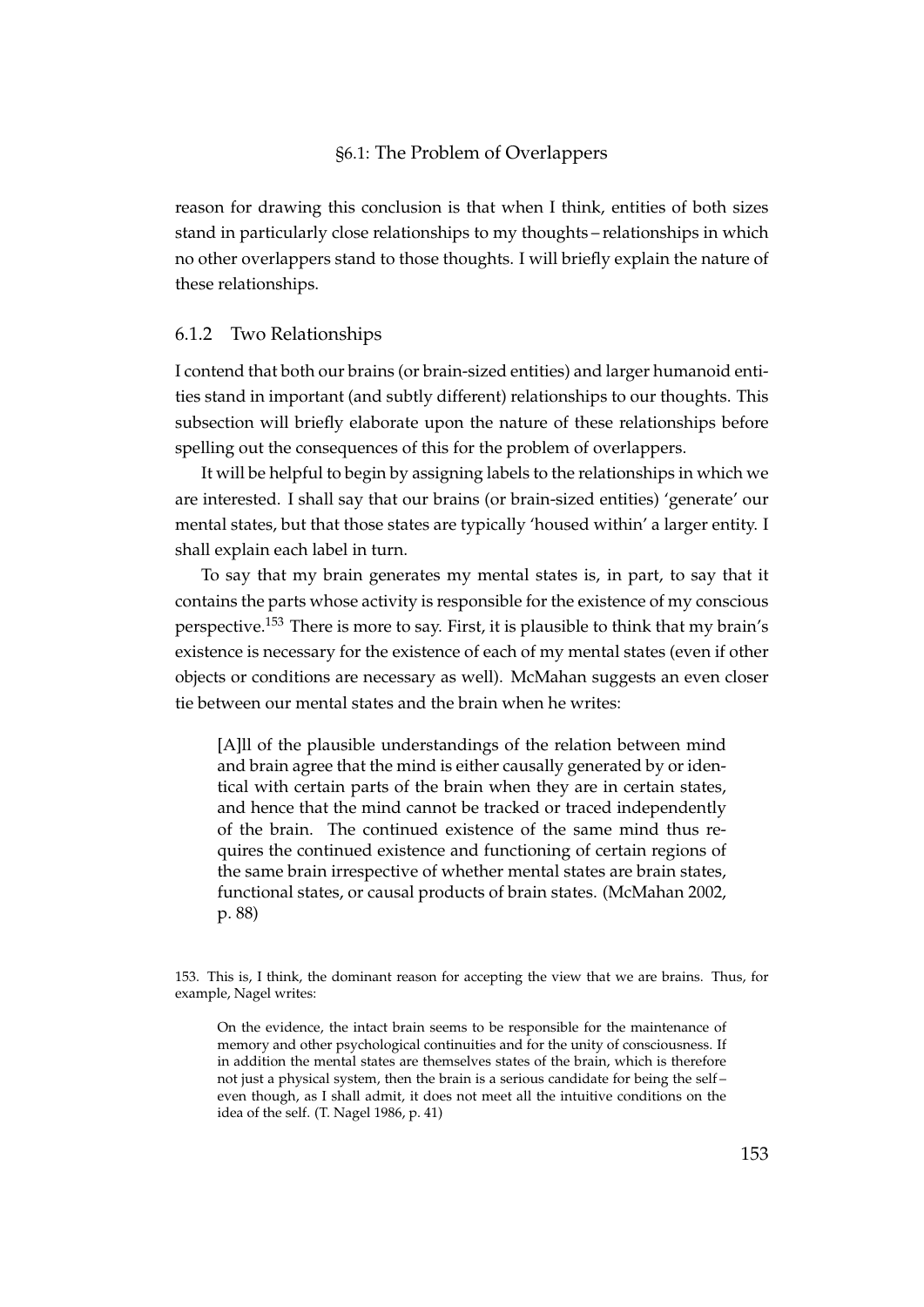# §6.1: The Problem of Overlappers

reason for drawing this conclusion is that when I think, entities of both sizes stand in particularly close relationships to my thoughts – relationships in which no other overlappers stand to those thoughts. I will briefly explain the nature of these relationships.

#### 6.1.2 Two Relationships

I contend that both our brains (or brain-sized entities) and larger humanoid entities stand in important (and subtly different) relationships to our thoughts. This subsection will briefly elaborate upon the nature of these relationships before spelling out the consequences of this for the problem of overlappers.

It will be helpful to begin by assigning labels to the relationships in which we are interested. I shall say that our brains (or brain-sized entities) 'generate' our mental states, but that those states are typically 'housed within' a larger entity. I shall explain each label in turn.

To say that my brain generates my mental states is, in part, to say that it contains the parts whose activity is responsible for the existence of my conscious perspective.[153](#page-152-0) There is more to say. First, it is plausible to think that my brain's existence is necessary for the existence of each of my mental states (even if other objects or conditions are necessary as well). McMahan suggests an even closer tie between our mental states and the brain when he writes:

[A]ll of the plausible understandings of the relation between mind and brain agree that the mind is either causally generated by or identical with certain parts of the brain when they are in certain states, and hence that the mind cannot be tracked or traced independently of the brain. The continued existence of the same mind thus requires the continued existence and functioning of certain regions of the same brain irrespective of whether mental states are brain states, functional states, or causal products of brain states. [\(McMahan 2002,](#page-214-3) p. 88)

<span id="page-152-0"></span>153. This is, I think, the dominant reason for accepting the view that we are brains. Thus, for example, Nagel writes:

On the evidence, the intact brain seems to be responsible for the maintenance of memory and other psychological continuities and for the unity of consciousness. If in addition the mental states are themselves states of the brain, which is therefore not just a physical system, then the brain is a serious candidate for being the self – even though, as I shall admit, it does not meet all the intuitive conditions on the idea of the self. [\(T. Nagel 1986,](#page-214-4) p. 41)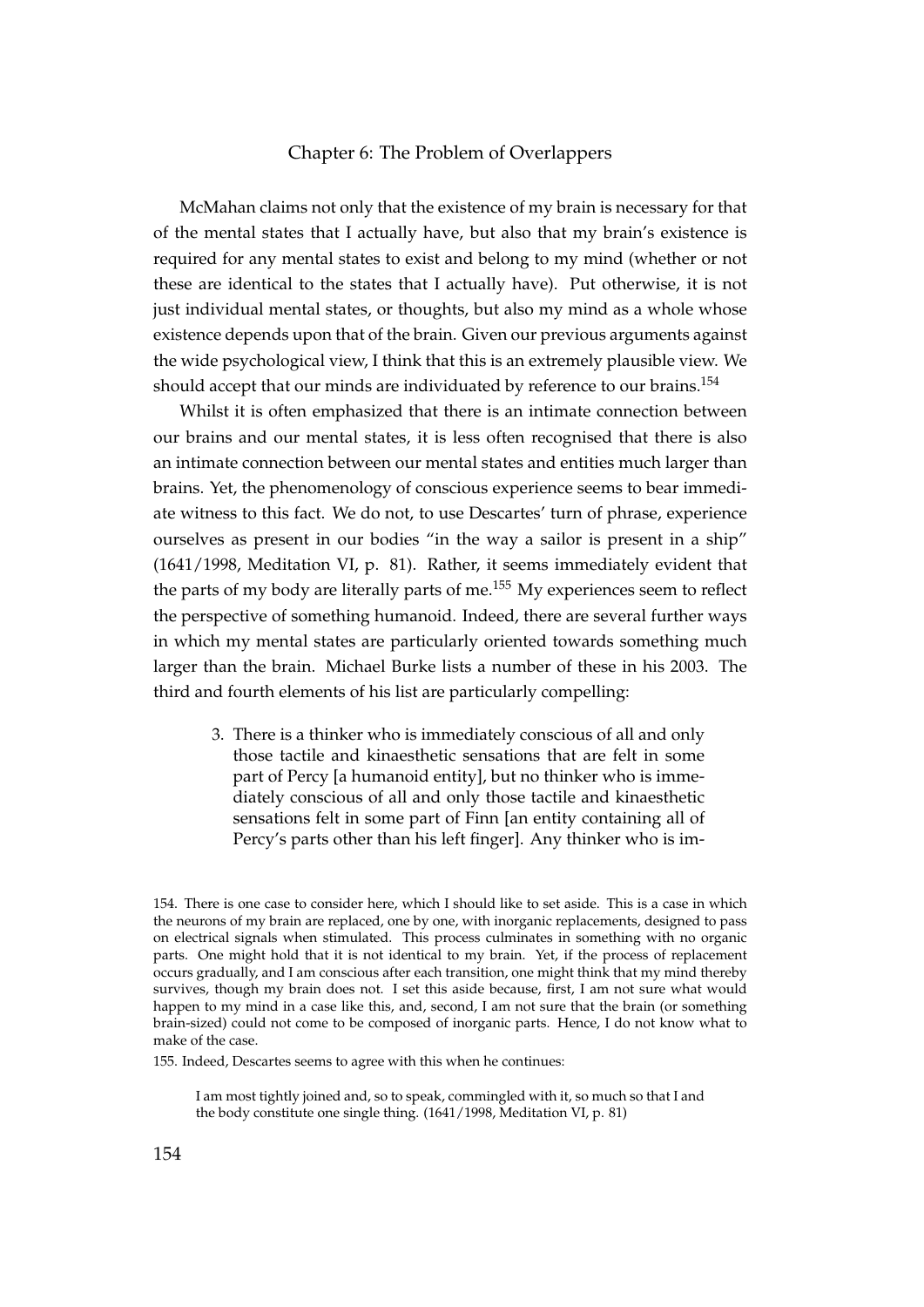McMahan claims not only that the existence of my brain is necessary for that of the mental states that I actually have, but also that my brain's existence is required for any mental states to exist and belong to my mind (whether or not these are identical to the states that I actually have). Put otherwise, it is not just individual mental states, or thoughts, but also my mind as a whole whose existence depends upon that of the brain. Given our previous arguments against the wide psychological view, I think that this is an extremely plausible view. We should accept that our minds are individuated by reference to our brains.<sup>[154](#page-153-0)</sup>

Whilst it is often emphasized that there is an intimate connection between our brains and our mental states, it is less often recognised that there is also an intimate connection between our mental states and entities much larger than brains. Yet, the phenomenology of conscious experience seems to bear immediate witness to this fact. We do not, to use Descartes' turn of phrase, experience ourselves as present in our bodies "in the way a sailor is present in a ship" (1641/1998, Meditation VI, p. 81). Rather, it seems immediately evident that the parts of my body are literally parts of me.<sup>[155](#page-153-1)</sup> My experiences seem to reflect the perspective of something humanoid. Indeed, there are several further ways in which my mental states are particularly oriented towards something much larger than the brain. Michael Burke lists a number of these in his [2003.](#page-209-2) The third and fourth elements of his list are particularly compelling:

3. There is a thinker who is immediately conscious of all and only those tactile and kinaesthetic sensations that are felt in some part of Percy [a humanoid entity], but no thinker who is immediately conscious of all and only those tactile and kinaesthetic sensations felt in some part of Finn [an entity containing all of Percy's parts other than his left finger]. Any thinker who is im-

<span id="page-153-1"></span>155. Indeed, Descartes seems to agree with this when he continues:

I am most tightly joined and, so to speak, commingled with it, so much so that I and the body constitute one single thing. (1641/1998, Meditation VI, p. 81)

<span id="page-153-0"></span><sup>154.</sup> There is one case to consider here, which I should like to set aside. This is a case in which the neurons of my brain are replaced, one by one, with inorganic replacements, designed to pass on electrical signals when stimulated. This process culminates in something with no organic parts. One might hold that it is not identical to my brain. Yet, if the process of replacement occurs gradually, and I am conscious after each transition, one might think that my mind thereby survives, though my brain does not. I set this aside because, first, I am not sure what would happen to my mind in a case like this, and, second, I am not sure that the brain (or something brain-sized) could not come to be composed of inorganic parts. Hence, I do not know what to make of the case.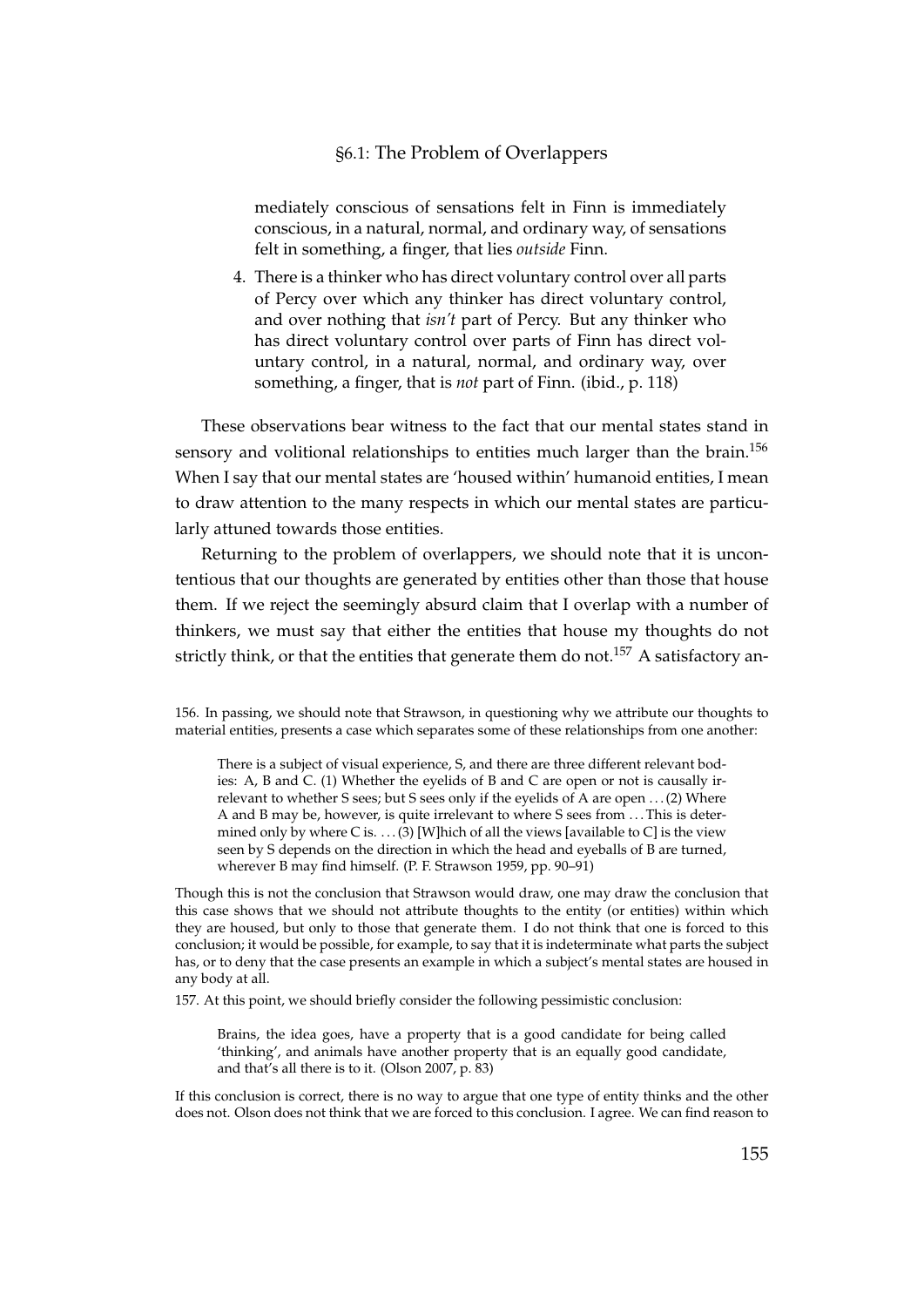#### §6.1: The Problem of Overlappers

mediately conscious of sensations felt in Finn is immediately conscious, in a natural, normal, and ordinary way, of sensations felt in something, a finger, that lies *outside* Finn.

4. There is a thinker who has direct voluntary control over all parts of Percy over which any thinker has direct voluntary control, and over nothing that *isn't* part of Percy. But any thinker who has direct voluntary control over parts of Finn has direct voluntary control, in a natural, normal, and ordinary way, over something, a finger, that is *not* part of Finn. [\(ibid.,](#page-209-2) p. 118)

These observations bear witness to the fact that our mental states stand in sensory and volitional relationships to entities much larger than the brain.<sup>[156](#page-154-0)</sup> When I say that our mental states are 'housed within' humanoid entities, I mean to draw attention to the many respects in which our mental states are particularly attuned towards those entities.

Returning to the problem of overlappers, we should note that it is uncontentious that our thoughts are generated by entities other than those that house them. If we reject the seemingly absurd claim that I overlap with a number of thinkers, we must say that either the entities that house my thoughts do not strictly think, or that the entities that generate them do not.<sup>[157](#page-154-1)</sup> A satisfactory an-

There is a subject of visual experience, S, and there are three different relevant bodies: A, B and C. (1) Whether the eyelids of B and C are open or not is causally irrelevant to whether S sees; but S sees only if the eyelids of A are open . . . (2) Where A and B may be, however, is quite irrelevant to where S sees from . . . This is determined only by where C is.  $\dots$  (3) [W] hich of all the views [available to C] is the view seen by S depends on the direction in which the head and eyeballs of B are turned, wherever B may find himself. [\(P. F. Strawson 1959,](#page-218-0) pp. 90–91)

Though this is not the conclusion that Strawson would draw, one may draw the conclusion that this case shows that we should not attribute thoughts to the entity (or entities) within which they are housed, but only to those that generate them. I do not think that one is forced to this conclusion; it would be possible, for example, to say that it is indeterminate what parts the subject has, or to deny that the case presents an example in which a subject's mental states are housed in any body at all.

<span id="page-154-1"></span>157. At this point, we should briefly consider the following pessimistic conclusion:

Brains, the idea goes, have a property that is a good candidate for being called 'thinking', and animals have another property that is an equally good candidate, and that's all there is to it. [\(Olson 2007,](#page-215-0) p. 83)

If this conclusion is correct, there is no way to argue that one type of entity thinks and the other does not. Olson does not think that we are forced to this conclusion. I agree. We can find reason to

<span id="page-154-0"></span><sup>156.</sup> In passing, we should note that Strawson, in questioning why we attribute our thoughts to material entities, presents a case which separates some of these relationships from one another: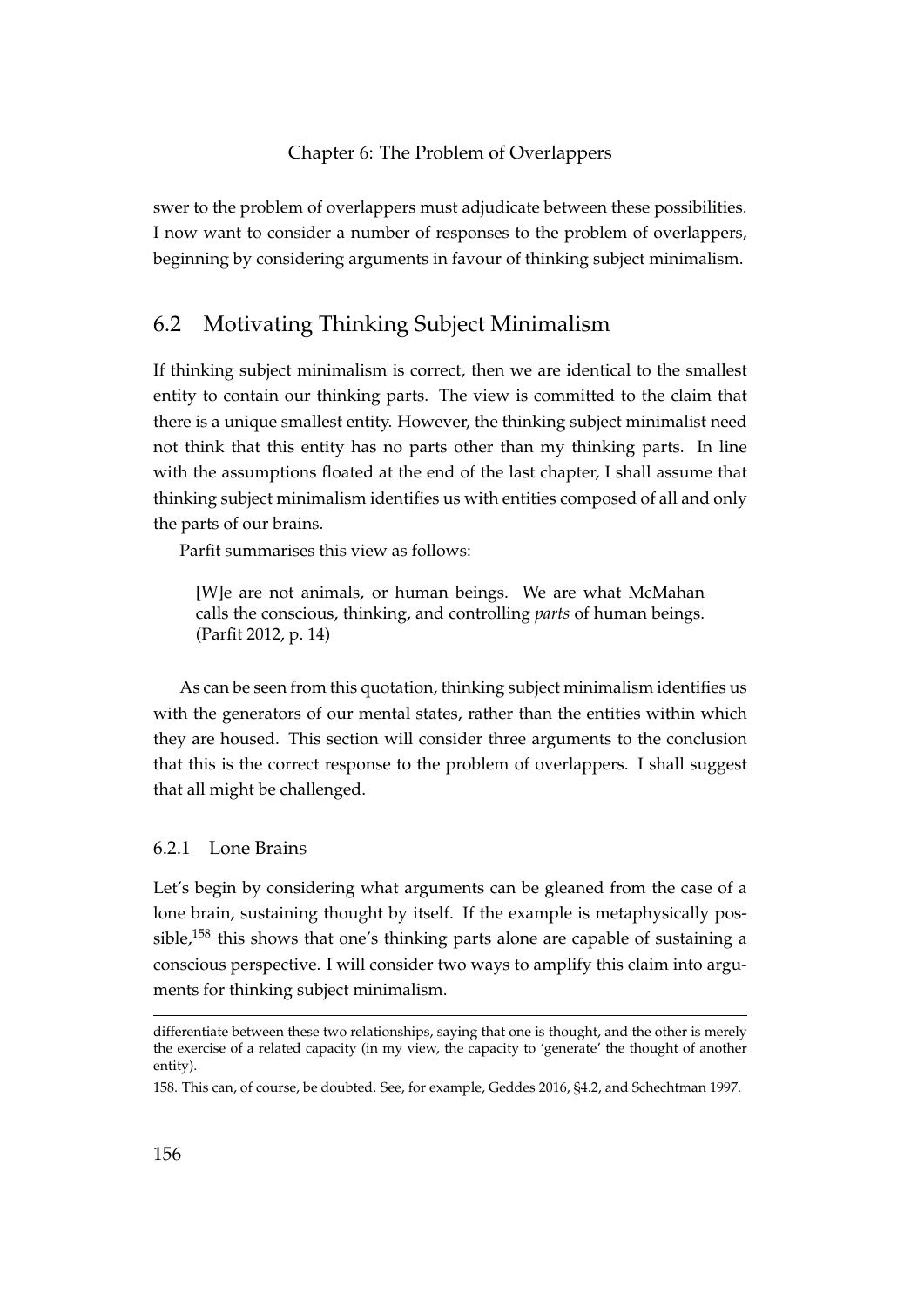swer to the problem of overlappers must adjudicate between these possibilities. I now want to consider a number of responses to the problem of overlappers, beginning by considering arguments in favour of thinking subject minimalism.

# <span id="page-155-0"></span>6.2 Motivating Thinking Subject Minimalism

If thinking subject minimalism is correct, then we are identical to the smallest entity to contain our thinking parts. The view is committed to the claim that there is a unique smallest entity. However, the thinking subject minimalist need not think that this entity has no parts other than my thinking parts. In line with the assumptions floated at the end of the last chapter, I shall assume that thinking subject minimalism identifies us with entities composed of all and only the parts of our brains.

Parfit summarises this view as follows:

[W]e are not animals, or human beings. We are what McMahan calls the conscious, thinking, and controlling *parts* of human beings. [\(Parfit 2012,](#page-215-2) p. 14)

As can be seen from this quotation, thinking subject minimalism identifies us with the generators of our mental states, rather than the entities within which they are housed. This section will consider three arguments to the conclusion that this is the correct response to the problem of overlappers. I shall suggest that all might be challenged.

#### 6.2.1 Lone Brains

Let's begin by considering what arguments can be gleaned from the case of a lone brain, sustaining thought by itself. If the example is metaphysically pos-sible,<sup>[158](#page-155-1)</sup> this shows that one's thinking parts alone are capable of sustaining a conscious perspective. I will consider two ways to amplify this claim into arguments for thinking subject minimalism.

differentiate between these two relationships, saying that one is thought, and the other is merely the exercise of a related capacity (in my view, the capacity to 'generate' the thought of another entity).

<span id="page-155-1"></span><sup>158.</sup> This can, of course, be doubted. See, for example, [Geddes 2016,](#page-211-0) §4.2, and [Schechtman 1997.](#page-216-0)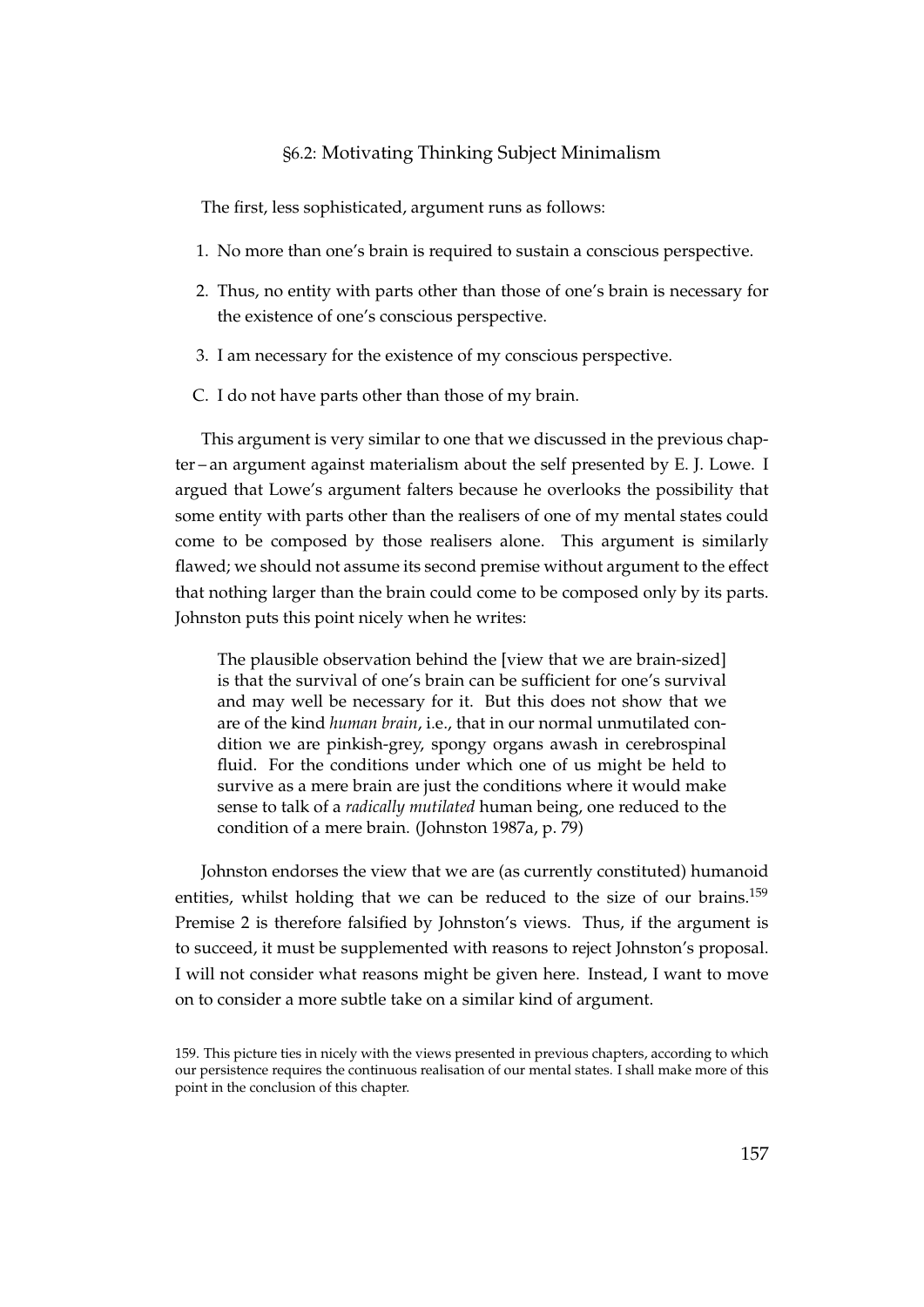#### §6.2: Motivating Thinking Subject Minimalism

The first, less sophisticated, argument runs as follows:

- 1. No more than one's brain is required to sustain a conscious perspective.
- 2. Thus, no entity with parts other than those of one's brain is necessary for the existence of one's conscious perspective.
- 3. I am necessary for the existence of my conscious perspective.
- C. I do not have parts other than those of my brain.

This argument is very similar to one that we discussed in the previous chapter – an argument against materialism about the self presented by E. J. Lowe. I argued that Lowe's argument falters because he overlooks the possibility that some entity with parts other than the realisers of one of my mental states could come to be composed by those realisers alone. This argument is similarly flawed; we should not assume its second premise without argument to the effect that nothing larger than the brain could come to be composed only by its parts. Johnston puts this point nicely when he writes:

The plausible observation behind the [view that we are brain-sized] is that the survival of one's brain can be sufficient for one's survival and may well be necessary for it. But this does not show that we are of the kind *human brain*, i.e., that in our normal unmutilated condition we are pinkish-grey, spongy organs awash in cerebrospinal fluid. For the conditions under which one of us might be held to survive as a mere brain are just the conditions where it would make sense to talk of a *radically mutilated* human being, one reduced to the condition of a mere brain. [\(Johnston 1987a,](#page-212-0) p. 79)

Johnston endorses the view that we are (as currently constituted) humanoid entities, whilst holding that we can be reduced to the size of our brains.<sup>[159](#page-156-0)</sup> Premise 2 is therefore falsified by Johnston's views. Thus, if the argument is to succeed, it must be supplemented with reasons to reject Johnston's proposal. I will not consider what reasons might be given here. Instead, I want to move on to consider a more subtle take on a similar kind of argument.

<span id="page-156-0"></span><sup>159.</sup> This picture ties in nicely with the views presented in previous chapters, according to which our persistence requires the continuous realisation of our mental states. I shall make more of this point in the conclusion of this chapter.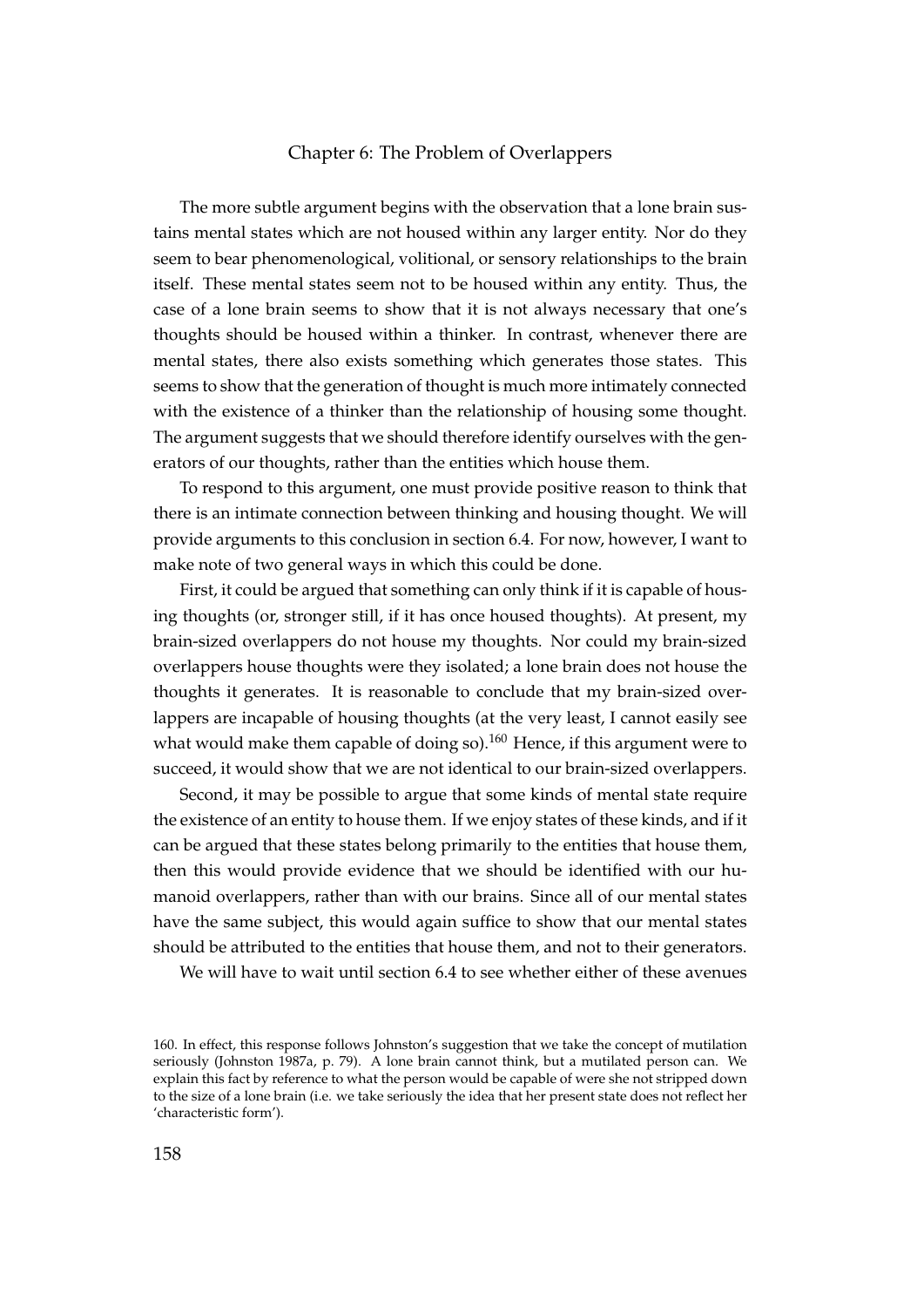The more subtle argument begins with the observation that a lone brain sustains mental states which are not housed within any larger entity. Nor do they seem to bear phenomenological, volitional, or sensory relationships to the brain itself. These mental states seem not to be housed within any entity. Thus, the case of a lone brain seems to show that it is not always necessary that one's thoughts should be housed within a thinker. In contrast, whenever there are mental states, there also exists something which generates those states. This seems to show that the generation of thought is much more intimately connected with the existence of a thinker than the relationship of housing some thought. The argument suggests that we should therefore identify ourselves with the generators of our thoughts, rather than the entities which house them.

To respond to this argument, one must provide positive reason to think that there is an intimate connection between thinking and housing thought. We will provide arguments to this conclusion in section [6.4.](#page-174-0) For now, however, I want to make note of two general ways in which this could be done.

First, it could be argued that something can only think if it is capable of housing thoughts (or, stronger still, if it has once housed thoughts). At present, my brain-sized overlappers do not house my thoughts. Nor could my brain-sized overlappers house thoughts were they isolated; a lone brain does not house the thoughts it generates. It is reasonable to conclude that my brain-sized overlappers are incapable of housing thoughts (at the very least, I cannot easily see what would make them capable of doing so).<sup>[160](#page-157-0)</sup> Hence, if this argument were to succeed, it would show that we are not identical to our brain-sized overlappers.

Second, it may be possible to argue that some kinds of mental state require the existence of an entity to house them. If we enjoy states of these kinds, and if it can be argued that these states belong primarily to the entities that house them, then this would provide evidence that we should be identified with our humanoid overlappers, rather than with our brains. Since all of our mental states have the same subject, this would again suffice to show that our mental states should be attributed to the entities that house them, and not to their generators.

We will have to wait until section [6.4](#page-174-0) to see whether either of these avenues

<span id="page-157-0"></span><sup>160.</sup> In effect, this response follows Johnston's suggestion that we take the concept of mutilation seriously [\(Johnston 1987a,](#page-212-0) p. 79). A lone brain cannot think, but a mutilated person can. We explain this fact by reference to what the person would be capable of were she not stripped down to the size of a lone brain (i.e. we take seriously the idea that her present state does not reflect her 'characteristic form').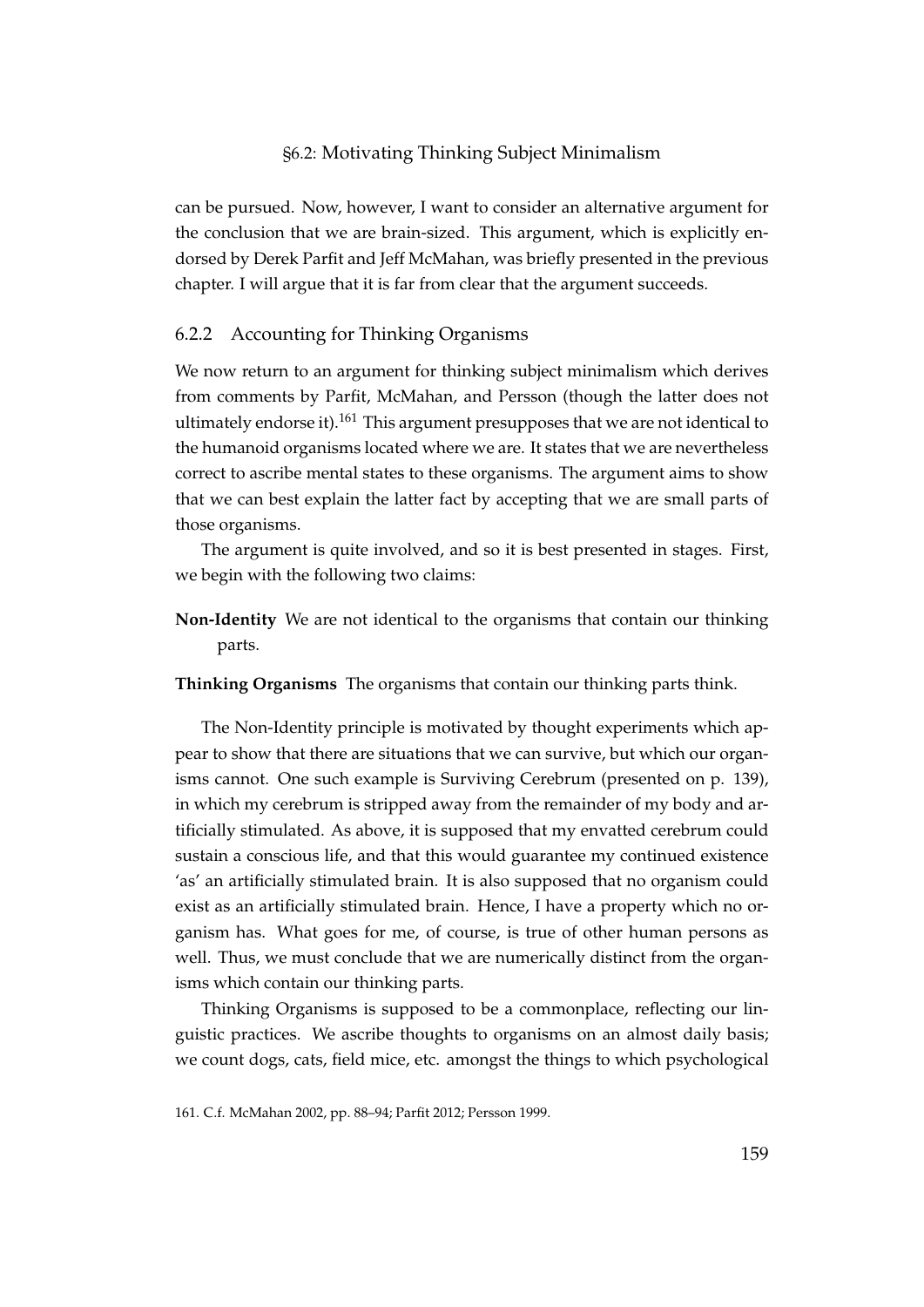#### §6.2: Motivating Thinking Subject Minimalism

can be pursued. Now, however, I want to consider an alternative argument for the conclusion that we are brain-sized. This argument, which is explicitly endorsed by Derek Parfit and Jeff McMahan, was briefly presented in the previous chapter. I will argue that it is far from clear that the argument succeeds.

#### 6.2.2 Accounting for Thinking Organisms

We now return to an argument for thinking subject minimalism which derives from comments by Parfit, McMahan, and Persson (though the latter does not ultimately endorse it).<sup>[161](#page-158-0)</sup> This argument presupposes that we are not identical to the humanoid organisms located where we are. It states that we are nevertheless correct to ascribe mental states to these organisms. The argument aims to show that we can best explain the latter fact by accepting that we are small parts of those organisms.

The argument is quite involved, and so it is best presented in stages. First, we begin with the following two claims:

**Non-Identity** We are not identical to the organisms that contain our thinking parts.

**Thinking Organisms** The organisms that contain our thinking parts think.

The Non-Identity principle is motivated by thought experiments which appear to show that there are situations that we can survive, but which our organisms cannot. One such example is [Surviving Cerebrum](#page-138-0) (presented on p. [139\)](#page-138-0), in which my cerebrum is stripped away from the remainder of my body and artificially stimulated. As above, it is supposed that my envatted cerebrum could sustain a conscious life, and that this would guarantee my continued existence 'as' an artificially stimulated brain. It is also supposed that no organism could exist as an artificially stimulated brain. Hence, I have a property which no organism has. What goes for me, of course, is true of other human persons as well. Thus, we must conclude that we are numerically distinct from the organisms which contain our thinking parts.

Thinking Organisms is supposed to be a commonplace, reflecting our linguistic practices. We ascribe thoughts to organisms on an almost daily basis; we count dogs, cats, field mice, etc. amongst the things to which psychological

<span id="page-158-0"></span><sup>161.</sup> C.f. [McMahan 2002,](#page-214-3) pp. 88–94; [Parfit 2012;](#page-215-2) [Persson 1999.](#page-216-1)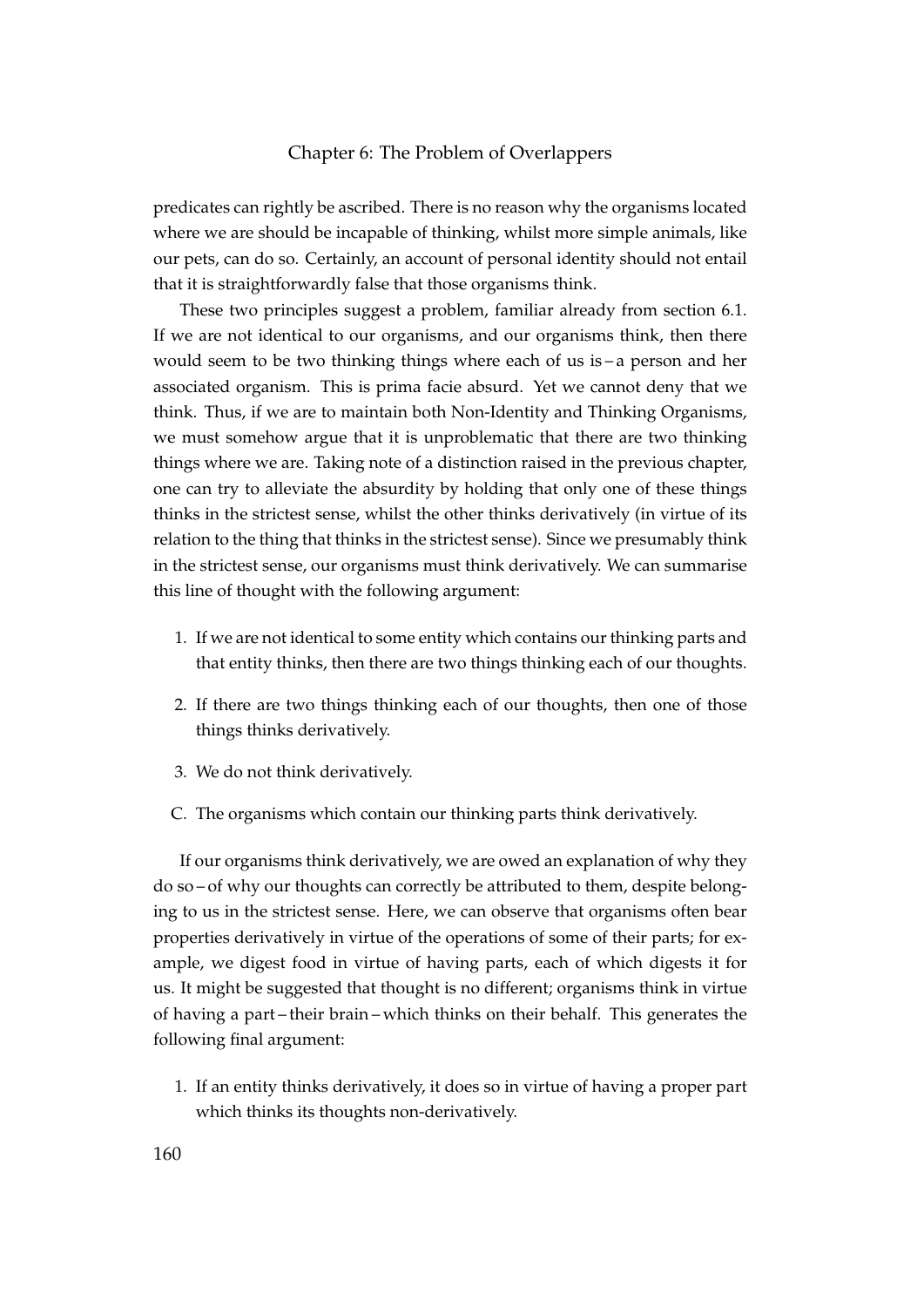predicates can rightly be ascribed. There is no reason why the organisms located where we are should be incapable of thinking, whilst more simple animals, like our pets, can do so. Certainly, an account of personal identity should not entail that it is straightforwardly false that those organisms think.

These two principles suggest a problem, familiar already from section [6.1.](#page-149-0) If we are not identical to our organisms, and our organisms think, then there would seem to be two thinking things where each of us is – a person and her associated organism. This is prima facie absurd. Yet we cannot deny that we think. Thus, if we are to maintain both Non-Identity and Thinking Organisms, we must somehow argue that it is unproblematic that there are two thinking things where we are. Taking note of a distinction raised in the previous chapter, one can try to alleviate the absurdity by holding that only one of these things thinks in the strictest sense, whilst the other thinks derivatively (in virtue of its relation to the thing that thinks in the strictest sense). Since we presumably think in the strictest sense, our organisms must think derivatively. We can summarise this line of thought with the following argument:

- 1. If we are not identical to some entity which contains our thinking parts and that entity thinks, then there are two things thinking each of our thoughts.
- 2. If there are two things thinking each of our thoughts, then one of those things thinks derivatively.
- 3. We do not think derivatively.
- C. The organisms which contain our thinking parts think derivatively.

If our organisms think derivatively, we are owed an explanation of why they do so – of why our thoughts can correctly be attributed to them, despite belonging to us in the strictest sense. Here, we can observe that organisms often bear properties derivatively in virtue of the operations of some of their parts; for example, we digest food in virtue of having parts, each of which digests it for us. It might be suggested that thought is no different; organisms think in virtue of having a part – their brain – which thinks on their behalf. This generates the following final argument:

1. If an entity thinks derivatively, it does so in virtue of having a proper part which thinks its thoughts non-derivatively.

160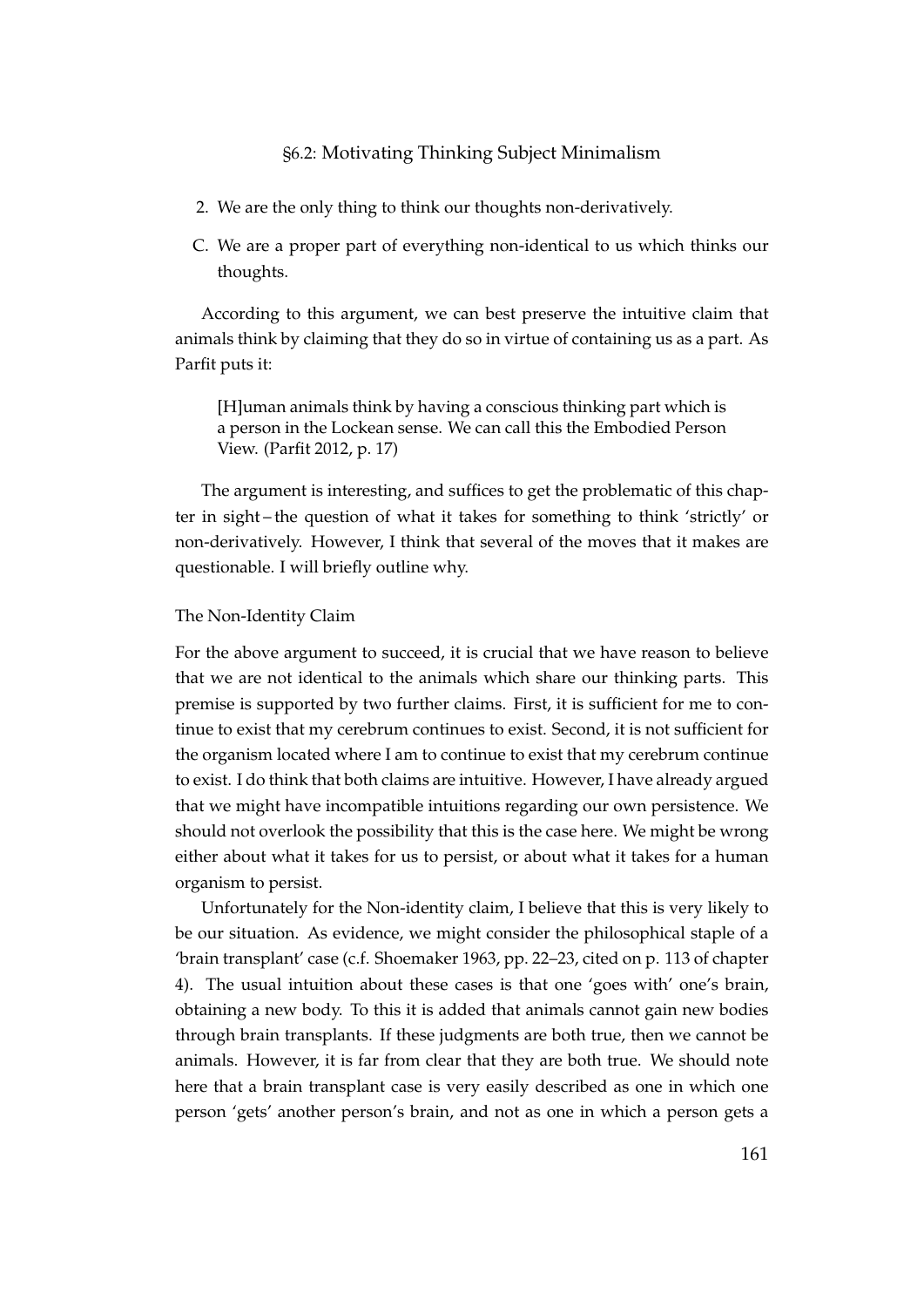#### §6.2: Motivating Thinking Subject Minimalism

- 2. We are the only thing to think our thoughts non-derivatively.
- C. We are a proper part of everything non-identical to us which thinks our thoughts.

According to this argument, we can best preserve the intuitive claim that animals think by claiming that they do so in virtue of containing us as a part. As Parfit puts it:

[H]uman animals think by having a conscious thinking part which is a person in the Lockean sense. We can call this the Embodied Person View. [\(Parfit 2012,](#page-215-2) p. 17)

The argument is interesting, and suffices to get the problematic of this chapter in sight – the question of what it takes for something to think 'strictly' or non-derivatively. However, I think that several of the moves that it makes are questionable. I will briefly outline why.

#### The Non-Identity Claim

For the above argument to succeed, it is crucial that we have reason to believe that we are not identical to the animals which share our thinking parts. This premise is supported by two further claims. First, it is sufficient for me to continue to exist that my cerebrum continues to exist. Second, it is not sufficient for the organism located where I am to continue to exist that my cerebrum continue to exist. I do think that both claims are intuitive. However, I have already argued that we might have incompatible intuitions regarding our own persistence. We should not overlook the possibility that this is the case here. We might be wrong either about what it takes for us to persist, or about what it takes for a human organism to persist.

Unfortunately for the Non-identity claim, I believe that this is very likely to be our situation. As evidence, we might consider the philosophical staple of a 'brain transplant' case (c.f. [Shoemaker 1963,](#page-217-0) pp. 22–23, cited on p. [113](#page-110-0) of chapter 4). The usual intuition about these cases is that one 'goes with' one's brain, obtaining a new body. To this it is added that animals cannot gain new bodies through brain transplants. If these judgments are both true, then we cannot be animals. However, it is far from clear that they are both true. We should note here that a brain transplant case is very easily described as one in which one person 'gets' another person's brain, and not as one in which a person gets a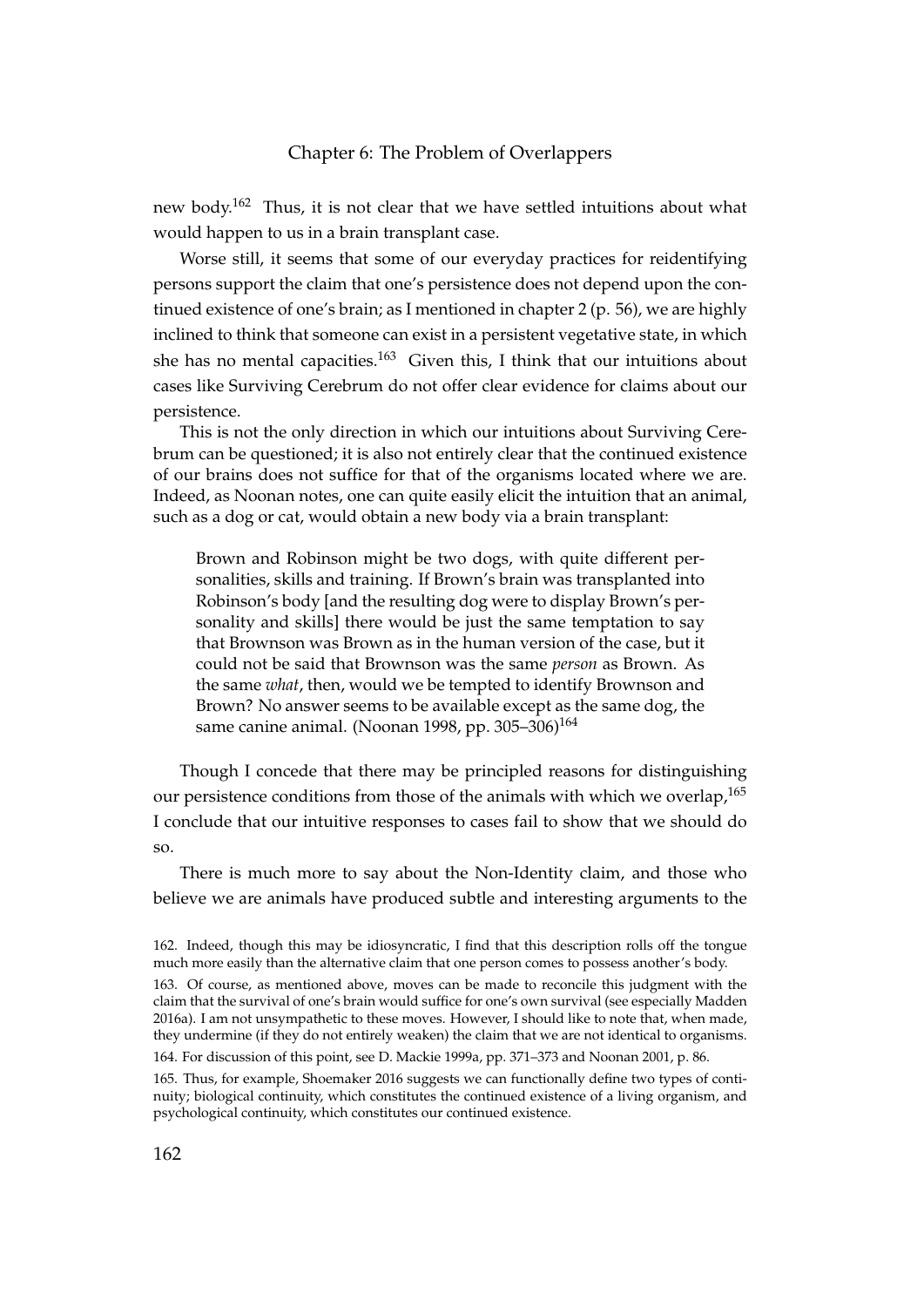new body.[162](#page-161-0) Thus, it is not clear that we have settled intuitions about what would happen to us in a brain transplant case.

Worse still, it seems that some of our everyday practices for reidentifying persons support the claim that one's persistence does not depend upon the continued existence of one's brain; as I mentioned in chapter 2 (p. [56\)](#page-55-0), we are highly inclined to think that someone can exist in a persistent vegetative state, in which she has no mental capacities.<sup>[163](#page-161-1)</sup> Given this, I think that our intuitions about cases like [Surviving Cerebrum](#page-138-0) do not offer clear evidence for claims about our persistence.

This is not the only direction in which our intuitions about [Surviving Cere](#page-138-0)[brum](#page-138-0) can be questioned; it is also not entirely clear that the continued existence of our brains does not suffice for that of the organisms located where we are. Indeed, as Noonan notes, one can quite easily elicit the intuition that an animal, such as a dog or cat, would obtain a new body via a brain transplant:

Brown and Robinson might be two dogs, with quite different personalities, skills and training. If Brown's brain was transplanted into Robinson's body [and the resulting dog were to display Brown's personality and skills] there would be just the same temptation to say that Brownson was Brown as in the human version of the case, but it could not be said that Brownson was the same *person* as Brown. As the same *what*, then, would we be tempted to identify Brownson and Brown? No answer seems to be available except as the same dog, the same canine animal. [\(Noonan 1998,](#page-214-1) pp. 305-306)<sup>[164](#page-161-2)</sup>

Though I concede that there may be principled reasons for distinguishing our persistence conditions from those of the animals with which we overlap,  $^{165}$  $^{165}$  $^{165}$ I conclude that our intuitive responses to cases fail to show that we should do so.

There is much more to say about the Non-Identity claim, and those who believe we are animals have produced subtle and interesting arguments to the

<span id="page-161-3"></span><span id="page-161-2"></span>165. Thus, for example, [Shoemaker 2016](#page-217-1) suggests we can functionally define two types of continuity; biological continuity, which constitutes the continued existence of a living organism, and psychological continuity, which constitutes our continued existence.

<span id="page-161-0"></span><sup>162.</sup> Indeed, though this may be idiosyncratic, I find that this description rolls off the tongue much more easily than the alternative claim that one person comes to possess another's body.

<span id="page-161-1"></span><sup>163.</sup> Of course, as mentioned above, moves can be made to reconcile this judgment with the claim that the survival of one's brain would suffice for one's own survival (see especially [Madden](#page-214-5) [2016a\)](#page-214-5). I am not unsympathetic to these moves. However, I should like to note that, when made, they undermine (if they do not entirely weaken) the claim that we are not identical to organisms. 164. For discussion of this point, see [D. Mackie 1999a,](#page-213-1) pp. 371–373 and [Noonan 2001,](#page-215-3) p. 86.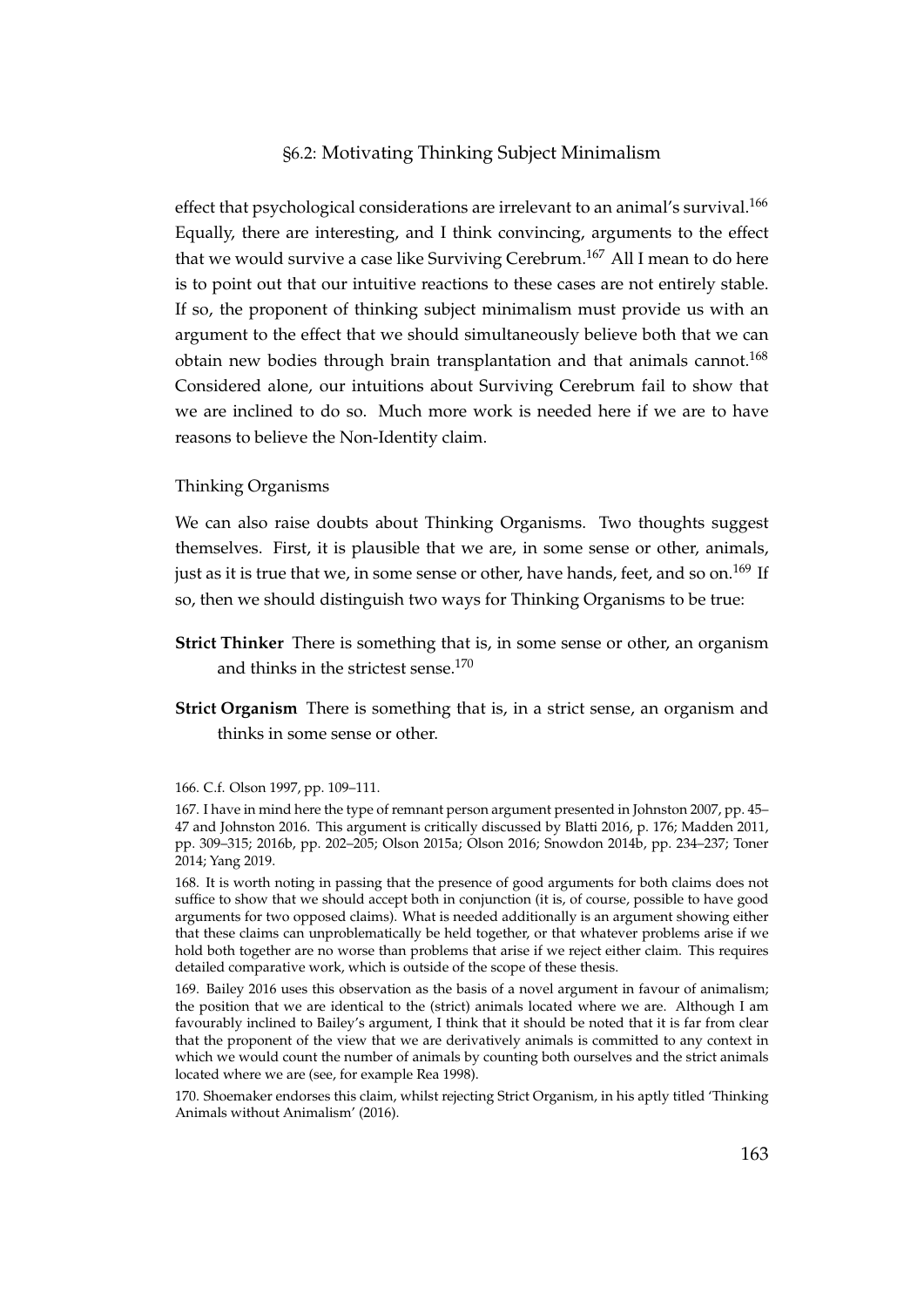### §6.2: Motivating Thinking Subject Minimalism

effect that psychological considerations are irrelevant to an animal's survival.<sup>[166](#page-162-0)</sup> Equally, there are interesting, and I think convincing, arguments to the effect that we would survive a case like [Surviving Cerebrum.](#page-138-0)<sup>[167](#page-162-1)</sup> All I mean to do here is to point out that our intuitive reactions to these cases are not entirely stable. If so, the proponent of thinking subject minimalism must provide us with an argument to the effect that we should simultaneously believe both that we can obtain new bodies through brain transplantation and that animals cannot.<sup>[168](#page-162-2)</sup> Considered alone, our intuitions about [Surviving Cerebrum](#page-138-0) fail to show that we are inclined to do so. Much more work is needed here if we are to have reasons to believe the Non-Identity claim.

#### Thinking Organisms

We can also raise doubts about Thinking Organisms. Two thoughts suggest themselves. First, it is plausible that we are, in some sense or other, animals, just as it is true that we, in some sense or other, have hands, feet, and so on.<sup>[169](#page-162-3)</sup> If so, then we should distinguish two ways for Thinking Organisms to be true:

- **Strict Thinker** There is something that is, in some sense or other, an organism and thinks in the strictest sense.<sup>[170](#page-162-4)</sup>
- **Strict Organism** There is something that is, in a strict sense, an organism and thinks in some sense or other.

#### <span id="page-162-0"></span>166. C.f. [Olson 1997,](#page-215-4) pp. 109–111.

<span id="page-162-1"></span>167. I have in mind here the type of remnant person argument presented in [Johnston 2007,](#page-212-1) pp. 45– 47 and [Johnston 2016.](#page-212-2) This argument is critically discussed by [Blatti 2016,](#page-209-0) p. 176; [Madden 2011,](#page-213-0) pp. 309–315; [2016b,](#page-214-0) pp. 202–205; [Olson 2015a;](#page-215-5) [Olson 2016;](#page-215-6) [Snowdon 2014b,](#page-218-1) pp. 234–237; [Toner](#page-219-2) [2014;](#page-219-2) [Yang 2019.](#page-220-1)

<span id="page-162-2"></span>168. It is worth noting in passing that the presence of good arguments for both claims does not suffice to show that we should accept both in conjunction (it is, of course, possible to have good arguments for two opposed claims). What is needed additionally is an argument showing either that these claims can unproblematically be held together, or that whatever problems arise if we hold both together are no worse than problems that arise if we reject either claim. This requires detailed comparative work, which is outside of the scope of these thesis.

<span id="page-162-3"></span>169. [Bailey 2016](#page-208-0) uses this observation as the basis of a novel argument in favour of animalism; the position that we are identical to the (strict) animals located where we are. Although I am favourably inclined to Bailey's argument, I think that it should be noted that it is far from clear that the proponent of the view that we are derivatively animals is committed to any context in which we would count the number of animals by counting both ourselves and the strict animals located where we are (see, for example [Rea 1998\)](#page-216-2).

<span id="page-162-4"></span>170. Shoemaker endorses this claim, whilst rejecting Strict Organism, in his aptly titled 'Thinking Animals without Animalism' (2016).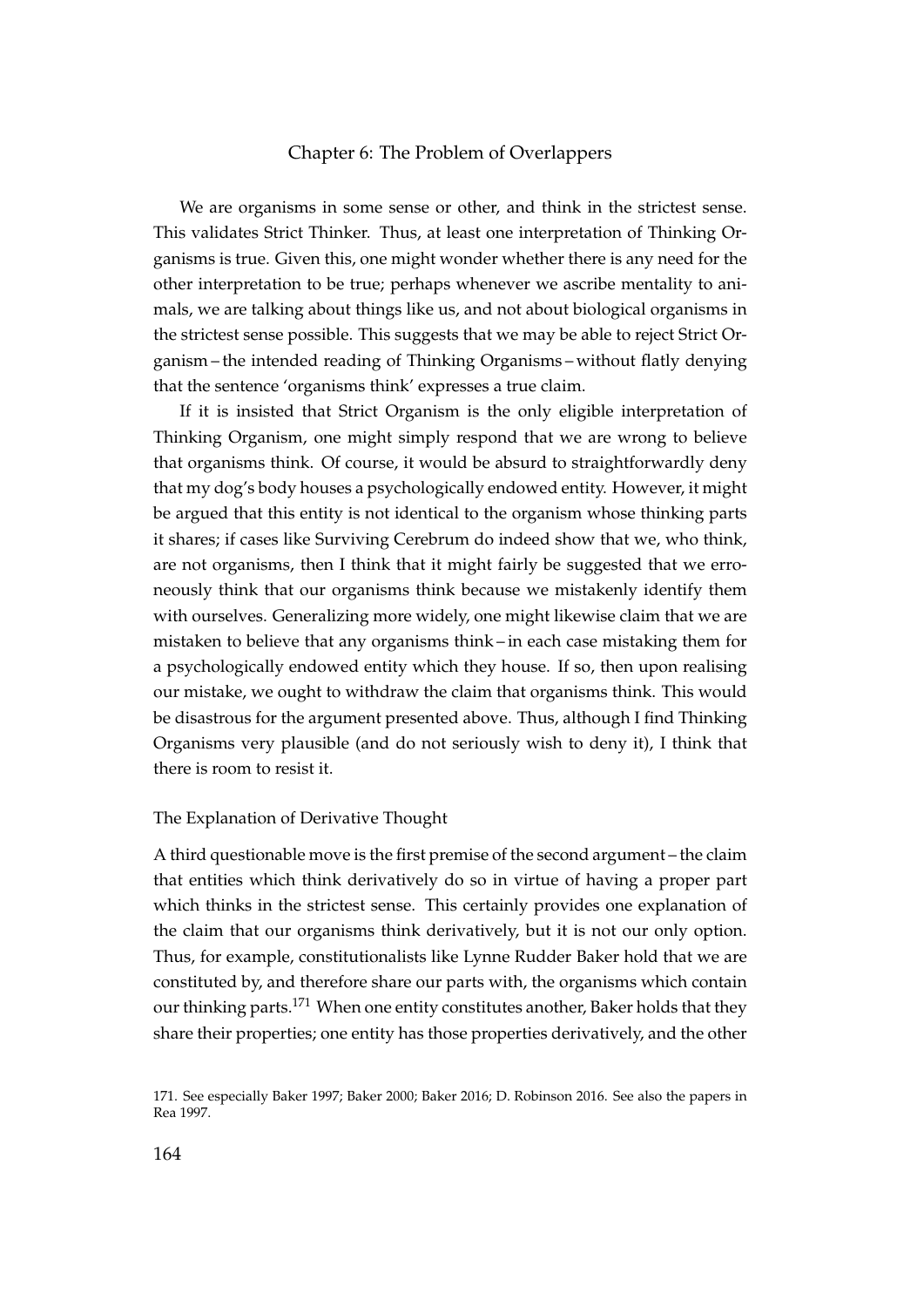We are organisms in some sense or other, and think in the strictest sense. This validates Strict Thinker. Thus, at least one interpretation of Thinking Organisms is true. Given this, one might wonder whether there is any need for the other interpretation to be true; perhaps whenever we ascribe mentality to animals, we are talking about things like us, and not about biological organisms in the strictest sense possible. This suggests that we may be able to reject Strict Organism – the intended reading of Thinking Organisms – without flatly denying that the sentence 'organisms think' expresses a true claim.

If it is insisted that Strict Organism is the only eligible interpretation of Thinking Organism, one might simply respond that we are wrong to believe that organisms think. Of course, it would be absurd to straightforwardly deny that my dog's body houses a psychologically endowed entity. However, it might be argued that this entity is not identical to the organism whose thinking parts it shares; if cases like [Surviving Cerebrum](#page-138-0) do indeed show that we, who think, are not organisms, then I think that it might fairly be suggested that we erroneously think that our organisms think because we mistakenly identify them with ourselves. Generalizing more widely, one might likewise claim that we are mistaken to believe that any organisms think – in each case mistaking them for a psychologically endowed entity which they house. If so, then upon realising our mistake, we ought to withdraw the claim that organisms think. This would be disastrous for the argument presented above. Thus, although I find Thinking Organisms very plausible (and do not seriously wish to deny it), I think that there is room to resist it.

#### The Explanation of Derivative Thought

A third questionable move is the first premise of the second argument – the claim that entities which think derivatively do so in virtue of having a proper part which thinks in the strictest sense. This certainly provides one explanation of the claim that our organisms think derivatively, but it is not our only option. Thus, for example, constitutionalists like Lynne Rudder Baker hold that we are constituted by, and therefore share our parts with, the organisms which contain our thinking parts.<sup>[171](#page-163-0)</sup> When one entity constitutes another, Baker holds that they share their properties; one entity has those properties derivatively, and the other

<span id="page-163-0"></span><sup>171.</sup> See especially [Baker 1997;](#page-208-1) [Baker 2000;](#page-208-2) [Baker 2016;](#page-208-3) [D. Robinson 2016.](#page-216-3) See also the papers in [Rea 1997.](#page-216-4)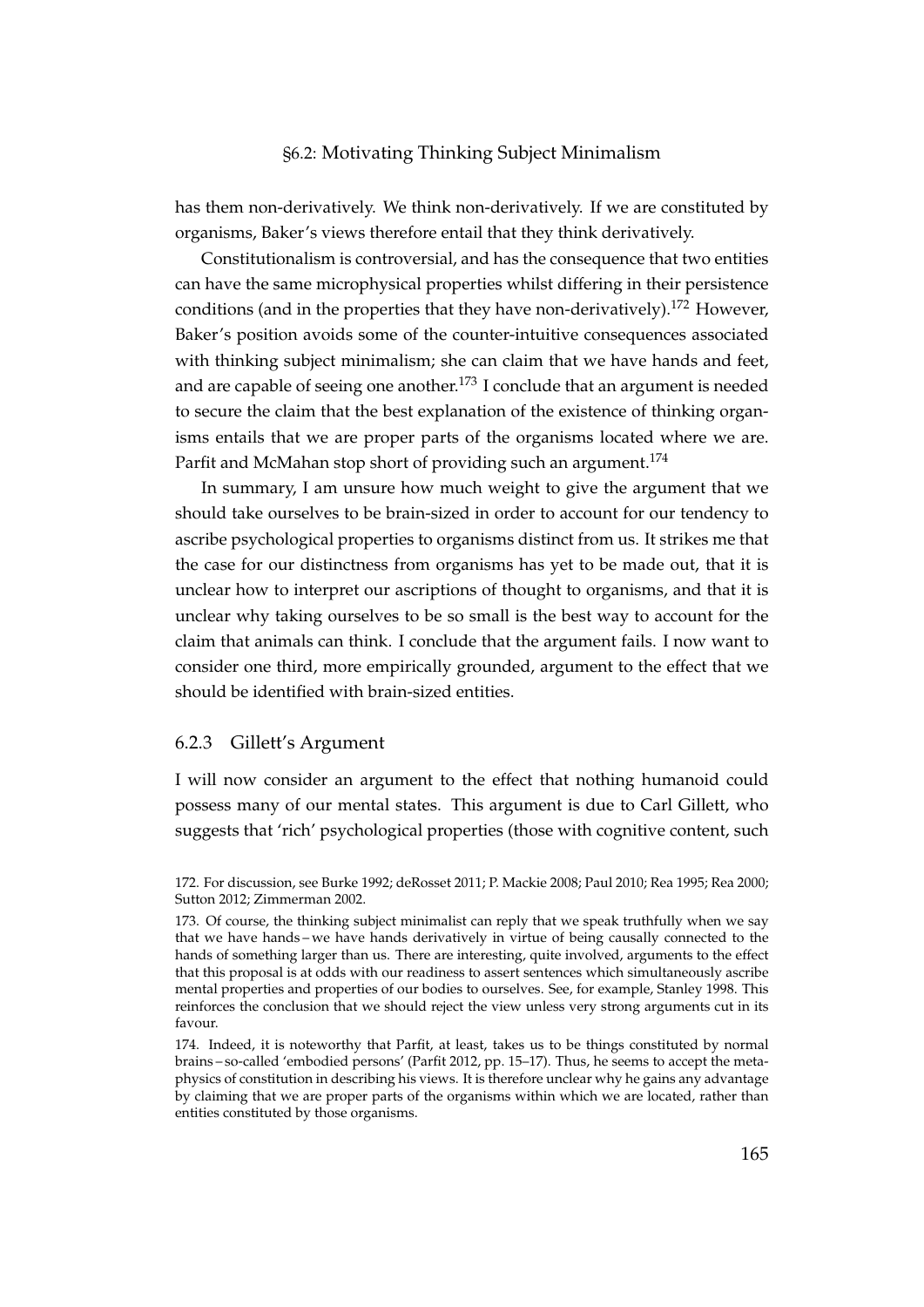#### §6.2: Motivating Thinking Subject Minimalism

has them non-derivatively. We think non-derivatively. If we are constituted by organisms, Baker's views therefore entail that they think derivatively.

Constitutionalism is controversial, and has the consequence that two entities can have the same microphysical properties whilst differing in their persistence conditions (and in the properties that they have non-derivatively).[172](#page-164-0) However, Baker's position avoids some of the counter-intuitive consequences associated with thinking subject minimalism; she can claim that we have hands and feet, and are capable of seeing one another.<sup>[173](#page-164-1)</sup> I conclude that an argument is needed to secure the claim that the best explanation of the existence of thinking organisms entails that we are proper parts of the organisms located where we are. Parfit and McMahan stop short of providing such an argument.<sup>[174](#page-164-2)</sup>

In summary, I am unsure how much weight to give the argument that we should take ourselves to be brain-sized in order to account for our tendency to ascribe psychological properties to organisms distinct from us. It strikes me that the case for our distinctness from organisms has yet to be made out, that it is unclear how to interpret our ascriptions of thought to organisms, and that it is unclear why taking ourselves to be so small is the best way to account for the claim that animals can think. I conclude that the argument fails. I now want to consider one third, more empirically grounded, argument to the effect that we should be identified with brain-sized entities.

### 6.2.3 Gillett's Argument

I will now consider an argument to the effect that nothing humanoid could possess many of our mental states. This argument is due to Carl Gillett, who suggests that 'rich' psychological properties (those with cognitive content, such

<span id="page-164-0"></span><sup>172.</sup> For discussion, see [Burke 1992;](#page-209-3) [deRosset 2011;](#page-210-1) [P. Mackie 2008;](#page-213-2) [Paul 2010;](#page-215-7) [Rea 1995;](#page-216-5) [Rea 2000;](#page-216-6) [Sutton 2012;](#page-218-2) [Zimmerman 2002.](#page-220-2)

<span id="page-164-1"></span><sup>173.</sup> Of course, the thinking subject minimalist can reply that we speak truthfully when we say that we have hands – we have hands derivatively in virtue of being causally connected to the hands of something larger than us. There are interesting, quite involved, arguments to the effect that this proposal is at odds with our readiness to assert sentences which simultaneously ascribe mental properties and properties of our bodies to ourselves. See, for example, [Stanley 1998.](#page-218-3) This reinforces the conclusion that we should reject the view unless very strong arguments cut in its favour.

<span id="page-164-2"></span><sup>174.</sup> Indeed, it is noteworthy that Parfit, at least, takes us to be things constituted by normal brains – so-called 'embodied persons' [\(Parfit 2012,](#page-215-2) pp. 15–17). Thus, he seems to accept the metaphysics of constitution in describing his views. It is therefore unclear why he gains any advantage by claiming that we are proper parts of the organisms within which we are located, rather than entities constituted by those organisms.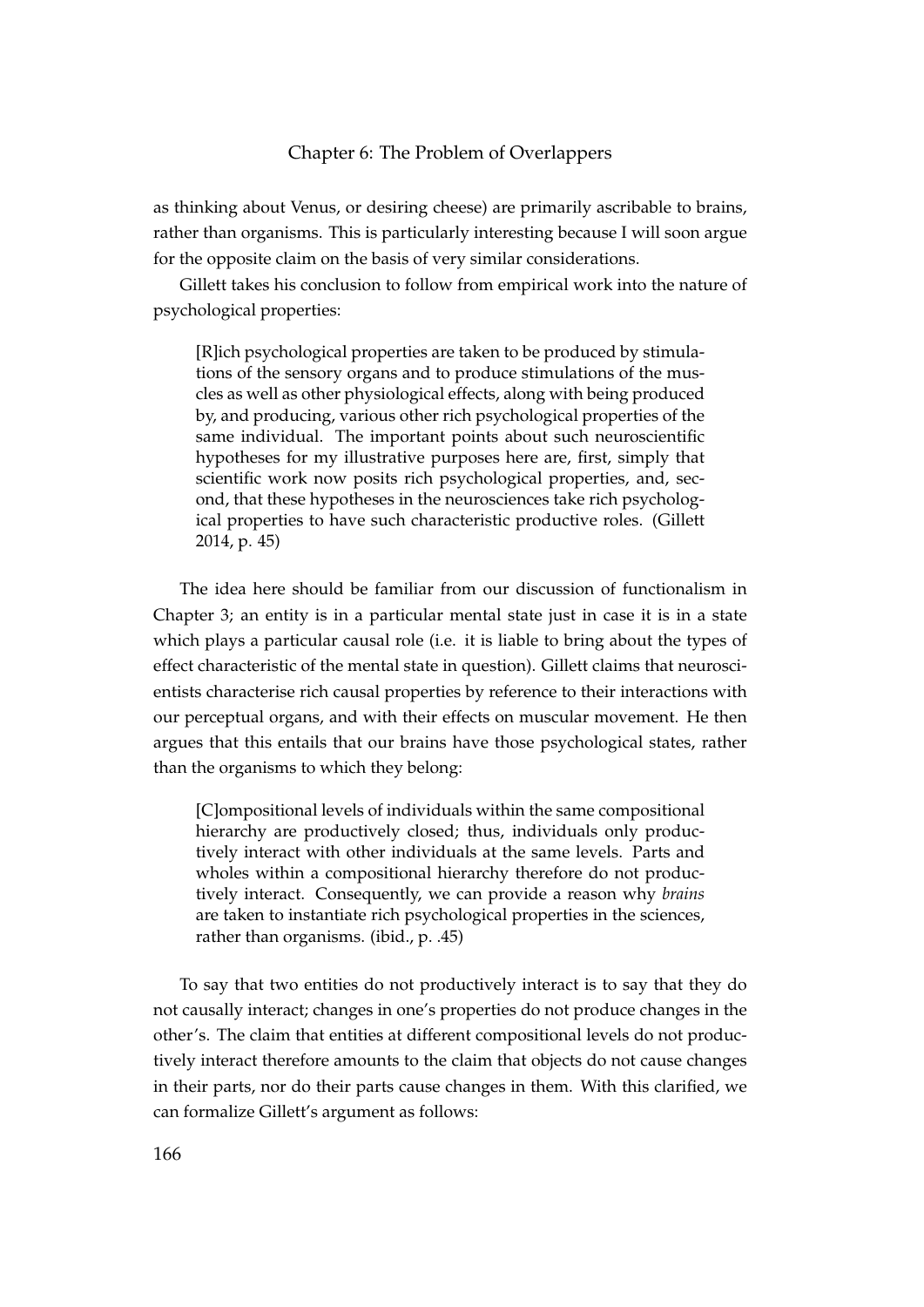as thinking about Venus, or desiring cheese) are primarily ascribable to brains, rather than organisms. This is particularly interesting because I will soon argue for the opposite claim on the basis of very similar considerations.

Gillett takes his conclusion to follow from empirical work into the nature of psychological properties:

[R]ich psychological properties are taken to be produced by stimulations of the sensory organs and to produce stimulations of the muscles as well as other physiological effects, along with being produced by, and producing, various other rich psychological properties of the same individual. The important points about such neuroscientific hypotheses for my illustrative purposes here are, first, simply that scientific work now posits rich psychological properties, and, second, that these hypotheses in the neurosciences take rich psychological properties to have such characteristic productive roles. [\(Gillett](#page-211-1) [2014,](#page-211-1) p. 45)

The idea here should be familiar from our discussion of functionalism in Chapter 3; an entity is in a particular mental state just in case it is in a state which plays a particular causal role (i.e. it is liable to bring about the types of effect characteristic of the mental state in question). Gillett claims that neuroscientists characterise rich causal properties by reference to their interactions with our perceptual organs, and with their effects on muscular movement. He then argues that this entails that our brains have those psychological states, rather than the organisms to which they belong:

[C]ompositional levels of individuals within the same compositional hierarchy are productively closed; thus, individuals only productively interact with other individuals at the same levels. Parts and wholes within a compositional hierarchy therefore do not productively interact. Consequently, we can provide a reason why *brains* are taken to instantiate rich psychological properties in the sciences, rather than organisms. [\(ibid.,](#page-211-1) p. .45)

To say that two entities do not productively interact is to say that they do not causally interact; changes in one's properties do not produce changes in the other's. The claim that entities at different compositional levels do not productively interact therefore amounts to the claim that objects do not cause changes in their parts, nor do their parts cause changes in them. With this clarified, we can formalize Gillett's argument as follows: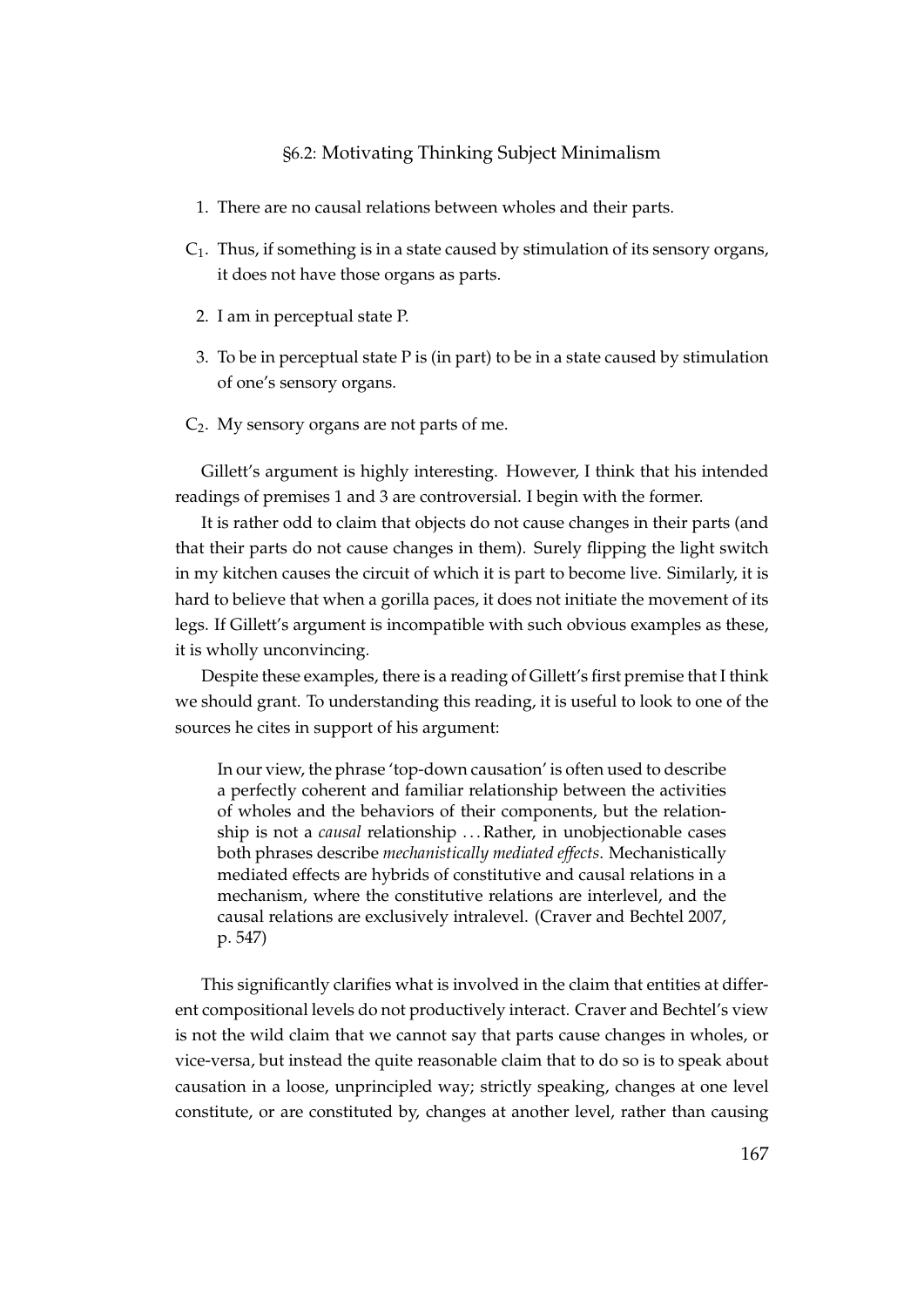#### §6.2: Motivating Thinking Subject Minimalism

- 1. There are no causal relations between wholes and their parts.
- $C_1$ . Thus, if something is in a state caused by stimulation of its sensory organs, it does not have those organs as parts.
- 2. I am in perceptual state P.
- 3. To be in perceptual state P is (in part) to be in a state caused by stimulation of one's sensory organs.
- $C<sub>2</sub>$ . My sensory organs are not parts of me.

Gillett's argument is highly interesting. However, I think that his intended readings of premises 1 and 3 are controversial. I begin with the former.

It is rather odd to claim that objects do not cause changes in their parts (and that their parts do not cause changes in them). Surely flipping the light switch in my kitchen causes the circuit of which it is part to become live. Similarly, it is hard to believe that when a gorilla paces, it does not initiate the movement of its legs. If Gillett's argument is incompatible with such obvious examples as these, it is wholly unconvincing.

Despite these examples, there is a reading of Gillett's first premise that I think we should grant. To understanding this reading, it is useful to look to one of the sources he cites in support of his argument:

In our view, the phrase 'top-down causation' is often used to describe a perfectly coherent and familiar relationship between the activities of wholes and the behaviors of their components, but the relationship is not a *causal* relationship ... Rather, in unobjectionable cases both phrases describe *mechanistically mediated effects*. Mechanistically mediated effects are hybrids of constitutive and causal relations in a mechanism, where the constitutive relations are interlevel, and the causal relations are exclusively intralevel. [\(Craver and Bechtel 2007,](#page-210-2) p. 547)

This significantly clarifies what is involved in the claim that entities at different compositional levels do not productively interact. Craver and Bechtel's view is not the wild claim that we cannot say that parts cause changes in wholes, or vice-versa, but instead the quite reasonable claim that to do so is to speak about causation in a loose, unprincipled way; strictly speaking, changes at one level constitute, or are constituted by, changes at another level, rather than causing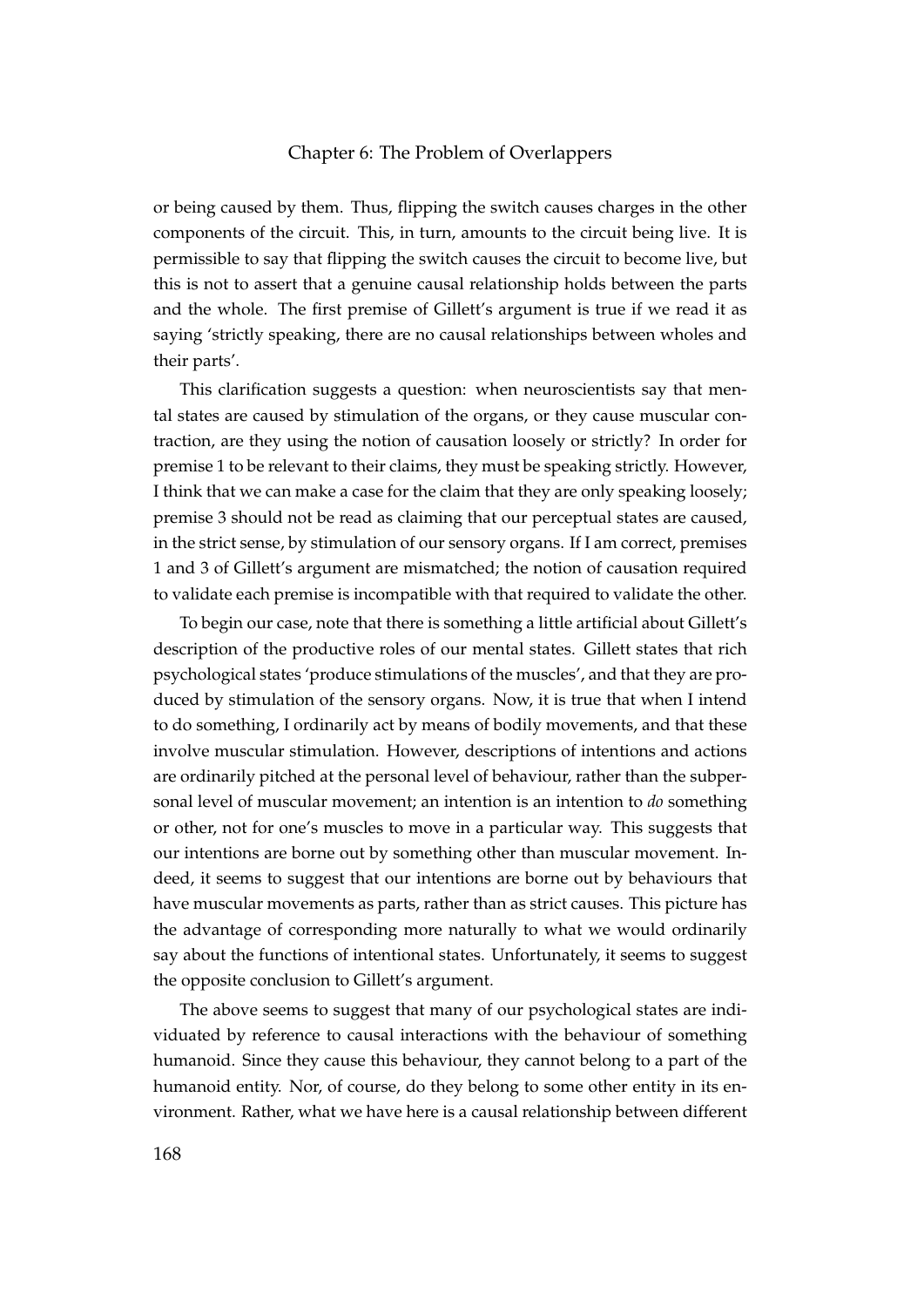or being caused by them. Thus, flipping the switch causes charges in the other components of the circuit. This, in turn, amounts to the circuit being live. It is permissible to say that flipping the switch causes the circuit to become live, but this is not to assert that a genuine causal relationship holds between the parts and the whole. The first premise of Gillett's argument is true if we read it as saying 'strictly speaking, there are no causal relationships between wholes and their parts'.

This clarification suggests a question: when neuroscientists say that mental states are caused by stimulation of the organs, or they cause muscular contraction, are they using the notion of causation loosely or strictly? In order for premise 1 to be relevant to their claims, they must be speaking strictly. However, I think that we can make a case for the claim that they are only speaking loosely; premise 3 should not be read as claiming that our perceptual states are caused, in the strict sense, by stimulation of our sensory organs. If I am correct, premises 1 and 3 of Gillett's argument are mismatched; the notion of causation required to validate each premise is incompatible with that required to validate the other.

To begin our case, note that there is something a little artificial about Gillett's description of the productive roles of our mental states. Gillett states that rich psychological states 'produce stimulations of the muscles', and that they are produced by stimulation of the sensory organs. Now, it is true that when I intend to do something, I ordinarily act by means of bodily movements, and that these involve muscular stimulation. However, descriptions of intentions and actions are ordinarily pitched at the personal level of behaviour, rather than the subpersonal level of muscular movement; an intention is an intention to *do* something or other, not for one's muscles to move in a particular way. This suggests that our intentions are borne out by something other than muscular movement. Indeed, it seems to suggest that our intentions are borne out by behaviours that have muscular movements as parts, rather than as strict causes. This picture has the advantage of corresponding more naturally to what we would ordinarily say about the functions of intentional states. Unfortunately, it seems to suggest the opposite conclusion to Gillett's argument.

The above seems to suggest that many of our psychological states are individuated by reference to causal interactions with the behaviour of something humanoid. Since they cause this behaviour, they cannot belong to a part of the humanoid entity. Nor, of course, do they belong to some other entity in its environment. Rather, what we have here is a causal relationship between different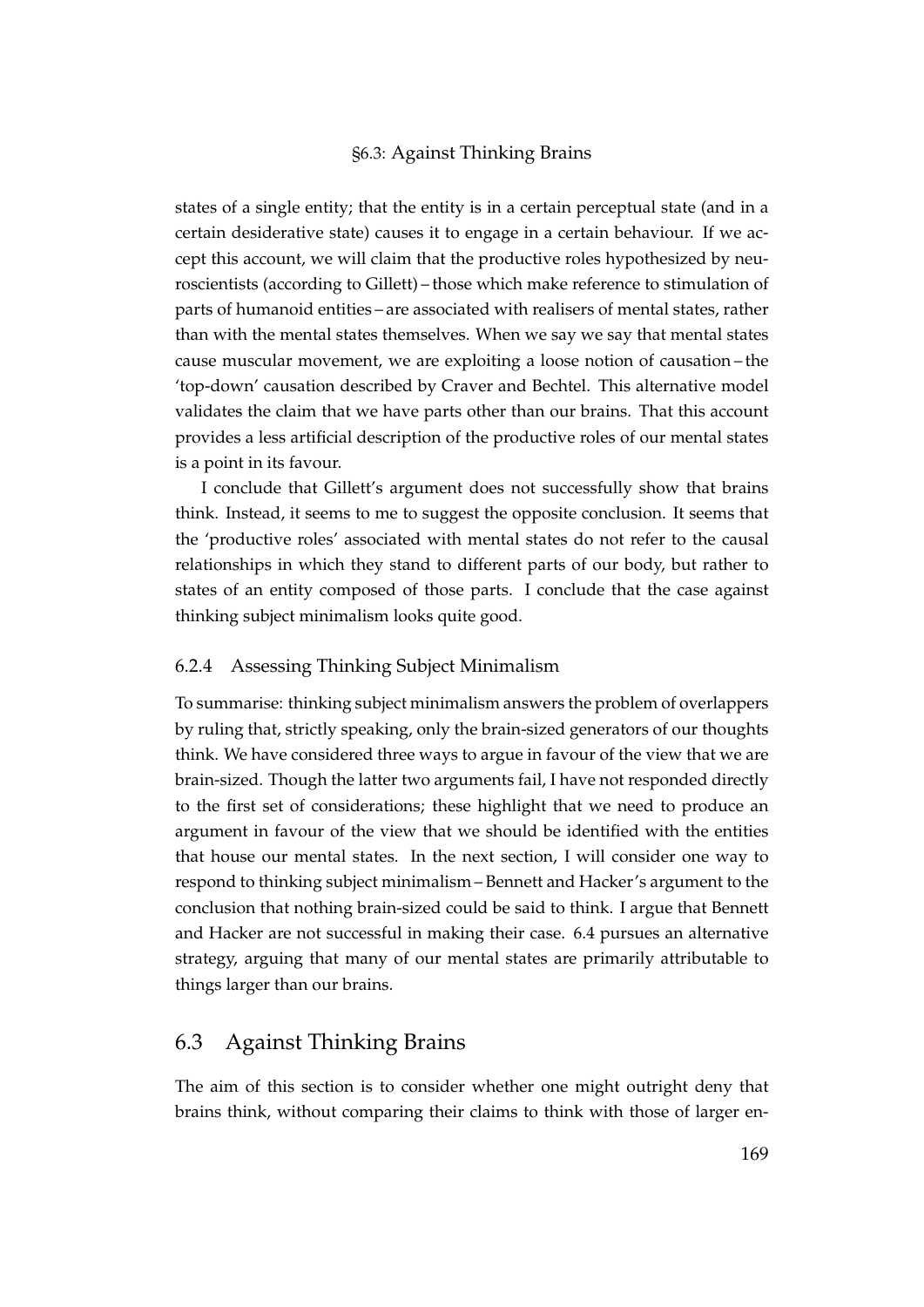#### §6.3: Against Thinking Brains

states of a single entity; that the entity is in a certain perceptual state (and in a certain desiderative state) causes it to engage in a certain behaviour. If we accept this account, we will claim that the productive roles hypothesized by neuroscientists (according to Gillett) – those which make reference to stimulation of parts of humanoid entities – are associated with realisers of mental states, rather than with the mental states themselves. When we say we say that mental states cause muscular movement, we are exploiting a loose notion of causation – the 'top-down' causation described by Craver and Bechtel. This alternative model validates the claim that we have parts other than our brains. That this account provides a less artificial description of the productive roles of our mental states is a point in its favour.

I conclude that Gillett's argument does not successfully show that brains think. Instead, it seems to me to suggest the opposite conclusion. It seems that the 'productive roles' associated with mental states do not refer to the causal relationships in which they stand to different parts of our body, but rather to states of an entity composed of those parts. I conclude that the case against thinking subject minimalism looks quite good.

#### 6.2.4 Assessing Thinking Subject Minimalism

To summarise: thinking subject minimalism answers the problem of overlappers by ruling that, strictly speaking, only the brain-sized generators of our thoughts think. We have considered three ways to argue in favour of the view that we are brain-sized. Though the latter two arguments fail, I have not responded directly to the first set of considerations; these highlight that we need to produce an argument in favour of the view that we should be identified with the entities that house our mental states. In the next section, I will consider one way to respond to thinking subject minimalism – Bennett and Hacker's argument to the conclusion that nothing brain-sized could be said to think. I argue that Bennett and Hacker are not successful in making their case. [6.4](#page-174-0) pursues an alternative strategy, arguing that many of our mental states are primarily attributable to things larger than our brains.

# <span id="page-168-0"></span>6.3 Against Thinking Brains

The aim of this section is to consider whether one might outright deny that brains think, without comparing their claims to think with those of larger en-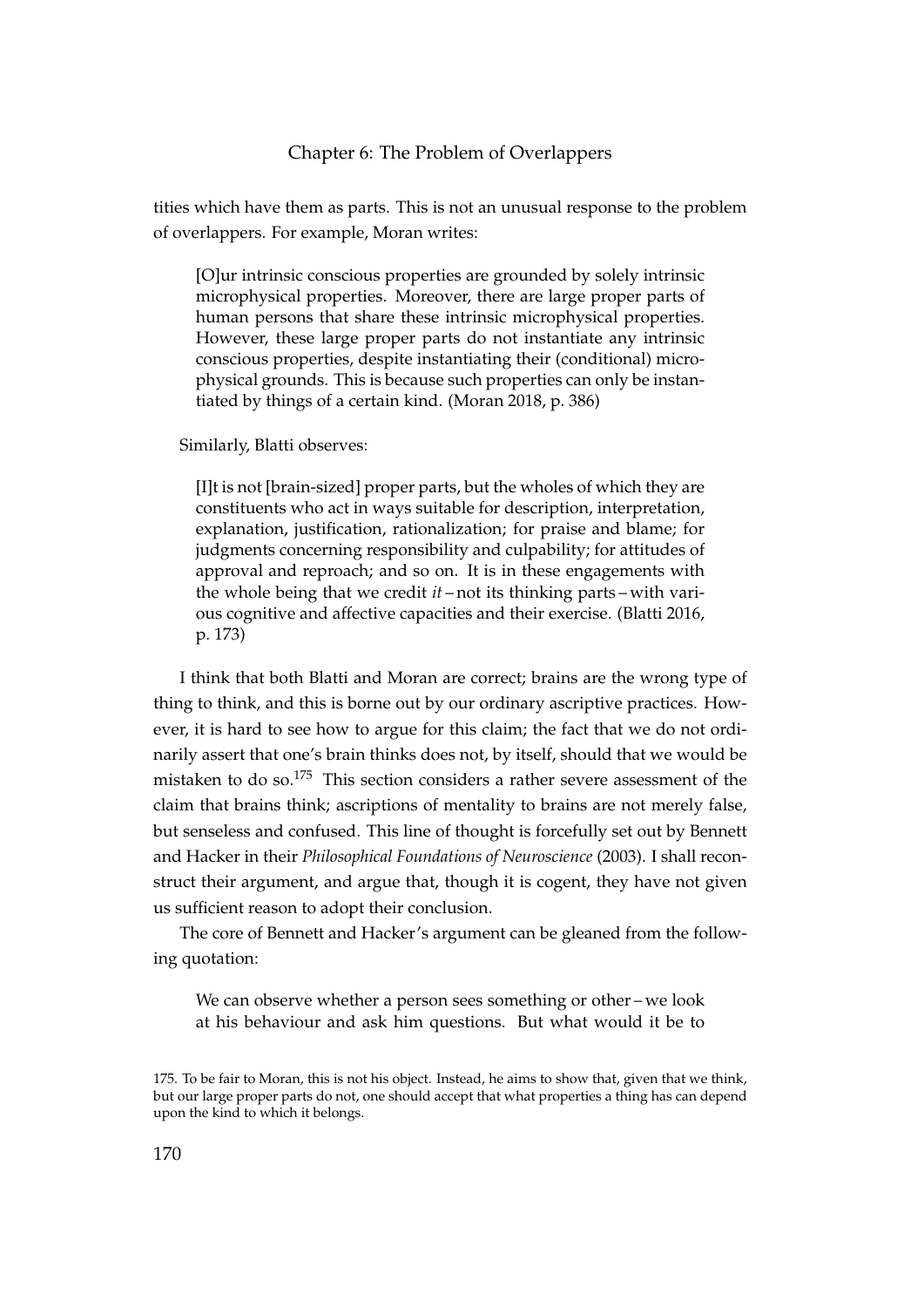tities which have them as parts. This is not an unusual response to the problem of overlappers. For example, Moran writes:

[O]ur intrinsic conscious properties are grounded by solely intrinsic microphysical properties. Moreover, there are large proper parts of human persons that share these intrinsic microphysical properties. However, these large proper parts do not instantiate any intrinsic conscious properties, despite instantiating their (conditional) microphysical grounds. This is because such properties can only be instantiated by things of a certain kind. [\(Moran 2018,](#page-214-6) p. 386)

Similarly, Blatti observes:

[I]t is not [brain-sized] proper parts, but the wholes of which they are constituents who act in ways suitable for description, interpretation, explanation, justification, rationalization; for praise and blame; for judgments concerning responsibility and culpability; for attitudes of approval and reproach; and so on. It is in these engagements with the whole being that we credit *it* – not its thinking parts – with various cognitive and affective capacities and their exercise. [\(Blatti 2016,](#page-209-0) p. 173)

I think that both Blatti and Moran are correct; brains are the wrong type of thing to think, and this is borne out by our ordinary ascriptive practices. However, it is hard to see how to argue for this claim; the fact that we do not ordinarily assert that one's brain thinks does not, by itself, should that we would be mistaken to do so.[175](#page-169-0) This section considers a rather severe assessment of the claim that brains think; ascriptions of mentality to brains are not merely false, but senseless and confused. This line of thought is forcefully set out by Bennett and Hacker in their *Philosophical Foundations of Neuroscience* (2003). I shall reconstruct their argument, and argue that, though it is cogent, they have not given us sufficient reason to adopt their conclusion.

The core of Bennett and Hacker's argument can be gleaned from the following quotation:

We can observe whether a person sees something or other – we look at his behaviour and ask him questions. But what would it be to

<span id="page-169-0"></span><sup>175.</sup> To be fair to Moran, this is not his object. Instead, he aims to show that, given that we think, but our large proper parts do not, one should accept that what properties a thing has can depend upon the kind to which it belongs.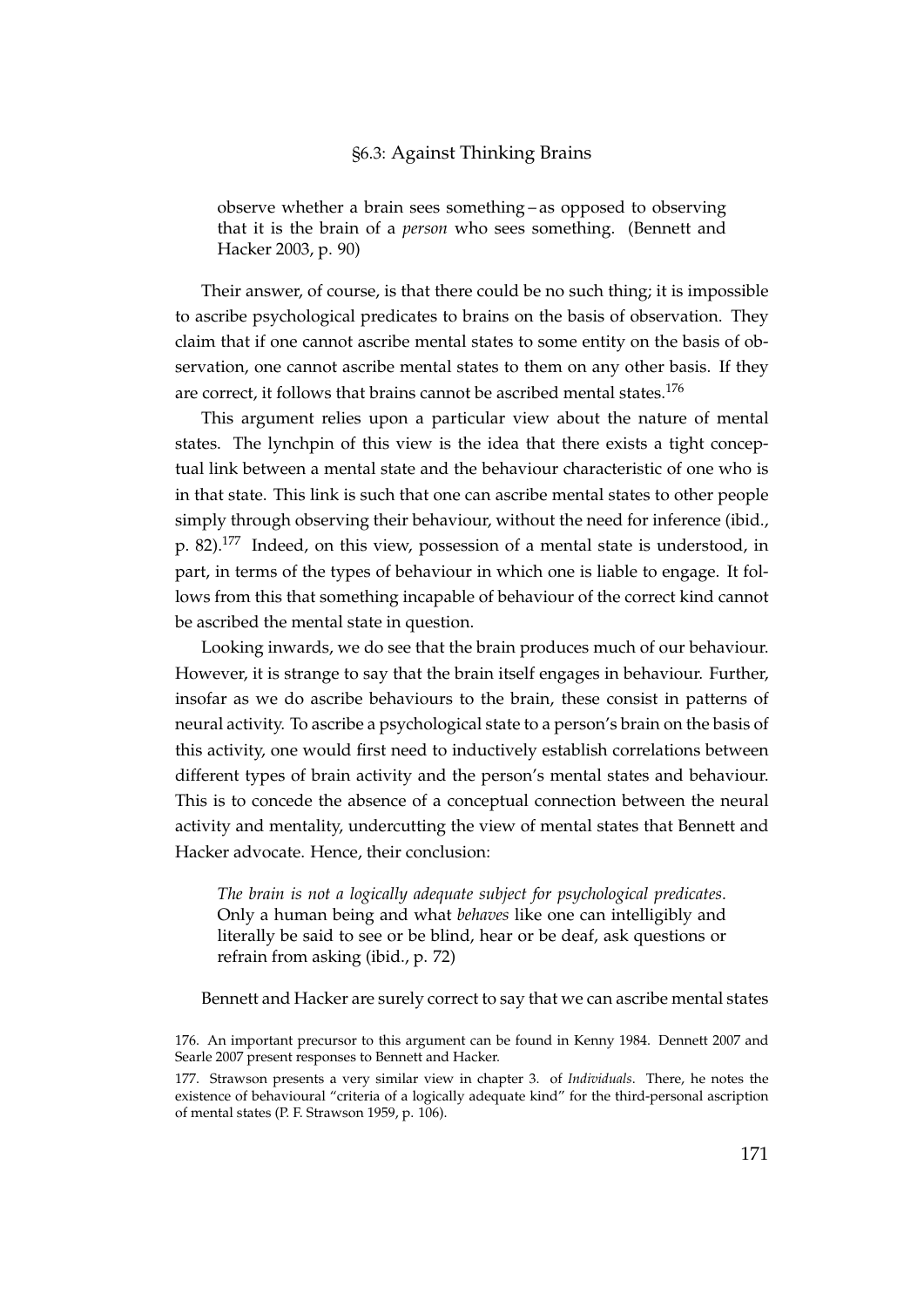#### §6.3: Against Thinking Brains

observe whether a brain sees something – as opposed to observing that it is the brain of a *person* who sees something. [\(Bennett and](#page-209-4) [Hacker 2003,](#page-209-4) p. 90)

Their answer, of course, is that there could be no such thing; it is impossible to ascribe psychological predicates to brains on the basis of observation. They claim that if one cannot ascribe mental states to some entity on the basis of observation, one cannot ascribe mental states to them on any other basis. If they are correct, it follows that brains cannot be ascribed mental states.<sup>[176](#page-170-0)</sup>

This argument relies upon a particular view about the nature of mental states. The lynchpin of this view is the idea that there exists a tight conceptual link between a mental state and the behaviour characteristic of one who is in that state. This link is such that one can ascribe mental states to other people simply through observing their behaviour, without the need for inference [\(ibid.,](#page-209-4) p. 82).[177](#page-170-1) Indeed, on this view, possession of a mental state is understood, in part, in terms of the types of behaviour in which one is liable to engage. It follows from this that something incapable of behaviour of the correct kind cannot be ascribed the mental state in question.

Looking inwards, we do see that the brain produces much of our behaviour. However, it is strange to say that the brain itself engages in behaviour. Further, insofar as we do ascribe behaviours to the brain, these consist in patterns of neural activity. To ascribe a psychological state to a person's brain on the basis of this activity, one would first need to inductively establish correlations between different types of brain activity and the person's mental states and behaviour. This is to concede the absence of a conceptual connection between the neural activity and mentality, undercutting the view of mental states that Bennett and Hacker advocate. Hence, their conclusion:

*The brain is not a logically adequate subject for psychological predicates*. Only a human being and what *behaves* like one can intelligibly and literally be said to see or be blind, hear or be deaf, ask questions or refrain from asking [\(ibid.,](#page-209-4) p. 72)

Bennett and Hacker are surely correct to say that we can ascribe mental states

<span id="page-170-0"></span><sup>176.</sup> An important precursor to this argument can be found in [Kenny 1984.](#page-212-3) [Dennett 2007](#page-210-3) and [Searle 2007](#page-216-7) present responses to Bennett and Hacker.

<span id="page-170-1"></span><sup>177.</sup> Strawson presents a very similar view in chapter 3. of *Individuals*. There, he notes the existence of behavioural "criteria of a logically adequate kind" for the third-personal ascription of mental states [\(P. F. Strawson 1959,](#page-218-0) p. 106).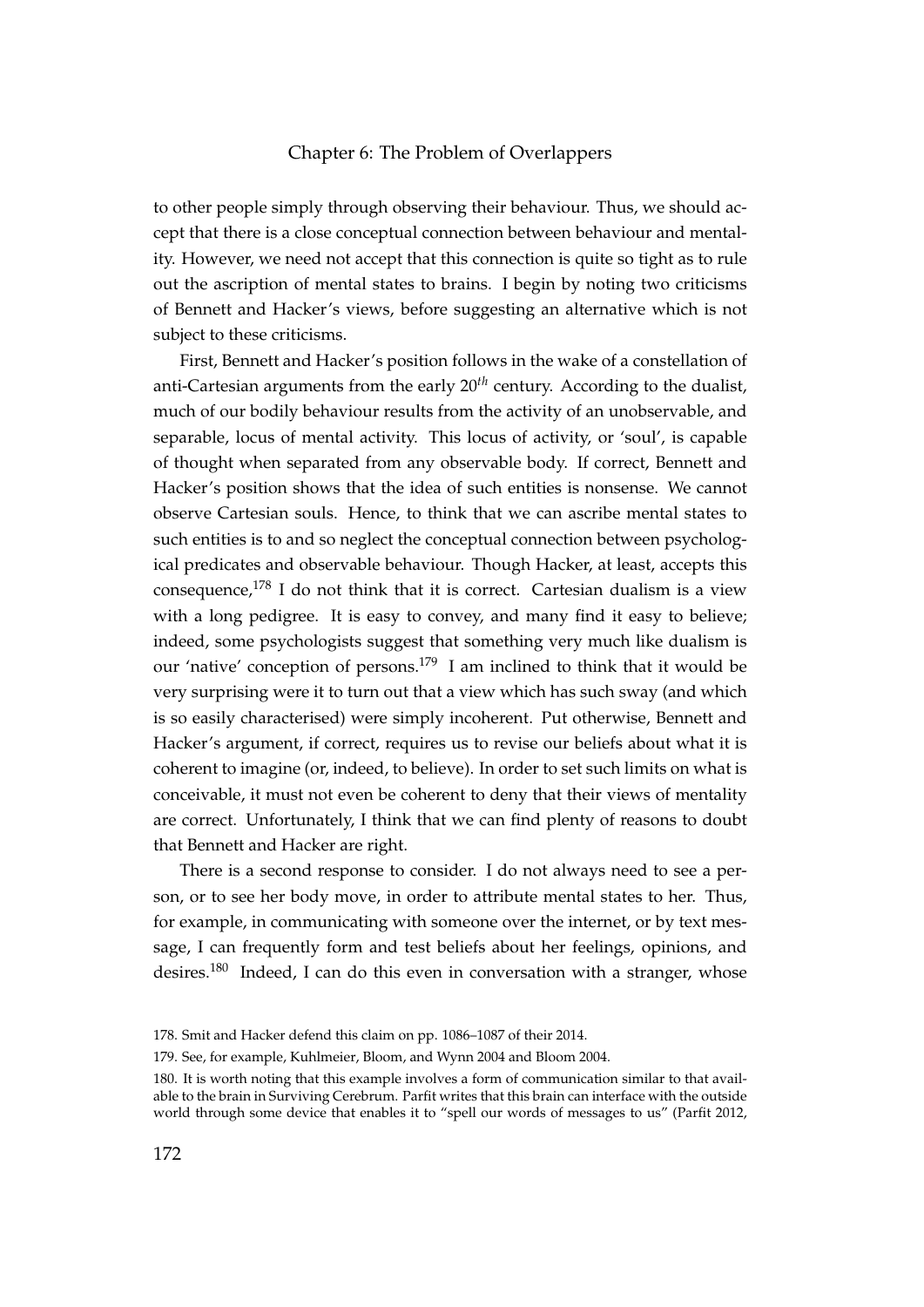to other people simply through observing their behaviour. Thus, we should accept that there is a close conceptual connection between behaviour and mentality. However, we need not accept that this connection is quite so tight as to rule out the ascription of mental states to brains. I begin by noting two criticisms of Bennett and Hacker's views, before suggesting an alternative which is not subject to these criticisms.

First, Bennett and Hacker's position follows in the wake of a constellation of anti-Cartesian arguments from the early 20*th* century. According to the dualist, much of our bodily behaviour results from the activity of an unobservable, and separable, locus of mental activity. This locus of activity, or 'soul', is capable of thought when separated from any observable body. If correct, Bennett and Hacker's position shows that the idea of such entities is nonsense. We cannot observe Cartesian souls. Hence, to think that we can ascribe mental states to such entities is to and so neglect the conceptual connection between psychological predicates and observable behaviour. Though Hacker, at least, accepts this consequence,<sup>[178](#page-171-0)</sup> I do not think that it is correct. Cartesian dualism is a view with a long pedigree. It is easy to convey, and many find it easy to believe; indeed, some psychologists suggest that something very much like dualism is our 'native' conception of persons.[179](#page-171-1) I am inclined to think that it would be very surprising were it to turn out that a view which has such sway (and which is so easily characterised) were simply incoherent. Put otherwise, Bennett and Hacker's argument, if correct, requires us to revise our beliefs about what it is coherent to imagine (or, indeed, to believe). In order to set such limits on what is conceivable, it must not even be coherent to deny that their views of mentality are correct. Unfortunately, I think that we can find plenty of reasons to doubt that Bennett and Hacker are right.

There is a second response to consider. I do not always need to see a person, or to see her body move, in order to attribute mental states to her. Thus, for example, in communicating with someone over the internet, or by text message, I can frequently form and test beliefs about her feelings, opinions, and desires.<sup>[180](#page-171-2)</sup> Indeed, I can do this even in conversation with a stranger, whose

<span id="page-171-0"></span><sup>178.</sup> Smit and Hacker defend this claim on pp. 1086–1087 of their [2014.](#page-218-4)

<span id="page-171-1"></span><sup>179.</sup> See, for example, [Kuhlmeier, Bloom, and Wynn 2004](#page-213-3) and [Bloom 2004.](#page-209-5)

<span id="page-171-2"></span><sup>180.</sup> It is worth noting that this example involves a form of communication similar to that available to the brain in Surviving Cerebrum. Parfit writes that this brain can interface with the outside world through some device that enables it to "spell our words of messages to us" [\(Parfit 2012,](#page-215-2)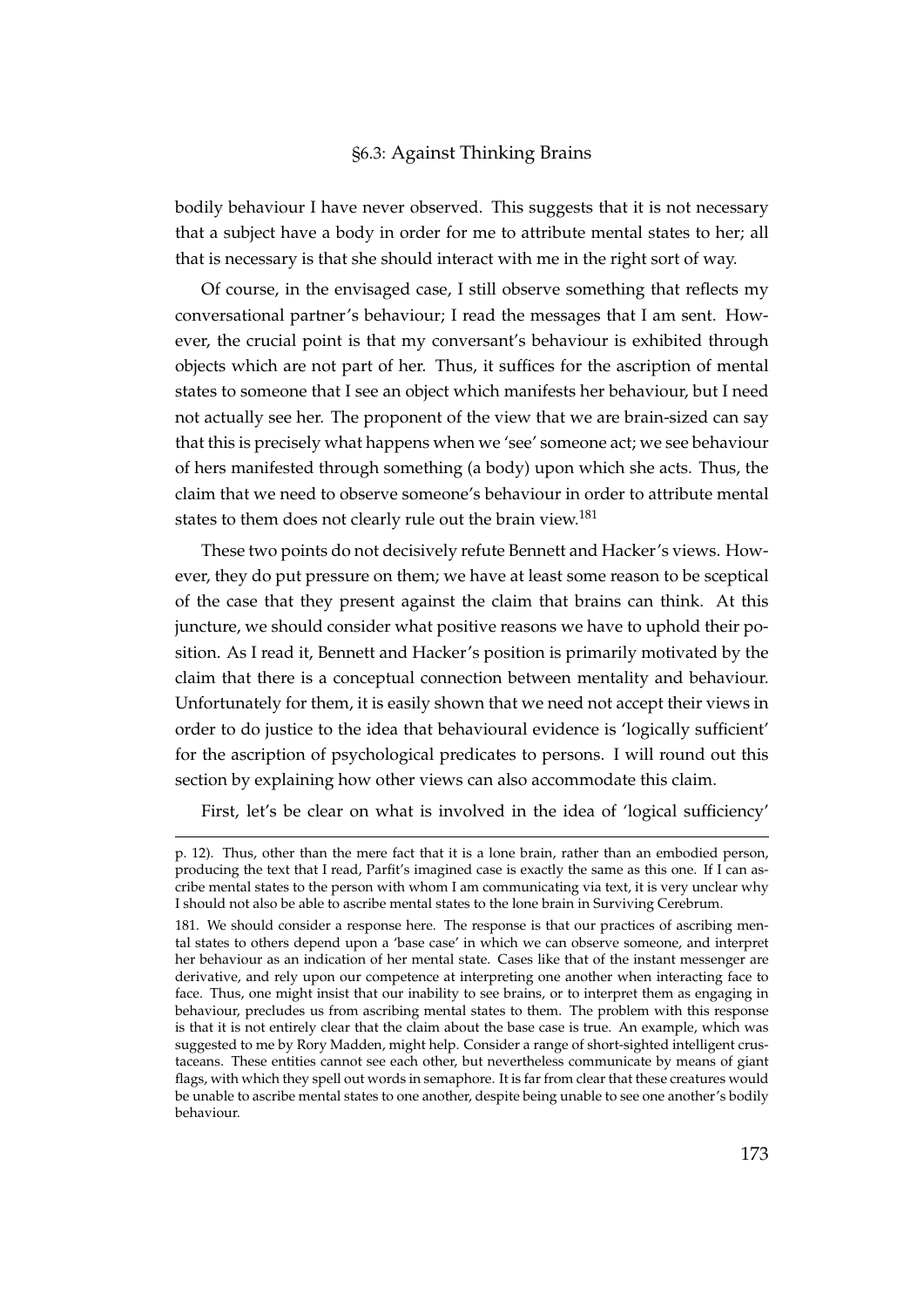#### §6.3: Against Thinking Brains

bodily behaviour I have never observed. This suggests that it is not necessary that a subject have a body in order for me to attribute mental states to her; all that is necessary is that she should interact with me in the right sort of way.

Of course, in the envisaged case, I still observe something that reflects my conversational partner's behaviour; I read the messages that I am sent. However, the crucial point is that my conversant's behaviour is exhibited through objects which are not part of her. Thus, it suffices for the ascription of mental states to someone that I see an object which manifests her behaviour, but I need not actually see her. The proponent of the view that we are brain-sized can say that this is precisely what happens when we 'see' someone act; we see behaviour of hers manifested through something (a body) upon which she acts. Thus, the claim that we need to observe someone's behaviour in order to attribute mental states to them does not clearly rule out the brain view.<sup>[181](#page-172-0)</sup>

These two points do not decisively refute Bennett and Hacker's views. However, they do put pressure on them; we have at least some reason to be sceptical of the case that they present against the claim that brains can think. At this juncture, we should consider what positive reasons we have to uphold their position. As I read it, Bennett and Hacker's position is primarily motivated by the claim that there is a conceptual connection between mentality and behaviour. Unfortunately for them, it is easily shown that we need not accept their views in order to do justice to the idea that behavioural evidence is 'logically sufficient' for the ascription of psychological predicates to persons. I will round out this section by explaining how other views can also accommodate this claim.

First, let's be clear on what is involved in the idea of 'logical sufficiency'

p. 12). Thus, other than the mere fact that it is a lone brain, rather than an embodied person, producing the text that I read, Parfit's imagined case is exactly the same as this one. If I can ascribe mental states to the person with whom I am communicating via text, it is very unclear why I should not also be able to ascribe mental states to the lone brain in Surviving Cerebrum.

<span id="page-172-0"></span><sup>181.</sup> We should consider a response here. The response is that our practices of ascribing mental states to others depend upon a 'base case' in which we can observe someone, and interpret her behaviour as an indication of her mental state. Cases like that of the instant messenger are derivative, and rely upon our competence at interpreting one another when interacting face to face. Thus, one might insist that our inability to see brains, or to interpret them as engaging in behaviour, precludes us from ascribing mental states to them. The problem with this response is that it is not entirely clear that the claim about the base case is true. An example, which was suggested to me by Rory Madden, might help. Consider a range of short-sighted intelligent crustaceans. These entities cannot see each other, but nevertheless communicate by means of giant flags, with which they spell out words in semaphore. It is far from clear that these creatures would be unable to ascribe mental states to one another, despite being unable to see one another's bodily behaviour.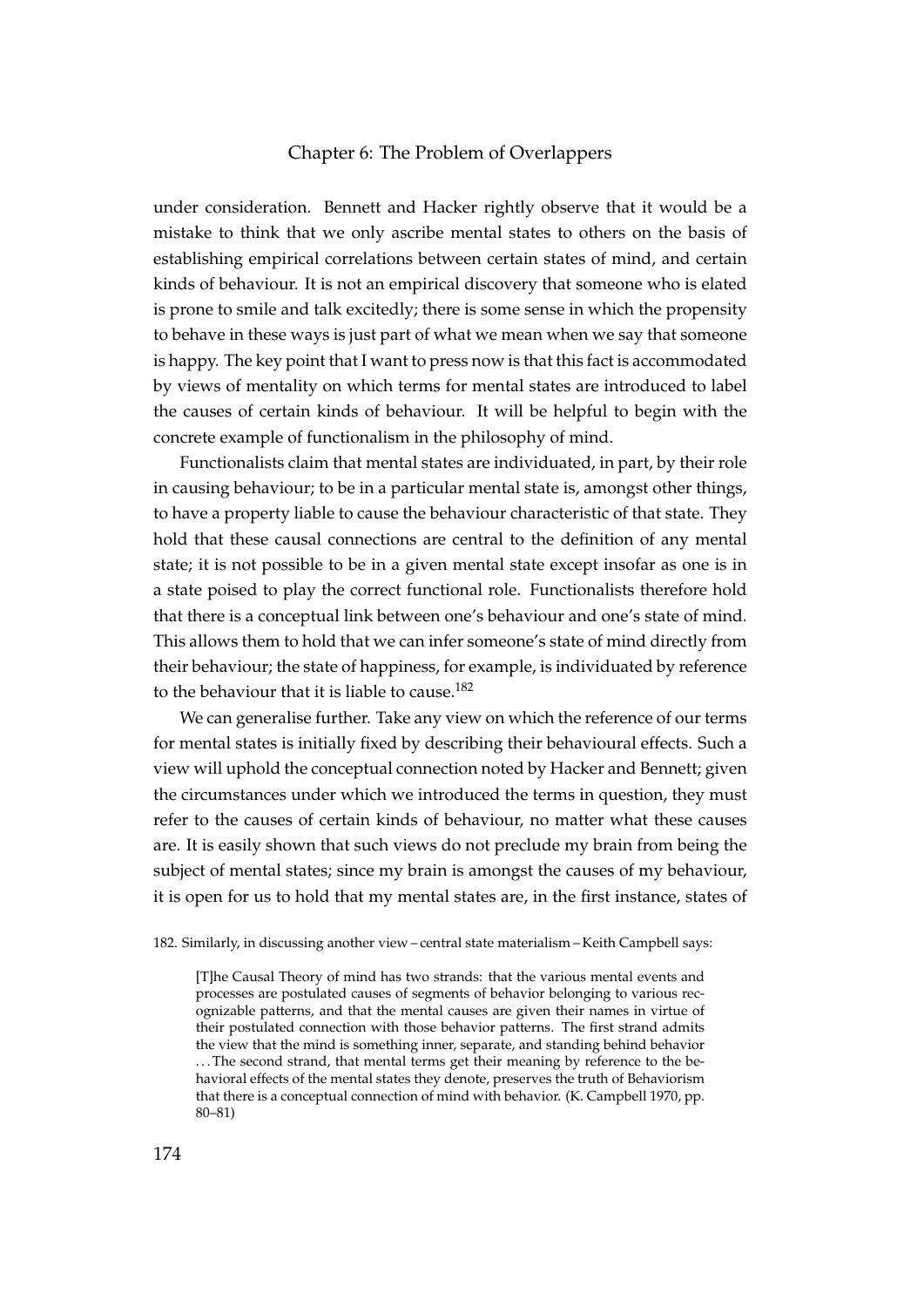under consideration. Bennett and Hacker rightly observe that it would be a mistake to think that we only ascribe mental states to others on the basis of establishing empirical correlations between certain states of mind, and certain kinds of behaviour. It is not an empirical discovery that someone who is elated is prone to smile and talk excitedly; there is some sense in which the propensity to behave in these ways is just part of what we mean when we say that someone is happy. The key point that I want to press now is that this fact is accommodated by views of mentality on which terms for mental states are introduced to label the causes of certain kinds of behaviour. It will be helpful to begin with the concrete example of functionalism in the philosophy of mind.

Functionalists claim that mental states are individuated, in part, by their role in causing behaviour; to be in a particular mental state is, amongst other things, to have a property liable to cause the behaviour characteristic of that state. They hold that these causal connections are central to the definition of any mental state; it is not possible to be in a given mental state except insofar as one is in a state poised to play the correct functional role. Functionalists therefore hold that there is a conceptual link between one's behaviour and one's state of mind. This allows them to hold that we can infer someone's state of mind directly from their behaviour; the state of happiness, for example, is individuated by reference to the behaviour that it is liable to cause.<sup>[182](#page-173-0)</sup>

We can generalise further. Take any view on which the reference of our terms for mental states is initially fixed by describing their behavioural effects. Such a view will uphold the conceptual connection noted by Hacker and Bennett; given the circumstances under which we introduced the terms in question, they must refer to the causes of certain kinds of behaviour, no matter what these causes are. It is easily shown that such views do not preclude my brain from being the subject of mental states; since my brain is amongst the causes of my behaviour, it is open for us to hold that my mental states are, in the first instance, states of

<span id="page-173-0"></span>182. Similarly, in discussing another view – central state materialism – Keith Campbell says:

[T]he Causal Theory of mind has two strands: that the various mental events and processes are postulated causes of segments of behavior belonging to various recognizable patterns, and that the mental causes are given their names in virtue of their postulated connection with those behavior patterns. The first strand admits the view that the mind is something inner, separate, and standing behind behavior ... The second strand, that mental terms get their meaning by reference to the behavioral effects of the mental states they denote, preserves the truth of Behaviorism that there is a conceptual connection of mind with behavior. [\(K. Campbell 1970,](#page-209-6) pp. 80–81)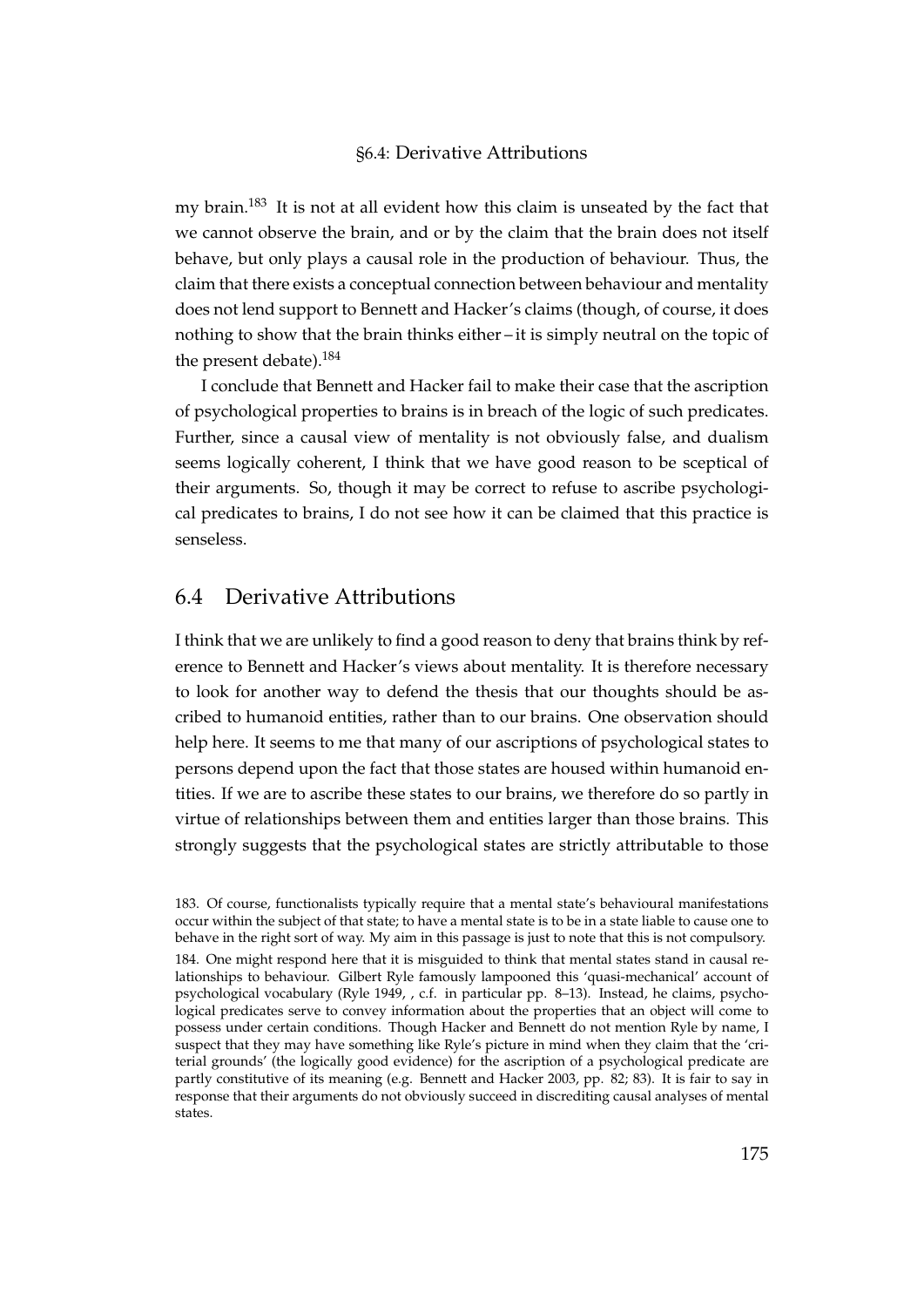#### §6.4: Derivative Attributions

my brain.[183](#page-174-1) It is not at all evident how this claim is unseated by the fact that we cannot observe the brain, and or by the claim that the brain does not itself behave, but only plays a causal role in the production of behaviour. Thus, the claim that there exists a conceptual connection between behaviour and mentality does not lend support to Bennett and Hacker's claims (though, of course, it does nothing to show that the brain thinks either – it is simply neutral on the topic of the present debate).[184](#page-174-2)

I conclude that Bennett and Hacker fail to make their case that the ascription of psychological properties to brains is in breach of the logic of such predicates. Further, since a causal view of mentality is not obviously false, and dualism seems logically coherent, I think that we have good reason to be sceptical of their arguments. So, though it may be correct to refuse to ascribe psychological predicates to brains, I do not see how it can be claimed that this practice is senseless.

# <span id="page-174-0"></span>6.4 Derivative Attributions

I think that we are unlikely to find a good reason to deny that brains think by reference to Bennett and Hacker's views about mentality. It is therefore necessary to look for another way to defend the thesis that our thoughts should be ascribed to humanoid entities, rather than to our brains. One observation should help here. It seems to me that many of our ascriptions of psychological states to persons depend upon the fact that those states are housed within humanoid entities. If we are to ascribe these states to our brains, we therefore do so partly in virtue of relationships between them and entities larger than those brains. This strongly suggests that the psychological states are strictly attributable to those

<span id="page-174-2"></span><span id="page-174-1"></span><sup>183.</sup> Of course, functionalists typically require that a mental state's behavioural manifestations occur within the subject of that state; to have a mental state is to be in a state liable to cause one to behave in the right sort of way. My aim in this passage is just to note that this is not compulsory. 184. One might respond here that it is misguided to think that mental states stand in causal relationships to behaviour. Gilbert Ryle famously lampooned this 'quasi-mechanical' account of psychological vocabulary [\(Ryle 1949,](#page-216-8) , c.f. in particular pp. 8–13). Instead, he claims, psychological predicates serve to convey information about the properties that an object will come to possess under certain conditions. Though Hacker and Bennett do not mention Ryle by name, I suspect that they may have something like Ryle's picture in mind when they claim that the 'criterial grounds' (the logically good evidence) for the ascription of a psychological predicate are partly constitutive of its meaning (e.g. [Bennett and Hacker 2003,](#page-209-4) pp. 82; 83). It is fair to say in response that their arguments do not obviously succeed in discrediting causal analyses of mental states.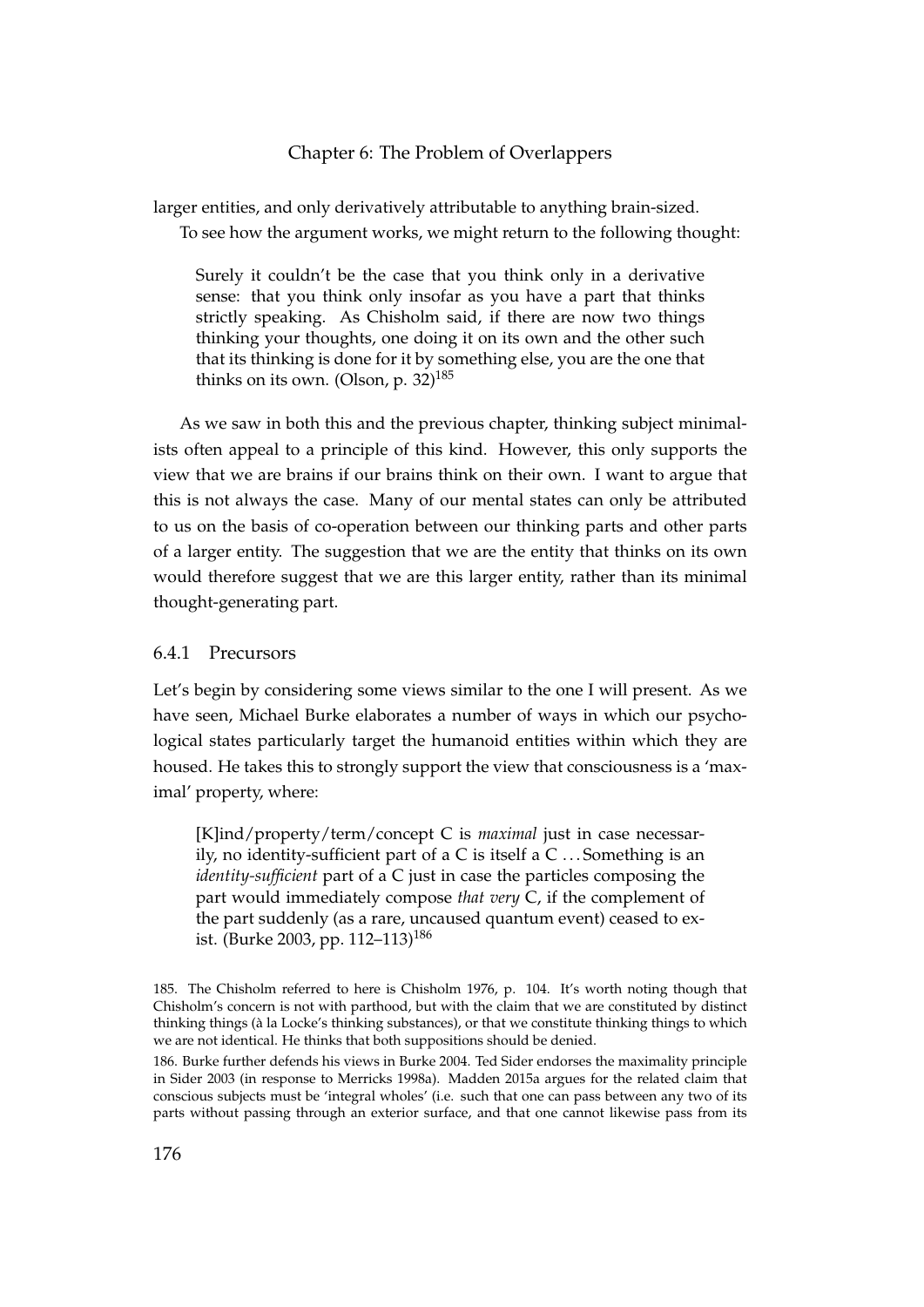larger entities, and only derivatively attributable to anything brain-sized. To see how the argument works, we might return to the following thought:

Surely it couldn't be the case that you think only in a derivative sense: that you think only insofar as you have a part that thinks strictly speaking. As Chisholm said, if there are now two things thinking your thoughts, one doing it on its own and the other such that its thinking is done for it by something else, you are the one that thinks on its own. (Olson, p. 32)<sup>[185](#page-175-0)</sup>

As we saw in both this and the previous chapter, thinking subject minimalists often appeal to a principle of this kind. However, this only supports the view that we are brains if our brains think on their own. I want to argue that this is not always the case. Many of our mental states can only be attributed to us on the basis of co-operation between our thinking parts and other parts of a larger entity. The suggestion that we are the entity that thinks on its own would therefore suggest that we are this larger entity, rather than its minimal thought-generating part.

#### 6.4.1 Precursors

Let's begin by considering some views similar to the one I will present. As we have seen, Michael Burke elaborates a number of ways in which our psychological states particularly target the humanoid entities within which they are housed. He takes this to strongly support the view that consciousness is a 'maximal' property, where:

[K]ind/property/term/concept C is *maximal* just in case necessarily, no identity-sufficient part of a  $C$  is itself a  $C \ldots$  Something is an *identity-sufficient* part of a C just in case the particles composing the part would immediately compose *that very* C, if the complement of the part suddenly (as a rare, uncaused quantum event) ceased to ex-ist. [\(Burke 2003,](#page-209-2) pp. 112–113)<sup>[186](#page-175-1)</sup>

<span id="page-175-0"></span><sup>185.</sup> The Chisholm referred to here is [Chisholm 1976,](#page-210-4) p. 104. It's worth noting though that Chisholm's concern is not with parthood, but with the claim that we are constituted by distinct thinking things (à la Locke's thinking substances), or that we constitute thinking things to which we are not identical. He thinks that both suppositions should be denied.

<span id="page-175-1"></span><sup>186.</sup> Burke further defends his views in [Burke 2004.](#page-209-7) Ted Sider endorses the maximality principle in [Sider 2003](#page-217-2) (in response to [Merricks 1998a\)](#page-214-7). [Madden 2015a](#page-213-4) argues for the related claim that conscious subjects must be 'integral wholes' (i.e. such that one can pass between any two of its parts without passing through an exterior surface, and that one cannot likewise pass from its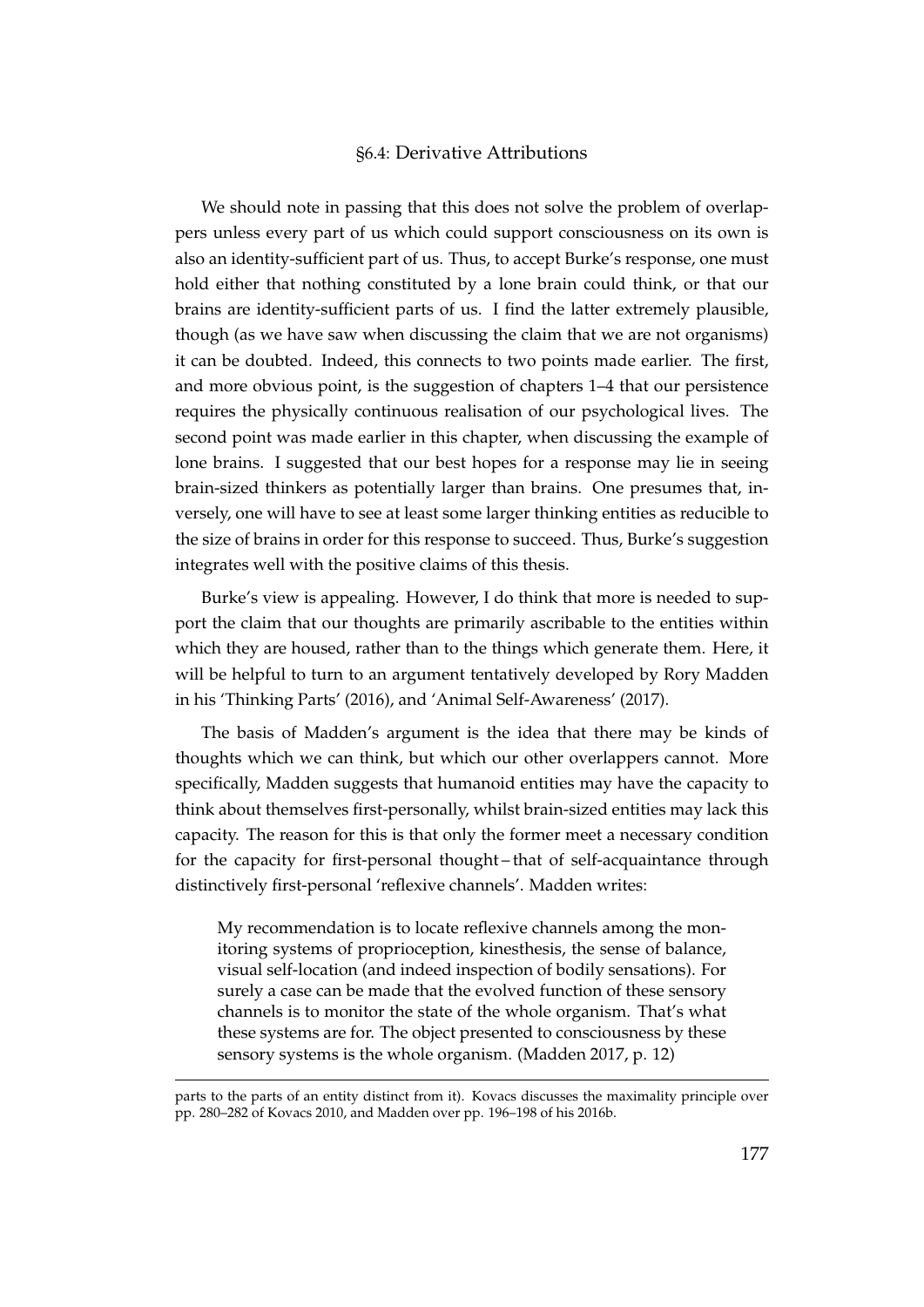#### §6.4: Derivative Attributions

We should note in passing that this does not solve the problem of overlappers unless every part of us which could support consciousness on its own is also an identity-sufficient part of us. Thus, to accept Burke's response, one must hold either that nothing constituted by a lone brain could think, or that our brains are identity-sufficient parts of us. I find the latter extremely plausible, though (as we have saw when discussing the claim that we are not organisms) it can be doubted. Indeed, this connects to two points made earlier. The first, and more obvious point, is the suggestion of chapters 1–4 that our persistence requires the physically continuous realisation of our psychological lives. The second point was made earlier in this chapter, when discussing the example of lone brains. I suggested that our best hopes for a response may lie in seeing brain-sized thinkers as potentially larger than brains. One presumes that, inversely, one will have to see at least some larger thinking entities as reducible to the size of brains in order for this response to succeed. Thus, Burke's suggestion integrates well with the positive claims of this thesis.

Burke's view is appealing. However, I do think that more is needed to support the claim that our thoughts are primarily ascribable to the entities within which they are housed, rather than to the things which generate them. Here, it will be helpful to turn to an argument tentatively developed by Rory Madden in his 'Thinking Parts' (2016), and 'Animal Self-Awareness' (2017).

The basis of Madden's argument is the idea that there may be kinds of thoughts which we can think, but which our other overlappers cannot. More specifically, Madden suggests that humanoid entities may have the capacity to think about themselves first-personally, whilst brain-sized entities may lack this capacity. The reason for this is that only the former meet a necessary condition for the capacity for first-personal thought – that of self-acquaintance through distinctively first-personal 'reflexive channels'. Madden writes:

My recommendation is to locate reflexive channels among the monitoring systems of proprioception, kinesthesis, the sense of balance, visual self-location (and indeed inspection of bodily sensations). For surely a case can be made that the evolved function of these sensory channels is to monitor the state of the whole organism. That's what these systems are for. The object presented to consciousness by these sensory systems is the whole organism. [\(Madden 2017,](#page-214-8) p. 12)

parts to the parts of an entity distinct from it). Kovacs discusses the maximality principle over pp. 280–282 of [Kovacs 2010,](#page-213-5) and Madden over pp. 196–198 of his [2016b.](#page-214-0)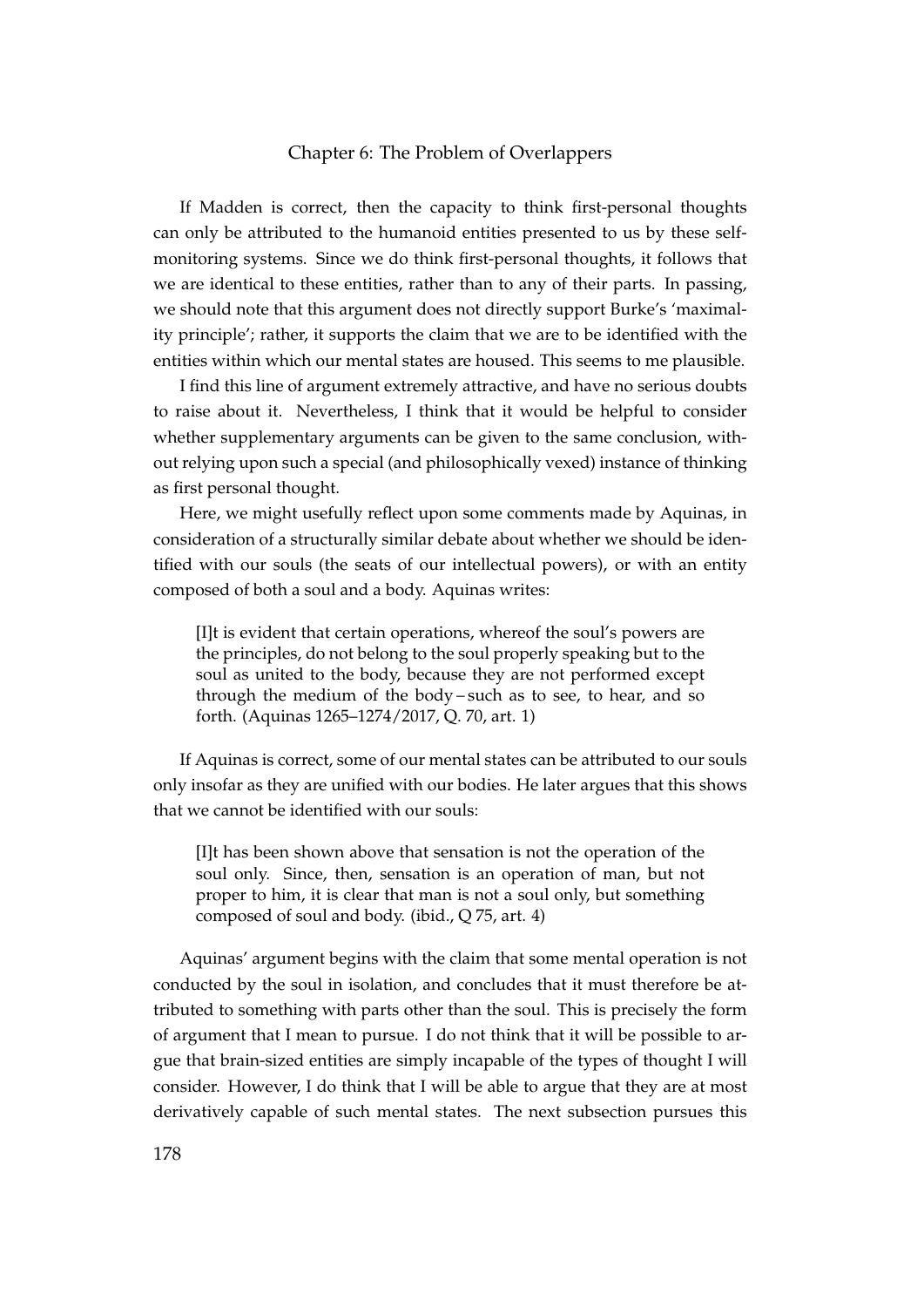If Madden is correct, then the capacity to think first-personal thoughts can only be attributed to the humanoid entities presented to us by these selfmonitoring systems. Since we do think first-personal thoughts, it follows that we are identical to these entities, rather than to any of their parts. In passing, we should note that this argument does not directly support Burke's 'maximality principle'; rather, it supports the claim that we are to be identified with the entities within which our mental states are housed. This seems to me plausible.

I find this line of argument extremely attractive, and have no serious doubts to raise about it. Nevertheless, I think that it would be helpful to consider whether supplementary arguments can be given to the same conclusion, without relying upon such a special (and philosophically vexed) instance of thinking as first personal thought.

Here, we might usefully reflect upon some comments made by Aquinas, in consideration of a structurally similar debate about whether we should be identified with our souls (the seats of our intellectual powers), or with an entity composed of both a soul and a body. Aquinas writes:

[I]t is evident that certain operations, whereof the soul's powers are the principles, do not belong to the soul properly speaking but to the soul as united to the body, because they are not performed except through the medium of the body – such as to see, to hear, and so forth. [\(Aquinas 1265–1274/2017,](#page-208-4) Q. 70, art. 1)

If Aquinas is correct, some of our mental states can be attributed to our souls only insofar as they are unified with our bodies. He later argues that this shows that we cannot be identified with our souls:

[I]t has been shown above that sensation is not the operation of the soul only. Since, then, sensation is an operation of man, but not proper to him, it is clear that man is not a soul only, but something composed of soul and body. [\(ibid.,](#page-208-4) Q 75, art. 4)

Aquinas' argument begins with the claim that some mental operation is not conducted by the soul in isolation, and concludes that it must therefore be attributed to something with parts other than the soul. This is precisely the form of argument that I mean to pursue. I do not think that it will be possible to argue that brain-sized entities are simply incapable of the types of thought I will consider. However, I do think that I will be able to argue that they are at most derivatively capable of such mental states. The next subsection pursues this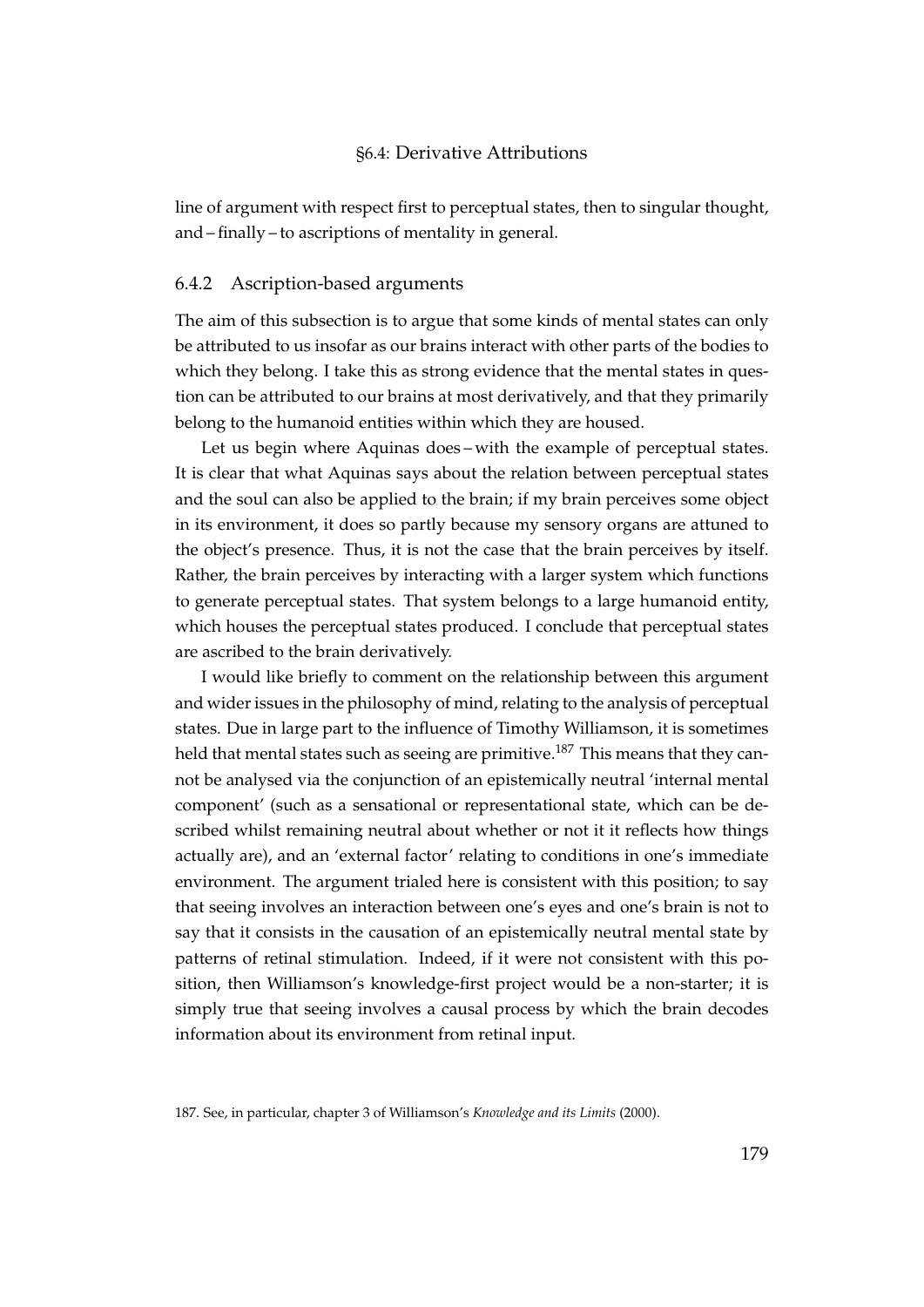#### §6.4: Derivative Attributions

line of argument with respect first to perceptual states, then to singular thought, and – finally – to ascriptions of mentality in general.

#### 6.4.2 Ascription-based arguments

The aim of this subsection is to argue that some kinds of mental states can only be attributed to us insofar as our brains interact with other parts of the bodies to which they belong. I take this as strong evidence that the mental states in question can be attributed to our brains at most derivatively, and that they primarily belong to the humanoid entities within which they are housed.

Let us begin where Aquinas does – with the example of perceptual states. It is clear that what Aquinas says about the relation between perceptual states and the soul can also be applied to the brain; if my brain perceives some object in its environment, it does so partly because my sensory organs are attuned to the object's presence. Thus, it is not the case that the brain perceives by itself. Rather, the brain perceives by interacting with a larger system which functions to generate perceptual states. That system belongs to a large humanoid entity, which houses the perceptual states produced. I conclude that perceptual states are ascribed to the brain derivatively.

I would like briefly to comment on the relationship between this argument and wider issues in the philosophy of mind, relating to the analysis of perceptual states. Due in large part to the influence of Timothy Williamson, it is sometimes held that mental states such as seeing are primitive.<sup>[187](#page-178-0)</sup> This means that they cannot be analysed via the conjunction of an epistemically neutral 'internal mental component' (such as a sensational or representational state, which can be described whilst remaining neutral about whether or not it it reflects how things actually are), and an 'external factor' relating to conditions in one's immediate environment. The argument trialed here is consistent with this position; to say that seeing involves an interaction between one's eyes and one's brain is not to say that it consists in the causation of an epistemically neutral mental state by patterns of retinal stimulation. Indeed, if it were not consistent with this position, then Williamson's knowledge-first project would be a non-starter; it is simply true that seeing involves a causal process by which the brain decodes information about its environment from retinal input.

<span id="page-178-0"></span><sup>187.</sup> See, in particular, chapter 3 of Williamson's *Knowledge and its Limits* (2000).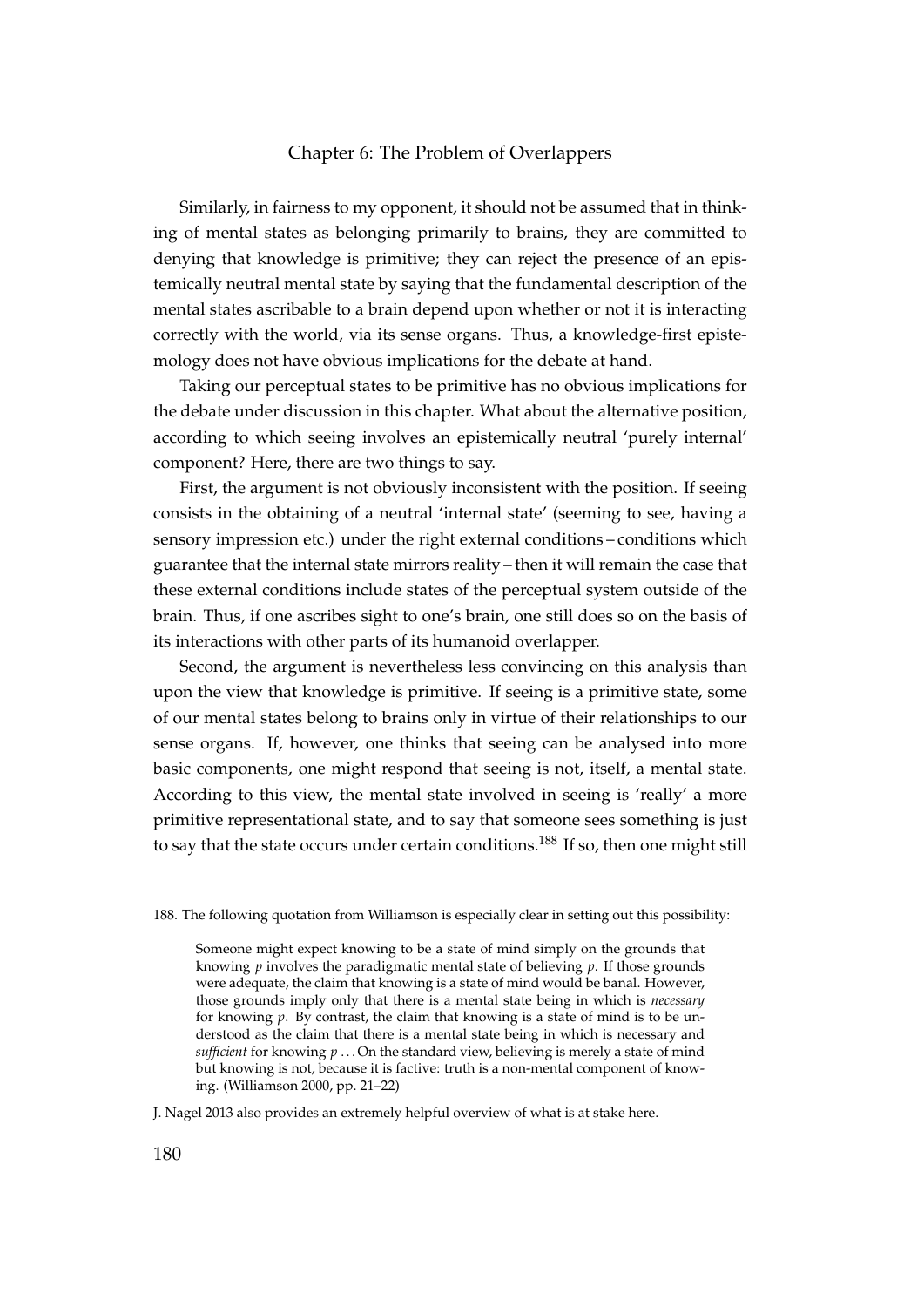Similarly, in fairness to my opponent, it should not be assumed that in thinking of mental states as belonging primarily to brains, they are committed to denying that knowledge is primitive; they can reject the presence of an epistemically neutral mental state by saying that the fundamental description of the mental states ascribable to a brain depend upon whether or not it is interacting correctly with the world, via its sense organs. Thus, a knowledge-first epistemology does not have obvious implications for the debate at hand.

Taking our perceptual states to be primitive has no obvious implications for the debate under discussion in this chapter. What about the alternative position, according to which seeing involves an epistemically neutral 'purely internal' component? Here, there are two things to say.

First, the argument is not obviously inconsistent with the position. If seeing consists in the obtaining of a neutral 'internal state' (seeming to see, having a sensory impression etc.) under the right external conditions – conditions which guarantee that the internal state mirrors reality – then it will remain the case that these external conditions include states of the perceptual system outside of the brain. Thus, if one ascribes sight to one's brain, one still does so on the basis of its interactions with other parts of its humanoid overlapper.

Second, the argument is nevertheless less convincing on this analysis than upon the view that knowledge is primitive. If seeing is a primitive state, some of our mental states belong to brains only in virtue of their relationships to our sense organs. If, however, one thinks that seeing can be analysed into more basic components, one might respond that seeing is not, itself, a mental state. According to this view, the mental state involved in seeing is 'really' a more primitive representational state, and to say that someone sees something is just to say that the state occurs under certain conditions.<sup>[188](#page-179-0)</sup> If so, then one might still

[J. Nagel 2013](#page-214-9) also provides an extremely helpful overview of what is at stake here.

<span id="page-179-0"></span><sup>188.</sup> The following quotation from Williamson is especially clear in setting out this possibility:

Someone might expect knowing to be a state of mind simply on the grounds that knowing *p* involves the paradigmatic mental state of believing *p*. If those grounds were adequate, the claim that knowing is a state of mind would be banal. However, those grounds imply only that there is a mental state being in which is *necessary* for knowing *p*. By contrast, the claim that knowing is a state of mind is to be understood as the claim that there is a mental state being in which is necessary and *sufficient* for knowing *p* . . . On the standard view, believing is merely a state of mind but knowing is not, because it is factive: truth is a non-mental component of knowing. [\(Williamson 2000,](#page-220-3) pp. 21–22)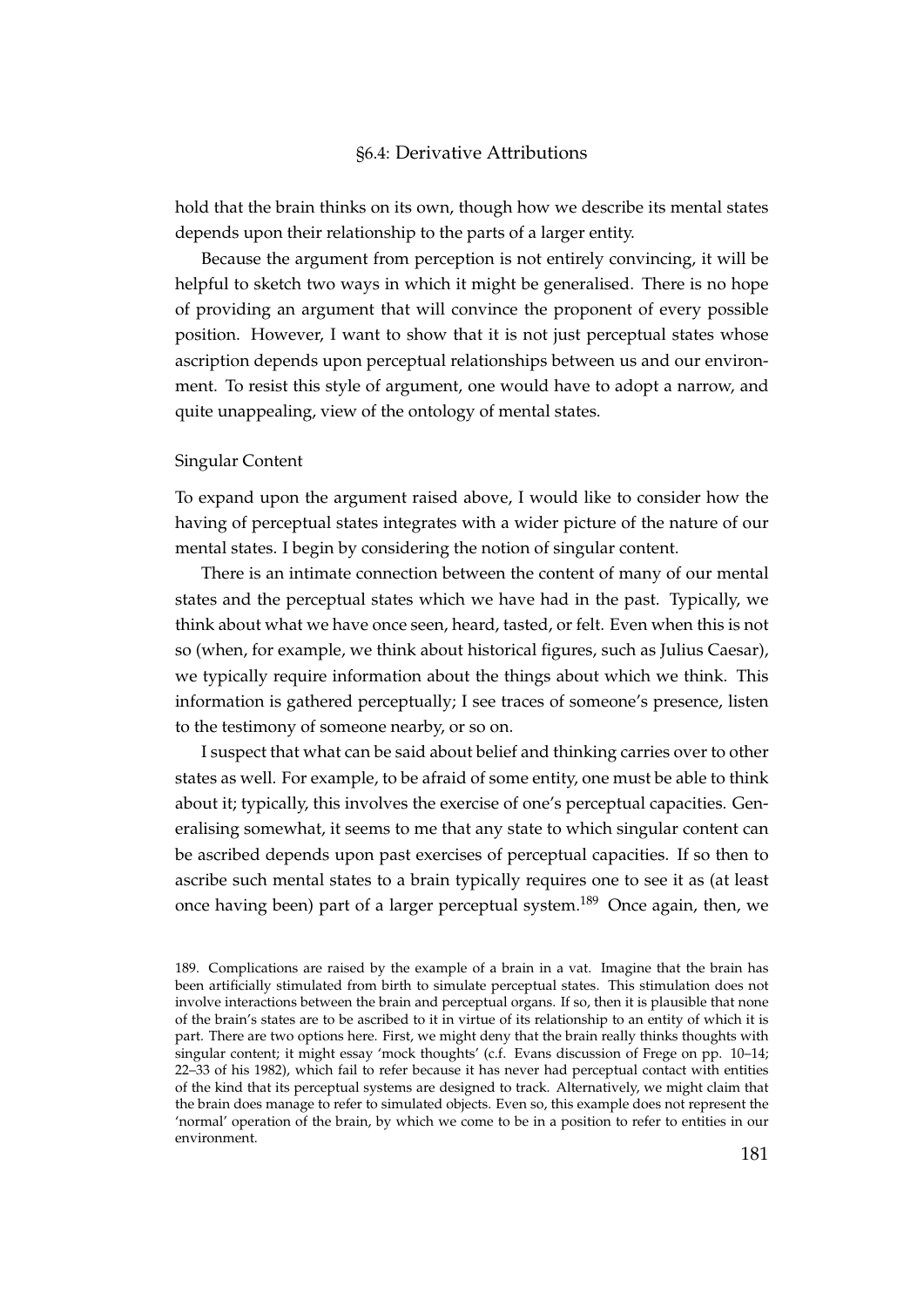## §6.4: Derivative Attributions

hold that the brain thinks on its own, though how we describe its mental states depends upon their relationship to the parts of a larger entity.

Because the argument from perception is not entirely convincing, it will be helpful to sketch two ways in which it might be generalised. There is no hope of providing an argument that will convince the proponent of every possible position. However, I want to show that it is not just perceptual states whose ascription depends upon perceptual relationships between us and our environment. To resist this style of argument, one would have to adopt a narrow, and quite unappealing, view of the ontology of mental states.

#### Singular Content

To expand upon the argument raised above, I would like to consider how the having of perceptual states integrates with a wider picture of the nature of our mental states. I begin by considering the notion of singular content.

There is an intimate connection between the content of many of our mental states and the perceptual states which we have had in the past. Typically, we think about what we have once seen, heard, tasted, or felt. Even when this is not so (when, for example, we think about historical figures, such as Julius Caesar), we typically require information about the things about which we think. This information is gathered perceptually; I see traces of someone's presence, listen to the testimony of someone nearby, or so on.

I suspect that what can be said about belief and thinking carries over to other states as well. For example, to be afraid of some entity, one must be able to think about it; typically, this involves the exercise of one's perceptual capacities. Generalising somewhat, it seems to me that any state to which singular content can be ascribed depends upon past exercises of perceptual capacities. If so then to ascribe such mental states to a brain typically requires one to see it as (at least once having been) part of a larger perceptual system.<sup>[189](#page-180-0)</sup> Once again, then, we

<span id="page-180-0"></span><sup>189.</sup> Complications are raised by the example of a brain in a vat. Imagine that the brain has been artificially stimulated from birth to simulate perceptual states. This stimulation does not involve interactions between the brain and perceptual organs. If so, then it is plausible that none of the brain's states are to be ascribed to it in virtue of its relationship to an entity of which it is part. There are two options here. First, we might deny that the brain really thinks thoughts with singular content; it might essay 'mock thoughts' (c.f. Evans discussion of Frege on pp. 10–14; 22–33 of his [1982\)](#page-211-0), which fail to refer because it has never had perceptual contact with entities of the kind that its perceptual systems are designed to track. Alternatively, we might claim that the brain does manage to refer to simulated objects. Even so, this example does not represent the 'normal' operation of the brain, by which we come to be in a position to refer to entities in our environment.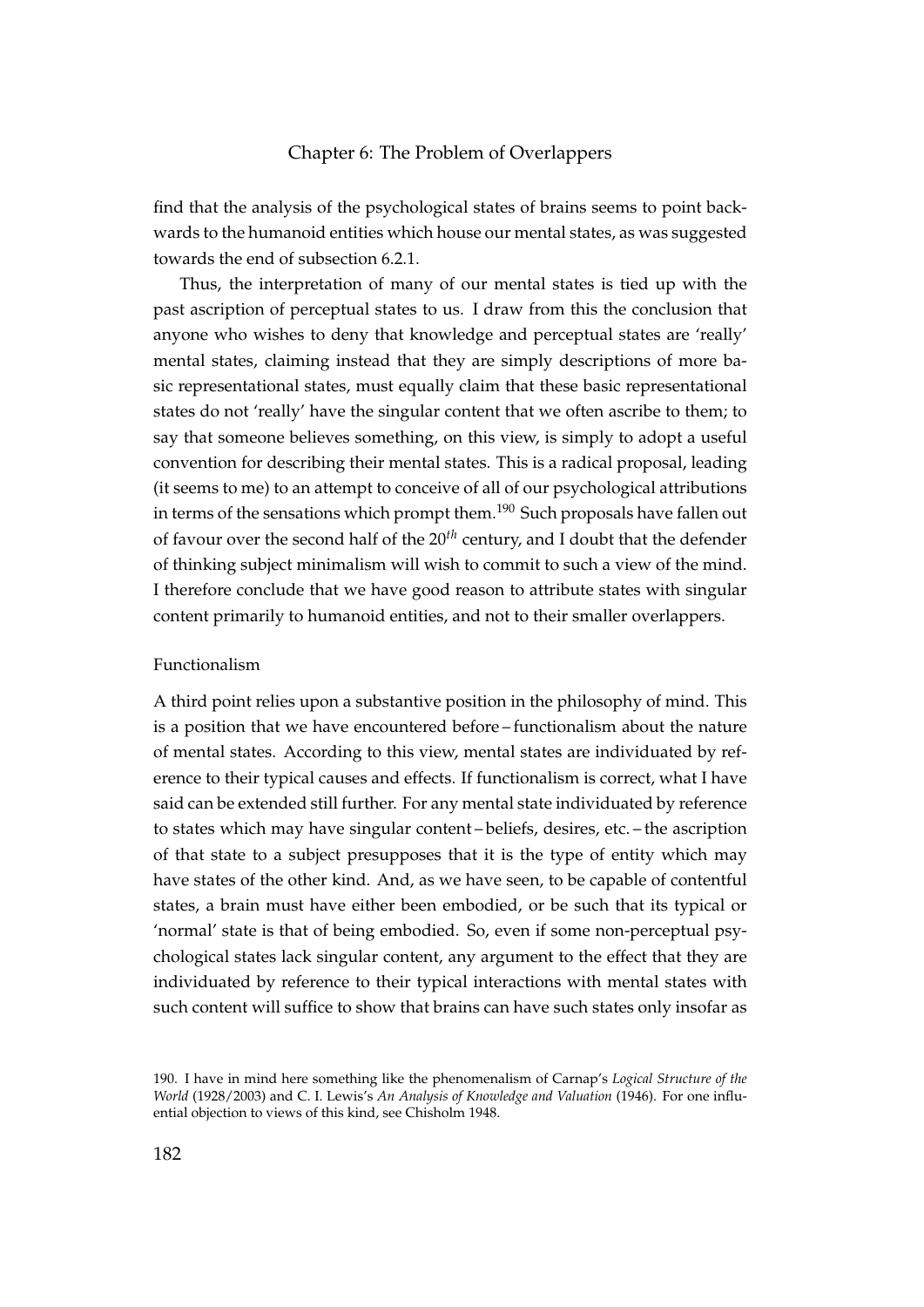# Chapter 6: The Problem of Overlappers

find that the analysis of the psychological states of brains seems to point backwards to the humanoid entities which house our mental states, as was suggested towards the end of subsection [6.2.1.](#page-156-0)

Thus, the interpretation of many of our mental states is tied up with the past ascription of perceptual states to us. I draw from this the conclusion that anyone who wishes to deny that knowledge and perceptual states are 'really' mental states, claiming instead that they are simply descriptions of more basic representational states, must equally claim that these basic representational states do not 'really' have the singular content that we often ascribe to them; to say that someone believes something, on this view, is simply to adopt a useful convention for describing their mental states. This is a radical proposal, leading (it seems to me) to an attempt to conceive of all of our psychological attributions in terms of the sensations which prompt them.<sup>[190](#page-181-0)</sup> Such proposals have fallen out of favour over the second half of the 20*th* century, and I doubt that the defender of thinking subject minimalism will wish to commit to such a view of the mind. I therefore conclude that we have good reason to attribute states with singular content primarily to humanoid entities, and not to their smaller overlappers.

#### Functionalism

A third point relies upon a substantive position in the philosophy of mind. This is a position that we have encountered before – functionalism about the nature of mental states. According to this view, mental states are individuated by reference to their typical causes and effects. If functionalism is correct, what I have said can be extended still further. For any mental state individuated by reference to states which may have singular content – beliefs, desires, etc. – the ascription of that state to a subject presupposes that it is the type of entity which may have states of the other kind. And, as we have seen, to be capable of contentful states, a brain must have either been embodied, or be such that its typical or 'normal' state is that of being embodied. So, even if some non-perceptual psychological states lack singular content, any argument to the effect that they are individuated by reference to their typical interactions with mental states with such content will suffice to show that brains can have such states only insofar as

<span id="page-181-0"></span><sup>190.</sup> I have in mind here something like the phenomenalism of Carnap's *Logical Structure of the World* (1928/2003) and C. I. Lewis's *An Analysis of Knowledge and Valuation* (1946). For one influential objection to views of this kind, see [Chisholm 1948.](#page-210-0)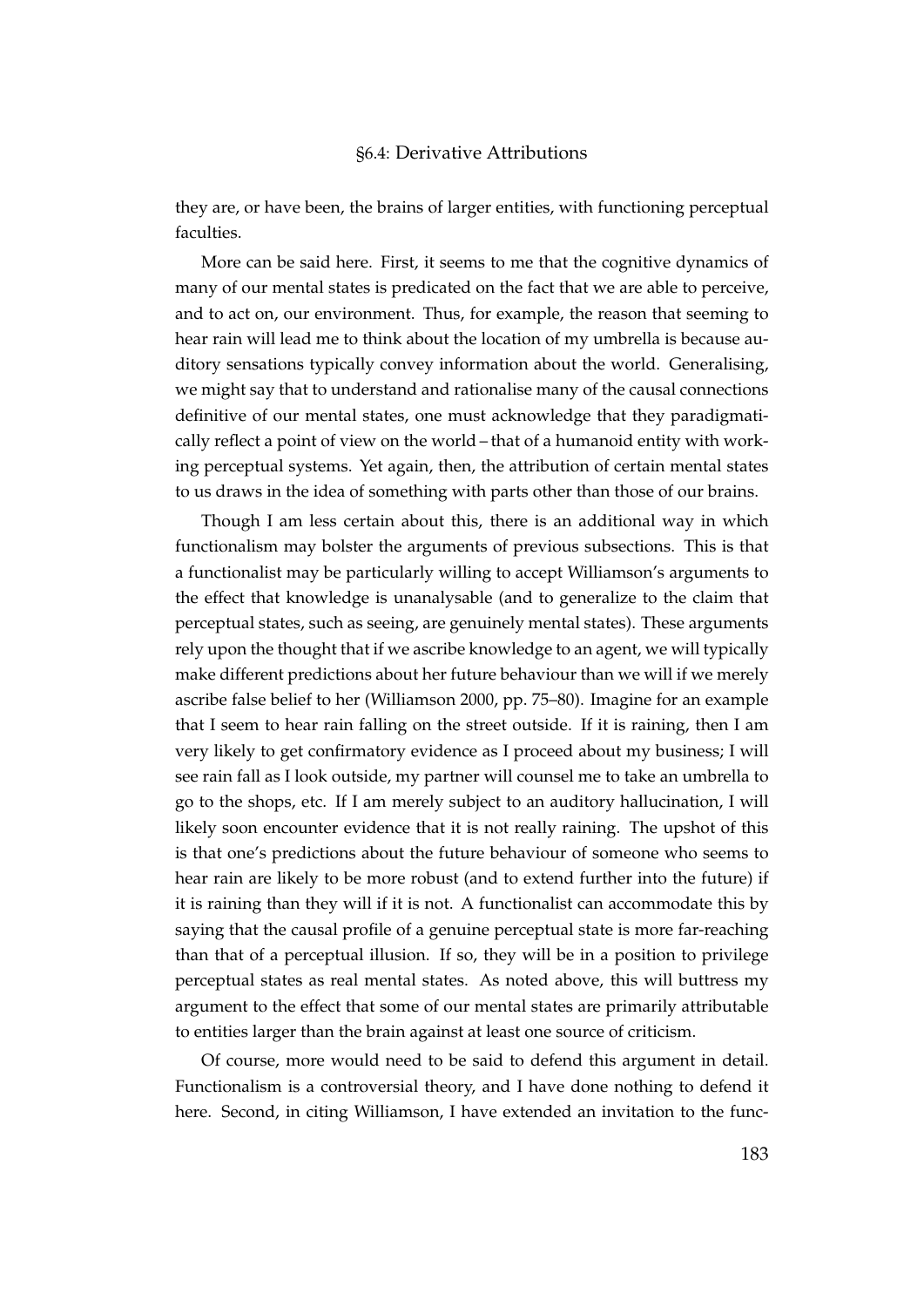#### §6.4: Derivative Attributions

they are, or have been, the brains of larger entities, with functioning perceptual faculties.

More can be said here. First, it seems to me that the cognitive dynamics of many of our mental states is predicated on the fact that we are able to perceive, and to act on, our environment. Thus, for example, the reason that seeming to hear rain will lead me to think about the location of my umbrella is because auditory sensations typically convey information about the world. Generalising, we might say that to understand and rationalise many of the causal connections definitive of our mental states, one must acknowledge that they paradigmatically reflect a point of view on the world – that of a humanoid entity with working perceptual systems. Yet again, then, the attribution of certain mental states to us draws in the idea of something with parts other than those of our brains.

Though I am less certain about this, there is an additional way in which functionalism may bolster the arguments of previous subsections. This is that a functionalist may be particularly willing to accept Williamson's arguments to the effect that knowledge is unanalysable (and to generalize to the claim that perceptual states, such as seeing, are genuinely mental states). These arguments rely upon the thought that if we ascribe knowledge to an agent, we will typically make different predictions about her future behaviour than we will if we merely ascribe false belief to her [\(Williamson 2000,](#page-220-0) pp. 75–80). Imagine for an example that I seem to hear rain falling on the street outside. If it is raining, then I am very likely to get confirmatory evidence as I proceed about my business; I will see rain fall as I look outside, my partner will counsel me to take an umbrella to go to the shops, etc. If I am merely subject to an auditory hallucination, I will likely soon encounter evidence that it is not really raining. The upshot of this is that one's predictions about the future behaviour of someone who seems to hear rain are likely to be more robust (and to extend further into the future) if it is raining than they will if it is not. A functionalist can accommodate this by saying that the causal profile of a genuine perceptual state is more far-reaching than that of a perceptual illusion. If so, they will be in a position to privilege perceptual states as real mental states. As noted above, this will buttress my argument to the effect that some of our mental states are primarily attributable to entities larger than the brain against at least one source of criticism.

Of course, more would need to be said to defend this argument in detail. Functionalism is a controversial theory, and I have done nothing to defend it here. Second, in citing Williamson, I have extended an invitation to the func-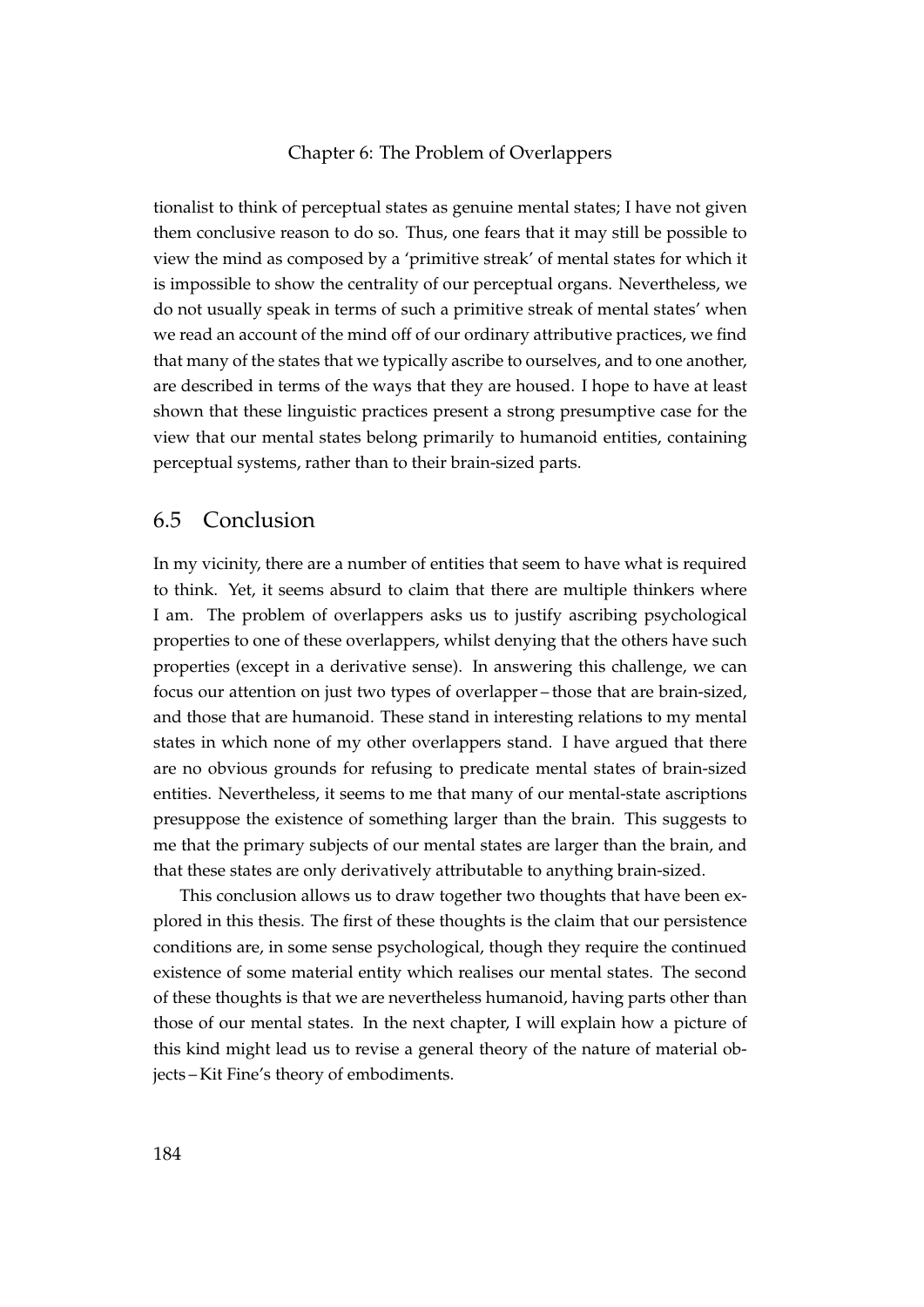#### Chapter 6: The Problem of Overlappers

tionalist to think of perceptual states as genuine mental states; I have not given them conclusive reason to do so. Thus, one fears that it may still be possible to view the mind as composed by a 'primitive streak' of mental states for which it is impossible to show the centrality of our perceptual organs. Nevertheless, we do not usually speak in terms of such a primitive streak of mental states' when we read an account of the mind off of our ordinary attributive practices, we find that many of the states that we typically ascribe to ourselves, and to one another, are described in terms of the ways that they are housed. I hope to have at least shown that these linguistic practices present a strong presumptive case for the view that our mental states belong primarily to humanoid entities, containing perceptual systems, rather than to their brain-sized parts.

# 6.5 Conclusion

In my vicinity, there are a number of entities that seem to have what is required to think. Yet, it seems absurd to claim that there are multiple thinkers where I am. The problem of overlappers asks us to justify ascribing psychological properties to one of these overlappers, whilst denying that the others have such properties (except in a derivative sense). In answering this challenge, we can focus our attention on just two types of overlapper – those that are brain-sized, and those that are humanoid. These stand in interesting relations to my mental states in which none of my other overlappers stand. I have argued that there are no obvious grounds for refusing to predicate mental states of brain-sized entities. Nevertheless, it seems to me that many of our mental-state ascriptions presuppose the existence of something larger than the brain. This suggests to me that the primary subjects of our mental states are larger than the brain, and that these states are only derivatively attributable to anything brain-sized.

This conclusion allows us to draw together two thoughts that have been explored in this thesis. The first of these thoughts is the claim that our persistence conditions are, in some sense psychological, though they require the continued existence of some material entity which realises our mental states. The second of these thoughts is that we are nevertheless humanoid, having parts other than those of our mental states. In the next chapter, I will explain how a picture of this kind might lead us to revise a general theory of the nature of material objects – Kit Fine's theory of embodiments.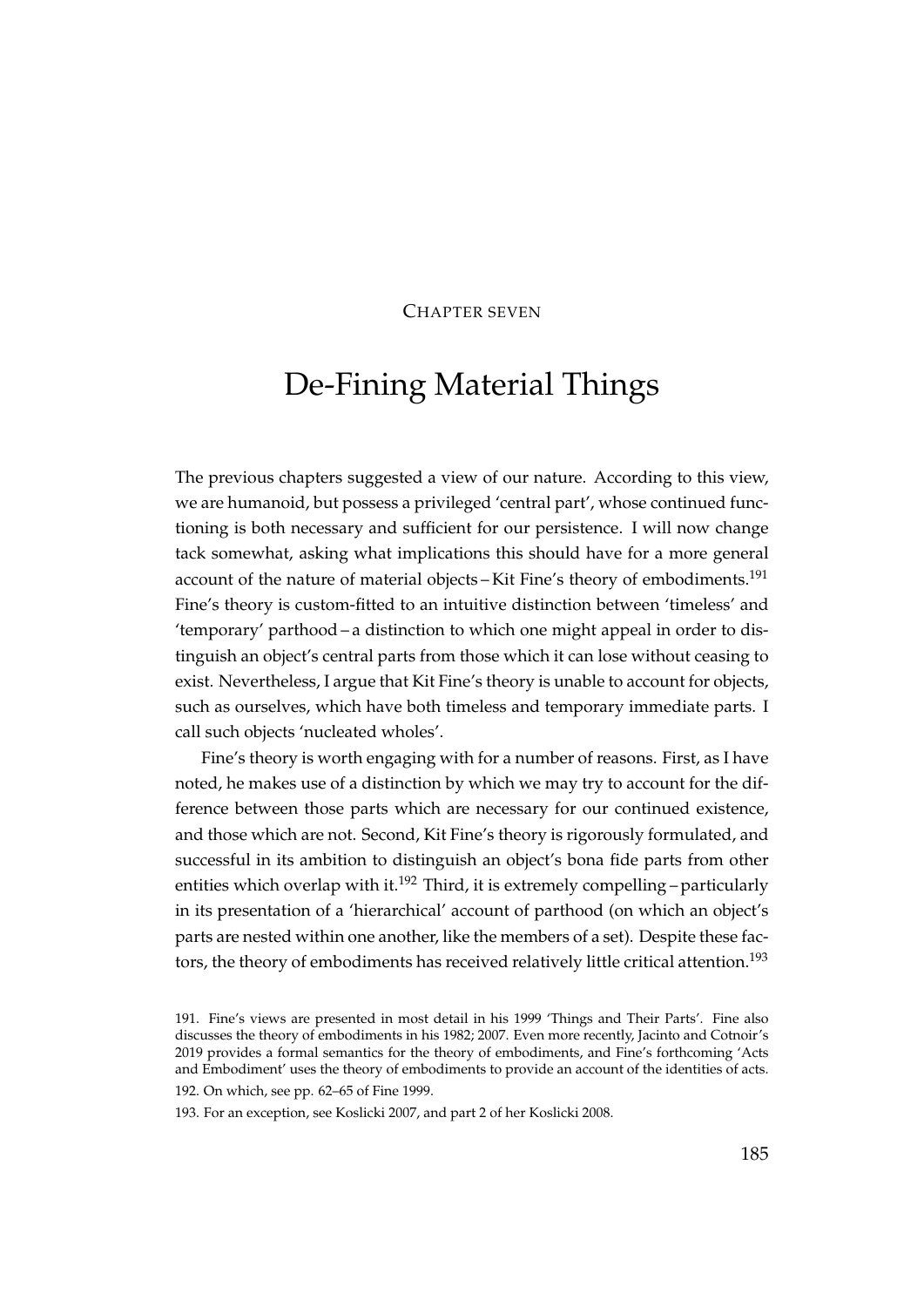#### CHAPTER SEVEN

# De-Fining Material Things

The previous chapters suggested a view of our nature. According to this view, we are humanoid, but possess a privileged 'central part', whose continued functioning is both necessary and sufficient for our persistence. I will now change tack somewhat, asking what implications this should have for a more general account of the nature of material objects – Kit Fine's theory of embodiments.<sup>[191](#page-184-0)</sup> Fine's theory is custom-fitted to an intuitive distinction between 'timeless' and 'temporary' parthood – a distinction to which one might appeal in order to distinguish an object's central parts from those which it can lose without ceasing to exist. Nevertheless, I argue that Kit Fine's theory is unable to account for objects, such as ourselves, which have both timeless and temporary immediate parts. I call such objects 'nucleated wholes'.

Fine's theory is worth engaging with for a number of reasons. First, as I have noted, he makes use of a distinction by which we may try to account for the difference between those parts which are necessary for our continued existence, and those which are not. Second, Kit Fine's theory is rigorously formulated, and successful in its ambition to distinguish an object's bona fide parts from other entities which overlap with it.<sup>[192](#page-184-1)</sup> Third, it is extremely compelling – particularly in its presentation of a 'hierarchical' account of parthood (on which an object's parts are nested within one another, like the members of a set). Despite these fac-tors, the theory of embodiments has received relatively little critical attention.<sup>[193](#page-184-2)</sup>

<span id="page-184-1"></span>192. On which, see pp. 62–65 of [Fine 1999.](#page-211-3)

<span id="page-184-2"></span>193. For an exception, see [Koslicki 2007,](#page-212-1) and part 2 of her [Koslicki 2008.](#page-213-0)

<span id="page-184-0"></span><sup>191.</sup> Fine's views are presented in most detail in his 1999 'Things and Their Parts'. Fine also discusses the theory of embodiments in his [1982;](#page-211-1) [2007.](#page-211-2) Even more recently, Jacinto and Cotnoir's [2019](#page-212-0) provides a formal semantics for the theory of embodiments, and Fine's forthcoming 'Acts and Embodiment' uses the theory of embodiments to provide an account of the identities of acts.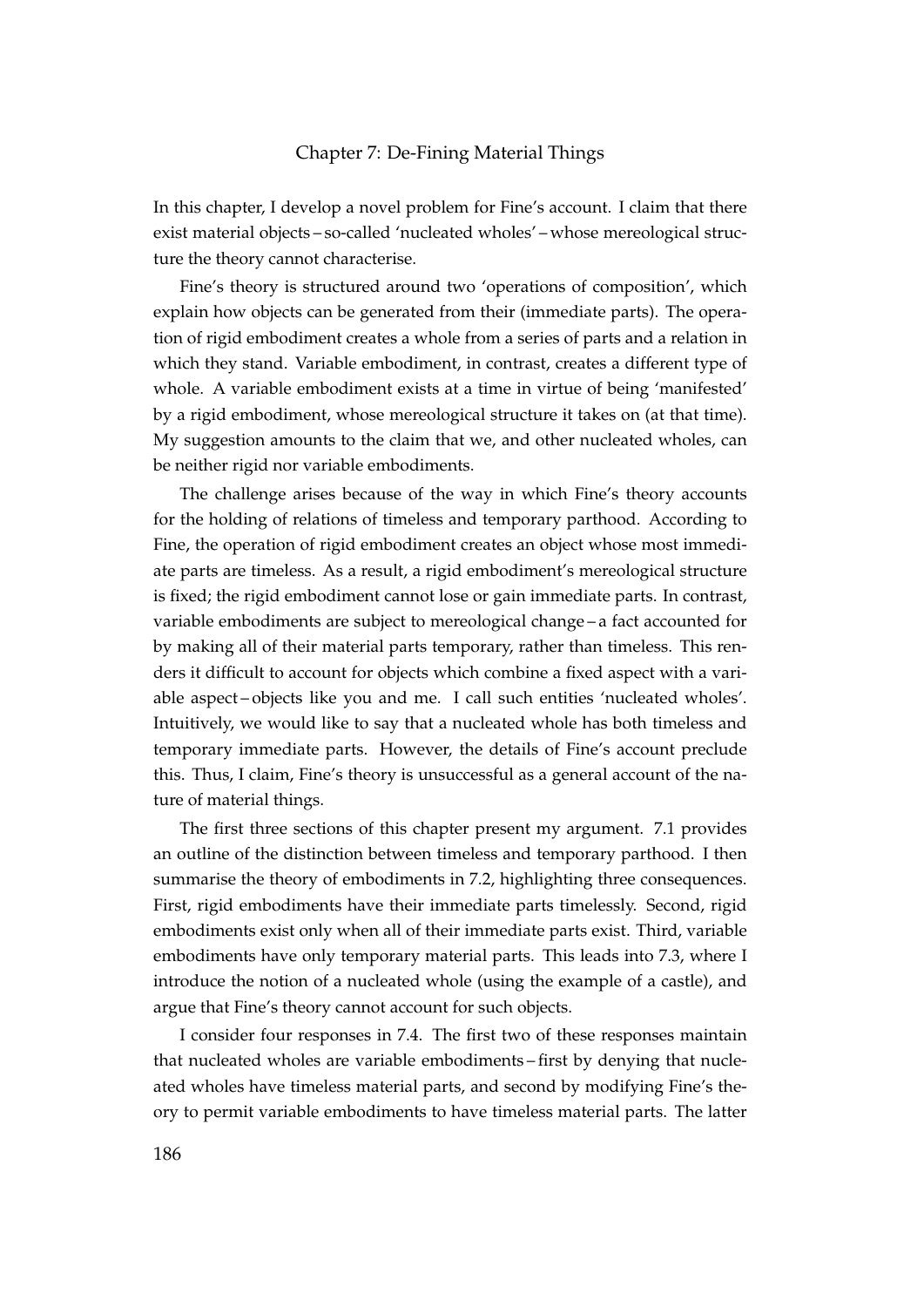In this chapter, I develop a novel problem for Fine's account. I claim that there exist material objects – so-called 'nucleated wholes' – whose mereological structure the theory cannot characterise.

Fine's theory is structured around two 'operations of composition', which explain how objects can be generated from their (immediate parts). The operation of rigid embodiment creates a whole from a series of parts and a relation in which they stand. Variable embodiment, in contrast, creates a different type of whole. A variable embodiment exists at a time in virtue of being 'manifested' by a rigid embodiment, whose mereological structure it takes on (at that time). My suggestion amounts to the claim that we, and other nucleated wholes, can be neither rigid nor variable embodiments.

The challenge arises because of the way in which Fine's theory accounts for the holding of relations of timeless and temporary parthood. According to Fine, the operation of rigid embodiment creates an object whose most immediate parts are timeless. As a result, a rigid embodiment's mereological structure is fixed; the rigid embodiment cannot lose or gain immediate parts. In contrast, variable embodiments are subject to mereological change – a fact accounted for by making all of their material parts temporary, rather than timeless. This renders it difficult to account for objects which combine a fixed aspect with a variable aspect – objects like you and me. I call such entities 'nucleated wholes'. Intuitively, we would like to say that a nucleated whole has both timeless and temporary immediate parts. However, the details of Fine's account preclude this. Thus, I claim, Fine's theory is unsuccessful as a general account of the nature of material things.

The first three sections of this chapter present my argument. [7.1](#page-186-0) provides an outline of the distinction between timeless and temporary parthood. I then summarise the theory of embodiments in [7.2,](#page-186-1) highlighting three consequences. First, rigid embodiments have their immediate parts timelessly. Second, rigid embodiments exist only when all of their immediate parts exist. Third, variable embodiments have only temporary material parts. This leads into [7.3,](#page-190-0) where I introduce the notion of a nucleated whole (using the example of a castle), and argue that Fine's theory cannot account for such objects.

I consider four responses in [7.4.](#page-192-0) The first two of these responses maintain that nucleated wholes are variable embodiments – first by denying that nucleated wholes have timeless material parts, and second by modifying Fine's theory to permit variable embodiments to have timeless material parts. The latter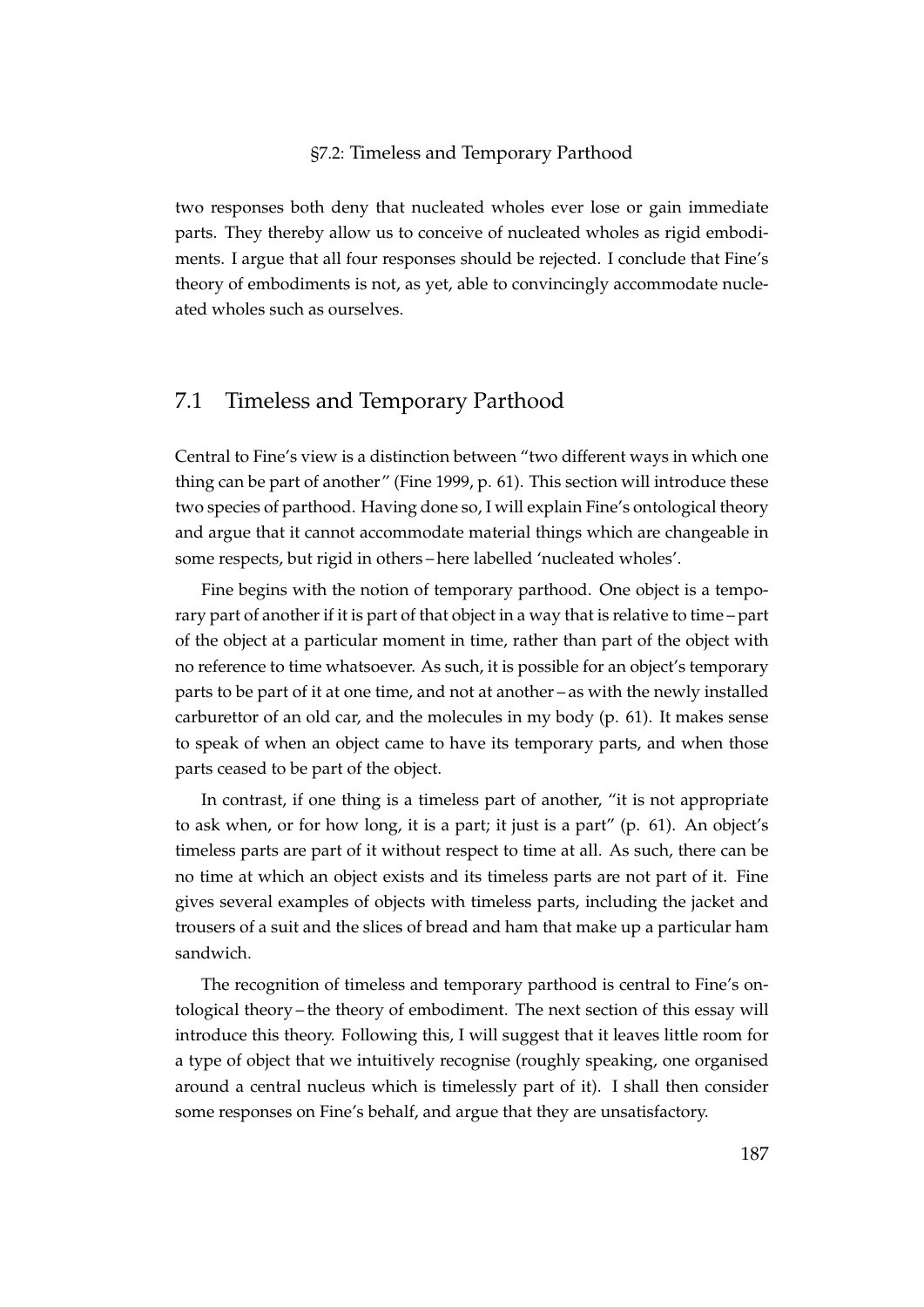#### §7.2: Timeless and Temporary Parthood

two responses both deny that nucleated wholes ever lose or gain immediate parts. They thereby allow us to conceive of nucleated wholes as rigid embodiments. I argue that all four responses should be rejected. I conclude that Fine's theory of embodiments is not, as yet, able to convincingly accommodate nucleated wholes such as ourselves.

# <span id="page-186-0"></span>7.1 Timeless and Temporary Parthood

Central to Fine's view is a distinction between "two different ways in which one thing can be part of another" [\(Fine 1999,](#page-211-3) p. 61). This section will introduce these two species of parthood. Having done so, I will explain Fine's ontological theory and argue that it cannot accommodate material things which are changeable in some respects, but rigid in others – here labelled 'nucleated wholes'.

Fine begins with the notion of temporary parthood. One object is a temporary part of another if it is part of that object in a way that is relative to time – part of the object at a particular moment in time, rather than part of the object with no reference to time whatsoever. As such, it is possible for an object's temporary parts to be part of it at one time, and not at another – as with the newly installed carburettor of an old car, and the molecules in my body (p. 61). It makes sense to speak of when an object came to have its temporary parts, and when those parts ceased to be part of the object.

In contrast, if one thing is a timeless part of another, "it is not appropriate to ask when, or for how long, it is a part; it just is a part" (p. 61). An object's timeless parts are part of it without respect to time at all. As such, there can be no time at which an object exists and its timeless parts are not part of it. Fine gives several examples of objects with timeless parts, including the jacket and trousers of a suit and the slices of bread and ham that make up a particular ham sandwich.

<span id="page-186-1"></span>The recognition of timeless and temporary parthood is central to Fine's ontological theory – the theory of embodiment. The next section of this essay will introduce this theory. Following this, I will suggest that it leaves little room for a type of object that we intuitively recognise (roughly speaking, one organised around a central nucleus which is timelessly part of it). I shall then consider some responses on Fine's behalf, and argue that they are unsatisfactory.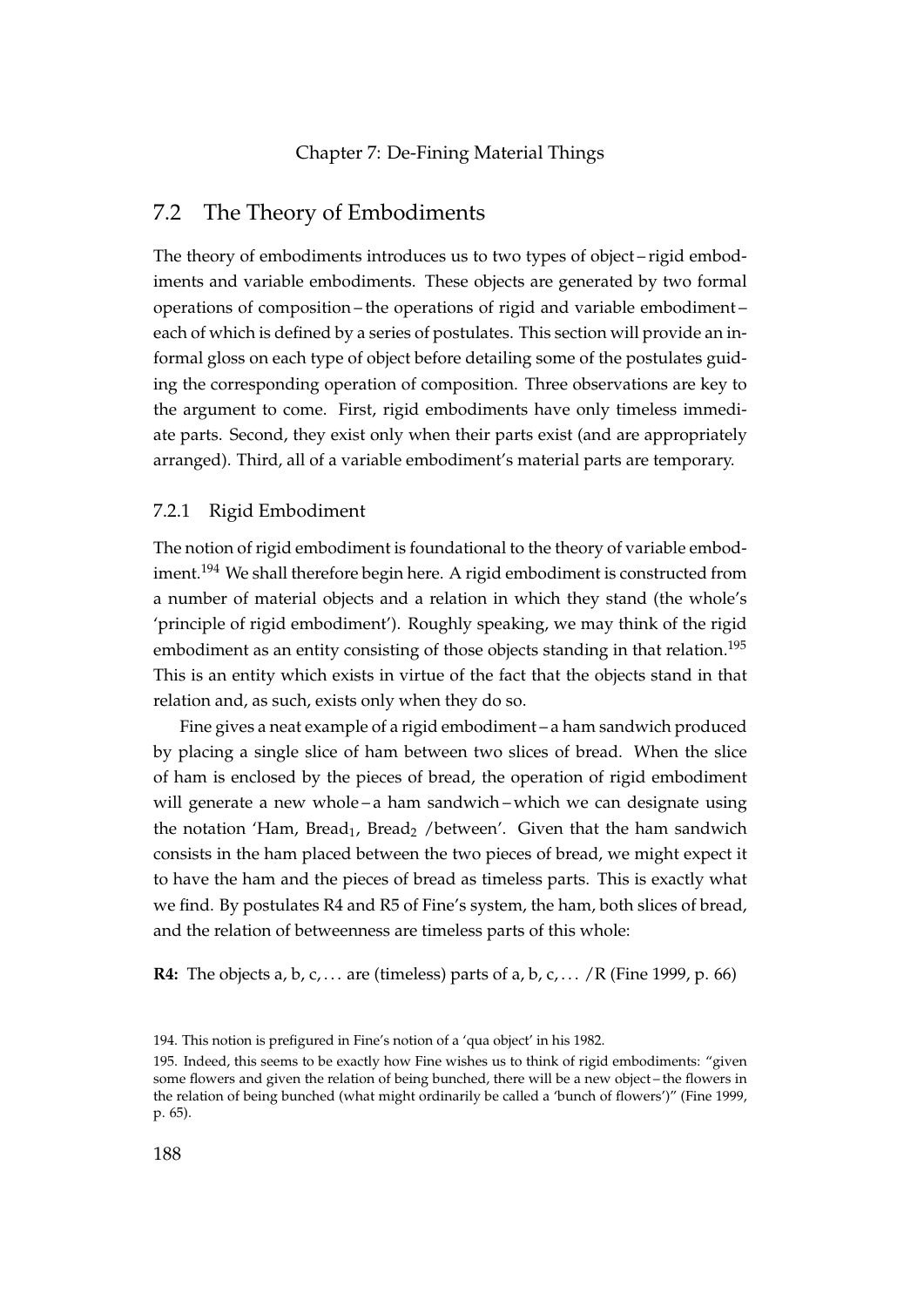# 7.2 The Theory of Embodiments

The theory of embodiments introduces us to two types of object – rigid embodiments and variable embodiments. These objects are generated by two formal operations of composition – the operations of rigid and variable embodiment – each of which is defined by a series of postulates. This section will provide an informal gloss on each type of object before detailing some of the postulates guiding the corresponding operation of composition. Three observations are key to the argument to come. First, rigid embodiments have only timeless immediate parts. Second, they exist only when their parts exist (and are appropriately arranged). Third, all of a variable embodiment's material parts are temporary.

#### 7.2.1 Rigid Embodiment

The notion of rigid embodiment is foundational to the theory of variable embod-iment.<sup>[194](#page-187-0)</sup> We shall therefore begin here. A rigid embodiment is constructed from a number of material objects and a relation in which they stand (the whole's 'principle of rigid embodiment'). Roughly speaking, we may think of the rigid embodiment as an entity consisting of those objects standing in that relation.<sup>[195](#page-187-1)</sup> This is an entity which exists in virtue of the fact that the objects stand in that relation and, as such, exists only when they do so.

Fine gives a neat example of a rigid embodiment – a ham sandwich produced by placing a single slice of ham between two slices of bread. When the slice of ham is enclosed by the pieces of bread, the operation of rigid embodiment will generate a new whole-a ham sandwich-which we can designate using the notation 'Ham, Bread<sub>1</sub>, Bread<sub>2</sub> /between'. Given that the ham sandwich consists in the ham placed between the two pieces of bread, we might expect it to have the ham and the pieces of bread as timeless parts. This is exactly what we find. By postulates R4 and R5 of Fine's system, the ham, both slices of bread, and the relation of betweenness are timeless parts of this whole:

**R4:** The objects a, b, c, . . . are (timeless) parts of a, b, c, . . . /R [\(Fine 1999,](#page-211-3) p. 66)

<span id="page-187-0"></span><sup>194.</sup> This notion is prefigured in Fine's notion of a 'qua object' in his 1982.

<span id="page-187-1"></span><sup>195.</sup> Indeed, this seems to be exactly how Fine wishes us to think of rigid embodiments: "given some flowers and given the relation of being bunched, there will be a new object – the flowers in the relation of being bunched (what might ordinarily be called a 'bunch of flowers')" [\(Fine 1999,](#page-211-3) p. 65).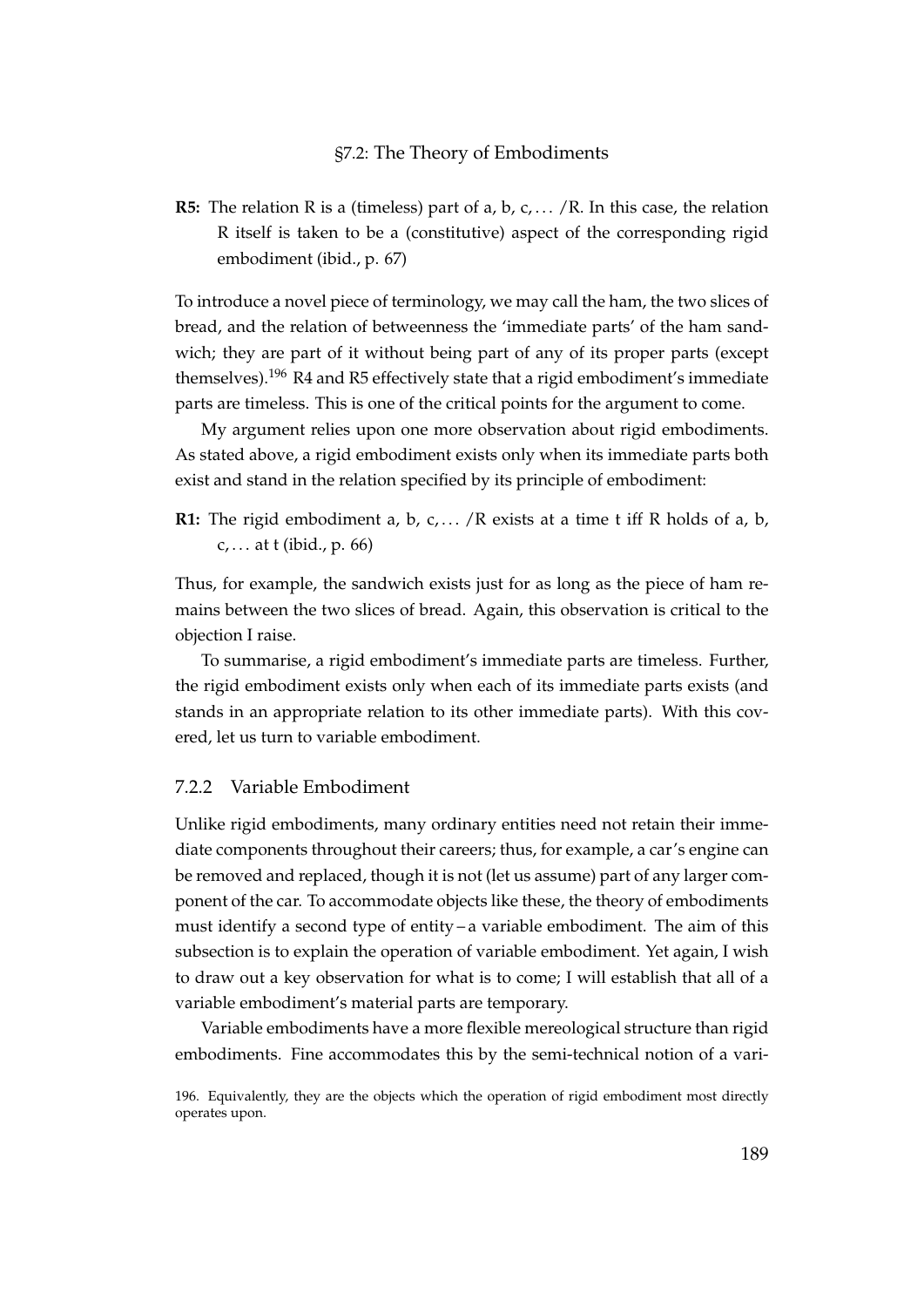#### §7.2: The Theory of Embodiments

**R5:** The relation R is a (timeless) part of a, b, c, ...  $/R$ . In this case, the relation R itself is taken to be a (constitutive) aspect of the corresponding rigid embodiment [\(ibid.,](#page-211-3) p. 67)

To introduce a novel piece of terminology, we may call the ham, the two slices of bread, and the relation of betweenness the 'immediate parts' of the ham sandwich; they are part of it without being part of any of its proper parts (except themselves).<sup>[196](#page-188-0)</sup> R4 and R5 effectively state that a rigid embodiment's immediate parts are timeless. This is one of the critical points for the argument to come.

My argument relies upon one more observation about rigid embodiments. As stated above, a rigid embodiment exists only when its immediate parts both exist and stand in the relation specified by its principle of embodiment:

**R1:** The rigid embodiment a, b, c,  $\ldots$  /R exists at a time t iff R holds of a, b,  $c, \ldots$  at t [\(ibid.,](#page-211-3) p. 66)

Thus, for example, the sandwich exists just for as long as the piece of ham remains between the two slices of bread. Again, this observation is critical to the objection I raise.

To summarise, a rigid embodiment's immediate parts are timeless. Further, the rigid embodiment exists only when each of its immediate parts exists (and stands in an appropriate relation to its other immediate parts). With this covered, let us turn to variable embodiment.

# 7.2.2 Variable Embodiment

Unlike rigid embodiments, many ordinary entities need not retain their immediate components throughout their careers; thus, for example, a car's engine can be removed and replaced, though it is not (let us assume) part of any larger component of the car. To accommodate objects like these, the theory of embodiments must identify a second type of entity – a variable embodiment. The aim of this subsection is to explain the operation of variable embodiment. Yet again, I wish to draw out a key observation for what is to come; I will establish that all of a variable embodiment's material parts are temporary.

Variable embodiments have a more flexible mereological structure than rigid embodiments. Fine accommodates this by the semi-technical notion of a vari-

<span id="page-188-0"></span><sup>196.</sup> Equivalently, they are the objects which the operation of rigid embodiment most directly operates upon.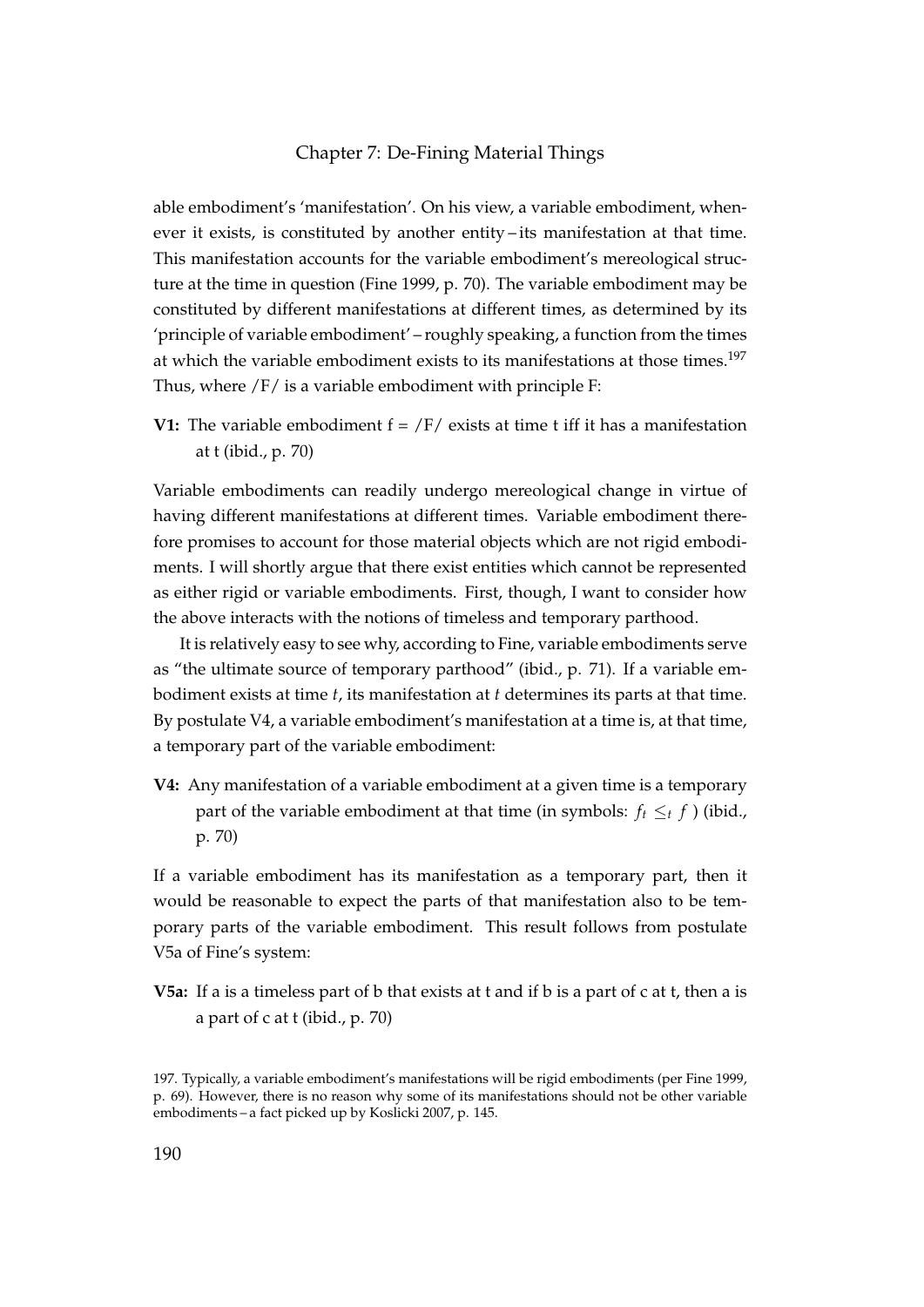able embodiment's 'manifestation'. On his view, a variable embodiment, whenever it exists, is constituted by another entity – its manifestation at that time. This manifestation accounts for the variable embodiment's mereological structure at the time in question [\(Fine 1999,](#page-211-3) p. 70). The variable embodiment may be constituted by different manifestations at different times, as determined by its 'principle of variable embodiment' – roughly speaking, a function from the times at which the variable embodiment exists to its manifestations at those times.<sup>[197](#page-189-0)</sup> Thus, where /F/ is a variable embodiment with principle F:

**V1:** The variable embodiment  $f = \sqrt{F}$  exists at time t iff it has a manifestation at t [\(ibid.,](#page-211-3) p. 70)

Variable embodiments can readily undergo mereological change in virtue of having different manifestations at different times. Variable embodiment therefore promises to account for those material objects which are not rigid embodiments. I will shortly argue that there exist entities which cannot be represented as either rigid or variable embodiments. First, though, I want to consider how the above interacts with the notions of timeless and temporary parthood.

It is relatively easy to see why, according to Fine, variable embodiments serve as "the ultimate source of temporary parthood" [\(ibid.,](#page-211-3) p. 71). If a variable embodiment exists at time *t*, its manifestation at *t* determines its parts at that time. By postulate V4, a variable embodiment's manifestation at a time is, at that time, a temporary part of the variable embodiment:

**V4:** Any manifestation of a variable embodiment at a given time is a temporary part of the variable embodiment at that time (in symbols:  $f_t \leq_t f$ ) [\(ibid.,](#page-211-3) p. 70)

If a variable embodiment has its manifestation as a temporary part, then it would be reasonable to expect the parts of that manifestation also to be temporary parts of the variable embodiment. This result follows from postulate V5a of Fine's system:

**V5a:** If a is a timeless part of b that exists at t and if b is a part of c at t, then a is a part of c at t [\(ibid.,](#page-211-3) p. 70)

<span id="page-189-0"></span><sup>197.</sup> Typically, a variable embodiment's manifestations will be rigid embodiments (per [Fine 1999,](#page-211-3) p. 69). However, there is no reason why some of its manifestations should not be other variable embodiments – a fact picked up by [Koslicki 2007,](#page-212-1) p. 145.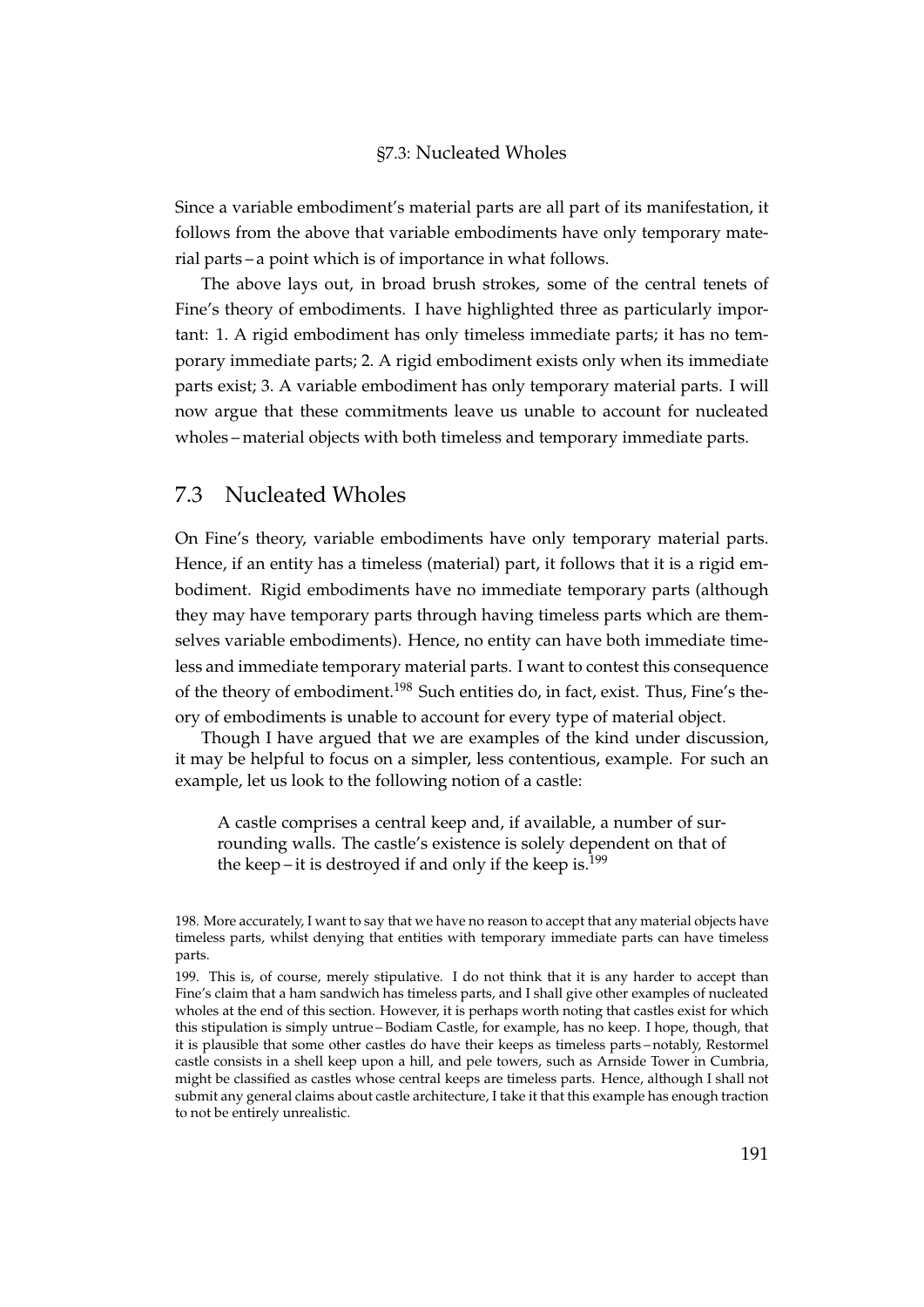## §7.3: Nucleated Wholes

Since a variable embodiment's material parts are all part of its manifestation, it follows from the above that variable embodiments have only temporary material parts – a point which is of importance in what follows.

The above lays out, in broad brush strokes, some of the central tenets of Fine's theory of embodiments. I have highlighted three as particularly important: 1. A rigid embodiment has only timeless immediate parts; it has no temporary immediate parts; 2. A rigid embodiment exists only when its immediate parts exist; 3. A variable embodiment has only temporary material parts. I will now argue that these commitments leave us unable to account for nucleated wholes – material objects with both timeless and temporary immediate parts.

# <span id="page-190-0"></span>7.3 Nucleated Wholes

On Fine's theory, variable embodiments have only temporary material parts. Hence, if an entity has a timeless (material) part, it follows that it is a rigid embodiment. Rigid embodiments have no immediate temporary parts (although they may have temporary parts through having timeless parts which are themselves variable embodiments). Hence, no entity can have both immediate timeless and immediate temporary material parts. I want to contest this consequence of the theory of embodiment.[198](#page-190-1) Such entities do, in fact, exist. Thus, Fine's theory of embodiments is unable to account for every type of material object.

Though I have argued that we are examples of the kind under discussion, it may be helpful to focus on a simpler, less contentious, example. For such an example, let us look to the following notion of a castle:

A castle comprises a central keep and, if available, a number of surrounding walls. The castle's existence is solely dependent on that of the keep – it is destroyed if and only if the keep is.<sup>[199](#page-190-2)</sup>

<span id="page-190-1"></span><sup>198.</sup> More accurately, I want to say that we have no reason to accept that any material objects have timeless parts, whilst denying that entities with temporary immediate parts can have timeless parts.

<span id="page-190-2"></span><sup>199.</sup> This is, of course, merely stipulative. I do not think that it is any harder to accept than Fine's claim that a ham sandwich has timeless parts, and I shall give other examples of nucleated wholes at the end of this section. However, it is perhaps worth noting that castles exist for which this stipulation is simply untrue – Bodiam Castle, for example, has no keep. I hope, though, that it is plausible that some other castles do have their keeps as timeless parts – notably, Restormel castle consists in a shell keep upon a hill, and pele towers, such as Arnside Tower in Cumbria, might be classified as castles whose central keeps are timeless parts. Hence, although I shall not submit any general claims about castle architecture, I take it that this example has enough traction to not be entirely unrealistic.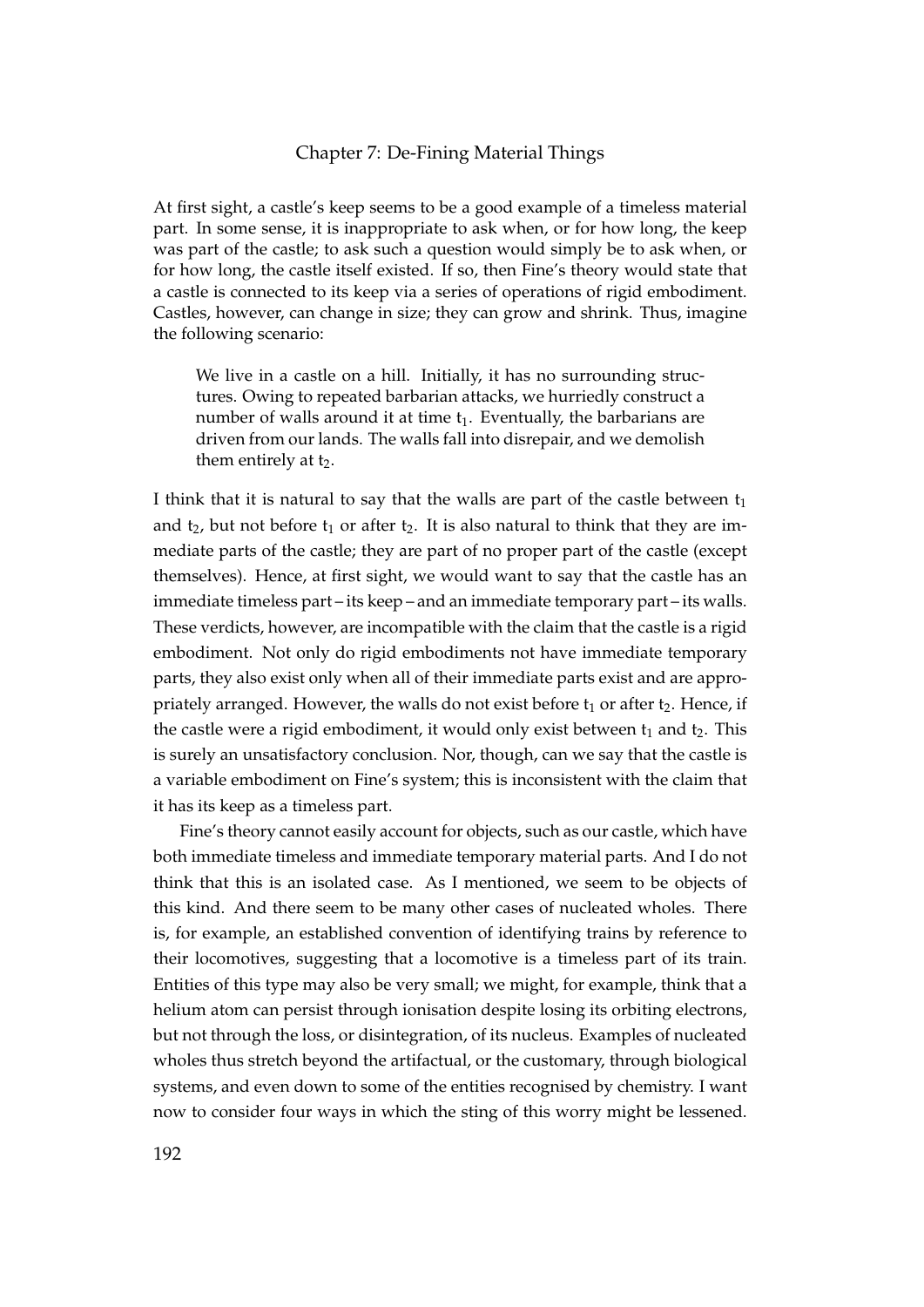At first sight, a castle's keep seems to be a good example of a timeless material part. In some sense, it is inappropriate to ask when, or for how long, the keep was part of the castle; to ask such a question would simply be to ask when, or for how long, the castle itself existed. If so, then Fine's theory would state that a castle is connected to its keep via a series of operations of rigid embodiment. Castles, however, can change in size; they can grow and shrink. Thus, imagine the following scenario:

We live in a castle on a hill. Initially, it has no surrounding structures. Owing to repeated barbarian attacks, we hurriedly construct a number of walls around it at time  $t_1$ . Eventually, the barbarians are driven from our lands. The walls fall into disrepair, and we demolish them entirely at  $t_2$ .

I think that it is natural to say that the walls are part of the castle between  $t_1$ and  $t_2$ , but not before  $t_1$  or after  $t_2$ . It is also natural to think that they are immediate parts of the castle; they are part of no proper part of the castle (except themselves). Hence, at first sight, we would want to say that the castle has an immediate timeless part – its keep – and an immediate temporary part – its walls. These verdicts, however, are incompatible with the claim that the castle is a rigid embodiment. Not only do rigid embodiments not have immediate temporary parts, they also exist only when all of their immediate parts exist and are appropriately arranged. However, the walls do not exist before  $t_1$  or after  $t_2$ . Hence, if the castle were a rigid embodiment, it would only exist between  $t_1$  and  $t_2$ . This is surely an unsatisfactory conclusion. Nor, though, can we say that the castle is a variable embodiment on Fine's system; this is inconsistent with the claim that it has its keep as a timeless part.

Fine's theory cannot easily account for objects, such as our castle, which have both immediate timeless and immediate temporary material parts. And I do not think that this is an isolated case. As I mentioned, we seem to be objects of this kind. And there seem to be many other cases of nucleated wholes. There is, for example, an established convention of identifying trains by reference to their locomotives, suggesting that a locomotive is a timeless part of its train. Entities of this type may also be very small; we might, for example, think that a helium atom can persist through ionisation despite losing its orbiting electrons, but not through the loss, or disintegration, of its nucleus. Examples of nucleated wholes thus stretch beyond the artifactual, or the customary, through biological systems, and even down to some of the entities recognised by chemistry. I want now to consider four ways in which the sting of this worry might be lessened.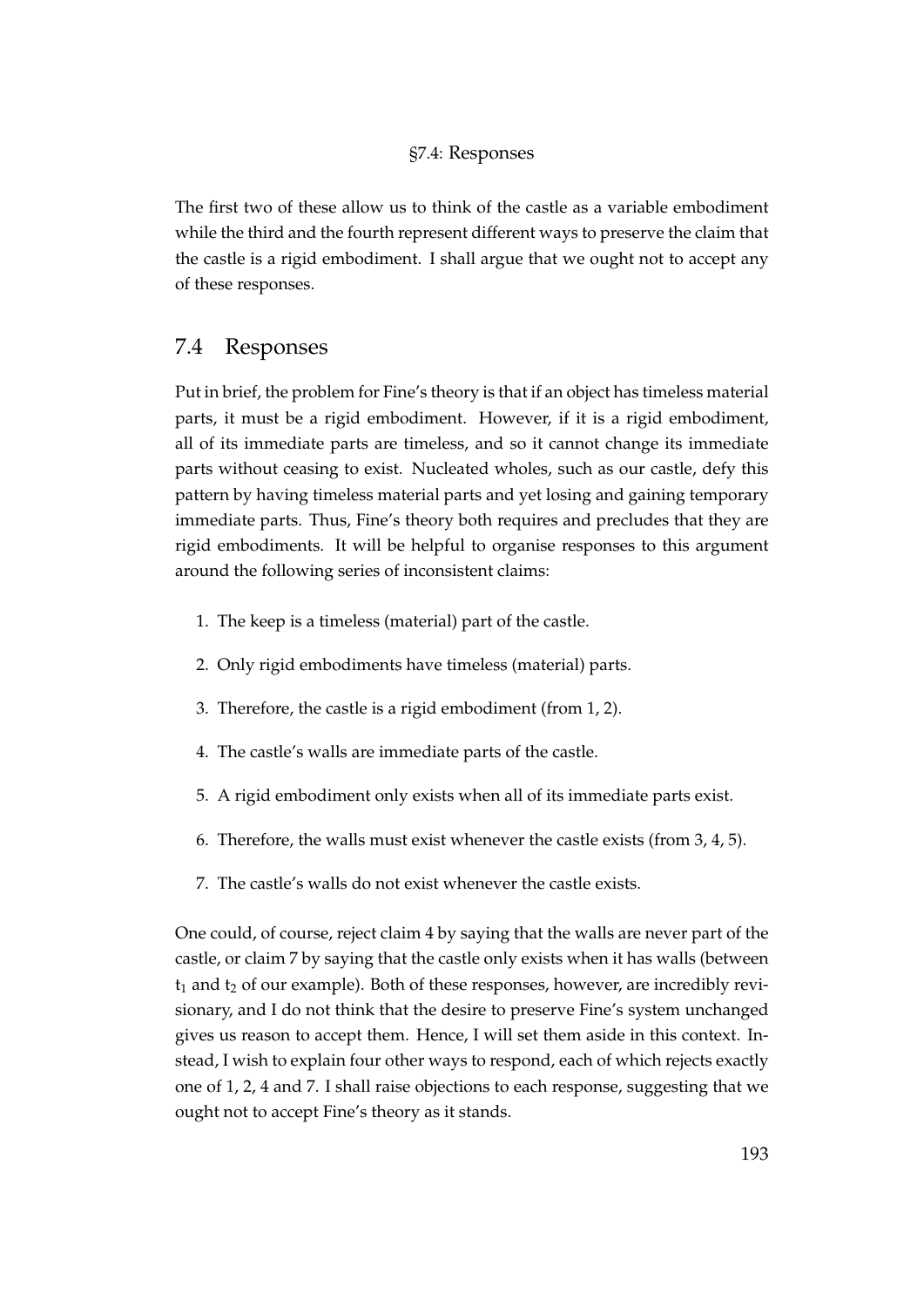# §7.4: Responses

The first two of these allow us to think of the castle as a variable embodiment while the third and the fourth represent different ways to preserve the claim that the castle is a rigid embodiment. I shall argue that we ought not to accept any of these responses.

# <span id="page-192-0"></span>7.4 Responses

Put in brief, the problem for Fine's theory is that if an object has timeless material parts, it must be a rigid embodiment. However, if it is a rigid embodiment, all of its immediate parts are timeless, and so it cannot change its immediate parts without ceasing to exist. Nucleated wholes, such as our castle, defy this pattern by having timeless material parts and yet losing and gaining temporary immediate parts. Thus, Fine's theory both requires and precludes that they are rigid embodiments. It will be helpful to organise responses to this argument around the following series of inconsistent claims:

- 1. The keep is a timeless (material) part of the castle.
- 2. Only rigid embodiments have timeless (material) parts.
- 3. Therefore, the castle is a rigid embodiment (from 1, 2).
- 4. The castle's walls are immediate parts of the castle.
- 5. A rigid embodiment only exists when all of its immediate parts exist.
- 6. Therefore, the walls must exist whenever the castle exists (from 3, 4, 5).
- 7. The castle's walls do not exist whenever the castle exists.

One could, of course, reject claim 4 by saying that the walls are never part of the castle, or claim 7 by saying that the castle only exists when it has walls (between  $t_1$  and  $t_2$  of our example). Both of these responses, however, are incredibly revisionary, and I do not think that the desire to preserve Fine's system unchanged gives us reason to accept them. Hence, I will set them aside in this context. Instead, I wish to explain four other ways to respond, each of which rejects exactly one of 1, 2, 4 and 7. I shall raise objections to each response, suggesting that we ought not to accept Fine's theory as it stands.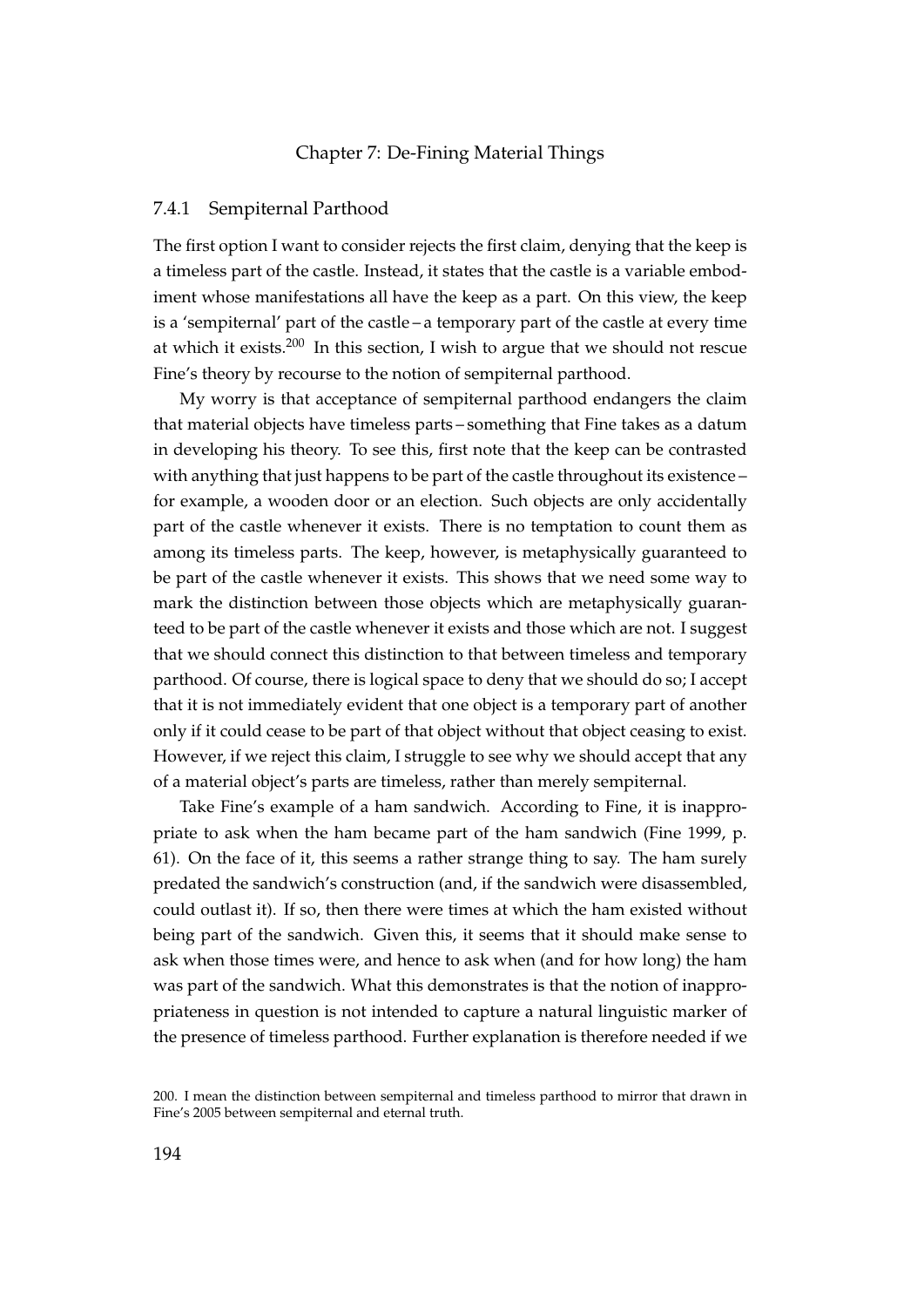#### 7.4.1 Sempiternal Parthood

The first option I want to consider rejects the first claim, denying that the keep is a timeless part of the castle. Instead, it states that the castle is a variable embodiment whose manifestations all have the keep as a part. On this view, the keep is a 'sempiternal' part of the castle – a temporary part of the castle at every time at which it exists.<sup>[200](#page-193-0)</sup> In this section, I wish to argue that we should not rescue Fine's theory by recourse to the notion of sempiternal parthood.

My worry is that acceptance of sempiternal parthood endangers the claim that material objects have timeless parts – something that Fine takes as a datum in developing his theory. To see this, first note that the keep can be contrasted with anything that just happens to be part of the castle throughout its existence – for example, a wooden door or an election. Such objects are only accidentally part of the castle whenever it exists. There is no temptation to count them as among its timeless parts. The keep, however, is metaphysically guaranteed to be part of the castle whenever it exists. This shows that we need some way to mark the distinction between those objects which are metaphysically guaranteed to be part of the castle whenever it exists and those which are not. I suggest that we should connect this distinction to that between timeless and temporary parthood. Of course, there is logical space to deny that we should do so; I accept that it is not immediately evident that one object is a temporary part of another only if it could cease to be part of that object without that object ceasing to exist. However, if we reject this claim, I struggle to see why we should accept that any of a material object's parts are timeless, rather than merely sempiternal.

Take Fine's example of a ham sandwich. According to Fine, it is inappropriate to ask when the ham became part of the ham sandwich [\(Fine 1999,](#page-211-3) p. 61). On the face of it, this seems a rather strange thing to say. The ham surely predated the sandwich's construction (and, if the sandwich were disassembled, could outlast it). If so, then there were times at which the ham existed without being part of the sandwich. Given this, it seems that it should make sense to ask when those times were, and hence to ask when (and for how long) the ham was part of the sandwich. What this demonstrates is that the notion of inappropriateness in question is not intended to capture a natural linguistic marker of the presence of timeless parthood. Further explanation is therefore needed if we

<span id="page-193-0"></span><sup>200.</sup> I mean the distinction between sempiternal and timeless parthood to mirror that drawn in Fine's [2005](#page-211-4) between sempiternal and eternal truth.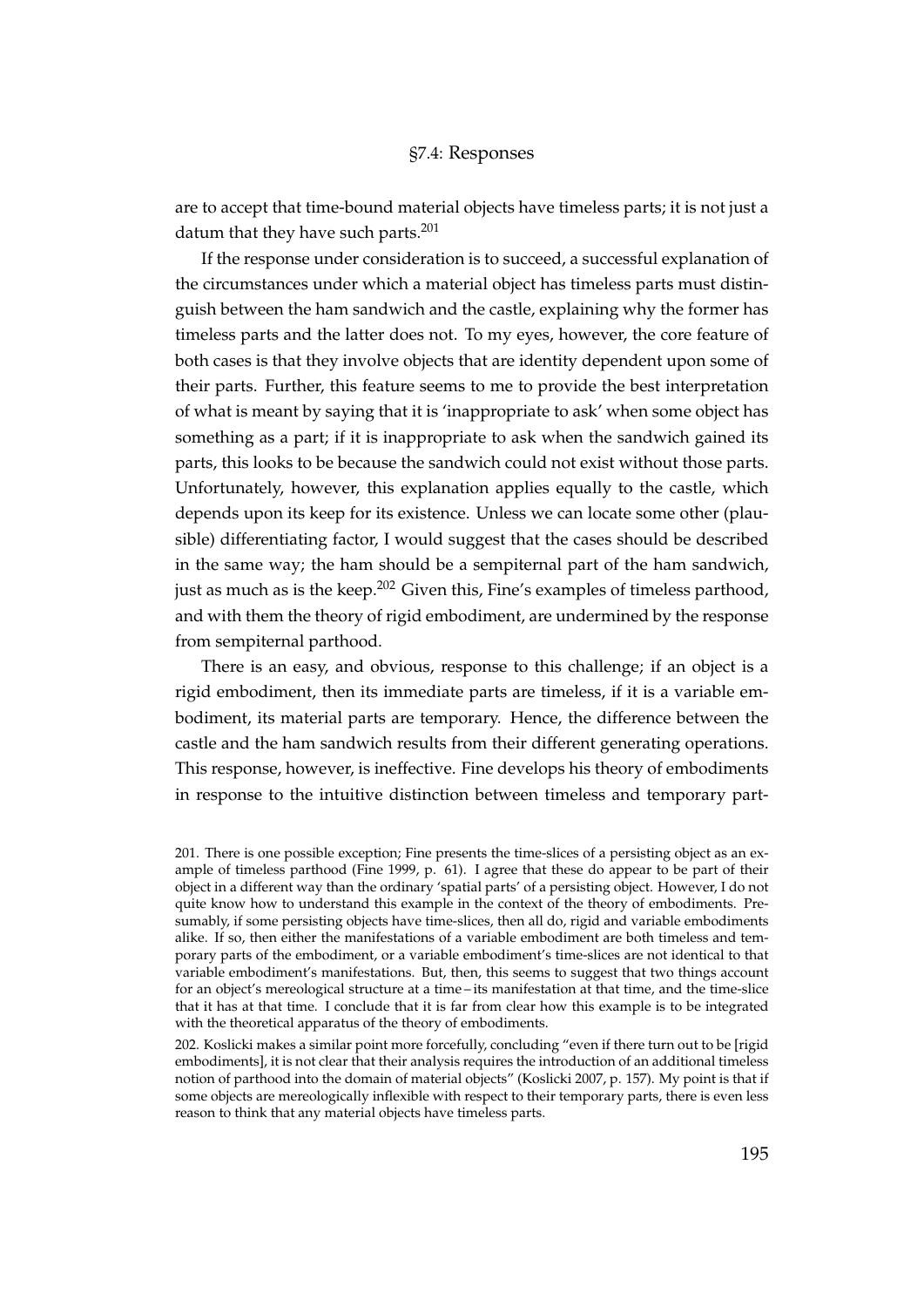#### §7.4: Responses

are to accept that time-bound material objects have timeless parts; it is not just a datum that they have such parts. $201$ 

If the response under consideration is to succeed, a successful explanation of the circumstances under which a material object has timeless parts must distinguish between the ham sandwich and the castle, explaining why the former has timeless parts and the latter does not. To my eyes, however, the core feature of both cases is that they involve objects that are identity dependent upon some of their parts. Further, this feature seems to me to provide the best interpretation of what is meant by saying that it is 'inappropriate to ask' when some object has something as a part; if it is inappropriate to ask when the sandwich gained its parts, this looks to be because the sandwich could not exist without those parts. Unfortunately, however, this explanation applies equally to the castle, which depends upon its keep for its existence. Unless we can locate some other (plausible) differentiating factor, I would suggest that the cases should be described in the same way; the ham should be a sempiternal part of the ham sandwich, just as much as is the keep.<sup>[202](#page-194-1)</sup> Given this, Fine's examples of timeless parthood, and with them the theory of rigid embodiment, are undermined by the response from sempiternal parthood.

There is an easy, and obvious, response to this challenge; if an object is a rigid embodiment, then its immediate parts are timeless, if it is a variable embodiment, its material parts are temporary. Hence, the difference between the castle and the ham sandwich results from their different generating operations. This response, however, is ineffective. Fine develops his theory of embodiments in response to the intuitive distinction between timeless and temporary part-

<span id="page-194-0"></span><sup>201.</sup> There is one possible exception; Fine presents the time-slices of a persisting object as an example of timeless parthood [\(Fine 1999,](#page-211-3) p. 61). I agree that these do appear to be part of their object in a different way than the ordinary 'spatial parts' of a persisting object. However, I do not quite know how to understand this example in the context of the theory of embodiments. Presumably, if some persisting objects have time-slices, then all do, rigid and variable embodiments alike. If so, then either the manifestations of a variable embodiment are both timeless and temporary parts of the embodiment, or a variable embodiment's time-slices are not identical to that variable embodiment's manifestations. But, then, this seems to suggest that two things account for an object's mereological structure at a time – its manifestation at that time, and the time-slice that it has at that time. I conclude that it is far from clear how this example is to be integrated with the theoretical apparatus of the theory of embodiments.

<span id="page-194-1"></span><sup>202.</sup> Koslicki makes a similar point more forcefully, concluding "even if there turn out to be [rigid embodiments], it is not clear that their analysis requires the introduction of an additional timeless notion of parthood into the domain of material objects" [\(Koslicki 2007,](#page-212-1) p. 157). My point is that if some objects are mereologically inflexible with respect to their temporary parts, there is even less reason to think that any material objects have timeless parts.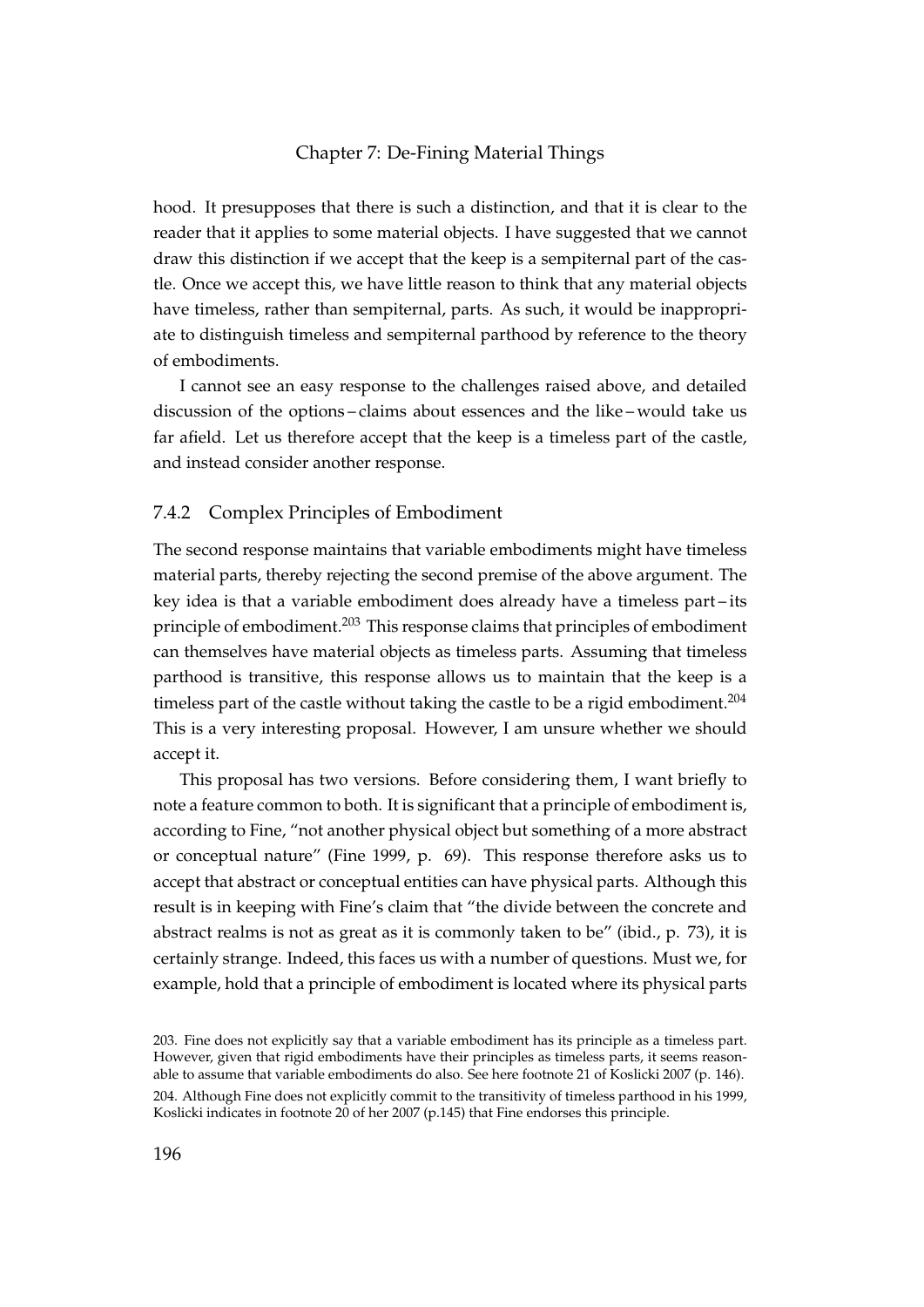hood. It presupposes that there is such a distinction, and that it is clear to the reader that it applies to some material objects. I have suggested that we cannot draw this distinction if we accept that the keep is a sempiternal part of the castle. Once we accept this, we have little reason to think that any material objects have timeless, rather than sempiternal, parts. As such, it would be inappropriate to distinguish timeless and sempiternal parthood by reference to the theory of embodiments.

I cannot see an easy response to the challenges raised above, and detailed discussion of the options – claims about essences and the like – would take us far afield. Let us therefore accept that the keep is a timeless part of the castle, and instead consider another response.

#### 7.4.2 Complex Principles of Embodiment

The second response maintains that variable embodiments might have timeless material parts, thereby rejecting the second premise of the above argument. The key idea is that a variable embodiment does already have a timeless part – its principle of embodiment.<sup>[203](#page-195-0)</sup> This response claims that principles of embodiment can themselves have material objects as timeless parts. Assuming that timeless parthood is transitive, this response allows us to maintain that the keep is a timeless part of the castle without taking the castle to be a rigid embodiment.<sup>[204](#page-195-1)</sup> This is a very interesting proposal. However, I am unsure whether we should accept it.

This proposal has two versions. Before considering them, I want briefly to note a feature common to both. It is significant that a principle of embodiment is, according to Fine, "not another physical object but something of a more abstract or conceptual nature" [\(Fine 1999,](#page-211-3) p. 69). This response therefore asks us to accept that abstract or conceptual entities can have physical parts. Although this result is in keeping with Fine's claim that "the divide between the concrete and abstract realms is not as great as it is commonly taken to be" [\(ibid.,](#page-211-3) p. 73), it is certainly strange. Indeed, this faces us with a number of questions. Must we, for example, hold that a principle of embodiment is located where its physical parts

<span id="page-195-1"></span><span id="page-195-0"></span><sup>203.</sup> Fine does not explicitly say that a variable embodiment has its principle as a timeless part. However, given that rigid embodiments have their principles as timeless parts, it seems reasonable to assume that variable embodiments do also. See here footnote 21 of Koslicki 2007 (p. 146). 204. Although Fine does not explicitly commit to the transitivity of timeless parthood in his 1999, Koslicki indicates in footnote 20 of her [2007](#page-212-1) (p.145) that Fine endorses this principle.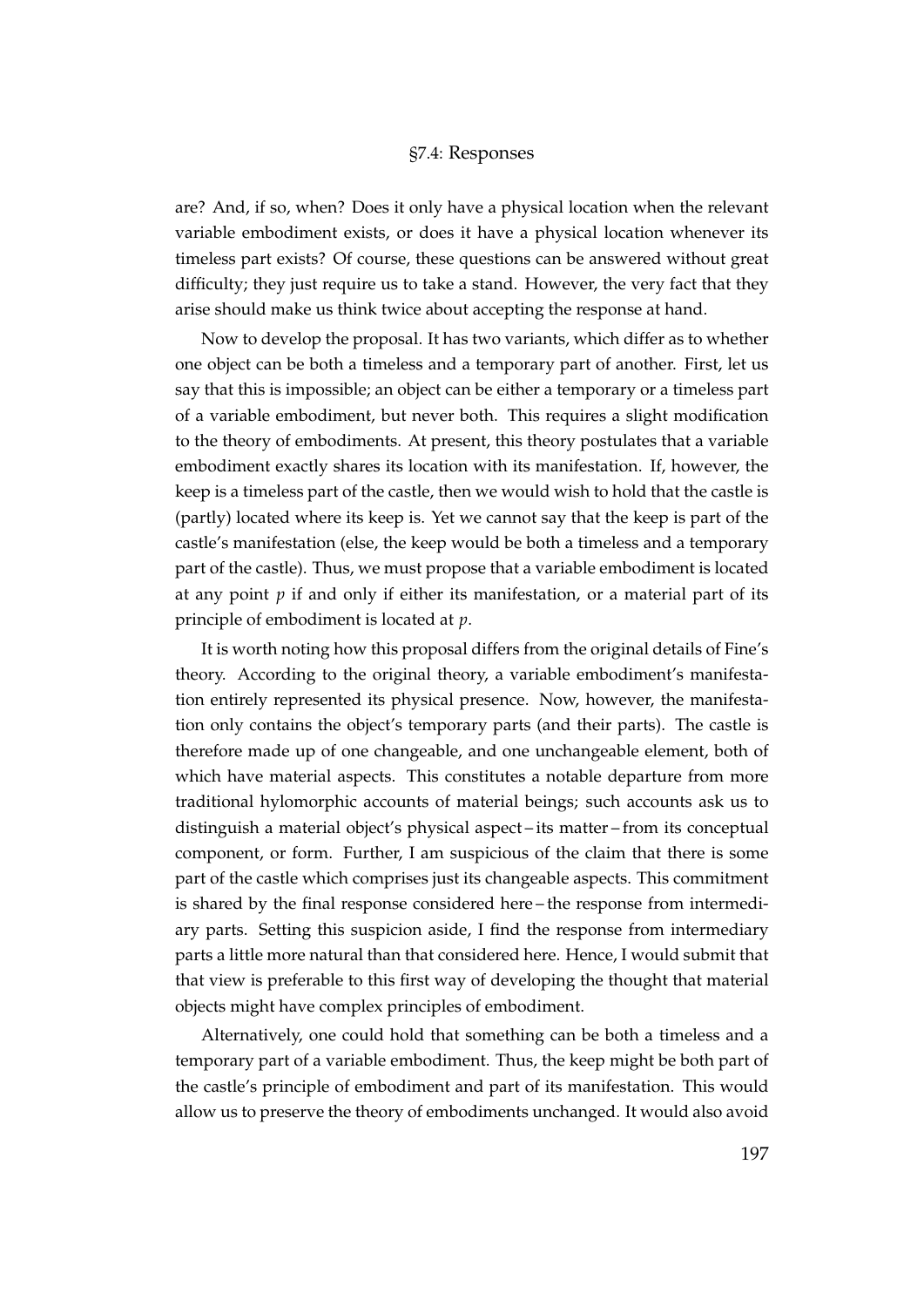### §7.4: Responses

are? And, if so, when? Does it only have a physical location when the relevant variable embodiment exists, or does it have a physical location whenever its timeless part exists? Of course, these questions can be answered without great difficulty; they just require us to take a stand. However, the very fact that they arise should make us think twice about accepting the response at hand.

Now to develop the proposal. It has two variants, which differ as to whether one object can be both a timeless and a temporary part of another. First, let us say that this is impossible; an object can be either a temporary or a timeless part of a variable embodiment, but never both. This requires a slight modification to the theory of embodiments. At present, this theory postulates that a variable embodiment exactly shares its location with its manifestation. If, however, the keep is a timeless part of the castle, then we would wish to hold that the castle is (partly) located where its keep is. Yet we cannot say that the keep is part of the castle's manifestation (else, the keep would be both a timeless and a temporary part of the castle). Thus, we must propose that a variable embodiment is located at any point  $p$  if and only if either its manifestation, or a material part of its principle of embodiment is located at *p*.

It is worth noting how this proposal differs from the original details of Fine's theory. According to the original theory, a variable embodiment's manifestation entirely represented its physical presence. Now, however, the manifestation only contains the object's temporary parts (and their parts). The castle is therefore made up of one changeable, and one unchangeable element, both of which have material aspects. This constitutes a notable departure from more traditional hylomorphic accounts of material beings; such accounts ask us to distinguish a material object's physical aspect – its matter – from its conceptual component, or form. Further, I am suspicious of the claim that there is some part of the castle which comprises just its changeable aspects. This commitment is shared by the final response considered here – the response from intermediary parts. Setting this suspicion aside, I find the response from intermediary parts a little more natural than that considered here. Hence, I would submit that that view is preferable to this first way of developing the thought that material objects might have complex principles of embodiment.

Alternatively, one could hold that something can be both a timeless and a temporary part of a variable embodiment. Thus, the keep might be both part of the castle's principle of embodiment and part of its manifestation. This would allow us to preserve the theory of embodiments unchanged. It would also avoid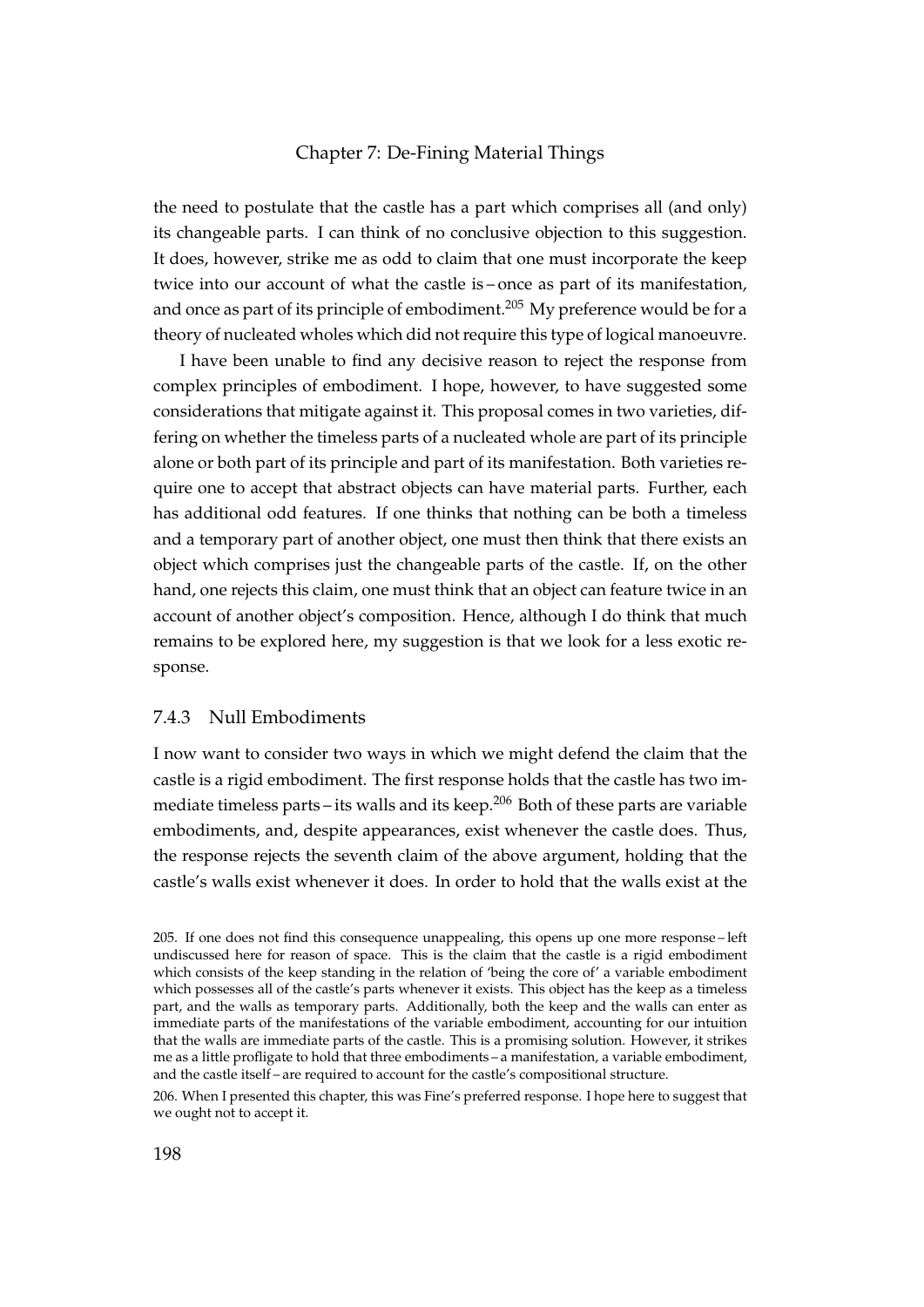the need to postulate that the castle has a part which comprises all (and only) its changeable parts. I can think of no conclusive objection to this suggestion. It does, however, strike me as odd to claim that one must incorporate the keep twice into our account of what the castle is – once as part of its manifestation, and once as part of its principle of embodiment.<sup>[205](#page-197-0)</sup> My preference would be for a theory of nucleated wholes which did not require this type of logical manoeuvre.

I have been unable to find any decisive reason to reject the response from complex principles of embodiment. I hope, however, to have suggested some considerations that mitigate against it. This proposal comes in two varieties, differing on whether the timeless parts of a nucleated whole are part of its principle alone or both part of its principle and part of its manifestation. Both varieties require one to accept that abstract objects can have material parts. Further, each has additional odd features. If one thinks that nothing can be both a timeless and a temporary part of another object, one must then think that there exists an object which comprises just the changeable parts of the castle. If, on the other hand, one rejects this claim, one must think that an object can feature twice in an account of another object's composition. Hence, although I do think that much remains to be explored here, my suggestion is that we look for a less exotic response.

# 7.4.3 Null Embodiments

I now want to consider two ways in which we might defend the claim that the castle is a rigid embodiment. The first response holds that the castle has two im-mediate timeless parts – its walls and its keep.<sup>[206](#page-197-1)</sup> Both of these parts are variable embodiments, and, despite appearances, exist whenever the castle does. Thus, the response rejects the seventh claim of the above argument, holding that the castle's walls exist whenever it does. In order to hold that the walls exist at the

<span id="page-197-1"></span>206. When I presented this chapter, this was Fine's preferred response. I hope here to suggest that we ought not to accept it.

<span id="page-197-0"></span><sup>205.</sup> If one does not find this consequence unappealing, this opens up one more response – left undiscussed here for reason of space. This is the claim that the castle is a rigid embodiment which consists of the keep standing in the relation of 'being the core of' a variable embodiment which possesses all of the castle's parts whenever it exists. This object has the keep as a timeless part, and the walls as temporary parts. Additionally, both the keep and the walls can enter as immediate parts of the manifestations of the variable embodiment, accounting for our intuition that the walls are immediate parts of the castle. This is a promising solution. However, it strikes me as a little profligate to hold that three embodiments – a manifestation, a variable embodiment, and the castle itself – are required to account for the castle's compositional structure.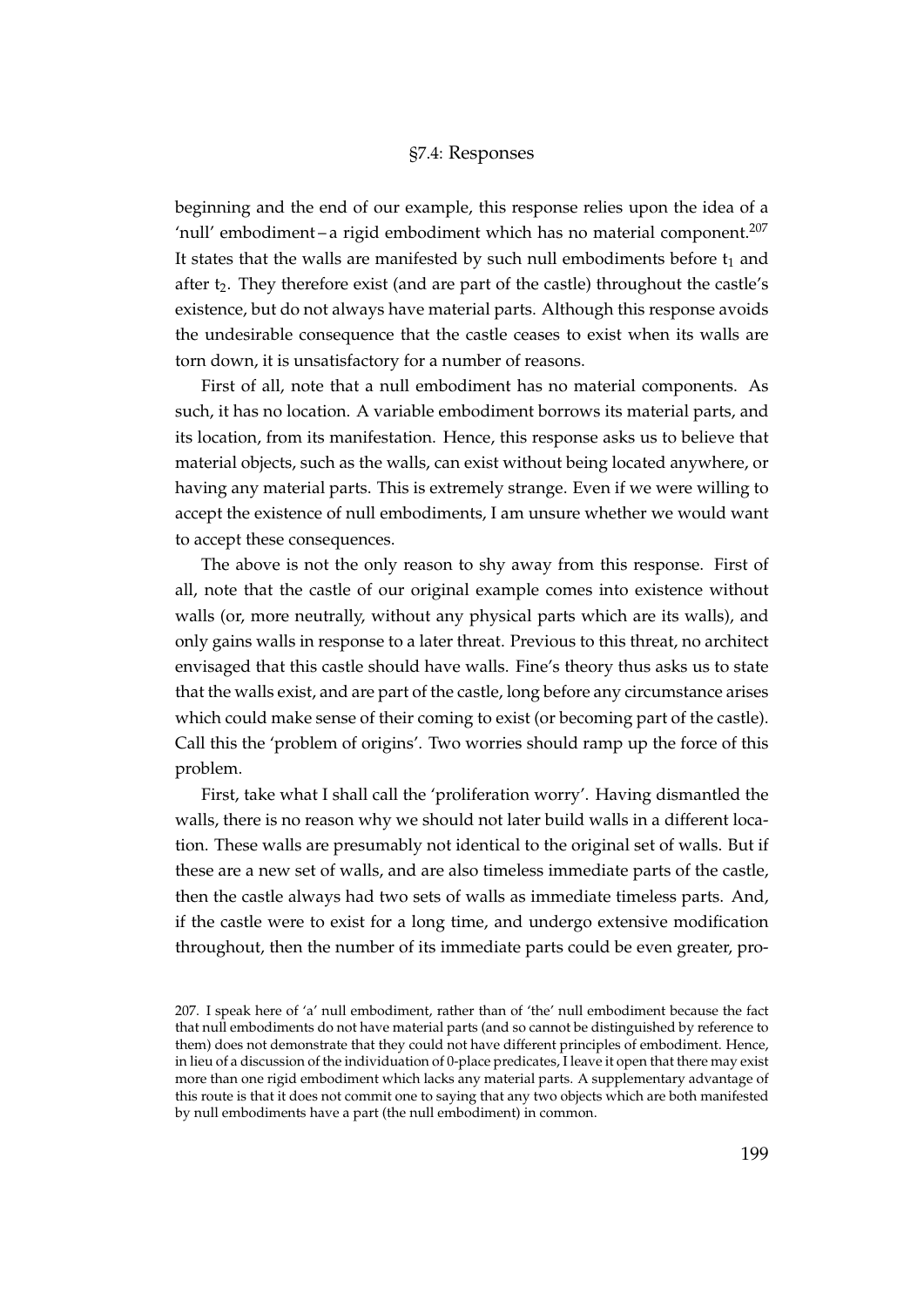### §7.4: Responses

beginning and the end of our example, this response relies upon the idea of a 'null' embodiment – a rigid embodiment which has no material component. $207$ It states that the walls are manifested by such null embodiments before  $t_1$  and after t<sub>2</sub>. They therefore exist (and are part of the castle) throughout the castle's existence, but do not always have material parts. Although this response avoids the undesirable consequence that the castle ceases to exist when its walls are torn down, it is unsatisfactory for a number of reasons.

First of all, note that a null embodiment has no material components. As such, it has no location. A variable embodiment borrows its material parts, and its location, from its manifestation. Hence, this response asks us to believe that material objects, such as the walls, can exist without being located anywhere, or having any material parts. This is extremely strange. Even if we were willing to accept the existence of null embodiments, I am unsure whether we would want to accept these consequences.

The above is not the only reason to shy away from this response. First of all, note that the castle of our original example comes into existence without walls (or, more neutrally, without any physical parts which are its walls), and only gains walls in response to a later threat. Previous to this threat, no architect envisaged that this castle should have walls. Fine's theory thus asks us to state that the walls exist, and are part of the castle, long before any circumstance arises which could make sense of their coming to exist (or becoming part of the castle). Call this the 'problem of origins'. Two worries should ramp up the force of this problem.

First, take what I shall call the 'proliferation worry'. Having dismantled the walls, there is no reason why we should not later build walls in a different location. These walls are presumably not identical to the original set of walls. But if these are a new set of walls, and are also timeless immediate parts of the castle, then the castle always had two sets of walls as immediate timeless parts. And, if the castle were to exist for a long time, and undergo extensive modification throughout, then the number of its immediate parts could be even greater, pro-

<span id="page-198-0"></span><sup>207.</sup> I speak here of 'a' null embodiment, rather than of 'the' null embodiment because the fact that null embodiments do not have material parts (and so cannot be distinguished by reference to them) does not demonstrate that they could not have different principles of embodiment. Hence, in lieu of a discussion of the individuation of 0-place predicates, I leave it open that there may exist more than one rigid embodiment which lacks any material parts. A supplementary advantage of this route is that it does not commit one to saying that any two objects which are both manifested by null embodiments have a part (the null embodiment) in common.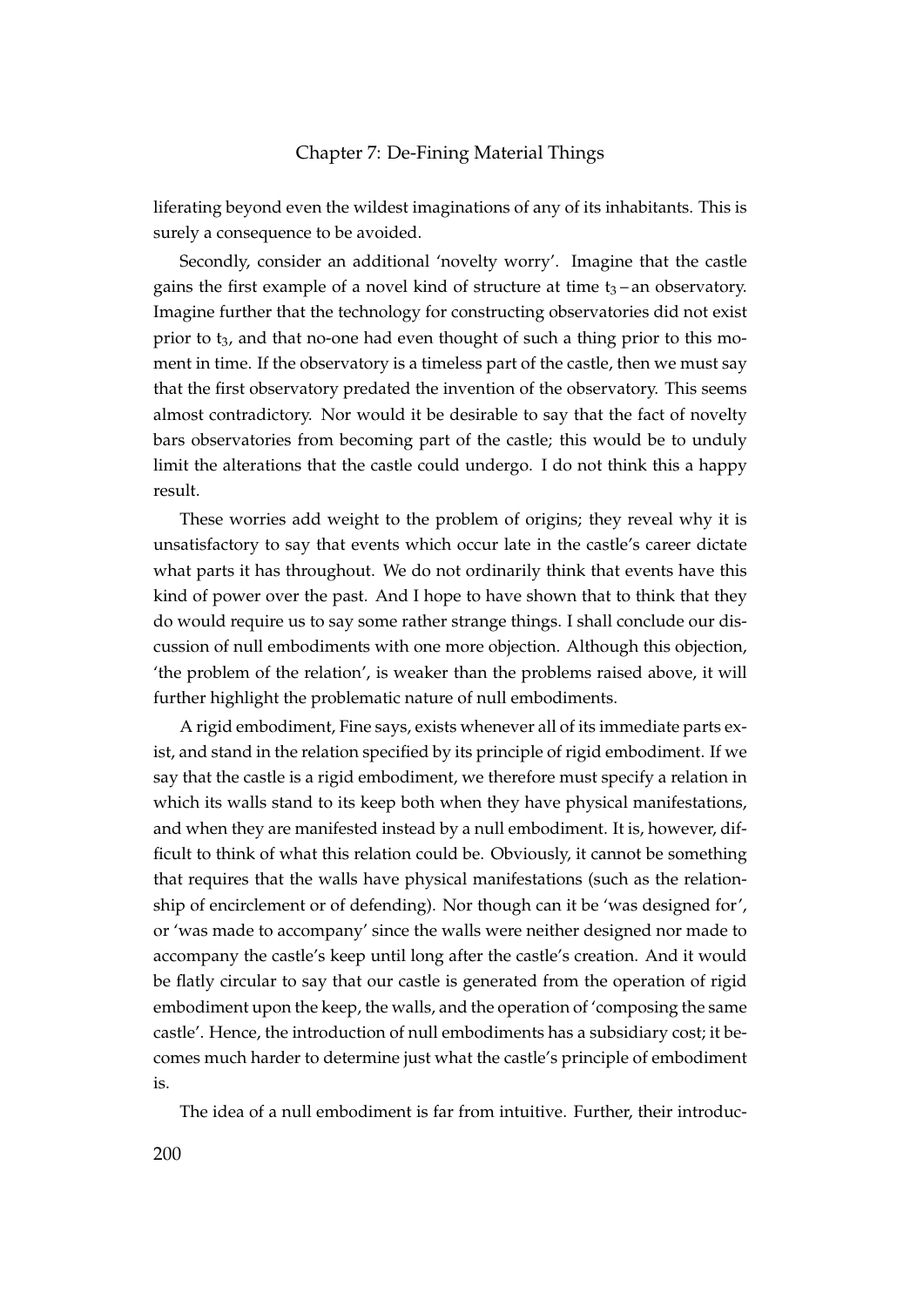liferating beyond even the wildest imaginations of any of its inhabitants. This is surely a consequence to be avoided.

Secondly, consider an additional 'novelty worry'. Imagine that the castle gains the first example of a novel kind of structure at time  $t_3$ –an observatory. Imagine further that the technology for constructing observatories did not exist prior to  $t_3$ , and that no-one had even thought of such a thing prior to this moment in time. If the observatory is a timeless part of the castle, then we must say that the first observatory predated the invention of the observatory. This seems almost contradictory. Nor would it be desirable to say that the fact of novelty bars observatories from becoming part of the castle; this would be to unduly limit the alterations that the castle could undergo. I do not think this a happy result.

These worries add weight to the problem of origins; they reveal why it is unsatisfactory to say that events which occur late in the castle's career dictate what parts it has throughout. We do not ordinarily think that events have this kind of power over the past. And I hope to have shown that to think that they do would require us to say some rather strange things. I shall conclude our discussion of null embodiments with one more objection. Although this objection, 'the problem of the relation', is weaker than the problems raised above, it will further highlight the problematic nature of null embodiments.

A rigid embodiment, Fine says, exists whenever all of its immediate parts exist, and stand in the relation specified by its principle of rigid embodiment. If we say that the castle is a rigid embodiment, we therefore must specify a relation in which its walls stand to its keep both when they have physical manifestations, and when they are manifested instead by a null embodiment. It is, however, difficult to think of what this relation could be. Obviously, it cannot be something that requires that the walls have physical manifestations (such as the relationship of encirclement or of defending). Nor though can it be 'was designed for', or 'was made to accompany' since the walls were neither designed nor made to accompany the castle's keep until long after the castle's creation. And it would be flatly circular to say that our castle is generated from the operation of rigid embodiment upon the keep, the walls, and the operation of 'composing the same castle'. Hence, the introduction of null embodiments has a subsidiary cost; it becomes much harder to determine just what the castle's principle of embodiment is.

The idea of a null embodiment is far from intuitive. Further, their introduc-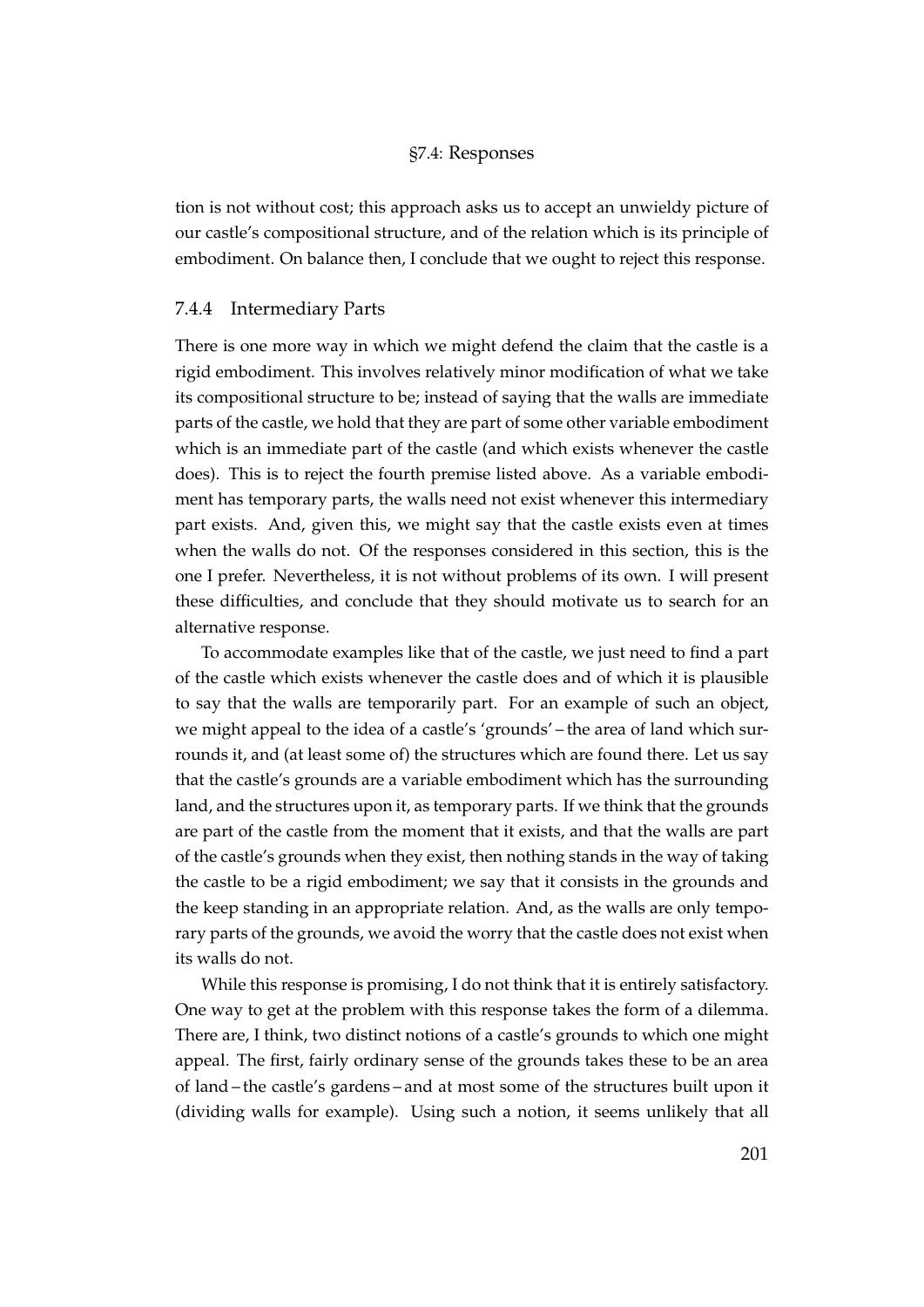# §7.4: Responses

tion is not without cost; this approach asks us to accept an unwieldy picture of our castle's compositional structure, and of the relation which is its principle of embodiment. On balance then, I conclude that we ought to reject this response.

#### 7.4.4 Intermediary Parts

There is one more way in which we might defend the claim that the castle is a rigid embodiment. This involves relatively minor modification of what we take its compositional structure to be; instead of saying that the walls are immediate parts of the castle, we hold that they are part of some other variable embodiment which is an immediate part of the castle (and which exists whenever the castle does). This is to reject the fourth premise listed above. As a variable embodiment has temporary parts, the walls need not exist whenever this intermediary part exists. And, given this, we might say that the castle exists even at times when the walls do not. Of the responses considered in this section, this is the one I prefer. Nevertheless, it is not without problems of its own. I will present these difficulties, and conclude that they should motivate us to search for an alternative response.

To accommodate examples like that of the castle, we just need to find a part of the castle which exists whenever the castle does and of which it is plausible to say that the walls are temporarily part. For an example of such an object, we might appeal to the idea of a castle's 'grounds' – the area of land which surrounds it, and (at least some of) the structures which are found there. Let us say that the castle's grounds are a variable embodiment which has the surrounding land, and the structures upon it, as temporary parts. If we think that the grounds are part of the castle from the moment that it exists, and that the walls are part of the castle's grounds when they exist, then nothing stands in the way of taking the castle to be a rigid embodiment; we say that it consists in the grounds and the keep standing in an appropriate relation. And, as the walls are only temporary parts of the grounds, we avoid the worry that the castle does not exist when its walls do not.

While this response is promising, I do not think that it is entirely satisfactory. One way to get at the problem with this response takes the form of a dilemma. There are, I think, two distinct notions of a castle's grounds to which one might appeal. The first, fairly ordinary sense of the grounds takes these to be an area of land – the castle's gardens – and at most some of the structures built upon it (dividing walls for example). Using such a notion, it seems unlikely that all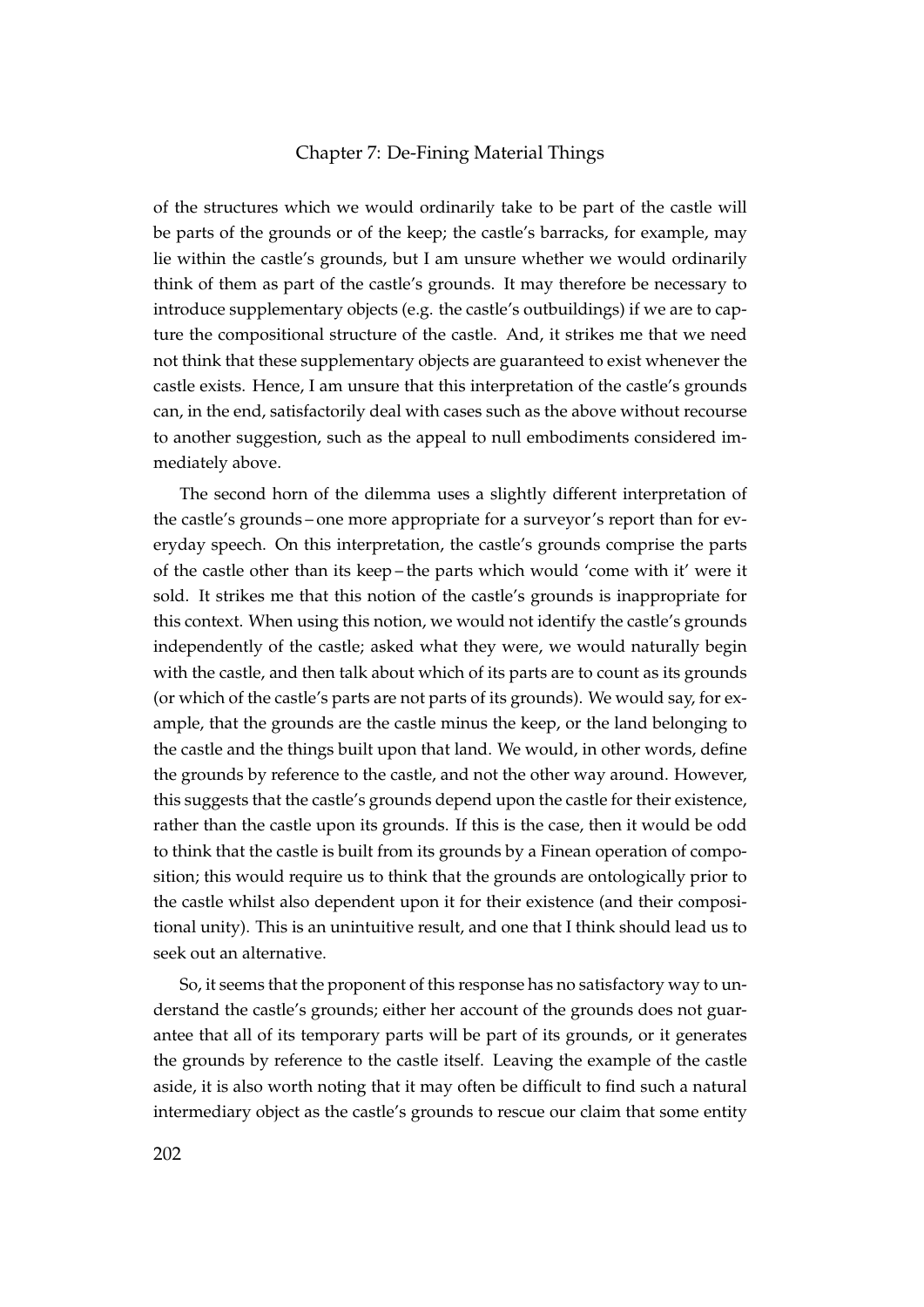of the structures which we would ordinarily take to be part of the castle will be parts of the grounds or of the keep; the castle's barracks, for example, may lie within the castle's grounds, but I am unsure whether we would ordinarily think of them as part of the castle's grounds. It may therefore be necessary to introduce supplementary objects (e.g. the castle's outbuildings) if we are to capture the compositional structure of the castle. And, it strikes me that we need not think that these supplementary objects are guaranteed to exist whenever the castle exists. Hence, I am unsure that this interpretation of the castle's grounds can, in the end, satisfactorily deal with cases such as the above without recourse to another suggestion, such as the appeal to null embodiments considered immediately above.

The second horn of the dilemma uses a slightly different interpretation of the castle's grounds – one more appropriate for a surveyor's report than for everyday speech. On this interpretation, the castle's grounds comprise the parts of the castle other than its keep – the parts which would 'come with it' were it sold. It strikes me that this notion of the castle's grounds is inappropriate for this context. When using this notion, we would not identify the castle's grounds independently of the castle; asked what they were, we would naturally begin with the castle, and then talk about which of its parts are to count as its grounds (or which of the castle's parts are not parts of its grounds). We would say, for example, that the grounds are the castle minus the keep, or the land belonging to the castle and the things built upon that land. We would, in other words, define the grounds by reference to the castle, and not the other way around. However, this suggests that the castle's grounds depend upon the castle for their existence, rather than the castle upon its grounds. If this is the case, then it would be odd to think that the castle is built from its grounds by a Finean operation of composition; this would require us to think that the grounds are ontologically prior to the castle whilst also dependent upon it for their existence (and their compositional unity). This is an unintuitive result, and one that I think should lead us to seek out an alternative.

So, it seems that the proponent of this response has no satisfactory way to understand the castle's grounds; either her account of the grounds does not guarantee that all of its temporary parts will be part of its grounds, or it generates the grounds by reference to the castle itself. Leaving the example of the castle aside, it is also worth noting that it may often be difficult to find such a natural intermediary object as the castle's grounds to rescue our claim that some entity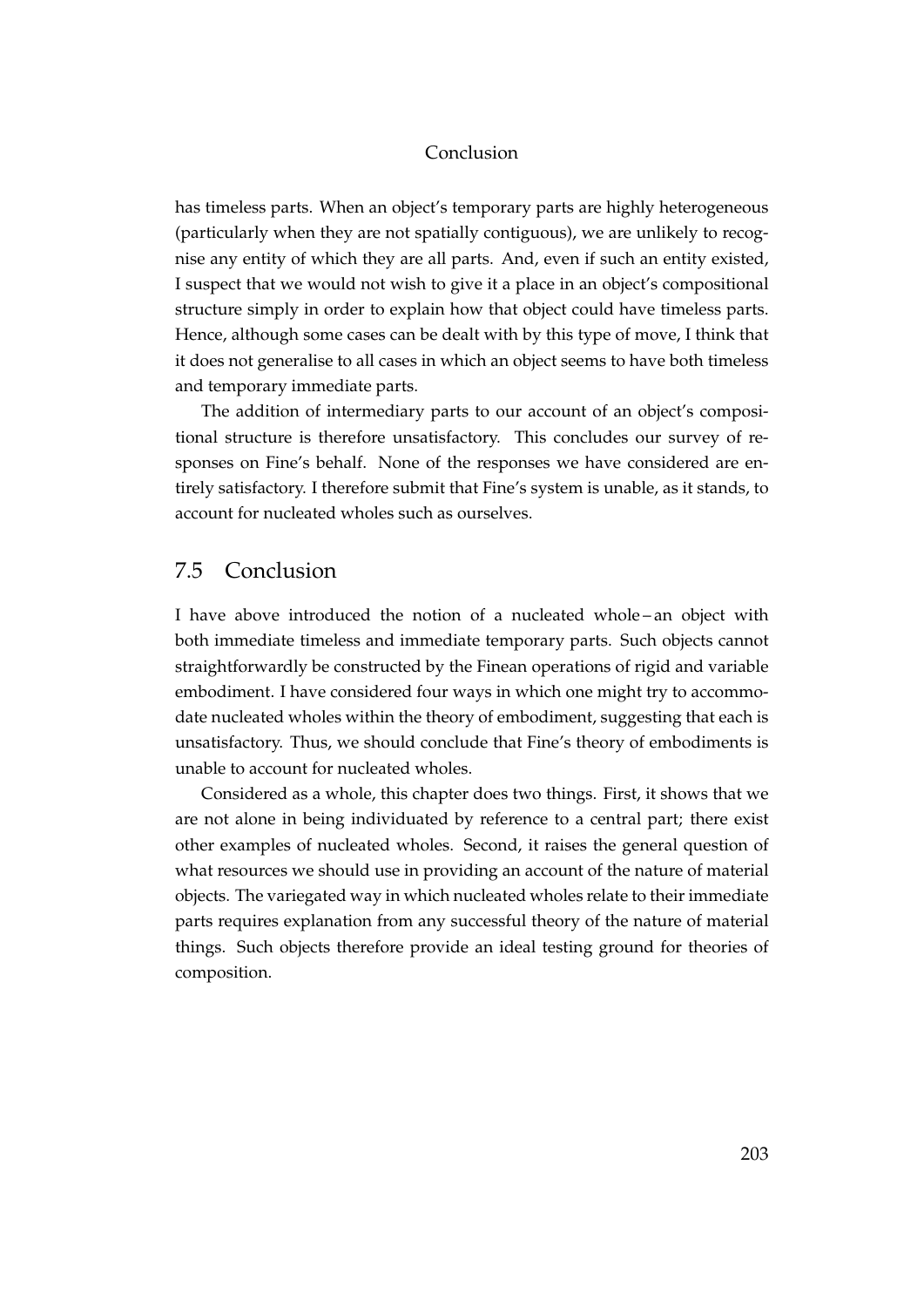# Conclusion

has timeless parts. When an object's temporary parts are highly heterogeneous (particularly when they are not spatially contiguous), we are unlikely to recognise any entity of which they are all parts. And, even if such an entity existed, I suspect that we would not wish to give it a place in an object's compositional structure simply in order to explain how that object could have timeless parts. Hence, although some cases can be dealt with by this type of move, I think that it does not generalise to all cases in which an object seems to have both timeless and temporary immediate parts.

The addition of intermediary parts to our account of an object's compositional structure is therefore unsatisfactory. This concludes our survey of responses on Fine's behalf. None of the responses we have considered are entirely satisfactory. I therefore submit that Fine's system is unable, as it stands, to account for nucleated wholes such as ourselves.

# 7.5 Conclusion

I have above introduced the notion of a nucleated whole – an object with both immediate timeless and immediate temporary parts. Such objects cannot straightforwardly be constructed by the Finean operations of rigid and variable embodiment. I have considered four ways in which one might try to accommodate nucleated wholes within the theory of embodiment, suggesting that each is unsatisfactory. Thus, we should conclude that Fine's theory of embodiments is unable to account for nucleated wholes.

Considered as a whole, this chapter does two things. First, it shows that we are not alone in being individuated by reference to a central part; there exist other examples of nucleated wholes. Second, it raises the general question of what resources we should use in providing an account of the nature of material objects. The variegated way in which nucleated wholes relate to their immediate parts requires explanation from any successful theory of the nature of material things. Such objects therefore provide an ideal testing ground for theories of composition.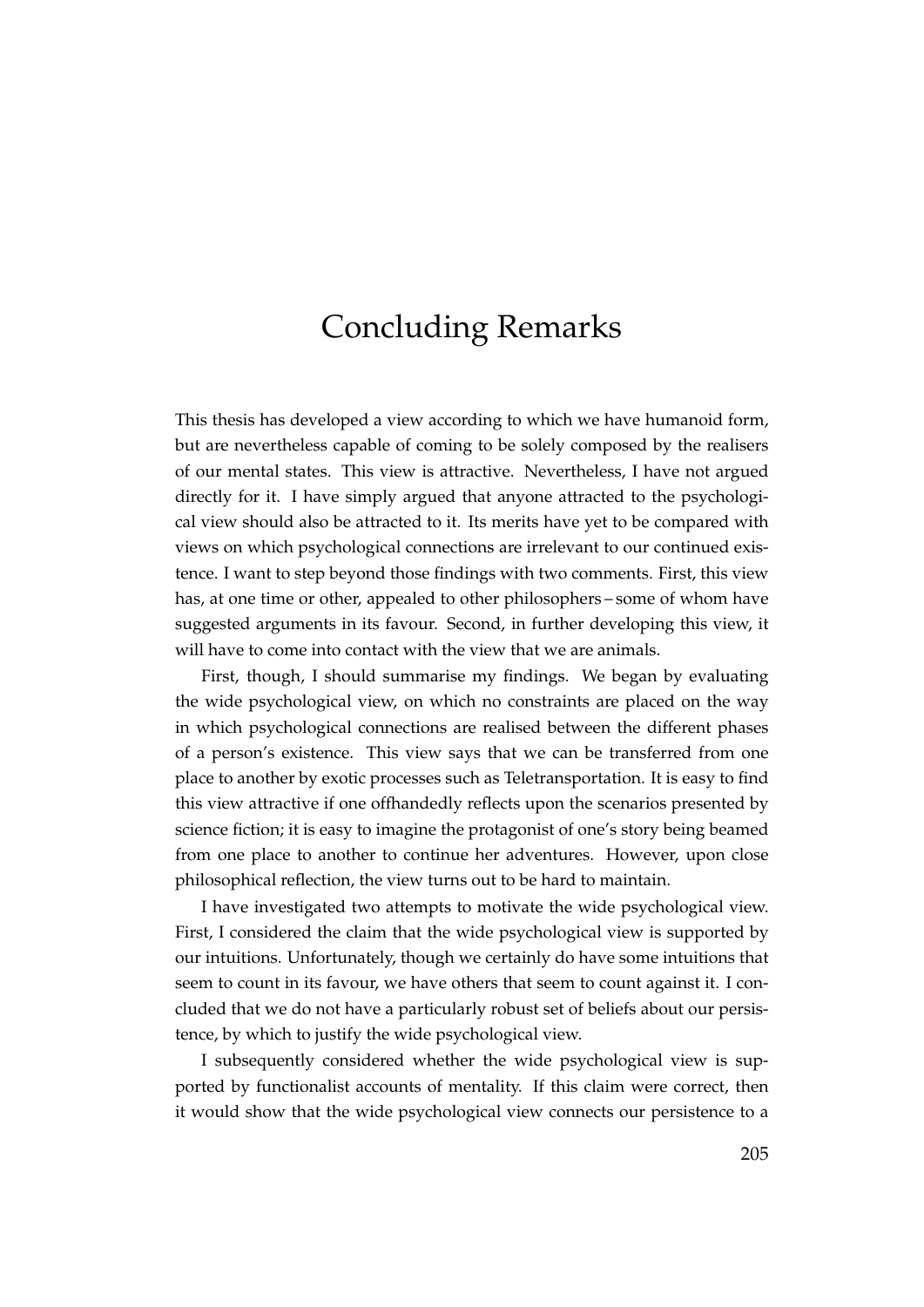# Concluding Remarks

This thesis has developed a view according to which we have humanoid form, but are nevertheless capable of coming to be solely composed by the realisers of our mental states. This view is attractive. Nevertheless, I have not argued directly for it. I have simply argued that anyone attracted to the psychological view should also be attracted to it. Its merits have yet to be compared with views on which psychological connections are irrelevant to our continued existence. I want to step beyond those findings with two comments. First, this view has, at one time or other, appealed to other philosophers – some of whom have suggested arguments in its favour. Second, in further developing this view, it will have to come into contact with the view that we are animals.

First, though, I should summarise my findings. We began by evaluating the wide psychological view, on which no constraints are placed on the way in which psychological connections are realised between the different phases of a person's existence. This view says that we can be transferred from one place to another by exotic processes such as [Teletransportation.](#page-33-0) It is easy to find this view attractive if one offhandedly reflects upon the scenarios presented by science fiction; it is easy to imagine the protagonist of one's story being beamed from one place to another to continue her adventures. However, upon close philosophical reflection, the view turns out to be hard to maintain.

I have investigated two attempts to motivate the wide psychological view. First, I considered the claim that the wide psychological view is supported by our intuitions. Unfortunately, though we certainly do have some intuitions that seem to count in its favour, we have others that seem to count against it. I concluded that we do not have a particularly robust set of beliefs about our persistence, by which to justify the wide psychological view.

I subsequently considered whether the wide psychological view is supported by functionalist accounts of mentality. If this claim were correct, then it would show that the wide psychological view connects our persistence to a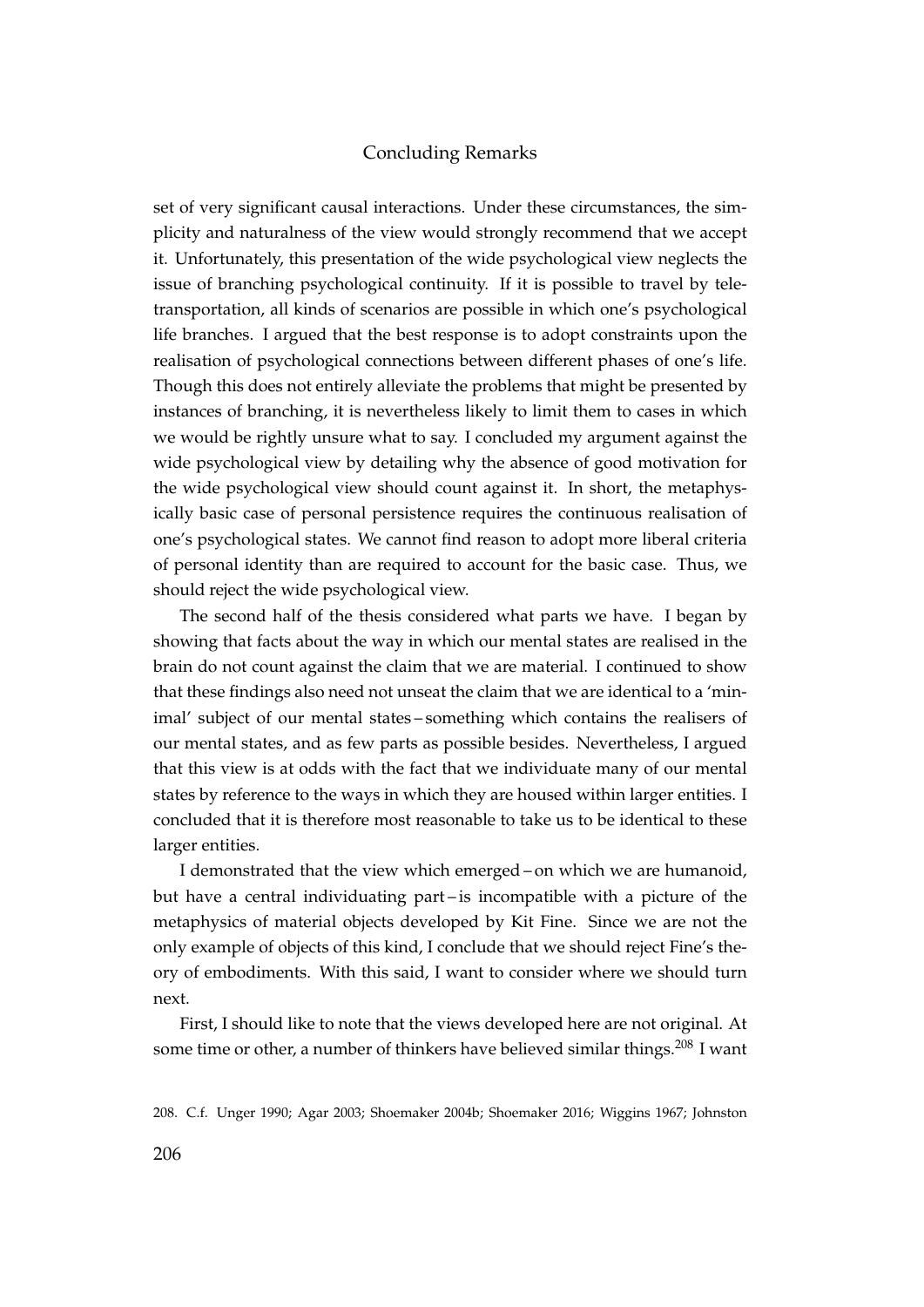### Concluding Remarks

set of very significant causal interactions. Under these circumstances, the simplicity and naturalness of the view would strongly recommend that we accept it. Unfortunately, this presentation of the wide psychological view neglects the issue of branching psychological continuity. If it is possible to travel by teletransportation, all kinds of scenarios are possible in which one's psychological life branches. I argued that the best response is to adopt constraints upon the realisation of psychological connections between different phases of one's life. Though this does not entirely alleviate the problems that might be presented by instances of branching, it is nevertheless likely to limit them to cases in which we would be rightly unsure what to say. I concluded my argument against the wide psychological view by detailing why the absence of good motivation for the wide psychological view should count against it. In short, the metaphysically basic case of personal persistence requires the continuous realisation of one's psychological states. We cannot find reason to adopt more liberal criteria of personal identity than are required to account for the basic case. Thus, we should reject the wide psychological view.

The second half of the thesis considered what parts we have. I began by showing that facts about the way in which our mental states are realised in the brain do not count against the claim that we are material. I continued to show that these findings also need not unseat the claim that we are identical to a 'minimal' subject of our mental states – something which contains the realisers of our mental states, and as few parts as possible besides. Nevertheless, I argued that this view is at odds with the fact that we individuate many of our mental states by reference to the ways in which they are housed within larger entities. I concluded that it is therefore most reasonable to take us to be identical to these larger entities.

I demonstrated that the view which emerged – on which we are humanoid, but have a central individuating part – is incompatible with a picture of the metaphysics of material objects developed by Kit Fine. Since we are not the only example of objects of this kind, I conclude that we should reject Fine's theory of embodiments. With this said, I want to consider where we should turn next.

First, I should like to note that the views developed here are not original. At some time or other, a number of thinkers have believed similar things.<sup>[208](#page-205-0)</sup> I want

<span id="page-205-0"></span><sup>208.</sup> C.f. [Unger 1990;](#page-219-0) [Agar 2003;](#page-208-0) [Shoemaker 2004b;](#page-217-0) [Shoemaker 2016;](#page-217-1) [Wiggins 1967;](#page-219-1) [Johnston](#page-212-2)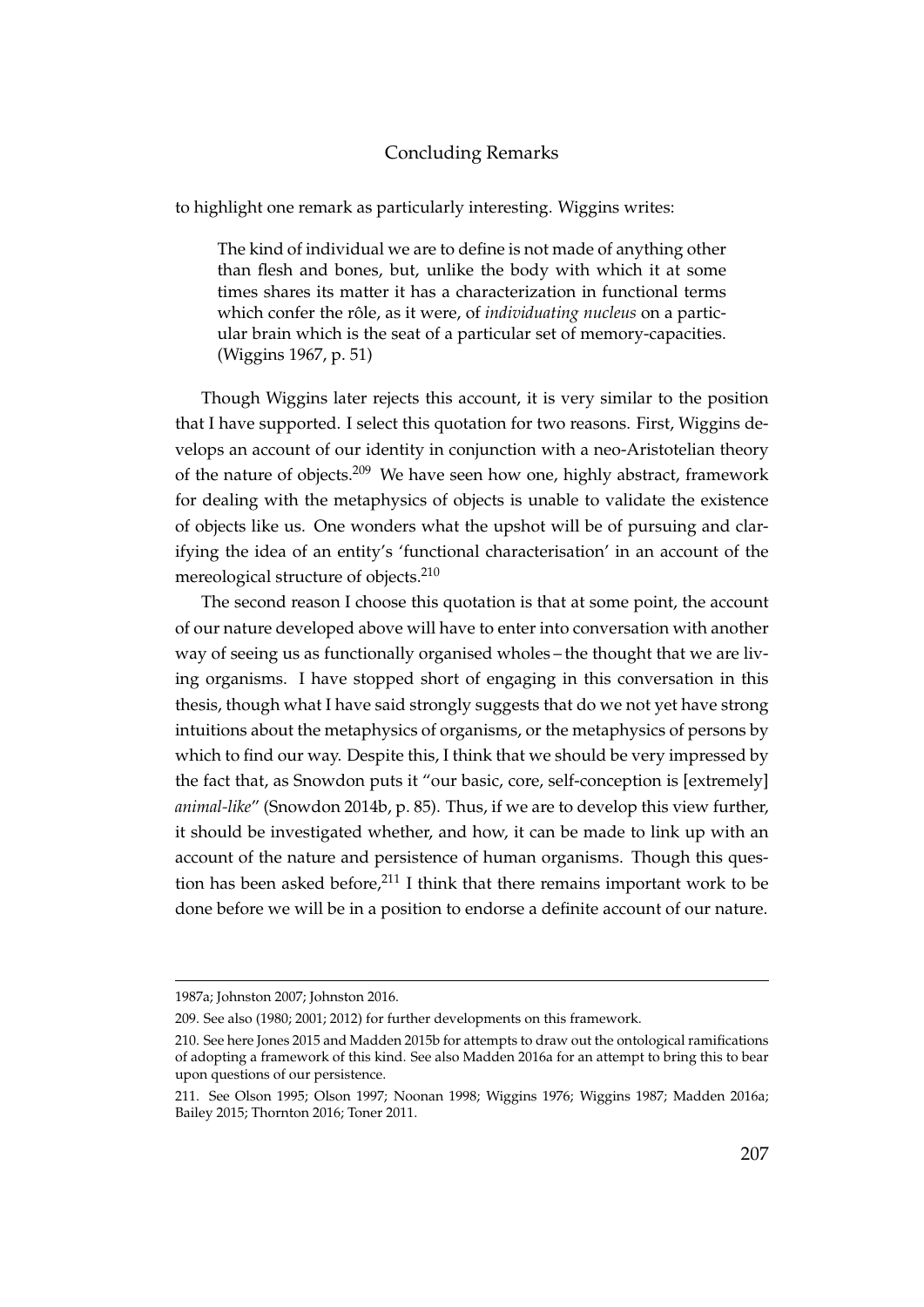#### [Concluding Remarks](#page-212-2)

[to highlight one remark as particularly interesting. Wiggins writes:](#page-212-2)

[The kind of individual we are to define is not made of anything other](#page-212-2) [than flesh and bones, but, unlike the body with which it at some](#page-212-2) [times shares its matter it has a characterization in functional terms](#page-212-2) [which confer the rôle, as it were, of](#page-212-2) *individuating nucleus* on a partic[ular brain which is the seat of a particular set of memory-capacities.](#page-212-2) [\(Wiggins 1967, p. 51\)](#page-212-2)

[Though Wiggins later rejects this account, it is very similar to the position](#page-212-2) [that I have supported. I select this quotation for two reasons. First, Wiggins de](#page-212-2)[velops an account of our identity in conjunction with a neo-Aristotelian theory](#page-212-2) of the nature of objects.<sup>[209](#page-206-0)</sup> [We have seen how one, highly abstract, framework](#page-212-2) [for dealing with the metaphysics of objects is unable to validate the existence](#page-212-2) [of objects like us. One wonders what the upshot will be of pursuing and clar](#page-212-2)[ifying the idea of an entity's 'functional characterisation' in an account of the](#page-212-2) [mereological structure of objects.](#page-212-2)<sup>[210](#page-206-1)</sup>

[The second reason I choose this quotation is that at some point, the account](#page-212-2) [of our nature developed above will have to enter into conversation with another](#page-212-2) [way of seeing us as functionally organised wholes – the thought that we are liv](#page-212-2)[ing organisms. I have stopped short of engaging in this conversation in this](#page-212-2) [thesis, though what I have said strongly suggests that do we not yet have strong](#page-212-2) [intuitions about the metaphysics of organisms, or the metaphysics of persons by](#page-212-2) [which to find our way. Despite this, I think that we should be very impressed by](#page-212-2) [the fact that, as Snowdon puts it "our basic, core, self-conception is \[extremely\]](#page-212-2) *animal-like*[" \(Snowdon 2014b, p. 85\). Thus, if we are to develop this view further,](#page-212-2) [it should be investigated whether, and how, it can be made to link up with an](#page-212-2) [account of the nature and persistence of human organisms. Though this ques](#page-212-2)tion has been asked before, $2^{11}$  [I think that there remains important work to be](#page-212-2) [done before we will be in a position to endorse a definite account of our nature.](#page-212-2)

[<sup>1987</sup>a;](#page-212-2) [Johnston 2007;](#page-212-3) [Johnston 2016.](#page-212-4)

<span id="page-206-0"></span><sup>209.</sup> See also (1980; 2001; 2012) for further developments on this framework.

<span id="page-206-1"></span><sup>210.</sup> See here [Jones 2015](#page-212-5) and [Madden 2015b](#page-214-0) for attempts to draw out the ontological ramifications of adopting a framework of this kind. See also [Madden 2016a](#page-214-1) for an attempt to bring this to bear upon questions of our persistence.

<span id="page-206-2"></span><sup>211.</sup> See [Olson 1995;](#page-215-0) [Olson 1997;](#page-215-1) [Noonan 1998;](#page-214-2) [Wiggins 1976;](#page-219-2) [Wiggins 1987;](#page-219-3) [Madden 2016a;](#page-214-1) [Bailey 2015;](#page-208-1) [Thornton 2016;](#page-219-4) [Toner 2011.](#page-219-5)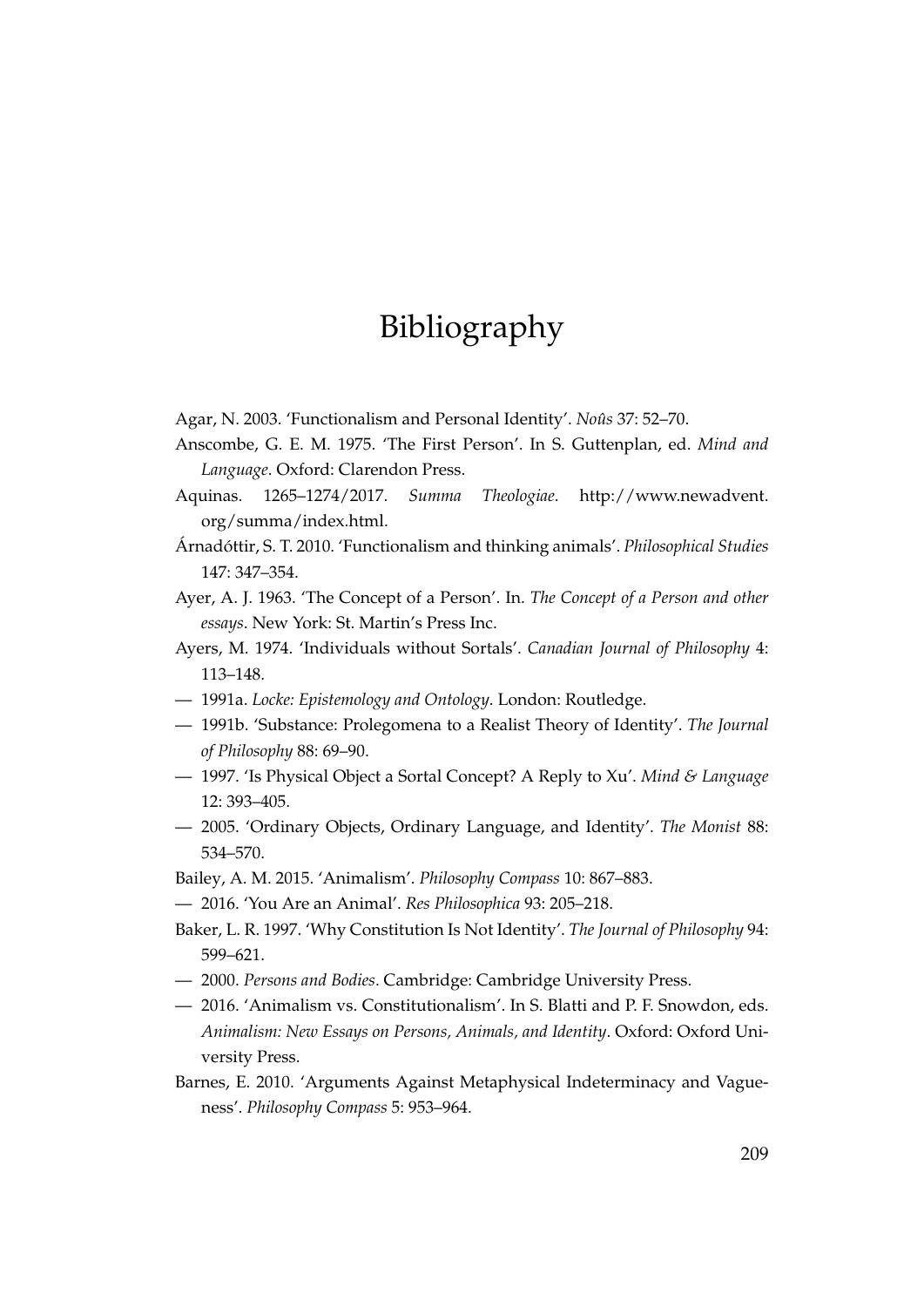- <span id="page-208-0"></span>Agar, N. 2003. 'Functionalism and Personal Identity'. *Noûs* 37: 52–70.
- Anscombe, G. E. M. 1975. 'The First Person'. In S. Guttenplan, ed. *Mind and Language*. Oxford: Clarendon Press.
- Aquinas. 1265–1274/2017. *Summa Theologiae*. http://www.newadvent. org/summa/index.html.
- Árnadóttir, S. T. 2010. 'Functionalism and thinking animals'. *Philosophical Studies* 147: 347–354.

Ayer, A. J. 1963. 'The Concept of a Person'. In. *The Concept of a Person and other essays*. New York: St. Martin's Press Inc.

- Ayers, M. 1974. 'Individuals without Sortals'. *Canadian Journal of Philosophy* 4: 113–148.
- 1991a. *Locke: Epistemology and Ontology*. London: Routledge.
- 1991b. 'Substance: Prolegomena to a Realist Theory of Identity'. *The Journal of Philosophy* 88: 69–90.
- 1997. 'Is Physical Object a Sortal Concept? A Reply to Xu'. *Mind & Language* 12: 393–405.
- 2005. 'Ordinary Objects, Ordinary Language, and Identity'. *The Monist* 88: 534–570.
- <span id="page-208-1"></span>Bailey, A. M. 2015. 'Animalism'. *Philosophy Compass* 10: 867–883.
- 2016. 'You Are an Animal'. *Res Philosophica* 93: 205–218.
- Baker, L. R. 1997. 'Why Constitution Is Not Identity'. *The Journal of Philosophy* 94: 599–621.
- 2000. *Persons and Bodies*. Cambridge: Cambridge University Press.
- 2016. 'Animalism vs. Constitutionalism'. In S. Blatti and P. F. Snowdon, eds. *Animalism: New Essays on Persons, Animals, and Identity*. Oxford: Oxford University Press.
- Barnes, E. 2010. 'Arguments Against Metaphysical Indeterminacy and Vagueness'. *Philosophy Compass* 5: 953–964.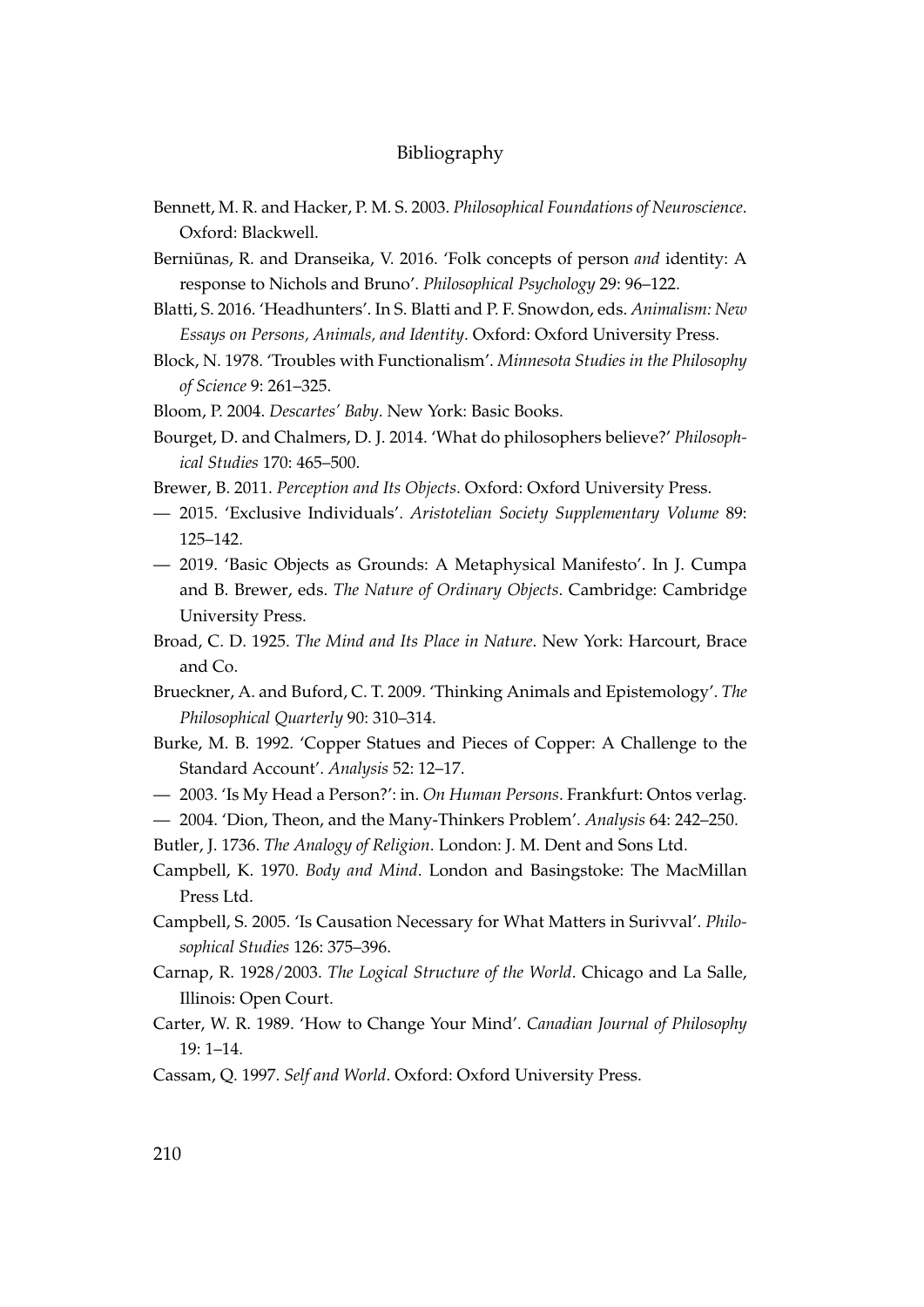- Bennett, M. R. and Hacker, P. M. S. 2003. *Philosophical Foundations of Neuroscience*. Oxford: Blackwell.
- Berniūnas, R. and Dranseika, V. 2016. 'Folk concepts of person and identity: A response to Nichols and Bruno'. *Philosophical Psychology* 29: 96–122.
- Blatti, S. 2016. 'Headhunters'. In S. Blatti and P. F. Snowdon, eds. *Animalism: New Essays on Persons, Animals, and Identity*. Oxford: Oxford University Press.
- Block, N. 1978. 'Troubles with Functionalism'. *Minnesota Studies in the Philosophy of Science* 9: 261–325.
- Bloom, P. 2004. *Descartes' Baby*. New York: Basic Books.
- Bourget, D. and Chalmers, D. J. 2014. 'What do philosophers believe?' *Philosophical Studies* 170: 465–500.
- Brewer, B. 2011. *Perception and Its Objects*. Oxford: Oxford University Press.
- 2015. 'Exclusive Individuals'. *Aristotelian Society Supplementary Volume* 89: 125–142.
- 2019. 'Basic Objects as Grounds: A Metaphysical Manifesto'. In J. Cumpa and B. Brewer, eds. *The Nature of Ordinary Objects*. Cambridge: Cambridge University Press.
- Broad, C. D. 1925. *The Mind and Its Place in Nature*. New York: Harcourt, Brace and Co.
- Brueckner, A. and Buford, C. T. 2009. 'Thinking Animals and Epistemology'. *The Philosophical Quarterly* 90: 310–314.
- Burke, M. B. 1992. 'Copper Statues and Pieces of Copper: A Challenge to the Standard Account'. *Analysis* 52: 12–17.
- 2003. 'Is My Head a Person?': in. *On Human Persons*. Frankfurt: Ontos verlag.
- 2004. 'Dion, Theon, and the Many-Thinkers Problem'. *Analysis* 64: 242–250.
- Butler, J. 1736. *The Analogy of Religion*. London: J. M. Dent and Sons Ltd.
- Campbell, K. 1970. *Body and Mind*. London and Basingstoke: The MacMillan Press Ltd.
- Campbell, S. 2005. 'Is Causation Necessary for What Matters in Surivval'. *Philosophical Studies* 126: 375–396.
- Carnap, R. 1928/2003. *The Logical Structure of the World*. Chicago and La Salle, Illinois: Open Court.
- Carter, W. R. 1989. 'How to Change Your Mind'. *Canadian Journal of Philosophy* 19: 1–14.
- Cassam, Q. 1997. *Self and World*. Oxford: Oxford University Press.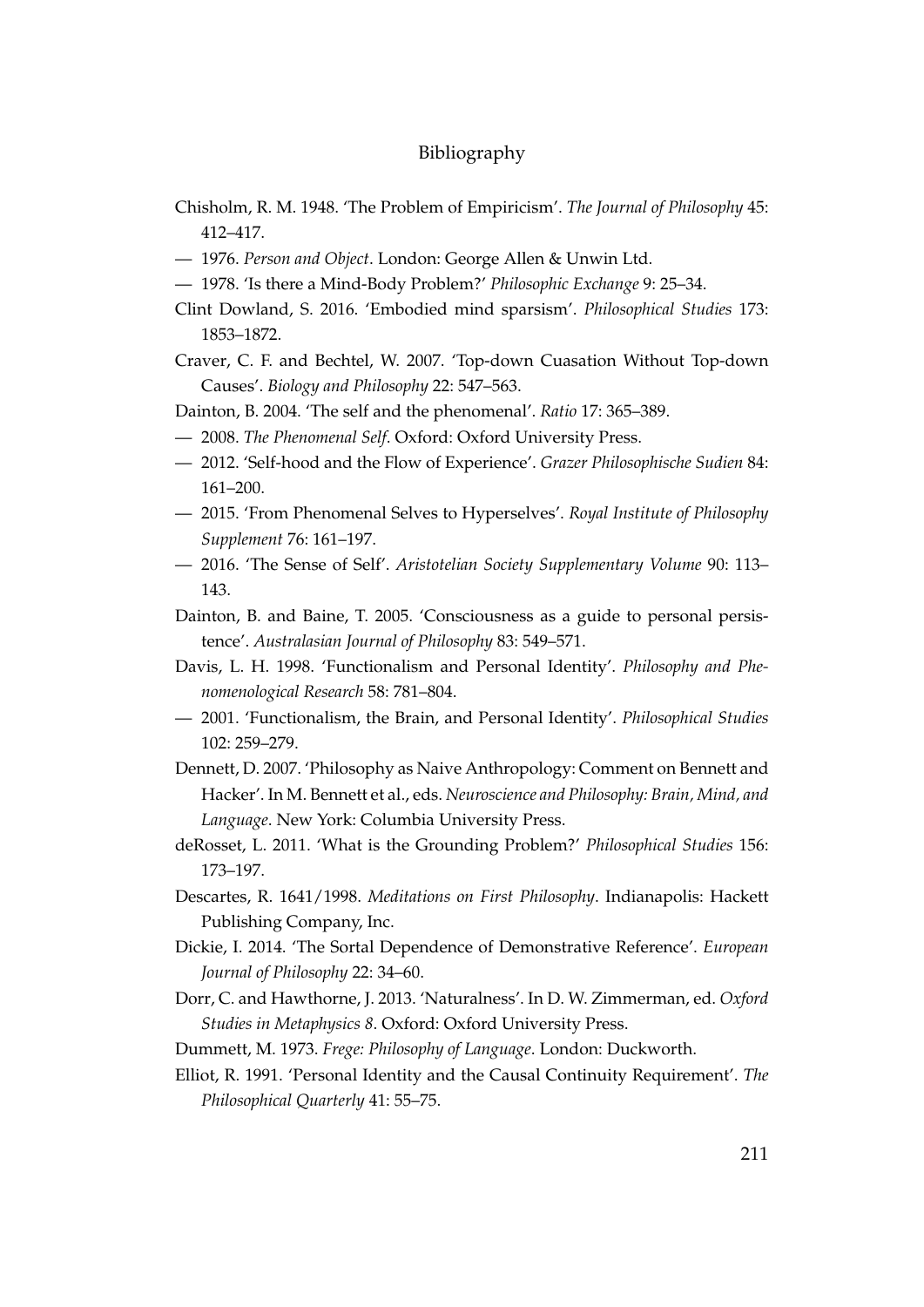- <span id="page-210-0"></span>Chisholm, R. M. 1948. 'The Problem of Empiricism'. *The Journal of Philosophy* 45: 412–417.
- 1976. *Person and Object*. London: George Allen & Unwin Ltd.
- 1978. 'Is there a Mind-Body Problem?' *Philosophic Exchange* 9: 25–34.
- Clint Dowland, S. 2016. 'Embodied mind sparsism'. *Philosophical Studies* 173: 1853–1872.
- Craver, C. F. and Bechtel, W. 2007. 'Top-down Cuasation Without Top-down Causes'. *Biology and Philosophy* 22: 547–563.
- Dainton, B. 2004. 'The self and the phenomenal'. *Ratio* 17: 365–389.
- 2008. *The Phenomenal Self*. Oxford: Oxford University Press.
- 2012. 'Self-hood and the Flow of Experience'. *Grazer Philosophische Sudien* 84: 161–200.
- 2015. 'From Phenomenal Selves to Hyperselves'. *Royal Institute of Philosophy Supplement* 76: 161–197.
- 2016. 'The Sense of Self'. *Aristotelian Society Supplementary Volume* 90: 113– 143.
- Dainton, B. and Baine, T. 2005. 'Consciousness as a guide to personal persistence'. *Australasian Journal of Philosophy* 83: 549–571.
- Davis, L. H. 1998. 'Functionalism and Personal Identity'. *Philosophy and Phenomenological Research* 58: 781–804.
- 2001. 'Functionalism, the Brain, and Personal Identity'. *Philosophical Studies* 102: 259–279.
- Dennett, D. 2007. 'Philosophy as Naive Anthropology: Comment on Bennett and Hacker'. In M. Bennett et al., eds. *Neuroscience and Philosophy: Brain, Mind, and Language*. New York: Columbia University Press.
- deRosset, L. 2011. 'What is the Grounding Problem?' *Philosophical Studies* 156: 173–197.
- Descartes, R. 1641/1998. *Meditations on First Philosophy*. Indianapolis: Hackett Publishing Company, Inc.
- Dickie, I. 2014. 'The Sortal Dependence of Demonstrative Reference'. *European Journal of Philosophy* 22: 34–60.
- Dorr, C. and Hawthorne, J. 2013. 'Naturalness'. In D. W. Zimmerman, ed. *Oxford Studies in Metaphysics 8*. Oxford: Oxford University Press.
- Dummett, M. 1973. *Frege: Philosophy of Language*. London: Duckworth.
- Elliot, R. 1991. 'Personal Identity and the Causal Continuity Requirement'. *The Philosophical Quarterly* 41: 55–75.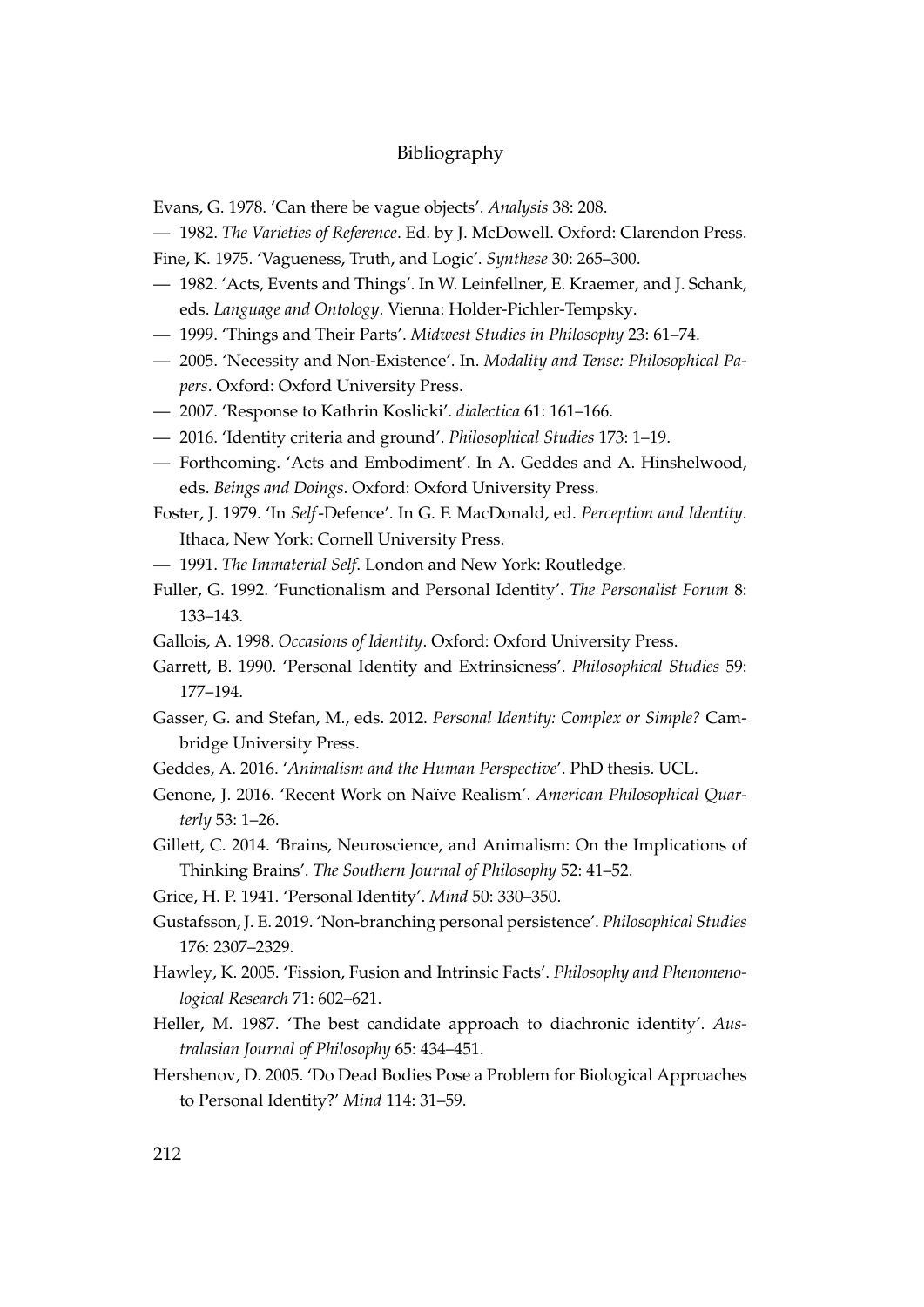- Evans, G. 1978. 'Can there be vague objects'. *Analysis* 38: 208.
- <span id="page-211-0"></span>— 1982. *The Varieties of Reference*. Ed. by J. McDowell. Oxford: Clarendon Press.
- Fine, K. 1975. 'Vagueness, Truth, and Logic'. *Synthese* 30: 265–300.
- <span id="page-211-1"></span>— 1982. 'Acts, Events and Things'. In W. Leinfellner, E. Kraemer, and J. Schank, eds. *Language and Ontology*. Vienna: Holder-Pichler-Tempsky.
- <span id="page-211-3"></span>— 1999. 'Things and Their Parts'. *Midwest Studies in Philosophy* 23: 61–74.
- <span id="page-211-4"></span>— 2005. 'Necessity and Non-Existence'. In. *Modality and Tense: Philosophical Papers*. Oxford: Oxford University Press.
- <span id="page-211-2"></span>— 2007. 'Response to Kathrin Koslicki'. *dialectica* 61: 161–166.
- 2016. 'Identity criteria and ground'. *Philosophical Studies* 173: 1–19.
- Forthcoming. 'Acts and Embodiment'. In A. Geddes and A. Hinshelwood, eds. *Beings and Doings*. Oxford: Oxford University Press.
- Foster, J. 1979. 'In *Self*-Defence'. In G. F. MacDonald, ed. *Perception and Identity*. Ithaca, New York: Cornell University Press.
- 1991. *The Immaterial Self*. London and New York: Routledge.
- Fuller, G. 1992. 'Functionalism and Personal Identity'. *The Personalist Forum* 8: 133–143.
- Gallois, A. 1998. *Occasions of Identity*. Oxford: Oxford University Press.
- Garrett, B. 1990. 'Personal Identity and Extrinsicness'. *Philosophical Studies* 59: 177–194.
- Gasser, G. and Stefan, M., eds. 2012. *Personal Identity: Complex or Simple?* Cambridge University Press.
- Geddes, A. 2016. '*Animalism and the Human Perspective*'. PhD thesis. UCL.
- Genone, J. 2016. 'Recent Work on Naïve Realism'. *American Philosophical Quarterly* 53: 1–26.
- Gillett, C. 2014. 'Brains, Neuroscience, and Animalism: On the Implications of Thinking Brains'. *The Southern Journal of Philosophy* 52: 41–52.
- Grice, H. P. 1941. 'Personal Identity'. *Mind* 50: 330–350.
- Gustafsson, J. E. 2019. 'Non-branching personal persistence'. *Philosophical Studies* 176: 2307–2329.
- Hawley, K. 2005. 'Fission, Fusion and Intrinsic Facts'. *Philosophy and Phenomenological Research* 71: 602–621.
- Heller, M. 1987. 'The best candidate approach to diachronic identity'. *Australasian Journal of Philosophy* 65: 434–451.
- Hershenov, D. 2005. 'Do Dead Bodies Pose a Problem for Biological Approaches to Personal Identity?' *Mind* 114: 31–59.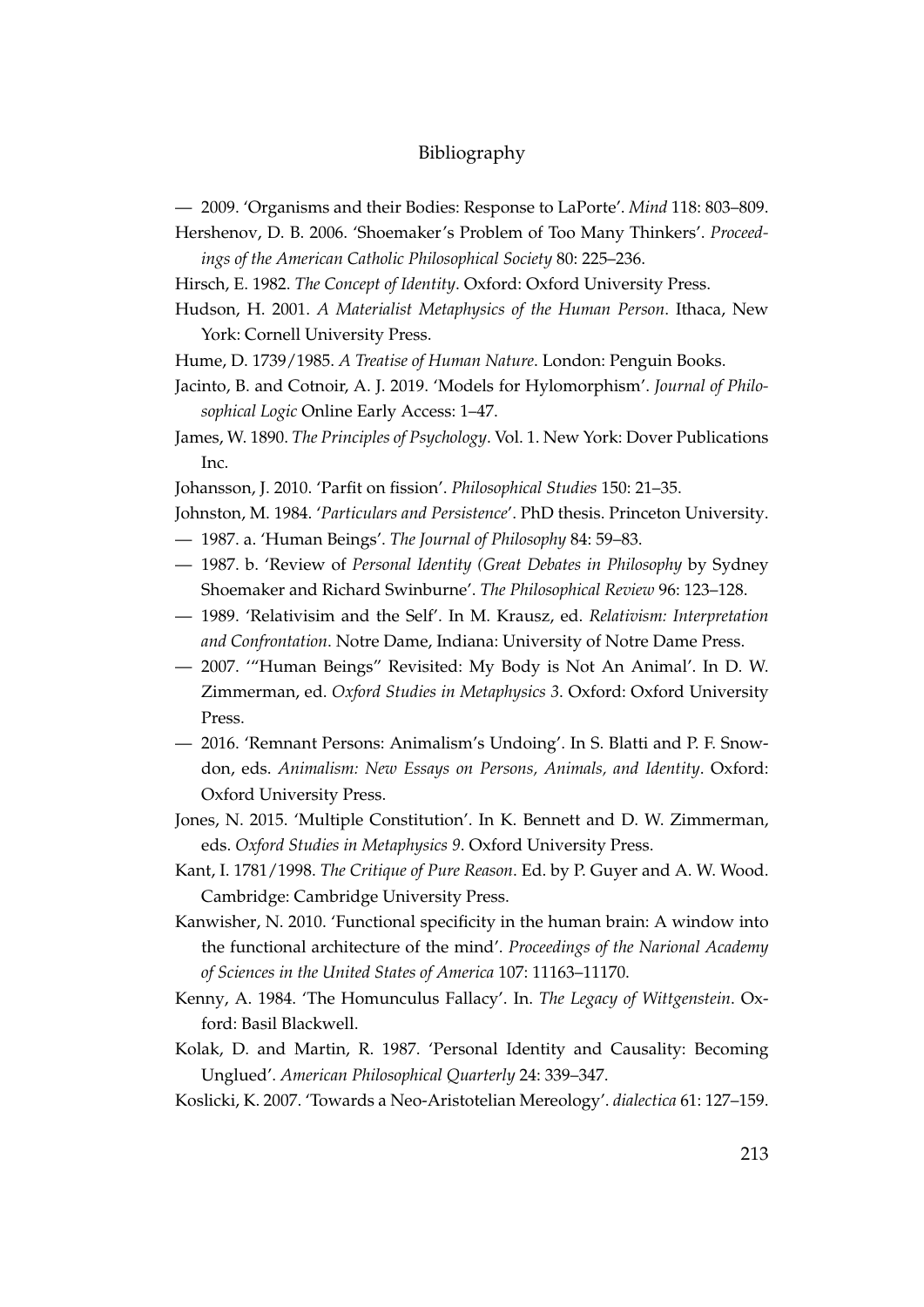- 2009. 'Organisms and their Bodies: Response to LaPorte'. *Mind* 118: 803–809.
- Hershenov, D. B. 2006. 'Shoemaker's Problem of Too Many Thinkers'. *Proceedings of the American Catholic Philosophical Society* 80: 225–236.
- Hirsch, E. 1982. *The Concept of Identity*. Oxford: Oxford University Press.
- Hudson, H. 2001. *A Materialist Metaphysics of the Human Person*. Ithaca, New York: Cornell University Press.
- Hume, D. 1739/1985. *A Treatise of Human Nature*. London: Penguin Books.
- <span id="page-212-0"></span>Jacinto, B. and Cotnoir, A. J. 2019. 'Models for Hylomorphism'. *Journal of Philosophical Logic* Online Early Access: 1–47.
- James, W. 1890. *The Principles of Psychology*. Vol. 1. New York: Dover Publications Inc.
- Johansson, J. 2010. 'Parfit on fission'. *Philosophical Studies* 150: 21–35.
- Johnston, M. 1984. '*Particulars and Persistence*'. PhD thesis. Princeton University.
- <span id="page-212-2"></span>— 1987. a. 'Human Beings'. *The Journal of Philosophy* 84: 59–83.
- 1987. b. 'Review of *Personal Identity (Great Debates in Philosophy* by Sydney Shoemaker and Richard Swinburne'. *The Philosophical Review* 96: 123–128.
- 1989. 'Relativisim and the Self'. In M. Krausz, ed. *Relativism: Interpretation and Confrontation*. Notre Dame, Indiana: University of Notre Dame Press.
- <span id="page-212-3"></span>— 2007. '"Human Beings" Revisited: My Body is Not An Animal'. In D. W. Zimmerman, ed. *Oxford Studies in Metaphysics 3*. Oxford: Oxford University Press.
- <span id="page-212-4"></span>— 2016. 'Remnant Persons: Animalism's Undoing'. In S. Blatti and P. F. Snowdon, eds. *Animalism: New Essays on Persons, Animals, and Identity*. Oxford: Oxford University Press.
- <span id="page-212-5"></span>Jones, N. 2015. 'Multiple Constitution'. In K. Bennett and D. W. Zimmerman, eds. *Oxford Studies in Metaphysics 9*. Oxford University Press.
- Kant, I. 1781/1998. *The Critique of Pure Reason*. Ed. by P. Guyer and A. W. Wood. Cambridge: Cambridge University Press.
- Kanwisher, N. 2010. 'Functional specificity in the human brain: A window into the functional architecture of the mind'. *Proceedings of the Narional Academy of Sciences in the United States of America* 107: 11163–11170.
- Kenny, A. 1984. 'The Homunculus Fallacy'. In. *The Legacy of Wittgenstein*. Oxford: Basil Blackwell.
- Kolak, D. and Martin, R. 1987. 'Personal Identity and Causality: Becoming Unglued'. *American Philosophical Quarterly* 24: 339–347.
- <span id="page-212-1"></span>Koslicki, K. 2007. 'Towards a Neo-Aristotelian Mereology'. *dialectica* 61: 127–159.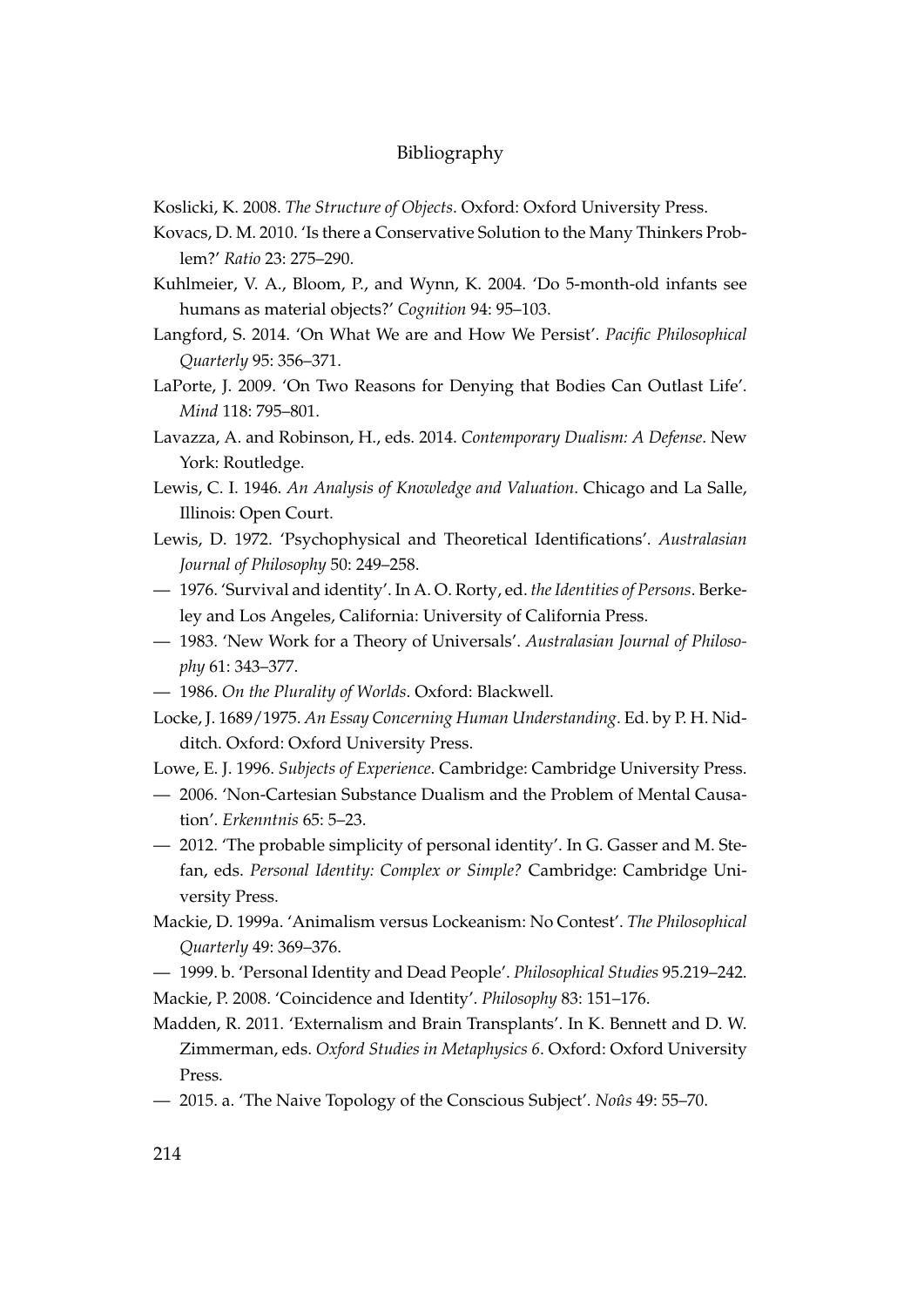- <span id="page-213-0"></span>Koslicki, K. 2008. *The Structure of Objects*. Oxford: Oxford University Press.
- Kovacs, D. M. 2010. 'Is there a Conservative Solution to the Many Thinkers Problem?' *Ratio* 23: 275–290.
- Kuhlmeier, V. A., Bloom, P., and Wynn, K. 2004. 'Do 5-month-old infants see humans as material objects?' *Cognition* 94: 95–103.
- Langford, S. 2014. 'On What We are and How We Persist'. *Pacific Philosophical Quarterly* 95: 356–371.
- LaPorte, J. 2009. 'On Two Reasons for Denying that Bodies Can Outlast Life'. *Mind* 118: 795–801.
- Lavazza, A. and Robinson, H., eds. 2014. *Contemporary Dualism: A Defense*. New York: Routledge.
- Lewis, C. I. 1946. *An Analysis of Knowledge and Valuation*. Chicago and La Salle, Illinois: Open Court.
- Lewis, D. 1972. 'Psychophysical and Theoretical Identifications'. *Australasian Journal of Philosophy* 50: 249–258.
- 1976. 'Survival and identity'. In A. O. Rorty, ed. *the Identities of Persons*. Berkeley and Los Angeles, California: University of California Press.
- 1983. 'New Work for a Theory of Universals'. *Australasian Journal of Philosophy* 61: 343–377.
- 1986. *On the Plurality of Worlds*. Oxford: Blackwell.
- Locke, J. 1689/1975. *An Essay Concerning Human Understanding*. Ed. by P. H. Nidditch. Oxford: Oxford University Press.
- Lowe, E. J. 1996. *Subjects of Experience*. Cambridge: Cambridge University Press.
- 2006. 'Non-Cartesian Substance Dualism and the Problem of Mental Causation'. *Erkenntnis* 65: 5–23.
- 2012. 'The probable simplicity of personal identity'. In G. Gasser and M. Stefan, eds. *Personal Identity: Complex or Simple?* Cambridge: Cambridge University Press.
- Mackie, D. 1999a. 'Animalism versus Lockeanism: No Contest'. *The Philosophical Quarterly* 49: 369–376.
- 1999. b. 'Personal Identity and Dead People'. *Philosophical Studies* 95.219–242. Mackie, P. 2008. 'Coincidence and Identity'. *Philosophy* 83: 151–176.
- Madden, R. 2011. 'Externalism and Brain Transplants'. In K. Bennett and D. W. Zimmerman, eds. *Oxford Studies in Metaphysics 6*. Oxford: Oxford University Press.
- 2015. a. 'The Naive Topology of the Conscious Subject'. *Noûs* 49: 55–70.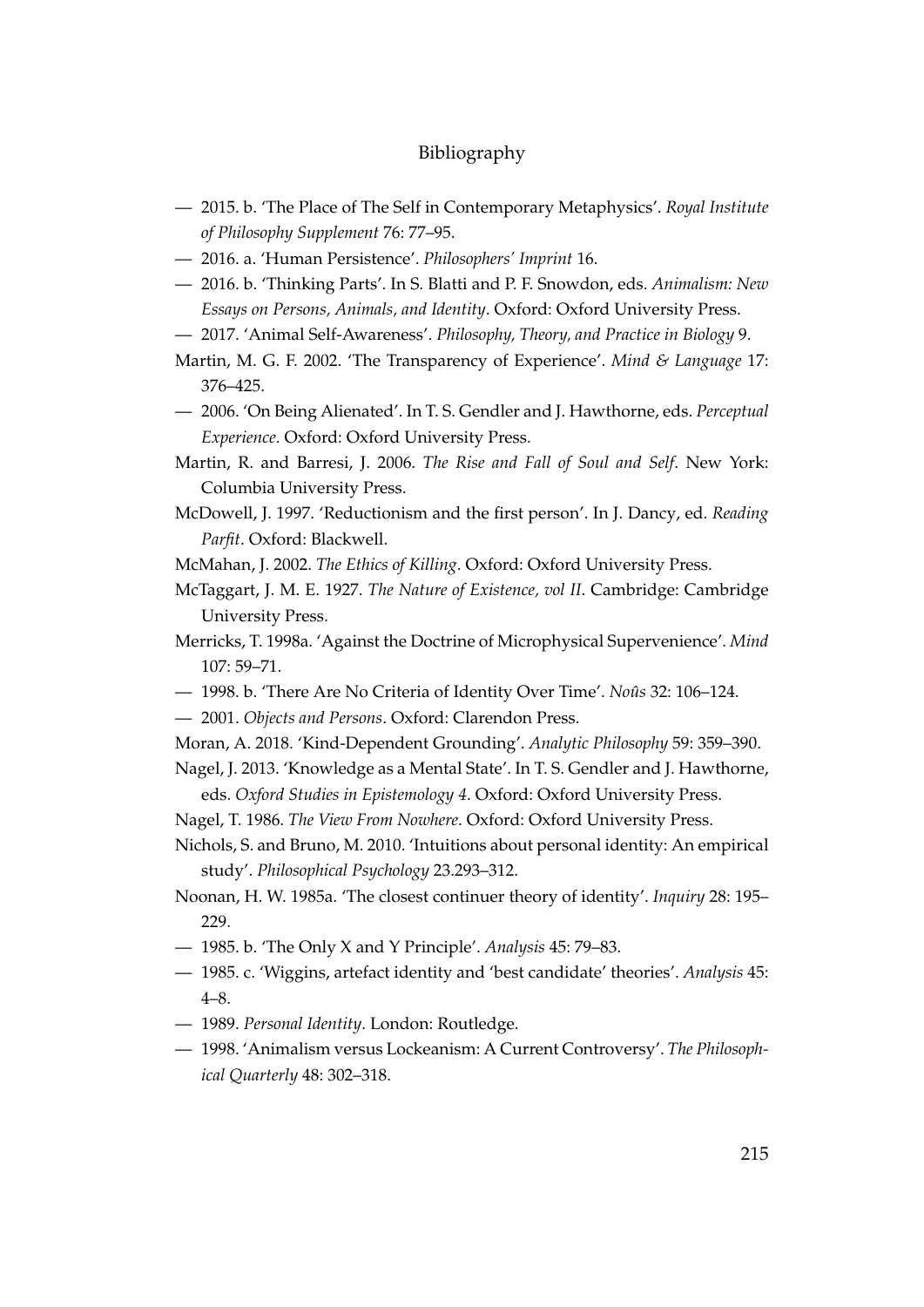- <span id="page-214-0"></span>— 2015. b. 'The Place of The Self in Contemporary Metaphysics'. *Royal Institute of Philosophy Supplement* 76: 77–95.
- <span id="page-214-1"></span>— 2016. a. 'Human Persistence'. *Philosophers' Imprint* 16.
- 2016. b. 'Thinking Parts'. In S. Blatti and P. F. Snowdon, eds. *Animalism: New Essays on Persons, Animals, and Identity*. Oxford: Oxford University Press.
- 2017. 'Animal Self-Awareness'. *Philosophy, Theory, and Practice in Biology* 9.
- Martin, M. G. F. 2002. 'The Transparency of Experience'. *Mind & Language* 17: 376–425.
- 2006. 'On Being Alienated'. In T. S. Gendler and J. Hawthorne, eds. *Perceptual Experience*. Oxford: Oxford University Press.
- Martin, R. and Barresi, J. 2006. *The Rise and Fall of Soul and Self*. New York: Columbia University Press.
- McDowell, J. 1997. 'Reductionism and the first person'. In J. Dancy, ed. *Reading Parfit*. Oxford: Blackwell.
- McMahan, J. 2002. *The Ethics of Killing*. Oxford: Oxford University Press.
- McTaggart, J. M. E. 1927. *The Nature of Existence, vol II*. Cambridge: Cambridge University Press.
- Merricks, T. 1998a. 'Against the Doctrine of Microphysical Supervenience'. *Mind* 107: 59–71.
- 1998. b. 'There Are No Criteria of Identity Over Time'. *Noûs* 32: 106–124.
- 2001. *Objects and Persons*. Oxford: Clarendon Press.
- Moran, A. 2018. 'Kind-Dependent Grounding'. *Analytic Philosophy* 59: 359–390.
- Nagel, J. 2013. 'Knowledge as a Mental State'. In T. S. Gendler and J. Hawthorne, eds. *Oxford Studies in Epistemology 4*. Oxford: Oxford University Press.
- Nagel, T. 1986. *The View From Nowhere*. Oxford: Oxford University Press.
- Nichols, S. and Bruno, M. 2010. 'Intuitions about personal identity: An empirical study'. *Philosophical Psychology* 23.293–312.
- Noonan, H. W. 1985a. 'The closest continuer theory of identity'. *Inquiry* 28: 195– 229.
- 1985. b. 'The Only X and Y Principle'. *Analysis* 45: 79–83.
- 1985. c. 'Wiggins, artefact identity and 'best candidate' theories'. *Analysis* 45: 4–8.
- 1989. *Personal Identity*. London: Routledge.
- <span id="page-214-2"></span>— 1998. 'Animalism versus Lockeanism: A Current Controversy'. *The Philosophical Quarterly* 48: 302–318.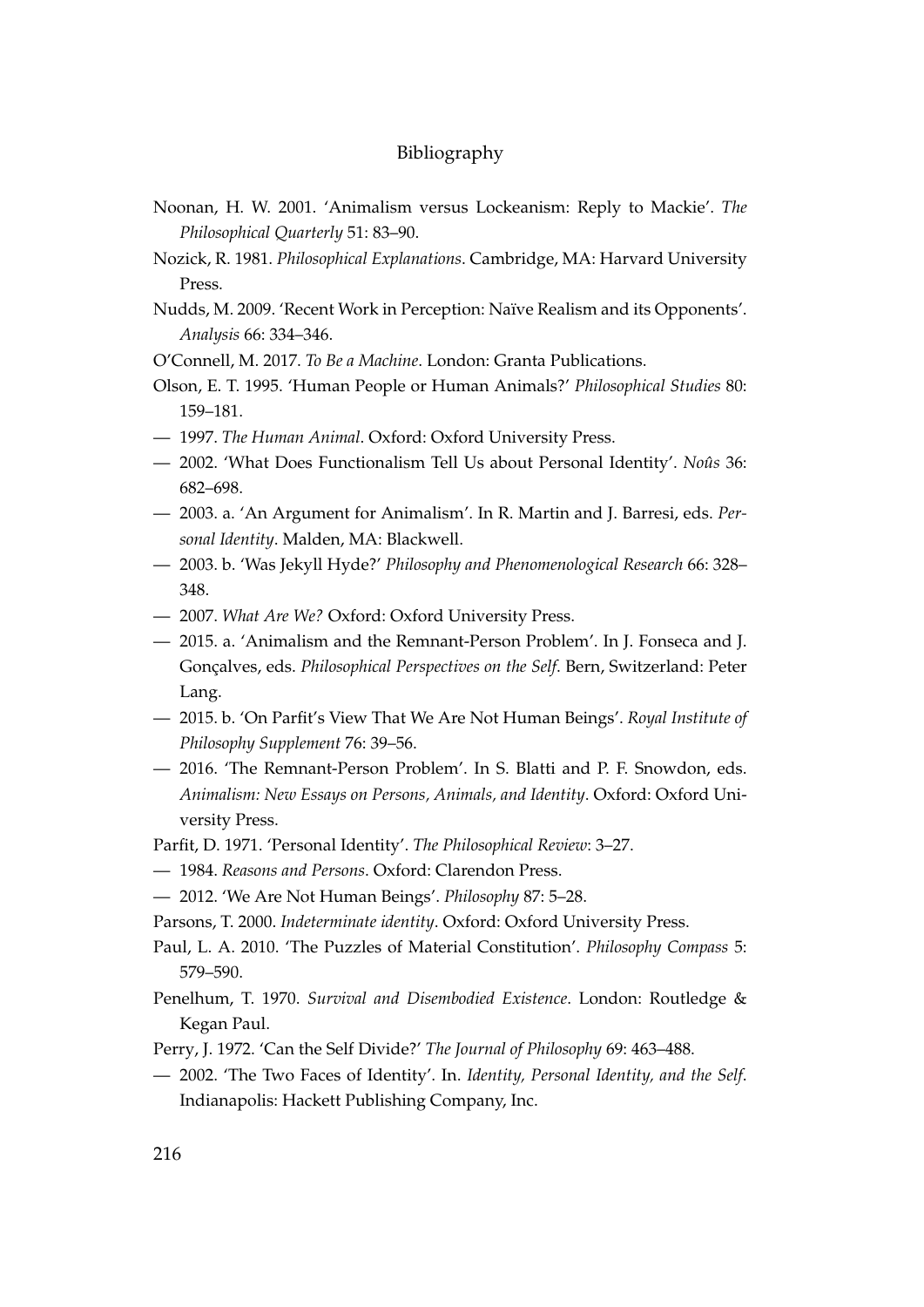- Noonan, H. W. 2001. 'Animalism versus Lockeanism: Reply to Mackie'. *The Philosophical Quarterly* 51: 83–90.
- Nozick, R. 1981. *Philosophical Explanations*. Cambridge, MA: Harvard University Press.
- Nudds, M. 2009. 'Recent Work in Perception: Naïve Realism and its Opponents'. *Analysis* 66: 334–346.

O'Connell, M. 2017. *To Be a Machine*. London: Granta Publications.

- <span id="page-215-0"></span>Olson, E. T. 1995. 'Human People or Human Animals?' *Philosophical Studies* 80: 159–181.
- <span id="page-215-1"></span>— 1997. *The Human Animal*. Oxford: Oxford University Press.
- 2002. 'What Does Functionalism Tell Us about Personal Identity'. *Noûs* 36: 682–698.
- 2003. a. 'An Argument for Animalism'. In R. Martin and J. Barresi, eds. *Personal Identity*. Malden, MA: Blackwell.
- 2003. b. 'Was Jekyll Hyde?' *Philosophy and Phenomenological Research* 66: 328– 348.
- 2007. *What Are We?* Oxford: Oxford University Press.
- 2015. a. 'Animalism and the Remnant-Person Problem'. In J. Fonseca and J. Gonçalves, eds. *Philosophical Perspectives on the Self*. Bern, Switzerland: Peter Lang.
- 2015. b. 'On Parfit's View That We Are Not Human Beings'. *Royal Institute of Philosophy Supplement* 76: 39–56.
- 2016. 'The Remnant-Person Problem'. In S. Blatti and P. F. Snowdon, eds. *Animalism: New Essays on Persons, Animals, and Identity*. Oxford: Oxford University Press.

Parfit, D. 1971. 'Personal Identity'. *The Philosophical Review*: 3–27.

- 1984. *Reasons and Persons*. Oxford: Clarendon Press.
- 2012. 'We Are Not Human Beings'. *Philosophy* 87: 5–28.
- Parsons, T. 2000. *Indeterminate identity*. Oxford: Oxford University Press.
- Paul, L. A. 2010. 'The Puzzles of Material Constitution'. *Philosophy Compass* 5: 579–590.
- Penelhum, T. 1970. *Survival and Disembodied Existence*. London: Routledge & Kegan Paul.
- Perry, J. 1972. 'Can the Self Divide?' *The Journal of Philosophy* 69: 463–488.
- 2002. 'The Two Faces of Identity'. In. *Identity, Personal Identity, and the Self*. Indianapolis: Hackett Publishing Company, Inc.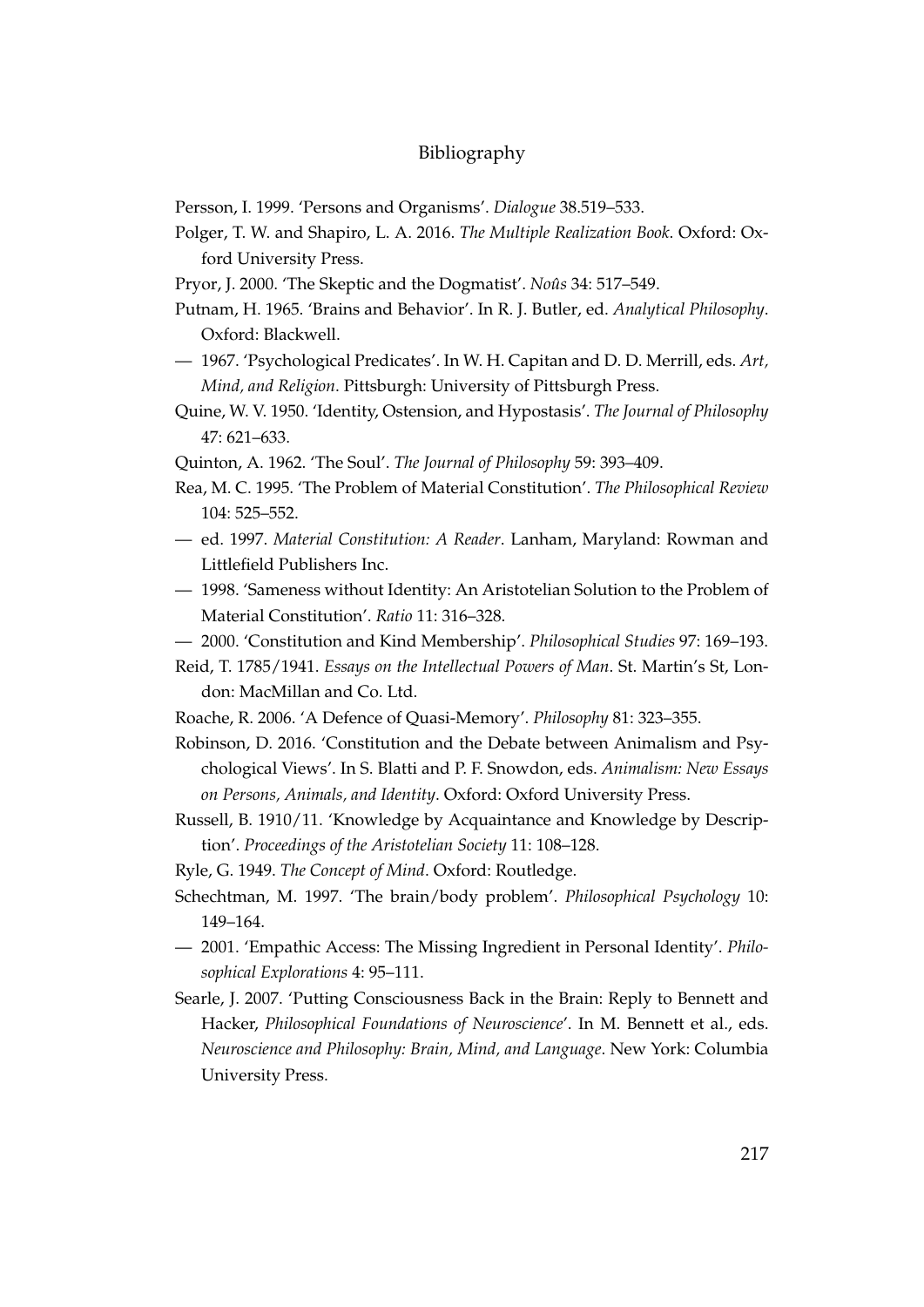- Persson, I. 1999. 'Persons and Organisms'. *Dialogue* 38.519–533.
- Polger, T. W. and Shapiro, L. A. 2016. *The Multiple Realization Book*. Oxford: Oxford University Press.
- Pryor, J. 2000. 'The Skeptic and the Dogmatist'. *Noûs* 34: 517–549.
- Putnam, H. 1965. 'Brains and Behavior'. In R. J. Butler, ed. *Analytical Philosophy*. Oxford: Blackwell.
- 1967. 'Psychological Predicates'. In W. H. Capitan and D. D. Merrill, eds. *Art, Mind, and Religion*. Pittsburgh: University of Pittsburgh Press.
- Quine, W. V. 1950. 'Identity, Ostension, and Hypostasis'. *The Journal of Philosophy* 47: 621–633.
- Quinton, A. 1962. 'The Soul'. *The Journal of Philosophy* 59: 393–409.
- Rea, M. C. 1995. 'The Problem of Material Constitution'. *The Philosophical Review* 104: 525–552.
- ed. 1997. *Material Constitution: A Reader*. Lanham, Maryland: Rowman and Littlefield Publishers Inc.
- 1998. 'Sameness without Identity: An Aristotelian Solution to the Problem of Material Constitution'. *Ratio* 11: 316–328.
- 2000. 'Constitution and Kind Membership'. *Philosophical Studies* 97: 169–193.
- Reid, T. 1785/1941. *Essays on the Intellectual Powers of Man*. St. Martin's St, London: MacMillan and Co. Ltd.
- Roache, R. 2006. 'A Defence of Quasi-Memory'. *Philosophy* 81: 323–355.
- Robinson, D. 2016. 'Constitution and the Debate between Animalism and Psychological Views'. In S. Blatti and P. F. Snowdon, eds. *Animalism: New Essays on Persons, Animals, and Identity*. Oxford: Oxford University Press.
- Russell, B. 1910/11. 'Knowledge by Acquaintance and Knowledge by Description'. *Proceedings of the Aristotelian Society* 11: 108–128.
- Ryle, G. 1949. *The Concept of Mind*. Oxford: Routledge.
- Schechtman, M. 1997. 'The brain/body problem'. *Philosophical Psychology* 10: 149–164.
- 2001. 'Empathic Access: The Missing Ingredient in Personal Identity'. *Philosophical Explorations* 4: 95–111.
- Searle, J. 2007. 'Putting Consciousness Back in the Brain: Reply to Bennett and Hacker, *Philosophical Foundations of Neuroscience*'. In M. Bennett et al., eds. *Neuroscience and Philosophy: Brain, Mind, and Language*. New York: Columbia University Press.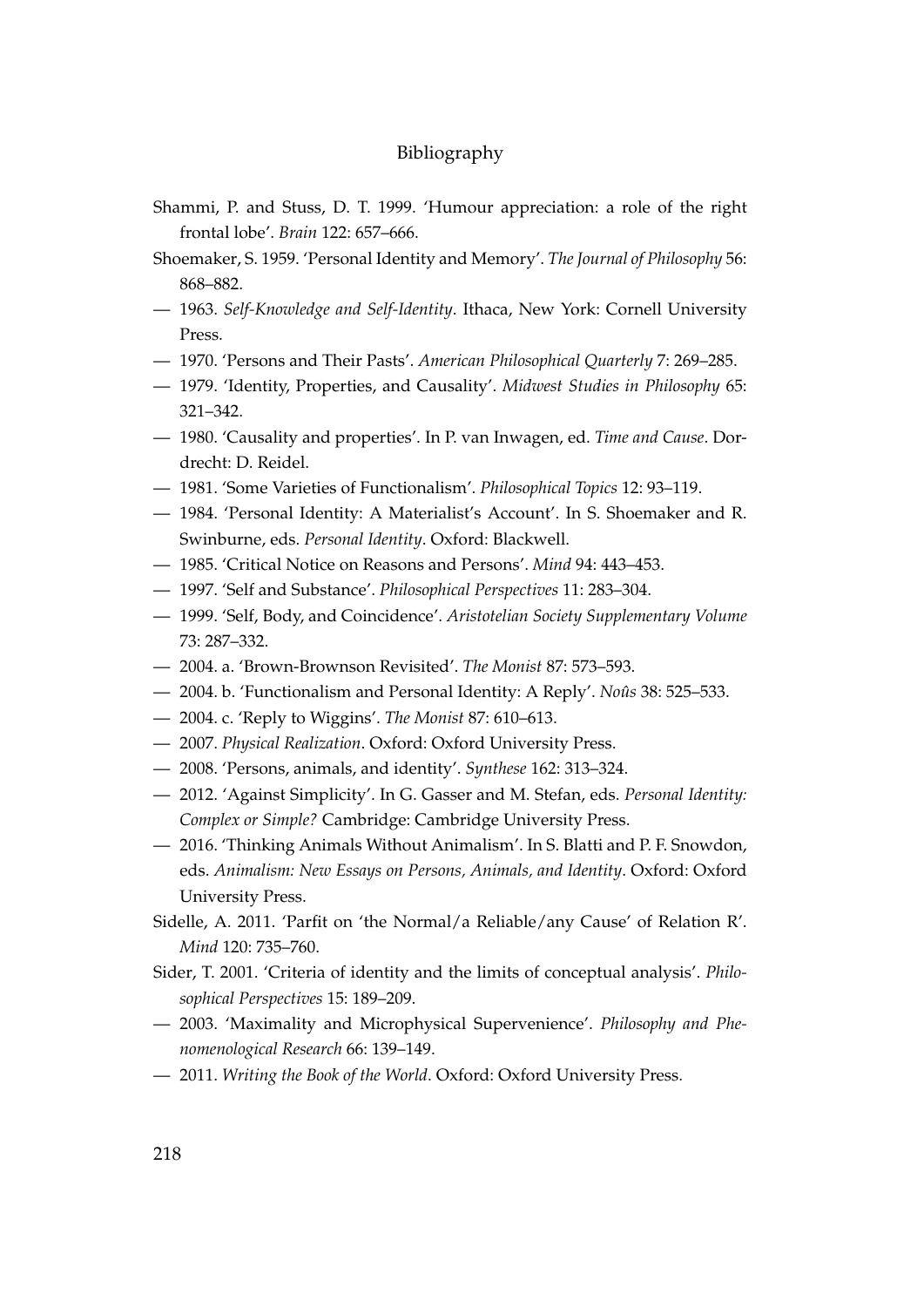- Shammi, P. and Stuss, D. T. 1999. 'Humour appreciation: a role of the right frontal lobe'. *Brain* 122: 657–666.
- Shoemaker, S. 1959. 'Personal Identity and Memory'. *The Journal of Philosophy* 56: 868–882.
- 1963. *Self-Knowledge and Self-Identity*. Ithaca, New York: Cornell University Press.
- 1970. 'Persons and Their Pasts'. *American Philosophical Quarterly* 7: 269–285.
- 1979. 'Identity, Properties, and Causality'. *Midwest Studies in Philosophy* 65: 321–342.
- 1980. 'Causality and properties'. In P. van Inwagen, ed. *Time and Cause*. Dordrecht: D. Reidel.
- 1981. 'Some Varieties of Functionalism'. *Philosophical Topics* 12: 93–119.
- 1984. 'Personal Identity: A Materialist's Account'. In S. Shoemaker and R. Swinburne, eds. *Personal Identity*. Oxford: Blackwell.
- 1985. 'Critical Notice on Reasons and Persons'. *Mind* 94: 443–453.
- 1997. 'Self and Substance'. *Philosophical Perspectives* 11: 283–304.
- 1999. 'Self, Body, and Coincidence'. *Aristotelian Society Supplementary Volume* 73: 287–332.
- 2004. a. 'Brown-Brownson Revisited'. *The Monist* 87: 573–593.
- 2004. b. 'Functionalism and Personal Identity: A Reply'. *Noûs* 38: 525–533.
- 2004. c. 'Reply to Wiggins'. *The Monist* 87: 610–613.
- 2007. *Physical Realization*. Oxford: Oxford University Press.
- 2008. 'Persons, animals, and identity'. *Synthese* 162: 313–324.
- 2012. 'Against Simplicity'. In G. Gasser and M. Stefan, eds. *Personal Identity: Complex or Simple?* Cambridge: Cambridge University Press.
- 2016. 'Thinking Animals Without Animalism'. In S. Blatti and P. F. Snowdon, eds. *Animalism: New Essays on Persons, Animals, and Identity*. Oxford: Oxford University Press.
- Sidelle, A. 2011. 'Parfit on 'the Normal/a Reliable/any Cause' of Relation R'. *Mind* 120: 735–760.
- Sider, T. 2001. 'Criteria of identity and the limits of conceptual analysis'. *Philosophical Perspectives* 15: 189–209.
- 2003. 'Maximality and Microphysical Supervenience'. *Philosophy and Phenomenological Research* 66: 139–149.
- 2011. *Writing the Book of the World*. Oxford: Oxford University Press.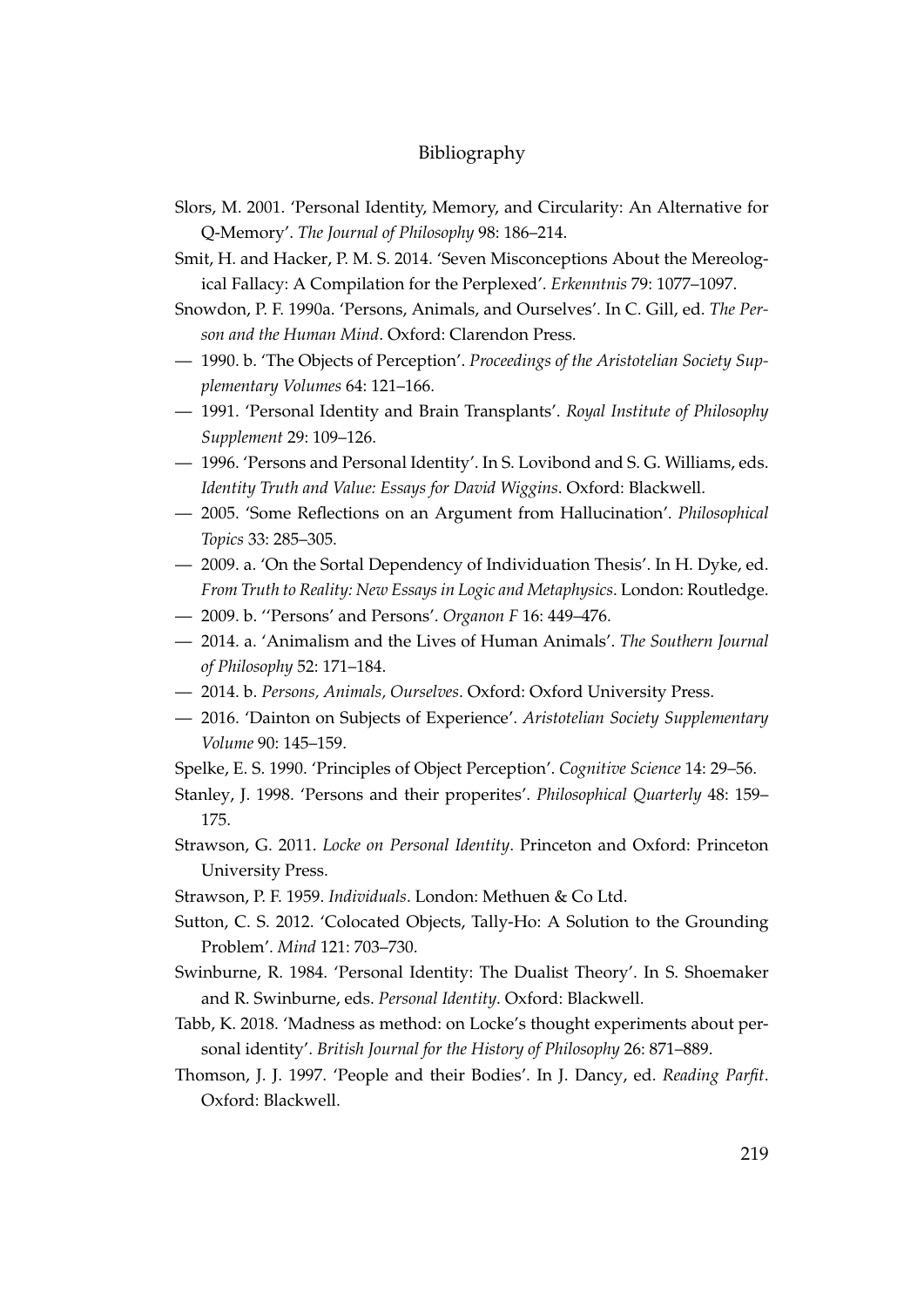- Slors, M. 2001. 'Personal Identity, Memory, and Circularity: An Alternative for Q-Memory'. *The Journal of Philosophy* 98: 186–214.
- Smit, H. and Hacker, P. M. S. 2014. 'Seven Misconceptions About the Mereological Fallacy: A Compilation for the Perplexed'. *Erkenntnis* 79: 1077–1097.
- Snowdon, P. F. 1990a. 'Persons, Animals, and Ourselves'. In C. Gill, ed. *The Person and the Human Mind*. Oxford: Clarendon Press.
- 1990. b. 'The Objects of Perception'. *Proceedings of the Aristotelian Society Supplementary Volumes* 64: 121–166.
- 1991. 'Personal Identity and Brain Transplants'. *Royal Institute of Philosophy Supplement* 29: 109–126.
- 1996. 'Persons and Personal Identity'. In S. Lovibond and S. G. Williams, eds. *Identity Truth and Value: Essays for David Wiggins*. Oxford: Blackwell.
- 2005. 'Some Reflections on an Argument from Hallucination'. *Philosophical Topics* 33: 285–305.
- 2009. a. 'On the Sortal Dependency of Individuation Thesis'. In H. Dyke, ed. *From Truth to Reality: New Essays in Logic and Metaphysics*. London: Routledge.
- 2009. b. ''Persons' and Persons'. *Organon F* 16: 449–476.
- 2014. a. 'Animalism and the Lives of Human Animals'. *The Southern Journal of Philosophy* 52: 171–184.
- 2014. b. *Persons, Animals, Ourselves*. Oxford: Oxford University Press.
- 2016. 'Dainton on Subjects of Experience'. *Aristotelian Society Supplementary Volume* 90: 145–159.
- Spelke, E. S. 1990. 'Principles of Object Perception'. *Cognitive Science* 14: 29–56.
- Stanley, J. 1998. 'Persons and their properites'. *Philosophical Quarterly* 48: 159– 175.
- Strawson, G. 2011. *Locke on Personal Identity*. Princeton and Oxford: Princeton University Press.
- Strawson, P. F. 1959. *Individuals*. London: Methuen & Co Ltd.
- Sutton, C. S. 2012. 'Colocated Objects, Tally-Ho: A Solution to the Grounding Problem'. *Mind* 121: 703–730.
- Swinburne, R. 1984. 'Personal Identity: The Dualist Theory'. In S. Shoemaker and R. Swinburne, eds. *Personal Identity*. Oxford: Blackwell.
- Tabb, K. 2018. 'Madness as method: on Locke's thought experiments about personal identity'. *British Journal for the History of Philosophy* 26: 871–889.
- Thomson, J. J. 1997. 'People and their Bodies'. In J. Dancy, ed. *Reading Parfit*. Oxford: Blackwell.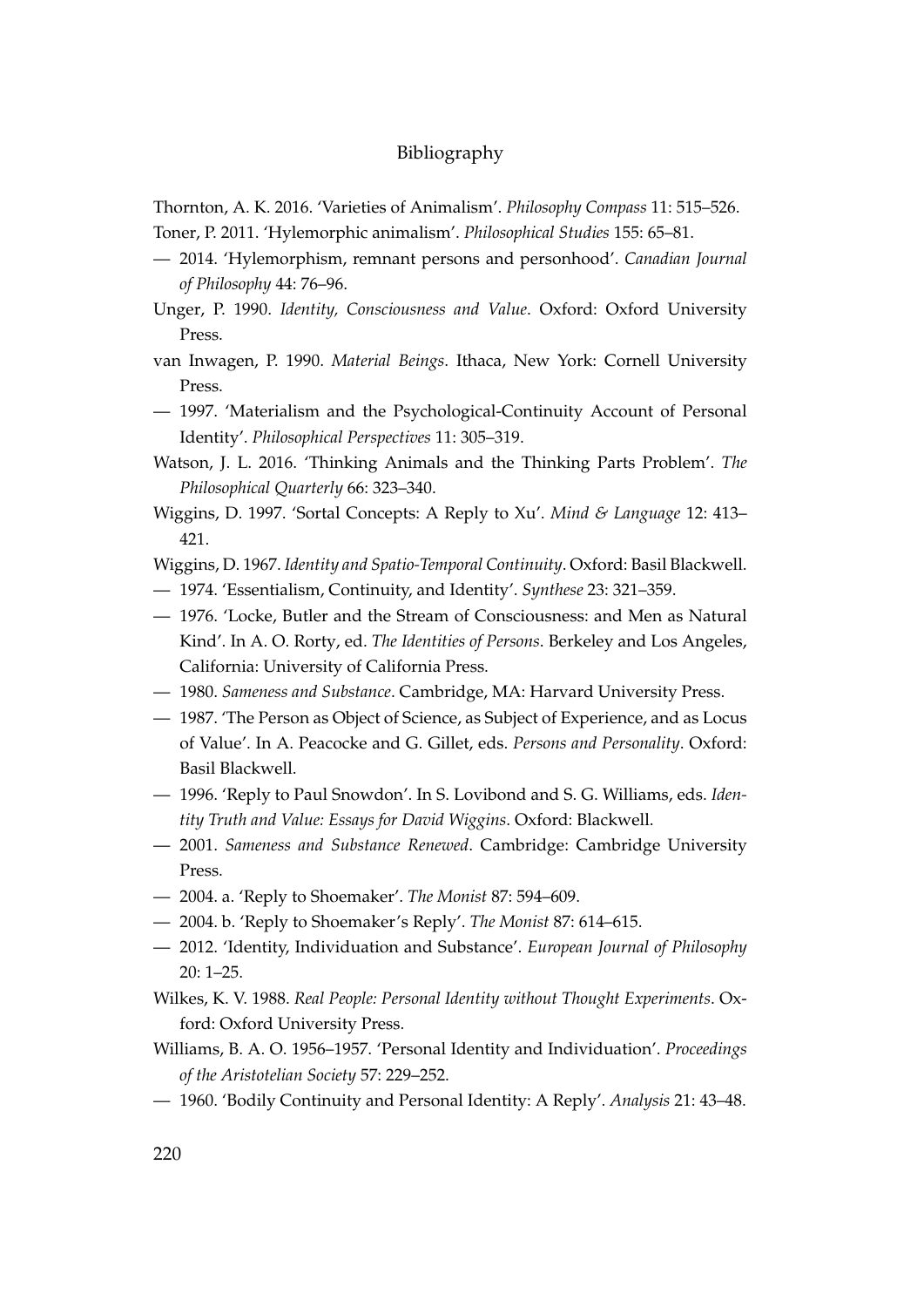- Thornton, A. K. 2016. 'Varieties of Animalism'. *Philosophy Compass* 11: 515–526. Toner, P. 2011. 'Hylemorphic animalism'. *Philosophical Studies* 155: 65–81.
- 2014. 'Hylemorphism, remnant persons and personhood'. *Canadian Journal of Philosophy* 44: 76–96.
- Unger, P. 1990. *Identity, Consciousness and Value*. Oxford: Oxford University Press.
- van Inwagen, P. 1990. *Material Beings*. Ithaca, New York: Cornell University Press.
- 1997. 'Materialism and the Psychological-Continuity Account of Personal Identity'. *Philosophical Perspectives* 11: 305–319.
- Watson, J. L. 2016. 'Thinking Animals and the Thinking Parts Problem'. *The Philosophical Quarterly* 66: 323–340.
- Wiggins, D. 1997. 'Sortal Concepts: A Reply to Xu'. *Mind & Language* 12: 413– 421.

Wiggins, D. 1967. *Identity and Spatio-Temporal Continuity*. Oxford: Basil Blackwell.

- 1974. 'Essentialism, Continuity, and Identity'. *Synthese* 23: 321–359.
- 1976. 'Locke, Butler and the Stream of Consciousness: and Men as Natural Kind'. In A. O. Rorty, ed. *The Identities of Persons*. Berkeley and Los Angeles, California: University of California Press.
- 1980. *Sameness and Substance*. Cambridge, MA: Harvard University Press.
- 1987. 'The Person as Object of Science, as Subject of Experience, and as Locus of Value'. In A. Peacocke and G. Gillet, eds. *Persons and Personality*. Oxford: Basil Blackwell.
- 1996. 'Reply to Paul Snowdon'. In S. Lovibond and S. G. Williams, eds. *Identity Truth and Value: Essays for David Wiggins*. Oxford: Blackwell.
- 2001. *Sameness and Substance Renewed*. Cambridge: Cambridge University Press.
- 2004. a. 'Reply to Shoemaker'. *The Monist* 87: 594–609.
- 2004. b. 'Reply to Shoemaker's Reply'. *The Monist* 87: 614–615.
- 2012. 'Identity, Individuation and Substance'. *European Journal of Philosophy* 20: 1–25.
- Wilkes, K. V. 1988. *Real People: Personal Identity without Thought Experiments*. Oxford: Oxford University Press.
- Williams, B. A. O. 1956–1957. 'Personal Identity and Individuation'. *Proceedings of the Aristotelian Society* 57: 229–252.
- 1960. 'Bodily Continuity and Personal Identity: A Reply'. *Analysis* 21: 43–48.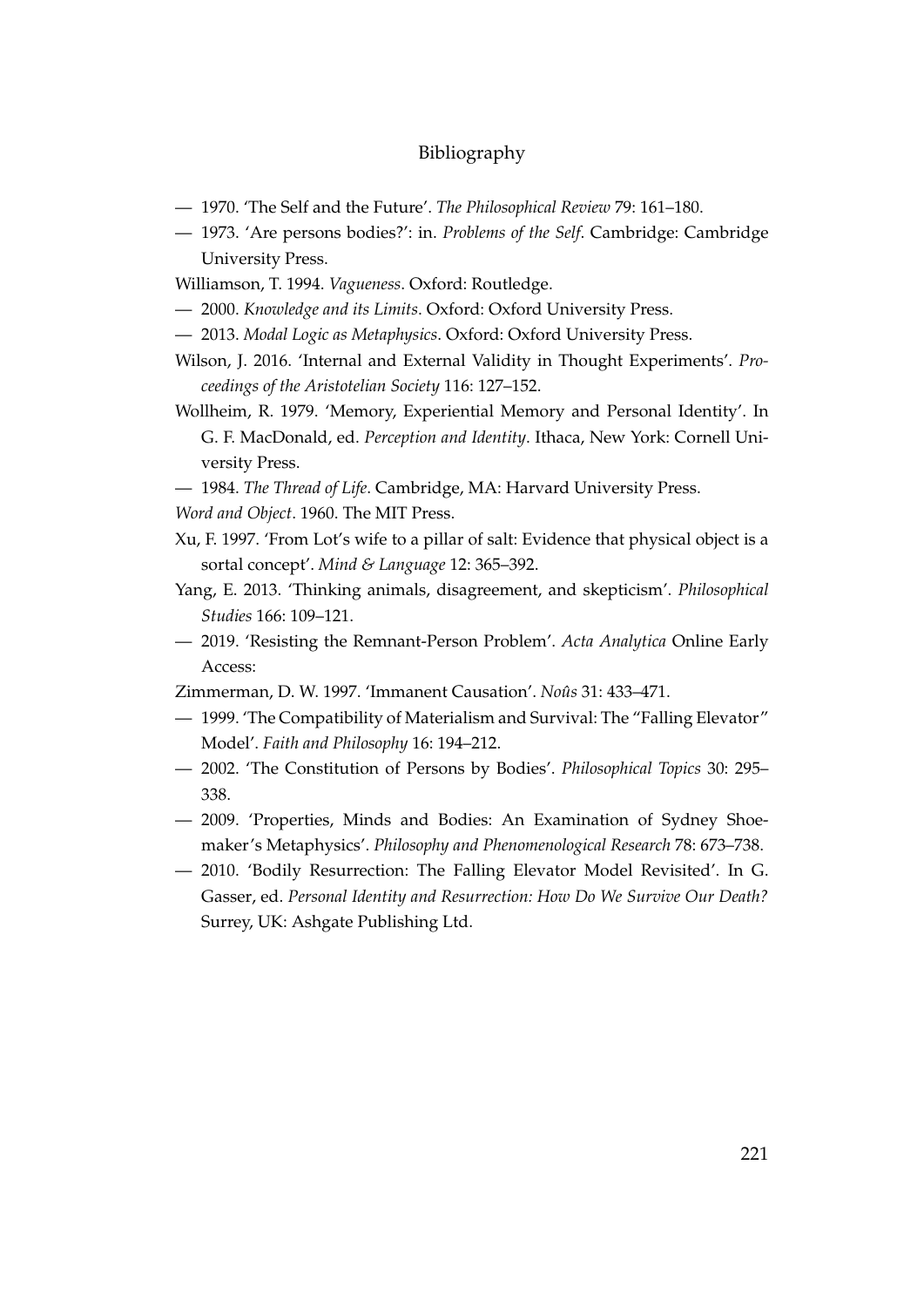- 1970. 'The Self and the Future'. *The Philosophical Review* 79: 161–180.
- 1973. 'Are persons bodies?': in. *Problems of the Self*. Cambridge: Cambridge University Press.
- Williamson, T. 1994. *Vagueness*. Oxford: Routledge.
- 2000. *Knowledge and its Limits*. Oxford: Oxford University Press.
- 2013. *Modal Logic as Metaphysics*. Oxford: Oxford University Press.
- Wilson, J. 2016. 'Internal and External Validity in Thought Experiments'. *Proceedings of the Aristotelian Society* 116: 127–152.
- Wollheim, R. 1979. 'Memory, Experiential Memory and Personal Identity'. In G. F. MacDonald, ed. *Perception and Identity*. Ithaca, New York: Cornell University Press.
- 1984. *The Thread of Life*. Cambridge, MA: Harvard University Press.
- *Word and Object*. 1960. The MIT Press.
- Xu, F. 1997. 'From Lot's wife to a pillar of salt: Evidence that physical object is a sortal concept'. *Mind & Language* 12: 365–392.
- Yang, E. 2013. 'Thinking animals, disagreement, and skepticism'. *Philosophical Studies* 166: 109–121.
- 2019. 'Resisting the Remnant-Person Problem'. *Acta Analytica* Online Early Access:
- Zimmerman, D. W. 1997. 'Immanent Causation'. *Noûs* 31: 433–471.
- 1999. 'The Compatibility of Materialism and Survival: The "Falling Elevator" Model'. *Faith and Philosophy* 16: 194–212.
- 2002. 'The Constitution of Persons by Bodies'. *Philosophical Topics* 30: 295– 338.
- 2009. 'Properties, Minds and Bodies: An Examination of Sydney Shoemaker's Metaphysics'. *Philosophy and Phenomenological Research* 78: 673–738.
- 2010. 'Bodily Resurrection: The Falling Elevator Model Revisited'. In G. Gasser, ed. *Personal Identity and Resurrection: How Do We Survive Our Death?* Surrey, UK: Ashgate Publishing Ltd.